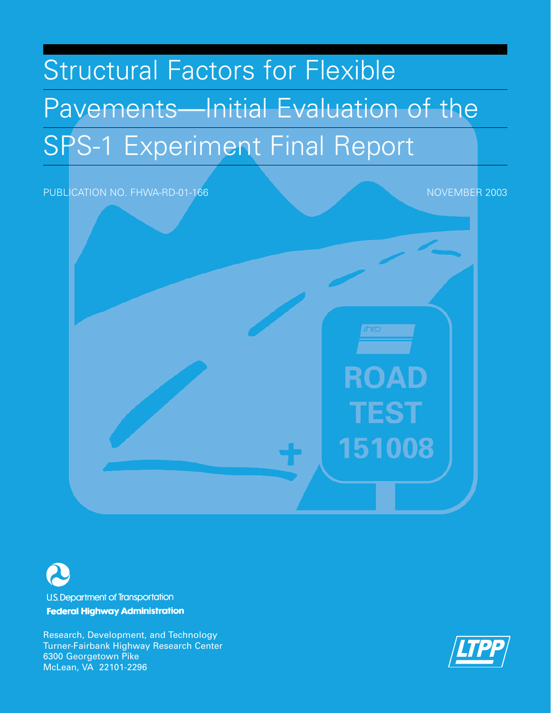# Structural Factors for Flexible Pavements—Initial Evaluation of the SPS-1 Experiment Final Report





**U.S. Department of Transportation Federal Highway Administration** 

Research, Development, and Technology Turner-Fairbank Highway Research Center 6300 Georgetown Pike McLean, VA 22101-2296

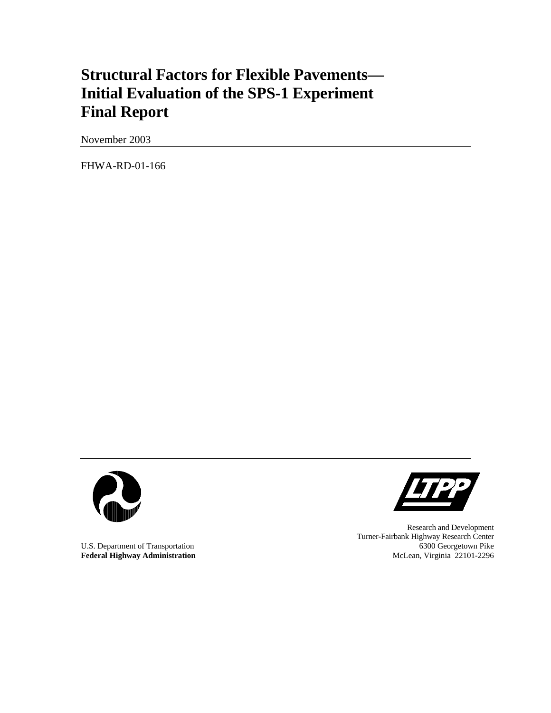# **Structural Factors for Flexible Pavements— Initial Evaluation of the SPS-1 Experiment Final Report**

November 2003

FHWA-RD-01-166



Federal Highway Administration



Research and Development Turner-Fairbank Highway Research Center U.S. Department of Transportation 6300 Georgetown Pike 6300 Georgetown Pike 6300 Georgetown Pike 6300 Georgetown Pike 6300 Georgetown Pike 6300 Georgetown Pike 6300 Georgetown Pike 6300 Georgetown Pike 6300 Georgetown Pike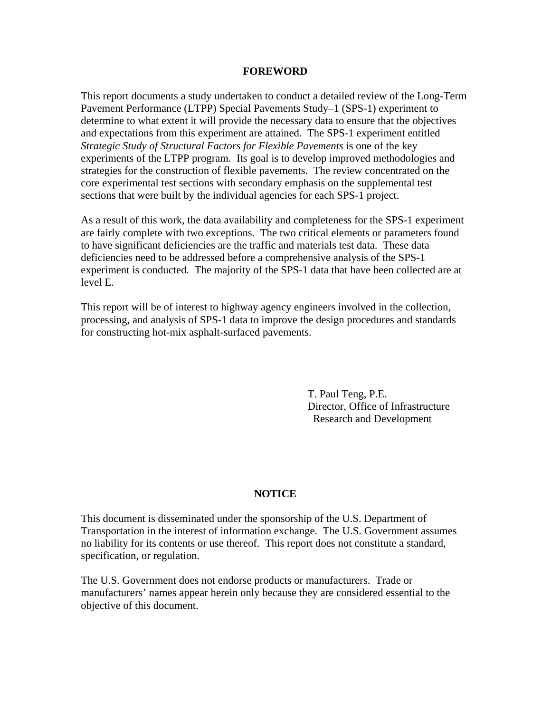#### **FOREWORD**

This report documents a study undertaken to conduct a detailed review of the Long-Term Pavement Performance (LTPP) Special Pavements Study–1 (SPS-1) experiment to determine to what extent it will provide the necessary data to ensure that the objectives and expectations from this experiment are attained. The SPS-1 experiment entitled *Strategic Study of Structural Factors for Flexible Pavements* is one of the key experiments of the LTPP program. Its goal is to develop improved methodologies and strategies for the construction of flexible pavements. The review concentrated on the core experimental test sections with secondary emphasis on the supplemental test sections that were built by the individual agencies for each SPS-1 project.

As a result of this work, the data availability and completeness for the SPS-1 experiment are fairly complete with two exceptions. The two critical elements or parameters found to have significant deficiencies are the traffic and materials test data. These data deficiencies need to be addressed before a comprehensive analysis of the SPS-1 experiment is conducted. The majority of the SPS-1 data that have been collected are at level E.

This report will be of interest to highway agency engineers involved in the collection, processing, and analysis of SPS-1 data to improve the design procedures and standards for constructing hot-mix asphalt-surfaced pavements.

> T. Paul Teng, P.E. Director, Office of Infrastructure Research and Development

#### **NOTICE**

This document is disseminated under the sponsorship of the U.S. Department of Transportation in the interest of information exchange. The U.S. Government assumes no liability for its contents or use thereof. This report does not constitute a standard, specification, or regulation.

The U.S. Government does not endorse products or manufacturers. Trade or manufacturers' names appear herein only because they are considered essential to the objective of this document.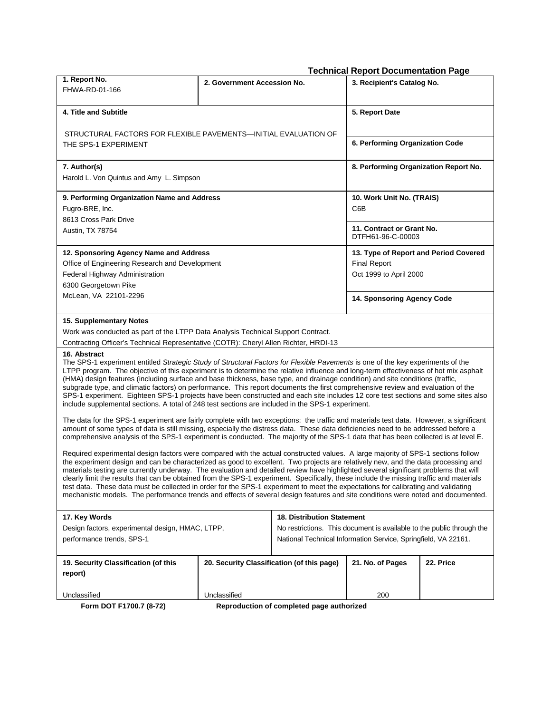#### **Technical Report Documentation Page**

| 1. Report No.<br>FHWA-RD-01-166                                                                                                                                                                                                                                                                                                                                                                                                                                                                                                                                                                                                                                                                                                                                                                                                   | 2. Government Accession No.               |                                                                       | 3. Recipient's Catalog No.                     |           |  |  |  |  |
|-----------------------------------------------------------------------------------------------------------------------------------------------------------------------------------------------------------------------------------------------------------------------------------------------------------------------------------------------------------------------------------------------------------------------------------------------------------------------------------------------------------------------------------------------------------------------------------------------------------------------------------------------------------------------------------------------------------------------------------------------------------------------------------------------------------------------------------|-------------------------------------------|-----------------------------------------------------------------------|------------------------------------------------|-----------|--|--|--|--|
| 4. Title and Subtitle                                                                                                                                                                                                                                                                                                                                                                                                                                                                                                                                                                                                                                                                                                                                                                                                             | 5. Report Date                            |                                                                       |                                                |           |  |  |  |  |
| STRUCTURAL FACTORS FOR FLEXIBLE PAVEMENTS—INITIAL EVALUATION OF<br>THE SPS-1 EXPERIMENT                                                                                                                                                                                                                                                                                                                                                                                                                                                                                                                                                                                                                                                                                                                                           |                                           |                                                                       | 6. Performing Organization Code                |           |  |  |  |  |
| 7. Author(s)<br>Harold L. Von Quintus and Amy L. Simpson                                                                                                                                                                                                                                                                                                                                                                                                                                                                                                                                                                                                                                                                                                                                                                          |                                           |                                                                       | 8. Performing Organization Report No.          |           |  |  |  |  |
| 9. Performing Organization Name and Address<br>Fugro-BRE, Inc.<br>8613 Cross Park Drive                                                                                                                                                                                                                                                                                                                                                                                                                                                                                                                                                                                                                                                                                                                                           |                                           |                                                                       | 10. Work Unit No. (TRAIS)<br>C6B               |           |  |  |  |  |
| Austin, TX 78754                                                                                                                                                                                                                                                                                                                                                                                                                                                                                                                                                                                                                                                                                                                                                                                                                  |                                           |                                                                       | 11. Contract or Grant No.<br>DTFH61-96-C-00003 |           |  |  |  |  |
| 12. Sponsoring Agency Name and Address                                                                                                                                                                                                                                                                                                                                                                                                                                                                                                                                                                                                                                                                                                                                                                                            |                                           |                                                                       | 13. Type of Report and Period Covered          |           |  |  |  |  |
| Office of Engineering Research and Development                                                                                                                                                                                                                                                                                                                                                                                                                                                                                                                                                                                                                                                                                                                                                                                    |                                           |                                                                       | <b>Final Report</b>                            |           |  |  |  |  |
| Federal Highway Administration                                                                                                                                                                                                                                                                                                                                                                                                                                                                                                                                                                                                                                                                                                                                                                                                    |                                           |                                                                       | Oct 1999 to April 2000                         |           |  |  |  |  |
| 6300 Georgetown Pike                                                                                                                                                                                                                                                                                                                                                                                                                                                                                                                                                                                                                                                                                                                                                                                                              |                                           |                                                                       |                                                |           |  |  |  |  |
| McLean, VA 22101-2296                                                                                                                                                                                                                                                                                                                                                                                                                                                                                                                                                                                                                                                                                                                                                                                                             |                                           |                                                                       | 14. Sponsoring Agency Code                     |           |  |  |  |  |
| 15. Supplementary Notes                                                                                                                                                                                                                                                                                                                                                                                                                                                                                                                                                                                                                                                                                                                                                                                                           |                                           |                                                                       |                                                |           |  |  |  |  |
| Work was conducted as part of the LTPP Data Analysis Technical Support Contract.                                                                                                                                                                                                                                                                                                                                                                                                                                                                                                                                                                                                                                                                                                                                                  |                                           |                                                                       |                                                |           |  |  |  |  |
| Contracting Officer's Technical Representative (COTR): Cheryl Allen Richter, HRDI-13                                                                                                                                                                                                                                                                                                                                                                                                                                                                                                                                                                                                                                                                                                                                              |                                           |                                                                       |                                                |           |  |  |  |  |
| 16. Abstract<br>The SPS-1 experiment entitled Strategic Study of Structural Factors for Flexible Pavements is one of the key experiments of the<br>LTPP program. The objective of this experiment is to determine the relative influence and long-term effectiveness of hot mix asphalt<br>(HMA) design features (including surface and base thickness, base type, and drainage condition) and site conditions (traffic,<br>subgrade type, and climatic factors) on performance. This report documents the first comprehensive review and evaluation of the<br>SPS-1 experiment. Eighteen SPS-1 projects have been constructed and each site includes 12 core test sections and some sites also<br>include supplemental sections. A total of 248 test sections are included in the SPS-1 experiment.                              |                                           |                                                                       |                                                |           |  |  |  |  |
| The data for the SPS-1 experiment are fairly complete with two exceptions: the traffic and materials test data. However, a significant<br>amount of some types of data is still missing, especially the distress data. These data deficiencies need to be addressed before a<br>comprehensive analysis of the SPS-1 experiment is conducted. The majority of the SPS-1 data that has been collected is at level E.                                                                                                                                                                                                                                                                                                                                                                                                                |                                           |                                                                       |                                                |           |  |  |  |  |
| Required experimental design factors were compared with the actual constructed values. A large majority of SPS-1 sections follow<br>the experiment design and can be characterized as good to excellent. Two projects are relatively new, and the data processing and<br>materials testing are currently underway. The evaluation and detailed review have highlighted several significant problems that will<br>clearly limit the results that can be obtained from the SPS-1 experiment. Specifically, these include the missing traffic and materials<br>test data. These data must be collected in order for the SPS-1 experiment to meet the expectations for calibrating and validating<br>mechanistic models. The performance trends and effects of several design features and site conditions were noted and documented. |                                           |                                                                       |                                                |           |  |  |  |  |
| 17. Key Words                                                                                                                                                                                                                                                                                                                                                                                                                                                                                                                                                                                                                                                                                                                                                                                                                     |                                           | <b>18. Distribution Statement</b>                                     |                                                |           |  |  |  |  |
| Design factors, experimental design, HMAC, LTPP,                                                                                                                                                                                                                                                                                                                                                                                                                                                                                                                                                                                                                                                                                                                                                                                  |                                           | No restrictions. This document is available to the public through the |                                                |           |  |  |  |  |
| performance trends, SPS-1                                                                                                                                                                                                                                                                                                                                                                                                                                                                                                                                                                                                                                                                                                                                                                                                         |                                           | National Technical Information Service, Springfield, VA 22161.        |                                                |           |  |  |  |  |
| 19. Security Classification (of this                                                                                                                                                                                                                                                                                                                                                                                                                                                                                                                                                                                                                                                                                                                                                                                              |                                           | 20. Security Classification (of this page)                            | 21. No. of Pages                               | 22. Price |  |  |  |  |
| report)                                                                                                                                                                                                                                                                                                                                                                                                                                                                                                                                                                                                                                                                                                                                                                                                                           |                                           |                                                                       |                                                |           |  |  |  |  |
| Unclassified                                                                                                                                                                                                                                                                                                                                                                                                                                                                                                                                                                                                                                                                                                                                                                                                                      | Unclassified                              |                                                                       | 200                                            |           |  |  |  |  |
| Form DOT F1700.7 (8-72)                                                                                                                                                                                                                                                                                                                                                                                                                                                                                                                                                                                                                                                                                                                                                                                                           | Reproduction of completed page authorized |                                                                       |                                                |           |  |  |  |  |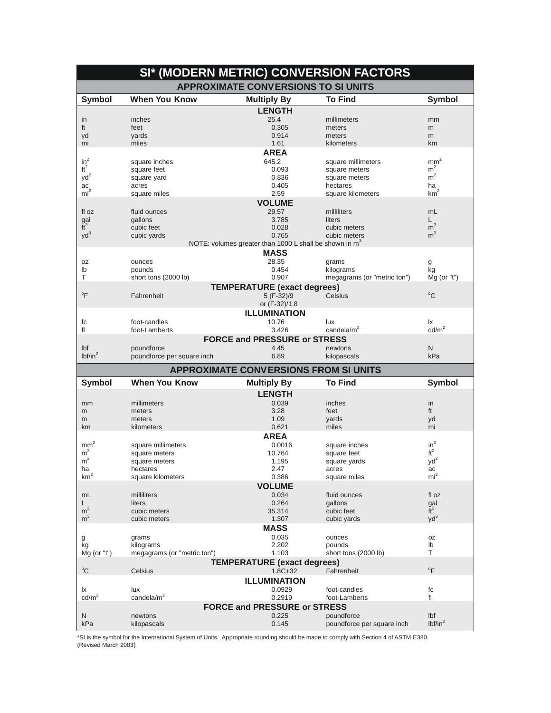|                         |                             | SI* (MODERN METRIC) CONVERSION FACTORS                   |                               |                                  |
|-------------------------|-----------------------------|----------------------------------------------------------|-------------------------------|----------------------------------|
|                         |                             | <b>APPROXIMATE CONVERSIONS TO SI UNITS</b>               |                               |                                  |
| <b>Symbol</b>           | <b>When You Know</b>        | <b>Multiply By</b>                                       | <b>To Find</b>                | <b>Symbol</b>                    |
|                         |                             | <b>LENGTH</b>                                            |                               |                                  |
| in                      | inches                      | 25.4                                                     | millimeters                   | mm                               |
| ft                      | feet                        | 0.305                                                    | meters                        | m                                |
| yd                      | yards                       | 0.914                                                    | meters                        | m                                |
| mi                      | miles                       | 1.61                                                     | kilometers                    | km                               |
|                         |                             | <b>AREA</b>                                              |                               |                                  |
| $in^2$<br>$\mbox{ft}^2$ | square inches               | 645.2                                                    | square millimeters            | mm <sup>2</sup>                  |
| yd <sup>2</sup>         | square feet                 | 0.093<br>0.836                                           | square meters                 | m <sup>2</sup><br>m <sup>2</sup> |
| ac                      | square yard<br>acres        | 0.405                                                    | square meters<br>hectares     | ha                               |
| mi <sup>2</sup>         | square miles                | 2.59                                                     | square kilometers             | km <sup>2</sup>                  |
|                         |                             | <b>VOLUME</b>                                            |                               |                                  |
| fl oz                   | fluid ounces                | 29.57                                                    | milliliters                   | mL                               |
|                         | gallons                     | 3.785                                                    | liters                        | L                                |
| $\frac{gal}{ft^3}$      | cubic feet                  | 0.028                                                    | cubic meters                  | m <sup>3</sup>                   |
| $yd^3$                  | cubic yards                 | 0.765                                                    | cubic meters                  | m <sup>3</sup>                   |
|                         |                             | NOTE: volumes greater than 1000 L shall be shown in $m3$ |                               |                                  |
|                         |                             | <b>MASS</b>                                              |                               |                                  |
| 0Z                      | ounces                      | 28.35                                                    | grams                         | g                                |
| lb                      | pounds                      | 0.454                                                    | kilograms                     | kg                               |
| т                       | short tons (2000 lb)        | 0.907                                                    | megagrams (or "metric ton")   | $Mg$ (or "t")                    |
|                         |                             | <b>TEMPERATURE</b> (exact degrees)                       |                               |                                  |
| $\mathrm{P}$            | Fahrenheit                  | 5 (F-32)/9                                               | Celsius                       | $^{\circ}$ C                     |
|                         |                             | or (F-32)/1.8                                            |                               |                                  |
|                         |                             | <b>ILLUMINATION</b>                                      |                               |                                  |
| fc                      | foot-candles                | 10.76                                                    | lux                           | Ιx                               |
| fl                      | foot-Lamberts               | 3.426                                                    | candela/ $m2$                 | cd/m <sup>2</sup>                |
|                         |                             | <b>FORCE and PRESSURE or STRESS</b>                      |                               |                                  |
| Ibf                     | poundforce                  | 4.45                                                     | newtons                       | N                                |
| lbf/in <sup>2</sup>     | poundforce per square inch  | 6.89                                                     | kilopascals                   | kPa                              |
|                         |                             | <b>APPROXIMATE CONVERSIONS FROM SI UNITS</b>             |                               |                                  |
| <b>Symbol</b>           | <b>When You Know</b>        | <b>Multiply By</b>                                       | <b>To Find</b>                | <b>Symbol</b>                    |
|                         |                             |                                                          |                               |                                  |
|                         |                             |                                                          |                               |                                  |
|                         |                             | <b>LENGTH</b>                                            |                               |                                  |
| mm<br>m                 | millimeters<br>meters       | 0.039<br>3.28                                            | inches<br>feet                | in<br>ft                         |
| m                       | meters                      | 1.09                                                     | yards                         | yd                               |
| km                      | kilometers                  | 0.621                                                    | miles                         | mi                               |
|                         |                             | <b>AREA</b>                                              |                               |                                  |
| mm <sup>2</sup>         | square millimeters          | 0.0016                                                   | square inches                 | $in^2$                           |
| m <sup>2</sup>          | square meters               | 10.764                                                   | square feet                   | $ft^2$                           |
| m <sup>2</sup>          | square meters               | 1.195                                                    | square yards                  | $yd^2$                           |
| ha                      | hectares                    | 2.47                                                     | acres                         | ac                               |
| km <sup>2</sup>         | square kilometers           | 0.386                                                    | square miles                  | mi <sup>2</sup>                  |
|                         |                             | <b>VOLUME</b>                                            |                               |                                  |
| mL                      | milliliters                 | 0.034                                                    | fluid ounces                  | fl oz                            |
| L                       | liters                      | 0.264                                                    | gallons                       | gal                              |
| m <sup>3</sup>          | cubic meters                | 35.314                                                   | cubic feet                    | $\tilde{t}^3$                    |
| m <sup>3</sup>          | cubic meters                | 1.307                                                    | cubic yards                   | $yd^3$                           |
|                         |                             | <b>MASS</b>                                              |                               |                                  |
| g                       | grams                       | 0.035                                                    | ounces                        | 0Z                               |
| kg                      | kilograms                   | 2.202                                                    | pounds                        | lb<br>T                          |
| $Mg$ (or "t")           | megagrams (or "metric ton") | 1.103                                                    | short tons (2000 lb)          |                                  |
|                         |                             | <b>TEMPERATURE (exact degrees)</b>                       | Fahrenheit                    | $\mathrm{P}$                     |
| $^{\circ}C$             | Celsius                     | $1.8C + 32$                                              |                               |                                  |
|                         |                             | <b>ILLUMINATION</b>                                      |                               |                                  |
| Ιx                      | lux<br>candela/ $m2$        | 0.0929                                                   | foot-candles<br>foot-Lamberts | fc<br>fl                         |
| cd/m <sup>2</sup>       |                             | 0.2919                                                   |                               |                                  |
| N                       | newtons                     | <b>FORCE and PRESSURE or STRESS</b><br>0.225             | poundforce                    | Ibf                              |

\*SI is the symbol for the International System of Units. Appropriate rounding should be made to comply with Section 4 of ASTM E380.<br>(Revised March 2003)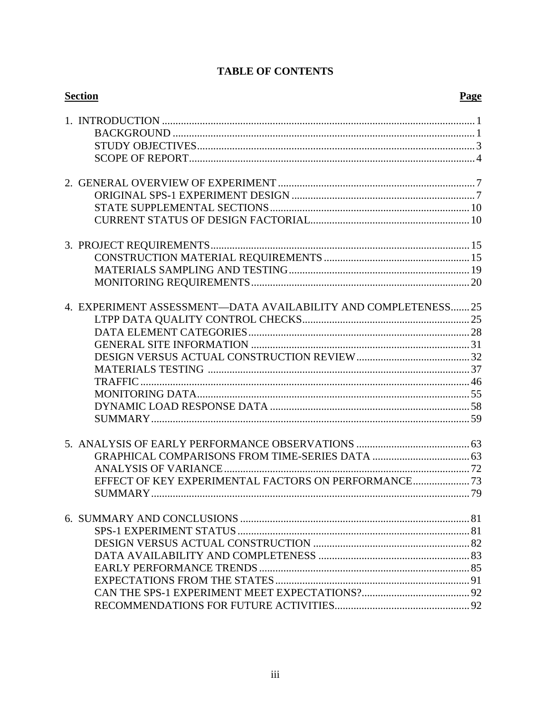| <b>Section</b>                                                 | Page |
|----------------------------------------------------------------|------|
|                                                                |      |
|                                                                |      |
|                                                                |      |
|                                                                |      |
|                                                                |      |
|                                                                |      |
|                                                                |      |
|                                                                |      |
| 4. EXPERIMENT ASSESSMENT—DATA AVAILABILITY AND COMPLETENESS 25 |      |
|                                                                |      |
|                                                                |      |
|                                                                |      |
|                                                                |      |
|                                                                |      |
|                                                                |      |
|                                                                |      |
|                                                                |      |
|                                                                |      |
|                                                                |      |
|                                                                |      |
|                                                                |      |
| EFFECT OF KEY EXPERIMENTAL FACTORS ON PERFORMANCE              |      |
|                                                                |      |
|                                                                |      |
|                                                                |      |
|                                                                |      |
|                                                                |      |
|                                                                |      |
|                                                                |      |
|                                                                |      |
|                                                                |      |

## **TABLE OF CONTENTS**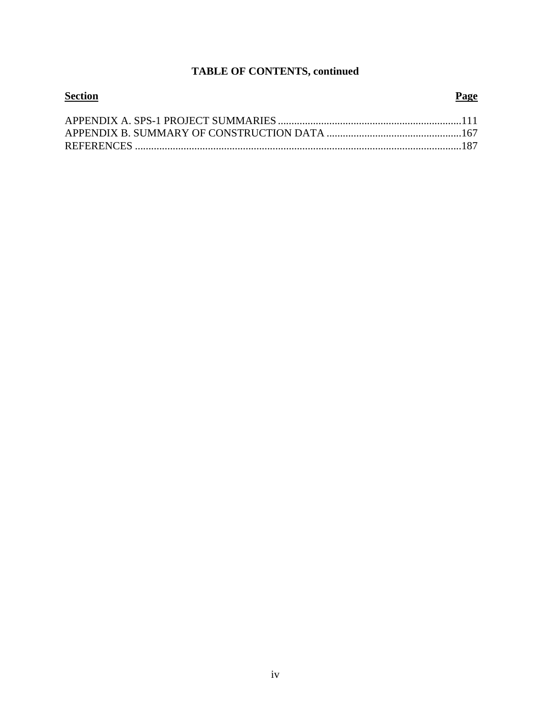# **TABLE OF CONTENTS, continued**

| <b>Section</b> | Page |
|----------------|------|
|                |      |
|                |      |
|                |      |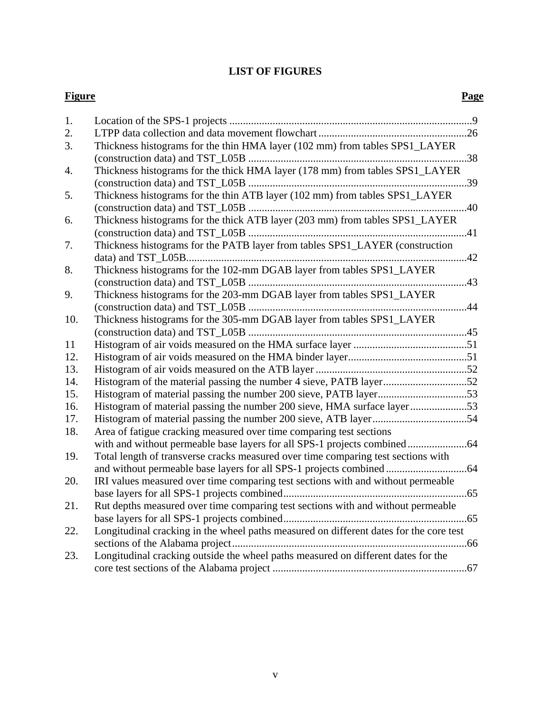## **LIST OF FIGURES**

#### **Figure Page**

| 1.               |                                                                                        |
|------------------|----------------------------------------------------------------------------------------|
| 2.               |                                                                                        |
| 3.               | Thickness histograms for the thin HMA layer (102 mm) from tables SPS1_LAYER            |
|                  |                                                                                        |
| $\overline{4}$ . | Thickness histograms for the thick HMA layer (178 mm) from tables SPS1_LAYER           |
|                  |                                                                                        |
| 5.               | Thickness histograms for the thin ATB layer (102 mm) from tables SPS1_LAYER            |
|                  |                                                                                        |
| 6.               | Thickness histograms for the thick ATB layer (203 mm) from tables SPS1_LAYER           |
|                  |                                                                                        |
| 7.               | Thickness histograms for the PATB layer from tables SPS1_LAYER (construction           |
|                  |                                                                                        |
| 8.               | Thickness histograms for the 102-mm DGAB layer from tables SPS1_LAYER                  |
|                  |                                                                                        |
| 9.               | Thickness histograms for the 203-mm DGAB layer from tables SPS1_LAYER                  |
|                  |                                                                                        |
| 10.              | Thickness histograms for the 305-mm DGAB layer from tables SPS1_LAYER                  |
|                  |                                                                                        |
| 11               |                                                                                        |
| 12.              |                                                                                        |
| 13.              |                                                                                        |
| 14.              | Histogram of the material passing the number 4 sieve, PATB layer52                     |
| 15.              |                                                                                        |
| 16.              | Histogram of material passing the number 200 sieve, HMA surface layer53                |
| 17.              |                                                                                        |
| 18.              | Area of fatigue cracking measured over time comparing test sections                    |
|                  |                                                                                        |
| 19.              | Total length of transverse cracks measured over time comparing test sections with      |
|                  |                                                                                        |
| 20.              | IRI values measured over time comparing test sections with and without permeable       |
|                  |                                                                                        |
| 21.              | Rut depths measured over time comparing test sections with and without permeable       |
|                  |                                                                                        |
| 22.              | Longitudinal cracking in the wheel paths measured on different dates for the core test |
|                  |                                                                                        |
| 23.              | Longitudinal cracking outside the wheel paths measured on different dates for the      |
|                  |                                                                                        |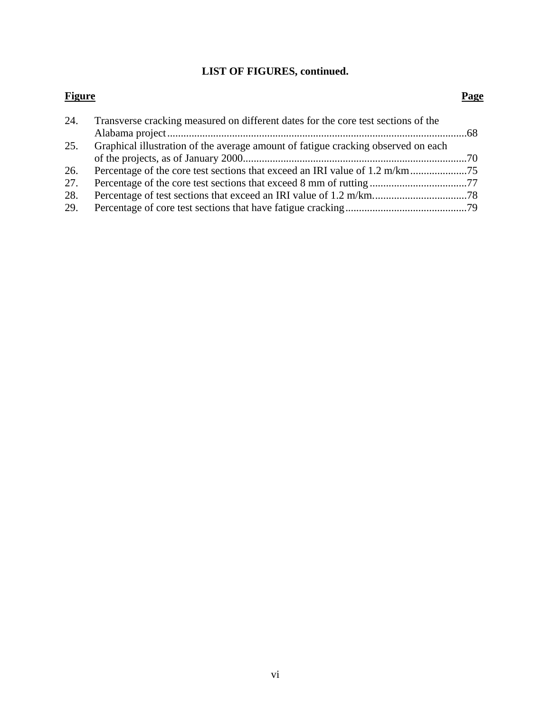# **LIST OF FIGURES, continued.**

#### **Figure Page**

| 24. | Transverse cracking measured on different dates for the core test sections of the |  |
|-----|-----------------------------------------------------------------------------------|--|
|     |                                                                                   |  |
| 25. | Graphical illustration of the average amount of fatigue cracking observed on each |  |
|     |                                                                                   |  |
| 26. |                                                                                   |  |
| 27. |                                                                                   |  |
| 28. |                                                                                   |  |
| 29. |                                                                                   |  |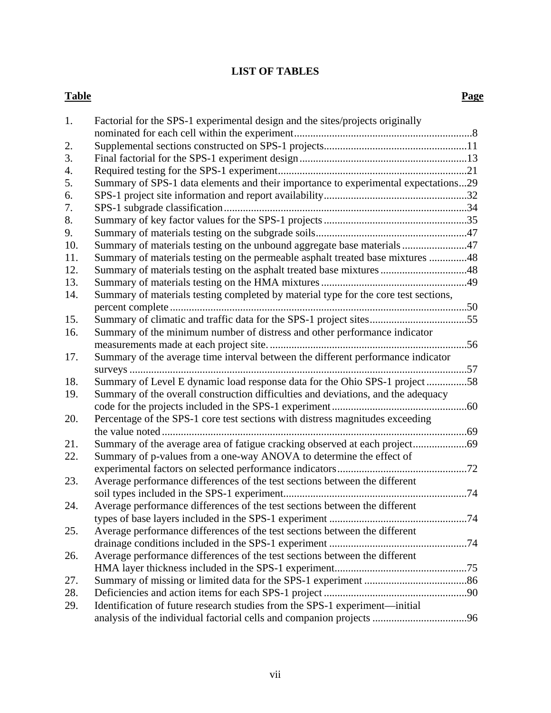## **LIST OF TABLES**

#### **Table** Page

| 1.  | Factorial for the SPS-1 experimental design and the sites/projects originally       |  |
|-----|-------------------------------------------------------------------------------------|--|
|     |                                                                                     |  |
| 2.  |                                                                                     |  |
| 3.  |                                                                                     |  |
| 4.  |                                                                                     |  |
| 5.  | Summary of SPS-1 data elements and their importance to experimental expectations29  |  |
| 6.  |                                                                                     |  |
| 7.  |                                                                                     |  |
| 8.  |                                                                                     |  |
| 9.  |                                                                                     |  |
| 10. | Summary of materials testing on the unbound aggregate base materials 47             |  |
| 11. | Summary of materials testing on the permeable asphalt treated base mixtures 48      |  |
| 12. | Summary of materials testing on the asphalt treated base mixtures 48                |  |
| 13. |                                                                                     |  |
| 14. | Summary of materials testing completed by material type for the core test sections, |  |
|     |                                                                                     |  |
| 15. |                                                                                     |  |
| 16. | Summary of the minimum number of distress and other performance indicator           |  |
|     |                                                                                     |  |
| 17. | Summary of the average time interval between the different performance indicator    |  |
|     |                                                                                     |  |
| 18. | Summary of Level E dynamic load response data for the Ohio SPS-1 project58          |  |
| 19. | Summary of the overall construction difficulties and deviations, and the adequacy   |  |
|     |                                                                                     |  |
| 20. | Percentage of the SPS-1 core test sections with distress magnitudes exceeding       |  |
|     |                                                                                     |  |
| 21. |                                                                                     |  |
| 22. | Summary of p-values from a one-way ANOVA to determine the effect of                 |  |
|     |                                                                                     |  |
| 23. | Average performance differences of the test sections between the different          |  |
|     |                                                                                     |  |
| 24. | Average performance differences of the test sections between the different          |  |
|     | types of base layers included in the SPS-1 experiment<br>74                         |  |
| 25. | Average performance differences of the test sections between the different          |  |
|     |                                                                                     |  |
| 26. | Average performance differences of the test sections between the different          |  |
|     |                                                                                     |  |
| 27. |                                                                                     |  |
| 28. |                                                                                     |  |
| 29. | Identification of future research studies from the SPS-1 experiment—initial         |  |
|     |                                                                                     |  |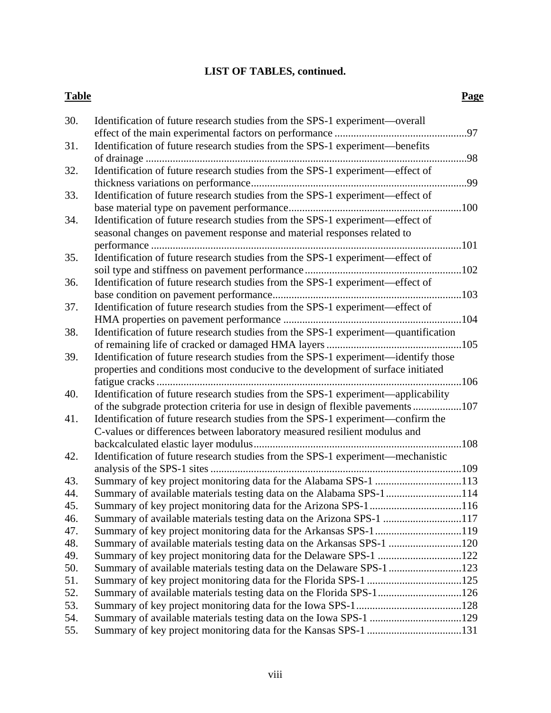# **LIST OF TABLES, continued.**

#### **Table** Page

| 30. | Identification of future research studies from the SPS-1 experiment—overall        |     |
|-----|------------------------------------------------------------------------------------|-----|
|     |                                                                                    |     |
| 31. | Identification of future research studies from the SPS-1 experiment—benefits       |     |
|     |                                                                                    |     |
| 32. | Identification of future research studies from the SPS-1 experiment-effect of      |     |
|     |                                                                                    |     |
| 33. | Identification of future research studies from the SPS-1 experiment-effect of      |     |
|     |                                                                                    |     |
| 34. | Identification of future research studies from the SPS-1 experiment—effect of      |     |
|     | seasonal changes on pavement response and material responses related to            |     |
|     |                                                                                    |     |
| 35. | Identification of future research studies from the SPS-1 experiment-effect of      |     |
|     |                                                                                    |     |
| 36. | Identification of future research studies from the SPS-1 experiment—effect of      |     |
|     |                                                                                    |     |
| 37. | Identification of future research studies from the SPS-1 experiment—effect of      |     |
|     |                                                                                    |     |
| 38. | Identification of future research studies from the SPS-1 experiment-quantification |     |
|     |                                                                                    |     |
| 39. | Identification of future research studies from the SPS-1 experiment—identify those |     |
|     | properties and conditions most conducive to the development of surface initiated   |     |
|     |                                                                                    | 106 |
| 40. | Identification of future research studies from the SPS-1 experiment—applicability  |     |
|     | of the subgrade protection criteria for use in design of flexible pavements107     |     |
| 41. | Identification of future research studies from the SPS-1 experiment—confirm the    |     |
|     | C-values or differences between laboratory measured resilient modulus and          |     |
|     |                                                                                    |     |
| 42. | Identification of future research studies from the SPS-1 experiment-mechanistic    |     |
|     |                                                                                    |     |
| 43. | Summary of key project monitoring data for the Alabama SPS-1 113                   |     |
| 44. | Summary of available materials testing data on the Alabama SPS-1 114               |     |
| 45. |                                                                                    |     |
| 46. | Summary of available materials testing data on the Arizona SPS-1 117               |     |
| 47. | Summary of key project monitoring data for the Arkansas SPS-1119                   |     |
| 48. | Summary of available materials testing data on the Arkansas SPS-1 120              |     |
| 49. | Summary of key project monitoring data for the Delaware SPS-1 122                  |     |
| 50. | Summary of available materials testing data on the Delaware SPS-1 123              |     |
| 51. |                                                                                    |     |
| 52. |                                                                                    |     |
| 53. |                                                                                    |     |
| 54. | Summary of available materials testing data on the Iowa SPS-1 129                  |     |
| 55. |                                                                                    |     |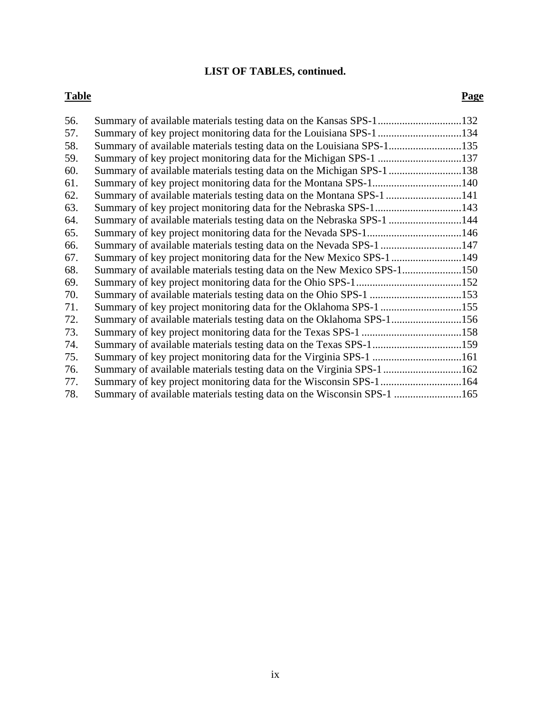# **LIST OF TABLES, continued.**

#### **Table** Page

| 56. |                                                                        |  |
|-----|------------------------------------------------------------------------|--|
| 57. |                                                                        |  |
| 58. | Summary of available materials testing data on the Louisiana SPS-1135  |  |
| 59. |                                                                        |  |
| 60. | Summary of available materials testing data on the Michigan SPS-1 138  |  |
| 61. |                                                                        |  |
| 62. | Summary of available materials testing data on the Montana SPS-1 141   |  |
| 63. |                                                                        |  |
| 64. | Summary of available materials testing data on the Nebraska SPS-1  144 |  |
| 65. |                                                                        |  |
| 66. | Summary of available materials testing data on the Nevada SPS-1 147    |  |
| 67. |                                                                        |  |
| 68. |                                                                        |  |
| 69. |                                                                        |  |
| 70. |                                                                        |  |
| 71. | Summary of key project monitoring data for the Oklahoma SPS-1 155      |  |
| 72. |                                                                        |  |
| 73. |                                                                        |  |
| 74. | Summary of available materials testing data on the Texas SPS-1159      |  |
| 75. |                                                                        |  |
| 76. | Summary of available materials testing data on the Virginia SPS-1 162  |  |
| 77. | Summary of key project monitoring data for the Wisconsin SPS-1 164     |  |
| 78. | Summary of available materials testing data on the Wisconsin SPS-1 165 |  |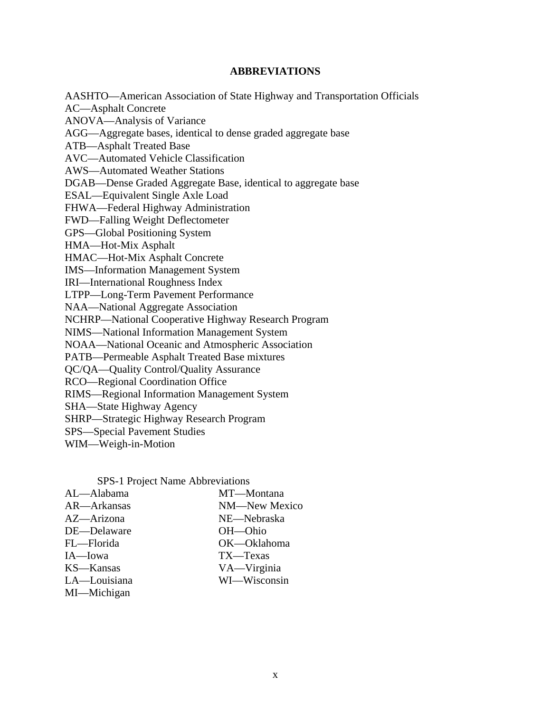#### **ABBREVIATIONS**

AASHTO—American Association of State Highway and Transportation Officials AC—Asphalt Concrete ANOVA—Analysis of Variance AGG—Aggregate bases, identical to dense graded aggregate base ATB—Asphalt Treated Base AVC—Automated Vehicle Classification AWS—Automated Weather Stations DGAB—Dense Graded Aggregate Base, identical to aggregate base ESAL—Equivalent Single Axle Load FHWA—Federal Highway Administration FWD—Falling Weight Deflectometer GPS—Global Positioning System HMA—Hot-Mix Asphalt HMAC—Hot-Mix Asphalt Concrete IMS—Information Management System IRI—International Roughness Index LTPP—Long-Term Pavement Performance NAA—National Aggregate Association NCHRP—National Cooperative Highway Research Program NIMS—National Information Management System NOAA—National Oceanic and Atmospheric Association PATB—Permeable Asphalt Treated Base mixtures QC/QA—Quality Control/Quality Assurance RCO—Regional Coordination Office RIMS—Regional Information Management System SHA—State Highway Agency SHRP—Strategic Highway Research Program SPS—Special Pavement Studies WIM—Weigh-in-Motion

|  | SPS-1 Project Name Abbreviations |
|--|----------------------------------|
|  |                                  |

| AL-Alabama   | MT-Montana    |
|--------------|---------------|
| AR—Arkansas  | NM-New Mexico |
| AZ—Arizona   | NE-Nebraska   |
| DE—Delaware  | OH-Ohio       |
| FL—Florida   | OK-Oklahoma   |
| IA-Iowa      | TX-Texas      |
| KS-Kansas    | VA—Virginia   |
| LA-Louisiana | WI-Wisconsin  |
| MI-Michigan  |               |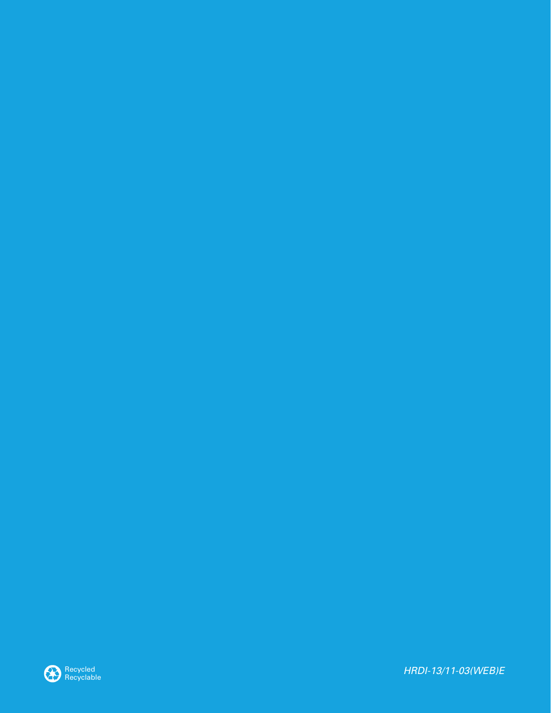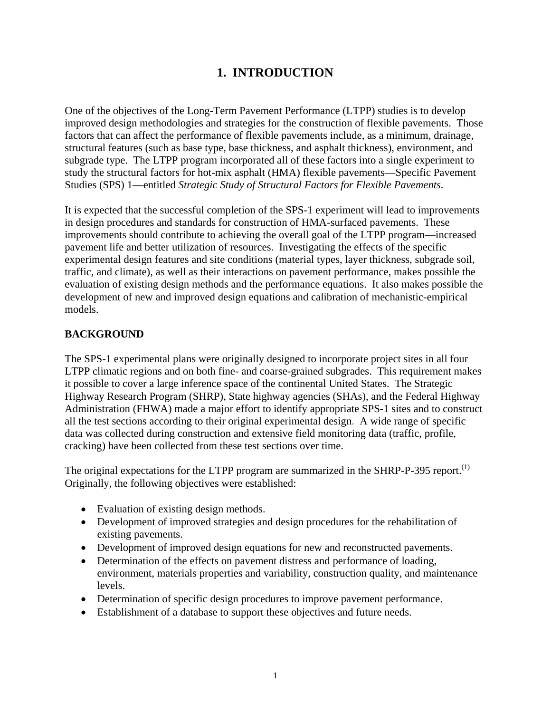# **1. INTRODUCTION**

One of the objectives of the Long-Term Pavement Performance (LTPP) studies is to develop improved design methodologies and strategies for the construction of flexible pavements. Those factors that can affect the performance of flexible pavements include, as a minimum, drainage, structural features (such as base type, base thickness, and asphalt thickness), environment, and subgrade type. The LTPP program incorporated all of these factors into a single experiment to study the structural factors for hot-mix asphalt (HMA) flexible pavements—Specific Pavement Studies (SPS) 1—entitled *Strategic Study of Structural Factors for Flexible Pavements*.

It is expected that the successful completion of the SPS-1 experiment will lead to improvements in design procedures and standards for construction of HMA-surfaced pavements. These improvements should contribute to achieving the overall goal of the LTPP program—increased pavement life and better utilization of resources. Investigating the effects of the specific experimental design features and site conditions (material types, layer thickness, subgrade soil, traffic, and climate), as well as their interactions on pavement performance, makes possible the evaluation of existing design methods and the performance equations. It also makes possible the development of new and improved design equations and calibration of mechanistic-empirical models.

## **BACKGROUND**

The SPS-1 experimental plans were originally designed to incorporate project sites in all four LTPP climatic regions and on both fine- and coarse-grained subgrades. This requirement makes it possible to cover a large inference space of the continental United States. The Strategic Highway Research Program (SHRP), State highway agencies (SHAs), and the Federal Highway Administration (FHWA) made a major effort to identify appropriate SPS-1 sites and to construct all the test sections according to their original experimental design. A wide range of specific data was collected during construction and extensive field monitoring data (traffic, profile, cracking) have been collected from these test sections over time.

The original expectations for the LTPP program are summarized in the SHRP-P-395 report.<sup>(1)</sup> Originally, the following objectives were established:

- Evaluation of existing design methods.
- Development of improved strategies and design procedures for the rehabilitation of existing pavements.
- Development of improved design equations for new and reconstructed pavements.
- Determination of the effects on pavement distress and performance of loading, environment, materials properties and variability, construction quality, and maintenance levels.
- Determination of specific design procedures to improve pavement performance.
- Establishment of a database to support these objectives and future needs.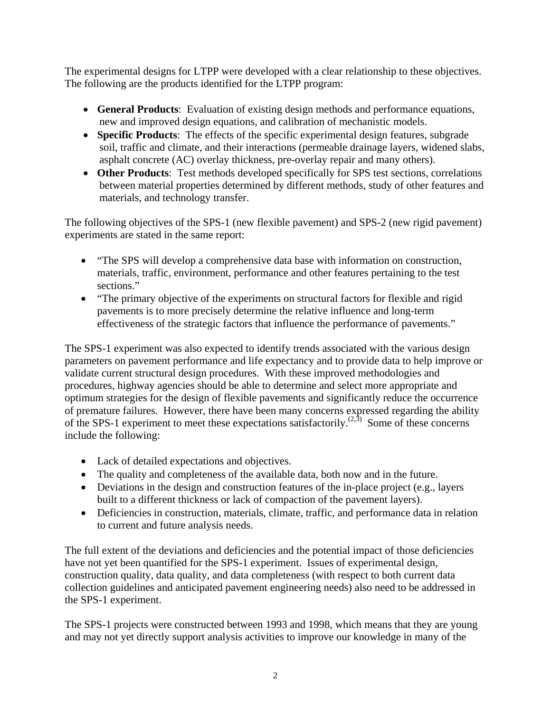The experimental designs for LTPP were developed with a clear relationship to these objectives. The following are the products identified for the LTPP program:

- **General Products**: Evaluation of existing design methods and performance equations, new and improved design equations, and calibration of mechanistic models.
- **Specific Products**: The effects of the specific experimental design features, subgrade soil, traffic and climate, and their interactions (permeable drainage layers, widened slabs, asphalt concrete (AC) overlay thickness, pre-overlay repair and many others).
- **Other Products**: Test methods developed specifically for SPS test sections, correlations between material properties determined by different methods, study of other features and materials, and technology transfer.

The following objectives of the SPS-1 (new flexible pavement) and SPS-2 (new rigid pavement) experiments are stated in the same report:

- "The SPS will develop a comprehensive data base with information on construction, materials, traffic, environment, performance and other features pertaining to the test sections."
- "The primary objective of the experiments on structural factors for flexible and rigid pavements is to more precisely determine the relative influence and long-term effectiveness of the strategic factors that influence the performance of pavements."

The SPS-1 experiment was also expected to identify trends associated with the various design parameters on pavement performance and life expectancy and to provide data to help improve or validate current structural design procedures. With these improved methodologies and procedures, highway agencies should be able to determine and select more appropriate and optimum strategies for the design of flexible pavements and significantly reduce the occurrence of premature failures. However, there have been many concerns expressed regarding the ability of the SPS-1 experiment to meet these expectations satisfactorily.<sup> $(2,3)$ </sup> Some of these concerns include the following:

- Lack of detailed expectations and objectives.
- The quality and completeness of the available data, both now and in the future.
- Deviations in the design and construction features of the in-place project (e.g., layers built to a different thickness or lack of compaction of the pavement layers).
- Deficiencies in construction, materials, climate, traffic, and performance data in relation to current and future analysis needs.

The full extent of the deviations and deficiencies and the potential impact of those deficiencies have not yet been quantified for the SPS-1 experiment. Issues of experimental design, construction quality, data quality, and data completeness (with respect to both current data collection guidelines and anticipated pavement engineering needs) also need to be addressed in the SPS-1 experiment.

The SPS-1 projects were constructed between 1993 and 1998, which means that they are young and may not yet directly support analysis activities to improve our knowledge in many of the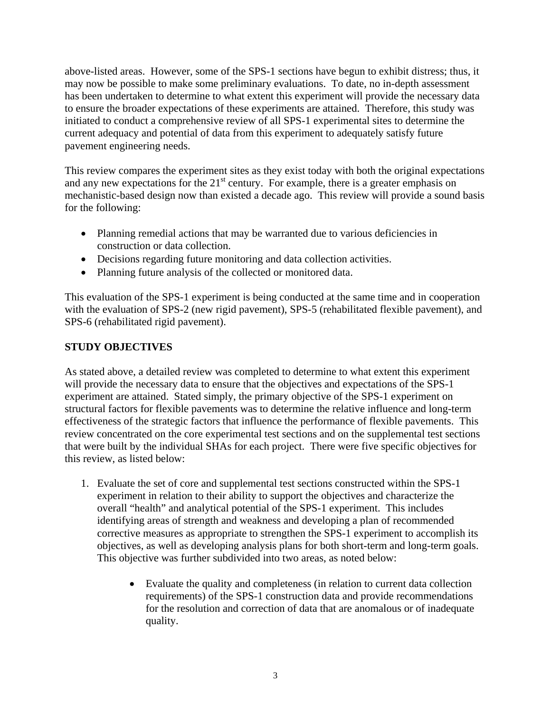above-listed areas. However, some of the SPS-1 sections have begun to exhibit distress; thus, it may now be possible to make some preliminary evaluations. To date, no in-depth assessment has been undertaken to determine to what extent this experiment will provide the necessary data to ensure the broader expectations of these experiments are attained. Therefore, this study was initiated to conduct a comprehensive review of all SPS-1 experimental sites to determine the current adequacy and potential of data from this experiment to adequately satisfy future pavement engineering needs.

This review compares the experiment sites as they exist today with both the original expectations and any new expectations for the  $21<sup>st</sup>$  century. For example, there is a greater emphasis on mechanistic-based design now than existed a decade ago. This review will provide a sound basis for the following:

- Planning remedial actions that may be warranted due to various deficiencies in construction or data collection.
- Decisions regarding future monitoring and data collection activities.
- Planning future analysis of the collected or monitored data.

This evaluation of the SPS-1 experiment is being conducted at the same time and in cooperation with the evaluation of SPS-2 (new rigid pavement), SPS-5 (rehabilitated flexible pavement), and SPS-6 (rehabilitated rigid pavement).

## **STUDY OBJECTIVES**

As stated above, a detailed review was completed to determine to what extent this experiment will provide the necessary data to ensure that the objectives and expectations of the SPS-1 experiment are attained. Stated simply, the primary objective of the SPS-1 experiment on structural factors for flexible pavements was to determine the relative influence and long-term effectiveness of the strategic factors that influence the performance of flexible pavements. This review concentrated on the core experimental test sections and on the supplemental test sections that were built by the individual SHAs for each project. There were five specific objectives for this review, as listed below:

- 1. Evaluate the set of core and supplemental test sections constructed within the SPS-1 experiment in relation to their ability to support the objectives and characterize the overall "health" and analytical potential of the SPS-1 experiment. This includes identifying areas of strength and weakness and developing a plan of recommended corrective measures as appropriate to strengthen the SPS-1 experiment to accomplish its objectives, as well as developing analysis plans for both short-term and long-term goals. This objective was further subdivided into two areas, as noted below:
	- Evaluate the quality and completeness (in relation to current data collection requirements) of the SPS-1 construction data and provide recommendations for the resolution and correction of data that are anomalous or of inadequate quality.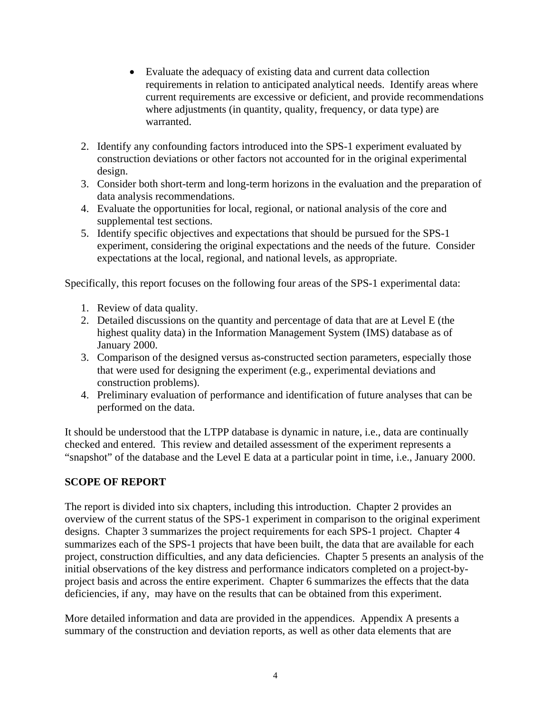- Evaluate the adequacy of existing data and current data collection requirements in relation to anticipated analytical needs. Identify areas where current requirements are excessive or deficient, and provide recommendations where adjustments (in quantity, quality, frequency, or data type) are warranted.
- 2. Identify any confounding factors introduced into the SPS-1 experiment evaluated by construction deviations or other factors not accounted for in the original experimental design.
- 3. Consider both short-term and long-term horizons in the evaluation and the preparation of data analysis recommendations.
- 4. Evaluate the opportunities for local, regional, or national analysis of the core and supplemental test sections.
- 5. Identify specific objectives and expectations that should be pursued for the SPS-1 experiment, considering the original expectations and the needs of the future. Consider expectations at the local, regional, and national levels, as appropriate.

Specifically, this report focuses on the following four areas of the SPS-1 experimental data:

- 1. Review of data quality.
- 2. Detailed discussions on the quantity and percentage of data that are at Level E (the highest quality data) in the Information Management System (IMS) database as of January 2000.
- 3. Comparison of the designed versus as-constructed section parameters, especially those that were used for designing the experiment (e.g., experimental deviations and construction problems).
- 4. Preliminary evaluation of performance and identification of future analyses that can be performed on the data.

It should be understood that the LTPP database is dynamic in nature, i.e., data are continually checked and entered. This review and detailed assessment of the experiment represents a "snapshot" of the database and the Level E data at a particular point in time, i.e., January 2000.

#### **SCOPE OF REPORT**

The report is divided into six chapters, including this introduction. Chapter 2 provides an overview of the current status of the SPS-1 experiment in comparison to the original experiment designs. Chapter 3 summarizes the project requirements for each SPS-1 project. Chapter 4 summarizes each of the SPS-1 projects that have been built, the data that are available for each project, construction difficulties, and any data deficiencies. Chapter 5 presents an analysis of the initial observations of the key distress and performance indicators completed on a project-byproject basis and across the entire experiment. Chapter 6 summarizes the effects that the data deficiencies, if any, may have on the results that can be obtained from this experiment.

More detailed information and data are provided in the appendices. Appendix A presents a summary of the construction and deviation reports, as well as other data elements that are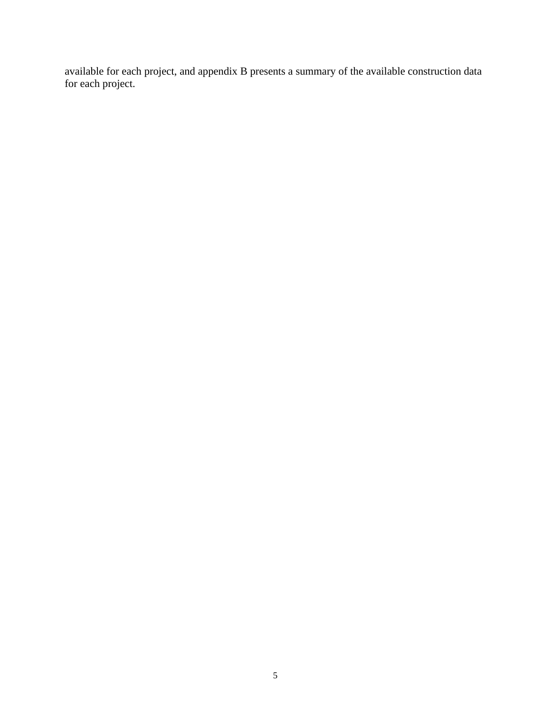available for each project, and appendix B presents a summary of the available construction data for each project.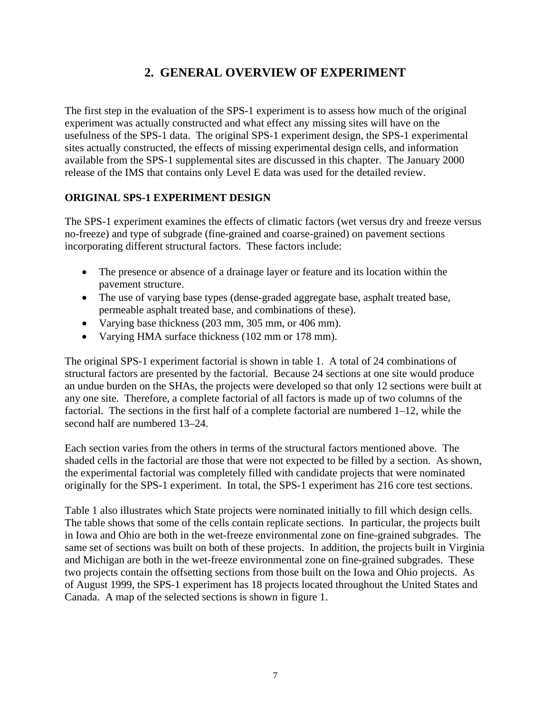# **2. GENERAL OVERVIEW OF EXPERIMENT**

The first step in the evaluation of the SPS-1 experiment is to assess how much of the original experiment was actually constructed and what effect any missing sites will have on the usefulness of the SPS-1 data. The original SPS-1 experiment design, the SPS-1 experimental sites actually constructed, the effects of missing experimental design cells, and information available from the SPS-1 supplemental sites are discussed in this chapter. The January 2000 release of the IMS that contains only Level E data was used for the detailed review.

## **ORIGINAL SPS-1 EXPERIMENT DESIGN**

The SPS-1 experiment examines the effects of climatic factors (wet versus dry and freeze versus no-freeze) and type of subgrade (fine-grained and coarse-grained) on pavement sections incorporating different structural factors. These factors include:

- The presence or absence of a drainage layer or feature and its location within the pavement structure.
- The use of varying base types (dense-graded aggregate base, asphalt treated base, permeable asphalt treated base, and combinations of these).
- Varying base thickness (203 mm, 305 mm, or 406 mm).
- Varying HMA surface thickness (102 mm or 178 mm).

The original SPS-1 experiment factorial is shown in table 1. A total of 24 combinations of structural factors are presented by the factorial. Because 24 sections at one site would produce an undue burden on the SHAs, the projects were developed so that only 12 sections were built at any one site. Therefore, a complete factorial of all factors is made up of two columns of the factorial. The sections in the first half of a complete factorial are numbered 1–12, while the second half are numbered 13–24.

Each section varies from the others in terms of the structural factors mentioned above. The shaded cells in the factorial are those that were not expected to be filled by a section. As shown, the experimental factorial was completely filled with candidate projects that were nominated originally for the SPS-1 experiment. In total, the SPS-1 experiment has 216 core test sections.

Table 1 also illustrates which State projects were nominated initially to fill which design cells. The table shows that some of the cells contain replicate sections. In particular, the projects built in Iowa and Ohio are both in the wet-freeze environmental zone on fine-grained subgrades. The same set of sections was built on both of these projects. In addition, the projects built in Virginia and Michigan are both in the wet-freeze environmental zone on fine-grained subgrades. These two projects contain the offsetting sections from those built on the Iowa and Ohio projects. As of August 1999, the SPS-1 experiment has 18 projects located throughout the United States and Canada. A map of the selected sections is shown in figure 1.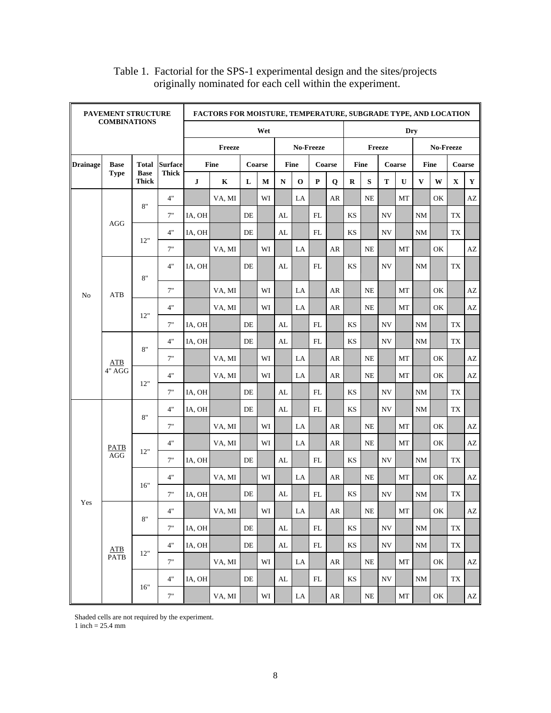| PAVEMENT STRUCTURE<br><b>COMBINATIONS</b> |                         | <b>FACTORS FOR MOISTURE, TEMPERATURE, SUBGRADE TYPE, AND LOCATION</b> |                |           |                     |           |        |               |             |            |             |                        |           |            |             |              |               |             |                        |
|-------------------------------------------|-------------------------|-----------------------------------------------------------------------|----------------|-----------|---------------------|-----------|--------|---------------|-------------|------------|-------------|------------------------|-----------|------------|-------------|--------------|---------------|-------------|------------------------|
|                                           |                         |                                                                       |                |           |                     |           | Wet    |               |             |            |             |                        |           |            | Dry         |              |               |             |                        |
|                                           |                         |                                                                       |                |           | No-Freeze<br>Freeze |           |        |               |             |            | Freeze      |                        | No-Freeze |            |             |              |               |             |                        |
| <b>Drainage</b>                           | <b>Base</b>             | Total                                                                 | <b>Surface</b> |           | <b>Fine</b>         |           | Coarse |               | Fine        |            | Coarse      |                        | Fine      |            | Coarse      |              | <b>Fine</b>   |             |                        |
|                                           | <b>Type</b>             | <b>Base</b><br><b>Thick</b>                                           | <b>Thick</b>   | ${\bf J}$ | K                   | L         | M      | ${\bf N}$     | $\mathbf 0$ | ${\bf P}$  | $\mathbf Q$ | ${\bf R}$              | S         | T          | $\mathbf U$ | $\mathbf{V}$ | W             | $\mathbf X$ | Y                      |
|                                           |                         | 8"                                                                    | 4"             |           | VA, MI              |           | WI     |               | LA          |            | AR          |                        | <b>NE</b> |            | MT          |              | OK            |             | AZ                     |
|                                           | <b>AGG</b>              |                                                                       | 7"             | IA, OH    |                     | DE        |        | AL            |             | FL         |             | KS                     |           | <b>NV</b>  |             | NM           |               | TX          |                        |
|                                           |                         | 12"                                                                   | 4"             | IA, OH    |                     | DE        |        | AL            |             | FL         |             | KS                     |           | <b>NV</b>  |             | NM           |               | TX          |                        |
|                                           |                         |                                                                       | 7"             |           | VA, MI              |           | WI     |               | LA          |            | AR          |                        | <b>NE</b> |            | MT          |              | OK            |             | AZ                     |
|                                           |                         | 8"                                                                    | 4"             | IA, OH    |                     | $\rm DE$  |        | AL            |             | FL         |             | KS                     |           | <b>NV</b>  |             | NM           |               | TX          |                        |
| No                                        | <b>ATB</b>              |                                                                       | 7"             |           | VA, MI              |           | WI     |               | LA          |            | AR          |                        | NE        |            | MT          |              | OK            |             | AZ                     |
|                                           |                         | 12"                                                                   | 4"             |           | VA, MI              |           | WI     |               | LA          |            | AR          |                        | NE        |            | МT          |              | OK            |             | $\mathbf{A}\mathbf{Z}$ |
|                                           |                         |                                                                       | 7"             | IA, OH    |                     | DE        |        | AL            |             | FL         |             | KS                     |           | <b>NV</b>  |             | NM           |               | <b>TX</b>   |                        |
|                                           |                         | 8"                                                                    | 4"             | IA, OH    |                     | $\rm{DE}$ |        | AL            |             | FL         |             | <b>KS</b>              |           | <b>NV</b>  |             | NM           |               | TX          |                        |
|                                           | ATB                     |                                                                       | 7"             |           | VA, MI              |           | WI     |               | LA          |            | AR          |                        | <b>NE</b> |            | MT          |              | OK<br>OK      | AZ          |                        |
|                                           | 4" AGG                  | 12"                                                                   | 4"             |           | VA, MI              |           | WI     |               | LA          |            | AR          |                        | <b>NE</b> |            | MT          |              |               |             | $\mathbf{A}\mathbf{Z}$ |
|                                           |                         |                                                                       | 7"             | IA, OH    |                     | DE        |        | AL            |             | FL         |             | KS                     |           | NV         |             | NM           |               | TX          | Coarse                 |
|                                           |                         | 8"                                                                    | 4"             | IA, OH    |                     | DE        |        | AL            |             | FL         |             | KS                     |           | NV         |             | NM           |               | <b>TX</b>   |                        |
|                                           |                         |                                                                       | 7"             |           | VA, MI              |           | WI     |               | LA          |            | AR          |                        | NE        |            | MT          |              | OK            |             | AZ                     |
|                                           | <b>PATB</b>             | 12"                                                                   | 4"             |           | VA, MI              |           | WI     |               | LA          |            | AR          |                        | <b>NE</b> |            | MT          |              | OK            |             | $\mathbf{A}\mathbf{Z}$ |
|                                           | $\rm{AGG}$              |                                                                       | 7"             | IA, OH    |                     | $\rm{DE}$ |        | AL            |             | FL         |             | KS                     |           | <b>NV</b>  |             | NM           |               | TX          |                        |
|                                           |                         | 16"                                                                   | 4"             |           | VA, MI              |           | WI     |               | LA          |            | AR          |                        | <b>NE</b> |            | MT          |              | OK            |             | $\mathbf{A}\mathbf{Z}$ |
| Yes                                       |                         |                                                                       | 7"             | IA, OH    |                     | DE        |        | AL            |             | FL         |             | KS                     |           | NV         |             | NM           |               | <b>TX</b>   |                        |
|                                           |                         | 8"                                                                    | 4"             |           | VA, MI              |           | WI     |               | LA          |            | AR          |                        | NE        |            | МT          |              | OK            |             | AZ                     |
|                                           |                         |                                                                       | 7"             | IA, OH    |                     | $\rm{DE}$ |        | $\mathbf{AL}$ |             | ${\rm FL}$ |             | $\mathop{\mathrm{KS}}$ |           | ${\rm NV}$ |             | $\rm{NM}$    |               | TX          |                        |
|                                           | ${\bf A}{\bf T}{\bf B}$ | 12"                                                                   | 4"             | IA, OH    |                     | DE        |        | AL            |             | FL         |             | $\mathbf{K}\mathbf{S}$ |           | <b>NV</b>  |             | NM           |               | TX          |                        |
|                                           | <b>PATB</b>             |                                                                       | 7"             |           | VA, MI              |           | WI     |               | LA          |            | AR          |                        | $\rm NE$  |            | MT          |              | OK            |             | $\mathbf{A}\mathbf{Z}$ |
|                                           |                         | 16"                                                                   | 4"             | IA, OH    |                     | $\rm{DE}$ |        | AL            |             | ${\rm FL}$ |             | $\mathop{\mathrm{KS}}$ |           | ${\rm NV}$ |             | $\rm{NM}$    |               | ${\rm TX}$  |                        |
|                                           |                         |                                                                       | $7"$           |           | VA, MI              |           | WI     |               | LA          |            | AR          |                        | $\rm NE$  |            | $\rm{MT}$   |              | $\mathrm{OK}$ |             | $\mathbf{A}\mathbf{Z}$ |

#### Table 1. Factorial for the SPS-1 experimental design and the sites/projects originally nominated for each cell within the experiment.

Shaded cells are not required by the experiment.

 $1$  inch = 25.4 mm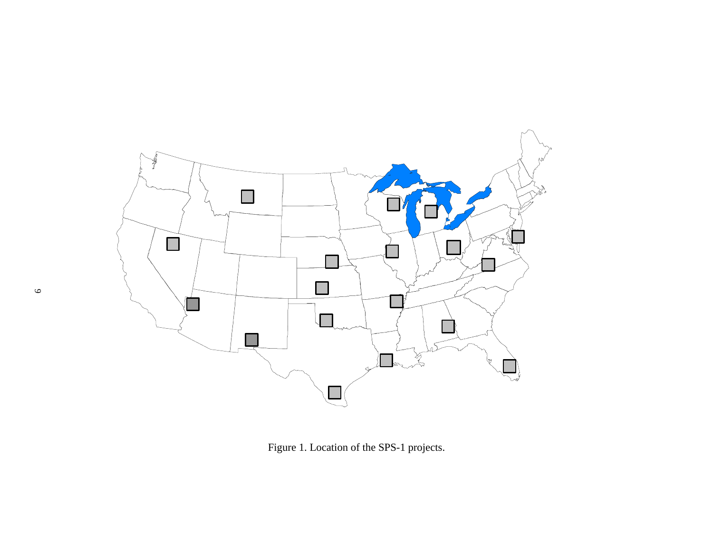

Figure 1. Location of the SPS-1 projects.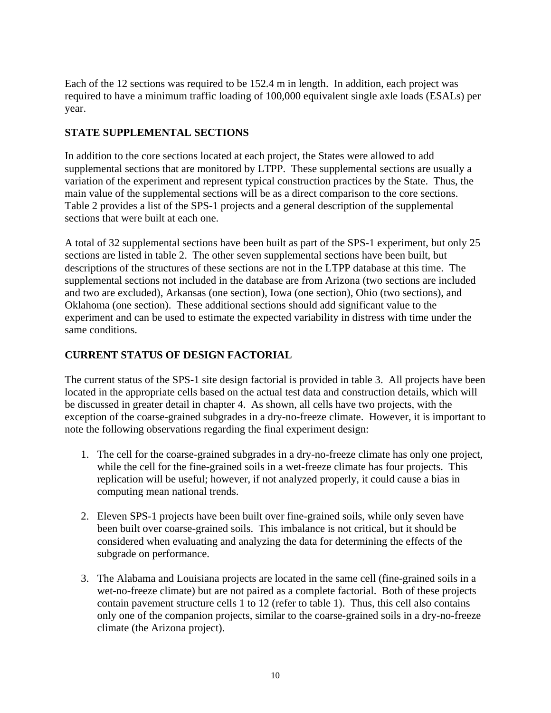Each of the 12 sections was required to be 152.4 m in length. In addition, each project was required to have a minimum traffic loading of 100,000 equivalent single axle loads (ESALs) per year.

## **STATE SUPPLEMENTAL SECTIONS**

In addition to the core sections located at each project, the States were allowed to add supplemental sections that are monitored by LTPP. These supplemental sections are usually a variation of the experiment and represent typical construction practices by the State. Thus, the main value of the supplemental sections will be as a direct comparison to the core sections. Table 2 provides a list of the SPS-1 projects and a general description of the supplemental sections that were built at each one.

A total of 32 supplemental sections have been built as part of the SPS-1 experiment, but only 25 sections are listed in table 2. The other seven supplemental sections have been built, but descriptions of the structures of these sections are not in the LTPP database at this time. The supplemental sections not included in the database are from Arizona (two sections are included and two are excluded), Arkansas (one section), Iowa (one section), Ohio (two sections), and Oklahoma (one section). These additional sections should add significant value to the experiment and can be used to estimate the expected variability in distress with time under the same conditions.

## **CURRENT STATUS OF DESIGN FACTORIAL**

The current status of the SPS-1 site design factorial is provided in table 3. All projects have been located in the appropriate cells based on the actual test data and construction details, which will be discussed in greater detail in chapter 4. As shown, all cells have two projects, with the exception of the coarse-grained subgrades in a dry-no-freeze climate. However, it is important to note the following observations regarding the final experiment design:

- 1. The cell for the coarse-grained subgrades in a dry-no-freeze climate has only one project, while the cell for the fine-grained soils in a wet-freeze climate has four projects. This replication will be useful; however, if not analyzed properly, it could cause a bias in computing mean national trends.
- 2. Eleven SPS-1 projects have been built over fine-grained soils, while only seven have been built over coarse-grained soils. This imbalance is not critical, but it should be considered when evaluating and analyzing the data for determining the effects of the subgrade on performance.
- 3. The Alabama and Louisiana projects are located in the same cell (fine-grained soils in a wet-no-freeze climate) but are not paired as a complete factorial. Both of these projects contain pavement structure cells 1 to 12 (refer to table 1). Thus, this cell also contains only one of the companion projects, similar to the coarse-grained soils in a dry-no-freeze climate (the Arizona project).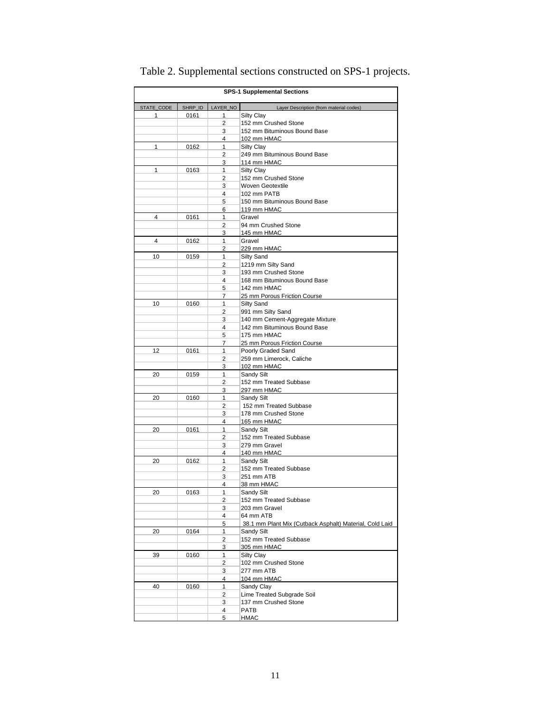| <b>SPS-1 Supplemental Sections</b> |         |              |                                                                      |  |  |  |
|------------------------------------|---------|--------------|----------------------------------------------------------------------|--|--|--|
| STATE_CODE                         | SHRP_ID | LAYER_NO     | Layer Description (from material codes)                              |  |  |  |
| 1                                  | 0161    | 1            | <b>Silty Clay</b>                                                    |  |  |  |
|                                    |         | 2            | 152 mm Crushed Stone                                                 |  |  |  |
|                                    |         | 3            | 152 mm Bituminous Bound Base                                         |  |  |  |
| 1                                  | 0162    | 4<br>1       | 102 mm HMAC<br>Silty Clav                                            |  |  |  |
|                                    |         | 2            | 249 mm Bituminous Bound Base                                         |  |  |  |
|                                    |         | 3            | 114 mm HMAC                                                          |  |  |  |
| $\mathbf{1}$                       | 0163    | 1            | Silty Clay                                                           |  |  |  |
|                                    |         | 2            | 152 mm Crushed Stone                                                 |  |  |  |
|                                    |         | 3            | Woven Geotextile                                                     |  |  |  |
|                                    |         | 4            | 102 mm PATB                                                          |  |  |  |
|                                    |         | 5            | 150 mm Bituminous Bound Base                                         |  |  |  |
|                                    |         | 6            | 119 mm HMAC                                                          |  |  |  |
| 4                                  | 0161    | 1            | Gravel                                                               |  |  |  |
|                                    |         | 2            | 94 mm Crushed Stone                                                  |  |  |  |
| 4                                  | 0162    | 3<br>1       | 145 mm HMAC<br>Gravel                                                |  |  |  |
|                                    |         | 2            | 229 mm HMAC                                                          |  |  |  |
| 10                                 | 0159    | 1            | Silty Sand                                                           |  |  |  |
|                                    |         | 2            | 1219 mm Silty Sand                                                   |  |  |  |
|                                    |         | 3            | 193 mm Crushed Stone                                                 |  |  |  |
|                                    |         | 4            | 168 mm Bituminous Bound Base                                         |  |  |  |
|                                    |         | 5            | 142 mm HMAC                                                          |  |  |  |
|                                    |         | 7            | 25 mm Porous Friction Course                                         |  |  |  |
| 10                                 | 0160    | 1            | Silty Sand                                                           |  |  |  |
|                                    |         | 2            | 991 mm Silty Sand                                                    |  |  |  |
|                                    |         | 3            | 140 mm Cement-Aggregate Mixture                                      |  |  |  |
|                                    |         | 4            | 142 mm Bituminous Bound Base                                         |  |  |  |
|                                    |         | 5<br>7       | 175 mm HMAC<br>25 mm Porous Friction Course                          |  |  |  |
| 12                                 | 0161    | 1            | Poorly Graded Sand                                                   |  |  |  |
|                                    |         | 2            | 259 mm Limerock, Caliche                                             |  |  |  |
|                                    |         | 3            | 102 mm HMAC                                                          |  |  |  |
| 20                                 | 0159    | 1            | Sandy Silt                                                           |  |  |  |
|                                    |         | 2            | 152 mm Treated Subbase                                               |  |  |  |
|                                    |         | 3            | 297 mm HMAC                                                          |  |  |  |
| 20                                 | 0160    | 1            | Sandy Silt                                                           |  |  |  |
|                                    |         | 2            | 152 mm Treated Subbase                                               |  |  |  |
|                                    |         | 3            | 178 mm Crushed Stone                                                 |  |  |  |
| 20                                 | 0161    | 4<br>1       | 165 mm HMAC<br>Sandy Silt                                            |  |  |  |
|                                    |         | 2            | 152 mm Treated Subbase                                               |  |  |  |
|                                    |         | 3            | 279 mm Gravel                                                        |  |  |  |
|                                    |         | 4            | 140 mm HMAC                                                          |  |  |  |
| 20                                 | 0162    | 1            | Sandy Silt                                                           |  |  |  |
|                                    |         | 2            | 152 mm Treated Subbase                                               |  |  |  |
|                                    |         | 3            | 251 mm ATB                                                           |  |  |  |
|                                    |         | 4            | 38 mm HMAC                                                           |  |  |  |
| 20                                 | 0163    | $\mathbf{1}$ | Sandy Silt                                                           |  |  |  |
|                                    |         | 2            | 152 mm Treated Subbase                                               |  |  |  |
|                                    |         | 3            | 203 mm Gravel                                                        |  |  |  |
|                                    |         | 4<br>5       | 64 mm ATB<br>38.1 mm Plant Mix (Cutback Asphalt) Material, Cold Laid |  |  |  |
| 20                                 | 0164    | 1            | Sandy Silt                                                           |  |  |  |
|                                    |         | 2            | 152 mm Treated Subbase                                               |  |  |  |
|                                    |         | 3            | 305 mm HMAC                                                          |  |  |  |
| 39                                 | 0160    | 1            | Silty Clay                                                           |  |  |  |
|                                    |         | 2            | 102 mm Crushed Stone                                                 |  |  |  |
|                                    |         | 3            | 277 mm ATB                                                           |  |  |  |
|                                    |         | 4            | 104 mm HMAC                                                          |  |  |  |
| 40                                 | 0160    | 1            | Sandy Clay                                                           |  |  |  |
|                                    |         | 2            | Lime Treated Subgrade Soil                                           |  |  |  |
|                                    |         | 3            | 137 mm Crushed Stone                                                 |  |  |  |
|                                    |         | 4            | <b>PATB</b>                                                          |  |  |  |
|                                    |         | 5            | HMAC                                                                 |  |  |  |

# Table 2. Supplemental sections constructed on SPS-1 projects.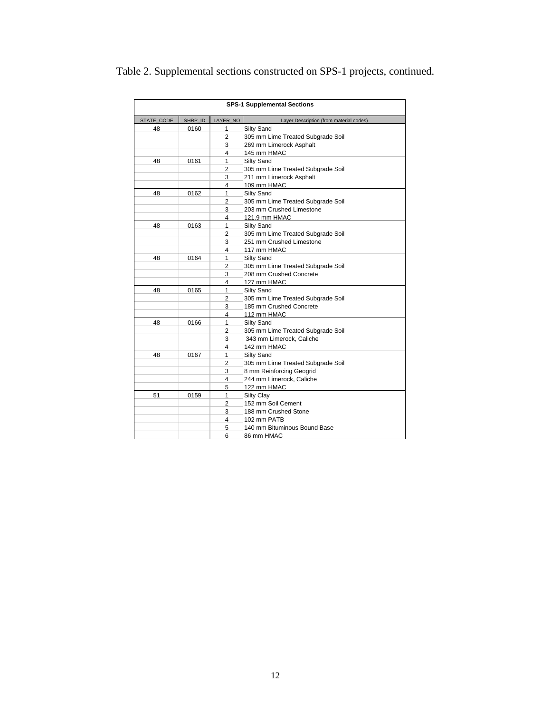| <b>SPS-1 Supplemental Sections</b> |         |                         |                                         |  |  |  |
|------------------------------------|---------|-------------------------|-----------------------------------------|--|--|--|
| STATE CODE                         | SHRP ID | LAYER NO                | Layer Description (from material codes) |  |  |  |
| 48                                 | 0160    | 1                       | Silty Sand                              |  |  |  |
|                                    |         | 2                       | 305 mm Lime Treated Subgrade Soil       |  |  |  |
|                                    |         | 3                       | 269 mm Limerock Asphalt                 |  |  |  |
|                                    |         | 4                       | 145 mm HMAC                             |  |  |  |
| 48                                 | 0161    | 1                       | Silty Sand                              |  |  |  |
|                                    |         | 2                       | 305 mm Lime Treated Subgrade Soil       |  |  |  |
|                                    |         | 3                       | 211 mm Limerock Asphalt                 |  |  |  |
|                                    |         | 4                       | 109 mm HMAC                             |  |  |  |
| 48                                 | 0162    | 1                       | Silty Sand                              |  |  |  |
|                                    |         | 2                       | 305 mm Lime Treated Subgrade Soil       |  |  |  |
|                                    |         | 3                       | 203 mm Crushed Limestone                |  |  |  |
|                                    |         | 4                       | 121.9 mm HMAC                           |  |  |  |
| 48                                 | 0163    | 1                       | Silty Sand                              |  |  |  |
|                                    |         | 2                       | 305 mm Lime Treated Subgrade Soil       |  |  |  |
|                                    |         | 3                       | 251 mm Crushed Limestone                |  |  |  |
|                                    |         | $\overline{\mathbf{4}}$ | 117 mm HMAC                             |  |  |  |
| 48                                 | 0164    | 1                       | Silty Sand                              |  |  |  |
|                                    |         | 2                       | 305 mm Lime Treated Subgrade Soil       |  |  |  |
|                                    |         | 3                       | 208 mm Crushed Concrete                 |  |  |  |
|                                    |         | 4                       | 127 mm HMAC                             |  |  |  |
| 48                                 | 0165    | 1                       | Silty Sand                              |  |  |  |
|                                    |         | 2                       | 305 mm Lime Treated Subgrade Soil       |  |  |  |
|                                    |         | 3                       | 185 mm Crushed Concrete                 |  |  |  |
|                                    |         | 4                       | 112 mm HMAC                             |  |  |  |
| 48                                 | 0166    | 1                       | Silty Sand                              |  |  |  |
|                                    |         | 2                       | 305 mm Lime Treated Subgrade Soil       |  |  |  |
|                                    |         | 3                       | 343 mm Limerock, Caliche                |  |  |  |
|                                    |         | 4                       | 142 mm HMAC                             |  |  |  |
| 48                                 | 0167    | 1                       | Silty Sand                              |  |  |  |
|                                    |         | $\overline{2}$          | 305 mm Lime Treated Subgrade Soil       |  |  |  |
|                                    |         | 3                       | 8 mm Reinforcing Geogrid                |  |  |  |
|                                    |         | 4                       | 244 mm Limerock, Caliche                |  |  |  |
|                                    |         | 5                       | 122 mm HMAC                             |  |  |  |
| 51                                 | 0159    | 1                       | Silty Clay                              |  |  |  |
|                                    |         | $\overline{2}$          | 152 mm Soil Cement                      |  |  |  |
|                                    |         | 3                       | 188 mm Crushed Stone                    |  |  |  |
|                                    |         | 4                       | 102 mm PATB                             |  |  |  |
|                                    |         | 5                       | 140 mm Bituminous Bound Base            |  |  |  |
|                                    |         | 6                       | 86 mm HMAC                              |  |  |  |

# Table 2. Supplemental sections constructed on SPS-1 projects, continued.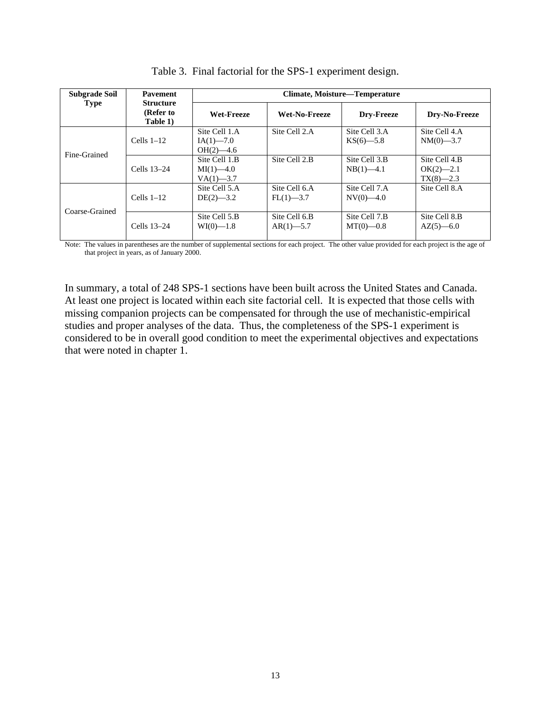| <b>Subgrade Soil</b> | <b>Pavement</b>                           | Climate, Moisture—Temperature                  |                               |                               |                                                |  |
|----------------------|-------------------------------------------|------------------------------------------------|-------------------------------|-------------------------------|------------------------------------------------|--|
| <b>Type</b>          | <b>Structure</b><br>(Refer to<br>Table 1) | <b>Wet-Freeze</b>                              | Wet-No-Freeze                 | Drv-Freeze                    | Dry-No-Freeze                                  |  |
|                      | Cells $1-12$                              | Site Cell 1.A<br>$IA(1)$ —7.0<br>$OH(2) - 4.6$ | Site Cell 2.A                 | Site Cell 3.A<br>$KS(6)$ —5.8 | Site Cell 4.A<br>$NM(0)$ —3.7                  |  |
| Fine-Grained         | Cells 13-24                               | Site Cell 1.B<br>$MI(1)$ —4.0<br>$VA(1)$ —3.7  | Site Cell 2.B                 | Site Cell 3.B<br>$NB(1)$ —4.1 | Site Cell 4.B<br>$OK(2) - 2.1$<br>$TX(8)$ —2.3 |  |
| Coarse-Grained       | Cells $1-12$                              | Site Cell 5.A<br>$DE(2)$ —3.2                  | Site Cell 6.A<br>$FL(1)$ —3.7 | Site Cell 7.A<br>$NV(0)$ —4.0 | Site Cell 8.A                                  |  |
|                      | Cells 13-24                               | Site Cell 5.B<br>$WI(0)$ —1.8                  | Site Cell 6.B<br>$AR(1)$ —5.7 | Site Cell 7.B<br>$MT(0)$ —0.8 | Site Cell 8.B<br>$AZ(5)$ —6.0                  |  |

Table 3. Final factorial for the SPS-1 experiment design.

Note: The values in parentheses are the number of supplemental sections for each project. The other value provided for each project is the age of that project in years, as of January 2000.

In summary, a total of 248 SPS-1 sections have been built across the United States and Canada. At least one project is located within each site factorial cell. It is expected that those cells with missing companion projects can be compensated for through the use of mechanistic-empirical studies and proper analyses of the data. Thus, the completeness of the SPS-1 experiment is considered to be in overall good condition to meet the experimental objectives and expectations that were noted in chapter 1.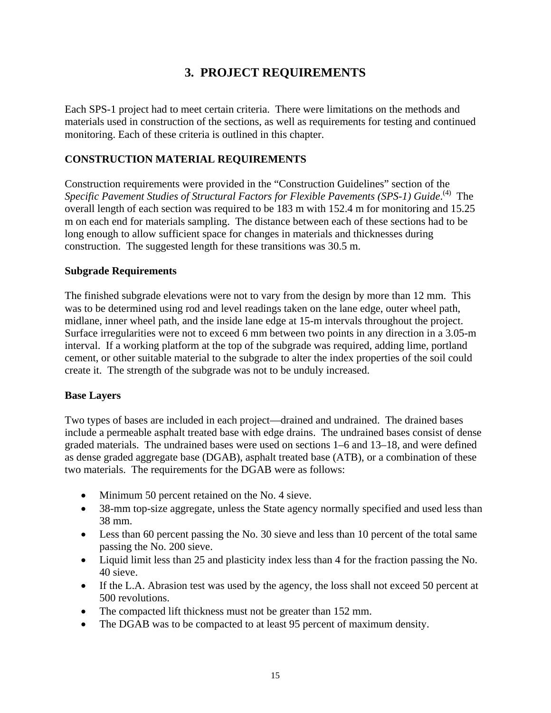# **3. PROJECT REQUIREMENTS**

Each SPS-1 project had to meet certain criteria. There were limitations on the methods and materials used in construction of the sections, as well as requirements for testing and continued monitoring. Each of these criteria is outlined in this chapter.

#### **CONSTRUCTION MATERIAL REQUIREMENTS**

Construction requirements were provided in the "Construction Guidelines" section of the Specific Pavement Studies of Structural Factors for Flexible Pavements (SPS-1) Guide.<sup>(4)</sup> The overall length of each section was required to be 183 m with 152.4 m for monitoring and 15.25 m on each end for materials sampling. The distance between each of these sections had to be long enough to allow sufficient space for changes in materials and thicknesses during construction. The suggested length for these transitions was 30.5 m.

#### **Subgrade Requirements**

The finished subgrade elevations were not to vary from the design by more than 12 mm. This was to be determined using rod and level readings taken on the lane edge, outer wheel path, midlane, inner wheel path, and the inside lane edge at 15-m intervals throughout the project. Surface irregularities were not to exceed 6 mm between two points in any direction in a 3.05-m interval. If a working platform at the top of the subgrade was required, adding lime, portland cement, or other suitable material to the subgrade to alter the index properties of the soil could create it. The strength of the subgrade was not to be unduly increased.

#### **Base Layers**

Two types of bases are included in each project—drained and undrained. The drained bases include a permeable asphalt treated base with edge drains. The undrained bases consist of dense graded materials. The undrained bases were used on sections 1–6 and 13–18, and were defined as dense graded aggregate base (DGAB), asphalt treated base (ATB), or a combination of these two materials. The requirements for the DGAB were as follows:

- Minimum 50 percent retained on the No. 4 sieve.
- 38-mm top-size aggregate, unless the State agency normally specified and used less than 38 mm.
- Less than 60 percent passing the No. 30 sieve and less than 10 percent of the total same passing the No. 200 sieve.
- Liquid limit less than 25 and plasticity index less than 4 for the fraction passing the No. 40 sieve.
- If the L.A. Abrasion test was used by the agency, the loss shall not exceed 50 percent at 500 revolutions.
- The compacted lift thickness must not be greater than 152 mm.
- The DGAB was to be compacted to at least 95 percent of maximum density.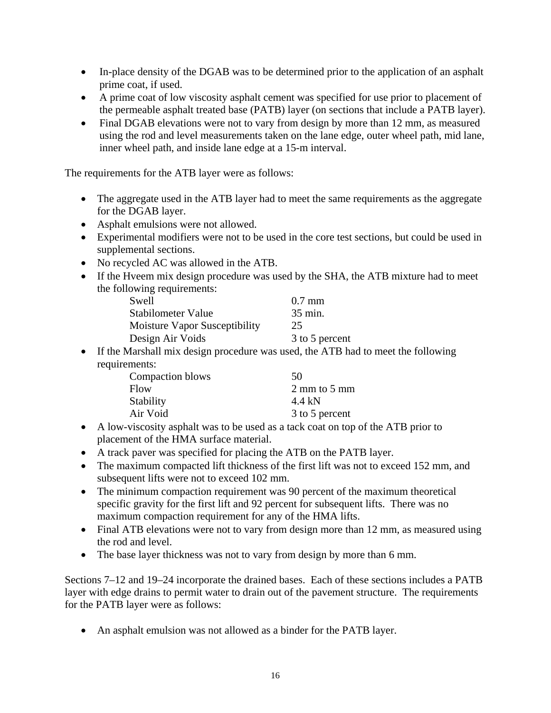- In-place density of the DGAB was to be determined prior to the application of an asphalt prime coat, if used.
- A prime coat of low viscosity asphalt cement was specified for use prior to placement of the permeable asphalt treated base (PATB) layer (on sections that include a PATB layer).
- Final DGAB elevations were not to vary from design by more than 12 mm, as measured using the rod and level measurements taken on the lane edge, outer wheel path, mid lane, inner wheel path, and inside lane edge at a 15-m interval.

The requirements for the ATB layer were as follows:

- The aggregate used in the ATB layer had to meet the same requirements as the aggregate for the DGAB layer.
- Asphalt emulsions were not allowed.
- Experimental modifiers were not to be used in the core test sections, but could be used in supplemental sections.
- No recycled AC was allowed in the ATB.
- If the Hveem mix design procedure was used by the SHA, the ATB mixture had to meet the following requirements:

| Swell                                | $0.7$ mm       |
|--------------------------------------|----------------|
| <b>Stabilometer Value</b>            | 35 min.        |
| <b>Moisture Vapor Susceptibility</b> | 25             |
| Design Air Voids                     | 3 to 5 percent |

• If the Marshall mix design procedure was used, the ATB had to meet the following requirements:

| Compaction blows | 50             |
|------------------|----------------|
| <b>Flow</b>      | 2 mm to 5 mm   |
| Stability        | 4.4 kN         |
| Air Void         | 3 to 5 percent |

- A low-viscosity asphalt was to be used as a tack coat on top of the ATB prior to placement of the HMA surface material.
- A track paver was specified for placing the ATB on the PATB layer.
- The maximum compacted lift thickness of the first lift was not to exceed 152 mm, and subsequent lifts were not to exceed 102 mm.
- The minimum compaction requirement was 90 percent of the maximum theoretical specific gravity for the first lift and 92 percent for subsequent lifts. There was no maximum compaction requirement for any of the HMA lifts.
- Final ATB elevations were not to vary from design more than 12 mm, as measured using the rod and level.
- The base layer thickness was not to vary from design by more than 6 mm.

Sections 7–12 and 19–24 incorporate the drained bases. Each of these sections includes a PATB layer with edge drains to permit water to drain out of the pavement structure. The requirements for the PATB layer were as follows:

• An asphalt emulsion was not allowed as a binder for the PATB layer.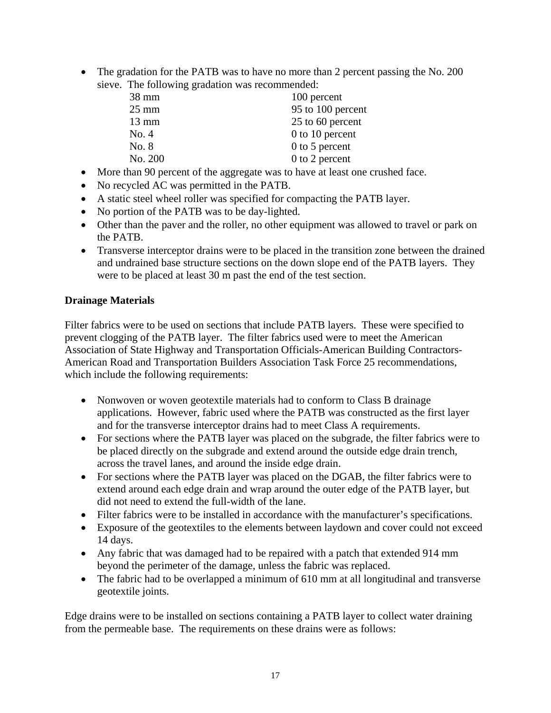• The gradation for the PATB was to have no more than 2 percent passing the No. 200 sieve. The following gradation was recommended:

| $38 \text{ mm}$ | 100 percent       |
|-----------------|-------------------|
| $25 \text{ mm}$ | 95 to 100 percent |
| $13 \text{ mm}$ | 25 to 60 percent  |
| No. 4           | $0$ to 10 percent |
| No. 8           | $0$ to 5 percent  |
| No. 200         | $0$ to 2 percent  |

- More than 90 percent of the aggregate was to have at least one crushed face.
- No recycled AC was permitted in the PATB.
- A static steel wheel roller was specified for compacting the PATB layer.
- No portion of the PATB was to be day-lighted.
- Other than the paver and the roller, no other equipment was allowed to travel or park on the PATB.
- Transverse interceptor drains were to be placed in the transition zone between the drained and undrained base structure sections on the down slope end of the PATB layers. They were to be placed at least 30 m past the end of the test section.

#### **Drainage Materials**

Filter fabrics were to be used on sections that include PATB layers. These were specified to prevent clogging of the PATB layer. The filter fabrics used were to meet the American Association of State Highway and Transportation Officials-American Building Contractors-American Road and Transportation Builders Association Task Force 25 recommendations, which include the following requirements:

- Nonwoven or woven geotextile materials had to conform to Class B drainage applications. However, fabric used where the PATB was constructed as the first layer and for the transverse interceptor drains had to meet Class A requirements.
- For sections where the PATB layer was placed on the subgrade, the filter fabrics were to be placed directly on the subgrade and extend around the outside edge drain trench, across the travel lanes, and around the inside edge drain.
- For sections where the PATB layer was placed on the DGAB, the filter fabrics were to extend around each edge drain and wrap around the outer edge of the PATB layer, but did not need to extend the full-width of the lane.
- Filter fabrics were to be installed in accordance with the manufacturer's specifications.
- Exposure of the geotextiles to the elements between laydown and cover could not exceed 14 days.
- Any fabric that was damaged had to be repaired with a patch that extended 914 mm beyond the perimeter of the damage, unless the fabric was replaced.
- The fabric had to be overlapped a minimum of 610 mm at all longitudinal and transverse geotextile joints.

Edge drains were to be installed on sections containing a PATB layer to collect water draining from the permeable base. The requirements on these drains were as follows: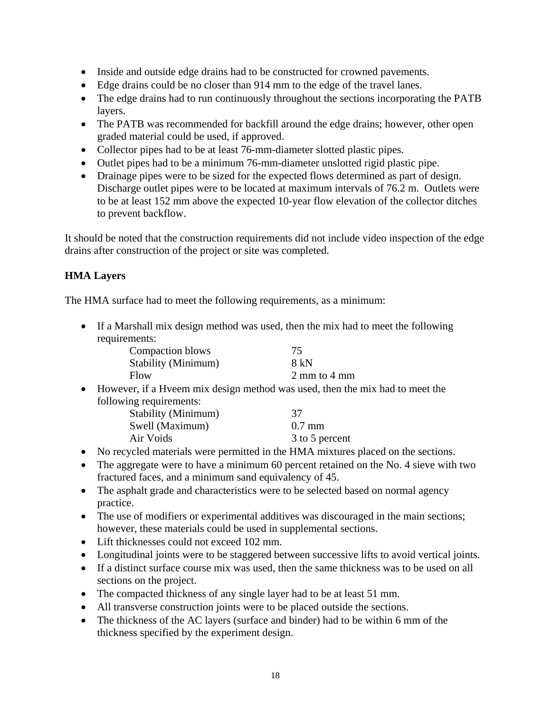- Inside and outside edge drains had to be constructed for crowned pavements.
- Edge drains could be no closer than 914 mm to the edge of the travel lanes.
- The edge drains had to run continuously throughout the sections incorporating the PATB layers.
- The PATB was recommended for backfill around the edge drains; however, other open graded material could be used, if approved.
- Collector pipes had to be at least 76-mm-diameter slotted plastic pipes.
- Outlet pipes had to be a minimum 76-mm-diameter unslotted rigid plastic pipe.
- Drainage pipes were to be sized for the expected flows determined as part of design. Discharge outlet pipes were to be located at maximum intervals of 76.2 m. Outlets were to be at least 152 mm above the expected 10-year flow elevation of the collector ditches to prevent backflow.

It should be noted that the construction requirements did not include video inspection of the edge drains after construction of the project or site was completed.

## **HMA Layers**

The HMA surface had to meet the following requirements, as a minimum:

• If a Marshall mix design method was used, then the mix had to meet the following requirements:

| Compaction blows              | 75                                                                             |
|-------------------------------|--------------------------------------------------------------------------------|
| Stability (Minimum)           | 8 kN                                                                           |
| Flow                          | $2 \text{ mm}$ to $4 \text{ mm}$                                               |
|                               | • However, if a Hyeem mix design method was used, then the mix had to meet the |
| following requirements:       |                                                                                |
| $Q_{L_2}$ kilitar (Materian ) | $\sigma$                                                                       |

| Stability (Minimum) | 37             |
|---------------------|----------------|
| Swell (Maximum)     | $0.7$ mm       |
| Air Voids           | 3 to 5 percent |

- No recycled materials were permitted in the HMA mixtures placed on the sections.
- The aggregate were to have a minimum 60 percent retained on the No. 4 sieve with two fractured faces, and a minimum sand equivalency of 45.
- The asphalt grade and characteristics were to be selected based on normal agency practice.
- The use of modifiers or experimental additives was discouraged in the main sections; however, these materials could be used in supplemental sections.
- Lift thicknesses could not exceed 102 mm.
- Longitudinal joints were to be staggered between successive lifts to avoid vertical joints.
- If a distinct surface course mix was used, then the same thickness was to be used on all sections on the project.
- The compacted thickness of any single layer had to be at least 51 mm.
- All transverse construction joints were to be placed outside the sections.
- The thickness of the AC layers (surface and binder) had to be within 6 mm of the thickness specified by the experiment design.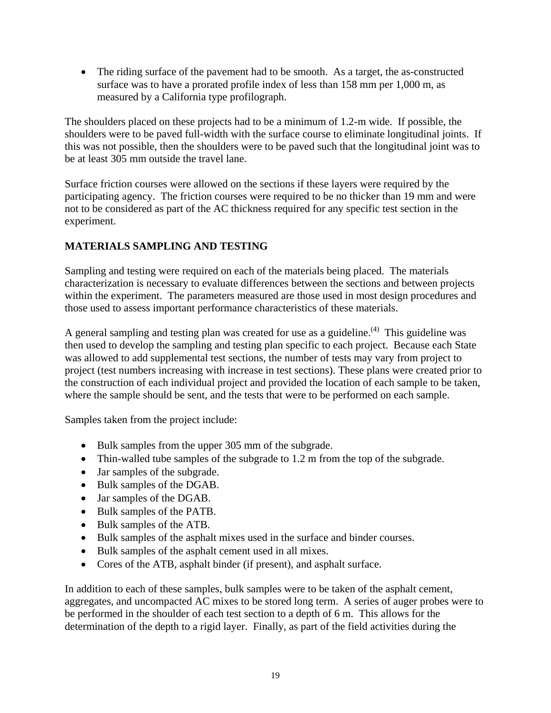• The riding surface of the pavement had to be smooth. As a target, the as-constructed surface was to have a prorated profile index of less than 158 mm per 1,000 m, as measured by a California type profilograph.

The shoulders placed on these projects had to be a minimum of 1.2-m wide. If possible, the shoulders were to be paved full-width with the surface course to eliminate longitudinal joints. If this was not possible, then the shoulders were to be paved such that the longitudinal joint was to be at least 305 mm outside the travel lane.

Surface friction courses were allowed on the sections if these layers were required by the participating agency. The friction courses were required to be no thicker than 19 mm and were not to be considered as part of the AC thickness required for any specific test section in the experiment.

## **MATERIALS SAMPLING AND TESTING**

Sampling and testing were required on each of the materials being placed. The materials characterization is necessary to evaluate differences between the sections and between projects within the experiment. The parameters measured are those used in most design procedures and those used to assess important performance characteristics of these materials.

A general sampling and testing plan was created for use as a guideline.<sup>(4)</sup> This guideline was then used to develop the sampling and testing plan specific to each project. Because each State was allowed to add supplemental test sections, the number of tests may vary from project to project (test numbers increasing with increase in test sections). These plans were created prior to the construction of each individual project and provided the location of each sample to be taken, where the sample should be sent, and the tests that were to be performed on each sample.

Samples taken from the project include:

- Bulk samples from the upper 305 mm of the subgrade.
- Thin-walled tube samples of the subgrade to 1.2 m from the top of the subgrade.
- Jar samples of the subgrade.
- Bulk samples of the DGAB.
- Jar samples of the DGAB.
- Bulk samples of the PATB.
- Bulk samples of the ATB.
- Bulk samples of the asphalt mixes used in the surface and binder courses.
- Bulk samples of the asphalt cement used in all mixes.
- Cores of the ATB, asphalt binder (if present), and asphalt surface.

In addition to each of these samples, bulk samples were to be taken of the asphalt cement, aggregates, and uncompacted AC mixes to be stored long term. A series of auger probes were to be performed in the shoulder of each test section to a depth of 6 m. This allows for the determination of the depth to a rigid layer. Finally, as part of the field activities during the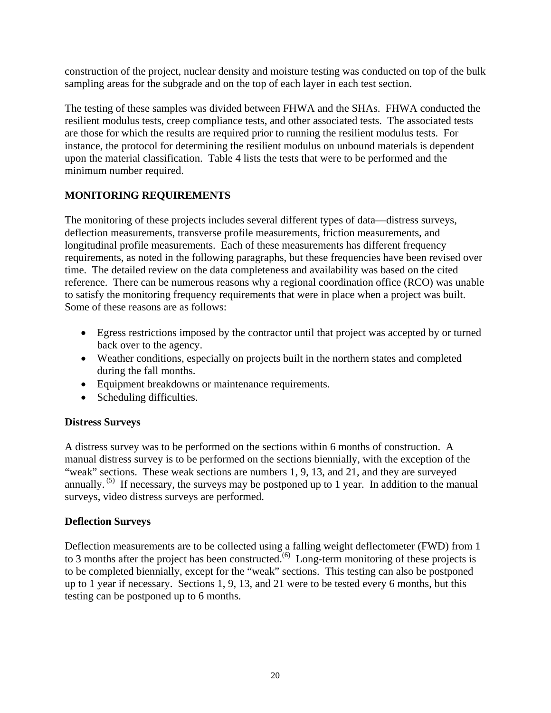construction of the project, nuclear density and moisture testing was conducted on top of the bulk sampling areas for the subgrade and on the top of each layer in each test section.

The testing of these samples was divided between FHWA and the SHAs. FHWA conducted the resilient modulus tests, creep compliance tests, and other associated tests. The associated tests are those for which the results are required prior to running the resilient modulus tests. For instance, the protocol for determining the resilient modulus on unbound materials is dependent upon the material classification. Table 4 lists the tests that were to be performed and the minimum number required.

## **MONITORING REQUIREMENTS**

The monitoring of these projects includes several different types of data—distress surveys, deflection measurements, transverse profile measurements, friction measurements, and longitudinal profile measurements. Each of these measurements has different frequency requirements, as noted in the following paragraphs, but these frequencies have been revised over time. The detailed review on the data completeness and availability was based on the cited reference. There can be numerous reasons why a regional coordination office (RCO) was unable to satisfy the monitoring frequency requirements that were in place when a project was built. Some of these reasons are as follows:

- Egress restrictions imposed by the contractor until that project was accepted by or turned back over to the agency.
- Weather conditions, especially on projects built in the northern states and completed during the fall months.
- Equipment breakdowns or maintenance requirements.
- Scheduling difficulties.

#### **Distress Surveys**

A distress survey was to be performed on the sections within 6 months of construction. A manual distress survey is to be performed on the sections biennially, with the exception of the "weak" sections. These weak sections are numbers 1, 9, 13, and 21, and they are surveyed annually.  $^{(5)}$  If necessary, the surveys may be postponed up to 1 year. In addition to the manual surveys, video distress surveys are performed.

#### **Deflection Surveys**

Deflection measurements are to be collected using a falling weight deflectometer (FWD) from 1 to 3 months after the project has been constructed.<sup> $(6)$ </sup> Long-term monitoring of these projects is to be completed biennially, except for the "weak" sections. This testing can also be postponed up to 1 year if necessary. Sections 1, 9, 13, and 21 were to be tested every 6 months, but this testing can be postponed up to 6 months.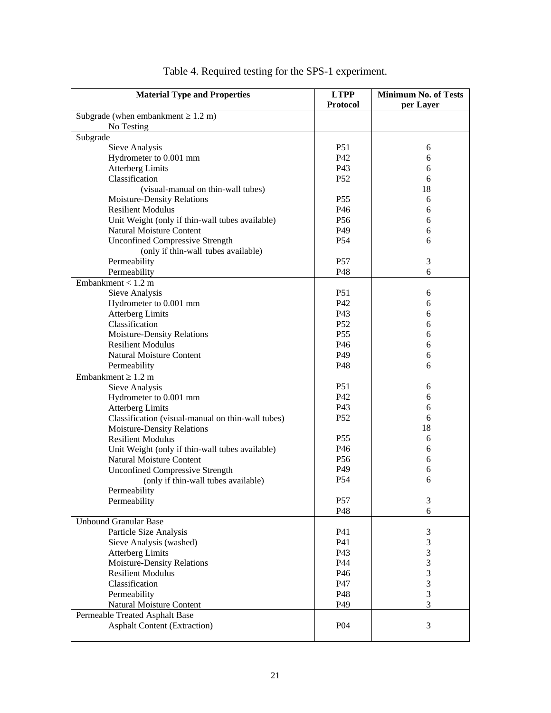| <b>Material Type and Properties</b>               | <b>LTPP</b><br><b>Protocol</b> | <b>Minimum No. of Tests</b><br>per Layer |
|---------------------------------------------------|--------------------------------|------------------------------------------|
| Subgrade (when embankment $\geq 1.2$ m)           |                                |                                          |
| No Testing                                        |                                |                                          |
| Subgrade                                          |                                |                                          |
| Sieve Analysis                                    | P <sub>51</sub>                | 6                                        |
| Hydrometer to 0.001 mm                            | P42                            | 6                                        |
| <b>Atterberg Limits</b>                           | P43                            | 6                                        |
| Classification                                    | P52                            | 6                                        |
| (visual-manual on thin-wall tubes)                |                                | 18                                       |
| <b>Moisture-Density Relations</b>                 | P <sub>55</sub>                | 6                                        |
| <b>Resilient Modulus</b>                          | P46                            | 6                                        |
| Unit Weight (only if thin-wall tubes available)   | P <sub>56</sub>                | 6                                        |
| <b>Natural Moisture Content</b>                   | P49                            | 6                                        |
| <b>Unconfined Compressive Strength</b>            | P <sub>54</sub>                | 6                                        |
| (only if thin-wall tubes available)               |                                |                                          |
| Permeability                                      | P57                            | 3                                        |
| Permeability                                      | P48                            | 6                                        |
| Embankment < $1.2 m$                              |                                |                                          |
| Sieve Analysis                                    | P <sub>51</sub>                | 6                                        |
| Hydrometer to 0.001 mm                            | P42                            | 6                                        |
| <b>Atterberg Limits</b>                           | P43                            | 6                                        |
| Classification                                    | P52                            | 6                                        |
| <b>Moisture-Density Relations</b>                 | P <sub>55</sub>                | 6                                        |
| <b>Resilient Modulus</b>                          | P46                            | 6                                        |
| <b>Natural Moisture Content</b>                   | P49                            | 6                                        |
| Permeability                                      | P48                            | 6                                        |
| Embankment $\geq 1.2$ m                           |                                |                                          |
| Sieve Analysis                                    | P51                            | 6                                        |
| Hydrometer to 0.001 mm                            | P42                            | 6                                        |
| <b>Atterberg Limits</b>                           | P43                            | 6                                        |
| Classification (visual-manual on thin-wall tubes) | P52                            | 6                                        |
| Moisture-Density Relations                        |                                | 18                                       |
| <b>Resilient Modulus</b>                          | <b>P55</b>                     | 6                                        |
| Unit Weight (only if thin-wall tubes available)   | P46                            | 6                                        |
| Natural Moisture Content                          | P <sub>56</sub>                | 6                                        |
| <b>Unconfined Compressive Strength</b>            | P49                            | 6                                        |
| (only if thin-wall tubes available)               | P <sub>54</sub>                | 6                                        |
| Permeability                                      |                                |                                          |
| Permeability                                      | P57                            | 3                                        |
|                                                   | P48                            | 6                                        |
| <b>Unbound Granular Base</b>                      |                                |                                          |
| Particle Size Analysis                            | P41                            | 3                                        |
| Sieve Analysis (washed)                           | P41                            | 3                                        |
| <b>Atterberg Limits</b>                           | P43                            | 3                                        |
| Moisture-Density Relations                        | P44                            | 3                                        |
| <b>Resilient Modulus</b>                          | P46                            | 3                                        |
| Classification                                    | P47                            | 3                                        |
| Permeability                                      | P48                            | 3                                        |
| Natural Moisture Content                          | P49                            | 3                                        |
| Permeable Treated Asphalt Base                    |                                |                                          |
| <b>Asphalt Content (Extraction)</b>               | P04                            | 3                                        |
|                                                   |                                |                                          |

|  |  |  | Table 4. Required testing for the SPS-1 experiment. |  |
|--|--|--|-----------------------------------------------------|--|
|  |  |  |                                                     |  |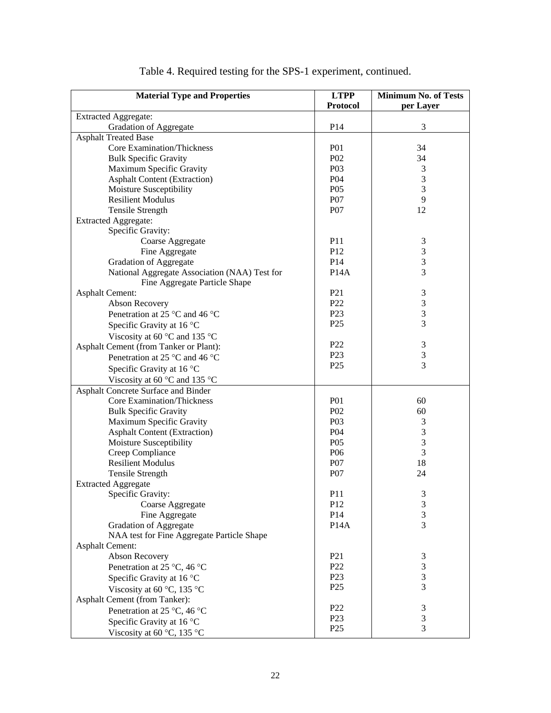| <b>Material Type and Properties</b>           | <b>LTPP</b>       | <b>Minimum No. of Tests</b> |
|-----------------------------------------------|-------------------|-----------------------------|
|                                               | <b>Protocol</b>   | per Layer                   |
| <b>Extracted Aggregate:</b>                   |                   |                             |
| <b>Gradation of Aggregate</b>                 | P14               | 3                           |
| <b>Asphalt Treated Base</b>                   |                   |                             |
| Core Examination/Thickness                    | <b>P01</b>        | 34                          |
| <b>Bulk Specific Gravity</b>                  | P <sub>02</sub>   | 34                          |
| Maximum Specific Gravity                      | P03               | 3                           |
| <b>Asphalt Content (Extraction)</b>           | P <sub>04</sub>   | $\mathfrak{Z}$              |
| Moisture Susceptibility                       | P <sub>05</sub>   | $\mathfrak{Z}$              |
| <b>Resilient Modulus</b>                      | P07               | $\overline{9}$              |
| <b>Tensile Strength</b>                       | P07               | 12                          |
| <b>Extracted Aggregate:</b>                   |                   |                             |
| Specific Gravity:                             |                   |                             |
| Coarse Aggregate                              | P11               | $\mathfrak{Z}$              |
| Fine Aggregate                                | P12               | $\sqrt{3}$                  |
| <b>Gradation of Aggregate</b>                 | P14               | $\mathfrak{Z}$              |
| National Aggregate Association (NAA) Test for | <b>P14A</b>       | 3                           |
| Fine Aggregate Particle Shape                 |                   |                             |
| <b>Asphalt Cement:</b>                        | P <sub>21</sub>   | $\mathfrak{Z}$              |
| Abson Recovery                                | P <sub>22</sub>   | $\sqrt{3}$                  |
| Penetration at 25 °C and 46 °C                | P <sub>23</sub>   | 3                           |
| Specific Gravity at 16 °C                     | P <sub>25</sub>   | 3                           |
| Viscosity at 60 °C and 135 °C                 |                   |                             |
| Asphalt Cement (from Tanker or Plant):        | P <sub>22</sub>   | $\mathfrak{Z}$              |
| Penetration at 25 °C and 46 °C                | P <sub>23</sub>   | $\mathfrak{Z}$              |
| Specific Gravity at 16 °C                     | P <sub>25</sub>   | 3                           |
| Viscosity at 60 °C and 135 °C                 |                   |                             |
| Asphalt Concrete Surface and Binder           |                   |                             |
| Core Examination/Thickness                    | <b>P01</b>        | 60                          |
| <b>Bulk Specific Gravity</b>                  | P <sub>02</sub>   | 60                          |
| Maximum Specific Gravity                      | P03               | $\mathfrak{Z}$              |
| <b>Asphalt Content (Extraction)</b>           | <b>P04</b>        | 3                           |
| Moisture Susceptibility                       | P <sub>05</sub>   | $\mathfrak{Z}$              |
| Creep Compliance                              | P <sub>06</sub>   | 3                           |
| <b>Resilient Modulus</b>                      | P07               | 18                          |
| <b>Tensile Strength</b>                       | P07               | 24                          |
| <b>Extracted Aggregate</b>                    |                   |                             |
| Specific Gravity:                             | P11               | $\ensuremath{\mathfrak{Z}}$ |
| Coarse Aggregate                              | P <sub>12</sub>   | 3                           |
| Fine Aggregate                                | P <sub>14</sub>   | $\mathfrak 3$               |
| <b>Gradation of Aggregate</b>                 | P <sub>14</sub> A | 3                           |
| NAA test for Fine Aggregate Particle Shape    |                   |                             |
| <b>Asphalt Cement:</b>                        |                   |                             |
| Abson Recovery                                | P <sub>21</sub>   | 3                           |
| Penetration at 25 °C, 46 °C                   | P <sub>22</sub>   | $\mathfrak{Z}$              |
| Specific Gravity at 16 °C                     | P <sub>23</sub>   | $\mathfrak{Z}$              |
| Viscosity at 60 °C, 135 °C                    | P <sub>25</sub>   | 3                           |
| Asphalt Cement (from Tanker):                 |                   |                             |
| Penetration at 25 °C, 46 °C                   | P <sub>22</sub>   | $\ensuremath{\mathfrak{Z}}$ |
| Specific Gravity at 16 °C                     | P <sub>23</sub>   | $\mathfrak{Z}$              |
| Viscosity at 60 °C, 135 °C                    | P <sub>25</sub>   | 3                           |

| Table 4. Required testing for the SPS-1 experiment, continued. |  |  |
|----------------------------------------------------------------|--|--|
|                                                                |  |  |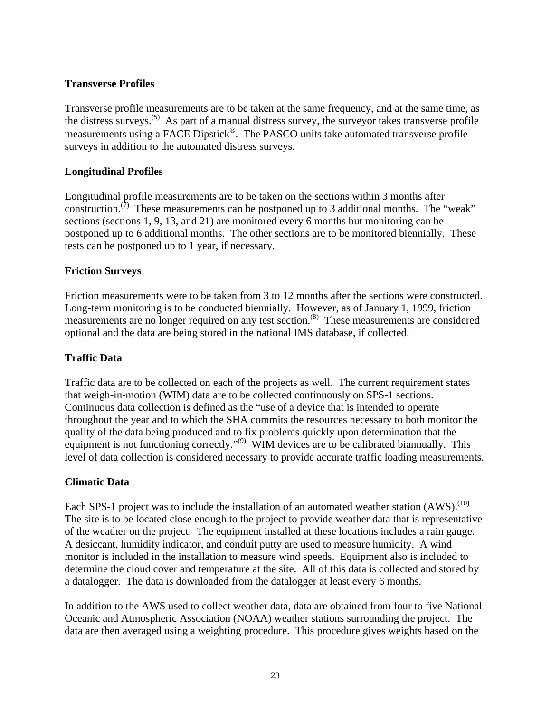### **Transverse Profiles**

Transverse profile measurements are to be taken at the same frequency, and at the same time, as the distress surveys.<sup> $(5)$ </sup> As part of a manual distress survey, the surveyor takes transverse profile measurements using a FACE Dipstick®. The PASCO units take automated transverse profile surveys in addition to the automated distress surveys.

#### **Longitudinal Profiles**

Longitudinal profile measurements are to be taken on the sections within 3 months after construction.<sup>(7)</sup> These measurements can be postponed up to 3 additional months. The "weak" sections (sections 1, 9, 13, and 21) are monitored every 6 months but monitoring can be postponed up to 6 additional months. The other sections are to be monitored biennially. These tests can be postponed up to 1 year, if necessary.

#### **Friction Surveys**

Friction measurements were to be taken from 3 to 12 months after the sections were constructed. Long-term monitoring is to be conducted biennially. However, as of January 1, 1999, friction measurements are no longer required on any test section.<sup>(8)</sup> These measurements are considered optional and the data are being stored in the national IMS database, if collected.

#### **Traffic Data**

Traffic data are to be collected on each of the projects as well. The current requirement states that weigh-in-motion (WIM) data are to be collected continuously on SPS-1 sections. Continuous data collection is defined as the "use of a device that is intended to operate throughout the year and to which the SHA commits the resources necessary to both monitor the quality of the data being produced and to fix problems quickly upon determination that the equipment is not functioning correctly."<sup>(9)</sup> WIM devices are to be calibrated biannually. This level of data collection is considered necessary to provide accurate traffic loading measurements.

#### **Climatic Data**

Each SPS-1 project was to include the installation of an automated weather station (AWS).<sup>(10)</sup> The site is to be located close enough to the project to provide weather data that is representative of the weather on the project. The equipment installed at these locations includes a rain gauge. A desiccant, humidity indicator, and conduit putty are used to measure humidity. A wind monitor is included in the installation to measure wind speeds. Equipment also is included to determine the cloud cover and temperature at the site. All of this data is collected and stored by a datalogger. The data is downloaded from the datalogger at least every 6 months.

In addition to the AWS used to collect weather data, data are obtained from four to five National Oceanic and Atmospheric Association (NOAA) weather stations surrounding the project. The data are then averaged using a weighting procedure. This procedure gives weights based on the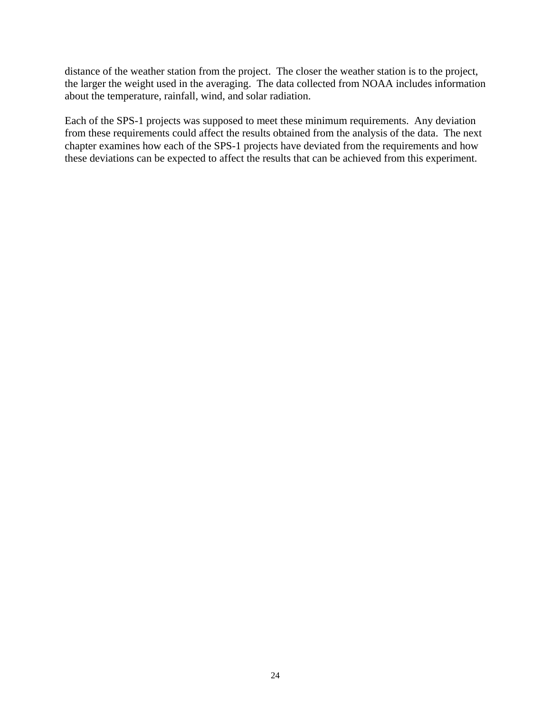distance of the weather station from the project. The closer the weather station is to the project, the larger the weight used in the averaging. The data collected from NOAA includes information about the temperature, rainfall, wind, and solar radiation.

Each of the SPS-1 projects was supposed to meet these minimum requirements. Any deviation from these requirements could affect the results obtained from the analysis of the data. The next chapter examines how each of the SPS-1 projects have deviated from the requirements and how these deviations can be expected to affect the results that can be achieved from this experiment.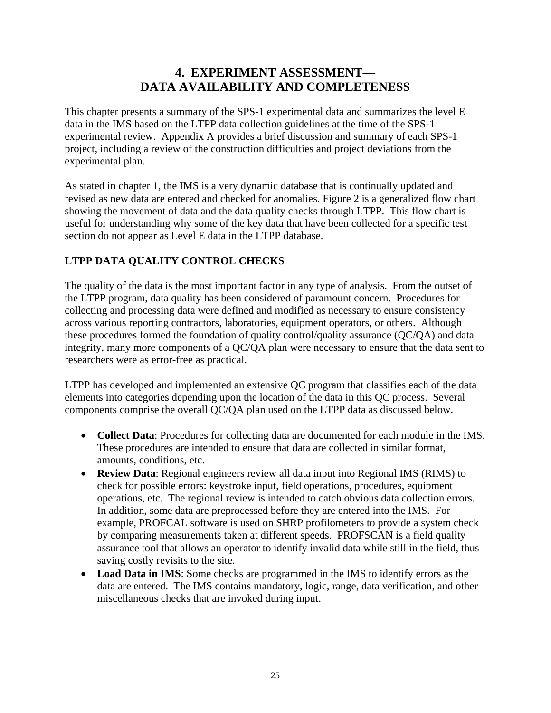# **4. EXPERIMENT ASSESSMENT— DATA AVAILABILITY AND COMPLETENESS**

This chapter presents a summary of the SPS-1 experimental data and summarizes the level E data in the IMS based on the LTPP data collection guidelines at the time of the SPS-1 experimental review. Appendix A provides a brief discussion and summary of each SPS-1 project, including a review of the construction difficulties and project deviations from the experimental plan.

As stated in chapter 1, the IMS is a very dynamic database that is continually updated and revised as new data are entered and checked for anomalies. Figure 2 is a generalized flow chart showing the movement of data and the data quality checks through LTPP. This flow chart is useful for understanding why some of the key data that have been collected for a specific test section do not appear as Level E data in the LTPP database.

## **LTPP DATA QUALITY CONTROL CHECKS**

The quality of the data is the most important factor in any type of analysis. From the outset of the LTPP program, data quality has been considered of paramount concern. Procedures for collecting and processing data were defined and modified as necessary to ensure consistency across various reporting contractors, laboratories, equipment operators, or others. Although these procedures formed the foundation of quality control/quality assurance (QC/QA) and data integrity, many more components of a QC/QA plan were necessary to ensure that the data sent to researchers were as error-free as practical.

LTPP has developed and implemented an extensive QC program that classifies each of the data elements into categories depending upon the location of the data in this QC process. Several components comprise the overall QC/QA plan used on the LTPP data as discussed below.

- **Collect Data**: Procedures for collecting data are documented for each module in the IMS. These procedures are intended to ensure that data are collected in similar format, amounts, conditions, etc.
- **Review Data**: Regional engineers review all data input into Regional IMS (RIMS) to check for possible errors: keystroke input, field operations, procedures, equipment operations, etc. The regional review is intended to catch obvious data collection errors. In addition, some data are preprocessed before they are entered into the IMS. For example, PROFCAL software is used on SHRP profilometers to provide a system check by comparing measurements taken at different speeds. PROFSCAN is a field quality assurance tool that allows an operator to identify invalid data while still in the field, thus saving costly revisits to the site.
- **Load Data in IMS**: Some checks are programmed in the IMS to identify errors as the data are entered. The IMS contains mandatory, logic, range, data verification, and other miscellaneous checks that are invoked during input.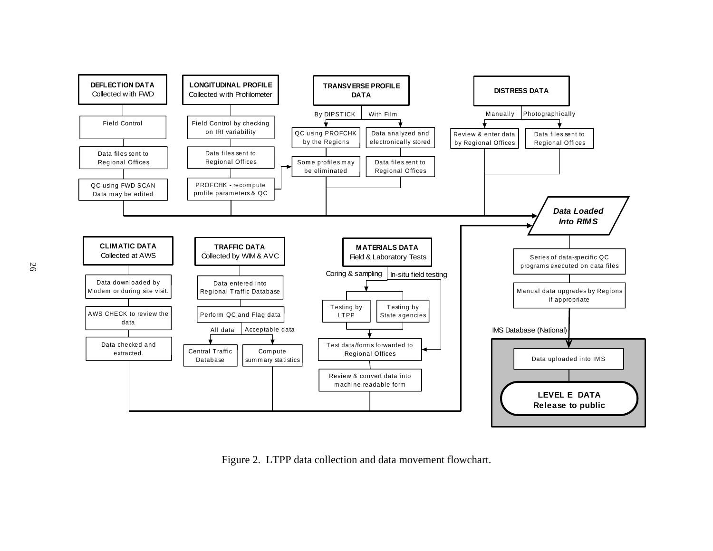

Figure 2. LTPP data collection and data movement flowchart.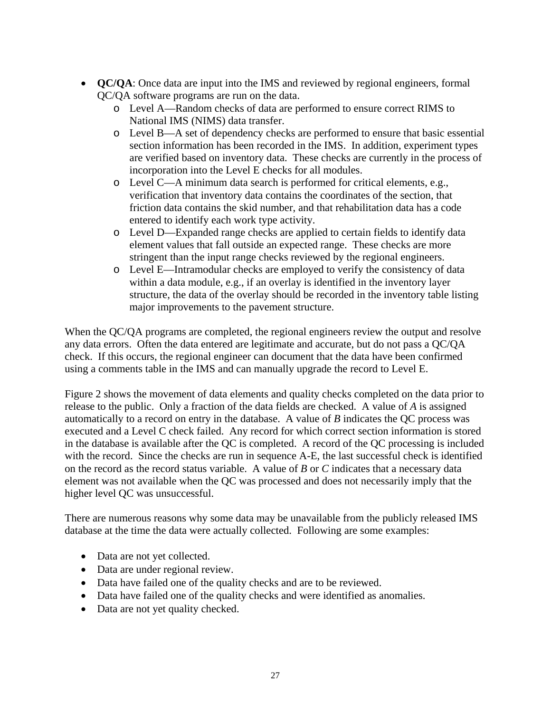- **QC/QA**: Once data are input into the IMS and reviewed by regional engineers, formal QC/QA software programs are run on the data.
	- o Level A—Random checks of data are performed to ensure correct RIMS to National IMS (NIMS) data transfer.
	- o Level B—A set of dependency checks are performed to ensure that basic essential section information has been recorded in the IMS. In addition, experiment types are verified based on inventory data. These checks are currently in the process of incorporation into the Level E checks for all modules.
	- o Level C—A minimum data search is performed for critical elements, e.g., verification that inventory data contains the coordinates of the section, that friction data contains the skid number, and that rehabilitation data has a code entered to identify each work type activity.
	- o Level D—Expanded range checks are applied to certain fields to identify data element values that fall outside an expected range. These checks are more stringent than the input range checks reviewed by the regional engineers.
	- o Level E—Intramodular checks are employed to verify the consistency of data within a data module, e.g., if an overlay is identified in the inventory layer structure, the data of the overlay should be recorded in the inventory table listing major improvements to the pavement structure.

When the QC/QA programs are completed, the regional engineers review the output and resolve any data errors. Often the data entered are legitimate and accurate, but do not pass a QC/QA check. If this occurs, the regional engineer can document that the data have been confirmed using a comments table in the IMS and can manually upgrade the record to Level E.

Figure 2 shows the movement of data elements and quality checks completed on the data prior to release to the public. Only a fraction of the data fields are checked. A value of *A* is assigned automatically to a record on entry in the database. A value of *B* indicates the QC process was executed and a Level C check failed. Any record for which correct section information is stored in the database is available after the QC is completed. A record of the QC processing is included with the record. Since the checks are run in sequence A-E, the last successful check is identified on the record as the record status variable. A value of *B* or *C* indicates that a necessary data element was not available when the QC was processed and does not necessarily imply that the higher level QC was unsuccessful.

There are numerous reasons why some data may be unavailable from the publicly released IMS database at the time the data were actually collected. Following are some examples:

- Data are not yet collected.
- Data are under regional review.
- Data have failed one of the quality checks and are to be reviewed.
- Data have failed one of the quality checks and were identified as anomalies.
- Data are not yet quality checked.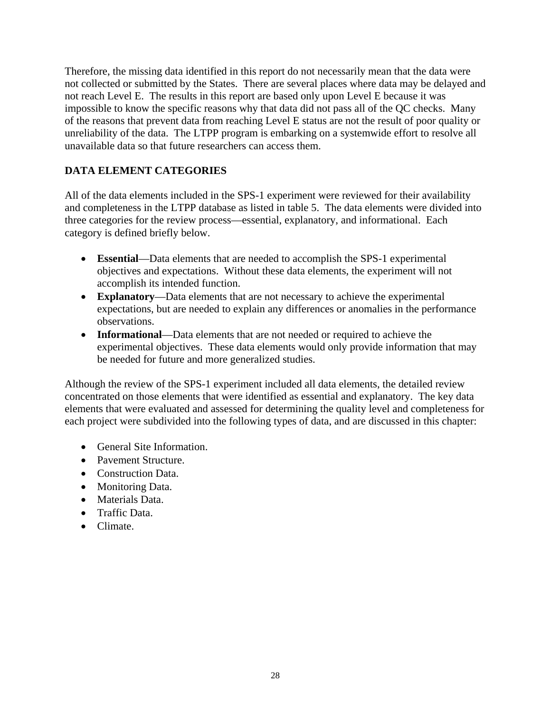Therefore, the missing data identified in this report do not necessarily mean that the data were not collected or submitted by the States. There are several places where data may be delayed and not reach Level E. The results in this report are based only upon Level E because it was impossible to know the specific reasons why that data did not pass all of the QC checks. Many of the reasons that prevent data from reaching Level E status are not the result of poor quality or unreliability of the data. The LTPP program is embarking on a systemwide effort to resolve all unavailable data so that future researchers can access them.

## **DATA ELEMENT CATEGORIES**

All of the data elements included in the SPS-1 experiment were reviewed for their availability and completeness in the LTPP database as listed in table 5. The data elements were divided into three categories for the review process—essential, explanatory, and informational. Each category is defined briefly below.

- **Essential**—Data elements that are needed to accomplish the SPS-1 experimental objectives and expectations. Without these data elements, the experiment will not accomplish its intended function.
- **Explanatory**—Data elements that are not necessary to achieve the experimental expectations, but are needed to explain any differences or anomalies in the performance observations.
- **Informational**—Data elements that are not needed or required to achieve the experimental objectives. These data elements would only provide information that may be needed for future and more generalized studies.

Although the review of the SPS-1 experiment included all data elements, the detailed review concentrated on those elements that were identified as essential and explanatory. The key data elements that were evaluated and assessed for determining the quality level and completeness for each project were subdivided into the following types of data, and are discussed in this chapter:

- General Site Information.
- Pavement Structure.
- Construction Data
- Monitoring Data.
- Materials Data.
- Traffic Data.
- Climate.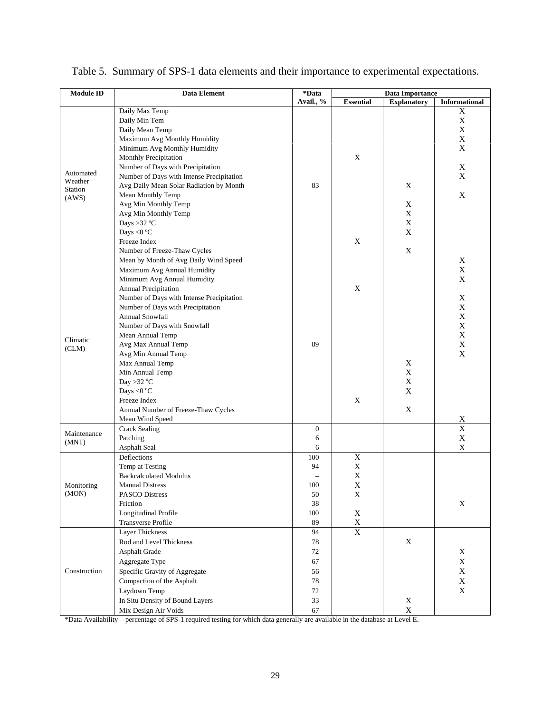| <b>Module ID</b>   | <b>Data Element</b>                       | *Data            | <b>Data Importance</b> |                           |                         |  |
|--------------------|-------------------------------------------|------------------|------------------------|---------------------------|-------------------------|--|
|                    |                                           | Avail., %        | <b>Essential</b>       | <b>Explanatory</b>        | <b>Informational</b>    |  |
|                    | Daily Max Temp                            |                  |                        |                           | X                       |  |
|                    | Daily Min Tem                             |                  |                        |                           | X                       |  |
|                    | Daily Mean Temp                           |                  |                        |                           | X                       |  |
|                    | Maximum Avg Monthly Humidity              |                  |                        |                           | $\mathbf X$             |  |
|                    | Minimum Avg Monthly Humidity              |                  |                        |                           | X                       |  |
|                    | Monthly Precipitation                     |                  | $\mathbf X$            |                           |                         |  |
|                    | Number of Days with Precipitation         |                  |                        |                           | X                       |  |
| Automated          | Number of Days with Intense Precipitation |                  |                        |                           | X                       |  |
| Weather<br>Station | Avg Daily Mean Solar Radiation by Month   | 83               |                        | X                         |                         |  |
| (AWS)              | Mean Monthly Temp                         |                  |                        |                           | X                       |  |
|                    | Avg Min Monthly Temp                      |                  |                        | X                         |                         |  |
|                    | Avg Min Monthly Temp                      |                  |                        | $\boldsymbol{\mathrm{X}}$ |                         |  |
|                    | Days >32 $^{\circ}$ C                     |                  |                        | $\boldsymbol{\mathrm{X}}$ |                         |  |
|                    | Days <0 °C                                |                  |                        | X                         |                         |  |
|                    | Freeze Index                              |                  | X                      |                           |                         |  |
|                    | Number of Freeze-Thaw Cycles              |                  |                        | $\mathbf X$               |                         |  |
|                    | Mean by Month of Avg Daily Wind Speed     |                  |                        |                           | $\mathbf X$             |  |
|                    | Maximum Avg Annual Humidity               |                  |                        |                           | $\overline{\textbf{X}}$ |  |
|                    | Minimum Avg Annual Humidity               |                  |                        |                           | $\mathbf X$             |  |
|                    | Annual Precipitation                      |                  | $\mathbf X$            |                           |                         |  |
|                    | Number of Days with Intense Precipitation |                  |                        |                           |                         |  |
|                    |                                           |                  |                        |                           | X                       |  |
| Climatic           | Number of Days with Precipitation         |                  |                        |                           | X                       |  |
|                    | Annual Snowfall                           |                  |                        |                           | X                       |  |
|                    | Number of Days with Snowfall              |                  |                        |                           | $\mathbf X$             |  |
|                    | Mean Annual Temp                          |                  |                        |                           | $\mathbf X$             |  |
| (CLM)              | Avg Max Annual Temp                       | 89               |                        |                           | $\mathbf X$             |  |
|                    | Avg Min Annual Temp                       |                  |                        |                           | X                       |  |
|                    | Max Annual Temp                           |                  |                        | $\boldsymbol{\mathrm{X}}$ |                         |  |
|                    | Min Annual Temp                           |                  |                        | X                         |                         |  |
|                    | Day >32 $^{\circ}$ C                      |                  |                        | $\boldsymbol{\mathrm{X}}$ |                         |  |
|                    | Days <0 $^{\circ}$ C                      |                  |                        | X                         |                         |  |
|                    | Freeze Index                              |                  | X                      |                           |                         |  |
|                    | Annual Number of Freeze-Thaw Cycles       |                  |                        | $\boldsymbol{\mathrm{X}}$ |                         |  |
|                    | Mean Wind Speed                           |                  |                        |                           | X                       |  |
| Maintenance        | <b>Crack Sealing</b>                      | $\boldsymbol{0}$ |                        |                           | $\overline{\textbf{X}}$ |  |
| (MNT)              | Patching                                  | 6                |                        |                           | $\mathbf X$             |  |
|                    | <b>Asphalt Seal</b>                       | 6                |                        |                           | $\mathbf X$             |  |
|                    | Deflections                               | 100              | $\mathbf X$            |                           |                         |  |
|                    | Temp at Testing                           | 94               | $\mathbf X$            |                           |                         |  |
|                    | <b>Backcalculated Modulus</b>             |                  | $\mathbf X$            |                           |                         |  |
| Monitoring         | <b>Manual Distress</b>                    | 100              | $\mathbf X$            |                           |                         |  |
| (MON)              | <b>PASCO Distress</b>                     | 50               | X                      |                           |                         |  |
|                    | Friction                                  | 38               |                        |                           | X                       |  |
|                    | Longitudinal Profile                      | 100              | $\mathbf X$            |                           |                         |  |
|                    | Transverse Profile                        | 89               | $\mathbf X$            |                           |                         |  |
|                    | Layer Thickness                           | 94               | $\overline{X}$         |                           |                         |  |
|                    | Rod and Level Thickness                   | 78               |                        | X                         |                         |  |
|                    | <b>Asphalt Grade</b>                      | 72               |                        |                           | X                       |  |
|                    |                                           | 67               |                        |                           | $\mathbf X$             |  |
|                    | Aggregate Type                            |                  |                        |                           |                         |  |
| Construction       | Specific Gravity of Aggregate             | 56               |                        |                           | $\mathbf X$             |  |
|                    | Compaction of the Asphalt                 | 78               |                        |                           | $\mathbf X$             |  |
|                    | Laydown Temp                              | 72               |                        |                           | $\mathbf X$             |  |
|                    | In Situ Density of Bound Layers           | 33               |                        | X                         |                         |  |
|                    | Mix Design Air Voids                      | 67               |                        | $\mathbf X$               |                         |  |

|  |  |  |  | Table 5. Summary of SPS-1 data elements and their importance to experimental expectations. |  |
|--|--|--|--|--------------------------------------------------------------------------------------------|--|
|--|--|--|--|--------------------------------------------------------------------------------------------|--|

\*Data Availability—percentage of SPS-1 required testing for which data generally are available in the database at Level E.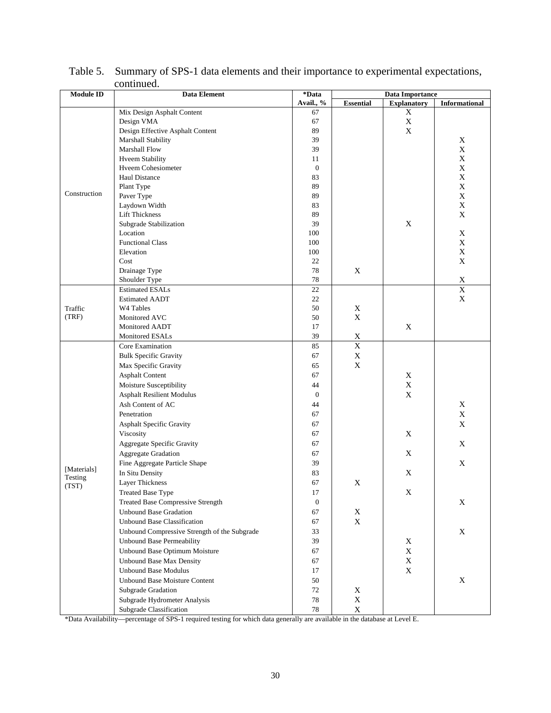| <b>Module ID</b> | Data Element                                 | *Data            |                  | <b>Data Importance</b> |                      |  |
|------------------|----------------------------------------------|------------------|------------------|------------------------|----------------------|--|
|                  |                                              | Avail., %        | <b>Essential</b> | <b>Explanatory</b>     | <b>Informational</b> |  |
|                  | Mix Design Asphalt Content                   | 67               |                  | X                      |                      |  |
|                  | Design VMA                                   | 67               |                  | $\mathbf X$            |                      |  |
|                  | Design Effective Asphalt Content             | 89               |                  | $\mathbf X$            |                      |  |
|                  | Marshall Stability                           | 39               |                  |                        | X                    |  |
|                  | Marshall Flow                                | 39               |                  |                        | $\mathbf X$          |  |
|                  | <b>Hveem Stability</b>                       | 11               |                  |                        | $\mathbf X$          |  |
|                  | Hveem Cohesiometer                           | $\mathbf{0}$     |                  |                        | $\mathbf X$          |  |
|                  | <b>Haul Distance</b>                         | 83               |                  |                        | $\mathbf X$          |  |
|                  | Plant Type                                   | 89               |                  |                        | $\mathbf X$          |  |
| Construction     | Paver Type                                   | 89               |                  |                        | $\mathbf X$          |  |
|                  | Laydown Width                                | 83               |                  |                        | $\mathbf X$          |  |
|                  | <b>Lift Thickness</b>                        | 89               |                  |                        | $\mathbf X$          |  |
|                  | Subgrade Stabilization                       | 39               |                  | X                      |                      |  |
|                  | Location                                     | 100              |                  |                        | $\mathbf X$          |  |
|                  | <b>Functional Class</b>                      | 100              |                  |                        | $\mathbf X$          |  |
|                  | Elevation                                    | 100              |                  |                        | $\mathbf X$          |  |
|                  | Cost                                         | 22               |                  |                        | $\mathbf X$          |  |
|                  | Drainage Type                                | 78               | X                |                        |                      |  |
|                  | Shoulder Type                                | 78               |                  |                        | $\mathbf X$          |  |
|                  | <b>Estimated ESALs</b>                       | 22               |                  |                        | $\overline{X}$       |  |
|                  | <b>Estimated AADT</b>                        | 22               |                  |                        | $\mathbf X$          |  |
| Traffic          | W4 Tables                                    | 50               | X                |                        |                      |  |
| (TRF)            | Monitored AVC                                | 50               | $\mathbf X$      |                        |                      |  |
|                  | Monitored AADT                               | 17               |                  | X                      |                      |  |
|                  | Monitored ESALs                              | 39               | $\mathbf X$      |                        |                      |  |
|                  | Core Examination                             | 85               | $\overline{X}$   |                        |                      |  |
|                  | <b>Bulk Specific Gravity</b>                 | 67               | $\mathbf X$      |                        |                      |  |
|                  | Max Specific Gravity                         | 65               | $\mathbf X$      |                        |                      |  |
|                  | <b>Asphalt Content</b>                       | 67               |                  | X                      |                      |  |
|                  | Moisture Susceptibility                      | 44               |                  | $\mathbf X$            |                      |  |
|                  | <b>Asphalt Resilient Modulus</b>             | $\mathbf{0}$     |                  | X                      |                      |  |
|                  | Ash Content of AC                            | 44               |                  |                        | X                    |  |
|                  | Penetration                                  | 67               |                  |                        | $\mathbf X$          |  |
|                  | Asphalt Specific Gravity                     | 67               |                  |                        | $\mathbf X$          |  |
|                  | Viscosity                                    | 67               |                  | X                      |                      |  |
|                  | Aggregate Specific Gravity                   | 67               |                  |                        | X                    |  |
|                  | <b>Aggregate Gradation</b>                   | 67               |                  | X                      |                      |  |
|                  | Fine Aggregate Particle Shape                | 39               |                  |                        | X                    |  |
| [Materials]      | In Situ Density                              | 83               |                  | X                      |                      |  |
| Testing          | <b>Layer Thickness</b>                       | 67               | $\mathbf X$      |                        |                      |  |
| (TST)            |                                              | 17               |                  |                        |                      |  |
|                  | <b>Treated Base Type</b>                     |                  |                  | $\mathbf X$            |                      |  |
|                  | <b>Treated Base Compressive Strength</b>     | $\boldsymbol{0}$ |                  |                        | $\mathbf X$          |  |
|                  | <b>Unbound Base Gradation</b>                | 67               | X                |                        |                      |  |
|                  | <b>Unbound Base Classification</b>           | 67               | $\mathbf X$      |                        |                      |  |
|                  | Unbound Compressive Strength of the Subgrade | 33               |                  |                        | $\mathbf X$          |  |
|                  | <b>Unbound Base Permeability</b>             | 39               |                  | X                      |                      |  |
|                  | Unbound Base Optimum Moisture                | 67               |                  | $\mathbf X$            |                      |  |
|                  | <b>Unbound Base Max Density</b>              | 67               |                  | $\mathbf X$            |                      |  |
|                  | <b>Unbound Base Modulus</b>                  | 17               |                  | $\mathbf X$            |                      |  |
|                  | <b>Unbound Base Moisture Content</b>         | 50               |                  |                        | $\mathbf X$          |  |
|                  | Subgrade Gradation                           | 72               | $\mathbf X$      |                        |                      |  |
|                  | Subgrade Hydrometer Analysis                 | 78               | $\mathbf X$      |                        |                      |  |
|                  | Subgrade Classification                      | $78\,$           | $\mathbf X$      |                        |                      |  |

### Table 5. Summary of SPS-1 data elements and their importance to experimental expectations, continued.

\*Data Availability—percentage of SPS-1 required testing for which data generally are available in the database at Level E.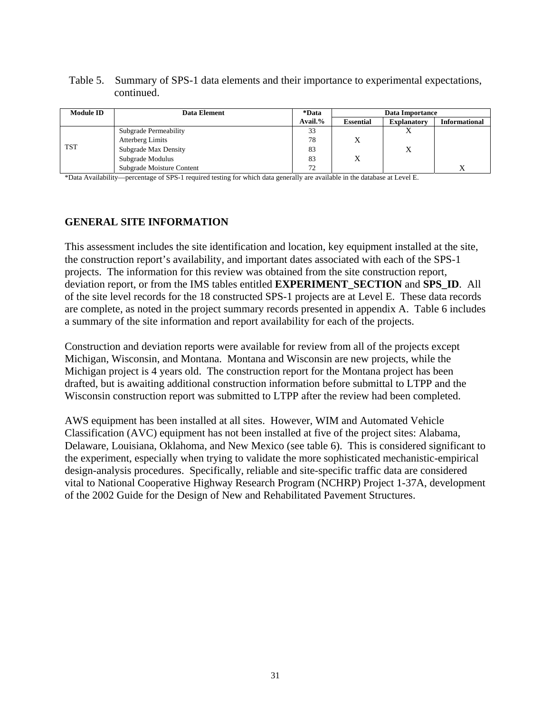#### Table 5. Summary of SPS-1 data elements and their importance to experimental expectations, continued.

| <b>Module ID</b> | <b>Data Element</b>       | *Data   |                  | Data Importance    |                      |
|------------------|---------------------------|---------|------------------|--------------------|----------------------|
|                  |                           | Avail.% | <b>Essential</b> | <b>Explanatory</b> | <b>Informational</b> |
| <b>TST</b>       | Subgrade Permeability     | 33      |                  | Δ                  |                      |
|                  | <b>Atterberg Limits</b>   | 78      |                  |                    |                      |
|                  | Subgrade Max Density      | 83      |                  | Х                  |                      |
|                  | Subgrade Modulus          | 83      | X                |                    |                      |
|                  | Subgrade Moisture Content | 72      |                  |                    |                      |

\*Data Availability—percentage of SPS-1 required testing for which data generally are available in the database at Level E.

### **GENERAL SITE INFORMATION**

This assessment includes the site identification and location, key equipment installed at the site, the construction report's availability, and important dates associated with each of the SPS-1 projects. The information for this review was obtained from the site construction report, deviation report, or from the IMS tables entitled **EXPERIMENT\_SECTION** and **SPS\_ID**. All of the site level records for the 18 constructed SPS-1 projects are at Level E. These data records are complete, as noted in the project summary records presented in appendix A. Table 6 includes a summary of the site information and report availability for each of the projects.

Construction and deviation reports were available for review from all of the projects except Michigan, Wisconsin, and Montana. Montana and Wisconsin are new projects, while the Michigan project is 4 years old. The construction report for the Montana project has been drafted, but is awaiting additional construction information before submittal to LTPP and the Wisconsin construction report was submitted to LTPP after the review had been completed.

AWS equipment has been installed at all sites. However, WIM and Automated Vehicle Classification (AVC) equipment has not been installed at five of the project sites: Alabama, Delaware, Louisiana, Oklahoma, and New Mexico (see table 6). This is considered significant to the experiment, especially when trying to validate the more sophisticated mechanistic-empirical design-analysis procedures. Specifically, reliable and site-specific traffic data are considered vital to National Cooperative Highway Research Program (NCHRP) Project 1-37A, development of the 2002 Guide for the Design of New and Rehabilitated Pavement Structures.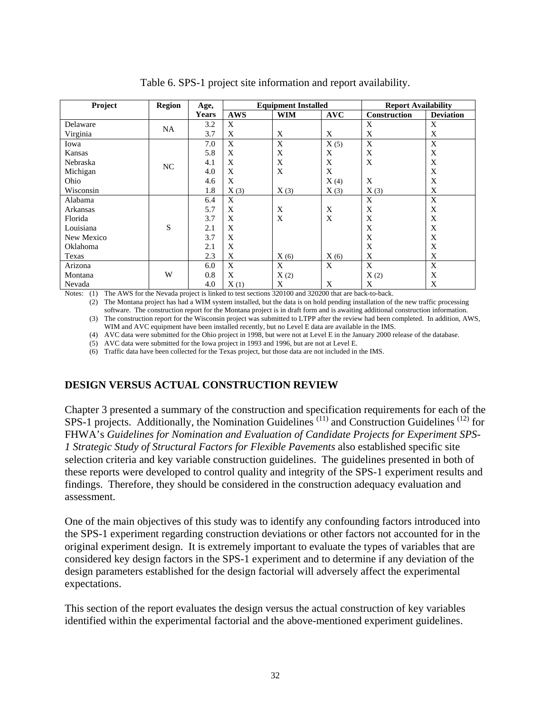| Project    | <b>Region</b> | Age,  | <b>Equipment Installed</b> |                |            | <b>Report Availability</b> |                  |
|------------|---------------|-------|----------------------------|----------------|------------|----------------------------|------------------|
|            |               | Years | <b>AWS</b>                 | <b>WIM</b>     | <b>AVC</b> | Construction               | <b>Deviation</b> |
| Delaware   | NA            | 3.2   | X                          |                |            | X                          | X                |
| Virginia   |               | 3.7   | X                          | X              | X          | X                          | X                |
| Iowa       |               | 7.0   | X                          | X              | X(5)       | X                          | X                |
| Kansas     |               | 5.8   | X                          | X              | X          | X                          | X                |
| Nebraska   | NC            | 4.1   | X                          | X              | X          | X                          | X                |
| Michigan   |               | 4.0   | X                          | $\overline{X}$ | X          |                            | X                |
| Ohio       |               | 4.6   | X                          |                | X(4)       | X                          | X                |
| Wisconsin  |               | 1.8   | X(3)                       | X(3)           | X(3)       | X(3)                       | X                |
| Alabama    |               | 6.4   | X                          |                |            | X                          | X                |
| Arkansas   |               | 5.7   | X                          | X              | X          | X                          | X                |
| Florida    |               | 3.7   | X                          | X              | X          | X                          | X                |
| Louisiana  | S             | 2.1   | X                          |                |            | X                          | X                |
| New Mexico |               | 3.7   | X                          |                |            | X                          | X                |
| Oklahoma   |               | 2.1   | X                          |                |            | X                          | X                |
| Texas      |               | 2.3   | X                          | X(6)           | X(6)       | X                          | X                |
| Arizona    |               | 6.0   | X                          | X              | X          | X                          | X                |
| Montana    | W             | 0.8   | X                          | X(2)           |            | X(2)                       | X                |
| Nevada     |               | 4.0   | X(1)                       | X              | X          | X                          | X                |

Table 6. SPS-1 project site information and report availability.

Notes: (1) The AWS for the Nevada project is linked to test sections 320100 and 320200 that are back-to-back.

 (2) The Montana project has had a WIM system installed, but the data is on hold pending installation of the new traffic processing software. The construction report for the Montana project is in draft form and is awaiting additional construction information. (3) The construction report for the Wisconsin project was submitted to LTPP after the review had been completed. In addition, AWS, WIM and AVC equipment have been installed recently, but no Level E data are available in the IMS.

(4) AVC data were submitted for the Ohio project in 1998, but were not at Level E in the January 2000 release of the database.

(5) AVC data were submitted for the Iowa project in 1993 and 1996, but are not at Level E.

(6) Traffic data have been collected for the Texas project, but those data are not included in the IMS.

### **DESIGN VERSUS ACTUAL CONSTRUCTION REVIEW**

Chapter 3 presented a summary of the construction and specification requirements for each of the SPS-1 projects. Additionally, the Nomination Guidelines<sup>(11)</sup> and Construction Guidelines<sup>(12)</sup> for FHWA's *Guidelines for Nomination and Evaluation of Candidate Projects for Experiment SPS-1 Strategic Study of Structural Factors for Flexible Pavements* also established specific site selection criteria and key variable construction guidelines. The guidelines presented in both of these reports were developed to control quality and integrity of the SPS-1 experiment results and findings. Therefore, they should be considered in the construction adequacy evaluation and assessment.

One of the main objectives of this study was to identify any confounding factors introduced into the SPS-1 experiment regarding construction deviations or other factors not accounted for in the original experiment design. It is extremely important to evaluate the types of variables that are considered key design factors in the SPS-1 experiment and to determine if any deviation of the design parameters established for the design factorial will adversely affect the experimental expectations.

This section of the report evaluates the design versus the actual construction of key variables identified within the experimental factorial and the above-mentioned experiment guidelines.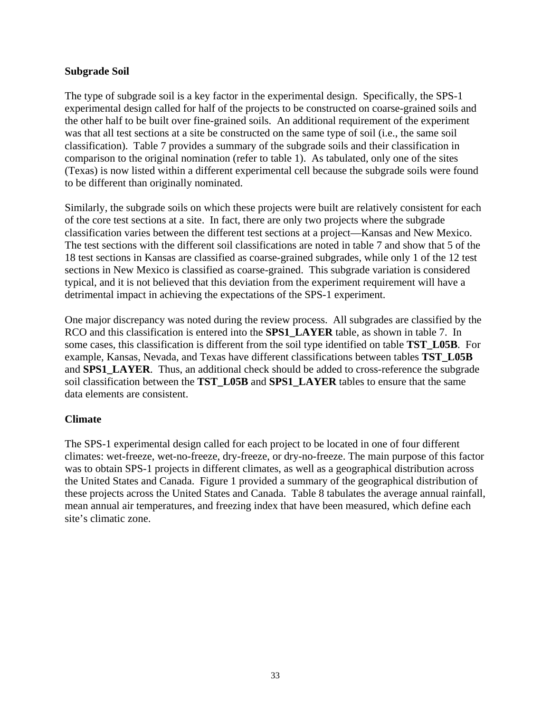#### **Subgrade Soil**

The type of subgrade soil is a key factor in the experimental design. Specifically, the SPS-1 experimental design called for half of the projects to be constructed on coarse-grained soils and the other half to be built over fine-grained soils. An additional requirement of the experiment was that all test sections at a site be constructed on the same type of soil (i.e., the same soil classification). Table 7 provides a summary of the subgrade soils and their classification in comparison to the original nomination (refer to table 1). As tabulated, only one of the sites (Texas) is now listed within a different experimental cell because the subgrade soils were found to be different than originally nominated.

Similarly, the subgrade soils on which these projects were built are relatively consistent for each of the core test sections at a site. In fact, there are only two projects where the subgrade classification varies between the different test sections at a project—Kansas and New Mexico. The test sections with the different soil classifications are noted in table 7 and show that 5 of the 18 test sections in Kansas are classified as coarse-grained subgrades, while only 1 of the 12 test sections in New Mexico is classified as coarse-grained. This subgrade variation is considered typical, and it is not believed that this deviation from the experiment requirement will have a detrimental impact in achieving the expectations of the SPS-1 experiment.

One major discrepancy was noted during the review process. All subgrades are classified by the RCO and this classification is entered into the **SPS1\_LAYER** table, as shown in table 7. In some cases, this classification is different from the soil type identified on table **TST\_L05B**. For example, Kansas, Nevada, and Texas have different classifications between tables **TST\_L05B** and **SPS1\_LAYER**. Thus, an additional check should be added to cross-reference the subgrade soil classification between the **TST\_L05B** and **SPS1\_LAYER** tables to ensure that the same data elements are consistent.

### **Climate**

The SPS-1 experimental design called for each project to be located in one of four different climates: wet-freeze, wet-no-freeze, dry-freeze, or dry-no-freeze. The main purpose of this factor was to obtain SPS-1 projects in different climates, as well as a geographical distribution across the United States and Canada. Figure 1 provided a summary of the geographical distribution of these projects across the United States and Canada. Table 8 tabulates the average annual rainfall, mean annual air temperatures, and freezing index that have been measured, which define each site's climatic zone.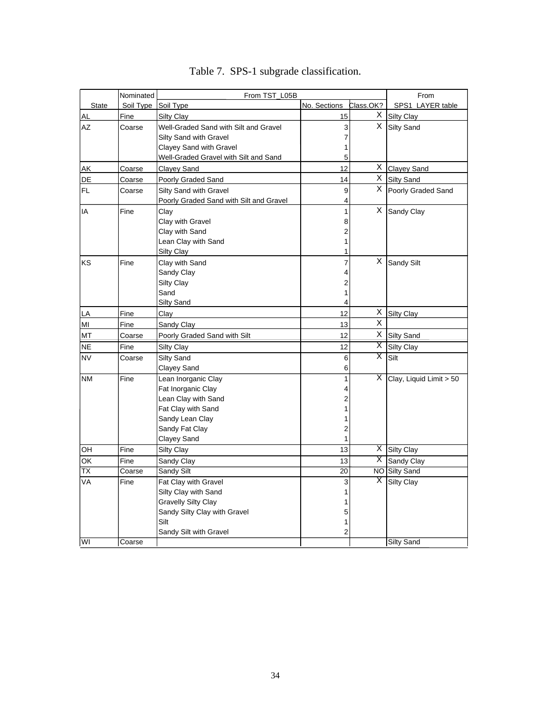|                          | Nominated | From TST_L05B                           | From            |           |                             |
|--------------------------|-----------|-----------------------------------------|-----------------|-----------|-----------------------------|
| <b>State</b>             | Soil Type | Soil Type                               | No. Sections    | Class.OK? | SPS1_LAYER table            |
| AL                       | Fine      | Silty Clay                              | 15              |           | X Silty Clay                |
| AZ                       | Coarse    | Well-Graded Sand with Silt and Gravel   | $\overline{3}$  |           | X Silty Sand                |
|                          |           | Silty Sand with Gravel                  | 7               |           |                             |
|                          |           | Clayey Sand with Gravel                 | 1               |           |                             |
|                          |           | Well-Graded Gravel with Silt and Sand   | 5               |           |                             |
| <b>AK</b>                | Coarse    | <b>Clayey Sand</b>                      | 12              |           | X Clayey Sand               |
| DE                       | Coarse    | Poorly Graded Sand                      | 14              |           | X Silty Sand                |
| FL.                      | Coarse    | <b>Silty Sand with Gravel</b>           | 9               |           | X Poorly Graded Sand        |
|                          |           | Poorly Graded Sand with Silt and Gravel | 4               |           |                             |
| IA                       | Fine      | Clay                                    | $\mathbf{1}$    | X.        | Sandy Clay                  |
|                          |           | Clay with Gravel                        | 8               |           |                             |
|                          |           | Clay with Sand                          | $\overline{2}$  |           |                             |
|                          |           | Lean Clay with Sand                     | 1               |           |                             |
|                          |           | <b>Silty Clay</b>                       |                 |           |                             |
| KS.                      | Fine      | Clay with Sand                          | $\overline{7}$  |           | X Sandy Silt                |
|                          |           | Sandy Clay                              | 4               |           |                             |
|                          |           | <b>Silty Clay</b>                       | 2               |           |                             |
|                          |           | Sand                                    | 1               |           |                             |
|                          |           | Silty Sand                              | 4               |           |                             |
| LA                       | Fine      | Clay                                    | 12              | X.        | <b>Silty Clay</b>           |
| MI                       | Fine      | Sandy Clay                              | 13              | X.        |                             |
| MT                       | Coarse    | Poorly Graded Sand with Silt            | 12              |           | X Silty Sand                |
| <b>NE</b>                | Fine      | Silty Clay                              | 12              | Χ         | <b>Silty Clay</b>           |
| <b>NV</b>                | Coarse    | Silty Sand                              | 6               |           | $X$ Silt                    |
|                          |           | Clayey Sand                             | 6               |           |                             |
| <b>NM</b>                | Fine      | Lean Inorganic Clay                     | 1               |           | $X$ Clay, Liquid Limit > 50 |
|                          |           | Fat Inorganic Clay                      | 4               |           |                             |
|                          |           | Lean Clay with Sand                     | 2               |           |                             |
|                          |           | Fat Clay with Sand                      |                 |           |                             |
|                          |           | Sandy Lean Clay                         |                 |           |                             |
|                          |           | Sandy Fat Clay                          | 2               |           |                             |
|                          |           | Clayey Sand                             | 1               |           |                             |
| OH                       | Fine      | <b>Silty Clay</b>                       | 13              |           | X Silty Clay                |
| $\overline{\mathsf{OK}}$ | Fine      | Sandy Clay                              | 13              |           | X Sandy Clay                |
| $\overline{\text{TX}}$   | Coarse    | Sandy Silt                              | $\overline{20}$ |           | <b>NO</b> Silty Sand        |
| VA                       | Fine      | Fat Clay with Gravel                    | 3               |           | $\overline{X}$ Silty Clay   |
|                          |           | Silty Clay with Sand                    | 1               |           |                             |
|                          |           | <b>Gravelly Silty Clay</b>              |                 |           |                             |
|                          |           | Sandy Silty Clay with Gravel            | 5               |           |                             |
|                          |           | Silt                                    | 1               |           |                             |
|                          |           | Sandy Silt with Gravel                  | 2               |           |                             |
| <b>WI</b>                | Coarse    |                                         |                 |           | <b>Silty Sand</b>           |

Table 7. SPS-1 subgrade classification.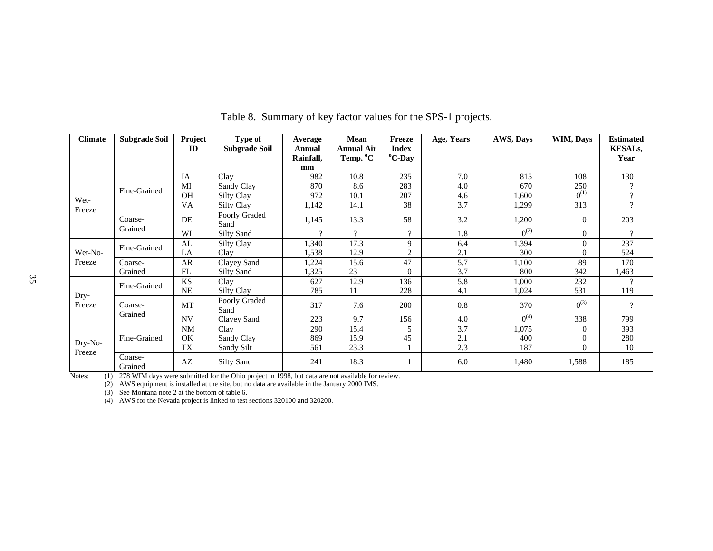| <b>Climate</b>   | <b>Subgrade Soil</b> | Project<br>$\mathbf{D}$ | Type of<br><b>Subgrade Soil</b> | Average<br>Annual<br>Rainfall, | Mean<br><b>Annual Air</b><br>Temp. °C | Freeze<br><b>Index</b><br><sup>o</sup> C-Day | Age, Years | AWS, Days | WIM, Days        | <b>Estimated</b><br><b>KESALs,</b><br>Year |
|------------------|----------------------|-------------------------|---------------------------------|--------------------------------|---------------------------------------|----------------------------------------------|------------|-----------|------------------|--------------------------------------------|
|                  |                      |                         |                                 | mm                             |                                       |                                              |            |           |                  |                                            |
|                  |                      | IA                      | Clay                            | 982                            | 10.8                                  | 235                                          | 7.0        | 815       | 108              | 130                                        |
|                  | Fine-Grained         | MI                      | Sandy Clay                      | 870                            | 8.6                                   | 283                                          | 4.0        | 670       | 250              |                                            |
| Wet-             |                      | <b>OH</b>               | Silty Clay                      | 972                            | 10.1                                  | 207                                          | 4.6        | 1,600     | $0^{(1)}$        | $\mathcal{P}$                              |
| Freeze           |                      | VA                      | Silty Clay                      | 1,142                          | 14.1                                  | 38                                           | 3.7        | 1,299     | 313              | $\gamma$                                   |
|                  | Coarse-              | DE                      | Poorly Graded<br>Sand           | 1,145                          | 13.3                                  | 58                                           | 3.2        | 1,200     | $\overline{0}$   | 203                                        |
|                  | Grained              | WI                      | Silty Sand                      | $\Omega$                       | $\gamma$                              | $\Omega$                                     | 1.8        | $0^{(2)}$ | $\overline{0}$   | $\overline{?}$                             |
|                  | Fine-Grained         | AL                      | Silty Clay                      | 1,340                          | 17.3                                  | 9                                            | 6.4        | 1,394     | $\overline{0}$   | 237                                        |
| Wet-No-          |                      | LA                      | Clay                            | 1,538                          | 12.9                                  | 2                                            | 2.1        | 300       | $\mathbf{0}$     | 524                                        |
| Freeze           | Coarse-              | AR                      | Clayey Sand                     | 1,224                          | 15.6                                  | 47                                           | 5.7        | 1,100     | 89               | 170                                        |
|                  | Grained              | FL                      | <b>Silty Sand</b>               | 1,325                          | 23                                    | $\Omega$                                     | 3.7        | 800       | 342              | 1,463                                      |
|                  | Fine-Grained         | <b>KS</b>               | Clay                            | 627                            | 12.9                                  | 136                                          | 5.8        | 1,000     | 232              | $\gamma$                                   |
|                  |                      | <b>NE</b>               | Silty Clay                      | 785                            | 11                                    | 228                                          | 4.1        | 1,024     | 531              | 119                                        |
| $Dry-$<br>Freeze | Coarse-              | MT                      | Poorly Graded<br>Sand           | 317                            | 7.6                                   | 200                                          | 0.8        | 370       | $0^{(3)}$        | $\gamma$                                   |
|                  | Grained              | <b>NV</b>               | Clayey Sand                     | 223                            | 9.7                                   | 156                                          | 4.0        | $0^{(4)}$ | 338              | 799                                        |
|                  |                      | <b>NM</b>               | Clay                            | 290                            | 15.4                                  | 5                                            | 3.7        | 1,075     | $\overline{0}$   | 393                                        |
|                  | Fine-Grained         | <b>OK</b>               | Sandy Clay                      | 869                            | 15.9                                  | 45                                           | 2.1        | 400       | $\boldsymbol{0}$ | 280                                        |
| Dry-No-          |                      | <b>TX</b>               | Sandy Silt                      | 561                            | 23.3                                  |                                              | 2.3        | 187       | $\overline{0}$   | 10                                         |
| Freeze           | Coarse-<br>Grained   | AZ                      | <b>Silty Sand</b>               | 241                            | 18.3                                  |                                              | 6.0        | 1,480     | 1,588            | 185                                        |

Table 8. Summary of key factor values for the SPS-1 projects.

Notes: (1) 278 WIM days were submitted for the Ohio project in 1998, but data are not available for review.

(2) AWS equipment is installed at the site, but no data are available in the January 2000 IMS.

(3) See Montana note 2 at the bottom of table 6.

(4) AWS for the Nevada project is linked to test sections 320100 and 320200.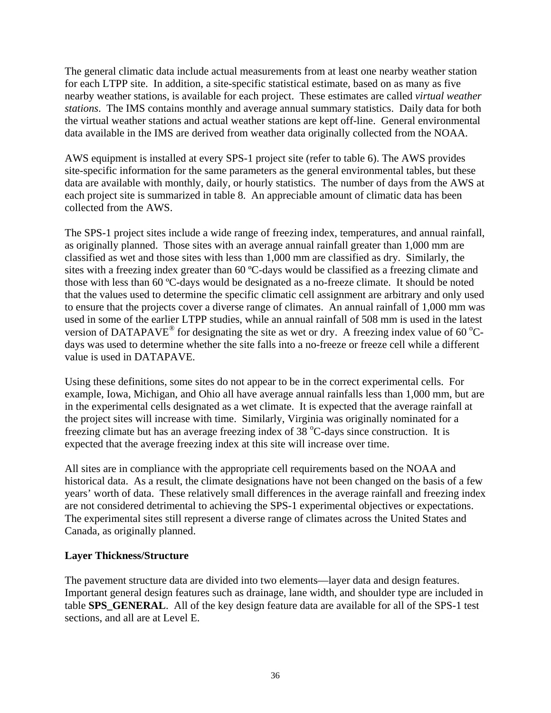The general climatic data include actual measurements from at least one nearby weather station for each LTPP site. In addition, a site-specific statistical estimate, based on as many as five nearby weather stations, is available for each project. These estimates are called *virtual weather stations*. The IMS contains monthly and average annual summary statistics. Daily data for both the virtual weather stations and actual weather stations are kept off-line. General environmental data available in the IMS are derived from weather data originally collected from the NOAA.

AWS equipment is installed at every SPS-1 project site (refer to table 6). The AWS provides site-specific information for the same parameters as the general environmental tables, but these data are available with monthly, daily, or hourly statistics. The number of days from the AWS at each project site is summarized in table 8. An appreciable amount of climatic data has been collected from the AWS.

The SPS-1 project sites include a wide range of freezing index, temperatures, and annual rainfall, as originally planned. Those sites with an average annual rainfall greater than 1,000 mm are classified as wet and those sites with less than 1,000 mm are classified as dry. Similarly, the sites with a freezing index greater than 60 ºC-days would be classified as a freezing climate and those with less than 60 ºC-days would be designated as a no-freeze climate. It should be noted that the values used to determine the specific climatic cell assignment are arbitrary and only used to ensure that the projects cover a diverse range of climates. An annual rainfall of 1,000 mm was used in some of the earlier LTPP studies, while an annual rainfall of 508 mm is used in the latest version of DATAPAVE<sup>®</sup> for designating the site as wet or dry. A freezing index value of 60 °Cdays was used to determine whether the site falls into a no-freeze or freeze cell while a different value is used in DATAPAVE.

Using these definitions, some sites do not appear to be in the correct experimental cells. For example, Iowa, Michigan, and Ohio all have average annual rainfalls less than 1,000 mm, but are in the experimental cells designated as a wet climate. It is expected that the average rainfall at the project sites will increase with time. Similarly, Virginia was originally nominated for a freezing climate but has an average freezing index of  $38^{\circ}$ C-days since construction. It is expected that the average freezing index at this site will increase over time.

All sites are in compliance with the appropriate cell requirements based on the NOAA and historical data. As a result, the climate designations have not been changed on the basis of a few years' worth of data. These relatively small differences in the average rainfall and freezing index are not considered detrimental to achieving the SPS-1 experimental objectives or expectations. The experimental sites still represent a diverse range of climates across the United States and Canada, as originally planned.

#### **Layer Thickness/Structure**

The pavement structure data are divided into two elements—layer data and design features. Important general design features such as drainage, lane width, and shoulder type are included in table **SPS** GENERAL. All of the key design feature data are available for all of the SPS-1 test sections, and all are at Level E.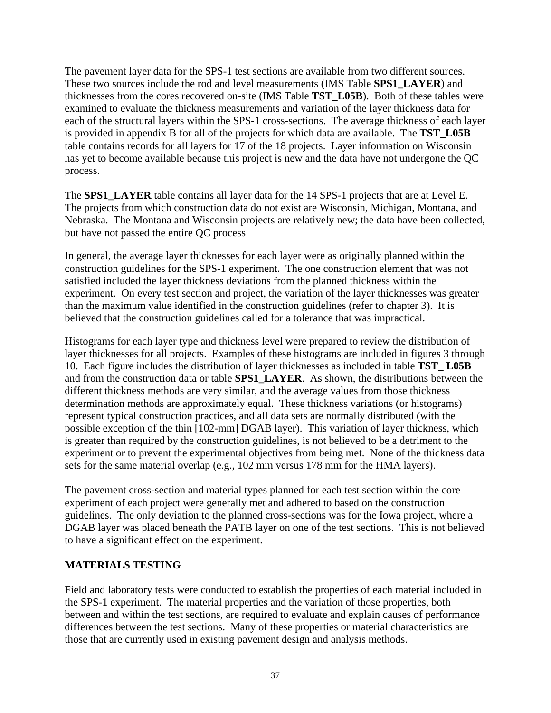The pavement layer data for the SPS-1 test sections are available from two different sources. These two sources include the rod and level measurements (IMS Table **SPS1\_LAYER**) and thicknesses from the cores recovered on-site (IMS Table **TST\_L05B**). Both of these tables were examined to evaluate the thickness measurements and variation of the layer thickness data for each of the structural layers within the SPS-1 cross-sections. The average thickness of each layer is provided in appendix B for all of the projects for which data are available. The **TST\_L05B** table contains records for all layers for 17 of the 18 projects. Layer information on Wisconsin has yet to become available because this project is new and the data have not undergone the QC process.

The **SPS1\_LAYER** table contains all layer data for the 14 SPS-1 projects that are at Level E. The projects from which construction data do not exist are Wisconsin, Michigan, Montana, and Nebraska. The Montana and Wisconsin projects are relatively new; the data have been collected, but have not passed the entire QC process

In general, the average layer thicknesses for each layer were as originally planned within the construction guidelines for the SPS-1 experiment. The one construction element that was not satisfied included the layer thickness deviations from the planned thickness within the experiment. On every test section and project, the variation of the layer thicknesses was greater than the maximum value identified in the construction guidelines (refer to chapter 3). It is believed that the construction guidelines called for a tolerance that was impractical.

Histograms for each layer type and thickness level were prepared to review the distribution of layer thicknesses for all projects. Examples of these histograms are included in figures 3 through 10. Each figure includes the distribution of layer thicknesses as included in table **TST\_ L05B** and from the construction data or table **SPS1\_LAYER**. As shown, the distributions between the different thickness methods are very similar, and the average values from those thickness determination methods are approximately equal. These thickness variations (or histograms) represent typical construction practices, and all data sets are normally distributed (with the possible exception of the thin [102-mm] DGAB layer). This variation of layer thickness, which is greater than required by the construction guidelines, is not believed to be a detriment to the experiment or to prevent the experimental objectives from being met. None of the thickness data sets for the same material overlap (e.g., 102 mm versus 178 mm for the HMA layers).

The pavement cross-section and material types planned for each test section within the core experiment of each project were generally met and adhered to based on the construction guidelines. The only deviation to the planned cross-sections was for the Iowa project, where a DGAB layer was placed beneath the PATB layer on one of the test sections. This is not believed to have a significant effect on the experiment.

### **MATERIALS TESTING**

Field and laboratory tests were conducted to establish the properties of each material included in the SPS-1 experiment. The material properties and the variation of those properties, both between and within the test sections, are required to evaluate and explain causes of performance differences between the test sections. Many of these properties or material characteristics are those that are currently used in existing pavement design and analysis methods.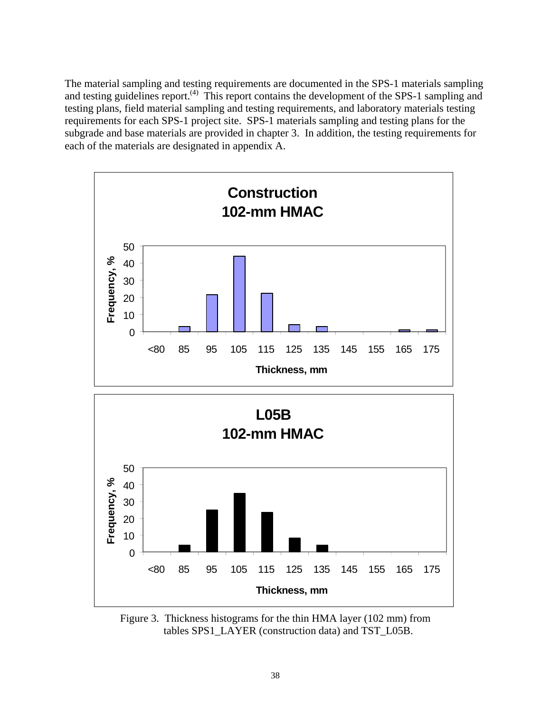The material sampling and testing requirements are documented in the SPS-1 materials sampling and testing guidelines report.<sup>(4)</sup> This report contains the development of the SPS-1 sampling and testing plans, field material sampling and testing requirements, and laboratory materials testing requirements for each SPS-1 project site. SPS-1 materials sampling and testing plans for the subgrade and base materials are provided in chapter 3. In addition, the testing requirements for each of the materials are designated in appendix A.



Figure 3. Thickness histograms for the thin HMA layer (102 mm) from tables SPS1\_LAYER (construction data) and TST\_L05B.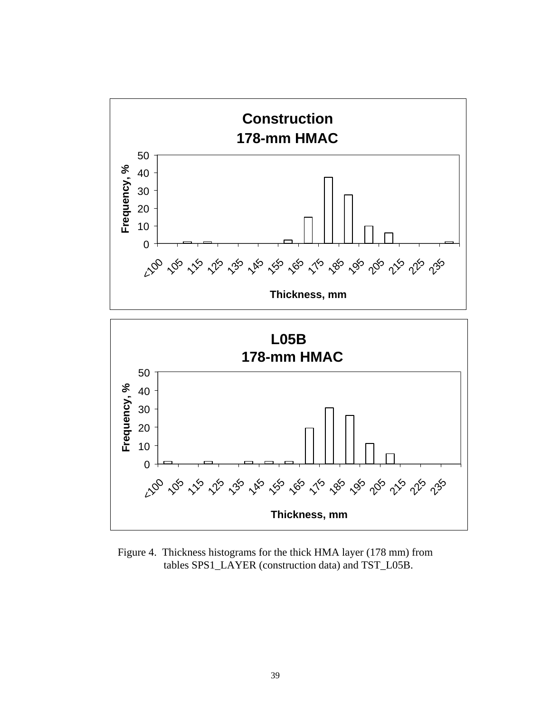

Figure 4. Thickness histograms for the thick HMA layer (178 mm) from tables SPS1\_LAYER (construction data) and TST\_L05B.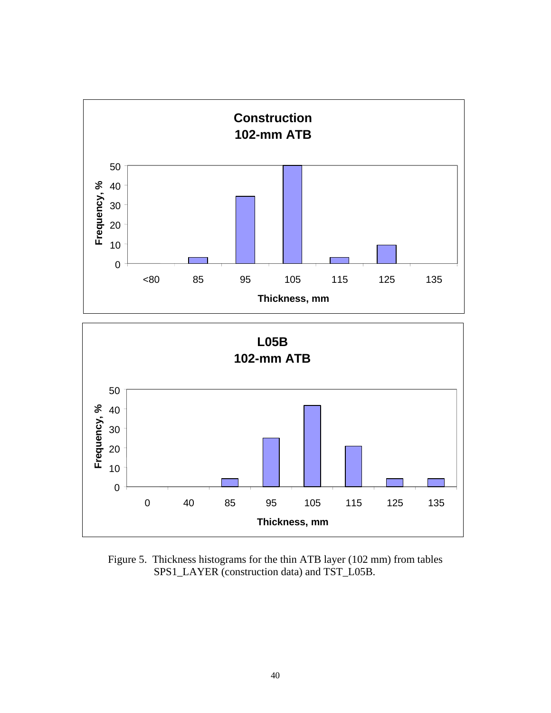

Figure 5. Thickness histograms for the thin ATB layer (102 mm) from tables SPS1\_LAYER (construction data) and TST\_L05B.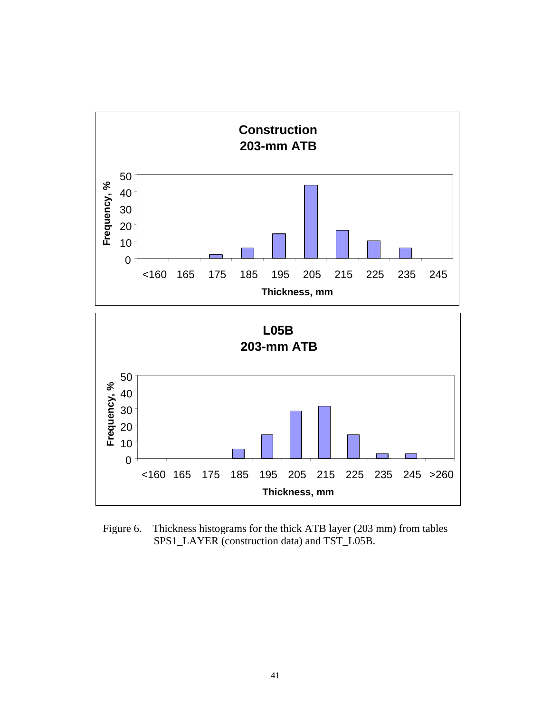

Figure 6. Thickness histograms for the thick ATB layer (203 mm) from tables SPS1\_LAYER (construction data) and TST\_L05B.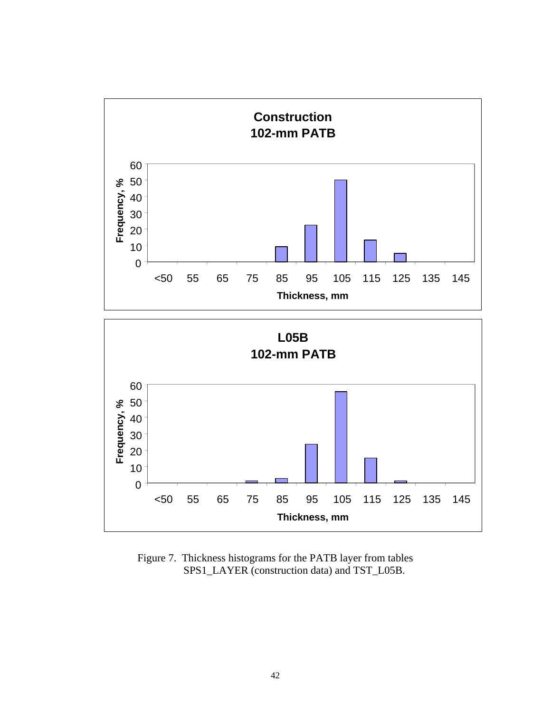

Figure 7. Thickness histograms for the PATB layer from tables SPS1\_LAYER (construction data) and TST\_L05B.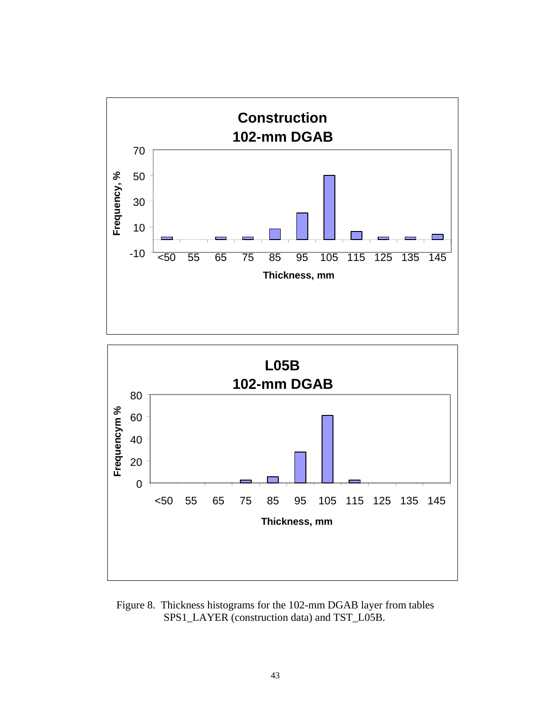



Figure 8. Thickness histograms for the 102-mm DGAB layer from tables SPS1\_LAYER (construction data) and TST\_L05B.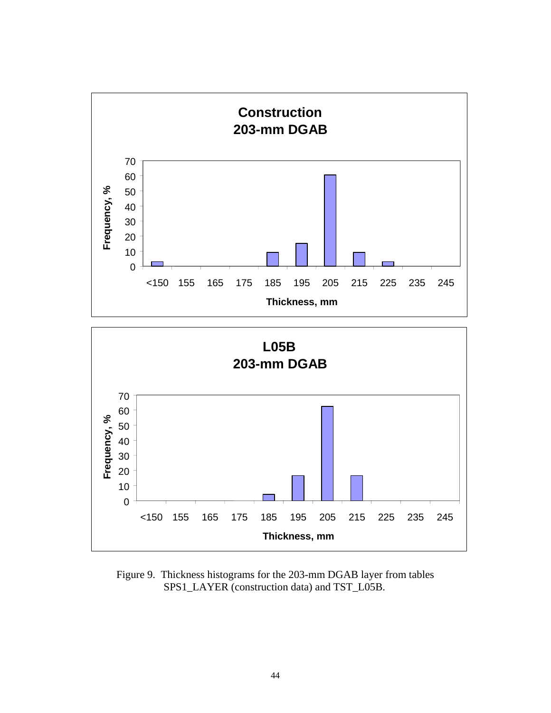

Figure 9. Thickness histograms for the 203-mm DGAB layer from tables SPS1\_LAYER (construction data) and TST\_L05B.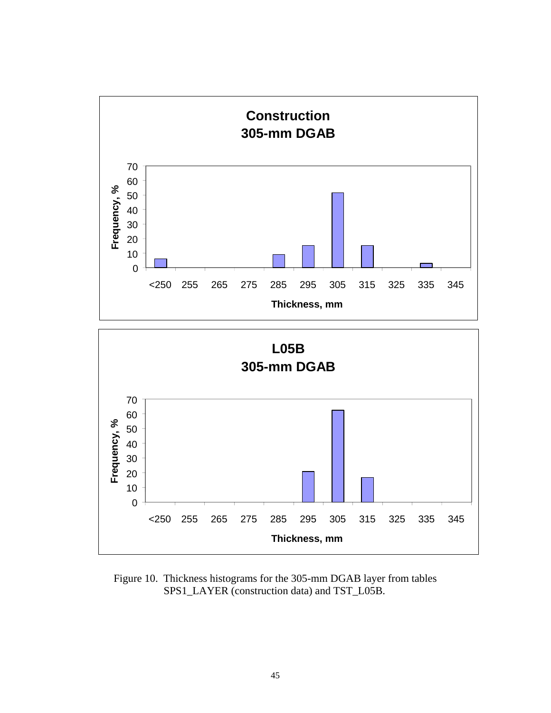

Figure 10. Thickness histograms for the 305-mm DGAB layer from tables SPS1\_LAYER (construction data) and TST\_L05B.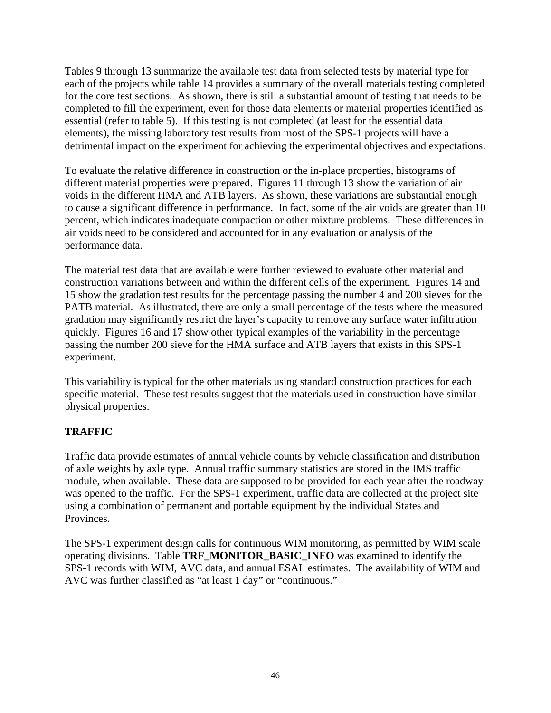Tables 9 through 13 summarize the available test data from selected tests by material type for each of the projects while table 14 provides a summary of the overall materials testing completed for the core test sections. As shown, there is still a substantial amount of testing that needs to be completed to fill the experiment, even for those data elements or material properties identified as essential (refer to table 5). If this testing is not completed (at least for the essential data elements), the missing laboratory test results from most of the SPS-1 projects will have a detrimental impact on the experiment for achieving the experimental objectives and expectations.

To evaluate the relative difference in construction or the in-place properties, histograms of different material properties were prepared. Figures 11 through 13 show the variation of air voids in the different HMA and ATB layers. As shown, these variations are substantial enough to cause a significant difference in performance. In fact, some of the air voids are greater than 10 percent, which indicates inadequate compaction or other mixture problems. These differences in air voids need to be considered and accounted for in any evaluation or analysis of the performance data.

The material test data that are available were further reviewed to evaluate other material and construction variations between and within the different cells of the experiment. Figures 14 and 15 show the gradation test results for the percentage passing the number 4 and 200 sieves for the PATB material. As illustrated, there are only a small percentage of the tests where the measured gradation may significantly restrict the layer's capacity to remove any surface water infiltration quickly. Figures 16 and 17 show other typical examples of the variability in the percentage passing the number 200 sieve for the HMA surface and ATB layers that exists in this SPS-1 experiment.

This variability is typical for the other materials using standard construction practices for each specific material. These test results suggest that the materials used in construction have similar physical properties.

## **TRAFFIC**

Traffic data provide estimates of annual vehicle counts by vehicle classification and distribution of axle weights by axle type. Annual traffic summary statistics are stored in the IMS traffic module, when available. These data are supposed to be provided for each year after the roadway was opened to the traffic. For the SPS-1 experiment, traffic data are collected at the project site using a combination of permanent and portable equipment by the individual States and Provinces.

The SPS-1 experiment design calls for continuous WIM monitoring, as permitted by WIM scale operating divisions. Table **TRF\_MONITOR\_BASIC\_INFO** was examined to identify the SPS-1 records with WIM, AVC data, and annual ESAL estimates. The availability of WIM and AVC was further classified as "at least 1 day" or "continuous."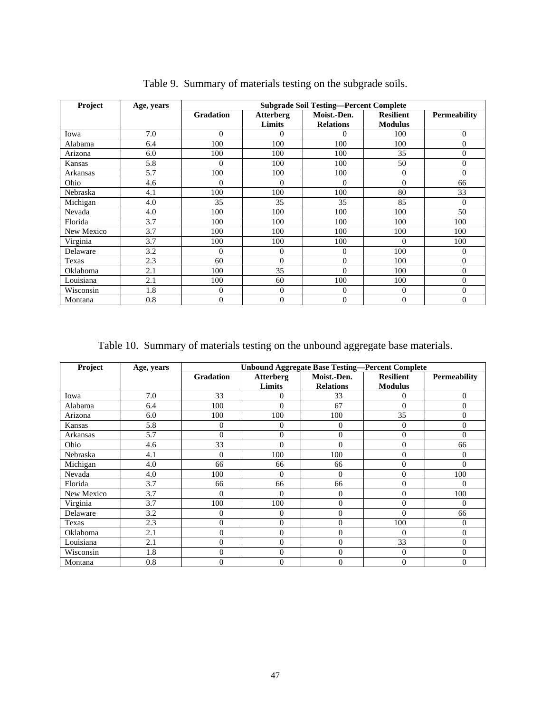| Project       | Age, years | <b>Subgrade Soil Testing-Percent Complete</b> |                            |                                 |                                    |                     |  |  |  |
|---------------|------------|-----------------------------------------------|----------------------------|---------------------------------|------------------------------------|---------------------|--|--|--|
|               |            | <b>Gradation</b>                              | <b>Atterberg</b><br>Limits | Moist.-Den.<br><b>Relations</b> | <b>Resilient</b><br><b>Modulus</b> | <b>Permeability</b> |  |  |  |
| Iowa          | 7.0        | $\Omega$                                      | 0                          | 0                               | 100                                | $\Omega$            |  |  |  |
| Alabama       | 6.4        | 100                                           | 100                        | 100                             | 100                                | $\Omega$            |  |  |  |
| Arizona       | 6.0        | 100                                           | 100                        | 100                             | 35                                 | 0                   |  |  |  |
| <b>Kansas</b> | 5.8        | $\theta$                                      | 100                        | 100                             | 50                                 | $\theta$            |  |  |  |
| Arkansas      | 5.7        | 100                                           | 100                        | 100                             | $\Omega$                           | 0                   |  |  |  |
| Ohio          | 4.6        | $\theta$                                      | 0                          | $\Omega$                        | $\Omega$                           | 66                  |  |  |  |
| Nebraska      | 4.1        | 100                                           | 100                        | 100                             | 80                                 | 33                  |  |  |  |
| Michigan      | 4.0        | 35                                            | 35                         | 35                              | 85                                 | $\theta$            |  |  |  |
| Nevada        | 4.0        | 100                                           | 100                        | 100                             | 100                                | 50                  |  |  |  |
| Florida       | 3.7        | 100                                           | 100                        | 100                             | 100                                | 100                 |  |  |  |
| New Mexico    | 3.7        | 100                                           | 100                        | 100                             | 100                                | 100                 |  |  |  |
| Virginia      | 3.7        | 100                                           | 100                        | 100                             | $\theta$                           | 100                 |  |  |  |
| Delaware      | 3.2        | $\theta$                                      | $\overline{0}$             | $\overline{0}$                  | 100                                | 0                   |  |  |  |
| Texas         | 2.3        | 60                                            | $\Omega$                   | $\overline{0}$                  | 100                                | $\Omega$            |  |  |  |
| Oklahoma      | 2.1        | 100                                           | 35                         | $\boldsymbol{0}$                | 100                                | $\theta$            |  |  |  |
| Louisiana     | 2.1        | 100                                           | 60                         | 100                             | 100                                | $\theta$            |  |  |  |
| Wisconsin     | 1.8        | $\boldsymbol{0}$                              | $\mathbf{0}$               | 0                               | $\overline{0}$                     | 0                   |  |  |  |
| Montana       | 0.8        | $\overline{0}$                                | $\theta$                   | $\mathbf{0}$                    | $\overline{0}$                     | $\theta$            |  |  |  |

Table 9. Summary of materials testing on the subgrade soils.

Table 10. Summary of materials testing on the unbound aggregate base materials.

| Project    | Age, years | <b>Unbound Aggregate Base Testing-Percent Complete</b> |                            |                                 |                                    |                     |  |  |  |  |
|------------|------------|--------------------------------------------------------|----------------------------|---------------------------------|------------------------------------|---------------------|--|--|--|--|
|            |            | <b>Gradation</b>                                       | <b>Atterberg</b><br>Limits | Moist.-Den.<br><b>Relations</b> | <b>Resilient</b><br><b>Modulus</b> | <b>Permeability</b> |  |  |  |  |
| Iowa       | 7.0        | 33                                                     | $\overline{0}$             | 33                              | $\mathbf{0}$                       | $\Omega$            |  |  |  |  |
| Alabama    | 6.4        | 100                                                    | $\Omega$                   | 67                              | $\mathbf{0}$                       | $\Omega$            |  |  |  |  |
| Arizona    | 6.0        | 100                                                    | 100                        | 100                             | 35                                 | 0                   |  |  |  |  |
| Kansas     | 5.8        | $\overline{0}$                                         | 0                          | $\theta$                        | $\mathbf{0}$                       | 0                   |  |  |  |  |
| Arkansas   | 5.7        | $\Omega$                                               | $\Omega$                   | $\theta$                        | $\mathbf{0}$                       | 0                   |  |  |  |  |
| Ohio       | 4.6        | 33                                                     | $\Omega$                   | $\Omega$                        | $\overline{0}$                     | 66                  |  |  |  |  |
| Nebraska   | 4.1        | $\overline{0}$                                         | 100                        | 100                             | $\mathbf{0}$                       | 0                   |  |  |  |  |
| Michigan   | 4.0        | 66                                                     | 66                         | 66                              | $\mathbf{0}$                       | 0                   |  |  |  |  |
| Nevada     | 4.0        | 100                                                    | $\Omega$                   | $\theta$                        | $\mathbf{0}$                       | 100                 |  |  |  |  |
| Florida    | 3.7        | 66                                                     | 66                         | 66                              | $\mathbf{0}$                       | 0                   |  |  |  |  |
| New Mexico | 3.7        | $\theta$                                               | $\Omega$                   | $\theta$                        | $\mathbf{0}$                       | 100                 |  |  |  |  |
| Virginia   | 3.7        | 100                                                    | 100                        | $\overline{0}$                  | $\mathbf{0}$                       | $\Omega$            |  |  |  |  |
| Delaware   | 3.2        | $\overline{0}$                                         | 0                          | $\theta$                        | $\theta$                           | 66                  |  |  |  |  |
| Texas      | 2.3        | $\overline{0}$                                         | $\Omega$                   | $\theta$                        | 100                                | $\Omega$            |  |  |  |  |
| Oklahoma   | 2.1        | $\overline{0}$                                         | $\Omega$                   | $\theta$                        | $\Omega$                           | 0                   |  |  |  |  |
| Louisiana  | 2.1        | $\overline{0}$                                         | $\Omega$                   | $\theta$                        | 33                                 | 0                   |  |  |  |  |
| Wisconsin  | 1.8        | $\overline{0}$                                         | 0                          | $\theta$                        | $\overline{0}$                     | 0                   |  |  |  |  |
| Montana    | 0.8        | $\overline{0}$                                         | $\Omega$                   | $\overline{0}$                  | $\mathbf{0}$                       | $\Omega$            |  |  |  |  |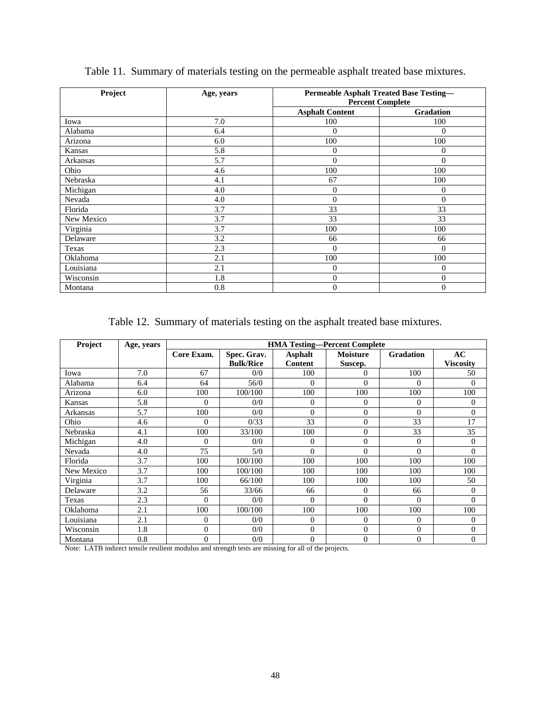| Project    | Age, years | <b>Permeable Asphalt Treated Base Testing-</b><br><b>Percent Complete</b> |                  |  |  |
|------------|------------|---------------------------------------------------------------------------|------------------|--|--|
|            |            | <b>Asphalt Content</b>                                                    | <b>Gradation</b> |  |  |
| Iowa       | 7.0        | 100                                                                       | 100              |  |  |
| Alabama    | 6.4        | $\overline{0}$                                                            | $\Omega$         |  |  |
| Arizona    | 6.0        | 100                                                                       | 100              |  |  |
| Kansas     | 5.8        | $\boldsymbol{0}$                                                          | $\overline{0}$   |  |  |
| Arkansas   | 5.7        | $\mathbf{0}$                                                              | $\theta$         |  |  |
| Ohio       | 4.6        | 100                                                                       | 100              |  |  |
| Nebraska   | 4.1        | 67                                                                        | 100              |  |  |
| Michigan   | 4.0        | $\boldsymbol{0}$                                                          | $\theta$         |  |  |
| Nevada     | 4.0        | $\boldsymbol{0}$                                                          | $\overline{0}$   |  |  |
| Florida    | 3.7        | 33                                                                        | 33               |  |  |
| New Mexico | 3.7        | 33                                                                        | 33               |  |  |
| Virginia   | 3.7        | 100                                                                       | 100              |  |  |
| Delaware   | 3.2        | 66                                                                        | 66               |  |  |
| Texas      | 2.3        | $\mathbf{0}$                                                              | $\theta$         |  |  |
| Oklahoma   | 2.1        | 100                                                                       | 100              |  |  |
| Louisiana  | 2.1        | $\mathbf{0}$                                                              | $\theta$         |  |  |
| Wisconsin  | 1.8        | $\boldsymbol{0}$                                                          | $\mathbf{0}$     |  |  |
| Montana    | 0.8        | $\mathbf{0}$                                                              | $\mathbf{0}$     |  |  |

Table 11. Summary of materials testing on the permeable asphalt treated base mixtures.

Table 12. Summary of materials testing on the asphalt treated base mixtures.

| Project       | Age, years |                | <b>HMA Testing-Percent Complete</b> |                |                  |                  |                  |  |  |  |
|---------------|------------|----------------|-------------------------------------|----------------|------------------|------------------|------------------|--|--|--|
|               |            | Core Exam.     | Spec. Grav.                         | <b>Asphalt</b> | <b>Moisture</b>  | <b>Gradation</b> | AC               |  |  |  |
|               |            |                | <b>Bulk/Rice</b>                    | <b>Content</b> | Suscep.          |                  | <b>Viscosity</b> |  |  |  |
| Iowa          | 7.0        | 67             | 0/0                                 | 100            | 0                | 100              | 50               |  |  |  |
| Alabama       | 6.4        | 64             | 56/0                                | $\Omega$       | $\theta$         | $\Omega$         | $\Omega$         |  |  |  |
| Arizona       | 6.0        | 100            | 100/100                             | 100            | 100              | 100              | 100              |  |  |  |
| <b>Kansas</b> | 5.8        | $\Omega$       | 0/0                                 | $\mathbf{0}$   | $\mathbf{0}$     | $\Omega$         | $\overline{0}$   |  |  |  |
| Arkansas      | 5.7        | 100            | 0/0                                 | $\Omega$       | $\theta$         | $\theta$         | $\mathbf{0}$     |  |  |  |
| Ohio          | 4.6        | $\Omega$       | 0/33                                | 33             | $\theta$         | 33               | 17               |  |  |  |
| Nebraska      | 4.1        | 100            | 33/100                              | 100            | $\theta$         | 33               | 35               |  |  |  |
| Michigan      | 4.0        | $\Omega$       | 0/0                                 | $\Omega$       | $\Omega$         | $\Omega$         | $\mathbf{0}$     |  |  |  |
| Nevada        | 4.0        | 75             | 5/0                                 | $\Omega$       | $\theta$         | $\Omega$         | $\Omega$         |  |  |  |
| Florida       | 3.7        | 100            | 100/100                             | 100            | 100              | 100              | 100              |  |  |  |
| New Mexico    | 3.7        | 100            | 100/100                             | 100            | 100              | 100              | 100              |  |  |  |
| Virginia      | 3.7        | 100            | 66/100                              | 100            | 100              | 100              | 50               |  |  |  |
| Delaware      | 3.2        | 56             | 33/66                               | 66             | 0                | 66               | $\mathbf{0}$     |  |  |  |
| Texas         | 2.3        | $\Omega$       | 0/0                                 | $\Omega$       | $\Omega$         | $\Omega$         | $\Omega$         |  |  |  |
| Oklahoma      | 2.1        | 100            | 100/100                             | 100            | 100              | 100              | 100              |  |  |  |
| Louisiana     | 2.1        | $\Omega$       | 0/0                                 | $\Omega$       | $\Omega$         | $\Omega$         | $\theta$         |  |  |  |
| Wisconsin     | 1.8        | $\Omega$       | 0/0                                 | $\mathbf{0}$   | $\boldsymbol{0}$ | $\theta$         | $\theta$         |  |  |  |
| Montana       | 0.8        | $\overline{0}$ | 0/0                                 | $\mathbf{0}$   | $\boldsymbol{0}$ | $\overline{0}$   | $\theta$         |  |  |  |

Note: LATB indirect tensile resilient modulus and strength tests are missing for all of the projects.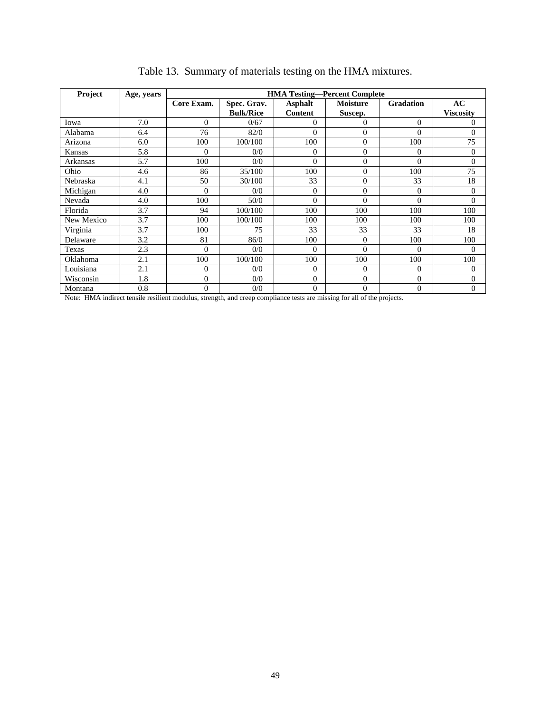| Project       | Age, years |                |                  |                | <b>HMA Testing-Percent Complete</b> |                  |                  |
|---------------|------------|----------------|------------------|----------------|-------------------------------------|------------------|------------------|
|               |            | Core Exam.     | Spec. Grav.      | <b>Asphalt</b> | <b>Moisture</b>                     | <b>Gradation</b> | AC               |
|               |            |                | <b>Bulk/Rice</b> | <b>Content</b> | Suscep.                             |                  | <b>Viscosity</b> |
| Iowa          | 7.0        | $\Omega$       | 0/67             | $\Omega$       | $\Omega$                            | $\Omega$         | 0                |
| Alabama       | 6.4        | 76             | 82/0             | $\Omega$       | $\theta$                            | $\Omega$         | $\overline{0}$   |
| Arizona       | 6.0        | 100            | 100/100          | 100            | $\overline{0}$                      | 100              | 75               |
| <b>Kansas</b> | 5.8        | $\Omega$       | 0/0              | $\Omega$       | $\theta$                            | $\Omega$         | $\overline{0}$   |
| Arkansas      | 5.7        | 100            | 0/0              | $\Omega$       | $\overline{0}$                      | $\theta$         | $\overline{0}$   |
| Ohio          | 4.6        | 86             | 35/100           | 100            | $\overline{0}$                      | 100              | 75               |
| Nebraska      | 4.1        | 50             | 30/100           | 33             | $\theta$                            | 33               | 18               |
| Michigan      | 4.0        | $\theta$       | 0/0              | $\Omega$       | $\theta$                            | $\theta$         | $\overline{0}$   |
| Nevada        | 4.0        | 100            | 50/0             | $\theta$       | $\theta$                            | $\Omega$         | $\theta$         |
| Florida       | 3.7        | 94             | 100/100          | 100            | 100                                 | 100              | 100              |
| New Mexico    | 3.7        | 100            | 100/100          | 100            | 100                                 | 100              | 100              |
| Virginia      | 3.7        | 100            | 75               | 33             | 33                                  | 33               | 18               |
| Delaware      | 3.2        | 81             | 86/0             | 100            | $\theta$                            | 100              | 100              |
| Texas         | 2.3        | $\theta$       | 0/0              | $\Omega$       | $\theta$                            | $\Omega$         | $\Omega$         |
| Oklahoma      | 2.1        | 100            | 100/100          | 100            | 100                                 | 100              | 100              |
| Louisiana     | 2.1        | $\theta$       | 0/0              | $\Omega$       | $\theta$                            | $\Omega$         | $\overline{0}$   |
| Wisconsin     | 1.8        | $\overline{0}$ | 0/0              | $\overline{0}$ | $\overline{0}$                      | $\Omega$         | $\overline{0}$   |
| Montana       | 0.8        | $\overline{0}$ | 0/0              | $\mathbf{0}$   | $\overline{0}$                      | $\overline{0}$   | $\overline{0}$   |

|  | Table 13. Summary of materials testing on the HMA mixtures. |  |  |
|--|-------------------------------------------------------------|--|--|
|  |                                                             |  |  |

Note: HMA indirect tensile resilient modulus, strength, and creep compliance tests are missing for all of the projects.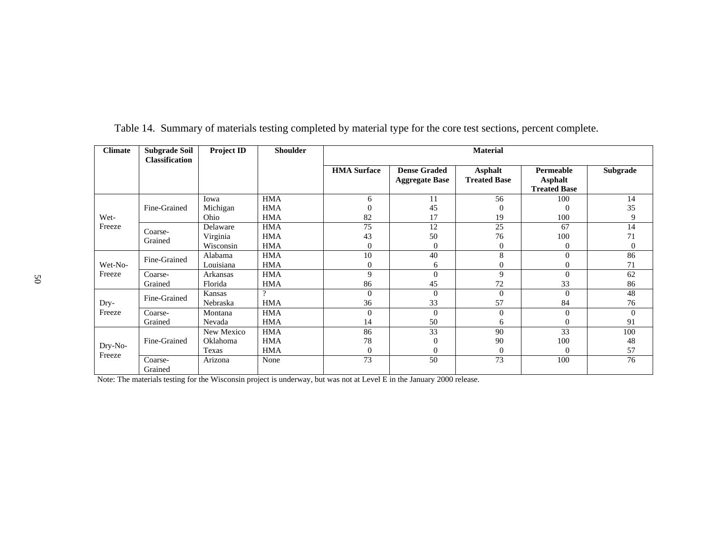| <b>Climate</b>    | <b>Subgrade Soil</b><br>Classification | <b>Project ID</b> | <b>Shoulder</b> | <b>Material</b>    |                                              |                                       |                                                    |          |  |
|-------------------|----------------------------------------|-------------------|-----------------|--------------------|----------------------------------------------|---------------------------------------|----------------------------------------------------|----------|--|
|                   |                                        |                   |                 | <b>HMA</b> Surface | <b>Dense Graded</b><br><b>Aggregate Base</b> | <b>Asphalt</b><br><b>Treated Base</b> | Permeable<br><b>Asphalt</b><br><b>Treated Base</b> | Subgrade |  |
|                   |                                        | Iowa              | <b>HMA</b>      | 6                  | 11                                           | 56                                    | 100                                                | 14       |  |
|                   | Fine-Grained                           | Michigan          | <b>HMA</b>      |                    | 45                                           | $\Omega$                              | $\overline{0}$                                     | 35       |  |
| Wet-              |                                        | Ohio              | <b>HMA</b>      | 82                 | 17                                           | 19                                    | 100                                                | 9        |  |
| Freeze            | Coarse-                                | Delaware          | <b>HMA</b>      | 75                 | 12                                           | 25                                    | 67                                                 | 14       |  |
|                   | Grained                                | Virginia          | <b>HMA</b>      | 43                 | 50                                           | 76                                    | 100                                                | 71       |  |
|                   |                                        | Wisconsin         | <b>HMA</b>      | 0                  | $\Omega$                                     | $\Omega$                              | $\Omega$                                           | $\Omega$ |  |
|                   | Fine-Grained                           | Alabama           | <b>HMA</b>      | 10                 | 40                                           | 8                                     | $\theta$                                           | 86       |  |
| Wet-No-           |                                        | Louisiana         | <b>HMA</b>      | 0                  | 6                                            | $\theta$                              | $\overline{0}$                                     | 71       |  |
| Freeze            | Coarse-                                | <b>Arkansas</b>   | <b>HMA</b>      | 9                  | $\Omega$                                     | 9                                     | $\Omega$                                           | 62       |  |
|                   | Grained                                | Florida           | <b>HMA</b>      | 86                 | 45                                           | 72                                    | 33                                                 | 86       |  |
|                   | Fine-Grained                           | Kansas            | 2               | $\theta$           | $\Omega$                                     | $\theta$                              | $\Omega$                                           | 48       |  |
| Dry-              |                                        | Nebraska          | <b>HMA</b>      | 36                 | 33                                           | 57                                    | 84                                                 | 76       |  |
| Freeze            | Coarse-                                | Montana           | <b>HMA</b>      | $\theta$           | $\Omega$                                     | $\Omega$                              | $\Omega$                                           | $\Omega$ |  |
|                   | Grained                                | Nevada            | <b>HMA</b>      | 14                 | 50                                           | 6                                     | $\theta$                                           | 91       |  |
|                   | Fine-Grained                           | New Mexico        | <b>HMA</b>      | 86                 | 33                                           | 90                                    | 33                                                 | 100      |  |
|                   |                                        | Oklahoma          | <b>HMA</b>      | 78                 | $\Omega$                                     | 90                                    | 100                                                | 48       |  |
| Dry-No-<br>Freeze |                                        | Texas             | <b>HMA</b>      | $\theta$           | $\Omega$                                     | $\Omega$                              | $\Omega$                                           | 57       |  |
|                   | Coarse-<br>Grained                     | Arizona           | None            | 73                 | 50                                           | 73                                    | 100                                                | 76       |  |

Table 14. Summary of materials testing completed by material type for the core test sections, percent complete.

Note: The materials testing for the Wisconsin project is underway, but was not at Level E in the January 2000 release.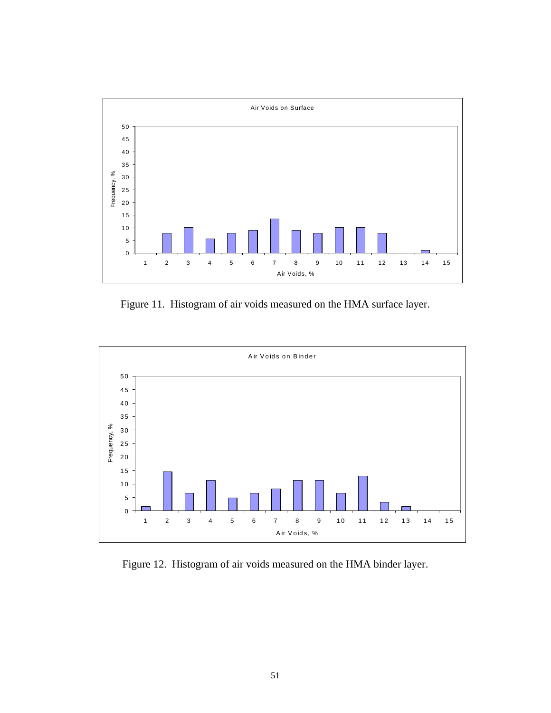

Figure 11. Histogram of air voids measured on the HMA surface layer.



Figure 12. Histogram of air voids measured on the HMA binder layer.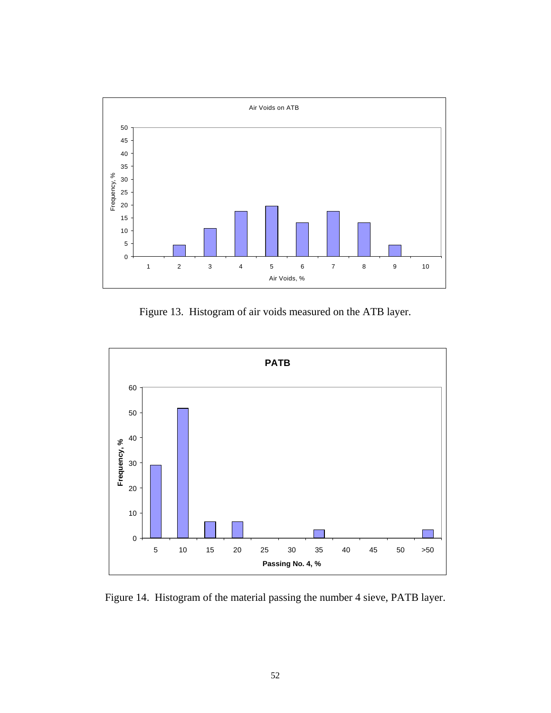

Figure 13. Histogram of air voids measured on the ATB layer.



Figure 14. Histogram of the material passing the number 4 sieve, PATB layer.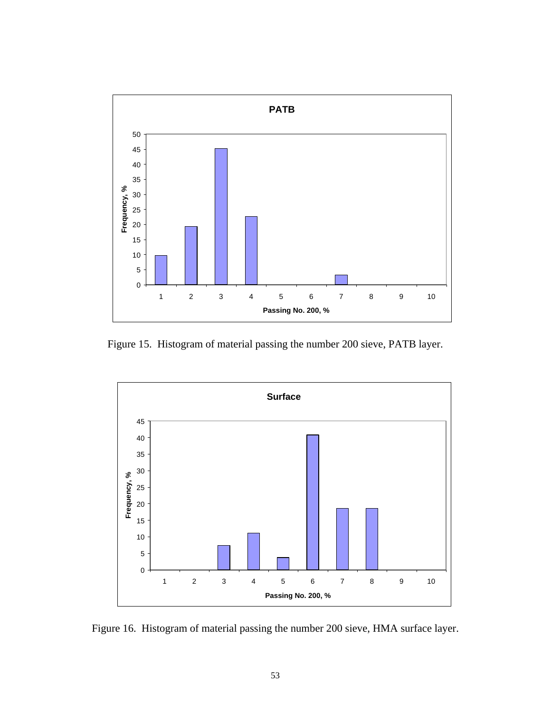

Figure 15. Histogram of material passing the number 200 sieve, PATB layer.



Figure 16. Histogram of material passing the number 200 sieve, HMA surface layer.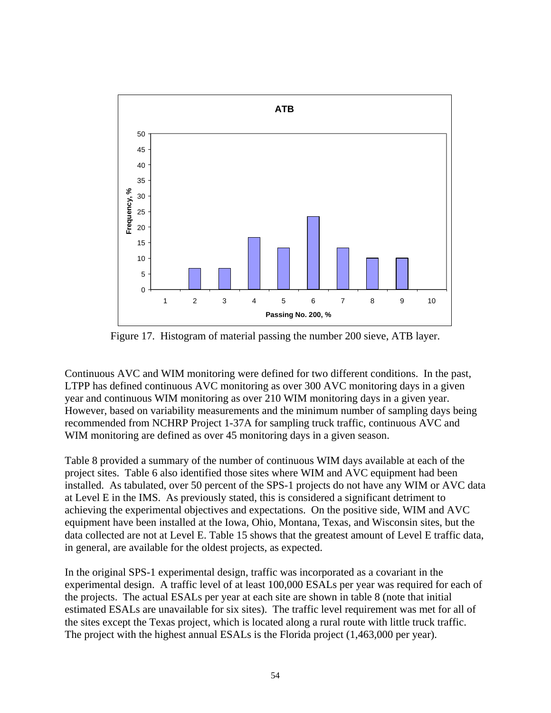

Figure 17. Histogram of material passing the number 200 sieve, ATB layer.

Continuous AVC and WIM monitoring were defined for two different conditions. In the past, LTPP has defined continuous AVC monitoring as over 300 AVC monitoring days in a given year and continuous WIM monitoring as over 210 WIM monitoring days in a given year. However, based on variability measurements and the minimum number of sampling days being recommended from NCHRP Project 1-37A for sampling truck traffic, continuous AVC and WIM monitoring are defined as over 45 monitoring days in a given season.

Table 8 provided a summary of the number of continuous WIM days available at each of the project sites. Table 6 also identified those sites where WIM and AVC equipment had been installed. As tabulated, over 50 percent of the SPS-1 projects do not have any WIM or AVC data at Level E in the IMS. As previously stated, this is considered a significant detriment to achieving the experimental objectives and expectations. On the positive side, WIM and AVC equipment have been installed at the Iowa, Ohio, Montana, Texas, and Wisconsin sites, but the data collected are not at Level E. Table 15 shows that the greatest amount of Level E traffic data, in general, are available for the oldest projects, as expected.

In the original SPS-1 experimental design, traffic was incorporated as a covariant in the experimental design. A traffic level of at least 100,000 ESALs per year was required for each of the projects. The actual ESALs per year at each site are shown in table 8 (note that initial estimated ESALs are unavailable for six sites). The traffic level requirement was met for all of the sites except the Texas project, which is located along a rural route with little truck traffic. The project with the highest annual ESALs is the Florida project (1,463,000 per year).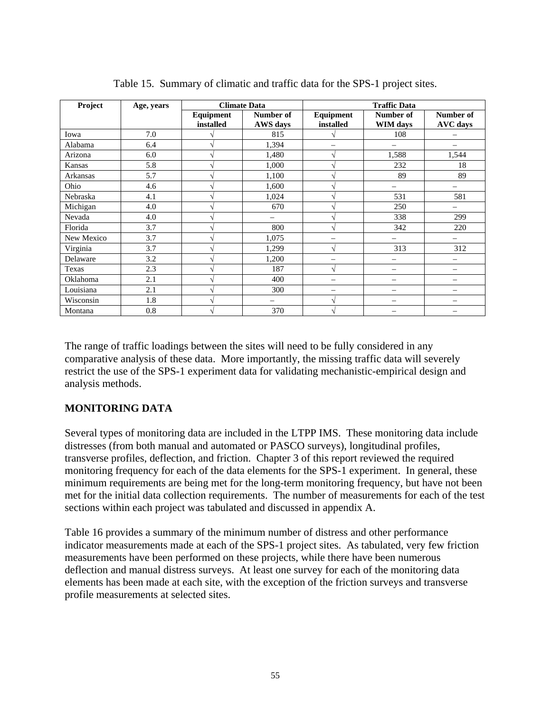| Project       | Age, years | <b>Climate Data</b>        |                          | <b>Traffic Data</b>      |                          |                              |  |
|---------------|------------|----------------------------|--------------------------|--------------------------|--------------------------|------------------------------|--|
|               |            | Equipment<br>installed     | Number of<br>AWS days    | Equipment<br>installed   | Number of<br>WIM days    | Number of<br><b>AVC</b> days |  |
| Iowa          | 7.0        |                            | 815                      |                          | 108                      |                              |  |
| Alabama       | 6.4        | $\boldsymbol{\mathcal{A}}$ | 1,394                    |                          |                          |                              |  |
| Arizona       | 6.0        | $\mathcal{L}$              | 1,480                    | V                        | 1,588                    | 1,544                        |  |
| <b>Kansas</b> | 5.8        | $\lambda$                  | 1,000                    | V                        | 232                      | 18                           |  |
| Arkansas      | 5.7        | $\lambda$                  | 1,100                    | ٦Ι                       | 89                       | 89                           |  |
| Ohio          | 4.6        |                            | 1,600                    |                          |                          |                              |  |
| Nebraska      | 4.1        |                            | 1,024                    |                          | 531                      | 581                          |  |
| Michigan      | 4.0        | $\lambda$                  | 670                      | ٦Ι                       | 250                      | $\overline{\phantom{0}}$     |  |
| Nevada        | 4.0        | $\lambda$                  |                          | V                        | 338                      | 299                          |  |
| Florida       | 3.7        | $\sim$                     | 800                      | V                        | 342                      | 220                          |  |
| New Mexico    | 3.7        | $\boldsymbol{\mathcal{A}}$ | 1,075                    | -                        |                          |                              |  |
| Virginia      | 3.7        |                            | 1,299                    | V                        | 313                      | 312                          |  |
| Delaware      | 3.2        | $\lambda$                  | 1,200                    | -                        |                          |                              |  |
| Texas         | 2.3        | $\lambda$                  | 187                      | V                        | $\overline{\phantom{0}}$ | —                            |  |
| Oklahoma      | 2.1        | $\lambda$                  | 400                      | $\overline{\phantom{0}}$ | $\overline{\phantom{0}}$ |                              |  |
| Louisiana     | 2.1        | $\lambda$                  | 300                      | -                        | -                        |                              |  |
| Wisconsin     | 1.8        | $\lambda$                  | $\overline{\phantom{0}}$ | V                        |                          |                              |  |
| Montana       | 0.8        | $\Delta$                   | 370                      | N                        |                          |                              |  |

Table 15. Summary of climatic and traffic data for the SPS-1 project sites.

The range of traffic loadings between the sites will need to be fully considered in any comparative analysis of these data. More importantly, the missing traffic data will severely restrict the use of the SPS-1 experiment data for validating mechanistic-empirical design and analysis methods.

## **MONITORING DATA**

Several types of monitoring data are included in the LTPP IMS. These monitoring data include distresses (from both manual and automated or PASCO surveys), longitudinal profiles, transverse profiles, deflection, and friction. Chapter 3 of this report reviewed the required monitoring frequency for each of the data elements for the SPS-1 experiment. In general, these minimum requirements are being met for the long-term monitoring frequency, but have not been met for the initial data collection requirements. The number of measurements for each of the test sections within each project was tabulated and discussed in appendix A.

Table 16 provides a summary of the minimum number of distress and other performance indicator measurements made at each of the SPS-1 project sites. As tabulated, very few friction measurements have been performed on these projects, while there have been numerous deflection and manual distress surveys. At least one survey for each of the monitoring data elements has been made at each site, with the exception of the friction surveys and transverse profile measurements at selected sites.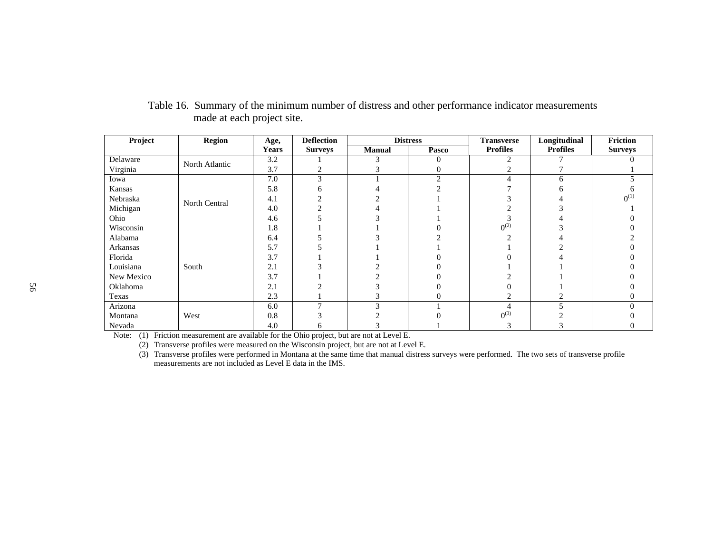| Project    | <b>Region</b>  | Age,         | <b>Deflection</b> | <b>Distress</b> |        | <b>Transverse</b> | Longitudinal    | Friction       |
|------------|----------------|--------------|-------------------|-----------------|--------|-------------------|-----------------|----------------|
|            |                | <b>Years</b> | <b>Surveys</b>    | Manual          | Pasco  | <b>Profiles</b>   | <b>Profiles</b> | <b>Surveys</b> |
| Delaware   | North Atlantic | 3.2          |                   |                 |        |                   |                 |                |
| Virginia   |                | 3.7          |                   |                 |        |                   |                 |                |
| Iowa       |                | 7.0          |                   |                 |        |                   | 6               |                |
| Kansas     |                | 5.8          |                   |                 |        |                   |                 |                |
| Nebraska   | North Central  | 4.1          |                   |                 |        |                   |                 | $0^{(1)}$      |
| Michigan   |                | 4.0          |                   |                 |        |                   |                 |                |
| Ohio       |                | 4.6          |                   |                 |        |                   |                 |                |
| Wisconsin  |                | 1.8          |                   |                 |        | $0^{(2)}$         |                 |                |
| Alabama    |                | 6.4          |                   |                 | $\sim$ | C                 |                 | ⌒              |
| Arkansas   |                | 5.7          |                   |                 |        |                   |                 |                |
| Florida    |                | 3.7          |                   |                 |        |                   |                 |                |
| Louisiana  | South          | 2.1          |                   |                 |        |                   |                 |                |
| New Mexico |                | 3.7          |                   |                 |        |                   |                 |                |
| Oklahoma   |                | 2.1          |                   |                 |        |                   |                 |                |
| Texas      |                | 2.3          |                   |                 |        |                   |                 |                |
| Arizona    |                | 6.0          |                   |                 |        |                   |                 |                |
| Montana    | West           | 0.8          |                   |                 |        | $\Omega^{(3)}$    |                 |                |
| Nevada     |                | 4.0          |                   |                 |        |                   |                 |                |

### Table 16. Summary of the minimum number of distress and other performance indicator measurements made at each project site.

Note: (1) Friction measurement are available for the Ohio project, but are not at Level E.

(2) Transverse profiles were measured on the Wisconsin project, but are not at Level E.

 (3) Transverse profiles were performed in Montana at the same time that manual distress surveys were performed. The two sets of transverse profile measurements are not included as Level E data in the IMS.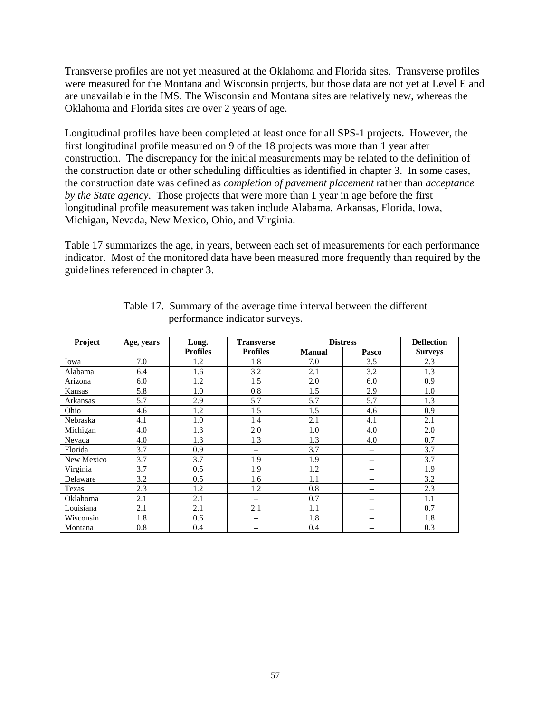Transverse profiles are not yet measured at the Oklahoma and Florida sites. Transverse profiles were measured for the Montana and Wisconsin projects, but those data are not yet at Level E and are unavailable in the IMS. The Wisconsin and Montana sites are relatively new, whereas the Oklahoma and Florida sites are over 2 years of age.

Longitudinal profiles have been completed at least once for all SPS-1 projects. However, the first longitudinal profile measured on 9 of the 18 projects was more than 1 year after construction. The discrepancy for the initial measurements may be related to the definition of the construction date or other scheduling difficulties as identified in chapter 3. In some cases, the construction date was defined as *completion of pavement placement* rather than *acceptance by the State agency*. Those projects that were more than 1 year in age before the first longitudinal profile measurement was taken include Alabama, Arkansas, Florida, Iowa, Michigan, Nevada, New Mexico, Ohio, and Virginia.

Table 17 summarizes the age, in years, between each set of measurements for each performance indicator. Most of the monitored data have been measured more frequently than required by the guidelines referenced in chapter 3.

| Project    | Age, years | Long.           | <b>Transverse</b>        |               | <b>Distress</b> | <b>Deflection</b> |  |
|------------|------------|-----------------|--------------------------|---------------|-----------------|-------------------|--|
|            |            | <b>Profiles</b> | <b>Profiles</b>          | <b>Manual</b> | Pasco           | <b>Surveys</b>    |  |
| Iowa       | 7.0        | 1.2             | 1.8                      | 7.0           | 3.5             | 2.3               |  |
| Alabama    | 6.4        | 1.6             | 3.2                      | 2.1           | 3.2             | 1.3               |  |
| Arizona    | 6.0        | 1.2             | 1.5                      | 2.0           | 6.0             | 0.9               |  |
| Kansas     | 5.8        | 1.0             | 0.8                      | 1.5           | 2.9             | 1.0               |  |
| Arkansas   | 5.7        | 2.9             | 5.7                      | 5.7           | 5.7             | 1.3               |  |
| Ohio       | 4.6        | 1.2             | 1.5                      | 1.5           | 4.6             | 0.9               |  |
| Nebraska   | 4.1        | 1.0             | 1.4                      | 2.1           | 4.1             | 2.1               |  |
| Michigan   | 4.0        | 1.3             | 2.0                      | 1.0           | 4.0             | 2.0               |  |
| Nevada     | 4.0        | 1.3             | 1.3                      | 1.3           | 4.0             | 0.7               |  |
| Florida    | 3.7        | 0.9             |                          | 3.7           | -               | 3.7               |  |
| New Mexico | 3.7        | 3.7             | 1.9                      | 1.9           | -               | 3.7               |  |
| Virginia   | 3.7        | 0.5             | 1.9                      | 1.2           |                 | 1.9               |  |
| Delaware   | 3.2        | 0.5             | 1.6                      | 1.1           |                 | 3.2               |  |
| Texas      | 2.3        | 1.2             | 1.2                      | 0.8           | -               | 2.3               |  |
| Oklahoma   | 2.1        | 2.1             | $\overline{\phantom{0}}$ | 0.7           | -               | 1.1               |  |
| Louisiana  | 2.1        | 2.1             | 2.1                      | 1.1           | -               | 0.7               |  |
| Wisconsin  | 1.8        | 0.6             |                          | 1.8           |                 | 1.8               |  |
| Montana    | 0.8        | 0.4             |                          | 0.4           |                 | 0.3               |  |

Table 17. Summary of the average time interval between the different performance indicator surveys.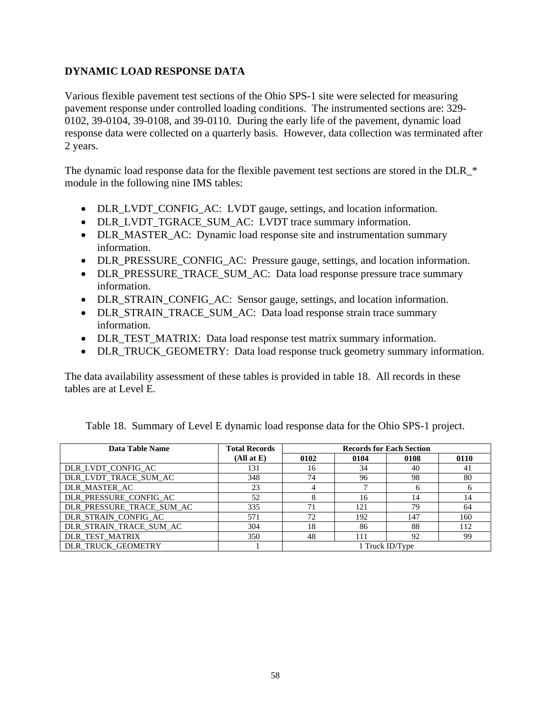### **DYNAMIC LOAD RESPONSE DATA**

Various flexible pavement test sections of the Ohio SPS-1 site were selected for measuring pavement response under controlled loading conditions. The instrumented sections are: 329- 0102, 39-0104, 39-0108, and 39-0110. During the early life of the pavement, dynamic load response data were collected on a quarterly basis. However, data collection was terminated after 2 years.

The dynamic load response data for the flexible pavement test sections are stored in the DLR  $*$ module in the following nine IMS tables:

- DLR\_LVDT\_CONFIG\_AC: LVDT gauge, settings, and location information.
- DLR\_LVDT\_TGRACE\_SUM\_AC: LVDT trace summary information.
- DLR\_MASTER\_AC: Dynamic load response site and instrumentation summary information.
- DLR\_PRESSURE\_CONFIG\_AC: Pressure gauge, settings, and location information.
- DLR\_PRESSURE\_TRACE\_SUM\_AC: Data load response pressure trace summary information.
- DLR\_STRAIN\_CONFIG\_AC: Sensor gauge, settings, and location information.
- DLR\_STRAIN\_TRACE\_SUM\_AC: Data load response strain trace summary information.
- DLR TEST MATRIX: Data load response test matrix summary information.
- DLR\_TRUCK\_GEOMETRY: Data load response truck geometry summary information.

The data availability assessment of these tables is provided in table 18. All records in these tables are at Level E.

| Data Table Name           | <b>Total Records</b> | <b>Records for Each Section</b> |      |                 |      |
|---------------------------|----------------------|---------------------------------|------|-----------------|------|
|                           | (Allat E)            | 0102                            | 0104 | 0108            | 0110 |
| DLR_LVDT_CONFIG_AC        | 131                  | 16                              | 34   | 40              | -41  |
| DLR_LVDT_TRACE_SUM_AC     | 348                  | 74                              | 96   | 98              | 80   |
| DLR MASTER AC             | 23                   |                                 |      |                 |      |
| DLR_PRESSURE_CONFIG_AC    | 52                   | ⌒                               | 16   | 14              |      |
| DLR_PRESSURE_TRACE_SUM_AC | 335                  | 71                              | 121  | 79              | 64   |
| DLR STRAIN CONFIG AC      | 571                  | 72                              | 192  | 147             | 160  |
| DLR STRAIN TRACE SUM AC   | 304                  | 18                              | 86   | 88              | 112  |
| DLR_TEST_MATRIX           | 350                  | 48                              | 111  | 92              | 99   |
| DLR TRUCK GEOMETRY        |                      |                                 |      | 1 Truck ID/Type |      |

Table 18. Summary of Level E dynamic load response data for the Ohio SPS-1 project.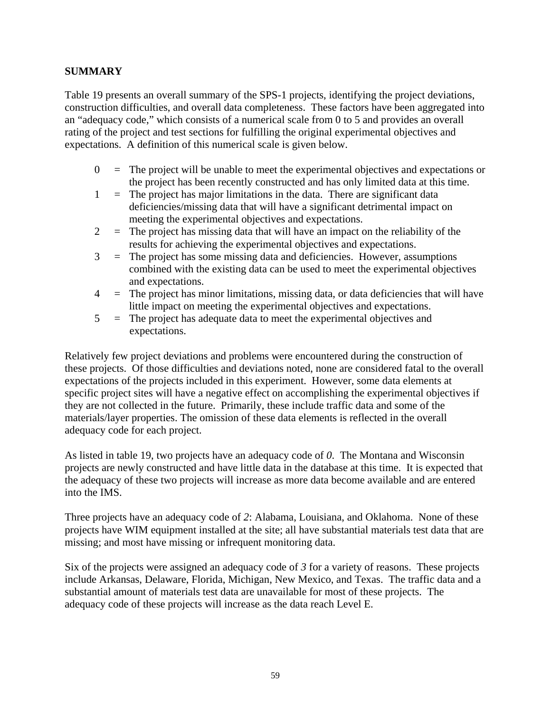### **SUMMARY**

Table 19 presents an overall summary of the SPS-1 projects, identifying the project deviations, construction difficulties, and overall data completeness. These factors have been aggregated into an "adequacy code," which consists of a numerical scale from 0 to 5 and provides an overall rating of the project and test sections for fulfilling the original experimental objectives and expectations. A definition of this numerical scale is given below.

- $0 =$  The project will be unable to meet the experimental objectives and expectations or the project has been recently constructed and has only limited data at this time.
- $1 =$ The project has major limitations in the data. There are significant data deficiencies/missing data that will have a significant detrimental impact on meeting the experimental objectives and expectations.
- $2 =$ The project has missing data that will have an impact on the reliability of the results for achieving the experimental objectives and expectations.
- 3 = The project has some missing data and deficiencies. However, assumptions combined with the existing data can be used to meet the experimental objectives and expectations.
- $4 =$  The project has minor limitations, missing data, or data deficiencies that will have little impact on meeting the experimental objectives and expectations.
- 5 = The project has adequate data to meet the experimental objectives and expectations.

Relatively few project deviations and problems were encountered during the construction of these projects. Of those difficulties and deviations noted, none are considered fatal to the overall expectations of the projects included in this experiment. However, some data elements at specific project sites will have a negative effect on accomplishing the experimental objectives if they are not collected in the future. Primarily, these include traffic data and some of the materials/layer properties. The omission of these data elements is reflected in the overall adequacy code for each project.

As listed in table 19, two projects have an adequacy code of *0*. The Montana and Wisconsin projects are newly constructed and have little data in the database at this time. It is expected that the adequacy of these two projects will increase as more data become available and are entered into the IMS.

Three projects have an adequacy code of *2*: Alabama, Louisiana, and Oklahoma. None of these projects have WIM equipment installed at the site; all have substantial materials test data that are missing; and most have missing or infrequent monitoring data.

Six of the projects were assigned an adequacy code of *3* for a variety of reasons. These projects include Arkansas, Delaware, Florida, Michigan, New Mexico, and Texas. The traffic data and a substantial amount of materials test data are unavailable for most of these projects. The adequacy code of these projects will increase as the data reach Level E.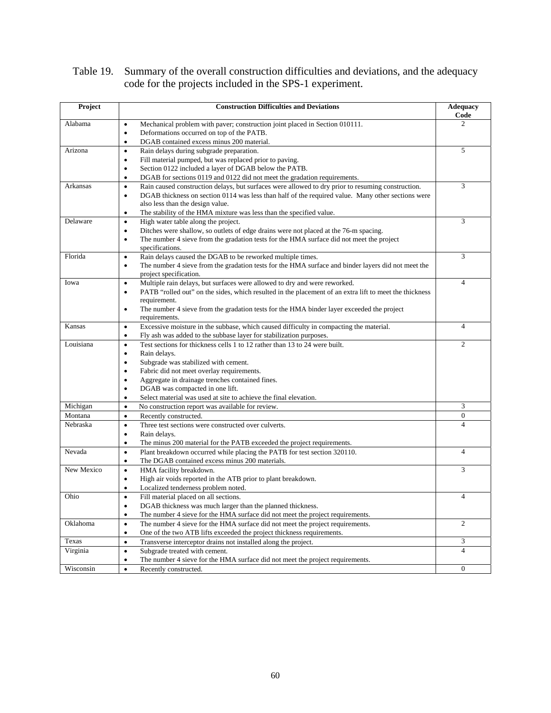| Table 19. Summary of the overall construction difficulties and deviations, and the adequacy |
|---------------------------------------------------------------------------------------------|
| code for the projects included in the SPS-1 experiment.                                     |

| Project    | <b>Construction Difficulties and Deviations</b>                                                                     | <b>Adequacy</b><br>Code |
|------------|---------------------------------------------------------------------------------------------------------------------|-------------------------|
| Alabama    | Mechanical problem with paver; construction joint placed in Section 010111.<br>$\bullet$                            | 2                       |
|            | Deformations occurred on top of the PATB.<br>$\bullet$                                                              |                         |
|            | DGAB contained excess minus 200 material.<br>$\bullet$                                                              |                         |
| Arizona    | Rain delays during subgrade preparation.<br>$\bullet$                                                               | 5                       |
|            | Fill material pumped, but was replaced prior to paving.<br>$\bullet$                                                |                         |
|            | Section 0122 included a layer of DGAB below the PATB.<br>$\bullet$                                                  |                         |
|            | DGAB for sections 0119 and 0122 did not meet the gradation requirements.<br>٠                                       |                         |
| Arkansas   | Rain caused construction delays, but surfaces were allowed to dry prior to resuming construction.<br>$\bullet$      | 3                       |
|            | DGAB thickness on section 0114 was less than half of the required value. Many other sections were<br>$\bullet$      |                         |
|            | also less than the design value.                                                                                    |                         |
|            | The stability of the HMA mixture was less than the specified value.<br>$\bullet$                                    |                         |
| Delaware   | High water table along the project.<br>$\bullet$                                                                    | 3                       |
|            | Ditches were shallow, so outlets of edge drains were not placed at the 76-m spacing.<br>$\bullet$                   |                         |
|            | The number 4 sieve from the gradation tests for the HMA surface did not meet the project<br>$\bullet$               |                         |
|            | specifications.                                                                                                     |                         |
| Florida    | Rain delays caused the DGAB to be reworked multiple times.<br>$\bullet$                                             | 3                       |
|            | The number 4 sieve from the gradation tests for the HMA surface and binder layers did not meet the<br>٠             |                         |
|            | project specification.                                                                                              |                         |
| Iowa       | Multiple rain delays, but surfaces were allowed to dry and were reworked.<br>$\bullet$                              | $\overline{4}$          |
|            | PATB "rolled out" on the sides, which resulted in the placement of an extra lift to meet the thickness<br>$\bullet$ |                         |
|            | requirement.                                                                                                        |                         |
|            | The number 4 sieve from the gradation tests for the HMA binder layer exceeded the project<br>$\bullet$              |                         |
|            | requirements.                                                                                                       |                         |
| Kansas     | Excessive moisture in the subbase, which caused difficulty in compacting the material.<br>$\bullet$                 | $\overline{4}$          |
|            | Fly ash was added to the subbase layer for stabilization purposes.<br>$\bullet$                                     |                         |
| Louisiana  | Test sections for thickness cells 1 to 12 rather than 13 to 24 were built.<br>$\bullet$                             | $\overline{c}$          |
|            | Rain delays.<br>$\bullet$                                                                                           |                         |
|            | Subgrade was stabilized with cement.<br>$\bullet$                                                                   |                         |
|            | Fabric did not meet overlay requirements.<br>$\bullet$                                                              |                         |
|            | Aggregate in drainage trenches contained fines.<br>٠                                                                |                         |
|            | DGAB was compacted in one lift.<br>$\bullet$                                                                        |                         |
|            | Select material was used at site to achieve the final elevation.<br>$\bullet$                                       |                         |
| Michigan   | No construction report was available for review.<br>$\bullet$                                                       | 3                       |
| Montana    | Recently constructed.<br>$\bullet$                                                                                  | $\boldsymbol{0}$        |
| Nebraska   |                                                                                                                     | $\overline{4}$          |
|            | Three test sections were constructed over culverts.<br>$\bullet$                                                    |                         |
|            | Rain delays.<br>٠                                                                                                   |                         |
|            | The minus 200 material for the PATB exceeded the project requirements.<br>$\bullet$                                 |                         |
| Nevada     | Plant breakdown occurred while placing the PATB for test section 320110.<br>$\bullet$                               | 4                       |
|            | The DGAB contained excess minus 200 materials.<br>$\bullet$                                                         |                         |
| New Mexico | $\bullet$<br>HMA facility breakdown.                                                                                | 3                       |
|            | High air voids reported in the ATB prior to plant breakdown.<br>$\bullet$                                           |                         |
|            | Localized tenderness problem noted.<br>٠                                                                            |                         |
| Ohio       | $\bullet$<br>Fill material placed on all sections.                                                                  | $\overline{4}$          |
|            | DGAB thickness was much larger than the planned thickness.<br>٠                                                     |                         |
|            | The number 4 sieve for the HMA surface did not meet the project requirements.<br>$\bullet$                          |                         |
| Oklahoma   | $\bullet$<br>The number 4 sieve for the HMA surface did not meet the project requirements.                          | $\overline{c}$          |
|            | One of the two ATB lifts exceeded the project thickness requirements.<br>$\bullet$                                  |                         |
| Texas      | Transverse interceptor drains not installed along the project.<br>$\bullet$                                         | 3                       |
| Virginia   | Subgrade treated with cement.<br>$\bullet$                                                                          | $\overline{4}$          |
|            | The number 4 sieve for the HMA surface did not meet the project requirements.<br>$\bullet$                          |                         |
| Wisconsin  | Recently constructed.<br>$\bullet$                                                                                  | $\boldsymbol{0}$        |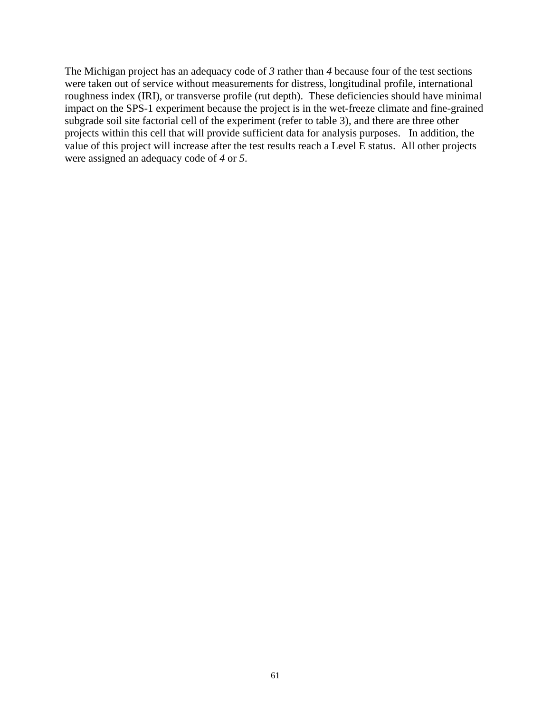The Michigan project has an adequacy code of *3* rather than *4* because four of the test sections were taken out of service without measurements for distress, longitudinal profile, international roughness index (IRI), or transverse profile (rut depth). These deficiencies should have minimal impact on the SPS-1 experiment because the project is in the wet-freeze climate and fine-grained subgrade soil site factorial cell of the experiment (refer to table 3), and there are three other projects within this cell that will provide sufficient data for analysis purposes. In addition, the value of this project will increase after the test results reach a Level E status. All other projects were assigned an adequacy code of *4* or *5*.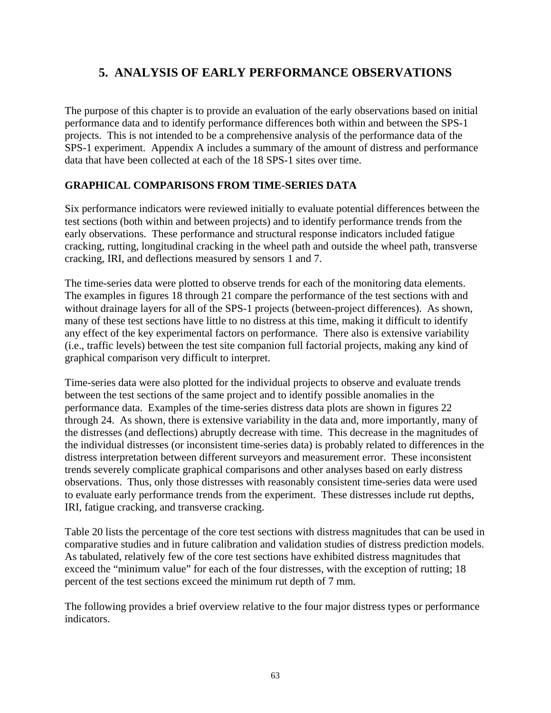# **5. ANALYSIS OF EARLY PERFORMANCE OBSERVATIONS**

The purpose of this chapter is to provide an evaluation of the early observations based on initial performance data and to identify performance differences both within and between the SPS-1 projects. This is not intended to be a comprehensive analysis of the performance data of the SPS-1 experiment. Appendix A includes a summary of the amount of distress and performance data that have been collected at each of the 18 SPS-1 sites over time.

## **GRAPHICAL COMPARISONS FROM TIME-SERIES DATA**

Six performance indicators were reviewed initially to evaluate potential differences between the test sections (both within and between projects) and to identify performance trends from the early observations. These performance and structural response indicators included fatigue cracking, rutting, longitudinal cracking in the wheel path and outside the wheel path, transverse cracking, IRI, and deflections measured by sensors 1 and 7.

The time-series data were plotted to observe trends for each of the monitoring data elements. The examples in figures 18 through 21 compare the performance of the test sections with and without drainage layers for all of the SPS-1 projects (between-project differences). As shown, many of these test sections have little to no distress at this time, making it difficult to identify any effect of the key experimental factors on performance. There also is extensive variability (i.e., traffic levels) between the test site companion full factorial projects, making any kind of graphical comparison very difficult to interpret.

Time-series data were also plotted for the individual projects to observe and evaluate trends between the test sections of the same project and to identify possible anomalies in the performance data. Examples of the time-series distress data plots are shown in figures 22 through 24. As shown, there is extensive variability in the data and, more importantly, many of the distresses (and deflections) abruptly decrease with time. This decrease in the magnitudes of the individual distresses (or inconsistent time-series data) is probably related to differences in the distress interpretation between different surveyors and measurement error. These inconsistent trends severely complicate graphical comparisons and other analyses based on early distress observations. Thus, only those distresses with reasonably consistent time-series data were used to evaluate early performance trends from the experiment. These distresses include rut depths, IRI, fatigue cracking, and transverse cracking.

Table 20 lists the percentage of the core test sections with distress magnitudes that can be used in comparative studies and in future calibration and validation studies of distress prediction models. As tabulated, relatively few of the core test sections have exhibited distress magnitudes that exceed the "minimum value" for each of the four distresses, with the exception of rutting; 18 percent of the test sections exceed the minimum rut depth of 7 mm.

The following provides a brief overview relative to the four major distress types or performance indicators.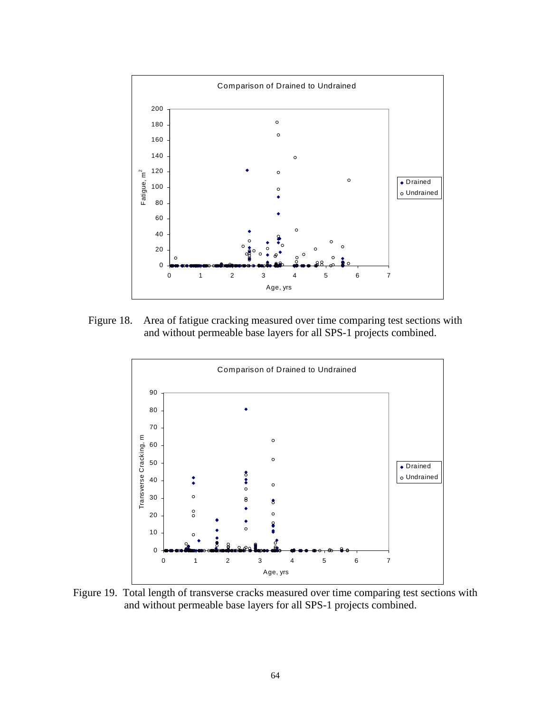

Figure 18. Area of fatigue cracking measured over time comparing test sections with and without permeable base layers for all SPS-1 projects combined.



Figure 19. Total length of transverse cracks measured over time comparing test sections with and without permeable base layers for all SPS-1 projects combined.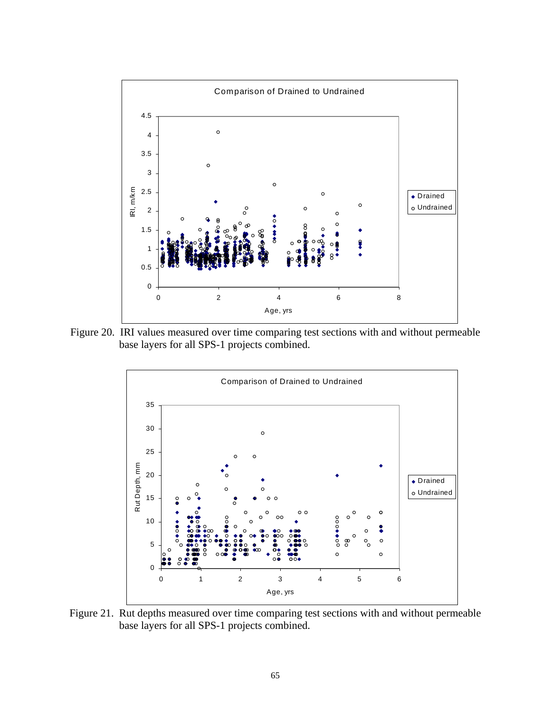

Figure 20. IRI values measured over time comparing test sections with and without permeable base layers for all SPS-1 projects combined.



Figure 21. Rut depths measured over time comparing test sections with and without permeable base layers for all SPS-1 projects combined.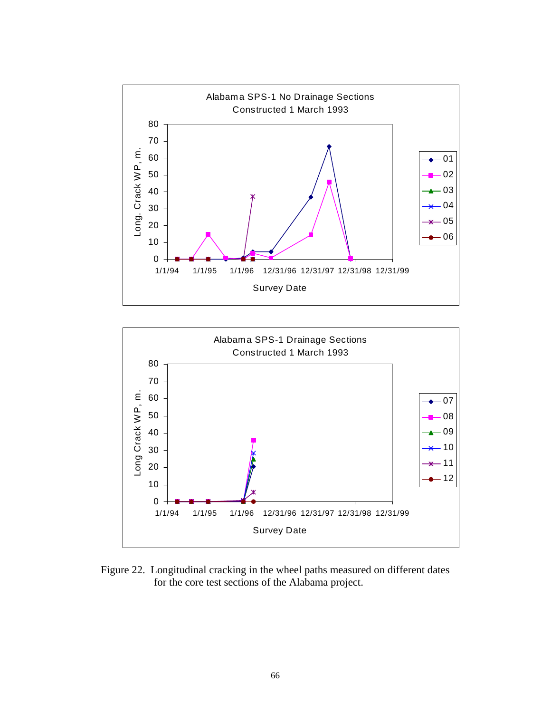



Figure 22. Longitudinal cracking in the wheel paths measured on different dates for the core test sections of the Alabama project.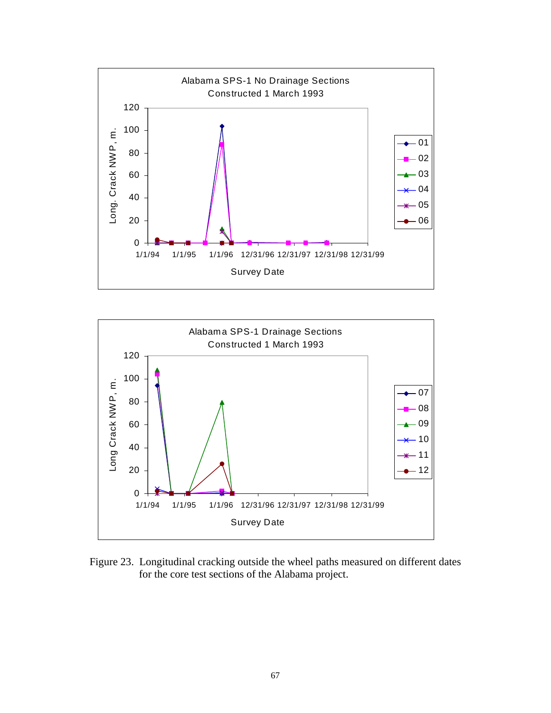



Figure 23. Longitudinal cracking outside the wheel paths measured on different dates for the core test sections of the Alabama project.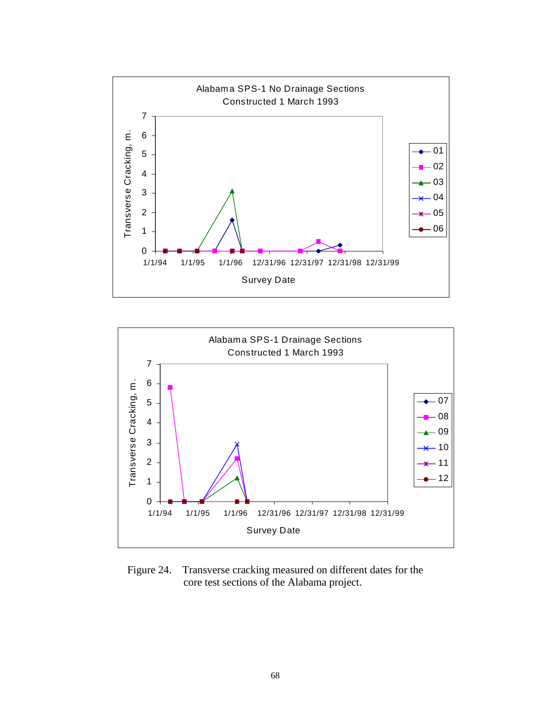



Figure 24. Transverse cracking measured on different dates for the core test sections of the Alabama project.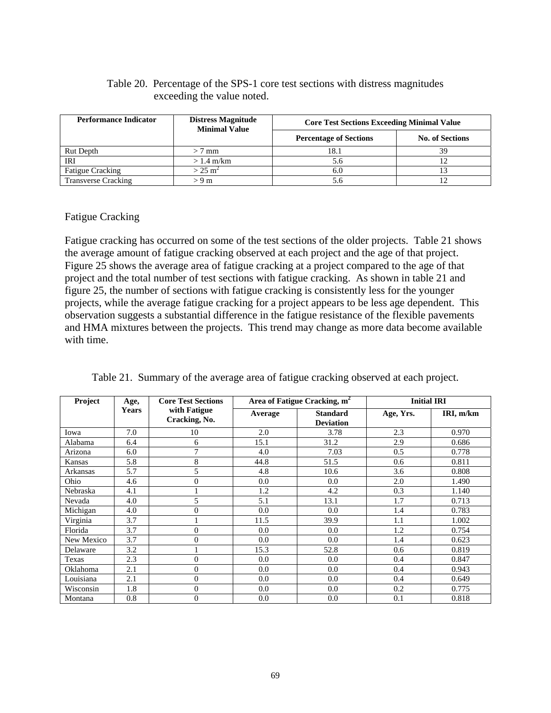#### Table 20. Percentage of the SPS-1 core test sections with distress magnitudes exceeding the value noted.

| <b>Performance Indicator</b> | <b>Distress Magnitude</b><br><b>Minimal Value</b> | <b>Core Test Sections Exceeding Minimal Value</b> |                        |
|------------------------------|---------------------------------------------------|---------------------------------------------------|------------------------|
|                              |                                                   | <b>Percentage of Sections</b>                     | <b>No. of Sections</b> |
| Rut Depth                    | $> 7$ mm                                          | 18.1                                              | 39                     |
| IRI                          | $> 1.4$ m/km                                      | 5.6                                               |                        |
| <b>Fatigue Cracking</b>      | $>$ 25 m <sup>2</sup>                             | 6.0                                               |                        |
| <b>Transverse Cracking</b>   | > 9 m                                             | 5.6                                               |                        |

#### Fatigue Cracking

Fatigue cracking has occurred on some of the test sections of the older projects. Table 21 shows the average amount of fatigue cracking observed at each project and the age of that project. Figure 25 shows the average area of fatigue cracking at a project compared to the age of that project and the total number of test sections with fatigue cracking. As shown in table 21 and figure 25, the number of sections with fatigue cracking is consistently less for the younger projects, while the average fatigue cracking for a project appears to be less age dependent. This observation suggests a substantial difference in the fatigue resistance of the flexible pavements and HMA mixtures between the projects. This trend may change as more data become available with time.

| Project       | Age,         | <b>Core Test Sections</b>     |         | Area of Fatigue Cracking, m <sup>2</sup> |           | <b>Initial IRI</b> |
|---------------|--------------|-------------------------------|---------|------------------------------------------|-----------|--------------------|
|               | <b>Years</b> | with Fatigue<br>Cracking, No. | Average | <b>Standard</b><br><b>Deviation</b>      | Age, Yrs. | IRI, m/km          |
| Iowa          | 7.0          | 10                            | 2.0     | 3.78                                     | 2.3       | 0.970              |
| Alabama       | 6.4          | 6                             | 15.1    | 31.2                                     | 2.9       | 0.686              |
| Arizona       | 6.0          | 7                             | 4.0     | 7.03                                     | 0.5       | 0.778              |
| <b>Kansas</b> | 5.8          | 8                             | 44.8    | 51.5                                     | 0.6       | 0.811              |
| Arkansas      | 5.7          | 5                             | 4.8     | 10.6                                     | 3.6       | 0.808              |
| Ohio          | 4.6          | $\overline{0}$                | 0.0     | 0.0                                      | 2.0       | 1.490              |
| Nebraska      | 4.1          |                               | 1.2     | 4.2                                      | 0.3       | 1.140              |
| Nevada        | 4.0          | $\overline{5}$                | 5.1     | 13.1                                     | 1.7       | 0.713              |
| Michigan      | 4.0          | $\overline{0}$                | 0.0     | 0.0                                      | 1.4       | 0.783              |
| Virginia      | 3.7          |                               | 11.5    | 39.9                                     | 1.1       | 1.002              |
| Florida       | 3.7          | $\theta$                      | 0.0     | 0.0                                      | 1.2       | 0.754              |
| New Mexico    | 3.7          | $\theta$                      | 0.0     | 0.0                                      | 1.4       | 0.623              |
| Delaware      | 3.2          |                               | 15.3    | 52.8                                     | 0.6       | 0.819              |
| Texas         | 2.3          | $\theta$                      | 0.0     | 0.0                                      | 0.4       | 0.847              |
| Oklahoma      | 2.1          | $\theta$                      | 0.0     | 0.0                                      | 0.4       | 0.943              |
| Louisiana     | 2.1          | $\theta$                      | 0.0     | 0.0                                      | 0.4       | 0.649              |
| Wisconsin     | 1.8          | $\Omega$                      | 0.0     | 0.0                                      | 0.2       | 0.775              |
| Montana       | 0.8          | $\overline{0}$                | 0.0     | 0.0                                      | 0.1       | 0.818              |

| Table 21. Summary of the average area of fatigue cracking observed at each project. |  |  |  |  |  |
|-------------------------------------------------------------------------------------|--|--|--|--|--|
|                                                                                     |  |  |  |  |  |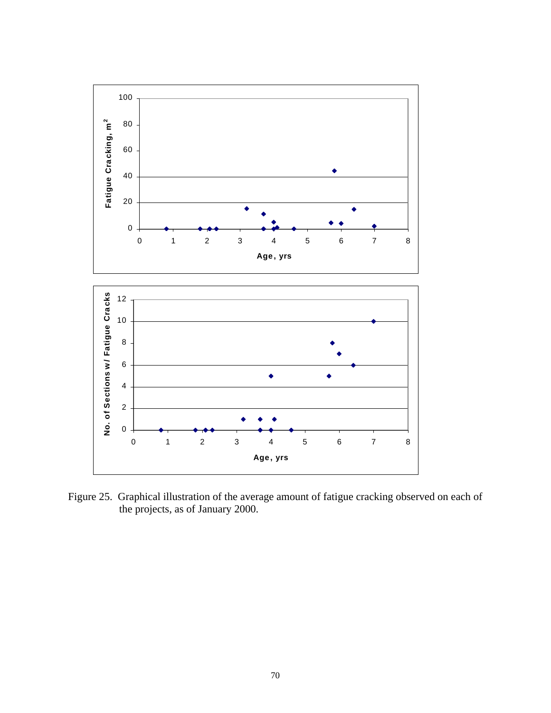

Figure 25. Graphical illustration of the average amount of fatigue cracking observed on each of the projects, as of January 2000.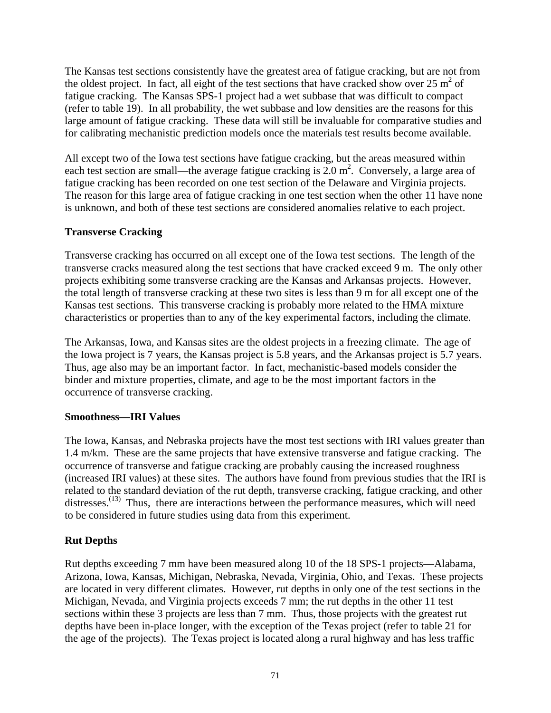The Kansas test sections consistently have the greatest area of fatigue cracking, but are not from the oldest project. In fact, all eight of the test sections that have cracked show over  $25 \text{ m}^2$  of fatigue cracking. The Kansas SPS-1 project had a wet subbase that was difficult to compact (refer to table 19). In all probability, the wet subbase and low densities are the reasons for this large amount of fatigue cracking. These data will still be invaluable for comparative studies and for calibrating mechanistic prediction models once the materials test results become available.

All except two of the Iowa test sections have fatigue cracking, but the areas measured within each test section are small—the average fatigue cracking is  $2.0 \text{ m}^2$ . Conversely, a large area of fatigue cracking has been recorded on one test section of the Delaware and Virginia projects. The reason for this large area of fatigue cracking in one test section when the other 11 have none is unknown, and both of these test sections are considered anomalies relative to each project.

### **Transverse Cracking**

Transverse cracking has occurred on all except one of the Iowa test sections. The length of the transverse cracks measured along the test sections that have cracked exceed 9 m. The only other projects exhibiting some transverse cracking are the Kansas and Arkansas projects. However, the total length of transverse cracking at these two sites is less than 9 m for all except one of the Kansas test sections. This transverse cracking is probably more related to the HMA mixture characteristics or properties than to any of the key experimental factors, including the climate.

The Arkansas, Iowa, and Kansas sites are the oldest projects in a freezing climate. The age of the Iowa project is 7 years, the Kansas project is 5.8 years, and the Arkansas project is 5.7 years. Thus, age also may be an important factor. In fact, mechanistic-based models consider the binder and mixture properties, climate, and age to be the most important factors in the occurrence of transverse cracking.

### **Smoothness—IRI Values**

The Iowa, Kansas, and Nebraska projects have the most test sections with IRI values greater than 1.4 m/km. These are the same projects that have extensive transverse and fatigue cracking. The occurrence of transverse and fatigue cracking are probably causing the increased roughness (increased IRI values) at these sites. The authors have found from previous studies that the IRI is related to the standard deviation of the rut depth, transverse cracking, fatigue cracking, and other distresses.<sup> $(13)$ </sup> Thus, there are interactions between the performance measures, which will need to be considered in future studies using data from this experiment.

### **Rut Depths**

Rut depths exceeding 7 mm have been measured along 10 of the 18 SPS-1 projects—Alabama, Arizona, Iowa, Kansas, Michigan, Nebraska, Nevada, Virginia, Ohio, and Texas. These projects are located in very different climates. However, rut depths in only one of the test sections in the Michigan, Nevada, and Virginia projects exceeds 7 mm; the rut depths in the other 11 test sections within these 3 projects are less than 7 mm. Thus, those projects with the greatest rut depths have been in-place longer, with the exception of the Texas project (refer to table 21 for the age of the projects). The Texas project is located along a rural highway and has less traffic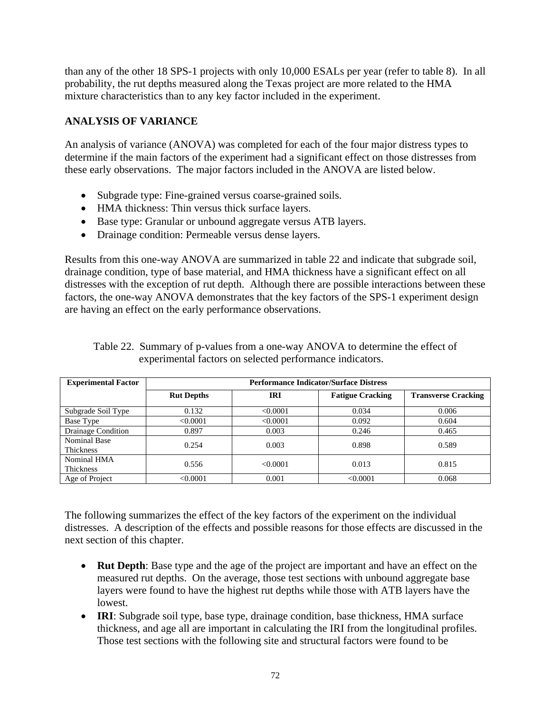than any of the other 18 SPS-1 projects with only 10,000 ESALs per year (refer to table 8). In all probability, the rut depths measured along the Texas project are more related to the HMA mixture characteristics than to any key factor included in the experiment.

# **ANALYSIS OF VARIANCE**

An analysis of variance (ANOVA) was completed for each of the four major distress types to determine if the main factors of the experiment had a significant effect on those distresses from these early observations. The major factors included in the ANOVA are listed below.

- Subgrade type: Fine-grained versus coarse-grained soils.
- HMA thickness: Thin versus thick surface layers.
- Base type: Granular or unbound aggregate versus ATB layers.
- Drainage condition: Permeable versus dense layers.

Results from this one-way ANOVA are summarized in table 22 and indicate that subgrade soil, drainage condition, type of base material, and HMA thickness have a significant effect on all distresses with the exception of rut depth. Although there are possible interactions between these factors, the one-way ANOVA demonstrates that the key factors of the SPS-1 experiment design are having an effect on the early performance observations.

| <b>Experimental Factor</b>       | <b>Performance Indicator/Surface Distress</b> |            |                         |                            |  |  |
|----------------------------------|-----------------------------------------------|------------|-------------------------|----------------------------|--|--|
|                                  | <b>Rut Depths</b>                             | <b>IRI</b> | <b>Fatigue Cracking</b> | <b>Transverse Cracking</b> |  |  |
| Subgrade Soil Type               | 0.132                                         | < 0.0001   | 0.034                   | 0.006                      |  |  |
| Base Type                        | < 0.0001                                      | < 0.0001   | 0.092                   | 0.604                      |  |  |
| Drainage Condition               | 0.897                                         | 0.003      | 0.246                   | 0.465                      |  |  |
| Nominal Base<br><b>Thickness</b> | 0.254                                         | 0.003      | 0.898                   | 0.589                      |  |  |
| Nominal HMA<br>Thickness         | 0.556                                         | <0.0001    | 0.013                   | 0.815                      |  |  |
| Age of Project                   | < 0.0001                                      | 0.001      | < 0.0001                | 0.068                      |  |  |

Table 22. Summary of p-values from a one-way ANOVA to determine the effect of experimental factors on selected performance indicators.

The following summarizes the effect of the key factors of the experiment on the individual distresses. A description of the effects and possible reasons for those effects are discussed in the next section of this chapter.

- **Rut Depth**: Base type and the age of the project are important and have an effect on the measured rut depths. On the average, those test sections with unbound aggregate base layers were found to have the highest rut depths while those with ATB layers have the lowest.
- **IRI**: Subgrade soil type, base type, drainage condition, base thickness, HMA surface thickness, and age all are important in calculating the IRI from the longitudinal profiles. Those test sections with the following site and structural factors were found to be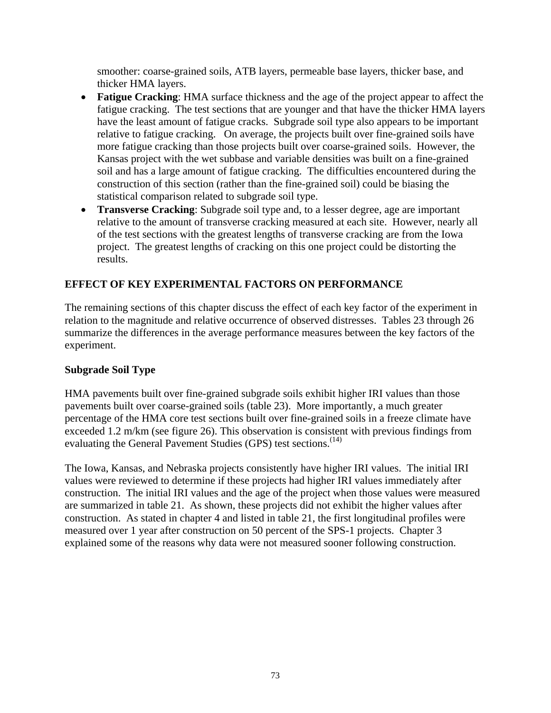smoother: coarse-grained soils, ATB layers, permeable base layers, thicker base, and thicker HMA layers.

- **Fatigue Cracking**: HMA surface thickness and the age of the project appear to affect the fatigue cracking. The test sections that are younger and that have the thicker HMA layers have the least amount of fatigue cracks. Subgrade soil type also appears to be important relative to fatigue cracking. On average, the projects built over fine-grained soils have more fatigue cracking than those projects built over coarse-grained soils. However, the Kansas project with the wet subbase and variable densities was built on a fine-grained soil and has a large amount of fatigue cracking. The difficulties encountered during the construction of this section (rather than the fine-grained soil) could be biasing the statistical comparison related to subgrade soil type.
- **Transverse Cracking**: Subgrade soil type and, to a lesser degree, age are important relative to the amount of transverse cracking measured at each site. However, nearly all of the test sections with the greatest lengths of transverse cracking are from the Iowa project. The greatest lengths of cracking on this one project could be distorting the results.

## **EFFECT OF KEY EXPERIMENTAL FACTORS ON PERFORMANCE**

The remaining sections of this chapter discuss the effect of each key factor of the experiment in relation to the magnitude and relative occurrence of observed distresses. Tables 23 through 26 summarize the differences in the average performance measures between the key factors of the experiment.

### **Subgrade Soil Type**

HMA pavements built over fine-grained subgrade soils exhibit higher IRI values than those pavements built over coarse-grained soils (table 23). More importantly, a much greater percentage of the HMA core test sections built over fine-grained soils in a freeze climate have exceeded 1.2 m/km (see figure 26). This observation is consistent with previous findings from evaluating the General Pavement Studies (GPS) test sections.<sup>(14)</sup>

The Iowa, Kansas, and Nebraska projects consistently have higher IRI values. The initial IRI values were reviewed to determine if these projects had higher IRI values immediately after construction. The initial IRI values and the age of the project when those values were measured are summarized in table 21. As shown, these projects did not exhibit the higher values after construction. As stated in chapter 4 and listed in table 21, the first longitudinal profiles were measured over 1 year after construction on 50 percent of the SPS-1 projects. Chapter 3 explained some of the reasons why data were not measured sooner following construction.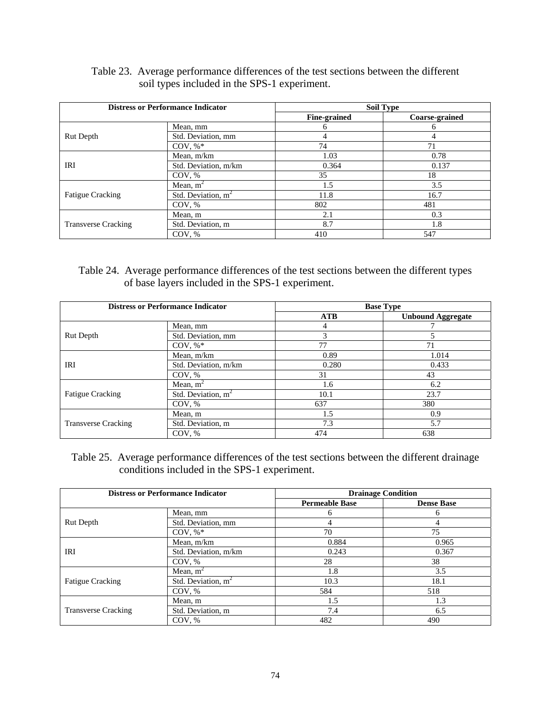### Table 23. Average performance differences of the test sections between the different soil types included in the SPS-1 experiment.

|                            | <b>Distress or Performance Indicator</b> |                     | <b>Soil Type</b> |
|----------------------------|------------------------------------------|---------------------|------------------|
|                            |                                          | <b>Fine-grained</b> | Coarse-grained   |
|                            | Mean, mm                                 | 6                   | n                |
| <b>Rut Depth</b>           | Std. Deviation, mm                       |                     |                  |
|                            | COV, $\%^*$                              | 74                  | 71               |
|                            | Mean, m/km                               | 1.03                | 0.78             |
| IRI                        | Std. Deviation, m/km                     | 0.364               | 0.137            |
|                            | COV, %                                   | 35                  | 18               |
|                            | Mean, $m^2$                              | 1.5                 | 3.5              |
| <b>Fatigue Cracking</b>    | Std. Deviation, $m2$                     | 11.8                | 16.7             |
|                            | COV, %                                   | 802                 | 481              |
|                            | Mean, m                                  | 2.1                 | 0.3              |
| <b>Transverse Cracking</b> | Std. Deviation, m                        | 8.7                 | 1.8              |
|                            | COV, %                                   | 410                 | 547              |

# Table 24. Average performance differences of the test sections between the different types of base layers included in the SPS-1 experiment.

|                            | <b>Distress or Performance Indicator</b> | <b>Base Type</b> |                          |  |
|----------------------------|------------------------------------------|------------------|--------------------------|--|
|                            |                                          | ATB              | <b>Unbound Aggregate</b> |  |
|                            | Mean, mm                                 | 4                |                          |  |
| <b>Rut Depth</b>           | Std. Deviation, mm                       | 3                |                          |  |
|                            | COV. $%^*$                               | 77               | 71                       |  |
|                            | Mean, m/km                               | 0.89             | 1.014                    |  |
| IRI                        | Std. Deviation, m/km                     | 0.280            | 0.433                    |  |
|                            | COV, %                                   | 31               | 43                       |  |
|                            | Mean, $m^2$                              | 1.6              | 6.2                      |  |
| <b>Fatigue Cracking</b>    | Std. Deviation, $m^2$                    | 10.1             | 23.7                     |  |
|                            | COV, %                                   | 637              | 380                      |  |
|                            | Mean, m                                  | 1.5              | 0.9                      |  |
| <b>Transverse Cracking</b> | Std. Deviation, m                        | 7.3              | 5.7                      |  |
|                            | COV, %                                   | 474              | 638                      |  |

Table 25. Average performance differences of the test sections between the different drainage conditions included in the SPS-1 experiment.

| <b>Distress or Performance Indicator</b> |                       | <b>Drainage Condition</b> |                   |  |
|------------------------------------------|-----------------------|---------------------------|-------------------|--|
|                                          |                       | <b>Permeable Base</b>     | <b>Dense Base</b> |  |
|                                          | Mean, mm              | h                         | 6                 |  |
| <b>Rut Depth</b>                         | Std. Deviation, mm    |                           | 4                 |  |
|                                          | $COV, %*$             | 70                        | 75                |  |
|                                          | Mean, m/km            | 0.884                     | 0.965             |  |
| IRI                                      | Std. Deviation, m/km  | 0.243                     | 0.367             |  |
|                                          | COV, %                | 28                        | 38                |  |
|                                          | Mean, $m^2$           | 1.8                       | 3.5               |  |
| <b>Fatigue Cracking</b>                  | Std. Deviation, $m^2$ | 10.3                      | 18.1              |  |
|                                          | COV, %                | 584                       | 518               |  |
|                                          | Mean, m               | 1.5                       | 1.3               |  |
| <b>Transverse Cracking</b>               | Std. Deviation, m     | 7.4                       | 6.5               |  |
|                                          | COV, %                | 482                       | 490               |  |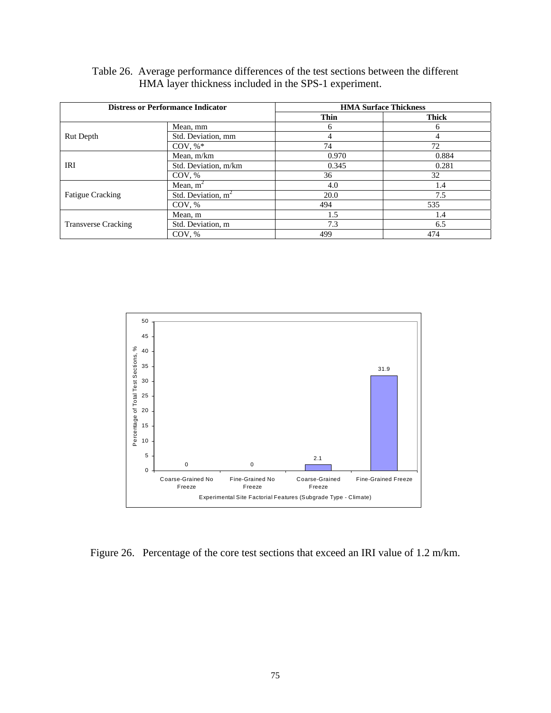| Table 26. Average performance differences of the test sections between the different |
|--------------------------------------------------------------------------------------|
| HMA layer thickness included in the SPS-1 experiment.                                |

|                            | <b>Distress or Performance Indicator</b> | <b>HMA Surface Thickness</b> |              |  |
|----------------------------|------------------------------------------|------------------------------|--------------|--|
|                            |                                          | <b>Thin</b>                  | <b>Thick</b> |  |
|                            | Mean, mm                                 | <sub>(</sub>                 | 6            |  |
| Rut Depth                  | Std. Deviation, mm                       |                              |              |  |
|                            | $COV, \%^*$                              | 74                           | 72           |  |
|                            | Mean, m/km                               | 0.970                        | 0.884        |  |
| IRI                        | Std. Deviation, m/km                     | 0.345                        | 0.281        |  |
|                            | COV, %                                   | 36                           | 32           |  |
|                            | Mean, $m2$                               | 4.0                          | 1.4          |  |
| <b>Fatigue Cracking</b>    | Std. Deviation, $m2$                     | 20.0                         | 7.5          |  |
|                            | COV, %                                   | 494                          | 535          |  |
|                            | Mean, m                                  | 1.5                          | 1.4          |  |
| <b>Transverse Cracking</b> | Std. Deviation, m                        | 7.3                          | 6.5          |  |
|                            | COV, %                                   | 499                          | 474          |  |



Figure 26. Percentage of the core test sections that exceed an IRI value of 1.2 m/km.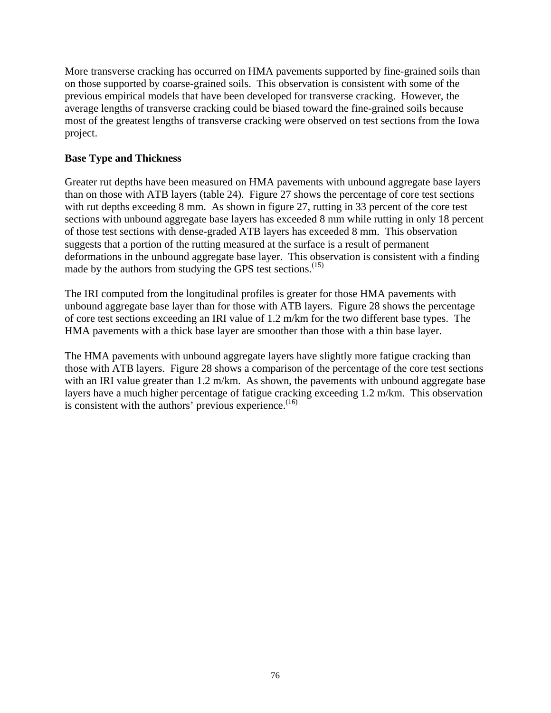More transverse cracking has occurred on HMA pavements supported by fine-grained soils than on those supported by coarse-grained soils. This observation is consistent with some of the previous empirical models that have been developed for transverse cracking. However, the average lengths of transverse cracking could be biased toward the fine-grained soils because most of the greatest lengths of transverse cracking were observed on test sections from the Iowa project.

#### **Base Type and Thickness**

Greater rut depths have been measured on HMA pavements with unbound aggregate base layers than on those with ATB layers (table 24). Figure 27 shows the percentage of core test sections with rut depths exceeding 8 mm. As shown in figure 27, rutting in 33 percent of the core test sections with unbound aggregate base layers has exceeded 8 mm while rutting in only 18 percent of those test sections with dense-graded ATB layers has exceeded 8 mm. This observation suggests that a portion of the rutting measured at the surface is a result of permanent deformations in the unbound aggregate base layer. This observation is consistent with a finding made by the authors from studying the GPS test sections.<sup>(15)</sup>

The IRI computed from the longitudinal profiles is greater for those HMA pavements with unbound aggregate base layer than for those with ATB layers. Figure 28 shows the percentage of core test sections exceeding an IRI value of 1.2 m/km for the two different base types. The HMA pavements with a thick base layer are smoother than those with a thin base layer.

The HMA pavements with unbound aggregate layers have slightly more fatigue cracking than those with ATB layers. Figure 28 shows a comparison of the percentage of the core test sections with an IRI value greater than 1.2 m/km. As shown, the pavements with unbound aggregate base layers have a much higher percentage of fatigue cracking exceeding 1.2 m/km. This observation is consistent with the authors' previous experience. $(16)$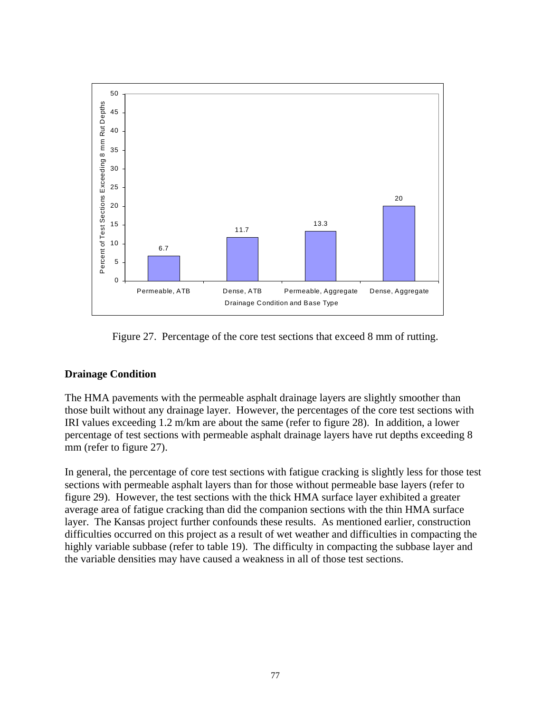

Figure 27. Percentage of the core test sections that exceed 8 mm of rutting.

### **Drainage Condition**

The HMA pavements with the permeable asphalt drainage layers are slightly smoother than those built without any drainage layer. However, the percentages of the core test sections with IRI values exceeding 1.2 m/km are about the same (refer to figure 28). In addition, a lower percentage of test sections with permeable asphalt drainage layers have rut depths exceeding 8 mm (refer to figure 27).

In general, the percentage of core test sections with fatigue cracking is slightly less for those test sections with permeable asphalt layers than for those without permeable base layers (refer to figure 29). However, the test sections with the thick HMA surface layer exhibited a greater average area of fatigue cracking than did the companion sections with the thin HMA surface layer. The Kansas project further confounds these results. As mentioned earlier, construction difficulties occurred on this project as a result of wet weather and difficulties in compacting the highly variable subbase (refer to table 19). The difficulty in compacting the subbase layer and the variable densities may have caused a weakness in all of those test sections.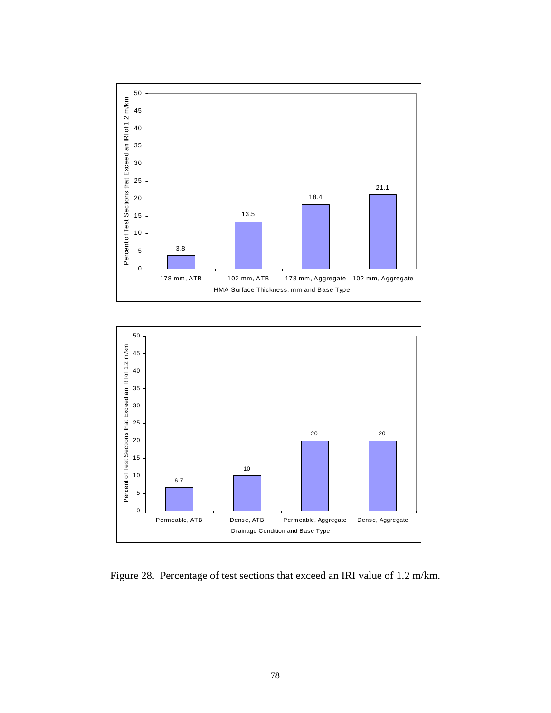



Figure 28. Percentage of test sections that exceed an IRI value of 1.2 m/km.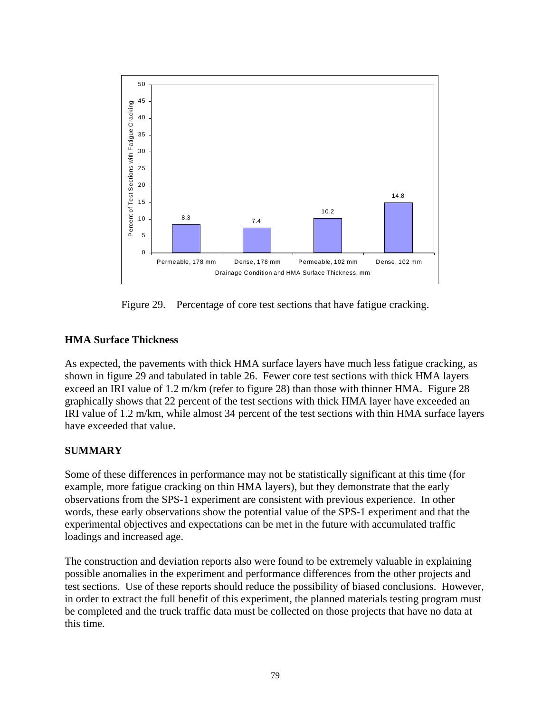

Figure 29. Percentage of core test sections that have fatigue cracking.

## **HMA Surface Thickness**

As expected, the pavements with thick HMA surface layers have much less fatigue cracking, as shown in figure 29 and tabulated in table 26. Fewer core test sections with thick HMA layers exceed an IRI value of 1.2 m/km (refer to figure 28) than those with thinner HMA. Figure 28 graphically shows that 22 percent of the test sections with thick HMA layer have exceeded an IRI value of 1.2 m/km, while almost 34 percent of the test sections with thin HMA surface layers have exceeded that value.

# **SUMMARY**

Some of these differences in performance may not be statistically significant at this time (for example, more fatigue cracking on thin HMA layers), but they demonstrate that the early observations from the SPS-1 experiment are consistent with previous experience. In other words, these early observations show the potential value of the SPS-1 experiment and that the experimental objectives and expectations can be met in the future with accumulated traffic loadings and increased age.

The construction and deviation reports also were found to be extremely valuable in explaining possible anomalies in the experiment and performance differences from the other projects and test sections. Use of these reports should reduce the possibility of biased conclusions. However, in order to extract the full benefit of this experiment, the planned materials testing program must be completed and the truck traffic data must be collected on those projects that have no data at this time.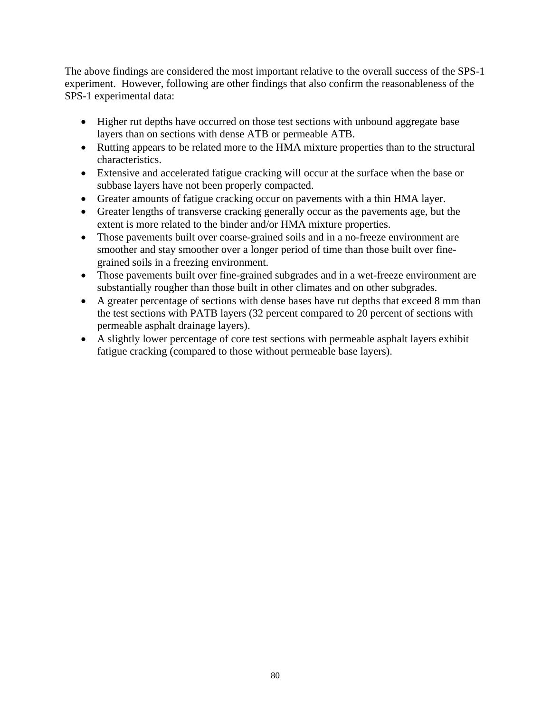The above findings are considered the most important relative to the overall success of the SPS-1 experiment. However, following are other findings that also confirm the reasonableness of the SPS-1 experimental data:

- Higher rut depths have occurred on those test sections with unbound aggregate base layers than on sections with dense ATB or permeable ATB.
- Rutting appears to be related more to the HMA mixture properties than to the structural characteristics.
- Extensive and accelerated fatigue cracking will occur at the surface when the base or subbase layers have not been properly compacted.
- Greater amounts of fatigue cracking occur on pavements with a thin HMA layer.
- Greater lengths of transverse cracking generally occur as the pavements age, but the extent is more related to the binder and/or HMA mixture properties.
- Those pavements built over coarse-grained soils and in a no-freeze environment are smoother and stay smoother over a longer period of time than those built over finegrained soils in a freezing environment.
- Those pavements built over fine-grained subgrades and in a wet-freeze environment are substantially rougher than those built in other climates and on other subgrades.
- A greater percentage of sections with dense bases have rut depths that exceed 8 mm than the test sections with PATB layers (32 percent compared to 20 percent of sections with permeable asphalt drainage layers).
- A slightly lower percentage of core test sections with permeable asphalt layers exhibit fatigue cracking (compared to those without permeable base layers).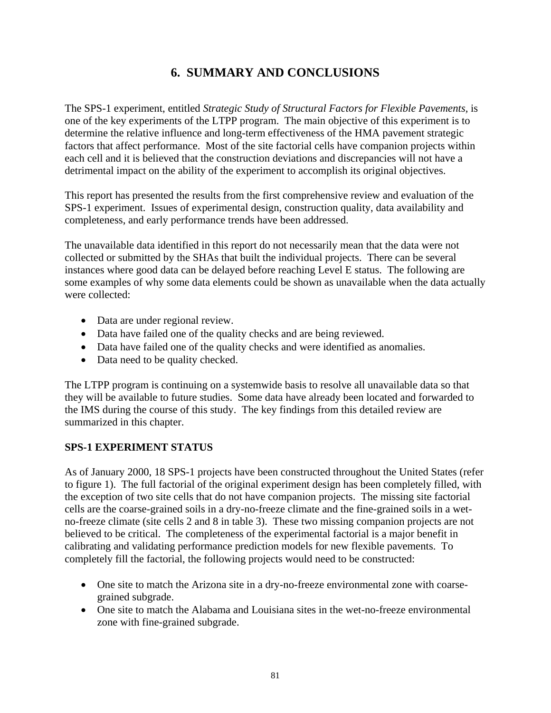# **6. SUMMARY AND CONCLUSIONS**

The SPS-1 experiment, entitled *Strategic Study of Structural Factors for Flexible Pavements,* is one of the key experiments of the LTPP program. The main objective of this experiment is to determine the relative influence and long-term effectiveness of the HMA pavement strategic factors that affect performance. Most of the site factorial cells have companion projects within each cell and it is believed that the construction deviations and discrepancies will not have a detrimental impact on the ability of the experiment to accomplish its original objectives.

This report has presented the results from the first comprehensive review and evaluation of the SPS-1 experiment. Issues of experimental design, construction quality, data availability and completeness, and early performance trends have been addressed.

The unavailable data identified in this report do not necessarily mean that the data were not collected or submitted by the SHAs that built the individual projects. There can be several instances where good data can be delayed before reaching Level E status. The following are some examples of why some data elements could be shown as unavailable when the data actually were collected:

- Data are under regional review.
- Data have failed one of the quality checks and are being reviewed.
- Data have failed one of the quality checks and were identified as anomalies.
- Data need to be quality checked.

The LTPP program is continuing on a systemwide basis to resolve all unavailable data so that they will be available to future studies. Some data have already been located and forwarded to the IMS during the course of this study. The key findings from this detailed review are summarized in this chapter.

### **SPS-1 EXPERIMENT STATUS**

As of January 2000, 18 SPS-1 projects have been constructed throughout the United States (refer to figure 1). The full factorial of the original experiment design has been completely filled, with the exception of two site cells that do not have companion projects. The missing site factorial cells are the coarse-grained soils in a dry-no-freeze climate and the fine-grained soils in a wetno-freeze climate (site cells 2 and 8 in table 3). These two missing companion projects are not believed to be critical. The completeness of the experimental factorial is a major benefit in calibrating and validating performance prediction models for new flexible pavements. To completely fill the factorial, the following projects would need to be constructed:

- One site to match the Arizona site in a dry-no-freeze environmental zone with coarsegrained subgrade.
- One site to match the Alabama and Louisiana sites in the wet-no-freeze environmental zone with fine-grained subgrade.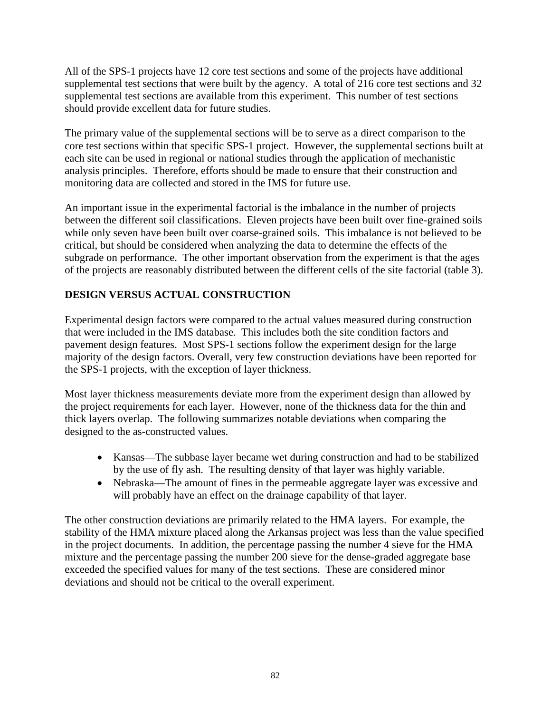All of the SPS-1 projects have 12 core test sections and some of the projects have additional supplemental test sections that were built by the agency. A total of 216 core test sections and 32 supplemental test sections are available from this experiment. This number of test sections should provide excellent data for future studies.

The primary value of the supplemental sections will be to serve as a direct comparison to the core test sections within that specific SPS-1 project. However, the supplemental sections built at each site can be used in regional or national studies through the application of mechanistic analysis principles. Therefore, efforts should be made to ensure that their construction and monitoring data are collected and stored in the IMS for future use.

An important issue in the experimental factorial is the imbalance in the number of projects between the different soil classifications. Eleven projects have been built over fine-grained soils while only seven have been built over coarse-grained soils. This imbalance is not believed to be critical, but should be considered when analyzing the data to determine the effects of the subgrade on performance. The other important observation from the experiment is that the ages of the projects are reasonably distributed between the different cells of the site factorial (table 3).

# **DESIGN VERSUS ACTUAL CONSTRUCTION**

Experimental design factors were compared to the actual values measured during construction that were included in the IMS database. This includes both the site condition factors and pavement design features. Most SPS-1 sections follow the experiment design for the large majority of the design factors. Overall, very few construction deviations have been reported for the SPS-1 projects, with the exception of layer thickness.

Most layer thickness measurements deviate more from the experiment design than allowed by the project requirements for each layer. However, none of the thickness data for the thin and thick layers overlap. The following summarizes notable deviations when comparing the designed to the as-constructed values.

- Kansas—The subbase layer became wet during construction and had to be stabilized by the use of fly ash. The resulting density of that layer was highly variable.
- Nebraska—The amount of fines in the permeable aggregate layer was excessive and will probably have an effect on the drainage capability of that layer.

The other construction deviations are primarily related to the HMA layers. For example, the stability of the HMA mixture placed along the Arkansas project was less than the value specified in the project documents. In addition, the percentage passing the number 4 sieve for the HMA mixture and the percentage passing the number 200 sieve for the dense-graded aggregate base exceeded the specified values for many of the test sections. These are considered minor deviations and should not be critical to the overall experiment.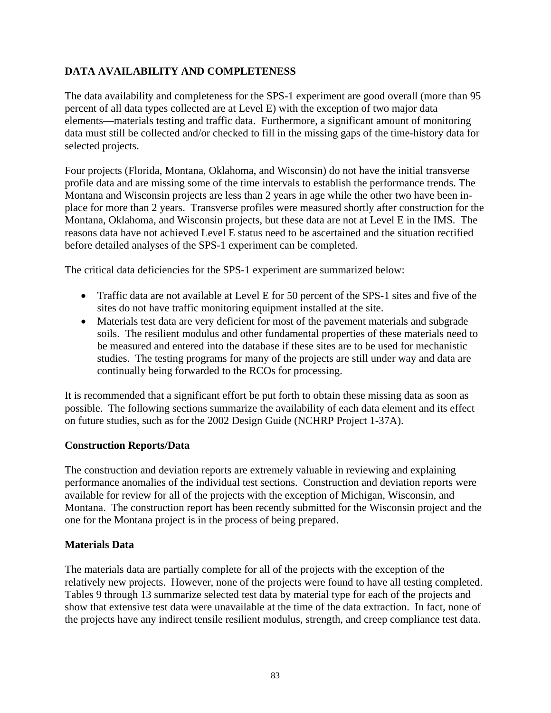# **DATA AVAILABILITY AND COMPLETENESS**

The data availability and completeness for the SPS-1 experiment are good overall (more than 95 percent of all data types collected are at Level E) with the exception of two major data elements—materials testing and traffic data. Furthermore, a significant amount of monitoring data must still be collected and/or checked to fill in the missing gaps of the time-history data for selected projects.

Four projects (Florida, Montana, Oklahoma, and Wisconsin) do not have the initial transverse profile data and are missing some of the time intervals to establish the performance trends. The Montana and Wisconsin projects are less than 2 years in age while the other two have been inplace for more than 2 years. Transverse profiles were measured shortly after construction for the Montana, Oklahoma, and Wisconsin projects, but these data are not at Level E in the IMS. The reasons data have not achieved Level E status need to be ascertained and the situation rectified before detailed analyses of the SPS-1 experiment can be completed.

The critical data deficiencies for the SPS-1 experiment are summarized below:

- Traffic data are not available at Level E for 50 percent of the SPS-1 sites and five of the sites do not have traffic monitoring equipment installed at the site.
- Materials test data are very deficient for most of the pavement materials and subgrade soils. The resilient modulus and other fundamental properties of these materials need to be measured and entered into the database if these sites are to be used for mechanistic studies. The testing programs for many of the projects are still under way and data are continually being forwarded to the RCOs for processing.

It is recommended that a significant effort be put forth to obtain these missing data as soon as possible. The following sections summarize the availability of each data element and its effect on future studies, such as for the 2002 Design Guide (NCHRP Project 1-37A).

### **Construction Reports/Data**

The construction and deviation reports are extremely valuable in reviewing and explaining performance anomalies of the individual test sections. Construction and deviation reports were available for review for all of the projects with the exception of Michigan, Wisconsin, and Montana. The construction report has been recently submitted for the Wisconsin project and the one for the Montana project is in the process of being prepared.

### **Materials Data**

The materials data are partially complete for all of the projects with the exception of the relatively new projects. However, none of the projects were found to have all testing completed. Tables 9 through 13 summarize selected test data by material type for each of the projects and show that extensive test data were unavailable at the time of the data extraction. In fact, none of the projects have any indirect tensile resilient modulus, strength, and creep compliance test data.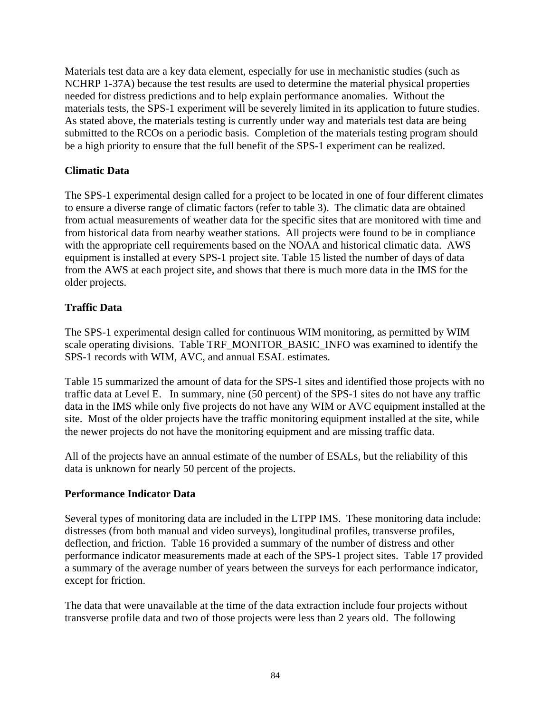Materials test data are a key data element, especially for use in mechanistic studies (such as NCHRP 1-37A) because the test results are used to determine the material physical properties needed for distress predictions and to help explain performance anomalies. Without the materials tests, the SPS-1 experiment will be severely limited in its application to future studies. As stated above, the materials testing is currently under way and materials test data are being submitted to the RCOs on a periodic basis. Completion of the materials testing program should be a high priority to ensure that the full benefit of the SPS-1 experiment can be realized.

### **Climatic Data**

The SPS-1 experimental design called for a project to be located in one of four different climates to ensure a diverse range of climatic factors (refer to table 3). The climatic data are obtained from actual measurements of weather data for the specific sites that are monitored with time and from historical data from nearby weather stations. All projects were found to be in compliance with the appropriate cell requirements based on the NOAA and historical climatic data. AWS equipment is installed at every SPS-1 project site. Table 15 listed the number of days of data from the AWS at each project site, and shows that there is much more data in the IMS for the older projects.

## **Traffic Data**

The SPS-1 experimental design called for continuous WIM monitoring, as permitted by WIM scale operating divisions. Table TRF\_MONITOR\_BASIC\_INFO was examined to identify the SPS-1 records with WIM, AVC, and annual ESAL estimates.

Table 15 summarized the amount of data for the SPS-1 sites and identified those projects with no traffic data at Level E. In summary, nine (50 percent) of the SPS-1 sites do not have any traffic data in the IMS while only five projects do not have any WIM or AVC equipment installed at the site. Most of the older projects have the traffic monitoring equipment installed at the site, while the newer projects do not have the monitoring equipment and are missing traffic data.

All of the projects have an annual estimate of the number of ESALs, but the reliability of this data is unknown for nearly 50 percent of the projects.

### **Performance Indicator Data**

Several types of monitoring data are included in the LTPP IMS. These monitoring data include: distresses (from both manual and video surveys), longitudinal profiles, transverse profiles, deflection, and friction. Table 16 provided a summary of the number of distress and other performance indicator measurements made at each of the SPS-1 project sites. Table 17 provided a summary of the average number of years between the surveys for each performance indicator, except for friction.

The data that were unavailable at the time of the data extraction include four projects without transverse profile data and two of those projects were less than 2 years old. The following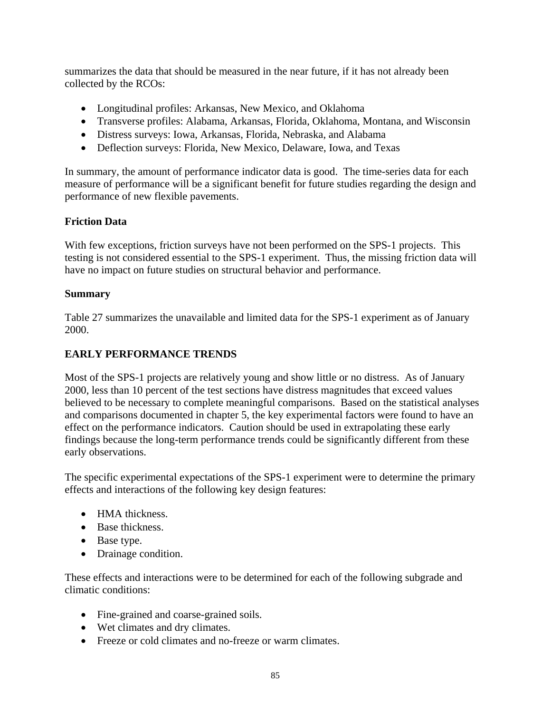summarizes the data that should be measured in the near future, if it has not already been collected by the RCOs:

- Longitudinal profiles: Arkansas, New Mexico, and Oklahoma
- Transverse profiles: Alabama, Arkansas, Florida, Oklahoma, Montana, and Wisconsin
- Distress surveys: Iowa, Arkansas, Florida, Nebraska, and Alabama
- Deflection surveys: Florida, New Mexico, Delaware, Iowa, and Texas

In summary, the amount of performance indicator data is good. The time-series data for each measure of performance will be a significant benefit for future studies regarding the design and performance of new flexible pavements.

## **Friction Data**

With few exceptions, friction surveys have not been performed on the SPS-1 projects. This testing is not considered essential to the SPS-1 experiment. Thus, the missing friction data will have no impact on future studies on structural behavior and performance.

### **Summary**

Table 27 summarizes the unavailable and limited data for the SPS-1 experiment as of January 2000.

### **EARLY PERFORMANCE TRENDS**

Most of the SPS-1 projects are relatively young and show little or no distress. As of January 2000, less than 10 percent of the test sections have distress magnitudes that exceed values believed to be necessary to complete meaningful comparisons. Based on the statistical analyses and comparisons documented in chapter 5, the key experimental factors were found to have an effect on the performance indicators. Caution should be used in extrapolating these early findings because the long-term performance trends could be significantly different from these early observations.

The specific experimental expectations of the SPS-1 experiment were to determine the primary effects and interactions of the following key design features:

- HMA thickness.
- Base thickness.
- Base type.
- Drainage condition.

These effects and interactions were to be determined for each of the following subgrade and climatic conditions:

- Fine-grained and coarse-grained soils.
- Wet climates and dry climates.
- Freeze or cold climates and no-freeze or warm climates.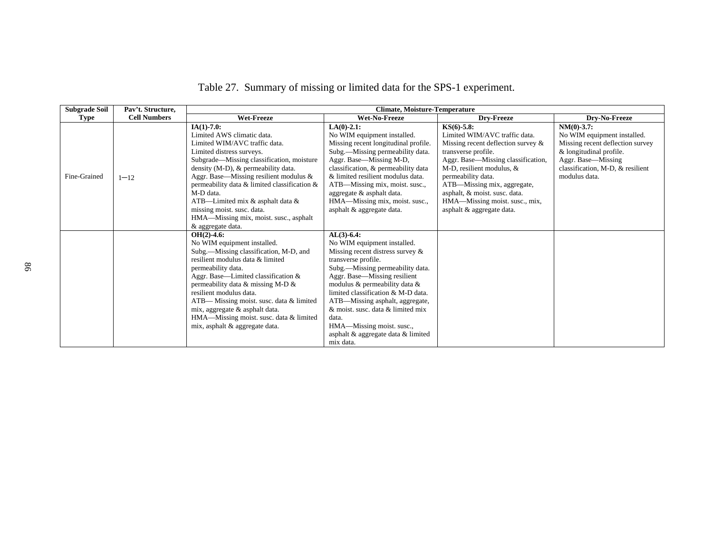| <b>Subgrade Soil</b> | Pav't. Structure,   | <b>Climate, Moisture-Temperature</b>                                                                                                                                                                                                                                                                                                                                                                                                       |                                                                                                                                                                                                                                                                                                                                                                                                                       |                                                                                                                                                                                                                                                                                                                                            |                                                                                                                                                                                         |  |
|----------------------|---------------------|--------------------------------------------------------------------------------------------------------------------------------------------------------------------------------------------------------------------------------------------------------------------------------------------------------------------------------------------------------------------------------------------------------------------------------------------|-----------------------------------------------------------------------------------------------------------------------------------------------------------------------------------------------------------------------------------------------------------------------------------------------------------------------------------------------------------------------------------------------------------------------|--------------------------------------------------------------------------------------------------------------------------------------------------------------------------------------------------------------------------------------------------------------------------------------------------------------------------------------------|-----------------------------------------------------------------------------------------------------------------------------------------------------------------------------------------|--|
| Type                 | <b>Cell Numbers</b> | <b>Wet-Freeze</b>                                                                                                                                                                                                                                                                                                                                                                                                                          | Wet-No-Freeze                                                                                                                                                                                                                                                                                                                                                                                                         | Dry-Freeze                                                                                                                                                                                                                                                                                                                                 | Dry-No-Freeze                                                                                                                                                                           |  |
| Fine-Grained         | $1 - 12$            | $IA(1) - 7.0$ :<br>Limited AWS climatic data.<br>Limited WIM/AVC traffic data.<br>Limited distress surveys.<br>Subgrade—Missing classification, moisture<br>density $(M-D)$ , & permeability data.<br>Aggr. Base—Missing resilient modulus &<br>permeability data & limited classification &<br>M-D data.<br>ATB-Limited mix & asphalt data &<br>missing moist. susc. data.<br>HMA—Missing mix, moist. susc., asphalt<br>& aggregate data. | $LA(0)-2.1$ :<br>No WIM equipment installed.<br>Missing recent longitudinal profile.<br>Subg.—Missing permeability data.<br>Aggr. Base—Missing M-D,<br>classification, & permeability data<br>& limited resilient modulus data.<br>ATB—Missing mix, moist. susc.,<br>aggregate & asphalt data.<br>HMA-Missing mix, moist. susc.,<br>asphalt & aggregate data.                                                         | $KS(6) - 5.8$ :<br>Limited WIM/AVC traffic data.<br>Missing recent deflection survey $\&$<br>transverse profile.<br>Aggr. Base-Missing classification,<br>M-D, resilient modulus, $&$<br>permeability data.<br>ATB—Missing mix, aggregate,<br>asphalt, & moist. susc. data.<br>HMA—Missing moist. susc., mix,<br>asphalt & aggregate data. | $NM(0) -3.7$ :<br>No WIM equipment installed.<br>Missing recent deflection survey<br>& longitudinal profile.<br>Aggr. Base-Missing<br>classification, M-D, & resilient<br>modulus data. |  |
|                      |                     | $OH(2)-4.6$ :<br>No WIM equipment installed.<br>Subg.—Missing classification, M-D, and<br>resilient modulus data & limited<br>permeability data.<br>Aggr. Base—Limited classification &<br>permeability data & missing M-D &<br>resilient modulus data.<br>ATB— Missing moist. susc. data & limited<br>mix, aggregate & asphalt data.<br>HMA—Missing moist. susc. data & limited<br>mix, asphalt & aggregate data.                         | $AL(3) - 6.4$ :<br>No WIM equipment installed.<br>Missing recent distress survey &<br>transverse profile.<br>Subg.—Missing permeability data.<br>Aggr. Base—Missing resilient<br>modulus & permeability data &<br>limited classification & M-D data.<br>ATB—Missing asphalt, aggregate,<br>& moist. susc. data & limited mix<br>data.<br>HMA—Missing moist. susc.,<br>asphalt & aggregate data & limited<br>mix data. |                                                                                                                                                                                                                                                                                                                                            |                                                                                                                                                                                         |  |

Table 27. Summary of missing or limited data for the SPS-1 experiment.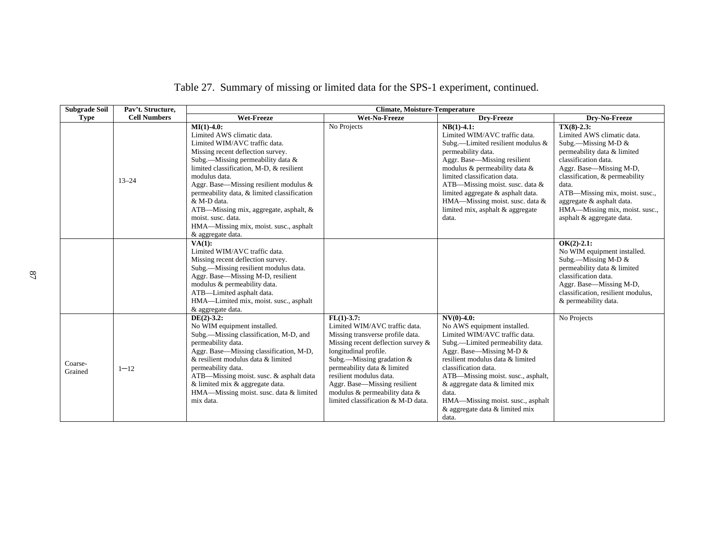| <b>Subgrade Soil</b> | Pav't. Structure,   | <b>Climate, Moisture-Temperature</b>                                                                                                                                                                                                                                                                                                                                                                                                                         |                                                                                                                                                                                                                                                                                                                                                     |                                                                                                                                                                                                                                                                                                                                                                             |                                                                                                                                                                                                                                                                                                                                   |
|----------------------|---------------------|--------------------------------------------------------------------------------------------------------------------------------------------------------------------------------------------------------------------------------------------------------------------------------------------------------------------------------------------------------------------------------------------------------------------------------------------------------------|-----------------------------------------------------------------------------------------------------------------------------------------------------------------------------------------------------------------------------------------------------------------------------------------------------------------------------------------------------|-----------------------------------------------------------------------------------------------------------------------------------------------------------------------------------------------------------------------------------------------------------------------------------------------------------------------------------------------------------------------------|-----------------------------------------------------------------------------------------------------------------------------------------------------------------------------------------------------------------------------------------------------------------------------------------------------------------------------------|
| <b>Type</b>          | <b>Cell Numbers</b> | Wet-Freeze                                                                                                                                                                                                                                                                                                                                                                                                                                                   | Wet-No-Freeze                                                                                                                                                                                                                                                                                                                                       | Dry-Freeze                                                                                                                                                                                                                                                                                                                                                                  | Drv-No-Freeze                                                                                                                                                                                                                                                                                                                     |
|                      | $13 - 24$           | $MI(1) - 4.0$ :<br>Limited AWS climatic data.<br>Limited WIM/AVC traffic data.<br>Missing recent deflection survey.<br>Subg.-Missing permeability data &<br>limited classification, M-D, & resilient<br>modulus data.<br>Aggr. Base-Missing resilient modulus &<br>permeability data, & limited classification<br>& M-D data.<br>ATB—Missing mix, aggregate, asphalt, &<br>moist. susc. data.<br>HMA—Missing mix, moist. susc., asphalt<br>& aggregate data. | No Projects                                                                                                                                                                                                                                                                                                                                         | $NB(1) - 4.1$ :<br>Limited WIM/AVC traffic data.<br>Subg.-Limited resilient modulus &<br>permeability data.<br>Aggr. Base-Missing resilient<br>modulus & permeability data &<br>limited classification data.<br>ATB—Missing moist. susc. data $&$<br>limited aggregate & asphalt data.<br>HMA-Missing moist. susc. data &<br>limited mix, asphalt & aggregate<br>data.      | $TX(8) - 2.3$ :<br>Limited AWS climatic data.<br>Subg.—Missing M-D $&$<br>permeability data & limited<br>classification data.<br>Aggr. Base-Missing M-D,<br>classification, & permeability<br>data.<br>ATB—Missing mix, moist. susc.,<br>aggregate & asphalt data.<br>HMA—Missing mix, moist. susc.,<br>asphalt & aggregate data. |
|                      |                     | VA(1):<br>Limited WIM/AVC traffic data.<br>Missing recent deflection survey.<br>Subg.—Missing resilient modulus data.<br>Aggr. Base-Missing M-D, resilient<br>modulus & permeability data.<br>ATB-Limited asphalt data.<br>HMA—Limited mix, moist. susc., asphalt<br>& aggregate data.                                                                                                                                                                       |                                                                                                                                                                                                                                                                                                                                                     |                                                                                                                                                                                                                                                                                                                                                                             | $OK(2)-2.1$ :<br>No WIM equipment installed.<br>Subg.—Missing M-D $&$<br>permeability data & limited<br>classification data.<br>Aggr. Base—Missing M-D,<br>classification, resilient modulus,<br>& permeability data.                                                                                                             |
| Coarse-<br>Grained   | $1 - 12$            | $DE(2)-3.2$ :<br>No WIM equipment installed.<br>Subg.-Missing classification, M-D, and<br>permeability data.<br>Aggr. Base—Missing classification, M-D,<br>& resilient modulus data & limited<br>permeability data.<br>ATB-Missing moist. susc. & asphalt data<br>& limited mix & aggregate data.<br>HMA—Missing moist. susc. data & limited<br>mix data.                                                                                                    | $FL(1) - 3.7$ :<br>Limited WIM/AVC traffic data.<br>Missing transverse profile data.<br>Missing recent deflection survey &<br>longitudinal profile.<br>Subg.—Missing gradation $&$<br>permeability data & limited<br>resilient modulus data.<br>Aggr. Base-Missing resilient<br>modulus & permeability data &<br>limited classification & M-D data. | $NV(0) -4.0$ :<br>No AWS equipment installed.<br>Limited WIM/AVC traffic data.<br>Subg.—Limited permeability data.<br>Aggr. Base-Missing M-D &<br>resilient modulus data & limited<br>classification data.<br>ATB—Missing moist. susc., asphalt,<br>& aggregate data & limited mix<br>data.<br>HMA-Missing moist. susc., asphalt<br>& aggregate data & limited mix<br>data. | No Projects                                                                                                                                                                                                                                                                                                                       |

Table 27. Summary of missing or limited data for the SPS-1 experiment, continued.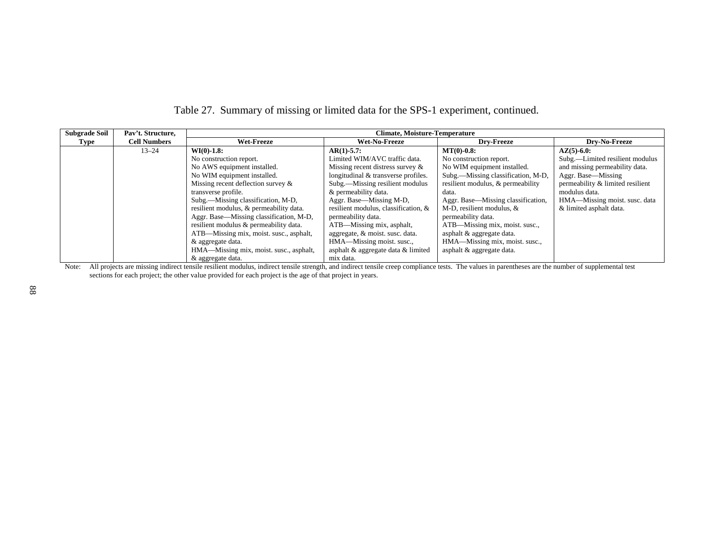| <b>Subgrade Soil</b> | Pav't. Structure,   | <b>Climate, Moisture-Temperature</b>    |                                      |                                    |                                  |
|----------------------|---------------------|-----------------------------------------|--------------------------------------|------------------------------------|----------------------------------|
| Type                 | <b>Cell Numbers</b> | <b>Wet-Freeze</b>                       | Wet-No-Freeze                        | <b>Drv-Freeze</b>                  | Drv-No-Freeze                    |
|                      | $13 - 24$           | $WI(0) - 1.8:$                          | $AR(1) - 5.7$ :                      | $MT(0) - 0.8$ :                    | $AZ(5)-6.0$ :                    |
|                      |                     | No construction report.                 | Limited WIM/AVC traffic data.        | No construction report.            | Subg.—Limited resilient modulus  |
|                      |                     | No AWS equipment installed.             | Missing recent distress survey $\&$  | No WIM equipment installed.        | and missing permeability data.   |
|                      |                     | No WIM equipment installed.             | longitudinal & transverse profiles.  | Subg.—Missing classification, M-D, | Aggr. Base—Missing               |
|                      |                     | Missing recent deflection survey $\&$   | Subg.—Missing resilient modulus      | resilient modulus, & permeability  | permeability & limited resilient |
|                      |                     | transverse profile.                     | & permeability data.                 | data.                              | modulus data.                    |
|                      |                     | Subg.—Missing classification, M-D.      | Aggr. Base—Missing M-D,              | Aggr. Base—Missing classification, | HMA—Missing moist. susc. data    |
|                      |                     | resilient modulus, & permeability data. | resilient modulus, classification, & | M-D, resilient modulus, $&$        | & limited asphalt data.          |
|                      |                     | Aggr. Base—Missing classification, M-D, | permeability data.                   | permeability data.                 |                                  |
|                      |                     | resilient modulus & permeability data.  | ATB—Missing mix, asphalt,            | ATB—Missing mix, moist. susc.,     |                                  |
|                      |                     | ATB—Missing mix, moist. susc., asphalt, | aggregate, & moist. susc. data.      | asphalt & aggregate data.          |                                  |
|                      |                     | & aggregate data.                       | HMA—Missing moist. susc.,            | HMA—Missing mix, moist. susc.,     |                                  |
|                      |                     | HMA—Missing mix, moist. susc., asphalt, | asphalt & aggregate data & limited   | asphalt & aggregate data.          |                                  |
|                      |                     | $\&$ aggregate data                     | mix data                             |                                    |                                  |

# Table 27. Summary of missing or limited data for the SPS-1 experiment, continued.

8 aggregate data.<br>Note: All projects are missing indirect tensile resilient modulus, indirect tensile strength, and indirect tensile creep compliance tests. The values in parentheses are the number of supplemental test sections for each project; the other value provided for each project is the age of that project in years.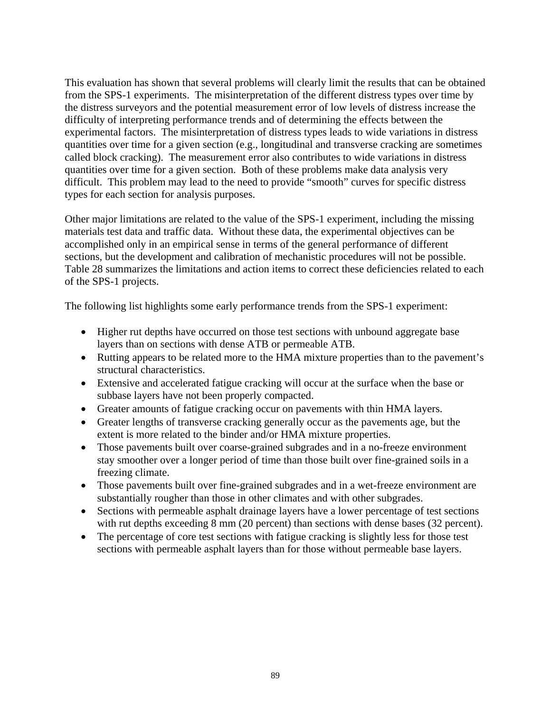This evaluation has shown that several problems will clearly limit the results that can be obtained from the SPS-1 experiments. The misinterpretation of the different distress types over time by the distress surveyors and the potential measurement error of low levels of distress increase the difficulty of interpreting performance trends and of determining the effects between the experimental factors. The misinterpretation of distress types leads to wide variations in distress quantities over time for a given section (e.g., longitudinal and transverse cracking are sometimes called block cracking). The measurement error also contributes to wide variations in distress quantities over time for a given section. Both of these problems make data analysis very difficult. This problem may lead to the need to provide "smooth" curves for specific distress types for each section for analysis purposes.

Other major limitations are related to the value of the SPS-1 experiment, including the missing materials test data and traffic data. Without these data, the experimental objectives can be accomplished only in an empirical sense in terms of the general performance of different sections, but the development and calibration of mechanistic procedures will not be possible. Table 28 summarizes the limitations and action items to correct these deficiencies related to each of the SPS-1 projects.

The following list highlights some early performance trends from the SPS-1 experiment:

- Higher rut depths have occurred on those test sections with unbound aggregate base layers than on sections with dense ATB or permeable ATB.
- Rutting appears to be related more to the HMA mixture properties than to the pavement's structural characteristics.
- Extensive and accelerated fatigue cracking will occur at the surface when the base or subbase layers have not been properly compacted.
- Greater amounts of fatigue cracking occur on pavements with thin HMA layers.
- Greater lengths of transverse cracking generally occur as the pavements age, but the extent is more related to the binder and/or HMA mixture properties.
- Those pavements built over coarse-grained subgrades and in a no-freeze environment stay smoother over a longer period of time than those built over fine-grained soils in a freezing climate.
- Those pavements built over fine-grained subgrades and in a wet-freeze environment are substantially rougher than those in other climates and with other subgrades.
- Sections with permeable asphalt drainage layers have a lower percentage of test sections with rut depths exceeding 8 mm (20 percent) than sections with dense bases (32 percent).
- The percentage of core test sections with fatigue cracking is slightly less for those test sections with permeable asphalt layers than for those without permeable base layers.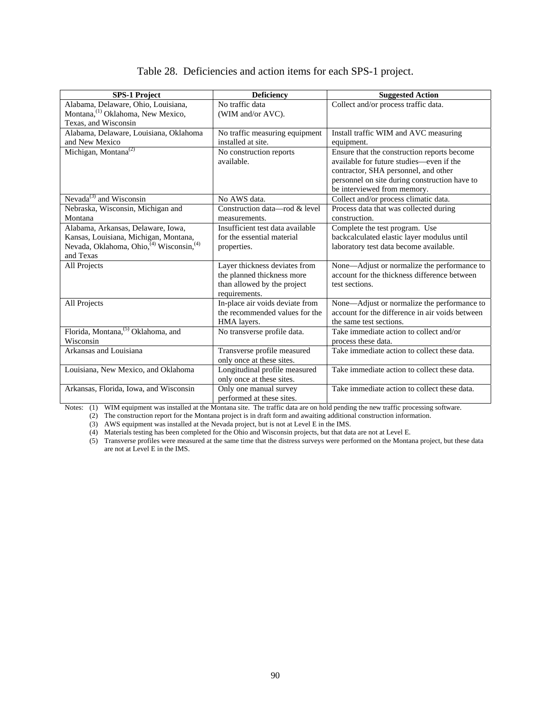| <b>SPS-1 Project</b>                           | <b>Deficiency</b>                | <b>Suggested Action</b>                         |  |
|------------------------------------------------|----------------------------------|-------------------------------------------------|--|
| Alabama, Delaware, Ohio, Louisiana,            | No traffic data                  | Collect and/or process traffic data.            |  |
| Montana, <sup>(1)</sup> Oklahoma, New Mexico,  | (WIM and/or AVC).                |                                                 |  |
| Texas, and Wisconsin                           |                                  |                                                 |  |
| Alabama, Delaware, Louisiana, Oklahoma         | No traffic measuring equipment   | Install traffic WIM and AVC measuring           |  |
| and New Mexico                                 | installed at site.               | equipment.                                      |  |
| Michigan, Montana <sup>(2)</sup>               | No construction reports          | Ensure that the construction reports become     |  |
|                                                | available.                       | available for future studies—even if the        |  |
|                                                |                                  | contractor, SHA personnel, and other            |  |
|                                                |                                  | personnel on site during construction have to   |  |
|                                                |                                  | be interviewed from memory.                     |  |
| Nevada $^{(3)}$ and Wisconsin                  | No AWS data.                     | Collect and/or process climatic data.           |  |
| Nebraska, Wisconsin, Michigan and              | Construction data—rod $\&$ level | Process data that was collected during          |  |
| Montana                                        | measurements.                    | construction.                                   |  |
| Alabama, Arkansas, Delaware, Iowa,             | Insufficient test data available | Complete the test program. Use                  |  |
| Kansas, Louisiana, Michigan, Montana,          | for the essential material       | backcalculated elastic layer modulus until      |  |
| Nevada, Oklahoma, Ohio, (4) Wisconsin, (4)     | properties.                      | laboratory test data become available.          |  |
| and Texas                                      |                                  |                                                 |  |
| All Projects                                   | Layer thickness deviates from    | None—Adjust or normalize the performance to     |  |
|                                                | the planned thickness more       | account for the thickness difference between    |  |
|                                                | than allowed by the project      | test sections.                                  |  |
|                                                | requirements.                    |                                                 |  |
| All Projects                                   | In-place air voids deviate from  | None-Adjust or normalize the performance to     |  |
|                                                | the recommended values for the   | account for the difference in air voids between |  |
|                                                | HMA layers.                      | the same test sections.                         |  |
| Florida, Montana, <sup>(5)</sup> Oklahoma, and | No transverse profile data.      | Take immediate action to collect and/or         |  |
| Wisconsin                                      |                                  | process these data.                             |  |
| Arkansas and Louisiana                         | Transverse profile measured      | Take immediate action to collect these data.    |  |
|                                                | only once at these sites.        |                                                 |  |
| Louisiana, New Mexico, and Oklahoma            | Longitudinal profile measured    | Take immediate action to collect these data.    |  |
|                                                | only once at these sites.        |                                                 |  |
| Arkansas, Florida, Iowa, and Wisconsin         | Only one manual survey           | Take immediate action to collect these data.    |  |
|                                                | performed at these sites.        |                                                 |  |

## Table 28. Deficiencies and action items for each SPS-1 project.

Notes: (1) WIM equipment was installed at the Montana site. The traffic data are on hold pending the new traffic processing software.

(2) The construction report for the Montana project is in draft form and awaiting additional construction information.

(3) AWS equipment was installed at the Nevada project, but is not at Level E in the IMS.

(4) Materials testing has been completed for the Ohio and Wisconsin projects, but that data are not at Level E.

 (5) Transverse profiles were measured at the same time that the distress surveys were performed on the Montana project, but these data are not at Level E in the IMS.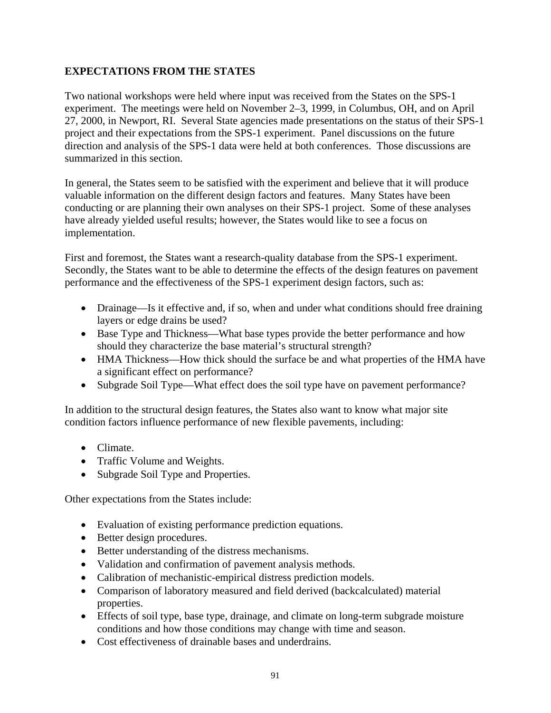# **EXPECTATIONS FROM THE STATES**

Two national workshops were held where input was received from the States on the SPS-1 experiment. The meetings were held on November 2–3, 1999, in Columbus, OH, and on April 27, 2000, in Newport, RI. Several State agencies made presentations on the status of their SPS-1 project and their expectations from the SPS-1 experiment. Panel discussions on the future direction and analysis of the SPS-1 data were held at both conferences. Those discussions are summarized in this section.

In general, the States seem to be satisfied with the experiment and believe that it will produce valuable information on the different design factors and features. Many States have been conducting or are planning their own analyses on their SPS-1 project. Some of these analyses have already yielded useful results; however, the States would like to see a focus on implementation.

First and foremost, the States want a research-quality database from the SPS-1 experiment. Secondly, the States want to be able to determine the effects of the design features on pavement performance and the effectiveness of the SPS-1 experiment design factors, such as:

- Drainage—Is it effective and, if so, when and under what conditions should free draining layers or edge drains be used?
- Base Type and Thickness—What base types provide the better performance and how should they characterize the base material's structural strength?
- HMA Thickness—How thick should the surface be and what properties of the HMA have a significant effect on performance?
- Subgrade Soil Type—What effect does the soil type have on pavement performance?

In addition to the structural design features, the States also want to know what major site condition factors influence performance of new flexible pavements, including:

- Climate.
- Traffic Volume and Weights.
- Subgrade Soil Type and Properties.

Other expectations from the States include:

- Evaluation of existing performance prediction equations.
- Better design procedures.
- Better understanding of the distress mechanisms.
- Validation and confirmation of pavement analysis methods.
- Calibration of mechanistic-empirical distress prediction models.
- Comparison of laboratory measured and field derived (backcalculated) material properties.
- Effects of soil type, base type, drainage, and climate on long-term subgrade moisture conditions and how those conditions may change with time and season.
- Cost effectiveness of drainable bases and underdrains.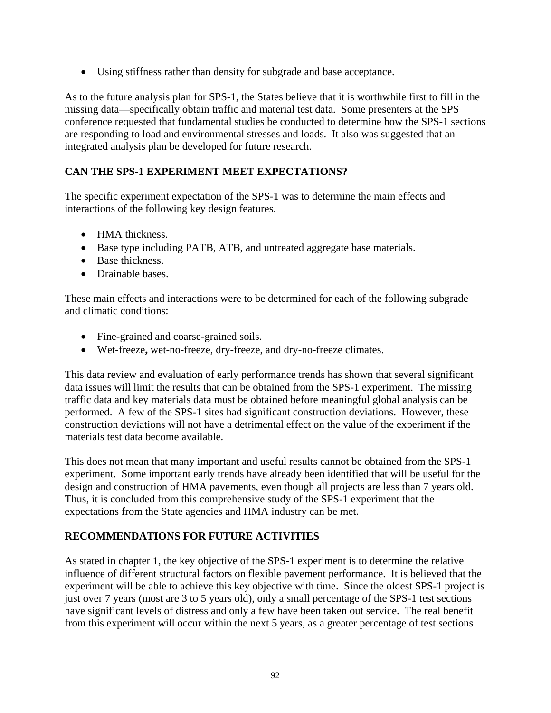• Using stiffness rather than density for subgrade and base acceptance.

As to the future analysis plan for SPS-1, the States believe that it is worthwhile first to fill in the missing data—specifically obtain traffic and material test data. Some presenters at the SPS conference requested that fundamental studies be conducted to determine how the SPS-1 sections are responding to load and environmental stresses and loads. It also was suggested that an integrated analysis plan be developed for future research.

# **CAN THE SPS-1 EXPERIMENT MEET EXPECTATIONS?**

The specific experiment expectation of the SPS-1 was to determine the main effects and interactions of the following key design features.

- HMA thickness.
- Base type including PATB, ATB, and untreated aggregate base materials.
- Base thickness.
- Drainable bases.

These main effects and interactions were to be determined for each of the following subgrade and climatic conditions:

- Fine-grained and coarse-grained soils.
- Wet-freeze**,** wet-no-freeze, dry-freeze, and dry-no-freeze climates.

This data review and evaluation of early performance trends has shown that several significant data issues will limit the results that can be obtained from the SPS-1 experiment. The missing traffic data and key materials data must be obtained before meaningful global analysis can be performed. A few of the SPS-1 sites had significant construction deviations. However, these construction deviations will not have a detrimental effect on the value of the experiment if the materials test data become available.

This does not mean that many important and useful results cannot be obtained from the SPS-1 experiment. Some important early trends have already been identified that will be useful for the design and construction of HMA pavements, even though all projects are less than 7 years old. Thus, it is concluded from this comprehensive study of the SPS-1 experiment that the expectations from the State agencies and HMA industry can be met.

# **RECOMMENDATIONS FOR FUTURE ACTIVITIES**

As stated in chapter 1, the key objective of the SPS-1 experiment is to determine the relative influence of different structural factors on flexible pavement performance. It is believed that the experiment will be able to achieve this key objective with time. Since the oldest SPS-1 project is just over 7 years (most are 3 to 5 years old), only a small percentage of the SPS-1 test sections have significant levels of distress and only a few have been taken out service. The real benefit from this experiment will occur within the next 5 years, as a greater percentage of test sections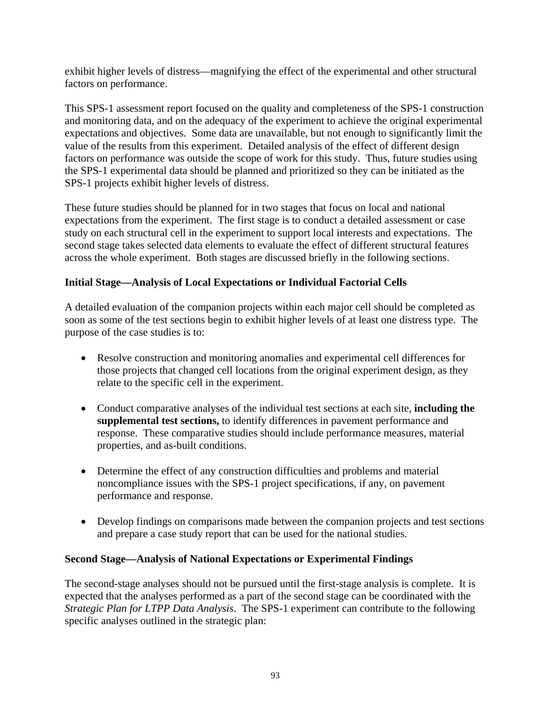exhibit higher levels of distress—magnifying the effect of the experimental and other structural factors on performance.

This SPS-1 assessment report focused on the quality and completeness of the SPS-1 construction and monitoring data, and on the adequacy of the experiment to achieve the original experimental expectations and objectives. Some data are unavailable, but not enough to significantly limit the value of the results from this experiment. Detailed analysis of the effect of different design factors on performance was outside the scope of work for this study. Thus, future studies using the SPS-1 experimental data should be planned and prioritized so they can be initiated as the SPS-1 projects exhibit higher levels of distress.

These future studies should be planned for in two stages that focus on local and national expectations from the experiment. The first stage is to conduct a detailed assessment or case study on each structural cell in the experiment to support local interests and expectations. The second stage takes selected data elements to evaluate the effect of different structural features across the whole experiment. Both stages are discussed briefly in the following sections.

## **Initial Stage—Analysis of Local Expectations or Individual Factorial Cells**

A detailed evaluation of the companion projects within each major cell should be completed as soon as some of the test sections begin to exhibit higher levels of at least one distress type. The purpose of the case studies is to:

- Resolve construction and monitoring anomalies and experimental cell differences for those projects that changed cell locations from the original experiment design, as they relate to the specific cell in the experiment.
- Conduct comparative analyses of the individual test sections at each site, **including the supplemental test sections,** to identify differences in pavement performance and response. These comparative studies should include performance measures, material properties, and as-built conditions.
- Determine the effect of any construction difficulties and problems and material noncompliance issues with the SPS-1 project specifications, if any, on pavement performance and response.
- Develop findings on comparisons made between the companion projects and test sections and prepare a case study report that can be used for the national studies.

### **Second Stage—Analysis of National Expectations or Experimental Findings**

The second-stage analyses should not be pursued until the first-stage analysis is complete. It is expected that the analyses performed as a part of the second stage can be coordinated with the *Strategic Plan for LTPP Data Analysis*. The SPS-1 experiment can contribute to the following specific analyses outlined in the strategic plan: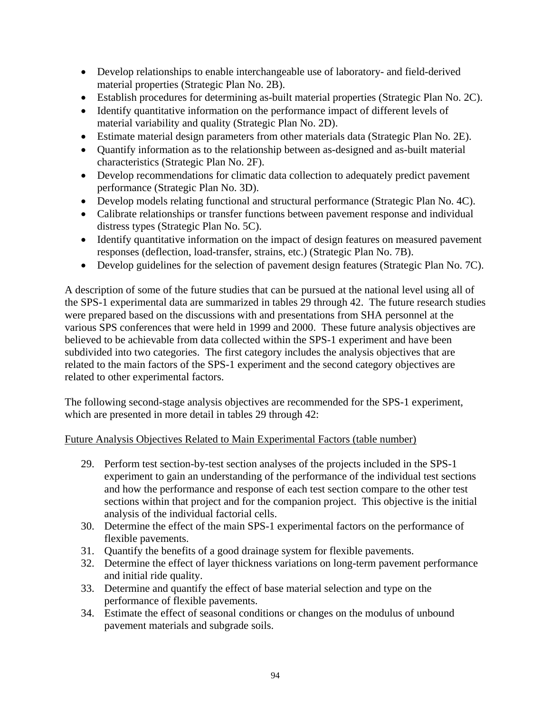- Develop relationships to enable interchangeable use of laboratory- and field-derived material properties (Strategic Plan No. 2B).
- Establish procedures for determining as-built material properties (Strategic Plan No. 2C).
- Identify quantitative information on the performance impact of different levels of material variability and quality (Strategic Plan No. 2D).
- Estimate material design parameters from other materials data (Strategic Plan No. 2E).
- Quantify information as to the relationship between as-designed and as-built material characteristics (Strategic Plan No. 2F).
- Develop recommendations for climatic data collection to adequately predict pavement performance (Strategic Plan No. 3D).
- Develop models relating functional and structural performance (Strategic Plan No. 4C).
- Calibrate relationships or transfer functions between pavement response and individual distress types (Strategic Plan No. 5C).
- Identify quantitative information on the impact of design features on measured pavement responses (deflection, load-transfer, strains, etc.) (Strategic Plan No. 7B).
- Develop guidelines for the selection of pavement design features (Strategic Plan No. 7C).

A description of some of the future studies that can be pursued at the national level using all of the SPS-1 experimental data are summarized in tables 29 through 42. The future research studies were prepared based on the discussions with and presentations from SHA personnel at the various SPS conferences that were held in 1999 and 2000. These future analysis objectives are believed to be achievable from data collected within the SPS-1 experiment and have been subdivided into two categories. The first category includes the analysis objectives that are related to the main factors of the SPS-1 experiment and the second category objectives are related to other experimental factors.

The following second-stage analysis objectives are recommended for the SPS-1 experiment, which are presented in more detail in tables 29 through 42:

### Future Analysis Objectives Related to Main Experimental Factors (table number)

- 29. Perform test section-by-test section analyses of the projects included in the SPS-1 experiment to gain an understanding of the performance of the individual test sections and how the performance and response of each test section compare to the other test sections within that project and for the companion project. This objective is the initial analysis of the individual factorial cells.
- 30. Determine the effect of the main SPS-1 experimental factors on the performance of flexible pavements.
- 31. Quantify the benefits of a good drainage system for flexible pavements.
- 32. Determine the effect of layer thickness variations on long-term pavement performance and initial ride quality.
- 33. Determine and quantify the effect of base material selection and type on the performance of flexible pavements.
- 34. Estimate the effect of seasonal conditions or changes on the modulus of unbound pavement materials and subgrade soils.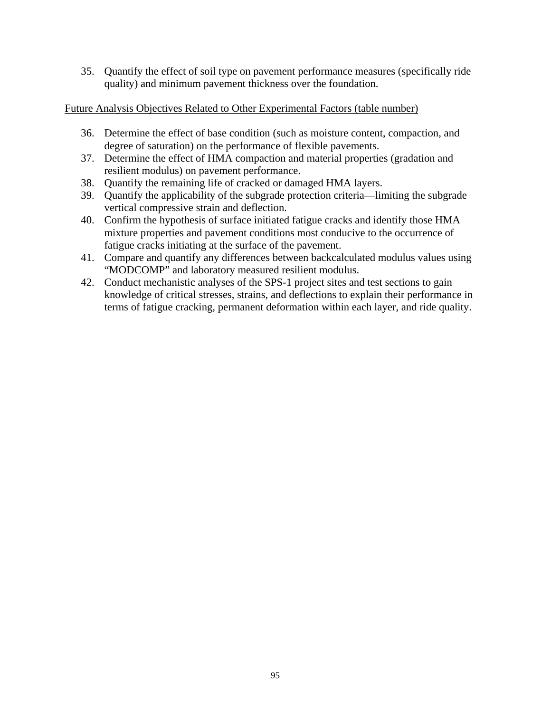35. Quantify the effect of soil type on pavement performance measures (specifically ride quality) and minimum pavement thickness over the foundation.

# Future Analysis Objectives Related to Other Experimental Factors (table number)

- 36. Determine the effect of base condition (such as moisture content, compaction, and degree of saturation) on the performance of flexible pavements.
- 37. Determine the effect of HMA compaction and material properties (gradation and resilient modulus) on pavement performance.
- 38. Quantify the remaining life of cracked or damaged HMA layers.
- 39. Quantify the applicability of the subgrade protection criteria—limiting the subgrade vertical compressive strain and deflection.
- 40. Confirm the hypothesis of surface initiated fatigue cracks and identify those HMA mixture properties and pavement conditions most conducive to the occurrence of fatigue cracks initiating at the surface of the pavement.
- 41. Compare and quantify any differences between backcalculated modulus values using "MODCOMP" and laboratory measured resilient modulus.
- 42. Conduct mechanistic analyses of the SPS-1 project sites and test sections to gain knowledge of critical stresses, strains, and deflections to explain their performance in terms of fatigue cracking, permanent deformation within each layer, and ride quality.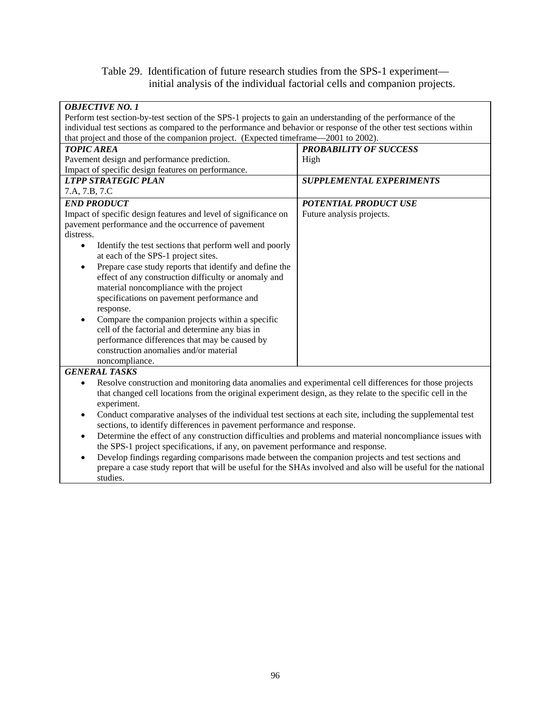# Table 29. Identification of future research studies from the SPS-1 experiment initial analysis of the individual factorial cells and companion projects.

| <b>OBJECTIVE NO. 1</b>                                                                                                 |                                 |
|------------------------------------------------------------------------------------------------------------------------|---------------------------------|
| Perform test section-by-test section of the SPS-1 projects to gain an understanding of the performance of the          |                                 |
| individual test sections as compared to the performance and behavior or response of the other test sections within     |                                 |
| that project and those of the companion project. (Expected timeframe—2001 to 2002).                                    |                                 |
| <b>TOPIC AREA</b>                                                                                                      | <b>PROBABILITY OF SUCCESS</b>   |
| Pavement design and performance prediction.                                                                            | High                            |
| Impact of specific design features on performance.                                                                     |                                 |
| <b>LTPP STRATEGIC PLAN</b>                                                                                             | <b>SUPPLEMENTAL EXPERIMENTS</b> |
| 7.A, 7.B, 7.C                                                                                                          |                                 |
| <b>END PRODUCT</b>                                                                                                     | <b>POTENTIAL PRODUCT USE</b>    |
| Impact of specific design features and level of significance on                                                        | Future analysis projects.       |
| pavement performance and the occurrence of pavement                                                                    |                                 |
| distress.                                                                                                              |                                 |
| Identify the test sections that perform well and poorly<br>$\bullet$                                                   |                                 |
| at each of the SPS-1 project sites.                                                                                    |                                 |
| Prepare case study reports that identify and define the<br>$\bullet$                                                   |                                 |
| effect of any construction difficulty or anomaly and                                                                   |                                 |
| material noncompliance with the project                                                                                |                                 |
| specifications on pavement performance and                                                                             |                                 |
| response.                                                                                                              |                                 |
| Compare the companion projects within a specific                                                                       |                                 |
| cell of the factorial and determine any bias in                                                                        |                                 |
| performance differences that may be caused by                                                                          |                                 |
| construction anomalies and/or material                                                                                 |                                 |
| noncompliance.                                                                                                         |                                 |
| <b>GENERAL TASKS</b>                                                                                                   |                                 |
| Resolve construction and monitoring data anomalies and experimental cell differences for those projects<br>٠           |                                 |
| that changed cell locations from the original experiment design, as they relate to the specific cell in the            |                                 |
| experiment.                                                                                                            |                                 |
| Conduct comparative analyses of the individual test sections at each site, including the supplemental test<br>٠        |                                 |
| sections, to identify differences in pavement performance and response.                                                |                                 |
| Determine the effect of any construction difficulties and problems and material noncompliance issues with<br>$\bullet$ |                                 |
| the SPS-1 project specifications, if any, on pavement performance and response.                                        |                                 |

• Develop findings regarding comparisons made between the companion projects and test sections and prepare a case study report that will be useful for the SHAs involved and also will be useful for the national studies.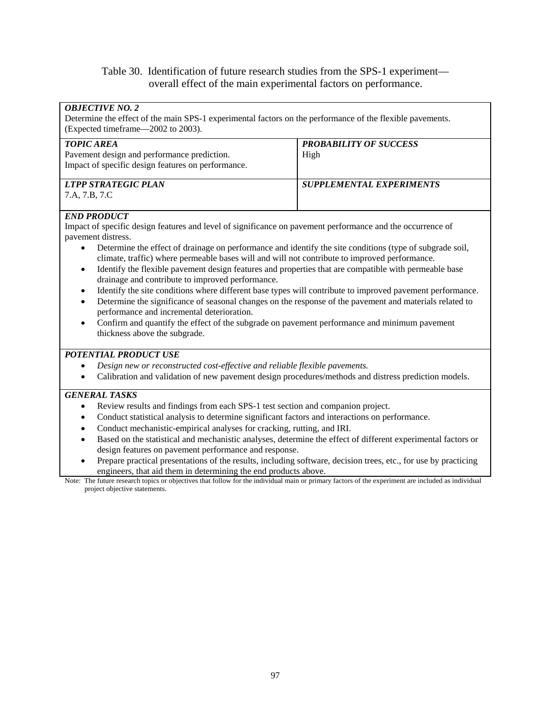#### Table 30. Identification of future research studies from the SPS-1 experiment overall effect of the main experimental factors on performance.

| <b>OBJECTIVE NO. 2</b><br>Determine the effect of the main SPS-1 experimental factors on the performance of the flexible pavements.<br>(Expected timeframe—2002 to 2003). |                                 |
|---------------------------------------------------------------------------------------------------------------------------------------------------------------------------|---------------------------------|
| <b>TOPIC AREA</b>                                                                                                                                                         | <b>PROBABILITY OF SUCCESS</b>   |
| Pavement design and performance prediction.                                                                                                                               | High                            |
| Impact of specific design features on performance.                                                                                                                        |                                 |
|                                                                                                                                                                           |                                 |
| <b>LTPP STRATEGIC PLAN</b>                                                                                                                                                | <b>SUPPLEMENTAL EXPERIMENTS</b> |
| 7.A, 7.B, 7.C                                                                                                                                                             |                                 |
| $FMD$ $DD\triangle DITCT$                                                                                                                                                 |                                 |

#### *END PRODUCT*

Impact of specific design features and level of significance on pavement performance and the occurrence of pavement distress.

- Determine the effect of drainage on performance and identify the site conditions (type of subgrade soil, climate, traffic) where permeable bases will and will not contribute to improved performance.
- Identify the flexible pavement design features and properties that are compatible with permeable base drainage and contribute to improved performance.
- Identify the site conditions where different base types will contribute to improved pavement performance.
- Determine the significance of seasonal changes on the response of the pavement and materials related to performance and incremental deterioration.
- Confirm and quantify the effect of the subgrade on pavement performance and minimum pavement thickness above the subgrade.

#### *POTENTIAL PRODUCT USE*

- *Design new or reconstructed cost-effective and reliable flexible pavements.*
- Calibration and validation of new pavement design procedures/methods and distress prediction models.

#### *GENERAL TASKS*

- Review results and findings from each SPS-1 test section and companion project.
- Conduct statistical analysis to determine significant factors and interactions on performance.
- Conduct mechanistic-empirical analyses for cracking, rutting, and IRI.
- Based on the statistical and mechanistic analyses, determine the effect of different experimental factors or design features on pavement performance and response.
- Prepare practical presentations of the results, including software, decision trees, etc., for use by practicing engineers, that aid them in determining the end products above.

Note: The future research topics or objectives that follow for the individual main or primary factors of the experiment are included as individual project objective statements.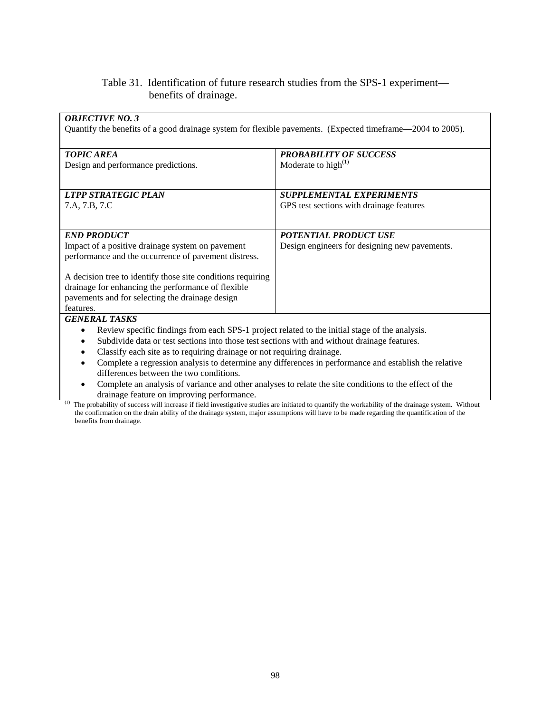# Table 31. Identification of future research studies from the SPS-1 experiment benefits of drainage.

| <b>OBJECTIVE NO. 3</b><br>Quantify the benefits of a good drainage system for flexible pavements. (Expected timeframe—2004 to 2005). |                                                                                                                                                   |
|--------------------------------------------------------------------------------------------------------------------------------------|---------------------------------------------------------------------------------------------------------------------------------------------------|
| <b>TOPIC AREA</b>                                                                                                                    | <b>PROBABILITY OF SUCCESS</b>                                                                                                                     |
| Design and performance predictions.                                                                                                  | Moderate to high $^{(1)}$                                                                                                                         |
| <b>LTPP STRATEGIC PLAN</b>                                                                                                           | <b>SUPPLEMENTAL EXPERIMENTS</b>                                                                                                                   |
| 7.A, 7.B, 7.C                                                                                                                        | GPS test sections with drainage features                                                                                                          |
| <b>END PRODUCT</b>                                                                                                                   | POTENTIAL PRODUCT USE                                                                                                                             |
| Impact of a positive drainage system on pavement<br>performance and the occurrence of pavement distress.                             | Design engineers for designing new pavements.                                                                                                     |
| A decision tree to identify those site conditions requiring                                                                          |                                                                                                                                                   |
| drainage for enhancing the performance of flexible                                                                                   |                                                                                                                                                   |
| pavements and for selecting the drainage design<br>features.                                                                         |                                                                                                                                                   |
| <b>GENERAL TASKS</b>                                                                                                                 |                                                                                                                                                   |
| Review specific findings from each SPS-1 project related to the initial stage of the analysis.<br>٠                                  |                                                                                                                                                   |
| Subdivide data or test sections into those test sections with and without drainage features.                                         |                                                                                                                                                   |
| Classify each site as to requiring drainage or not requiring drainage.                                                               |                                                                                                                                                   |
| Complete a regression analysis to determine any differences in performance and establish the relative<br>$\bullet$                   |                                                                                                                                                   |
| differences between the two conditions.                                                                                              |                                                                                                                                                   |
| Complete an analysis of variance and other analyses to relate the site conditions to the effect of the                               |                                                                                                                                                   |
| drainage feature on improving performance.                                                                                           | The probability of success will increase if field investigative studies are initiated to quantify the workability of the drainage system. Without |

the confirmation on the drain ability of the drainage system, major assumptions will have to be made regarding the quantification of the benefits from drainage.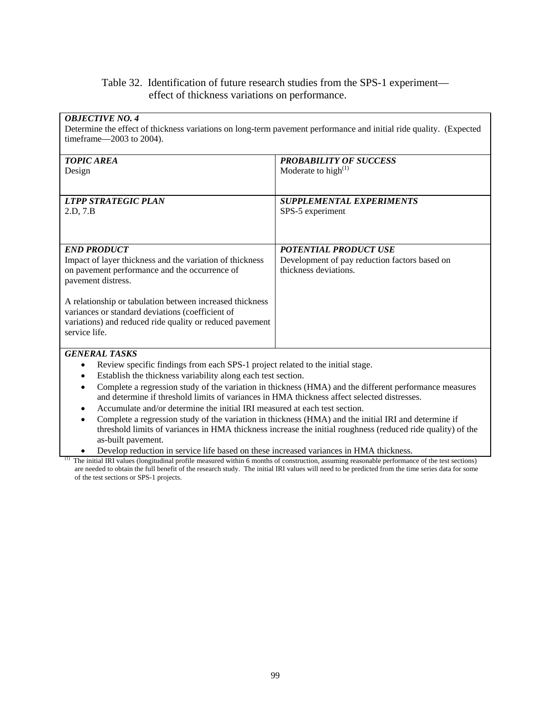# Table 32. Identification of future research studies from the SPS-1 experiment effect of thickness variations on performance.

| <b>OBJECTIVE NO. 4</b><br>Determine the effect of thickness variations on long-term pavement performance and initial ride quality. (Expected<br>timeframe-2003 to 2004). |                                                                                                        |  |
|--------------------------------------------------------------------------------------------------------------------------------------------------------------------------|--------------------------------------------------------------------------------------------------------|--|
| <b>TOPIC AREA</b>                                                                                                                                                        | <b>PROBABILITY OF SUCCESS</b>                                                                          |  |
| Design                                                                                                                                                                   | Moderate to high $^{(1)}$                                                                              |  |
| <b>LTPP STRATEGIC PLAN</b>                                                                                                                                               | <b>SUPPLEMENTAL EXPERIMENTS</b>                                                                        |  |
| 2.D. 7.B                                                                                                                                                                 | SPS-5 experiment                                                                                       |  |
|                                                                                                                                                                          |                                                                                                        |  |
| <b>END PRODUCT</b>                                                                                                                                                       | <b>POTENTIAL PRODUCT USE</b>                                                                           |  |
| Impact of layer thickness and the variation of thickness                                                                                                                 | Development of pay reduction factors based on                                                          |  |
| on pavement performance and the occurrence of<br>pavement distress.                                                                                                      | thickness deviations.                                                                                  |  |
| A relationship or tabulation between increased thickness                                                                                                                 |                                                                                                        |  |
| variances or standard deviations (coefficient of<br>variations) and reduced ride quality or reduced pavement                                                             |                                                                                                        |  |
| service life.                                                                                                                                                            |                                                                                                        |  |
| <b>GENERAL TASKS</b>                                                                                                                                                     |                                                                                                        |  |
| Review specific findings from each SPS-1 project related to the initial stage.<br>٠                                                                                      |                                                                                                        |  |
| Establish the thickness variability along each test section.<br>٠                                                                                                        |                                                                                                        |  |
| ٠                                                                                                                                                                        | Complete a regression study of the variation in thickness (HMA) and the different performance measures |  |
| and determine if threshold limits of variances in HMA thickness affect selected distresses.                                                                              |                                                                                                        |  |
| Accumulate and/or determine the initial IRI measured at each test section.                                                                                               |                                                                                                        |  |
| Complete a regression study of the variation in thickness (HMA) and the initial IRI and determine if<br>$\bullet$                                                        |                                                                                                        |  |

threshold limits of variances in HMA thickness increase the initial roughness (reduced ride quality) of the as-built pavement.

• Develop reduction in service life based on these increased variances in HMA thickness.

<sup>(1)</sup> The initial IRI values (longitudinal profile measured within 6 months of construction, assuming reasonable performance of the test sections) are needed to obtain the full benefit of the research study. The initial IRI values will need to be predicted from the time series data for some of the test sections or SPS-1 projects.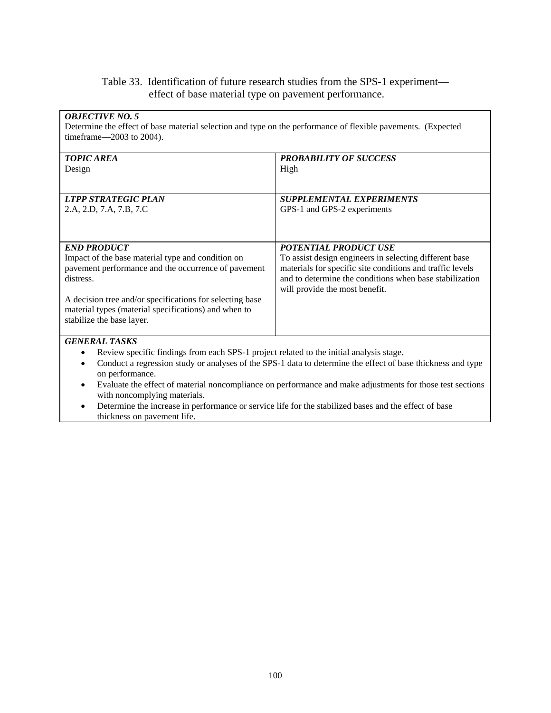# Table 33. Identification of future research studies from the SPS-1 experiment effect of base material type on pavement performance.

| <b>OBJECTIVE NO. 5</b>                                                                                       |                                                                                                             |
|--------------------------------------------------------------------------------------------------------------|-------------------------------------------------------------------------------------------------------------|
| Determine the effect of base material selection and type on the performance of flexible pavements. (Expected |                                                                                                             |
|                                                                                                              |                                                                                                             |
| timeframe—2003 to 2004).                                                                                     |                                                                                                             |
|                                                                                                              |                                                                                                             |
| <b>TOPIC AREA</b>                                                                                            | <b>PROBABILITY OF SUCCESS</b>                                                                               |
| Design                                                                                                       | High                                                                                                        |
|                                                                                                              |                                                                                                             |
|                                                                                                              |                                                                                                             |
| <b>LTPP STRATEGIC PLAN</b>                                                                                   | <b>SUPPLEMENTAL EXPERIMENTS</b>                                                                             |
| 2.A, 2.D, 7.A, 7.B, 7.C                                                                                      | GPS-1 and GPS-2 experiments                                                                                 |
|                                                                                                              |                                                                                                             |
|                                                                                                              |                                                                                                             |
| <b>END PRODUCT</b>                                                                                           | <b>POTENTIAL PRODUCT USE</b>                                                                                |
|                                                                                                              |                                                                                                             |
| Impact of the base material type and condition on                                                            | To assist design engineers in selecting different base                                                      |
| pavement performance and the occurrence of pavement                                                          | materials for specific site conditions and traffic levels                                                   |
| distress.                                                                                                    | and to determine the conditions when base stabilization                                                     |
|                                                                                                              | will provide the most benefit.                                                                              |
| A decision tree and/or specifications for selecting base                                                     |                                                                                                             |
| material types (material specifications) and when to                                                         |                                                                                                             |
| stabilize the base layer.                                                                                    |                                                                                                             |
|                                                                                                              |                                                                                                             |
| <b>GENERAL TASKS</b>                                                                                         |                                                                                                             |
| Review specific findings from each SPS-1 project related to the initial analysis stage.<br>٠                 |                                                                                                             |
| ٠                                                                                                            | Conduct a regression study or analyses of the SPS-1 data to determine the effect of base thickness and type |
| on performance.                                                                                              |                                                                                                             |
| ٠                                                                                                            | Evaluate the effect of material noncompliance on performance and make adjustments for those test sections   |
| with noncomplying materials.                                                                                 |                                                                                                             |
| Determine the increase in newformance or corries life for the step-lined heave and the effect of heave       |                                                                                                             |

• Determine the increase in performance or service life for the stabilized bases and the effect of base thickness on pavement life.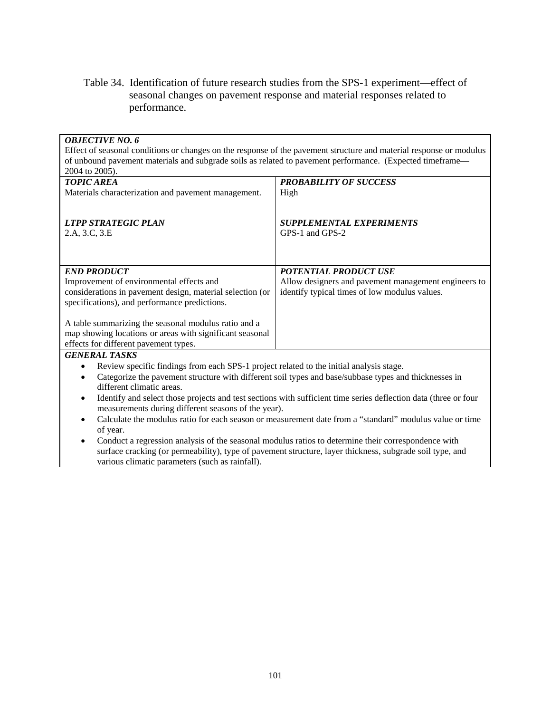Table 34. Identification of future research studies from the SPS-1 experiment—effect of seasonal changes on pavement response and material responses related to performance.

| <b>OBJECTIVE NO. 6</b>                                                                                                       |                                                                                                                     |
|------------------------------------------------------------------------------------------------------------------------------|---------------------------------------------------------------------------------------------------------------------|
|                                                                                                                              | Effect of seasonal conditions or changes on the response of the pavement structure and material response or modulus |
| of unbound pavement materials and subgrade soils as related to pavement performance. (Expected timeframe—                    |                                                                                                                     |
| 2004 to 2005).                                                                                                               |                                                                                                                     |
| <b>TOPIC AREA</b>                                                                                                            | <b>PROBABILITY OF SUCCESS</b>                                                                                       |
| Materials characterization and pavement management.                                                                          | High                                                                                                                |
|                                                                                                                              |                                                                                                                     |
| <b>LTPP STRATEGIC PLAN</b>                                                                                                   | <b>SUPPLEMENTAL EXPERIMENTS</b>                                                                                     |
| 2.A, 3.C, 3.E                                                                                                                | GPS-1 and GPS-2                                                                                                     |
|                                                                                                                              |                                                                                                                     |
|                                                                                                                              |                                                                                                                     |
|                                                                                                                              |                                                                                                                     |
| <b>END PRODUCT</b>                                                                                                           | <b>POTENTIAL PRODUCT USE</b>                                                                                        |
| Improvement of environmental effects and                                                                                     | Allow designers and pavement management engineers to                                                                |
| considerations in pavement design, material selection (or                                                                    | identify typical times of low modulus values.                                                                       |
| specifications), and performance predictions.                                                                                |                                                                                                                     |
|                                                                                                                              |                                                                                                                     |
| A table summarizing the seasonal modulus ratio and a                                                                         |                                                                                                                     |
| map showing locations or areas with significant seasonal                                                                     |                                                                                                                     |
| effects for different pavement types.                                                                                        |                                                                                                                     |
| <b>GENERAL TASKS</b>                                                                                                         |                                                                                                                     |
| Review specific findings from each SPS-1 project related to the initial analysis stage.<br>$\bullet$                         |                                                                                                                     |
| $\bullet$                                                                                                                    | Categorize the pavement structure with different soil types and base/subbase types and thicknesses in               |
| different climatic areas.                                                                                                    |                                                                                                                     |
| Identify and select those projects and test sections with sufficient time series deflection data (three or four<br>$\bullet$ |                                                                                                                     |
| measurements during different seasons of the year).                                                                          |                                                                                                                     |
| Calculate the modulus ratio for each season or measurement date from a "standard" modulus value or time<br>$\bullet$         |                                                                                                                     |
| of year.                                                                                                                     |                                                                                                                     |
| Conduct a regression analysis of the seasonal modulus ratios to determine their correspondence with<br>$\bullet$             |                                                                                                                     |
| surface cracking (or permeability), type of pavement structure, layer thickness, subgrade soil type, and                     |                                                                                                                     |
| various climatic parameters (such as rainfall).                                                                              |                                                                                                                     |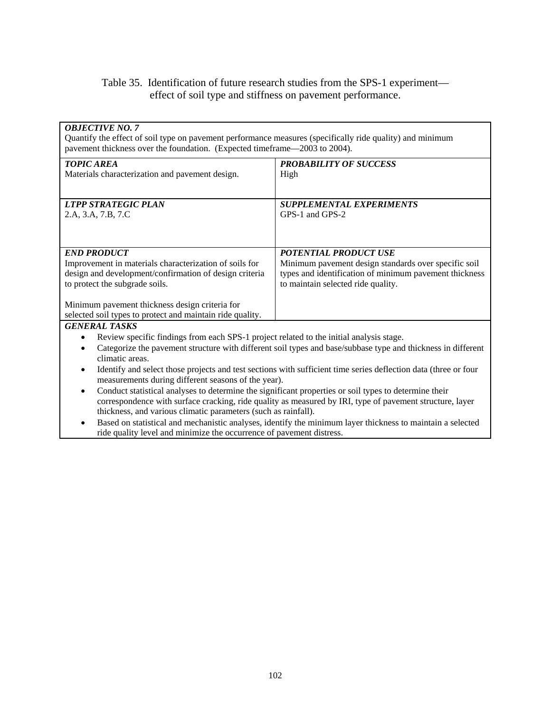# Table 35. Identification of future research studies from the SPS-1 experiment effect of soil type and stiffness on pavement performance.

| <b>OBJECTIVE NO. 7</b><br>Quantify the effect of soil type on pavement performance measures (specifically ride quality) and minimum<br>pavement thickness over the foundation. (Expected timeframe—2003 to 2004). |                                                        |
|-------------------------------------------------------------------------------------------------------------------------------------------------------------------------------------------------------------------|--------------------------------------------------------|
| <b>TOPIC AREA</b>                                                                                                                                                                                                 | <b>PROBABILITY OF SUCCESS</b>                          |
| Materials characterization and pavement design.                                                                                                                                                                   | High                                                   |
|                                                                                                                                                                                                                   |                                                        |
| <b>LTPP STRATEGIC PLAN</b>                                                                                                                                                                                        | <b>SUPPLEMENTAL EXPERIMENTS</b>                        |
| 2.A, 3.A, 7.B, 7.C                                                                                                                                                                                                | GPS-1 and GPS-2                                        |
|                                                                                                                                                                                                                   |                                                        |
| <b>END PRODUCT</b>                                                                                                                                                                                                | <b>POTENTIAL PRODUCT USE</b>                           |
| Improvement in materials characterization of soils for                                                                                                                                                            | Minimum pavement design standards over specific soil   |
| design and development/confirmation of design criteria                                                                                                                                                            | types and identification of minimum pavement thickness |
| to protect the subgrade soils.                                                                                                                                                                                    | to maintain selected ride quality.                     |
|                                                                                                                                                                                                                   |                                                        |
| Minimum pavement thickness design criteria for                                                                                                                                                                    |                                                        |
| selected soil types to protect and maintain ride quality.                                                                                                                                                         |                                                        |
| <b>GENERAL TASKS</b>                                                                                                                                                                                              |                                                        |
| Review specific findings from each SPS-1 project related to the initial analysis stage.                                                                                                                           |                                                        |
| Catagoriza the neugment structure with different soil types and bega(subbase type and this gross in different                                                                                                     |                                                        |

- Categorize the pavement structure with different soil types and base/subbase type and thickness in different climatic areas.
- Identify and select those projects and test sections with sufficient time series deflection data (three or four measurements during different seasons of the year).
- Conduct statistical analyses to determine the significant properties or soil types to determine their correspondence with surface cracking, ride quality as measured by IRI, type of pavement structure, layer thickness, and various climatic parameters (such as rainfall).
- Based on statistical and mechanistic analyses, identify the minimum layer thickness to maintain a selected ride quality level and minimize the occurrence of pavement distress.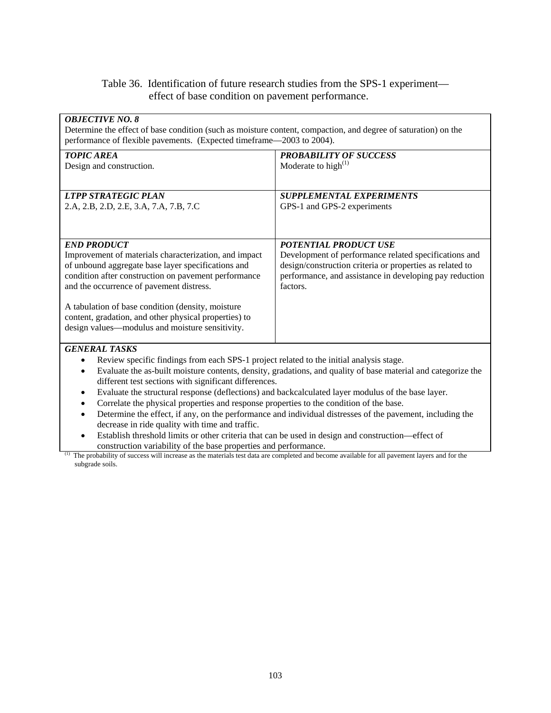# Table 36. Identification of future research studies from the SPS-1 experiment effect of base condition on pavement performance.

| <b>OBJECTIVE NO. 8</b><br>Determine the effect of base condition (such as moisture content, compaction, and degree of saturation) on the<br>performance of flexible pavements. (Expected timeframe—2003 to 2004).                                                                                                                                                                                                                                                                                                                                                                                                                                                                                                                                                                                                                                                                                                                                                                                                                                          |                                                                                                                                                                                                                          |
|------------------------------------------------------------------------------------------------------------------------------------------------------------------------------------------------------------------------------------------------------------------------------------------------------------------------------------------------------------------------------------------------------------------------------------------------------------------------------------------------------------------------------------------------------------------------------------------------------------------------------------------------------------------------------------------------------------------------------------------------------------------------------------------------------------------------------------------------------------------------------------------------------------------------------------------------------------------------------------------------------------------------------------------------------------|--------------------------------------------------------------------------------------------------------------------------------------------------------------------------------------------------------------------------|
| <b>TOPIC AREA</b><br>Design and construction.                                                                                                                                                                                                                                                                                                                                                                                                                                                                                                                                                                                                                                                                                                                                                                                                                                                                                                                                                                                                              | <b>PROBABILITY OF SUCCESS</b><br>Moderate to high $^{(1)}$                                                                                                                                                               |
| <b>LTPP STRATEGIC PLAN</b><br>2.A, 2.B, 2.D, 2.E, 3.A, 7.A, 7.B, 7.C                                                                                                                                                                                                                                                                                                                                                                                                                                                                                                                                                                                                                                                                                                                                                                                                                                                                                                                                                                                       | <b>SUPPLEMENTAL EXPERIMENTS</b><br>GPS-1 and GPS-2 experiments                                                                                                                                                           |
| <b>END PRODUCT</b><br>Improvement of materials characterization, and impact<br>of unbound aggregate base layer specifications and<br>condition after construction on pavement performance<br>and the occurrence of pavement distress.<br>A tabulation of base condition (density, moisture<br>content, gradation, and other physical properties) to<br>design values—modulus and moisture sensitivity.                                                                                                                                                                                                                                                                                                                                                                                                                                                                                                                                                                                                                                                     | <b>POTENTIAL PRODUCT USE</b><br>Development of performance related specifications and<br>design/construction criteria or properties as related to<br>performance, and assistance in developing pay reduction<br>factors. |
| <b>GENERAL TASKS</b><br>Review specific findings from each SPS-1 project related to the initial analysis stage.<br>$\bullet$<br>Evaluate the as-built moisture contents, density, gradations, and quality of base material and categorize the<br>$\bullet$<br>different test sections with significant differences.<br>Evaluate the structural response (deflections) and backcalculated layer modulus of the base layer.<br>$\bullet$<br>Correlate the physical properties and response properties to the condition of the base.<br>$\bullet$<br>Determine the effect, if any, on the performance and individual distresses of the pavement, including the<br>$\bullet$<br>decrease in ride quality with time and traffic.<br>Establish threshold limits or other criteria that can be used in design and construction—effect of<br>construction variability of the base properties and performance.<br>(1)<br>The probability of success will increase as the materials test data are completed and become available for all pavement layers and for the |                                                                                                                                                                                                                          |

subgrade soils.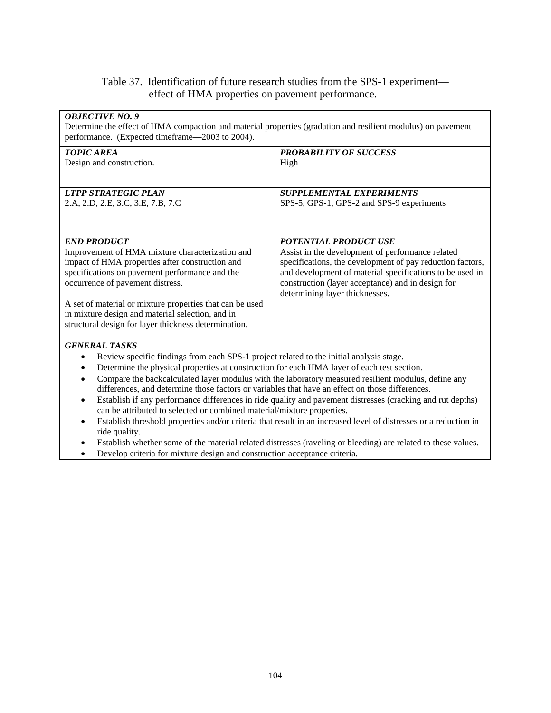## Table 37. Identification of future research studies from the SPS-1 experiment effect of HMA properties on pavement performance.

| <b>OBJECTIVE NO. 9</b><br>Determine the effect of HMA compaction and material properties (gradation and resilient modulus) on pavement |                                                           |  |
|----------------------------------------------------------------------------------------------------------------------------------------|-----------------------------------------------------------|--|
| performance. (Expected timeframe—2003 to 2004).                                                                                        |                                                           |  |
| <b>TOPIC AREA</b>                                                                                                                      | <b>PROBABILITY OF SUCCESS</b>                             |  |
| Design and construction.                                                                                                               | High                                                      |  |
|                                                                                                                                        |                                                           |  |
| <b>LTPP STRATEGIC PLAN</b>                                                                                                             | <b>SUPPLEMENTAL EXPERIMENTS</b>                           |  |
| 2.A, 2.D, 2.E, 3.C, 3.E, 7.B, 7.C                                                                                                      | SPS-5, GPS-1, GPS-2 and SPS-9 experiments                 |  |
|                                                                                                                                        |                                                           |  |
|                                                                                                                                        |                                                           |  |
| <b>END PRODUCT</b>                                                                                                                     | <b>POTENTIAL PRODUCT USE</b>                              |  |
| Improvement of HMA mixture characterization and                                                                                        | Assist in the development of performance related          |  |
| impact of HMA properties after construction and                                                                                        | specifications, the development of pay reduction factors, |  |
| specifications on pavement performance and the                                                                                         | and development of material specifications to be used in  |  |
| occurrence of pavement distress.                                                                                                       | construction (layer acceptance) and in design for         |  |
| determining layer thicknesses.                                                                                                         |                                                           |  |
| A set of material or mixture properties that can be used                                                                               |                                                           |  |
| in mixture design and material selection, and in                                                                                       |                                                           |  |
| structural design for layer thickness determination.                                                                                   |                                                           |  |
| <b>GENERAL TASKS</b>                                                                                                                   |                                                           |  |
| Review specific findings from each SPS-1 project related to the initial analysis stage.<br>٠                                           |                                                           |  |
| Determine the physical properties at construction for each HMA layer of each test section.<br>٠                                        |                                                           |  |
| Compare the backcalculated layer modulus with the laboratory measured resilient modulus, define any<br>٠                               |                                                           |  |

differences, and determine those factors or variables that have an effect on those differences.

- Establish if any performance differences in ride quality and pavement distresses (cracking and rut depths) can be attributed to selected or combined material/mixture properties.
- Establish threshold properties and/or criteria that result in an increased level of distresses or a reduction in ride quality.
- Establish whether some of the material related distresses (raveling or bleeding) are related to these values.
- Develop criteria for mixture design and construction acceptance criteria.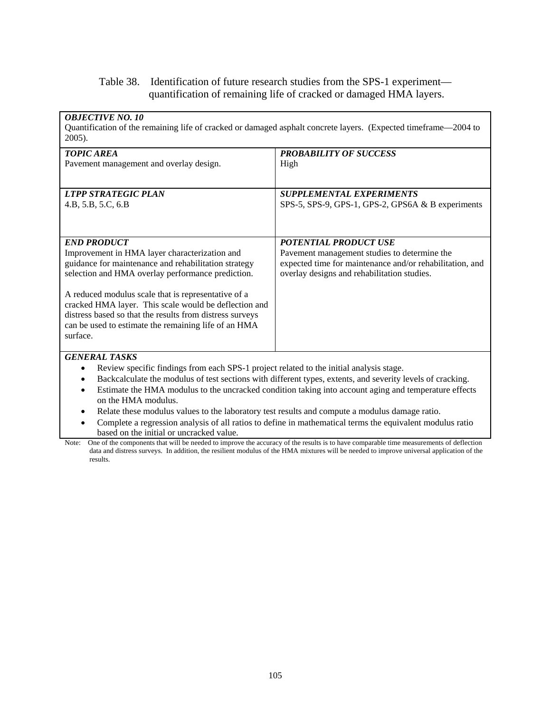# Table 38. Identification of future research studies from the SPS-1 experiment quantification of remaining life of cracked or damaged HMA layers.

| <b>OBJECTIVE NO. 10</b><br>Quantification of the remaining life of cracked or damaged asphalt concrete layers. (Expected timeframe—2004 to<br>2005).                                                                                                                                                                                                                                                                             |                                                                                                                                                                                                                                                                                                                                  |
|----------------------------------------------------------------------------------------------------------------------------------------------------------------------------------------------------------------------------------------------------------------------------------------------------------------------------------------------------------------------------------------------------------------------------------|----------------------------------------------------------------------------------------------------------------------------------------------------------------------------------------------------------------------------------------------------------------------------------------------------------------------------------|
| <b>TOPIC AREA</b><br>Pavement management and overlay design.                                                                                                                                                                                                                                                                                                                                                                     | <b>PROBABILITY OF SUCCESS</b><br>High                                                                                                                                                                                                                                                                                            |
| <b>LTPP STRATEGIC PLAN</b><br>4.B, 5.B, 5.C, 6.B                                                                                                                                                                                                                                                                                                                                                                                 | <b>SUPPLEMENTAL EXPERIMENTS</b><br>SPS-5, SPS-9, GPS-1, GPS-2, GPS6A & B experiments                                                                                                                                                                                                                                             |
| <b>END PRODUCT</b><br>Improvement in HMA layer characterization and<br>guidance for maintenance and rehabilitation strategy<br>selection and HMA overlay performance prediction.<br>A reduced modulus scale that is representative of a<br>cracked HMA layer. This scale would be deflection and<br>distress based so that the results from distress surveys<br>can be used to estimate the remaining life of an HMA<br>surface. | <b>POTENTIAL PRODUCT USE</b><br>Pavement management studies to determine the<br>expected time for maintenance and/or rehabilitation, and<br>overlay designs and rehabilitation studies.                                                                                                                                          |
| <b>GENERAL TASKS</b><br>Review specific findings from each SPS-1 project related to the initial analysis stage.<br>$\bullet$<br>$\bullet$<br>$\bullet$<br>on the HMA modulus.<br>Relate these modulus values to the laboratory test results and compute a modulus damage ratio.<br>٠<br>$\bullet$<br>based on the initial or uncracked value.                                                                                    | Backcalculate the modulus of test sections with different types, extents, and severity levels of cracking.<br>Estimate the HMA modulus to the uncracked condition taking into account aging and temperature effects<br>Complete a regression analysis of all ratios to define in mathematical terms the equivalent modulus ratio |

Note: One of the components that will be needed to improve the accuracy of the results is to have comparable time measurements of deflection data and distress surveys. In addition, the resilient modulus of the HMA mixtures will be needed to improve universal application of the results.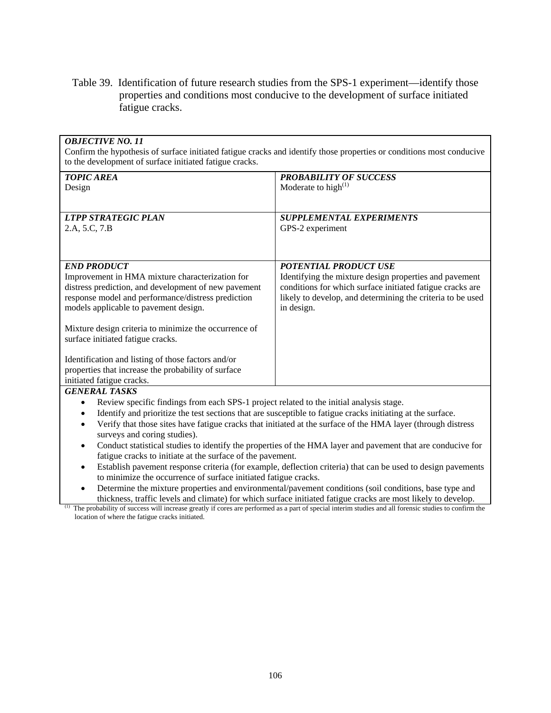Table 39. Identification of future research studies from the SPS-1 experiment—identify those properties and conditions most conducive to the development of surface initiated fatigue cracks.

| <b>OBJECTIVE NO. 11</b><br>Confirm the hypothesis of surface initiated fatigue cracks and identify those properties or conditions most conducive<br>to the development of surface initiated fatigue cracks. |                                                                                                             |  |
|-------------------------------------------------------------------------------------------------------------------------------------------------------------------------------------------------------------|-------------------------------------------------------------------------------------------------------------|--|
| <b>TOPIC AREA</b>                                                                                                                                                                                           | <b>PROBABILITY OF SUCCESS</b>                                                                               |  |
| Design                                                                                                                                                                                                      | Moderate to high $^{(1)}$                                                                                   |  |
|                                                                                                                                                                                                             |                                                                                                             |  |
|                                                                                                                                                                                                             |                                                                                                             |  |
| <b>LTPP STRATEGIC PLAN</b>                                                                                                                                                                                  | <b>SUPPLEMENTAL EXPERIMENTS</b>                                                                             |  |
| 2.A, 5.C, 7.B                                                                                                                                                                                               | GPS-2 experiment                                                                                            |  |
|                                                                                                                                                                                                             |                                                                                                             |  |
|                                                                                                                                                                                                             |                                                                                                             |  |
| <b>END PRODUCT</b>                                                                                                                                                                                          | POTENTIAL PRODUCT USE                                                                                       |  |
| Improvement in HMA mixture characterization for                                                                                                                                                             | Identifying the mixture design properties and pavement                                                      |  |
| distress prediction, and development of new pavement                                                                                                                                                        | conditions for which surface initiated fatigue cracks are                                                   |  |
| response model and performance/distress prediction                                                                                                                                                          | likely to develop, and determining the criteria to be used                                                  |  |
| models applicable to pavement design.                                                                                                                                                                       | in design.                                                                                                  |  |
|                                                                                                                                                                                                             |                                                                                                             |  |
| Mixture design criteria to minimize the occurrence of                                                                                                                                                       |                                                                                                             |  |
| surface initiated fatigue cracks.                                                                                                                                                                           |                                                                                                             |  |
|                                                                                                                                                                                                             |                                                                                                             |  |
| Identification and listing of those factors and/or                                                                                                                                                          |                                                                                                             |  |
| properties that increase the probability of surface                                                                                                                                                         |                                                                                                             |  |
| initiated fatigue cracks.                                                                                                                                                                                   |                                                                                                             |  |
| <b>GENERAL TASKS</b>                                                                                                                                                                                        |                                                                                                             |  |
| Review specific findings from each SPS-1 project related to the initial analysis stage.<br>$\bullet$                                                                                                        |                                                                                                             |  |
| Identify and prioritize the test sections that are susceptible to fatigue cracks initiating at the surface.<br>$\bullet$                                                                                    |                                                                                                             |  |
| Verify that those sites have fatigue cracks that initiated at the surface of the HMA layer (through distress                                                                                                |                                                                                                             |  |
| surveys and coring studies).                                                                                                                                                                                |                                                                                                             |  |
| $\bullet$                                                                                                                                                                                                   | Conduct statistical studies to identify the properties of the HMA layer and pavement that are conducive for |  |
| fatigue cracks to initiate at the surface of the pavement.                                                                                                                                                  |                                                                                                             |  |
| Establish payament response criteria (for example, deflection criteria) that can be used to design payaments                                                                                                |                                                                                                             |  |

- Establish pavement response criteria (for example, deflection criteria) that can be used to design pavements to minimize the occurrence of surface initiated fatigue cracks.
- Determine the mixture properties and environmental/pavement conditions (soil conditions, base type and thickness, traffic levels and climate) for which surface initiated fatigue cracks are most likely to develop.

<sup>(1)</sup> The probability of success will increase greatly if cores are performed as a part of special interim studies and all forensic studies to confirm the location of where the fatigue cracks initiated.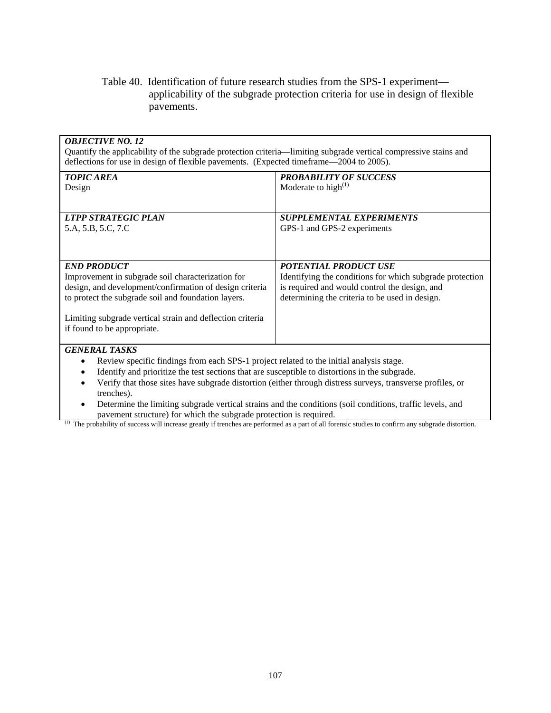# Table 40. Identification of future research studies from the SPS-1 experiment applicability of the subgrade protection criteria for use in design of flexible pavements.

| <b>OBJECTIVE NO. 12</b><br>Quantify the applicability of the subgrade protection criteria—limiting subgrade vertical compressive stains and                                                                                                                                                                                                                                                                                                                                                                                                                                                                                                                                                                                        |                                                                                                                                                                                             |  |
|------------------------------------------------------------------------------------------------------------------------------------------------------------------------------------------------------------------------------------------------------------------------------------------------------------------------------------------------------------------------------------------------------------------------------------------------------------------------------------------------------------------------------------------------------------------------------------------------------------------------------------------------------------------------------------------------------------------------------------|---------------------------------------------------------------------------------------------------------------------------------------------------------------------------------------------|--|
| deflections for use in design of flexible pavements. (Expected timeframe—2004 to 2005).                                                                                                                                                                                                                                                                                                                                                                                                                                                                                                                                                                                                                                            |                                                                                                                                                                                             |  |
| <b>TOPIC AREA</b><br>Design                                                                                                                                                                                                                                                                                                                                                                                                                                                                                                                                                                                                                                                                                                        | <b>PROBABILITY OF SUCCESS</b><br>Moderate to high $^{(1)}$                                                                                                                                  |  |
| <b>LTPP STRATEGIC PLAN</b><br>5.A, 5.B, 5.C, 7.C                                                                                                                                                                                                                                                                                                                                                                                                                                                                                                                                                                                                                                                                                   | <b>SUPPLEMENTAL EXPERIMENTS</b><br>GPS-1 and GPS-2 experiments                                                                                                                              |  |
| <b>END PRODUCT</b><br>Improvement in subgrade soil characterization for<br>design, and development/confirmation of design criteria<br>to protect the subgrade soil and foundation layers.<br>Limiting subgrade vertical strain and deflection criteria<br>if found to be appropriate.                                                                                                                                                                                                                                                                                                                                                                                                                                              | <b>POTENTIAL PRODUCT USE</b><br>Identifying the conditions for which subgrade protection<br>is required and would control the design, and<br>determining the criteria to be used in design. |  |
| <b>GENERAL TASKS</b><br>Review specific findings from each SPS-1 project related to the initial analysis stage.<br>$\bullet$<br>Identify and prioritize the test sections that are susceptible to distortions in the subgrade.<br>$\bullet$<br>Verify that those sites have subgrade distortion (either through distress surveys, transverse profiles, or<br>trenches).<br>Determine the limiting subgrade vertical strains and the conditions (soil conditions, traffic levels, and<br>$\bullet$<br>pavement structure) for which the subgrade protection is required.<br>(1)<br>The probability of success will increase greatly if trenches are performed as a part of all forensic studies to confirm any subgrade distortion. |                                                                                                                                                                                             |  |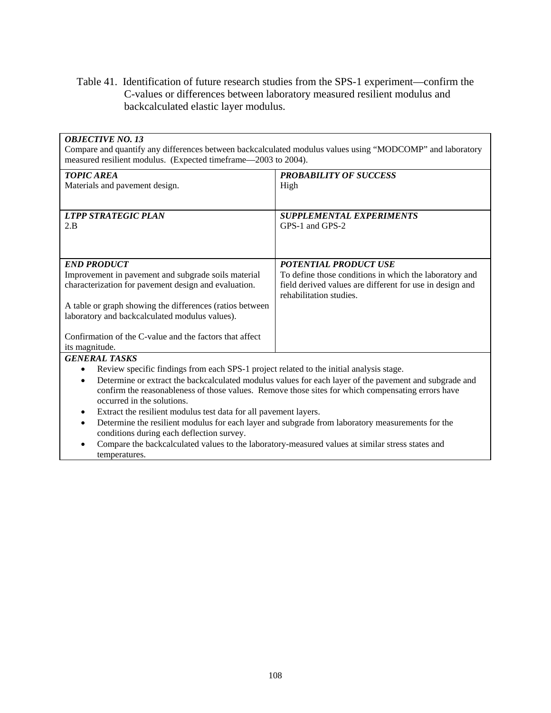Table 41. Identification of future research studies from the SPS-1 experiment—confirm the C-values or differences between laboratory measured resilient modulus and backcalculated elastic layer modulus.

#### *OBJECTIVE NO. 13*

Compare and quantify any differences between backcalculated modulus values using "MODCOMP" and laboratory measured resilient modulus. (Expected timeframe—2003 to 2004).

| <b>TOPIC AREA</b>                                                                       | <b>PROBABILITY OF SUCCESS</b>                                                                                                                                                                                                     |
|-----------------------------------------------------------------------------------------|-----------------------------------------------------------------------------------------------------------------------------------------------------------------------------------------------------------------------------------|
| Materials and pavement design.                                                          | High                                                                                                                                                                                                                              |
|                                                                                         |                                                                                                                                                                                                                                   |
| <b>LTPP STRATEGIC PLAN</b>                                                              | <b>SUPPLEMENTAL EXPERIMENTS</b>                                                                                                                                                                                                   |
| 2.B                                                                                     | GPS-1 and GPS-2                                                                                                                                                                                                                   |
|                                                                                         |                                                                                                                                                                                                                                   |
|                                                                                         |                                                                                                                                                                                                                                   |
|                                                                                         |                                                                                                                                                                                                                                   |
| <b>END PRODUCT</b>                                                                      | <b>POTENTIAL PRODUCT USE</b>                                                                                                                                                                                                      |
| Improvement in pavement and subgrade soils material                                     | To define those conditions in which the laboratory and                                                                                                                                                                            |
| characterization for pavement design and evaluation.                                    | field derived values are different for use in design and<br>rehabilitation studies.                                                                                                                                               |
| A table or graph showing the differences (ratios between                                |                                                                                                                                                                                                                                   |
| laboratory and backcalculated modulus values).                                          |                                                                                                                                                                                                                                   |
|                                                                                         |                                                                                                                                                                                                                                   |
| Confirmation of the C-value and the factors that affect                                 |                                                                                                                                                                                                                                   |
| its magnitude.                                                                          |                                                                                                                                                                                                                                   |
| <b>GENERAL TASKS</b>                                                                    |                                                                                                                                                                                                                                   |
| Review specific findings from each SPS-1 project related to the initial analysis stage. |                                                                                                                                                                                                                                   |
|                                                                                         | $\mathcal{L}$ and the state of the state of the state of the state of the state of the state of the state of the state of the state of the state of the state of the state of the state of the state of the state of the state of |

• Determine or extract the backcalculated modulus values for each layer of the pavement and subgrade and confirm the reasonableness of those values. Remove those sites for which compensating errors have occurred in the solutions.

- Extract the resilient modulus test data for all pavement layers.
- Determine the resilient modulus for each layer and subgrade from laboratory measurements for the conditions during each deflection survey.
- Compare the backcalculated values to the laboratory-measured values at similar stress states and temperatures.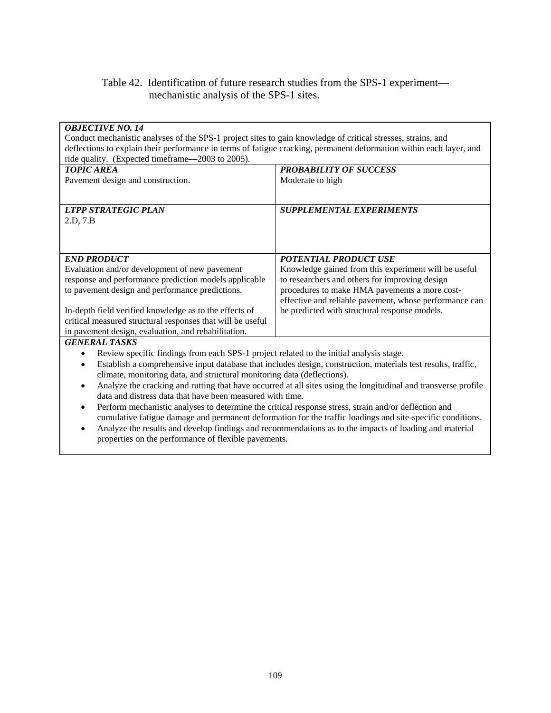# Table 42. Identification of future research studies from the SPS-1 experiment mechanistic analysis of the SPS-1 sites.

| <b>OBJECTIVE NO. 14</b>                                                                                             |                                                                                                                |  |  |  |  |  |
|---------------------------------------------------------------------------------------------------------------------|----------------------------------------------------------------------------------------------------------------|--|--|--|--|--|
| Conduct mechanistic analyses of the SPS-1 project sites to gain knowledge of critical stresses, strains, and        |                                                                                                                |  |  |  |  |  |
| deflections to explain their performance in terms of fatigue cracking, permanent deformation within each layer, and |                                                                                                                |  |  |  |  |  |
| ride quality. (Expected timeframe—2003 to 2005).                                                                    |                                                                                                                |  |  |  |  |  |
| <b>TOPIC AREA</b>                                                                                                   | <b>PROBABILITY OF SUCCESS</b>                                                                                  |  |  |  |  |  |
| Pavement design and construction.                                                                                   | Moderate to high                                                                                               |  |  |  |  |  |
|                                                                                                                     |                                                                                                                |  |  |  |  |  |
|                                                                                                                     |                                                                                                                |  |  |  |  |  |
| <b>LTPP STRATEGIC PLAN</b>                                                                                          | <b>SUPPLEMENTAL EXPERIMENTS</b>                                                                                |  |  |  |  |  |
| 2.D, 7.B                                                                                                            |                                                                                                                |  |  |  |  |  |
|                                                                                                                     |                                                                                                                |  |  |  |  |  |
|                                                                                                                     |                                                                                                                |  |  |  |  |  |
|                                                                                                                     |                                                                                                                |  |  |  |  |  |
| <b>END PRODUCT</b>                                                                                                  | <b>POTENTIAL PRODUCT USE</b>                                                                                   |  |  |  |  |  |
| Evaluation and/or development of new pavement                                                                       | Knowledge gained from this experiment will be useful                                                           |  |  |  |  |  |
| response and performance prediction models applicable                                                               | to researchers and others for improving design                                                                 |  |  |  |  |  |
| to pavement design and performance predictions.                                                                     | procedures to make HMA pavements a more cost-                                                                  |  |  |  |  |  |
|                                                                                                                     | effective and reliable pavement, whose performance can                                                         |  |  |  |  |  |
| In-depth field verified knowledge as to the effects of                                                              | be predicted with structural response models.                                                                  |  |  |  |  |  |
| critical measured structural responses that will be useful                                                          |                                                                                                                |  |  |  |  |  |
| in pavement design, evaluation, and rehabilitation.                                                                 |                                                                                                                |  |  |  |  |  |
| <b>GENERAL TASKS</b>                                                                                                |                                                                                                                |  |  |  |  |  |
| Review specific findings from each SPS-1 project related to the initial analysis stage.                             |                                                                                                                |  |  |  |  |  |
| $\bullet$                                                                                                           | Establish a comprehensive input database that includes design, construction, materials test results, traffic,  |  |  |  |  |  |
| climate, monitoring data, and structural monitoring data (deflections).                                             |                                                                                                                |  |  |  |  |  |
| $\bullet$                                                                                                           | Analyze the cracking and rutting that have occurred at all sites using the longitudinal and transverse profile |  |  |  |  |  |
| data and distress data that have been measured with time.                                                           |                                                                                                                |  |  |  |  |  |
| $\bullet$                                                                                                           | Perform mechanistic analyses to determine the critical response stress, strain and/or deflection and           |  |  |  |  |  |
|                                                                                                                     | cumulative fatigue damage and permanent deformation for the traffic loadings and site-specific conditions.     |  |  |  |  |  |
| $\bullet$                                                                                                           | Analyze the results and develop findings and recommendations as to the impacts of loading and material         |  |  |  |  |  |
| properties on the performance of flexible pavements.                                                                |                                                                                                                |  |  |  |  |  |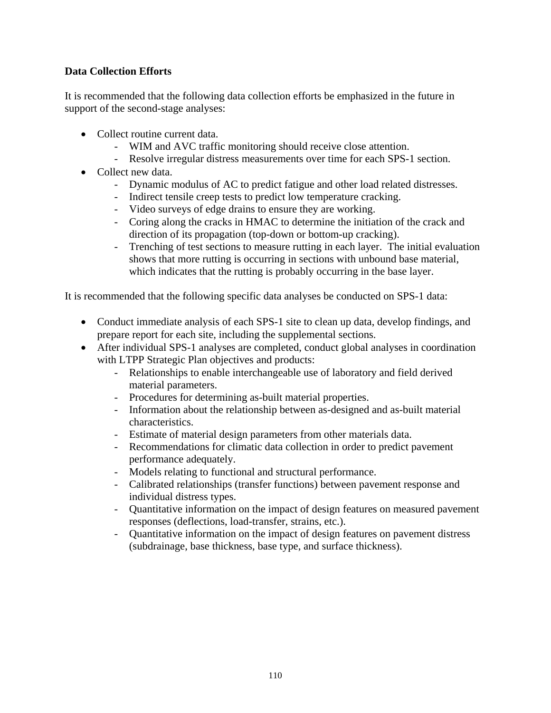# **Data Collection Efforts**

It is recommended that the following data collection efforts be emphasized in the future in support of the second-stage analyses:

- Collect routine current data.
	- WIM and AVC traffic monitoring should receive close attention.
	- Resolve irregular distress measurements over time for each SPS-1 section.
- Collect new data.
	- Dynamic modulus of AC to predict fatigue and other load related distresses.
	- Indirect tensile creep tests to predict low temperature cracking.
	- Video surveys of edge drains to ensure they are working.
	- Coring along the cracks in HMAC to determine the initiation of the crack and direction of its propagation (top-down or bottom-up cracking).
	- Trenching of test sections to measure rutting in each layer. The initial evaluation shows that more rutting is occurring in sections with unbound base material, which indicates that the rutting is probably occurring in the base layer.

It is recommended that the following specific data analyses be conducted on SPS-1 data:

- Conduct immediate analysis of each SPS-1 site to clean up data, develop findings, and prepare report for each site, including the supplemental sections.
- After individual SPS-1 analyses are completed, conduct global analyses in coordination with LTPP Strategic Plan objectives and products:
	- Relationships to enable interchangeable use of laboratory and field derived material parameters.
	- Procedures for determining as-built material properties.
	- Information about the relationship between as-designed and as-built material characteristics.
	- Estimate of material design parameters from other materials data.
	- Recommendations for climatic data collection in order to predict pavement performance adequately.
	- Models relating to functional and structural performance.
	- Calibrated relationships (transfer functions) between pavement response and individual distress types.
	- Quantitative information on the impact of design features on measured pavement responses (deflections, load-transfer, strains, etc.).
	- Quantitative information on the impact of design features on pavement distress (subdrainage, base thickness, base type, and surface thickness).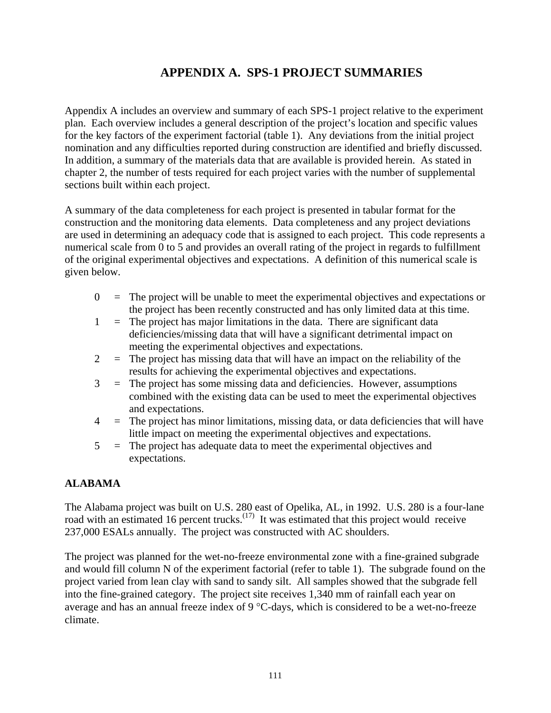# **APPENDIX A. SPS-1 PROJECT SUMMARIES**

Appendix A includes an overview and summary of each SPS-1 project relative to the experiment plan. Each overview includes a general description of the project's location and specific values for the key factors of the experiment factorial (table 1). Any deviations from the initial project nomination and any difficulties reported during construction are identified and briefly discussed. In addition, a summary of the materials data that are available is provided herein. As stated in chapter 2, the number of tests required for each project varies with the number of supplemental sections built within each project.

A summary of the data completeness for each project is presented in tabular format for the construction and the monitoring data elements. Data completeness and any project deviations are used in determining an adequacy code that is assigned to each project. This code represents a numerical scale from 0 to 5 and provides an overall rating of the project in regards to fulfillment of the original experimental objectives and expectations. A definition of this numerical scale is given below.

- $0 =$  The project will be unable to meet the experimental objectives and expectations or the project has been recently constructed and has only limited data at this time.
- $1 =$ The project has major limitations in the data. There are significant data deficiencies/missing data that will have a significant detrimental impact on meeting the experimental objectives and expectations.
- $2 =$ The project has missing data that will have an impact on the reliability of the results for achieving the experimental objectives and expectations.
- 3 = The project has some missing data and deficiencies. However, assumptions combined with the existing data can be used to meet the experimental objectives and expectations.
- $4 =$  The project has minor limitations, missing data, or data deficiencies that will have little impact on meeting the experimental objectives and expectations.
- 5 = The project has adequate data to meet the experimental objectives and expectations.

# **ALABAMA**

The Alabama project was built on U.S. 280 east of Opelika, AL, in 1992. U.S. 280 is a four-lane road with an estimated 16 percent trucks.<sup> $(17)$ </sup> It was estimated that this project would receive 237,000 ESALs annually. The project was constructed with AC shoulders.

The project was planned for the wet-no-freeze environmental zone with a fine-grained subgrade and would fill column N of the experiment factorial (refer to table 1). The subgrade found on the project varied from lean clay with sand to sandy silt. All samples showed that the subgrade fell into the fine-grained category. The project site receives 1,340 mm of rainfall each year on average and has an annual freeze index of 9 °C-days, which is considered to be a wet-no-freeze climate.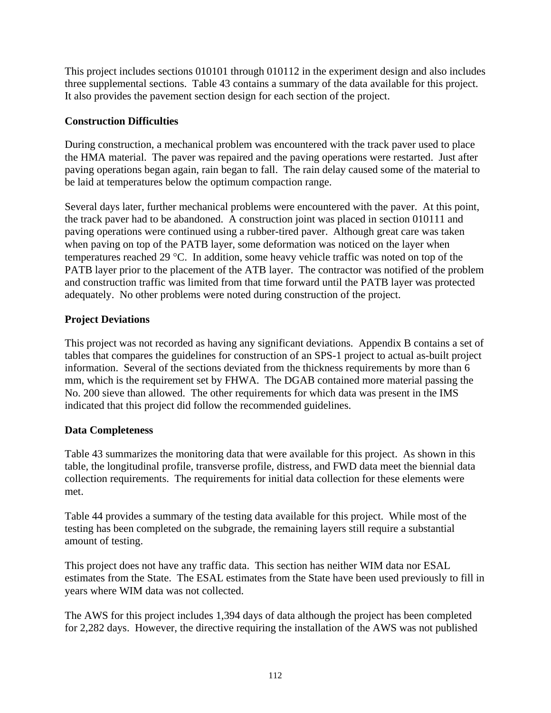This project includes sections 010101 through 010112 in the experiment design and also includes three supplemental sections. Table 43 contains a summary of the data available for this project. It also provides the pavement section design for each section of the project.

# **Construction Difficulties**

During construction, a mechanical problem was encountered with the track paver used to place the HMA material. The paver was repaired and the paving operations were restarted. Just after paving operations began again, rain began to fall. The rain delay caused some of the material to be laid at temperatures below the optimum compaction range.

Several days later, further mechanical problems were encountered with the paver. At this point, the track paver had to be abandoned. A construction joint was placed in section 010111 and paving operations were continued using a rubber-tired paver. Although great care was taken when paving on top of the PATB layer, some deformation was noticed on the layer when temperatures reached 29 °C. In addition, some heavy vehicle traffic was noted on top of the PATB layer prior to the placement of the ATB layer. The contractor was notified of the problem and construction traffic was limited from that time forward until the PATB layer was protected adequately. No other problems were noted during construction of the project.

# **Project Deviations**

This project was not recorded as having any significant deviations. Appendix B contains a set of tables that compares the guidelines for construction of an SPS-1 project to actual as-built project information. Several of the sections deviated from the thickness requirements by more than 6 mm, which is the requirement set by FHWA. The DGAB contained more material passing the No. 200 sieve than allowed. The other requirements for which data was present in the IMS indicated that this project did follow the recommended guidelines.

# **Data Completeness**

Table 43 summarizes the monitoring data that were available for this project. As shown in this table, the longitudinal profile, transverse profile, distress, and FWD data meet the biennial data collection requirements. The requirements for initial data collection for these elements were met.

Table 44 provides a summary of the testing data available for this project. While most of the testing has been completed on the subgrade, the remaining layers still require a substantial amount of testing.

This project does not have any traffic data. This section has neither WIM data nor ESAL estimates from the State. The ESAL estimates from the State have been used previously to fill in years where WIM data was not collected.

The AWS for this project includes 1,394 days of data although the project has been completed for 2,282 days. However, the directive requiring the installation of the AWS was not published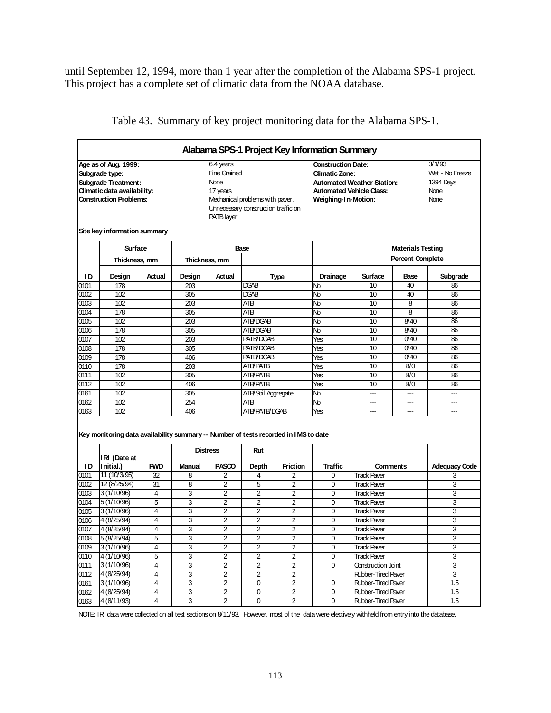until September 12, 1994, more than 1 year after the completion of the Alabama SPS-1 project. This project has a complete set of climatic data from the NOAA database.

|              |                                                                                     |            |                 |                     |                                     |                 | Alabama SPS-1 Project Key Information Summary |                                   |                          |                      |  |
|--------------|-------------------------------------------------------------------------------------|------------|-----------------|---------------------|-------------------------------------|-----------------|-----------------------------------------------|-----------------------------------|--------------------------|----------------------|--|
|              | Age as of Aug. 1999:                                                                |            |                 | 6.4 years           |                                     |                 | <b>Construction Date:</b>                     |                                   |                          | 3/1/93               |  |
|              | Subgrade type:                                                                      |            |                 | <b>Fine Grained</b> |                                     |                 | <b>Climatic Zone:</b>                         |                                   |                          | Wet - No Freeze      |  |
|              | <b>Subgrade Treatment:</b>                                                          |            |                 | None                |                                     |                 |                                               | <b>Automated Weather Station:</b> |                          | 1394 Days            |  |
|              | Climatic data availability:                                                         |            |                 | 17 years            |                                     |                 | <b>Automated Vehicle Class:</b>               |                                   |                          | None                 |  |
|              | <b>Construction Problems:</b>                                                       |            |                 |                     | Mechanical problems with paver.     |                 | Weighing-1n-Motion:                           |                                   |                          | None                 |  |
|              |                                                                                     |            |                 |                     | Unnecessary construction traffic on |                 |                                               |                                   |                          |                      |  |
|              |                                                                                     |            |                 | PATB layer.         |                                     |                 |                                               |                                   |                          |                      |  |
|              | Site key information summary                                                        |            |                 |                     |                                     |                 |                                               |                                   |                          |                      |  |
|              | <b>Surface</b>                                                                      |            |                 |                     | Base                                |                 |                                               |                                   | <b>Materials Testing</b> |                      |  |
|              | Thickness, mm                                                                       |            | Thickness, mm   |                     |                                     |                 |                                               |                                   | <b>Percent Complete</b>  |                      |  |
| ID           | Design                                                                              | Actual     | Design          | Actual              |                                     | <b>Type</b>     | Drainage                                      | <b>Surface</b>                    | Base                     | Subgrade             |  |
| 0101         | 178                                                                                 |            | 203             |                     | DGAB                                |                 | No                                            | 10                                | 40                       | 86                   |  |
| 0102         | 102                                                                                 |            | 305             |                     | DGAB                                |                 | No                                            | 10                                | 40                       | 86                   |  |
| 0103         | 102                                                                                 |            | 203             |                     | AТB                                 |                 | No                                            | 10                                | 8                        | 86                   |  |
| 0104         | 178                                                                                 |            | 305             |                     | AТB                                 |                 | No                                            | 10                                | 8                        | 86                   |  |
| 0105         | 102                                                                                 |            | 203             |                     | ATB/DGAB                            |                 | No                                            | 10                                | 8/40                     | 86                   |  |
| 0106         | 178                                                                                 |            | 305             |                     | ATB/DGAB                            |                 | No                                            | 10                                | 8/40                     | 86                   |  |
| 0107         | 102                                                                                 |            | 203             |                     | <b>PATB/DGAB</b>                    |                 | Yes                                           | 10                                | 0/40                     | 86                   |  |
| 0108         | 178                                                                                 |            | 305             |                     | PATB/DGAB                           |                 | Yes                                           | 10                                | 0/40                     | 86                   |  |
| 0109         | 178                                                                                 |            | 406             |                     | <b>PATB/DGAB</b>                    |                 | Yes                                           | 10                                | 0/40                     | 86                   |  |
| 0110         | 178<br>102                                                                          |            | 203<br>305      |                     | ATB/PATB<br>ATB/PATB                |                 | Yes<br>Yes                                    | 10<br>10                          | 8/0<br>8/0               | 86<br>86             |  |
| 0111<br>0112 | 102                                                                                 |            | 406             |                     | ATB/PATB                            |                 | Yes                                           | 10                                | 8/0                      | 86                   |  |
| 0161         | 102                                                                                 |            | 305             |                     | ATB/Soil Aggregate                  |                 | Nb                                            | ---                               | ---                      | ---                  |  |
| 0162         | 102                                                                                 |            | 254             |                     | AТB                                 |                 | No                                            | ---                               | ---                      | ---                  |  |
| 0163         | 102                                                                                 |            | 406             |                     | <b>ATB/PATB/DGAB</b>                |                 | Yes                                           | $\overline{a}$                    | ---                      | ---                  |  |
|              | Key monitoring data availability summary -- Number of tests recorded in IMS to date |            |                 |                     |                                     |                 |                                               |                                   |                          |                      |  |
|              |                                                                                     |            | <b>Distress</b> |                     | Rut                                 |                 |                                               |                                   |                          |                      |  |
| ID           | IRI (Date at<br>Initial.)                                                           | <b>FWD</b> | <b>Manual</b>   | <b>PASCO</b>        | Depth                               | <b>Friction</b> | <b>Traffic</b>                                | <b>Comments</b>                   |                          | <b>Adequacy Code</b> |  |
| 0101         | 11 (10/3/95)                                                                        | 32         | 8               | $\overline{2}$      | 4                                   | $\overline{2}$  | $\mathbf 0$                                   | <b>Track Paver</b>                |                          | 3                    |  |
| 0102         | 12 (8/25/94)                                                                        | 31         | 8               | $\overline{2}$      | 5                                   | 2               | 0                                             | <b>Track Paver</b>                |                          | 3                    |  |
| 0103         | 3(1/10/96)                                                                          | 4          | 3               | $\overline{2}$      | $\overline{2}$                      | 2               | $\mathbf 0$                                   | <b>Track Paver</b>                |                          | 3                    |  |
| 0104         | 5 (1/10/96)                                                                         | 5          | 3               | $\overline{2}$      | $\overline{2}$                      | $\overline{2}$  | $\mathbf 0$                                   | <b>Track Paver</b>                |                          | 3                    |  |
| 0105         | 3(1/10/96)                                                                          | 4          | 3               | $\overline{2}$      | $\overline{2}$                      | $\overline{2}$  | 0                                             | <b>Track Paver</b>                |                          | 3                    |  |
| 0106         | 4 (8/25/94)                                                                         | 4          | 3               | $\overline{2}$      | $\overline{2}$                      | $\overline{2}$  | $\mathbf 0$                                   | <b>Track Paver</b>                |                          | 3                    |  |
| 0107         | 4 (8/25/94)                                                                         | 4          | 3               | $\overline{2}$      | $\overline{2}$                      | $\overline{2}$  | $\mathbf 0$                                   | <b>Track Paver</b>                |                          | 3                    |  |
| 0108         | 5(8/25/94)                                                                          | 5          | 3               | $\overline{2}$      | $\overline{2}$                      | $\overline{2}$  | 0                                             | <b>Track Paver</b>                |                          | 3                    |  |
| 0109         | 3(1/10/96)                                                                          | 4          | 3               | $\overline{2}$      | $\overline{2}$                      | 2               | 0                                             | <b>Track Paver</b>                |                          | 3                    |  |
| 0110         | 4 (1/10/96)                                                                         | 5          | $\overline{3}$  | $\overline{2}$      | $\overline{2}$                      | $\overline{2}$  | $\mathbf 0$                                   | <b>Track Paver</b>                |                          | 3                    |  |
| 0111         | 3(1/10/96)                                                                          | 4          | 3               | 2                   | 2                                   | 2               | 0                                             | Construction Joint                |                          | 3                    |  |
| 0112         | 4 (8/25/94)                                                                         | 4          | $\overline{3}$  | $\overline{2}$      | 2                                   | $\overline{2}$  |                                               | <b>Rubber-Tired Paver</b>         |                          | 3                    |  |
| 0161         | 3(1/10/96)                                                                          | 4          | 3               | $\overline{2}$      | 0                                   | 2               | 0                                             | Rubber-Tired Paver                |                          | 1.5                  |  |
| 0162         | 4 (8/25/94)                                                                         | 4          | 3               | 2                   | 0                                   | 2               | 0                                             | Rubber-Tired Paver                |                          | 1.5                  |  |
| 0163         | 4 (8/11/93)                                                                         | 4          | 3               | $\overline{2}$      | 0                                   | $\overline{2}$  | $\mathbf 0$                                   | <b>Rubber-Tired Paver</b>         |                          | 1.5                  |  |

Table 43. Summary of key project monitoring data for the Alabama SPS-1.

NOTE: IRI data were collected on all test sections on 8/11/93. However, most of the data were electively withheld from entry into the database.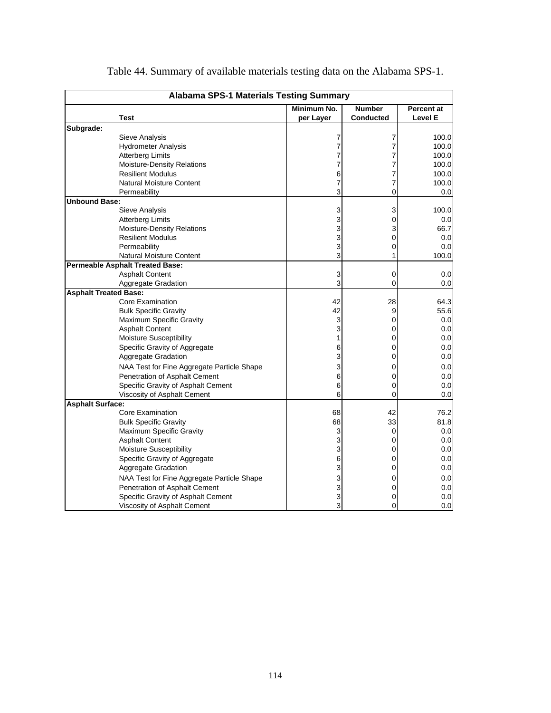|                              | <b>Alabama SPS-1 Materials Testing Summary</b> |             |                  |                   |
|------------------------------|------------------------------------------------|-------------|------------------|-------------------|
|                              |                                                | Minimum No. | <b>Number</b>    | <b>Percent at</b> |
|                              | Test                                           | per Layer   | <b>Conducted</b> | Level E           |
| Subgrade:                    |                                                |             |                  |                   |
|                              | <b>Sieve Analysis</b>                          | 7           | 7                | 100.0             |
|                              | <b>Hydrometer Analysis</b>                     | 7           | 7                | 100.0             |
|                              | <b>Atterberg Limits</b>                        | 7           | 7                | 100.0             |
|                              | Moisture-Density Relations                     | 7           | 7                | 100.0             |
|                              | <b>Resilient Modulus</b>                       | 6           | 7                | 100.0             |
|                              | <b>Natural Moisture Content</b>                | 7           | 7                | 100.0             |
|                              | Permeability                                   | 3           | $\Omega$         | 0.0               |
| <b>Unbound Base:</b>         |                                                |             |                  |                   |
|                              | Sieve Analysis                                 | 3           | 3                | 100.0             |
|                              | <b>Atterberg Limits</b>                        | 3           | $\Omega$         | 0.0               |
|                              | Moisture-Density Relations                     | 3           | 3                | 66.7              |
|                              | <b>Resilient Modulus</b>                       | 3           | 0                | 0.0               |
|                              | Permeability                                   | 3           | $\Omega$         | 0.0               |
|                              | <b>Natural Moisture Content</b>                | 3           | 1                | 100.0             |
|                              | <b>Permeable Asphalt Treated Base:</b>         |             |                  |                   |
|                              | <b>Asphalt Content</b>                         | 3           | 0                | 0.0               |
|                              | Aggregate Gradation                            | 3           | 0                | 0.0               |
| <b>Asphalt Treated Base:</b> |                                                |             |                  |                   |
|                              | <b>Core Examination</b>                        | 42          | 28               | 64.3              |
|                              | <b>Bulk Specific Gravity</b>                   | 42          | 9                | 55.6              |
|                              | Maximum Specific Gravity                       | 3           | 0                | $0.0\,$           |
|                              | <b>Asphalt Content</b>                         | 3           | $\Omega$         | 0.0               |
|                              | Moisture Susceptibility                        | 1           | 0                | 0.0               |
|                              | Specific Gravity of Aggregate                  | 6           | 0                | 0.0               |
|                              | Aggregate Gradation                            | 3           | $\Omega$         | 0.0               |
|                              | NAA Test for Fine Aggregate Particle Shape     | 3           | 0                | 0.0               |
|                              | Penetration of Asphalt Cement                  | 6           | 0                | 0.0               |
|                              | Specific Gravity of Asphalt Cement             | 6           | $\Omega$         | 0.0               |
|                              | Viscosity of Asphalt Cement                    | 6           | 0                | 0.0               |
| <b>Asphalt Surface:</b>      |                                                |             |                  |                   |
|                              | Core Examination                               | 68          | 42               | 76.2              |
|                              | <b>Bulk Specific Gravity</b>                   | 68          | 33               | 81.8              |
|                              | Maximum Specific Gravity                       | 3           | $\mathbf 0$      | 0.0               |
|                              | <b>Asphalt Content</b>                         | 3           | 0                | 0.0               |
|                              | Moisture Susceptibility                        | 3           | 0                | 0.0               |
|                              | Specific Gravity of Aggregate                  | 6           | 0                | 0.0               |
|                              | Aggregate Gradation                            | 3           | $\Omega$         | 0.0               |
|                              | NAA Test for Fine Aggregate Particle Shape     | 3           | 0                | 0.0               |
|                              | <b>Penetration of Asphalt Cement</b>           | 3           | $\Omega$         | 0.0               |
|                              | Specific Gravity of Asphalt Cement             | 3           | 0                | 0.0               |
|                              | Viscosity of Asphalt Cement                    | 3           | 0                | $0.0\,$           |

|  |  | Table 44. Summary of available materials testing data on the Alabama SPS-1. |
|--|--|-----------------------------------------------------------------------------|
|  |  |                                                                             |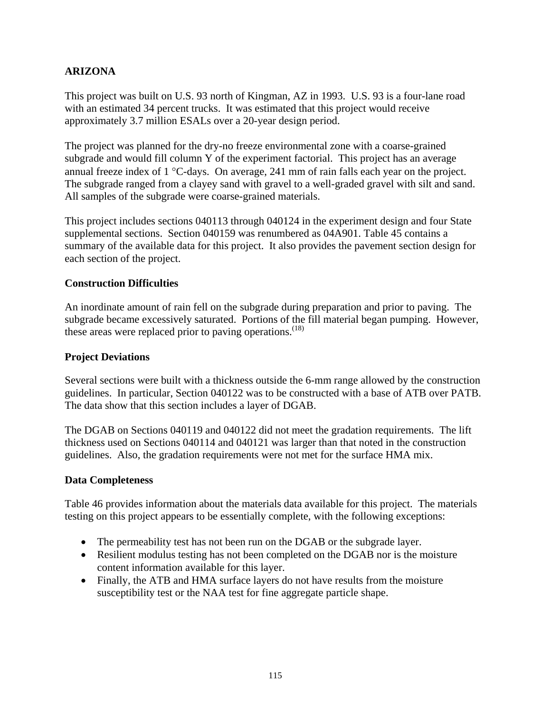# **ARIZONA**

This project was built on U.S. 93 north of Kingman, AZ in 1993. U.S. 93 is a four-lane road with an estimated 34 percent trucks. It was estimated that this project would receive approximately 3.7 million ESALs over a 20-year design period.

The project was planned for the dry-no freeze environmental zone with a coarse-grained subgrade and would fill column Y of the experiment factorial. This project has an average annual freeze index of 1 °C-days. On average, 241 mm of rain falls each year on the project. The subgrade ranged from a clayey sand with gravel to a well-graded gravel with silt and sand. All samples of the subgrade were coarse-grained materials.

This project includes sections 040113 through 040124 in the experiment design and four State supplemental sections. Section 040159 was renumbered as 04A901. Table 45 contains a summary of the available data for this project. It also provides the pavement section design for each section of the project.

# **Construction Difficulties**

An inordinate amount of rain fell on the subgrade during preparation and prior to paving. The subgrade became excessively saturated. Portions of the fill material began pumping. However, these areas were replaced prior to paving operations. $(18)$ 

### **Project Deviations**

Several sections were built with a thickness outside the 6-mm range allowed by the construction guidelines. In particular, Section 040122 was to be constructed with a base of ATB over PATB. The data show that this section includes a layer of DGAB.

The DGAB on Sections 040119 and 040122 did not meet the gradation requirements. The lift thickness used on Sections 040114 and 040121 was larger than that noted in the construction guidelines. Also, the gradation requirements were not met for the surface HMA mix.

#### **Data Completeness**

Table 46 provides information about the materials data available for this project. The materials testing on this project appears to be essentially complete, with the following exceptions:

- The permeability test has not been run on the DGAB or the subgrade layer.
- Resilient modulus testing has not been completed on the DGAB nor is the moisture content information available for this layer.
- Finally, the ATB and HMA surface layers do not have results from the moisture susceptibility test or the NAA test for fine aggregate particle shape.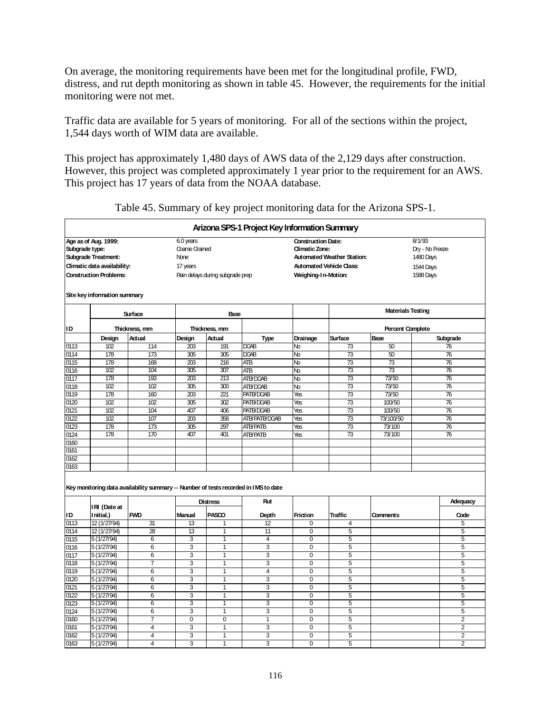On average, the monitoring requirements have been met for the longitudinal profile, FWD, distress, and rut depth monitoring as shown in table 45. However, the requirements for the initial monitoring were not met.

Traffic data are available for 5 years of monitoring. For all of the sections within the project, 1,544 days worth of WIM data are available.

This project has approximately 1,480 days of AWS data of the 2,129 days after construction. However, this project was completed approximately 1 year prior to the requirement for an AWS. This project has 17 years of data from the NOAA database.

|              |                               |                |                  |                                  | Arizona SPS-1 Project Key Information Summary                                              |                           |                                 |                          |                 |                |
|--------------|-------------------------------|----------------|------------------|----------------------------------|--------------------------------------------------------------------------------------------|---------------------------|---------------------------------|--------------------------|-----------------|----------------|
|              | Age as of Aug. 1999:          |                | 6.0 years        |                                  |                                                                                            | <b>Construction Date:</b> |                                 |                          | 8/1/93          |                |
|              | Subgrade type:                |                | Coarse Grained   |                                  |                                                                                            | <b>Climatic Zone:</b>     |                                 |                          | Dry - No Freeze |                |
|              | Subgrade Treatment:           |                | <b>None</b>      |                                  |                                                                                            |                           | Automated Weather Station:      |                          | 1480 Days       |                |
|              | Climatic data availability:   |                | 17 years         |                                  |                                                                                            |                           | <b>Automated Vehicle Class:</b> |                          | 1544 Days       |                |
|              | <b>Construction Problems:</b> |                |                  | Rain delays during subgrade prep |                                                                                            | Weighing-1 n-Motion:      |                                 |                          | 1588 Days       |                |
|              |                               |                |                  |                                  |                                                                                            |                           |                                 |                          |                 |                |
|              | Site key information summary  |                |                  |                                  |                                                                                            |                           |                                 | <b>Materials Testing</b> |                 |                |
| ID           |                               | Surface        |                  | Base<br>Thickness, mm            |                                                                                            |                           |                                 | <b>Percent Complete</b>  |                 |                |
|              |                               | Thickness, mm  |                  |                                  |                                                                                            |                           |                                 |                          |                 |                |
|              | Design<br>102                 | Actual         | Design           | Actual<br>191                    | <b>Type</b><br>DGAB                                                                        | Drainage                  | Surface                         | Base<br>50               |                 | Subgrade       |
| 0113<br>0114 | 178                           | 114<br>173     | 203<br>305       | 305                              | DGAB                                                                                       | Nb<br>Nb                  | 73<br>73                        | 50                       |                 | 76<br>76       |
|              | 178                           | 168            | 203              | 216                              |                                                                                            |                           | 73                              | 73                       |                 | 76             |
| 0115<br>0116 | 102                           | 104            | 305              | 307                              | ATB<br><b>ATB</b>                                                                          | No<br>No                  | $\overline{73}$                 | $\overline{73}$          |                 | 76             |
| 0117         | 178                           | 193            | $\overline{203}$ | 213                              | ATB/DG4B                                                                                   | Nb                        | $\overline{73}$                 | 73/50                    |                 | 76             |
|              | 102                           | 102            | 305              | 300                              | ATB/DGAB                                                                                   | Nb                        | 73                              | 73/50                    |                 | 76             |
| 0118<br>0119 | 178                           | 160            | 203              | 221                              | PATB/DGAB                                                                                  | Yes                       | 73                              | 73/50                    |                 | 76             |
| 0120         | 102                           | 102            | 305              | 302                              | PATB/DGAB                                                                                  | Yes                       | 73                              | 100/50                   |                 | 76             |
| 0121         | 102                           | 104            | 407              | 406                              | PATB/DGAB                                                                                  | Yes                       | $\overline{73}$                 | 100/50                   |                 | 76             |
| 0122         | 102                           | 107            | 203              | 358                              | ATB/PATB/DGAB                                                                              | Yes                       | 73                              | 73/100/50                |                 | 76             |
| 0123         | 178                           | 173            | 305              | 297                              | <b>ATB/PATB</b>                                                                            | Yes                       | 73                              | 73/100                   |                 | 76             |
| 0124         | 178                           | 170            | 407              | 401                              | <b>ATB/PATB</b>                                                                            | Yes                       | $\overline{73}$                 | 73/100                   |                 | 76             |
| 0160         |                               |                |                  |                                  |                                                                                            |                           |                                 |                          |                 |                |
| 0161         |                               |                |                  |                                  |                                                                                            |                           |                                 |                          |                 |                |
| 0162         |                               |                |                  |                                  |                                                                                            |                           |                                 |                          |                 |                |
| 0163         |                               |                |                  |                                  |                                                                                            |                           |                                 |                          |                 |                |
|              |                               |                |                  | <b>Distress</b>                  | Key monitoring data availability summary -- Number of tests recorded in IMS to date<br>Rut |                           |                                 |                          |                 | Adequacy       |
|              | IRI (Date at                  |                |                  |                                  |                                                                                            |                           |                                 |                          |                 |                |
| ID           | I nitial.)                    | <b>FWD</b>     | Manual           | PASCO                            | Depth                                                                                      | <b>Friction</b>           | <b>Traffic</b>                  | <b>Comments</b>          |                 | Code           |
| 0113         | 12 (1/27/94)                  | 31             | 13               | 1                                | 12                                                                                         | 0                         | 4                               |                          |                 | 5              |
| 0114         | 12 (1/27/94)                  | 28             | 13               | $\mathbf{1}$                     | 11                                                                                         | 0                         | 5                               |                          |                 | 5              |
| 0115         | 5 (1/27/94)                   | 6              | 3                | 1                                | $\overline{4}$                                                                             | 0                         | 5                               |                          |                 | 5              |
| 0116         | 5 (1/27/94)                   | 6              | 3                | 1                                | 3                                                                                          | $\mathbf 0$               | 5                               |                          |                 | 5              |
| 0117         | 5 (1/27/94)                   | 6              | 3                | $\mathbf{1}$                     | 3                                                                                          | $\mathbf 0$               | 5                               |                          |                 | $\overline{5}$ |
| 0118         | 5 (1/27/94)                   | $\overline{7}$ | 3                | 1                                | 3                                                                                          | $\Omega$                  | 5                               |                          |                 | 5              |
| 0119         | 5 (1/27/94)                   | 6              | 3                | $\mathbf{1}$                     | $\overline{4}$                                                                             | 0                         | 5                               |                          |                 | 5              |
| 0120         | 5 (1/27/94)                   | 6              | 3                | 1                                | 3                                                                                          | $\overline{0}$            | 5                               |                          |                 | 5              |
| 0121         | 5(1/27/94)                    | 6              | 3                | $\overline{1}$                   | 3                                                                                          | $\overline{0}$            | 5                               |                          |                 | 5              |
| 0122         | 5 (1/27/94)                   | 6              | 3                | $\mathbf{1}$                     | 3                                                                                          | 0                         | 5                               |                          |                 | 5              |
| 0123         | 5 (1/27/94)                   | 6              | 3                | 1                                | 3                                                                                          | 0                         | 5                               |                          |                 | 5              |
| 0124         | 5 (1/27/94)                   | 6              | 3                | 1                                | 3                                                                                          | $\overline{0}$            | 5                               |                          |                 | 5              |
| 0160         | 5 (1/27/94)                   | 7              | 0                | $\mathbf 0$                      | $\mathbf{1}$                                                                               | 0                         | 5                               |                          |                 | $\overline{2}$ |
| 0161         | 5 (1/27/94)                   | 4              | 3                | 1                                | 3                                                                                          | $\mathbf 0$               | 5                               |                          |                 | $\overline{2}$ |
| 0162         | 5 (1/27/94)                   | 4              | 3                | 1                                | 3                                                                                          | $\mathbf 0$               | 5                               |                          |                 | $\overline{2}$ |
| 0163         | 5 (1/27/94)                   | 4              | $\overline{3}$   | $\overline{1}$                   | $\overline{3}$                                                                             | $\overline{0}$            | 5                               |                          |                 | $\overline{2}$ |

Table 45. Summary of key project monitoring data for the Arizona SPS-1.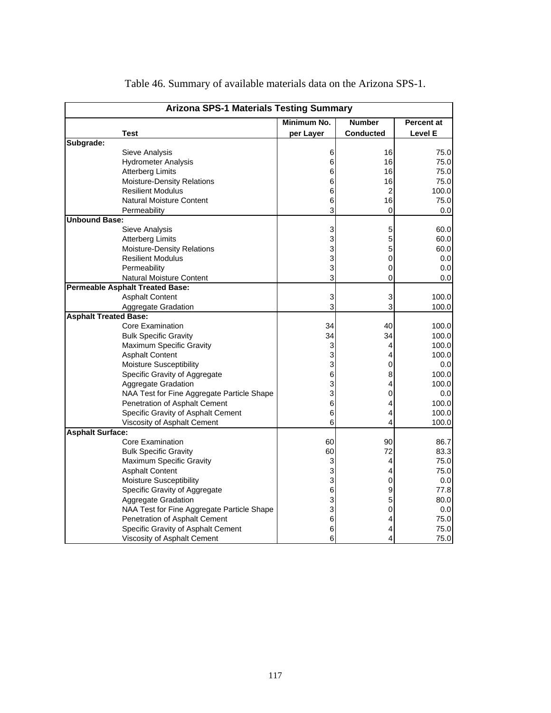|                              | <b>Arizona SPS-1 Materials Testing Summary</b> |             |                  |                   |
|------------------------------|------------------------------------------------|-------------|------------------|-------------------|
|                              |                                                | Minimum No. | <b>Number</b>    | <b>Percent at</b> |
|                              | Test                                           | per Layer   | <b>Conducted</b> | Level E           |
| Subgrade:                    |                                                |             |                  |                   |
|                              | Sieve Analysis                                 | 6           | 16               | 75.0              |
|                              | <b>Hydrometer Analysis</b>                     | 6           | 16               | 75.0              |
|                              | <b>Atterberg Limits</b>                        | 6           | 16               | 75.0              |
|                              | Moisture-Density Relations                     | 6           | 16               | 75.0              |
|                              | <b>Resilient Modulus</b>                       | 6           | $\overline{2}$   | 100.0             |
|                              | <b>Natural Moisture Content</b>                | 6           | 16               | 75.0              |
|                              | Permeability                                   | 3           | 0                | 0.0               |
| <b>Unbound Base:</b>         |                                                |             |                  |                   |
|                              | Sieve Analysis                                 | 3           | 5                | 60.0              |
|                              | <b>Atterberg Limits</b>                        | 3           | 5                | 60.0              |
|                              | <b>Moisture-Density Relations</b>              | 3           | 5                | 60.0              |
|                              | <b>Resilient Modulus</b>                       | 3           | 0                | 0.0               |
|                              | Permeability                                   | 3           | 0                | 0.0               |
|                              | <b>Natural Moisture Content</b>                | 3           | 0                | 0.0               |
|                              | <b>Permeable Asphalt Treated Base:</b>         |             |                  |                   |
|                              | <b>Asphalt Content</b>                         | 3           | 3                | 100.0             |
|                              | <b>Aggregate Gradation</b>                     | 3           | 3                | 100.0             |
| <b>Asphalt Treated Base:</b> |                                                |             |                  |                   |
|                              | <b>Core Examination</b>                        | 34          | 40               | 100.0             |
|                              | <b>Bulk Specific Gravity</b>                   | 34          | 34               | 100.0             |
|                              | Maximum Specific Gravity                       | 3           | 4                | 100.0             |
|                              | <b>Asphalt Content</b>                         | 3           | 4                | 100.0             |
|                              | Moisture Susceptibility                        | 3           | 0                | 0.0               |
|                              | Specific Gravity of Aggregate                  | 6           | 8                | 100.0             |
|                              | Aggregate Gradation                            | 3           | 4                | 100.0             |
|                              | NAA Test for Fine Aggregate Particle Shape     | 3           | 0                | 0.0               |
|                              | Penetration of Asphalt Cement                  | 6           | 4                | 100.0             |
|                              | Specific Gravity of Asphalt Cement             | 6           | 4                | 100.0             |
|                              | Viscosity of Asphalt Cement                    | 6           | 4                | 100.0             |
| <b>Asphalt Surface:</b>      |                                                |             |                  |                   |
|                              | Core Examination                               | 60          | 90               | 86.7              |
|                              | <b>Bulk Specific Gravity</b>                   | 60          | 72               | 83.3              |
|                              | <b>Maximum Specific Gravity</b>                | 3           | 4                | 75.0              |
|                              | <b>Asphalt Content</b>                         | 3           | 4                | 75.0              |
|                              | <b>Moisture Susceptibility</b>                 | 3           | 0                | 0.0               |
|                              | Specific Gravity of Aggregate                  | 6           | 9                | 77.8              |
|                              | Aggregate Gradation                            | 3           | 5                | 80.0              |
|                              | NAA Test for Fine Aggregate Particle Shape     | 3           | 0                | 0.0               |
|                              | Penetration of Asphalt Cement                  | 6           | 4                | 75.0              |
|                              | Specific Gravity of Asphalt Cement             | 6           | 4                | 75.0              |
|                              | Viscosity of Asphalt Cement                    | 6           | 4                | 75.0              |

Table 46. Summary of available materials data on the Arizona SPS-1.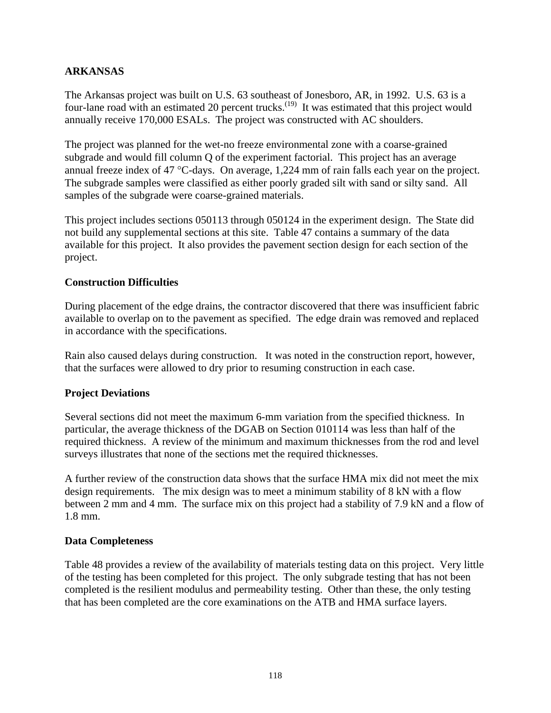# **ARKANSAS**

The Arkansas project was built on U.S. 63 southeast of Jonesboro, AR, in 1992. U.S. 63 is a four-lane road with an estimated 20 percent trucks.<sup>(19)</sup> It was estimated that this project would annually receive 170,000 ESALs. The project was constructed with AC shoulders.

The project was planned for the wet-no freeze environmental zone with a coarse-grained subgrade and would fill column Q of the experiment factorial. This project has an average annual freeze index of 47 °C-days. On average, 1,224 mm of rain falls each year on the project. The subgrade samples were classified as either poorly graded silt with sand or silty sand. All samples of the subgrade were coarse-grained materials.

This project includes sections 050113 through 050124 in the experiment design. The State did not build any supplemental sections at this site. Table 47 contains a summary of the data available for this project. It also provides the pavement section design for each section of the project.

#### **Construction Difficulties**

During placement of the edge drains, the contractor discovered that there was insufficient fabric available to overlap on to the pavement as specified. The edge drain was removed and replaced in accordance with the specifications.

Rain also caused delays during construction. It was noted in the construction report, however, that the surfaces were allowed to dry prior to resuming construction in each case.

#### **Project Deviations**

Several sections did not meet the maximum 6-mm variation from the specified thickness. In particular, the average thickness of the DGAB on Section 010114 was less than half of the required thickness. A review of the minimum and maximum thicknesses from the rod and level surveys illustrates that none of the sections met the required thicknesses.

A further review of the construction data shows that the surface HMA mix did not meet the mix design requirements. The mix design was to meet a minimum stability of 8 kN with a flow between 2 mm and 4 mm. The surface mix on this project had a stability of 7.9 kN and a flow of 1.8 mm.

#### **Data Completeness**

Table 48 provides a review of the availability of materials testing data on this project. Very little of the testing has been completed for this project. The only subgrade testing that has not been completed is the resilient modulus and permeability testing. Other than these, the only testing that has been completed are the core examinations on the ATB and HMA surface layers.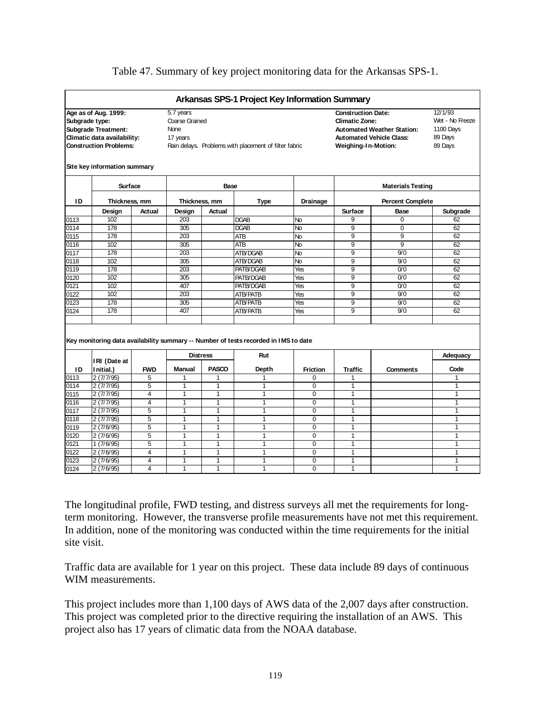#### Table 47. Summary of key project monitoring data for the Arkansas SPS-1.

|      |                                                                                                                                      |                         |                                                                                                                 |                | Arkansas SPS-1 Project Key Information Summary                                              |                 |                                                                           |                                                                      |                                                               |  |
|------|--------------------------------------------------------------------------------------------------------------------------------------|-------------------------|-----------------------------------------------------------------------------------------------------------------|----------------|---------------------------------------------------------------------------------------------|-----------------|---------------------------------------------------------------------------|----------------------------------------------------------------------|---------------------------------------------------------------|--|
|      | Age as of Aug. 1999:<br>Subgrade type:<br><b>Subgrade Treatment:</b><br>Climatic data availability:<br><b>Construction Problems:</b> |                         | 5.7 years<br>Coarse Grained<br><b>None</b><br>17 years<br>Rain delays. Problems with placement of filter fabric |                |                                                                                             |                 | <b>Construction Date:</b><br><b>Climatic Zone:</b><br>Weighing-In-Motion: | <b>Automated Weather Station:</b><br><b>Automated Vehicle Class:</b> | 12/1/93<br>Wet - No Freeze<br>1100 Days<br>89 Days<br>89 Days |  |
|      | Site key information summary                                                                                                         |                         |                                                                                                                 |                |                                                                                             |                 |                                                                           |                                                                      |                                                               |  |
|      | <b>Surface</b>                                                                                                                       |                         |                                                                                                                 | Base           |                                                                                             |                 |                                                                           | <b>Materials Testing</b>                                             |                                                               |  |
| ΙD   | Thickness, mm                                                                                                                        |                         | Thickness, mm                                                                                                   |                | Type                                                                                        | Drainage        |                                                                           | <b>Percent Complete</b>                                              |                                                               |  |
|      | Design                                                                                                                               | Actual                  | Design                                                                                                          | Actual         |                                                                                             |                 | Surface                                                                   | <b>Base</b>                                                          | Subgrade                                                      |  |
| 0113 | 102                                                                                                                                  |                         | 203                                                                                                             |                | <b>DGAB</b>                                                                                 | No              | 9                                                                         | $\Omega$                                                             | 62                                                            |  |
| 0114 | 178                                                                                                                                  |                         | 305                                                                                                             |                | <b>DGAB</b>                                                                                 | No              | 9                                                                         | $\mathbf 0$                                                          | 62                                                            |  |
| 0115 | 178                                                                                                                                  |                         | 203                                                                                                             |                | ATB                                                                                         | No              | 9                                                                         | 9                                                                    | 62                                                            |  |
| 0116 | 102                                                                                                                                  |                         | 305                                                                                                             |                | <b>ATB</b>                                                                                  | No              | 9                                                                         | 9                                                                    | 62                                                            |  |
| 0117 | 178                                                                                                                                  |                         | 203                                                                                                             |                | ATB/DGAB                                                                                    | No              | 9                                                                         | 9/0                                                                  | 62                                                            |  |
| 0118 | 102                                                                                                                                  |                         | 305                                                                                                             |                | ATB/DGAB                                                                                    | No              | 9                                                                         | 9/0                                                                  | 62                                                            |  |
| 0119 | 178                                                                                                                                  |                         | 203                                                                                                             |                | PATB/DGAB                                                                                   | Yes             | 9                                                                         | 0/0                                                                  | 62                                                            |  |
| 0120 | 102                                                                                                                                  |                         | 305                                                                                                             |                | PATB/DGAB                                                                                   | Yes             | $\overline{9}$                                                            | $\overline{0/0}$                                                     | 62                                                            |  |
| 0121 | 102                                                                                                                                  |                         | 407                                                                                                             |                | PATB/DGAB                                                                                   | Yes             | 9                                                                         | 0/0                                                                  | 62                                                            |  |
| 0122 | 102                                                                                                                                  |                         | 203                                                                                                             |                | <b>ATB/PATB</b>                                                                             | Yes             | 9                                                                         | 9/0                                                                  | 62                                                            |  |
| 0123 | 178                                                                                                                                  |                         | 305                                                                                                             |                | <b>ATB/PATB</b>                                                                             | Yes             | $\overline{9}$                                                            | 9/0                                                                  | 62                                                            |  |
| 0124 | 178                                                                                                                                  |                         | 407                                                                                                             |                | <b>ATB/PATB</b>                                                                             | Yes             | 9                                                                         | 9/0                                                                  | 62                                                            |  |
|      |                                                                                                                                      |                         |                                                                                                                 |                |                                                                                             |                 |                                                                           |                                                                      |                                                               |  |
|      | IRI (Date at                                                                                                                         |                         | <b>Distress</b>                                                                                                 |                | Key monitoring data availability summary -- Number of tests recorded in I MS to date<br>Rut |                 |                                                                           |                                                                      | Adequacy                                                      |  |
| ID   | Initial.)                                                                                                                            | <b>FWD</b>              | <b>Manual</b>                                                                                                   | <b>PASCO</b>   | Depth                                                                                       | <b>Friction</b> | <b>Traffic</b>                                                            | <b>Comments</b>                                                      | Code                                                          |  |
| 0113 | 2(7/7/95)                                                                                                                            | 5                       | 1                                                                                                               | 1              | 1                                                                                           | 0               |                                                                           |                                                                      | 1                                                             |  |
| 0114 | 2(7/7/95)                                                                                                                            | 5                       | 1                                                                                                               | $\overline{1}$ | 1                                                                                           | $\Omega$        | 1                                                                         |                                                                      | $\mathbf{1}$                                                  |  |
| 0115 | 2(7/7/95)                                                                                                                            | 4                       | $\mathbf{1}$                                                                                                    | $\mathbf{1}$   | $\mathbf{1}$                                                                                | $\overline{0}$  | $\mathbf{1}$                                                              |                                                                      | $\mathbf{1}$                                                  |  |
| 0116 | 2(7/7/95)                                                                                                                            | 4                       | 1                                                                                                               | 1              | $\mathbf{1}$                                                                                | 0               | 1                                                                         |                                                                      | 1                                                             |  |
| 0117 | 2(7/7/95)                                                                                                                            | $\overline{5}$          | $\overline{1}$                                                                                                  | 1              | 1                                                                                           | $\overline{0}$  | 1                                                                         |                                                                      | $\overline{1}$                                                |  |
| 0118 | 2(7/7/95)                                                                                                                            | 5                       | 1                                                                                                               | $\mathbf{1}$   | $\mathbf{1}$                                                                                | $\Omega$        | 1                                                                         |                                                                      | 1                                                             |  |
| 0119 | 2(7/6/95)                                                                                                                            | 5                       | 1                                                                                                               | 1              | $\overline{1}$                                                                              | $\overline{0}$  | 1                                                                         |                                                                      | $\overline{1}$                                                |  |
| 0120 | 2(7/6/95)                                                                                                                            | 5                       | $\mathbf{1}$                                                                                                    | 1              | 1                                                                                           | $\Omega$        | 1                                                                         |                                                                      | $\mathbf{1}$                                                  |  |
| 0121 | 1(7/6/95)                                                                                                                            | $\overline{5}$          | 1                                                                                                               | 1              | 1                                                                                           | $\mathbf 0$     | 1                                                                         |                                                                      | 1                                                             |  |
| 0122 | 2(7/6/95)                                                                                                                            | $\overline{\mathbf{4}}$ | $\mathbf{1}$                                                                                                    | $\mathbf{1}$   | 1                                                                                           | $\overline{0}$  | $\mathbf{1}$                                                              |                                                                      | $\mathbf{1}$                                                  |  |
| 0123 | 2(7/6/95)                                                                                                                            | $\overline{\mathbf{4}}$ | $\overline{1}$                                                                                                  | $\mathbf{1}$   | 1                                                                                           | $\Omega$        | 1                                                                         |                                                                      | $\mathbf{1}$                                                  |  |
| 0124 | 2(7/6/95)                                                                                                                            | 4                       | $\mathbf{1}$                                                                                                    | $\mathbf{1}$   | 1                                                                                           | $\Omega$        | 1                                                                         |                                                                      | $\mathbf{1}$                                                  |  |

The longitudinal profile, FWD testing, and distress surveys all met the requirements for longterm monitoring. However, the transverse profile measurements have not met this requirement. In addition, none of the monitoring was conducted within the time requirements for the initial site visit.

Traffic data are available for 1 year on this project. These data include 89 days of continuous WIM measurements.

This project includes more than 1,100 days of AWS data of the 2,007 days after construction. This project was completed prior to the directive requiring the installation of an AWS. This project also has 17 years of climatic data from the NOAA database.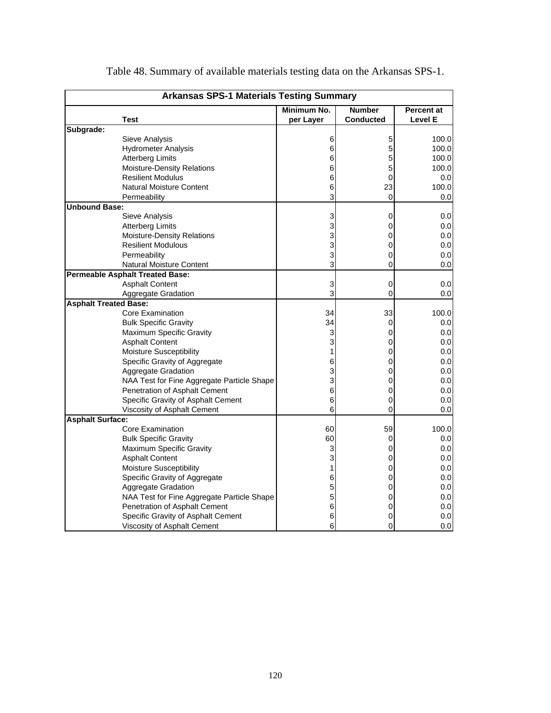|                              | <b>Arkansas SPS-1 Materials Testing Summary</b> |             |                  |                   |
|------------------------------|-------------------------------------------------|-------------|------------------|-------------------|
|                              |                                                 | Minimum No. | <b>Number</b>    | <b>Percent at</b> |
|                              | <b>Test</b>                                     | per Layer   | <b>Conducted</b> | <b>Level E</b>    |
| Subgrade:                    |                                                 |             |                  |                   |
|                              | Sieve Analysis                                  | 6           | 5                | 100.0             |
|                              | <b>Hydrometer Analysis</b>                      | 6           | 5                | 100.0             |
|                              | <b>Atterberg Limits</b>                         | 6           | 5                | 100.0             |
|                              | <b>Moisture-Density Relations</b>               | 6           | 5                | 100.0             |
|                              | <b>Resilient Modulus</b>                        | 6           | 0                | 0.0               |
|                              | <b>Natural Moisture Content</b>                 | 6           | 23               | 100.0             |
|                              | Permeability                                    | 3           | 0                | 0.0               |
| <b>Unbound Base:</b>         |                                                 |             |                  |                   |
|                              | Sieve Analysis                                  | 3           | 0                | 0.0               |
|                              | <b>Atterberg Limits</b>                         | 3           | 0                | 0.0               |
|                              | Moisture-Density Relations                      | 3           | 0                | 0.0               |
|                              | <b>Resilient Modulous</b>                       | 3           | 0                | 0.0               |
|                              | Permeability                                    | 3           | 0                | 0.0               |
|                              | <b>Natural Moisture Content</b>                 | 3           | 0                | 0.0               |
|                              | <b>Permeable Asphalt Treated Base:</b>          |             |                  |                   |
|                              | <b>Asphalt Content</b>                          | 3           | 0                | 0.0               |
|                              | Aggregate Gradation                             | 3           | 0                | 0.0               |
| <b>Asphalt Treated Base:</b> |                                                 |             |                  |                   |
|                              | Core Examination                                | 34          | 33               | 100.0             |
|                              | <b>Bulk Specific Gravity</b>                    | 34          | 0                | 0.0               |
|                              | Maximum Specific Gravity                        | 3           | 0                | 0.0 <sub>l</sub>  |
|                              | <b>Asphalt Content</b>                          | 3           | 0                | 0.0               |
|                              | <b>Moisture Susceptibility</b>                  | 1           | 0                | 0.0               |
|                              | Specific Gravity of Aggregate                   | 6           | 0                | 0.0               |
|                              | Aggregate Gradation                             | 3           | 0                | 0.0               |
|                              | NAA Test for Fine Aggregate Particle Shape      | 3           | 0                | 0.0               |
|                              | Penetration of Asphalt Cement                   | 6           | 0                | 0.0               |
|                              | Specific Gravity of Asphalt Cement              | 6           | 0                | 0.0               |
|                              | Viscosity of Asphalt Cement                     | 6           | 0                | 0.0               |
| <b>Asphalt Surface:</b>      |                                                 |             |                  |                   |
|                              | <b>Core Examination</b>                         | 60          | 59               | 100.0             |
|                              | <b>Bulk Specific Gravity</b>                    | 60          | 0                | 0.0               |
|                              | Maximum Specific Gravity                        | 3           | 0                | 0.0               |
|                              | <b>Asphalt Content</b>                          | 3           | 0                | 0.0               |
|                              | <b>Moisture Susceptibility</b>                  | 1           | 0                | 0.0               |
|                              | Specific Gravity of Aggregate                   | 6           | 0                | 0.0               |
|                              | Aggregate Gradation                             | 5           | 0                | 0.0               |
|                              | NAA Test for Fine Aggregate Particle Shape      | 5           | 0                | 0.0               |
|                              | Penetration of Asphalt Cement                   | 6           | 0                | 0.0               |
|                              | Specific Gravity of Asphalt Cement              | 6           | 0                | 0.0               |
|                              | Viscosity of Asphalt Cement                     | 6           | 0                | 0.0               |

Table 48. Summary of available materials testing data on the Arkansas SPS-1.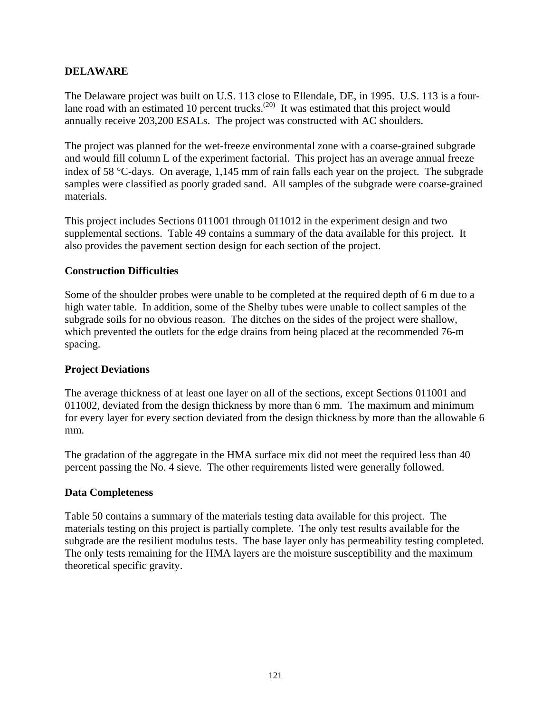# **DELAWARE**

The Delaware project was built on U.S. 113 close to Ellendale, DE, in 1995. U.S. 113 is a fourlane road with an estimated 10 percent trucks.<sup>(20)</sup> It was estimated that this project would annually receive 203,200 ESALs. The project was constructed with AC shoulders.

The project was planned for the wet-freeze environmental zone with a coarse-grained subgrade and would fill column L of the experiment factorial. This project has an average annual freeze index of 58 °C-days. On average, 1,145 mm of rain falls each year on the project. The subgrade samples were classified as poorly graded sand. All samples of the subgrade were coarse-grained materials.

This project includes Sections 011001 through 011012 in the experiment design and two supplemental sections. Table 49 contains a summary of the data available for this project. It also provides the pavement section design for each section of the project.

#### **Construction Difficulties**

Some of the shoulder probes were unable to be completed at the required depth of 6 m due to a high water table. In addition, some of the Shelby tubes were unable to collect samples of the subgrade soils for no obvious reason. The ditches on the sides of the project were shallow, which prevented the outlets for the edge drains from being placed at the recommended 76-m spacing.

#### **Project Deviations**

The average thickness of at least one layer on all of the sections, except Sections 011001 and 011002, deviated from the design thickness by more than 6 mm. The maximum and minimum for every layer for every section deviated from the design thickness by more than the allowable 6 mm.

The gradation of the aggregate in the HMA surface mix did not meet the required less than 40 percent passing the No. 4 sieve. The other requirements listed were generally followed.

# **Data Completeness**

Table 50 contains a summary of the materials testing data available for this project. The materials testing on this project is partially complete. The only test results available for the subgrade are the resilient modulus tests. The base layer only has permeability testing completed. The only tests remaining for the HMA layers are the moisture susceptibility and the maximum theoretical specific gravity.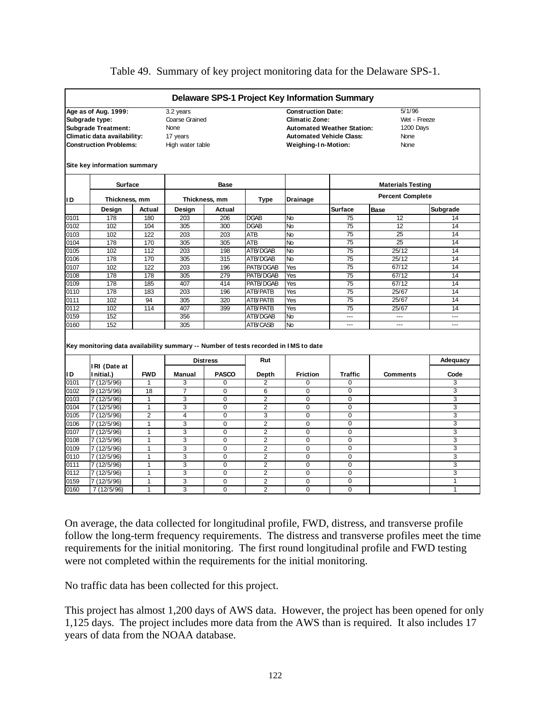#### Table 49. Summary of key project monitoring data for the Delaware SPS-1.

|      |                                                                                     |                |                  |                 |                 | <b>Delaware SPS-1 Project Key Information Summary</b> |                                       |                          |                |
|------|-------------------------------------------------------------------------------------|----------------|------------------|-----------------|-----------------|-------------------------------------------------------|---------------------------------------|--------------------------|----------------|
|      | Age as of Aug. 1999:                                                                |                | 3.2 years        |                 |                 | <b>Construction Date:</b>                             |                                       | 5/1/96                   |                |
|      | Subgrade type:                                                                      |                | Coarse Grained   |                 |                 |                                                       | Wet - Freeze<br><b>Climatic Zone:</b> |                          |                |
|      | <b>Subgrade Treatment:</b>                                                          |                | None             |                 |                 |                                                       | <b>Automated Weather Station:</b>     | 1200 Days                |                |
|      | Climatic data availability:                                                         |                | 17 years         |                 |                 | <b>Automated Vehicle Class:</b>                       |                                       | None                     |                |
|      | <b>Construction Problems:</b>                                                       |                | High water table |                 |                 | Weighing-In-Motion:                                   |                                       | None                     |                |
|      | Site key information summary                                                        |                |                  |                 |                 |                                                       |                                       |                          |                |
|      | <b>Surface</b>                                                                      |                |                  | <b>Base</b>     |                 |                                                       |                                       | <b>Materials Testing</b> |                |
| ID   | Thickness, mm                                                                       |                |                  | Thickness, mm   | Type            | <b>Drainage</b>                                       |                                       | <b>Percent Complete</b>  |                |
|      | Design                                                                              | Actual         | Design           | Actual          |                 |                                                       | Surface                               | Base                     | Subgrade       |
| 0101 | 178                                                                                 | 180            | 203              | 206             | <b>DGAB</b>     | <b>No</b>                                             | 75                                    | 12                       | 14             |
| 0102 | 102                                                                                 | 104            | 305              | 300             | <b>DGAB</b>     | <b>No</b>                                             | 75                                    | 12                       | 14             |
| 0103 | 102                                                                                 | 122            | 203              | 203             | <b>ATB</b>      | $\overline{N}$                                        | $\overline{75}$                       | $\overline{25}$          | 14             |
| 0104 | 178                                                                                 | 170            | 305              | 305             | ATB             | No                                                    | 75                                    | $\overline{25}$          | 14             |
| 0105 | 102                                                                                 | 112            | 203              | 198             | ATB/DGAB        | No                                                    | 75                                    | 25/12                    | 14             |
| 0106 | 178                                                                                 | 170            | 305              | 315             | ATB/DGAB        | No                                                    | $\overline{75}$                       | 25/12                    | 14             |
| 0107 | 102                                                                                 | 122            | 203              | 196             | PATB/DGAB       | Yes                                                   | $\overline{75}$                       | 67/12                    | 14             |
| 0108 | 178                                                                                 | 178            | 305              | 279             | PATB/DGAB       | Yes                                                   | $\overline{75}$                       | 67/12                    | 14             |
| 0109 | 178                                                                                 | 185            | 407              | 414             | PATB/DGAB       | Yes                                                   | $\overline{75}$                       | 67/12                    | 14             |
| 0110 | 178                                                                                 | 183            | 203              | 196             | ATB/PATB        | Yes                                                   | $\overline{75}$                       | 25/67                    | 14             |
| 0111 | 102                                                                                 | 94             | 305              | 320             | <b>ATB/PATB</b> | Yes                                                   | $\overline{75}$                       | 25/67                    | 14             |
| 0112 | 102                                                                                 | 114            | 407              | 399             | <b>ATB/PATB</b> | Yes                                                   | 75                                    | 25/67                    | 14             |
| 0159 | 152                                                                                 |                | 356              |                 | ATB/DGAB        | <b>No</b>                                             | $\overline{a}$                        | ---                      | ---            |
| 0160 | 152                                                                                 |                | 305              |                 | ATB/CASB        | N <sub>o</sub>                                        | ---                                   | ---                      | ---            |
|      | Key monitoring data availability summary -- Number of tests recorded in IMS to date |                |                  |                 |                 |                                                       |                                       |                          |                |
|      | IRI (Date at                                                                        |                |                  | <b>Distress</b> | Rut             |                                                       |                                       |                          | Adequacy       |
| ID   | Initial.)                                                                           | <b>FWD</b>     | <b>Manual</b>    | <b>PASCO</b>    | Depth           | <b>Friction</b>                                       | <b>Traffic</b>                        | <b>Comments</b>          | Code           |
| 0101 | 7(12/5/96)                                                                          | $\mathbf{1}$   | 3                | 0               | $\overline{2}$  | 0                                                     | $\mathbf 0$                           |                          | 3              |
| 0102 | 9(12/5/96)                                                                          | 18             | $\overline{7}$   | 0               | 6               | $\Omega$                                              | $\overline{0}$                        |                          | 3              |
| 0103 | 7 (12/5/96)                                                                         | $\mathbf{1}$   | 3                | $\mathbf 0$     | 2               | 0                                                     | $\mathbf 0$                           |                          | 3              |
| 0104 | 7(12/5/96)                                                                          | $\mathbf{1}$   | 3                | 0               | 2               | $\overline{0}$                                        | $\mathbf 0$                           |                          | 3              |
| 0105 | 7 (12/5/96)                                                                         | $\overline{2}$ | 4                | 0               | 3               | 0                                                     | $\mathbf 0$                           |                          | 3              |
| 0106 | 7 (12/5/96)                                                                         | $\mathbf{1}$   | 3                | 0               | $\overline{2}$  | 0                                                     | $\Omega$                              |                          | 3              |
| 0107 | 7(12/5/96)                                                                          | $\mathbf{1}$   | 3                | $\overline{0}$  | $\overline{2}$  | $\overline{0}$                                        | $\overline{0}$                        |                          | 3              |
| 0108 | 7(12/5/96)                                                                          | $\mathbf{1}$   | $\overline{3}$   | $\overline{0}$  | $\overline{2}$  | $\overline{0}$                                        | $\overline{0}$                        |                          | 3              |
| 0109 | 7 (12/5/96)                                                                         | 1              | 3                | 0               | $\overline{2}$  | 0                                                     | 0                                     |                          | 3              |
| 0110 | 7 (12/5/96)                                                                         | $\mathbf{1}$   | 3                | 0               | $\overline{2}$  | $\overline{0}$                                        | $\mathbf 0$                           |                          | 3              |
| 0111 | 7 (12/5/96)                                                                         | $\mathbf{1}$   | 3                | 0               | $\overline{2}$  | 0                                                     | $\mathbf 0$                           |                          | 3              |
| 0112 | 7 (12/5/96)                                                                         | $\mathbf{1}$   | 3                | 0               | $\overline{2}$  | 0                                                     | $\overline{0}$                        |                          | 3              |
| 0159 | 7 (12/5/96)                                                                         | $\mathbf{1}$   | 3                | $\Omega$        | $\overline{2}$  | 0                                                     | $\Omega$                              |                          | $\mathbf{1}$   |
| 0160 | 7(12/5/96)                                                                          | $\overline{1}$ | $\overline{3}$   | $\overline{0}$  | $\overline{2}$  | $\overline{0}$                                        | $\overline{0}$                        |                          | $\overline{1}$ |

On average, the data collected for longitudinal profile, FWD, distress, and transverse profile follow the long-term frequency requirements. The distress and transverse profiles meet the time requirements for the initial monitoring. The first round longitudinal profile and FWD testing were not completed within the requirements for the initial monitoring.

No traffic data has been collected for this project.

This project has almost 1,200 days of AWS data. However, the project has been opened for only 1,125 days. The project includes more data from the AWS than is required. It also includes 17 years of data from the NOAA database.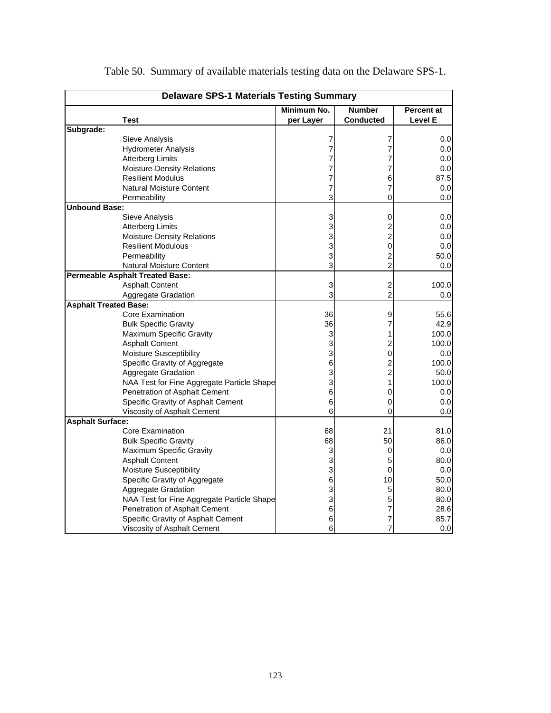|                              | <b>Delaware SPS-1 Materials Testing Summary</b> |             |                         |            |
|------------------------------|-------------------------------------------------|-------------|-------------------------|------------|
|                              |                                                 | Minimum No. | <b>Number</b>           | Percent at |
|                              | <b>Test</b>                                     | per Layer   | Conducted               | Level E    |
| Subgrade:                    |                                                 |             |                         |            |
|                              | Sieve Analysis                                  | 7           | 7                       | 0.0        |
|                              | <b>Hydrometer Analysis</b>                      | 7           | 7                       | 0.0        |
|                              | <b>Atterberg Limits</b>                         | 7           | 7                       | 0.0        |
|                              | <b>Moisture-Density Relations</b>               | 7           | 7                       | 0.0        |
|                              | <b>Resilient Modulus</b>                        | 7           | 6                       | 87.5       |
|                              | <b>Natural Moisture Content</b>                 | 7           | 7                       | 0.0        |
|                              | Permeability                                    | 3           | 0                       | 0.0        |
| <b>Unbound Base:</b>         |                                                 |             |                         |            |
|                              | Sieve Analysis                                  | 3           | 0                       | 0.0        |
|                              | <b>Atterberg Limits</b>                         | 3           | $\overline{\mathbf{c}}$ | 0.0        |
|                              | Moisture-Density Relations                      | 3           | $\overline{c}$          | 0.0        |
|                              | <b>Resilient Modulous</b>                       | 3           | 0                       | 0.0        |
|                              | Permeability                                    | 3           | $\overline{c}$          | 50.0       |
|                              | <b>Natural Moisture Content</b>                 | 3           | $\overline{c}$          | 0.0        |
|                              | <b>Permeable Asphalt Treated Base:</b>          |             |                         |            |
|                              | <b>Asphalt Content</b>                          | 3           | $\overline{c}$          | 100.0      |
|                              | Aggregate Gradation                             | 3           | $\overline{c}$          | 0.0        |
| <b>Asphalt Treated Base:</b> |                                                 |             |                         |            |
|                              | Core Examination                                | 36          | 9                       | 55.6       |
|                              | <b>Bulk Specific Gravity</b>                    | 36          | 7                       | 42.9       |
|                              | Maximum Specific Gravity                        | 3           | 1                       | 100.0      |
|                              | <b>Asphalt Content</b>                          | 3           | $\overline{\mathbf{c}}$ | 100.0      |
|                              | Moisture Susceptibility                         | 3           | 0                       | 0.0        |
|                              | Specific Gravity of Aggregate                   | 6           | $\overline{c}$          | 100.0      |
|                              | Aggregate Gradation                             | 3           | $\overline{c}$          | 50.0       |
|                              | NAA Test for Fine Aggregate Particle Shape      | 3           | 1                       | 100.0      |
|                              | Penetration of Asphalt Cement                   | 6           | 0                       | 0.0        |
|                              | Specific Gravity of Asphalt Cement              | 6           | 0                       | 0.0        |
|                              | Viscosity of Asphalt Cement                     | 6           | 0                       | 0.0        |
| <b>Asphalt Surface:</b>      |                                                 |             |                         |            |
|                              | Core Examination                                | 68          | 21                      | 81.0       |
|                              | <b>Bulk Specific Gravity</b>                    | 68          | 50                      | 86.0       |
|                              | Maximum Specific Gravity                        | 3           | 0                       | 0.0        |
|                              | <b>Asphalt Content</b>                          | 3           | 5                       | 80.0       |
|                              | <b>Moisture Susceptibility</b>                  | 3           | 0                       | 0.0        |
|                              | Specific Gravity of Aggregate                   | 6           | 10                      | 50.0       |
|                              | Aggregate Gradation                             | 3           | 5                       | 80.0       |
|                              | NAA Test for Fine Aggregate Particle Shape      | 3           | 5                       | 80.0       |
|                              | Penetration of Asphalt Cement                   | 6           | 7                       | 28.6       |
|                              | Specific Gravity of Asphalt Cement              | 6           | 7                       | 85.7       |
|                              | Viscosity of Asphalt Cement                     | 6           | 7                       | 0.0        |

Table 50. Summary of available materials testing data on the Delaware SPS-1.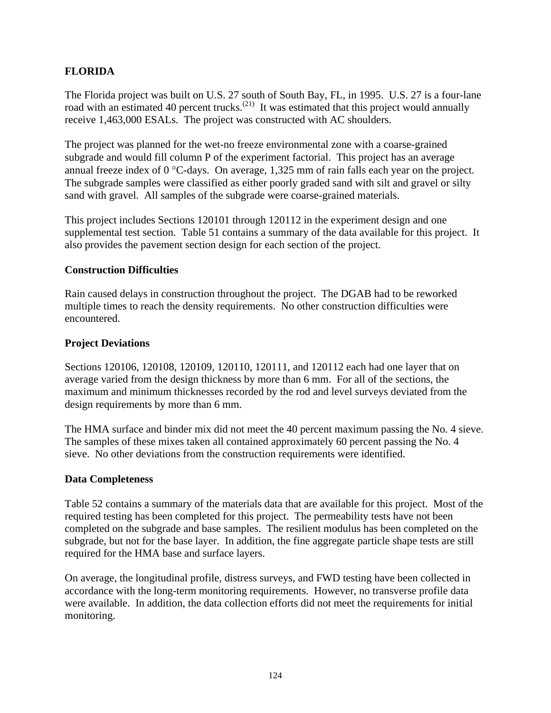# **FLORIDA**

The Florida project was built on U.S. 27 south of South Bay, FL, in 1995. U.S. 27 is a four-lane road with an estimated 40 percent trucks.<sup>(21)</sup> It was estimated that this project would annually receive 1,463,000 ESALs. The project was constructed with AC shoulders.

The project was planned for the wet-no freeze environmental zone with a coarse-grained subgrade and would fill column P of the experiment factorial. This project has an average annual freeze index of 0 °C-days. On average, 1,325 mm of rain falls each year on the project. The subgrade samples were classified as either poorly graded sand with silt and gravel or silty sand with gravel. All samples of the subgrade were coarse-grained materials.

This project includes Sections 120101 through 120112 in the experiment design and one supplemental test section. Table 51 contains a summary of the data available for this project. It also provides the pavement section design for each section of the project.

# **Construction Difficulties**

Rain caused delays in construction throughout the project. The DGAB had to be reworked multiple times to reach the density requirements. No other construction difficulties were encountered.

# **Project Deviations**

Sections 120106, 120108, 120109, 120110, 120111, and 120112 each had one layer that on average varied from the design thickness by more than 6 mm. For all of the sections, the maximum and minimum thicknesses recorded by the rod and level surveys deviated from the design requirements by more than 6 mm.

The HMA surface and binder mix did not meet the 40 percent maximum passing the No. 4 sieve. The samples of these mixes taken all contained approximately 60 percent passing the No. 4 sieve. No other deviations from the construction requirements were identified.

#### **Data Completeness**

Table 52 contains a summary of the materials data that are available for this project. Most of the required testing has been completed for this project. The permeability tests have not been completed on the subgrade and base samples. The resilient modulus has been completed on the subgrade, but not for the base layer. In addition, the fine aggregate particle shape tests are still required for the HMA base and surface layers.

On average, the longitudinal profile, distress surveys, and FWD testing have been collected in accordance with the long-term monitoring requirements. However, no transverse profile data were available. In addition, the data collection efforts did not meet the requirements for initial monitoring.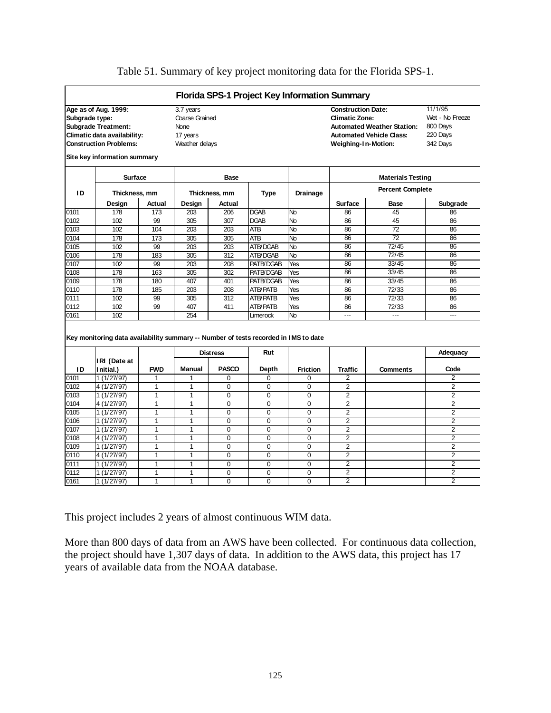|                |                                                                                     |              |                |                 |                 | Florida SPS-1 Project Key Information Summary |                     |                                   |                |  |
|----------------|-------------------------------------------------------------------------------------|--------------|----------------|-----------------|-----------------|-----------------------------------------------|---------------------|-----------------------------------|----------------|--|
|                | Age as of Aug. 1999:                                                                |              | 3.7 years      |                 |                 | <b>Construction Date:</b>                     |                     | 11/1/95                           |                |  |
| Subgrade type: |                                                                                     |              | Coarse Grained |                 |                 | <b>Climatic Zone:</b>                         |                     | Wet - No Freeze                   |                |  |
|                | <b>Subgrade Treatment:</b>                                                          |              | None           |                 |                 |                                               |                     | <b>Automated Weather Station:</b> | 800 Days       |  |
|                | Climatic data availability:                                                         |              | 17 years       |                 |                 |                                               |                     | <b>Automated Vehicle Class:</b>   | 220 Days       |  |
|                | <b>Construction Problems:</b>                                                       |              | Weather delays |                 |                 |                                               | Weighing-In-Motion: |                                   | 342 Days       |  |
|                | Site key information summary                                                        |              |                |                 |                 |                                               |                     |                                   |                |  |
|                | <b>Surface</b>                                                                      |              |                | Base            |                 |                                               |                     | <b>Materials Testing</b>          |                |  |
| ID             | Thickness, mm                                                                       |              |                | Thickness, mm   | <b>Type</b>     | <b>Drainage</b>                               |                     | <b>Percent Complete</b>           |                |  |
|                | Design                                                                              | Actual       | Design         | Actual          |                 |                                               | <b>Surface</b>      | <b>Base</b>                       | Subgrade       |  |
| 0101           | 178                                                                                 | 173          | 203            | 206             | <b>DGAB</b>     | No                                            | 86                  | 45                                | 86             |  |
| 0102           | 102                                                                                 | 99           | 305            | 307             | <b>DGAB</b>     | No                                            | 86                  | 45                                | 86             |  |
| 0103           | 102                                                                                 | 104          | 203            | 203             | ATB             | No                                            | 86                  | 72                                | 86             |  |
| 0104           | 178                                                                                 | 173          | 305            | 305             | <b>ATB</b>      | $\overline{N}$                                | 86                  | $\overline{72}$                   | 86             |  |
| 0105           | 102                                                                                 | 99           | 203            | 203             | ATB/DGAB        | No                                            | 86                  | 72/45                             | 86             |  |
| 0106           | 178                                                                                 | 183          | 305            | 312             | ATB/DGAB        | No                                            | 86                  | 72/45                             | 86             |  |
| 0107           | 102                                                                                 | 99           | 203            | 208             | PATB/DGAB       | Yes                                           | 86                  | 33/45                             | 86             |  |
| 0108           | 178                                                                                 | 163          | 305            | 302             | PATB/DGAB       | Yes                                           | 86                  | 33/45                             | 86             |  |
| 0109           | 178                                                                                 | 180          | 407            | 401             | PATB/DGAB       | Yes                                           | 86                  | 33/45                             | 86             |  |
| 0110           | 178                                                                                 | 185          | 203            | 208             | <b>ATB/PATB</b> | Yes                                           | 86                  | 72/33                             | 86             |  |
| 0111           | 102                                                                                 | 99           | 305            | 312             | <b>ATB/PATB</b> | Yes                                           | 86                  | 72/33                             | 86             |  |
| 0112           | 102                                                                                 | 99           | 407            | 411             | <b>ATB/PATB</b> | Yes                                           | 86                  | 72/33                             | 86             |  |
| 0161           | 102                                                                                 |              | 254            |                 | Limerock        | No                                            | $---$               | $---$                             | $---$          |  |
|                | Key monitoring data availability summary -- Number of tests recorded in IMS to date |              |                | <b>Distress</b> | Rut             |                                               |                     |                                   | Adequacy       |  |
| ID             | IRI (Date at<br>Initial.)                                                           | <b>FWD</b>   | Manual         | <b>PASCO</b>    | Depth           | <b>Friction</b>                               | <b>Traffic</b>      | <b>Comments</b>                   | Code           |  |
| 0101           | 1(1/27/97)                                                                          | 1            | 1              | 0               | 0               | 0                                             | 2                   |                                   | 2              |  |
| 0102           | 4 (1/27/97)                                                                         | 1            | 1              | $\Omega$        | $\Omega$        | $\Omega$                                      | $\overline{2}$      |                                   | 2              |  |
| 0103           | 1(1/27/97)                                                                          | $\mathbf{1}$ | 1              | $\Omega$        | 0               | $\mathbf 0$                                   | $\overline{2}$      |                                   | $\overline{2}$ |  |
| 0104           | 4(1/27/97)                                                                          | $\mathbf{1}$ | 1              | $\Omega$        | $\Omega$        | $\Omega$                                      | $\overline{2}$      |                                   | $\overline{2}$ |  |
| 0105           | 1(1/27/97)                                                                          | 1            | $\mathbf{1}$   | $\mathbf 0$     | 0               | $\mathbf 0$                                   | $\overline{2}$      |                                   | 2              |  |
| 0106           | 1(1/27/97)                                                                          | $\mathbf{1}$ | 1              | 0               | 0               | 0                                             | $\overline{2}$      |                                   | 2              |  |
| 0107           | 1(1/27/97)                                                                          | $\mathbf{1}$ | 1              | $\mathbf 0$     | 0               | $\mathbf 0$                                   | $\overline{2}$      |                                   | $\overline{2}$ |  |
| 0108           | 4 (1/27/97)                                                                         | $\mathbf{1}$ | 1              | $\Omega$        | 0               | $\mathbf 0$                                   | $\overline{2}$      |                                   | $\overline{2}$ |  |
| 0109           | 1(1/27/97)                                                                          | $\mathbf{1}$ | 1              | $\Omega$        | $\Omega$        | $\Omega$                                      | $\overline{2}$      |                                   | $\overline{2}$ |  |
| 0110           | 4 (1/27/97)                                                                         | 1            | 1              | $\mathbf 0$     | $\Omega$        | $\mathbf 0$                                   | $\overline{2}$      |                                   | $\overline{2}$ |  |
| 0111           | 1(1/27/97)                                                                          | $\mathbf{1}$ | 1              | 0               | 0               | 0                                             | $\overline{2}$      |                                   | $\overline{2}$ |  |
| 0112           | 1(1/27/97)                                                                          | $\mathbf{1}$ | 1              | $\mathbf 0$     | 0               | 0                                             | $\overline{2}$      |                                   | $\overline{2}$ |  |
| 0161           | 1(1/27/97)                                                                          | $\mathbf{1}$ | 1              | $\mathbf 0$     | 0               | $\mathbf 0$                                   | $\overline{2}$      |                                   | $\overline{2}$ |  |

# Table 51. Summary of key project monitoring data for the Florida SPS-1.

This project includes 2 years of almost continuous WIM data.

More than 800 days of data from an AWS have been collected. For continuous data collection, the project should have 1,307 days of data. In addition to the AWS data, this project has 17 years of available data from the NOAA database.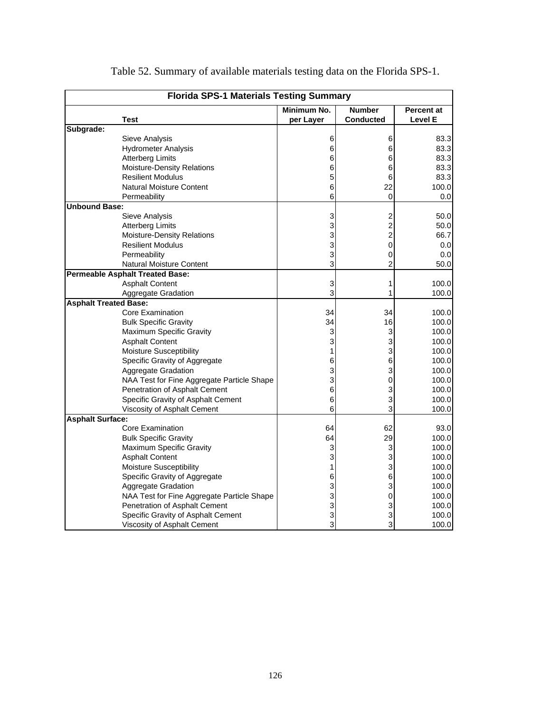| <b>Florida SPS-1 Materials Testing Summary</b> |                                            |             |                         |                   |  |  |
|------------------------------------------------|--------------------------------------------|-------------|-------------------------|-------------------|--|--|
|                                                |                                            | Minimum No. | <b>Number</b>           | <b>Percent at</b> |  |  |
|                                                | <b>Test</b>                                | per Layer   | <b>Conducted</b>        | <b>Level E</b>    |  |  |
| Subgrade:                                      |                                            |             |                         |                   |  |  |
|                                                | Sieve Analysis                             | 6           | 6                       | 83.3              |  |  |
|                                                | <b>Hydrometer Analysis</b>                 | 6           | 6                       | 83.3              |  |  |
|                                                | <b>Atterberg Limits</b>                    | 6           | 6                       | 83.3              |  |  |
|                                                | <b>Moisture-Density Relations</b>          | 6           | 6                       | 83.3              |  |  |
|                                                | <b>Resilient Modulus</b>                   | 5           | 6                       | 83.3              |  |  |
|                                                | <b>Natural Moisture Content</b>            | 6           | 22                      | 100.0             |  |  |
|                                                | Permeability                               | 6           | 0                       | 0.0               |  |  |
| <b>Unbound Base:</b>                           |                                            |             |                         |                   |  |  |
|                                                | Sieve Analysis                             | 3           | 2                       | 50.0              |  |  |
|                                                | <b>Atterberg Limits</b>                    | 3           | $\overline{\mathbf{c}}$ | 50.0              |  |  |
|                                                | <b>Moisture-Density Relations</b>          | 3           | $\overline{c}$          | 66.7              |  |  |
|                                                | <b>Resilient Modulus</b>                   | 3           | 0                       | 0.0               |  |  |
|                                                | Permeability                               | 3           | 0                       | 0.0               |  |  |
|                                                | <b>Natural Moisture Content</b>            | 3           | $\overline{2}$          | 50.0              |  |  |
|                                                | <b>Permeable Asphalt Treated Base:</b>     |             |                         |                   |  |  |
|                                                | <b>Asphalt Content</b>                     | 3           | 1                       | 100.0             |  |  |
|                                                | <b>Aggregate Gradation</b>                 | 3           | 1                       | 100.0             |  |  |
| <b>Asphalt Treated Base:</b>                   |                                            |             |                         |                   |  |  |
|                                                | <b>Core Examination</b>                    | 34          | 34                      | 100.0             |  |  |
|                                                | <b>Bulk Specific Gravity</b>               | 34          | 16                      | 100.0             |  |  |
|                                                | <b>Maximum Specific Gravity</b>            | 3           | 3                       | 100.0             |  |  |
|                                                | <b>Asphalt Content</b>                     | 3           | 3                       | 100.0             |  |  |
|                                                | <b>Moisture Susceptibility</b>             | 1           | 3                       | 100.0             |  |  |
|                                                | Specific Gravity of Aggregate              | 6           | 6                       | 100.0             |  |  |
|                                                | Aggregate Gradation                        | 3           | 3                       | 100.0             |  |  |
|                                                | NAA Test for Fine Aggregate Particle Shape | 3           | 0                       | 100.0             |  |  |
|                                                | Penetration of Asphalt Cement              | 6           | 3                       | 100.0             |  |  |
|                                                | Specific Gravity of Asphalt Cement         | 6           | 3                       | 100.0             |  |  |
|                                                | Viscosity of Asphalt Cement                | 6           | 3                       | 100.0             |  |  |
| <b>Asphalt Surface:</b>                        |                                            |             |                         |                   |  |  |
|                                                | Core Examination                           | 64          | 62                      | 93.0              |  |  |
|                                                | <b>Bulk Specific Gravity</b>               | 64          | 29                      | 100.0             |  |  |
|                                                | Maximum Specific Gravity                   | 3           | 3                       | 100.0             |  |  |
|                                                | <b>Asphalt Content</b>                     | 3           | 3                       | 100.0             |  |  |
|                                                | <b>Moisture Susceptibility</b>             | 1           | 3                       | 100.0             |  |  |
|                                                | Specific Gravity of Aggregate              | 6           | 6                       | 100.0             |  |  |
|                                                | Aggregate Gradation                        | 3           | 3                       | 100.0             |  |  |
|                                                | NAA Test for Fine Aggregate Particle Shape | 3           | 0                       | 100.0             |  |  |
|                                                | Penetration of Asphalt Cement              | 3           | 3                       | 100.0             |  |  |
|                                                | Specific Gravity of Asphalt Cement         | 3           | 3                       | 100.0             |  |  |
|                                                | Viscosity of Asphalt Cement                | 3           | 3                       | 100.0             |  |  |

Table 52. Summary of available materials testing data on the Florida SPS-1.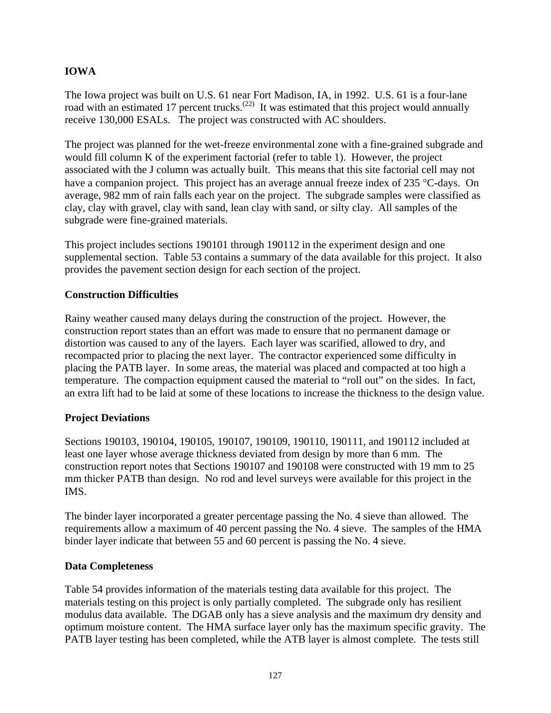# **IOWA**

The Iowa project was built on U.S. 61 near Fort Madison, IA, in 1992. U.S. 61 is a four-lane road with an estimated 17 percent trucks.<sup>(22)</sup> It was estimated that this project would annually receive 130,000 ESALs. The project was constructed with AC shoulders.

The project was planned for the wet-freeze environmental zone with a fine-grained subgrade and would fill column K of the experiment factorial (refer to table 1). However, the project associated with the J column was actually built. This means that this site factorial cell may not have a companion project. This project has an average annual freeze index of 235 °C-days. On average, 982 mm of rain falls each year on the project. The subgrade samples were classified as clay, clay with gravel, clay with sand, lean clay with sand, or silty clay. All samples of the subgrade were fine-grained materials.

This project includes sections 190101 through 190112 in the experiment design and one supplemental section. Table 53 contains a summary of the data available for this project. It also provides the pavement section design for each section of the project.

# **Construction Difficulties**

Rainy weather caused many delays during the construction of the project. However, the construction report states than an effort was made to ensure that no permanent damage or distortion was caused to any of the layers. Each layer was scarified, allowed to dry, and recompacted prior to placing the next layer. The contractor experienced some difficulty in placing the PATB layer. In some areas, the material was placed and compacted at too high a temperature. The compaction equipment caused the material to "roll out" on the sides. In fact, an extra lift had to be laid at some of these locations to increase the thickness to the design value.

# **Project Deviations**

Sections 190103, 190104, 190105, 190107, 190109, 190110, 190111, and 190112 included at least one layer whose average thickness deviated from design by more than 6 mm. The construction report notes that Sections 190107 and 190108 were constructed with 19 mm to 25 mm thicker PATB than design. No rod and level surveys were available for this project in the IMS.

The binder layer incorporated a greater percentage passing the No. 4 sieve than allowed. The requirements allow a maximum of 40 percent passing the No. 4 sieve. The samples of the HMA binder layer indicate that between 55 and 60 percent is passing the No. 4 sieve.

#### **Data Completeness**

Table 54 provides information of the materials testing data available for this project. The materials testing on this project is only partially completed. The subgrade only has resilient modulus data available. The DGAB only has a sieve analysis and the maximum dry density and optimum moisture content. The HMA surface layer only has the maximum specific gravity. The PATB layer testing has been completed, while the ATB layer is almost complete. The tests still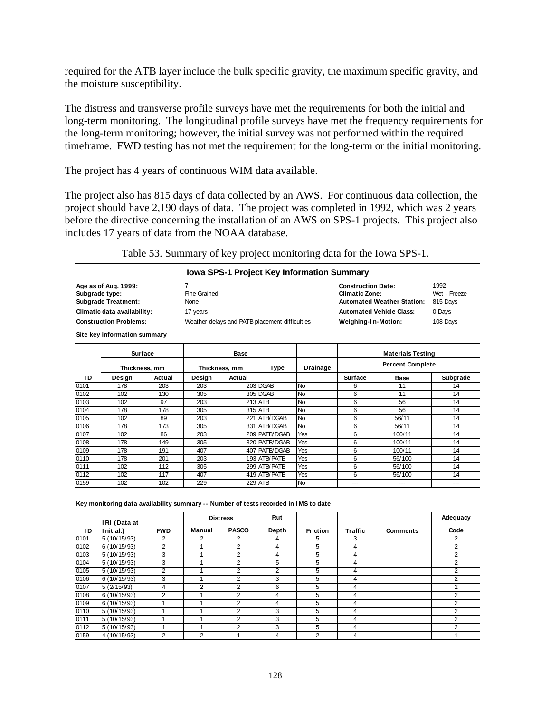required for the ATB layer include the bulk specific gravity, the maximum specific gravity, and the moisture susceptibility.

The distress and transverse profile surveys have met the requirements for both the initial and long-term monitoring. The longitudinal profile surveys have met the frequency requirements for the long-term monitoring; however, the initial survey was not performed within the required timeframe. FWD testing has not met the requirement for the long-term or the initial monitoring.

The project has 4 years of continuous WIM data available.

The project also has 815 days of data collected by an AWS. For continuous data collection, the project should have 2,190 days of data. The project was completed in 1992, which was 2 years before the directive concerning the installation of an AWS on SPS-1 projects. This project also includes 17 years of data from the NOAA database.

|                               |                                                                                     |                |                                                |                 |                 | Iowa SPS-1 Project Key Information Summary |                          |                         |                |
|-------------------------------|-------------------------------------------------------------------------------------|----------------|------------------------------------------------|-----------------|-----------------|--------------------------------------------|--------------------------|-------------------------|----------------|
| Age as of Aug. 1999:          |                                                                                     |                | $\overline{7}$                                 |                 |                 | <b>Construction Date:</b>                  |                          | 1992                    |                |
| Subgrade type:                |                                                                                     |                | Fine Grained                                   |                 |                 | <b>Climatic Zone:</b>                      |                          | Wet - Freeze            |                |
| <b>Subgrade Treatment:</b>    |                                                                                     |                | None                                           |                 |                 | <b>Automated Weather Station:</b>          |                          | 815 Days                |                |
| Climatic data availability:   |                                                                                     |                | 17 years                                       |                 |                 | <b>Automated Vehicle Class:</b>            |                          | 0 Days                  |                |
| <b>Construction Problems:</b> |                                                                                     |                | Weather delays and PATB placement difficulties |                 |                 | Weighing-In-Motion:                        |                          | 108 Days                |                |
|                               | Site key information summary                                                        |                |                                                |                 |                 |                                            |                          |                         |                |
|                               | <b>Surface</b>                                                                      |                | Base                                           |                 |                 |                                            | <b>Materials Testing</b> |                         |                |
|                               |                                                                                     | Thickness, mm  |                                                | Thickness, mm   | Type            | <b>Drainage</b>                            |                          | <b>Percent Complete</b> |                |
| ΙD                            | Design                                                                              | Actual         | Design                                         | Actual          |                 |                                            | <b>Surface</b>           | <b>Base</b>             | Subgrade       |
| 0101                          | 178                                                                                 | 203            | 203                                            |                 | 203 DGAB        | <b>No</b>                                  | 6                        | 11                      | 14             |
| 0102                          | 102                                                                                 | 130            | 305                                            |                 | 305 DGAB        | <b>No</b>                                  | 6                        | 11                      | 14             |
| 0103                          | 102                                                                                 | 97             | 203                                            |                 | 213 ATB         | <b>No</b>                                  | 6                        | 56                      | 14             |
| 0104                          | 178                                                                                 | 178            | 305                                            |                 | 315 ATB         | <b>No</b>                                  | 6                        | 56                      | 14             |
| 0105                          | 102                                                                                 | 89             | 203                                            | 221             | <b>ATB/DGAB</b> | <b>No</b>                                  | 6                        | 56/11                   | 14             |
| 0106                          | 178                                                                                 | 173            | 305                                            |                 | 331 ATB/DGAB    | No                                         | 6                        | 56/11                   | 14             |
| 0107                          | 102                                                                                 | 86             | 203                                            |                 | 209 PATB/DGAB   | Yes                                        | 6                        | 100/11                  | 14             |
| 0108                          | 178                                                                                 | 149            | 305                                            |                 | 320 PATB/DGAB   | Yes                                        | 6                        | 100/11                  | 14             |
| 0109                          | 178                                                                                 | 191            | 407                                            |                 | 407 PATB/DGAB   | Yes                                        | 6                        | 100/11                  | 14             |
| 0110                          | 178                                                                                 | 201            | 203                                            |                 | 193 ATB/PATB    | Yes                                        | 6                        | 56/100                  | 14             |
| 0111                          | 102                                                                                 | 112            | 305                                            |                 | 299 ATB/PATB    | Yes                                        | 6                        | 56/100                  | 14             |
| 0112                          | 102                                                                                 | 117            | 407                                            |                 | 419 ATB/PATB    | Yes                                        | 6                        | 56/100                  | 14             |
| 0159                          | 102                                                                                 | 102            | 229                                            |                 | <b>229 ATB</b>  | N <sub>o</sub>                             | <u>.</u>                 | $\overline{a}$          | $\sim$         |
|                               | Key monitoring data availability summary -- Number of tests recorded in IMS to date |                |                                                |                 |                 |                                            |                          |                         |                |
|                               | IRI (Data at                                                                        |                |                                                | <b>Distress</b> | Rut             |                                            |                          |                         | Adequacy       |
| ID                            | Initial.)                                                                           | <b>FWD</b>     | Manual                                         | <b>PASCO</b>    | Depth           | Friction                                   | <b>Traffic</b>           | Comments                | Code           |
| 0101                          | 5 (10/15/93)                                                                        | $\overline{2}$ | $\overline{2}$                                 | $\overline{2}$  | 4               | 5                                          | 3                        |                         | $\overline{2}$ |
| 0102                          | 6 (10/15/93)                                                                        | $\overline{2}$ | 1                                              | 2               | 4               | 5                                          | 4                        |                         | $\overline{2}$ |
| 0103                          | 5 (10/15/93)                                                                        | 3              | 1                                              | $\overline{2}$  | $\overline{4}$  | 5                                          | 4                        |                         | $\overline{2}$ |
| 0104                          | 5 (10/15/93)                                                                        | 3              | $\mathbf{1}$                                   | $\overline{2}$  | 5               | 5                                          | 4                        |                         | $\overline{2}$ |
| 0105                          | 5 (10/15/93)                                                                        | $\overline{c}$ | 1                                              | 2               | $\overline{2}$  | 5                                          | 4                        |                         | $\overline{2}$ |
| 0106                          | 6 (10/15/93)                                                                        | 3              | 1                                              | $\overline{2}$  | 3               | 5                                          | 4                        |                         | $\overline{2}$ |
| 0107                          | 5(2/15/93)                                                                          | 4              | $\overline{2}$                                 | $\overline{2}$  | 6               | 5                                          | 4                        |                         | $\overline{2}$ |
| 0108                          | 6 (10/15/93)                                                                        | $\overline{2}$ | 1                                              | 2               | $\overline{4}$  | 5                                          | 4                        |                         | $\overline{2}$ |
| 0109                          | 6 (10/15/93)                                                                        | 1              | 1                                              | $\overline{2}$  | 4               | 5                                          | 4                        |                         | $\overline{2}$ |
| 0110                          | 5 (10/15/93)                                                                        | 1              | 1                                              | 2               | 3               | 5                                          | 4                        |                         | $\overline{2}$ |
| 0111                          | 5 (10/15/93)                                                                        | 1              | 1                                              | $\overline{2}$  | 3               | 5                                          | 4                        |                         | $\overline{2}$ |
| 0112                          | 5 (10/15/93)                                                                        | 1              | 1                                              | 2               | 3               | 5                                          | 4                        |                         | $\overline{2}$ |
| 0159                          | 4 (10/15/93)                                                                        | $\overline{2}$ | $\overline{2}$                                 | $\mathbf{1}$    | $\overline{4}$  | $\overline{2}$                             | $\overline{4}$           |                         | 1              |

Table 53. Summary of key project monitoring data for the Iowa SPS-1.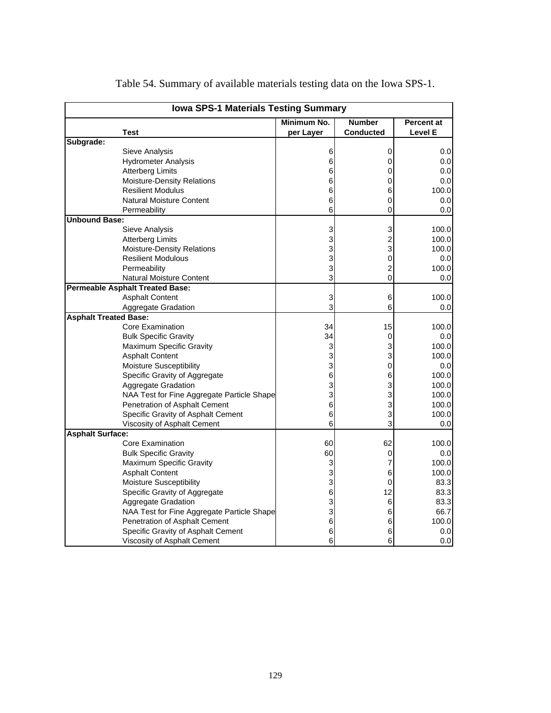| <b>Iowa SPS-1 Materials Testing Summary</b> |                                            |             |                |            |  |
|---------------------------------------------|--------------------------------------------|-------------|----------------|------------|--|
|                                             |                                            | Minimum No. | <b>Number</b>  | Percent at |  |
|                                             | Test                                       | per Layer   | Conducted      | Level E    |  |
| Subgrade:                                   |                                            |             |                |            |  |
|                                             | Sieve Analysis                             | 6           | 0              | 0.0        |  |
|                                             | <b>Hydrometer Analysis</b>                 | 6           | 0              | 0.0        |  |
|                                             | <b>Atterberg Limits</b>                    | 6           | 0              | 0.0        |  |
|                                             | <b>Moisture-Density Relations</b>          | 6           | 0              | 0.0        |  |
|                                             | <b>Resilient Modulus</b>                   | 6           | 6              | 100.0      |  |
|                                             | <b>Natural Moisture Content</b>            | 6           | 0              | 0.0        |  |
|                                             | Permeability                               | 6           | 0              | 0.0        |  |
| <b>Unbound Base:</b>                        |                                            |             |                |            |  |
|                                             | Sieve Analysis                             | 3           | 3              | 100.0      |  |
|                                             | <b>Atterberg Limits</b>                    | 3           | $\overline{c}$ | 100.0      |  |
|                                             | Moisture-Density Relations                 | 3           | 3              | 100.0      |  |
|                                             | <b>Resilient Modulous</b>                  | 3           | 0              | 0.0        |  |
|                                             | Permeability                               | 3           | $\overline{c}$ | 100.0      |  |
|                                             | <b>Natural Moisture Content</b>            | 3           | 0              | 0.0        |  |
|                                             | <b>Permeable Asphalt Treated Base:</b>     |             |                |            |  |
|                                             | <b>Asphalt Content</b>                     | 3           | 6              | 100.0      |  |
|                                             | Aggregate Gradation                        | 3           | 6              | 0.0        |  |
| <b>Asphalt Treated Base:</b>                |                                            |             |                |            |  |
|                                             | Core Examination                           | 34          | 15             | 100.0      |  |
|                                             | <b>Bulk Specific Gravity</b>               | 34          | 0              | 0.0        |  |
|                                             | Maximum Specific Gravity                   | 3           | 3              | 100.0      |  |
|                                             | <b>Asphalt Content</b>                     | 3           | 3              | 100.0      |  |
|                                             | <b>Moisture Susceptibility</b>             | 3           | 0              | 0.0        |  |
|                                             | Specific Gravity of Aggregate              | 6           | 6              | 100.0      |  |
|                                             | Aggregate Gradation                        | 3           | 3              | 100.0      |  |
|                                             | NAA Test for Fine Aggregate Particle Shape | 3           | 3              | 100.0      |  |
|                                             | Penetration of Asphalt Cement              | 6           | 3              | 100.0      |  |
|                                             | Specific Gravity of Asphalt Cement         | 6           | 3              | 100.0      |  |
|                                             | Viscosity of Asphalt Cement                | 6           | 3              | 0.0        |  |
| <b>Asphalt Surface:</b>                     |                                            |             |                |            |  |
|                                             | Core Examination                           | 60          | 62             | 100.0      |  |
|                                             | <b>Bulk Specific Gravity</b>               | 60          | 0              | 0.0        |  |
|                                             | Maximum Specific Gravity                   | 3           | 7              | 100.0      |  |
|                                             | <b>Asphalt Content</b>                     | 3           | 6              | 100.0      |  |
|                                             | Moisture Susceptibility                    | 3           | 0              | 83.3       |  |
|                                             | Specific Gravity of Aggregate              | 6           | 12             | 83.3       |  |
|                                             | Aggregate Gradation                        | 3           | 6              | 83.3       |  |
|                                             | NAA Test for Fine Aggregate Particle Shape | 3           | 6              | 66.7       |  |
|                                             | Penetration of Asphalt Cement              | 6           | 6              | 100.0      |  |
|                                             | Specific Gravity of Asphalt Cement         | 6           | 6              | 0.0        |  |
|                                             |                                            | 6           | 6              | 0.0        |  |
|                                             | Viscosity of Asphalt Cement                |             |                |            |  |

Table 54. Summary of available materials testing data on the Iowa SPS-1.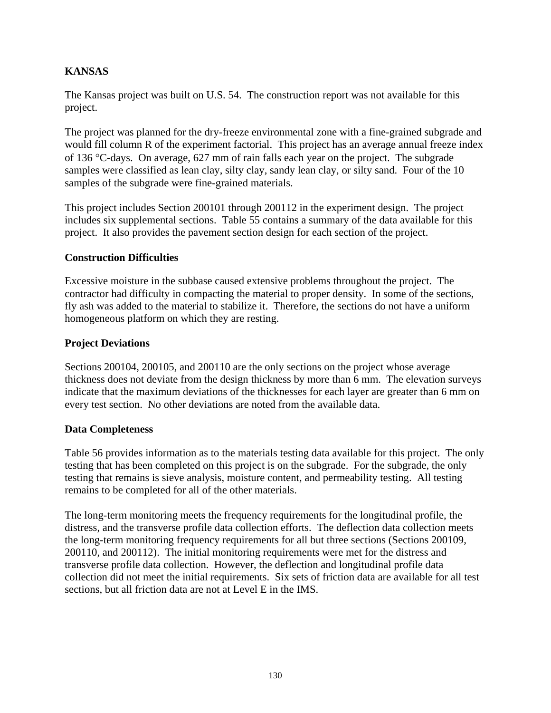# **KANSAS**

The Kansas project was built on U.S. 54. The construction report was not available for this project.

The project was planned for the dry-freeze environmental zone with a fine-grained subgrade and would fill column R of the experiment factorial. This project has an average annual freeze index of 136 °C-days. On average, 627 mm of rain falls each year on the project. The subgrade samples were classified as lean clay, silty clay, sandy lean clay, or silty sand. Four of the 10 samples of the subgrade were fine-grained materials.

This project includes Section 200101 through 200112 in the experiment design. The project includes six supplemental sections. Table 55 contains a summary of the data available for this project. It also provides the pavement section design for each section of the project.

# **Construction Difficulties**

Excessive moisture in the subbase caused extensive problems throughout the project. The contractor had difficulty in compacting the material to proper density. In some of the sections, fly ash was added to the material to stabilize it. Therefore, the sections do not have a uniform homogeneous platform on which they are resting.

# **Project Deviations**

Sections 200104, 200105, and 200110 are the only sections on the project whose average thickness does not deviate from the design thickness by more than 6 mm. The elevation surveys indicate that the maximum deviations of the thicknesses for each layer are greater than 6 mm on every test section. No other deviations are noted from the available data.

#### **Data Completeness**

Table 56 provides information as to the materials testing data available for this project. The only testing that has been completed on this project is on the subgrade. For the subgrade, the only testing that remains is sieve analysis, moisture content, and permeability testing. All testing remains to be completed for all of the other materials.

The long-term monitoring meets the frequency requirements for the longitudinal profile, the distress, and the transverse profile data collection efforts. The deflection data collection meets the long-term monitoring frequency requirements for all but three sections (Sections 200109, 200110, and 200112). The initial monitoring requirements were met for the distress and transverse profile data collection. However, the deflection and longitudinal profile data collection did not meet the initial requirements. Six sets of friction data are available for all test sections, but all friction data are not at Level E in the IMS.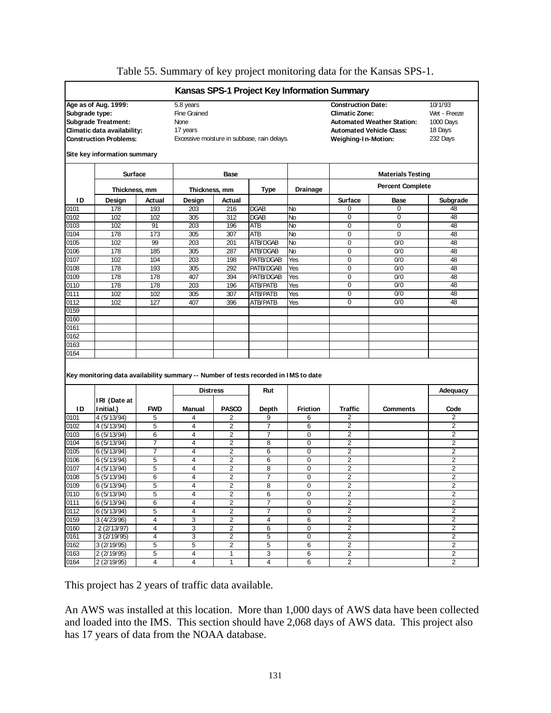|                |                                                                                                                                                    |                               |                                               |                         |                                             |                 | Kansas SPS-1 Project Key Information Summary                              |                                                                      |                                                             |
|----------------|----------------------------------------------------------------------------------------------------------------------------------------------------|-------------------------------|-----------------------------------------------|-------------------------|---------------------------------------------|-----------------|---------------------------------------------------------------------------|----------------------------------------------------------------------|-------------------------------------------------------------|
| Subgrade type: | Age as of Aug. 1999:<br><b>Subgrade Treatment:</b><br>Climatic data availability:<br><b>Construction Problems:</b><br>Site key information summary |                               | 5.8 years<br>Fine Grained<br>None<br>17 years |                         | Excessive moisture in subbase, rain delays. |                 | <b>Construction Date:</b><br><b>Climatic Zone:</b><br>Weighing-In-Motion: | <b>Automated Weather Station:</b><br><b>Automated Vehicle Class:</b> | 10/1/93<br>Wet - Freeze<br>1000 Days<br>18 Days<br>232 Days |
|                |                                                                                                                                                    | <b>Surface</b><br><b>Base</b> |                                               |                         |                                             |                 | <b>Materials Testing</b>                                                  |                                                                      |                                                             |
|                | Thickness, mm                                                                                                                                      |                               | Thickness, mm                                 |                         | Type                                        | <b>Drainage</b> |                                                                           | <b>Percent Complete</b>                                              |                                                             |
| ID             | Design                                                                                                                                             | Actual                        | Design                                        | Actual                  |                                             |                 | <b>Surface</b>                                                            | Base                                                                 | Subgrade                                                    |
| 0101           | 178                                                                                                                                                | 193                           | 203                                           | 216                     | <b>DGAB</b>                                 | No              | $\Omega$                                                                  | 0                                                                    | 48                                                          |
| 0102           | 102                                                                                                                                                | 102                           | 305                                           | 312                     | <b>DGAB</b>                                 | No              | $\mathbf 0$                                                               | 0                                                                    | 48                                                          |
| 0103           | 102                                                                                                                                                | 91                            | 203                                           | 196                     | ATB                                         | No              | $\mathbf 0$                                                               | 0                                                                    | 48                                                          |
| 0104           | 178                                                                                                                                                | 173                           | 305                                           | 307                     | ATB                                         | No              | 0                                                                         | 0                                                                    | 48                                                          |
| 0105           | 102                                                                                                                                                | 99                            | 203                                           | 201                     | ATB/DGAB                                    | No              | $\mathbf 0$                                                               | 0/0                                                                  | 48                                                          |
| 0106           | 178                                                                                                                                                | 185                           | 305                                           | 287                     | ATB/DGAB                                    | No              | 0                                                                         | 0/0                                                                  | 48                                                          |
| 0107           | 102                                                                                                                                                | 104                           | 203                                           | 198                     | PATB/DGAB                                   | Yes             | $\Omega$                                                                  | 0/0                                                                  | 48                                                          |
| 0108           | 178                                                                                                                                                | 193                           | 305                                           | 292                     | PATB/DGAB                                   | Yes             | 0                                                                         | 0/0                                                                  | 48                                                          |
| 0109           | 178                                                                                                                                                | 178                           | 407                                           | 394                     | PATB/DGAB                                   | Yes             | 0                                                                         | 0/0                                                                  | 48                                                          |
| 0110           | 178                                                                                                                                                | 178                           | 203                                           | 196                     | <b>ATB/PATB</b>                             | Yes             | $\mathbf 0$                                                               | 0/0                                                                  | 48                                                          |
| 0111           | 102                                                                                                                                                | 102                           | 305                                           | 307                     | <b>ATB/PATB</b>                             | Yes             | 0                                                                         | 0/0                                                                  | 48                                                          |
| 0112           | 102                                                                                                                                                | 127                           | 407                                           | 396                     | ATB/PATB                                    | Yes             | $\mathbf 0$                                                               | 0/0                                                                  | 48                                                          |
| 0159           |                                                                                                                                                    |                               |                                               |                         |                                             |                 |                                                                           |                                                                      |                                                             |
| 0160           |                                                                                                                                                    |                               |                                               |                         |                                             |                 |                                                                           |                                                                      |                                                             |
| 0161           |                                                                                                                                                    |                               |                                               |                         |                                             |                 |                                                                           |                                                                      |                                                             |
|                |                                                                                                                                                    |                               |                                               |                         |                                             |                 |                                                                           |                                                                      |                                                             |
| 0162           |                                                                                                                                                    |                               |                                               |                         |                                             |                 |                                                                           |                                                                      |                                                             |
| 0163           |                                                                                                                                                    |                               |                                               |                         |                                             |                 |                                                                           |                                                                      |                                                             |
| 0164           |                                                                                                                                                    |                               |                                               |                         |                                             |                 |                                                                           |                                                                      |                                                             |
|                | Key monitoring data availability summary -- Number of tests recorded in IMS to date                                                                |                               |                                               |                         |                                             |                 |                                                                           |                                                                      |                                                             |
|                |                                                                                                                                                    |                               | <b>Distress</b>                               |                         | Rut                                         |                 |                                                                           |                                                                      | Adequacy                                                    |
|                | IRI (Date at                                                                                                                                       |                               |                                               |                         |                                             |                 |                                                                           |                                                                      |                                                             |
| ID             | I nitial.)                                                                                                                                         | <b>FWD</b>                    | Manual                                        | <b>PASCO</b>            | Depth                                       | <b>Friction</b> | <b>Traffic</b>                                                            | <b>Comments</b>                                                      | Code                                                        |
| 0101           | 4 (5/13/94)                                                                                                                                        | 5                             | 4                                             | 2                       | 9                                           | 6               | 2                                                                         |                                                                      | 2                                                           |
| 0102           | 4 (5/13/94)                                                                                                                                        | 5                             | 4                                             | $\overline{2}$          | $\overline{7}$                              | 6               | $\overline{2}$                                                            |                                                                      | 2                                                           |
| 0103           | 6 (5/13/94)                                                                                                                                        | 6                             | 4                                             | 2                       | 7                                           | 0               | 2                                                                         |                                                                      | $\overline{c}$                                              |
| 0104           | 6 (5/13/94)                                                                                                                                        | $\overline{7}$                | 4                                             | 2                       | 8                                           | $\mathbf 0$     | $\overline{2}$                                                            |                                                                      | 2                                                           |
| 0105           | 6(5/13/94)                                                                                                                                         | 7                             | 4                                             | 2                       | 6                                           | $\mathbf 0$     | 2                                                                         |                                                                      | 2                                                           |
| 0106           | 6 (5/13/94)                                                                                                                                        | 5                             | 4                                             | 2                       | 6                                           | 0               | $\overline{2}$                                                            |                                                                      | $\overline{2}$                                              |
| 0107           | 4 (5/13/94)                                                                                                                                        | 5                             | 4                                             | $\overline{c}$          | 8                                           | $\mathbf 0$     | $\overline{2}$                                                            |                                                                      | $\overline{c}$                                              |
| 0108           | 5 (5/13/94)                                                                                                                                        | 6                             | $\overline{\mathbf{4}}$                       | 2                       | 7                                           | 0               | $\overline{2}$                                                            |                                                                      | $\overline{2}$                                              |
| 0109           | 6(5/13/94)                                                                                                                                         | 5                             | 4                                             | 2                       | 8                                           | 0               | 2                                                                         |                                                                      | 2                                                           |
| 0110           | 6 (5/13/94)                                                                                                                                        | 5                             | 4                                             | 2                       | 6                                           | $\mathbf 0$     | $\overline{c}$                                                            |                                                                      | $\overline{c}$                                              |
| 0111           | 6(5/13/94)                                                                                                                                         | 6                             | 4                                             | $\overline{\mathbf{c}}$ | $\overline{7}$                              | 0               | $\overline{2}$                                                            |                                                                      | $\overline{2}$<br>2                                         |
| 0112           | 6(5/13/94)<br>3(4/23/96)                                                                                                                           | 5                             | 4                                             | 2                       | 7<br>4                                      | 0               | $\overline{2}$                                                            |                                                                      |                                                             |
| 0159           | 2(2/13/97)                                                                                                                                         | 4<br>4                        | 3<br>3                                        | 2<br>2                  | 6                                           | 6<br>0          | $\overline{2}$<br>$\overline{\mathbf{c}}$                                 |                                                                      | $\overline{2}$<br>$\overline{2}$                            |
|                |                                                                                                                                                    | 4                             |                                               |                         |                                             |                 | $\overline{\mathbf{c}}$                                                   |                                                                      | $\overline{2}$                                              |
| 0161<br>0162   | 3(2/19/95)<br>3(2/19/95)                                                                                                                           |                               | 3<br>5                                        | $\overline{c}$<br>2     | 5<br>5                                      | $\pmb{0}$       | $\overline{2}$                                                            |                                                                      | $\overline{c}$                                              |
| 0160<br>0163   | 2 (2/19/95)                                                                                                                                        | 5<br>5                        | 4                                             | 1                       | 3                                           | 6<br>6          | 2                                                                         |                                                                      | $\overline{2}$                                              |

#### Table 55. Summary of key project monitoring data for the Kansas SPS-1.

This project has 2 years of traffic data available.

An AWS was installed at this location. More than 1,000 days of AWS data have been collected and loaded into the IMS. This section should have 2,068 days of AWS data. This project also has 17 years of data from the NOAA database.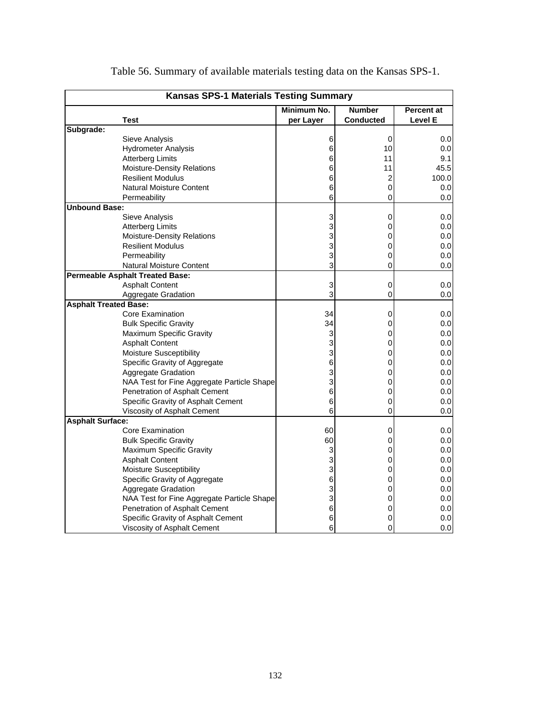| <b>Kansas SPS-1 Materials Testing Summary</b> |                                                   |           |                  |         |  |  |  |  |  |
|-----------------------------------------------|---------------------------------------------------|-----------|------------------|---------|--|--|--|--|--|
|                                               | Minimum No.<br><b>Number</b><br><b>Percent at</b> |           |                  |         |  |  |  |  |  |
|                                               | Test                                              | per Layer | <b>Conducted</b> | Level E |  |  |  |  |  |
| Subgrade:                                     |                                                   |           |                  |         |  |  |  |  |  |
|                                               | Sieve Analysis                                    | 6         | $\mathbf 0$      | 0.0     |  |  |  |  |  |
|                                               | <b>Hydrometer Analysis</b>                        | 6         | 10               | 0.0     |  |  |  |  |  |
|                                               | <b>Atterberg Limits</b>                           | 6         | 11               | 9.1     |  |  |  |  |  |
|                                               | Moisture-Density Relations                        | 6         | 11               | 45.5    |  |  |  |  |  |
|                                               | <b>Resilient Modulus</b>                          | 6         | 2                | 100.0   |  |  |  |  |  |
|                                               | <b>Natural Moisture Content</b>                   | 6         | 0                | 0.0     |  |  |  |  |  |
|                                               | Permeability                                      | 6         | 0                | 0.0     |  |  |  |  |  |
| <b>Unbound Base:</b>                          |                                                   |           |                  |         |  |  |  |  |  |
|                                               | Sieve Analysis                                    | 3         | 0                | 0.0     |  |  |  |  |  |
|                                               | <b>Atterberg Limits</b>                           | 3         | 0                | 0.0     |  |  |  |  |  |
|                                               | Moisture-Density Relations                        | 3         | 0                | 0.0     |  |  |  |  |  |
|                                               | <b>Resilient Modulus</b>                          | 3         | 0                | 0.0     |  |  |  |  |  |
|                                               | Permeability                                      | 3         | 0                | 0.0     |  |  |  |  |  |
|                                               | <b>Natural Moisture Content</b>                   | 3         | 0                | 0.0     |  |  |  |  |  |
|                                               | <b>Permeable Asphalt Treated Base:</b>            |           |                  |         |  |  |  |  |  |
|                                               | <b>Asphalt Content</b>                            | 3         | 0                | 0.0     |  |  |  |  |  |
|                                               | Aggregate Gradation                               | 3         | 0                | 0.0     |  |  |  |  |  |
| <b>Asphalt Treated Base:</b>                  |                                                   |           |                  |         |  |  |  |  |  |
|                                               | <b>Core Examination</b>                           | 34        | 0                | 0.0     |  |  |  |  |  |
|                                               | <b>Bulk Specific Gravity</b>                      | 34        | 0                | 0.0     |  |  |  |  |  |
|                                               | Maximum Specific Gravity                          | 3         | 0                | 0.0     |  |  |  |  |  |
|                                               | <b>Asphalt Content</b>                            | 3         | 0                | 0.0     |  |  |  |  |  |
|                                               | <b>Moisture Susceptibility</b>                    | 3         | 0                | 0.0     |  |  |  |  |  |
|                                               | Specific Gravity of Aggregate                     | 6         | 0                | $0.0\,$ |  |  |  |  |  |
|                                               | Aggregate Gradation                               | 3         | 0                | 0.0     |  |  |  |  |  |
|                                               | NAA Test for Fine Aggregate Particle Shape        | 3         | 0                | 0.0     |  |  |  |  |  |
|                                               | Penetration of Asphalt Cement                     | 6         | 0                | 0.0     |  |  |  |  |  |
|                                               | Specific Gravity of Asphalt Cement                | 6         | 0                | 0.0     |  |  |  |  |  |
|                                               | Viscosity of Asphalt Cement                       | 6         | $\mathsf 0$      | 0.0     |  |  |  |  |  |
| <b>Asphalt Surface:</b>                       |                                                   |           |                  |         |  |  |  |  |  |
|                                               | Core Examination                                  | 60        | 0                | 0.0     |  |  |  |  |  |
|                                               | <b>Bulk Specific Gravity</b>                      | 60        | 0                | 0.0     |  |  |  |  |  |
|                                               | Maximum Specific Gravity                          | 3         | 0                | 0.0     |  |  |  |  |  |
|                                               | <b>Asphalt Content</b>                            | 3         | 0                | 0.0     |  |  |  |  |  |
|                                               | Moisture Susceptibility                           | 3         | 0                | 0.0     |  |  |  |  |  |
|                                               | Specific Gravity of Aggregate                     | 6         | 0                | 0.0     |  |  |  |  |  |
|                                               | Aggregate Gradation                               | 3         | 0                | 0.0     |  |  |  |  |  |
|                                               | NAA Test for Fine Aggregate Particle Shape        | 3         | 0                | 0.0     |  |  |  |  |  |
|                                               | Penetration of Asphalt Cement                     | 6         | 0                | 0.0     |  |  |  |  |  |
|                                               | Specific Gravity of Asphalt Cement                | 6         | 0                | 0.0     |  |  |  |  |  |
|                                               | Viscosity of Asphalt Cement                       | 6         | 0                | 0.0     |  |  |  |  |  |
|                                               |                                                   |           |                  |         |  |  |  |  |  |

Table 56. Summary of available materials testing data on the Kansas SPS-1.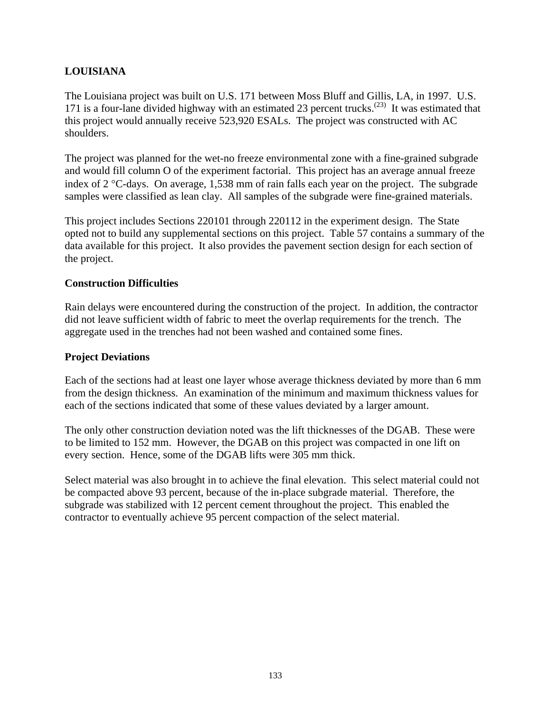## **LOUISIANA**

The Louisiana project was built on U.S. 171 between Moss Bluff and Gillis, LA, in 1997. U.S. 171 is a four-lane divided highway with an estimated 23 percent trucks.<sup>(23)</sup> It was estimated that this project would annually receive 523,920 ESALs. The project was constructed with AC shoulders.

The project was planned for the wet-no freeze environmental zone with a fine-grained subgrade and would fill column O of the experiment factorial. This project has an average annual freeze index of 2 °C-days. On average, 1,538 mm of rain falls each year on the project. The subgrade samples were classified as lean clay. All samples of the subgrade were fine-grained materials.

This project includes Sections 220101 through 220112 in the experiment design. The State opted not to build any supplemental sections on this project. Table 57 contains a summary of the data available for this project. It also provides the pavement section design for each section of the project.

#### **Construction Difficulties**

Rain delays were encountered during the construction of the project. In addition, the contractor did not leave sufficient width of fabric to meet the overlap requirements for the trench. The aggregate used in the trenches had not been washed and contained some fines.

#### **Project Deviations**

Each of the sections had at least one layer whose average thickness deviated by more than 6 mm from the design thickness. An examination of the minimum and maximum thickness values for each of the sections indicated that some of these values deviated by a larger amount.

The only other construction deviation noted was the lift thicknesses of the DGAB. These were to be limited to 152 mm. However, the DGAB on this project was compacted in one lift on every section. Hence, some of the DGAB lifts were 305 mm thick.

Select material was also brought in to achieve the final elevation. This select material could not be compacted above 93 percent, because of the in-place subgrade material. Therefore, the subgrade was stabilized with 12 percent cement throughout the project. This enabled the contractor to eventually achieve 95 percent compaction of the select material.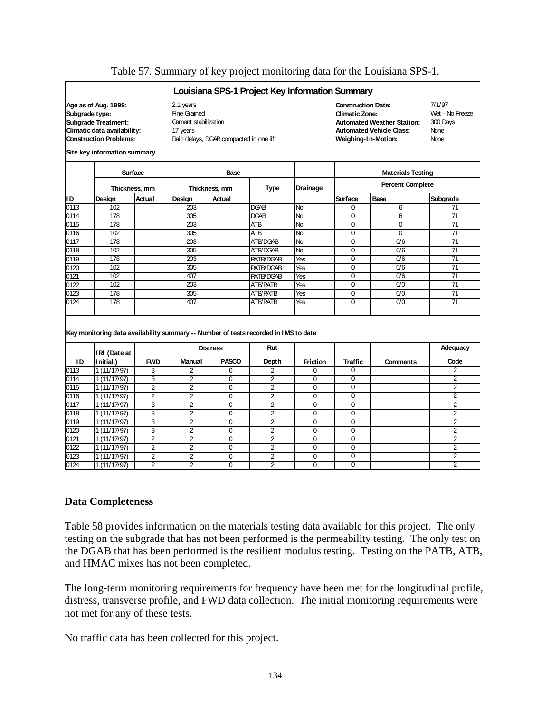|                |                                                                                     |                |                      |                                         | Louisiana SPS-1 Project Key Information Summary |                |                           |                                   |                 |
|----------------|-------------------------------------------------------------------------------------|----------------|----------------------|-----------------------------------------|-------------------------------------------------|----------------|---------------------------|-----------------------------------|-----------------|
|                | Age as of Aug. 1999:                                                                |                | 2.1 years            |                                         |                                                 |                | <b>Construction Date:</b> |                                   | 7/1/97          |
| Subgrade type: |                                                                                     |                | <b>Fine Grained</b>  |                                         |                                                 |                | Climatic Zone:            |                                   | Wet - No Freeze |
|                | <b>Subgrade Treatment:</b>                                                          |                | Cement stabilization |                                         |                                                 |                |                           | <b>Automated Weather Station:</b> | 300 Days        |
|                | Climatic data availability:                                                         |                | 17 years             |                                         |                                                 |                |                           | <b>Automated Vehicle Class:</b>   | None            |
|                | <b>Construction Problems:</b>                                                       |                |                      | Rain delays, DGAB compacted in one lift |                                                 |                | Weighing-In-Motion:       |                                   | None            |
|                | Site key information summary                                                        |                |                      |                                         |                                                 |                |                           |                                   |                 |
|                |                                                                                     | <b>Surface</b> |                      | Base                                    |                                                 |                |                           | <b>Materials Testing</b>          |                 |
|                |                                                                                     | Thickness, mm  |                      | Thickness, mm                           | Type                                            | Drainage       |                           | <b>Percent Complete</b>           |                 |
| ID             | Design                                                                              | Actual         | Design               | Actual                                  |                                                 |                | <b>Surface</b>            | Base                              | Subgrade        |
| 0113           | 102                                                                                 |                | 203                  |                                         | <b>DGAB</b>                                     | <b>No</b>      | $\Omega$                  | 6                                 | 71              |
| 0114           | 178                                                                                 |                | 305                  |                                         | DGAB                                            | $\overline{N}$ | $\Omega$                  | 6                                 | 71              |
| 0115           | 178                                                                                 |                | 203                  |                                         | ATB                                             | No             | $\Omega$                  | $\Omega$                          | 71              |
| 0116           | 102                                                                                 |                | 305                  |                                         | <b>ATB</b>                                      | No             | $\Omega$                  | $\overline{0}$                    | $\overline{71}$ |
| 0117           | 178                                                                                 |                | 203                  |                                         | ATB/DGAB                                        | <b>No</b>      | $\Omega$                  | 0/6                               | 71              |
| 0118           | 102                                                                                 |                | 305                  |                                         | ATB/DGAB                                        | No             | $\mathbf 0$               | 0/6                               | 71              |
| 0119           | 178                                                                                 |                | 203                  |                                         | PATB/DGAB                                       | Yes            | $\Omega$                  | 0/6                               | 71              |
| 0120           | 102                                                                                 |                | 305                  |                                         | PATB/DGAB                                       | Yes            | $\Omega$                  | 0/6                               | 71              |
| 0121           | 102                                                                                 |                | 407                  |                                         | PATB/DGAB                                       | Yes            | $\pmb{0}$                 | 0/6                               | 71              |
| 0122           | 102                                                                                 |                | 203                  |                                         | <b>ATB/PATB</b>                                 | Yes            | $\Omega$                  | 0/0                               | $\overline{71}$ |
| 0123           | 178                                                                                 |                | 305                  |                                         | <b>ATB/PATB</b>                                 | Yes            | $\overline{0}$            | $\overline{0/0}$                  | $\overline{71}$ |
| 0124           | 178                                                                                 |                | 407                  |                                         | <b>ATB/PATB</b>                                 | Yes            | $\mathbf 0$               | 0/0                               | 71              |
|                | Key monitoring data availability summary -- Number of tests recorded in IMS to date |                |                      | <b>Distress</b>                         | Rut                                             |                |                           |                                   | Adequacy        |
| ID             | IRI (Date at<br>I nitial.)                                                          | <b>FWD</b>     | <b>Manual</b>        | <b>PASCO</b>                            | Depth                                           | Friction       | Traffic                   | <b>Comments</b>                   | Code            |
| 0113           | 1(11/17/97)                                                                         | 3              | 2                    | 0                                       | $\overline{2}$                                  | $\Omega$       | 0                         |                                   | 2               |
| 0114           | 1(11/17/97)                                                                         | 3              | $\overline{2}$       | 0                                       | $\overline{2}$                                  | 0              | 0                         |                                   | $\overline{2}$  |
| 0115           | 1 (11/17/97)                                                                        | $\overline{2}$ | $\overline{2}$       | 0                                       | $\overline{2}$                                  | $\Omega$       | $\Omega$                  |                                   | $\overline{2}$  |
| 0116           | 1(11/17/97)                                                                         | $\overline{2}$ | $\overline{2}$       | 0                                       | $\overline{2}$                                  | $\Omega$       | $\mathbf 0$               |                                   | $\overline{2}$  |
| 0117           | 1 (11/17/97)                                                                        | $\overline{3}$ | $\overline{2}$       | 0                                       | $\overline{2}$                                  | $\Omega$       | $\overline{0}$            |                                   | $\overline{2}$  |
| 0118           | 1(11/17/97)                                                                         | 3              | $\overline{2}$       | 0                                       | $\overline{2}$                                  | $\Omega$       | $\mathbf 0$               |                                   | $\overline{2}$  |
| 0119           | 1 (11/17/97)                                                                        | 3              | $\overline{2}$       | $\Omega$                                | $\overline{2}$                                  | $\Omega$       | $\mathbf 0$               |                                   | $\overline{2}$  |
| 0120           | 1(11/17/97)                                                                         | 3              | $\overline{2}$       | $\Omega$                                | $\overline{2}$                                  | $\Omega$       | $\Omega$                  |                                   | $\overline{2}$  |
| 0121           | 1(11/17/97)                                                                         | $\overline{2}$ | $\overline{2}$       | $\Omega$                                | $\overline{2}$                                  | $\Omega$       | $\Omega$                  |                                   | $\overline{2}$  |
| 0122           | 1 (11/17/97)                                                                        | $\overline{2}$ | $\overline{2}$       | 0                                       | $\overline{2}$                                  | $\Omega$       | 0                         |                                   | 2               |
|                |                                                                                     |                |                      |                                         |                                                 |                |                           |                                   |                 |
| 0123           | 1 (11/17/97)                                                                        | $\overline{2}$ | $\overline{2}$       | 0                                       | $\overline{2}$                                  | 0              | $\mathbf 0$               |                                   | $\overline{2}$  |

#### Table 57. Summary of key project monitoring data for the Louisiana SPS-1.

#### **Data Completeness**

Table 58 provides information on the materials testing data available for this project. The only testing on the subgrade that has not been performed is the permeability testing. The only test on the DGAB that has been performed is the resilient modulus testing. Testing on the PATB, ATB, and HMAC mixes has not been completed.

The long-term monitoring requirements for frequency have been met for the longitudinal profile, distress, transverse profile, and FWD data collection. The initial monitoring requirements were not met for any of these tests.

No traffic data has been collected for this project.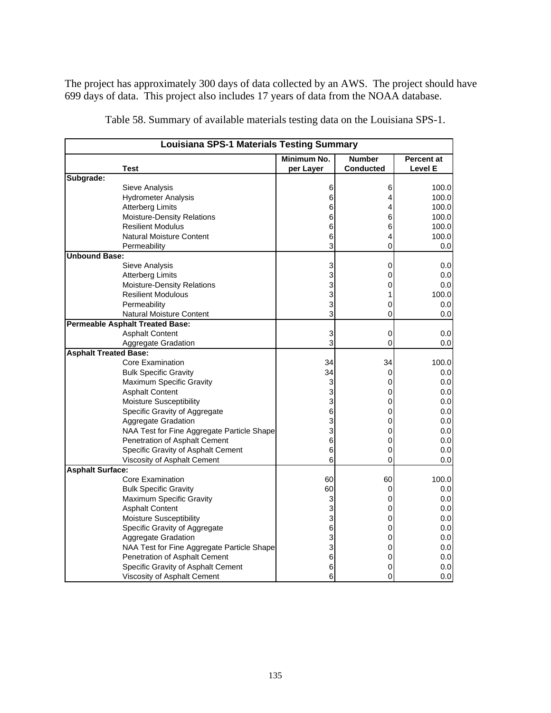The project has approximately 300 days of data collected by an AWS. The project should have 699 days of data. This project also includes 17 years of data from the NOAA database.

|                              | <b>Louisiana SPS-1 Materials Testing Summary</b> |             |                  |            |  |  |  |  |  |
|------------------------------|--------------------------------------------------|-------------|------------------|------------|--|--|--|--|--|
|                              |                                                  | Minimum No. | <b>Number</b>    | Percent at |  |  |  |  |  |
|                              | Test                                             | per Layer   | <b>Conducted</b> | Level E    |  |  |  |  |  |
| Subgrade:                    |                                                  |             |                  |            |  |  |  |  |  |
|                              | <b>Sieve Analysis</b>                            | 6           | 6                | 100.0      |  |  |  |  |  |
|                              | <b>Hydrometer Analysis</b>                       | 6           | 4                | 100.0      |  |  |  |  |  |
|                              | <b>Atterberg Limits</b>                          | 6           | 4                | 100.0      |  |  |  |  |  |
|                              | Moisture-Density Relations                       | 6           | 6                | 100.0      |  |  |  |  |  |
|                              | <b>Resilient Modulus</b>                         | 6           | 6                | 100.0      |  |  |  |  |  |
|                              | <b>Natural Moisture Content</b>                  | 6           | 4                | 100.0      |  |  |  |  |  |
|                              | Permeability                                     | 3           | 0                | 0.0        |  |  |  |  |  |
| <b>Unbound Base:</b>         |                                                  |             |                  |            |  |  |  |  |  |
|                              | Sieve Analysis                                   | 3           | 0                | 0.0        |  |  |  |  |  |
|                              | <b>Atterberg Limits</b>                          | 3           | 0                | 0.0        |  |  |  |  |  |
|                              | Moisture-Density Relations                       | 3           | 0                | 0.0        |  |  |  |  |  |
|                              | <b>Resilient Modulous</b>                        | 3           | 1                | 100.0      |  |  |  |  |  |
|                              | Permeability                                     | 3           | 0                | 0.0        |  |  |  |  |  |
|                              | Natural Moisture Content                         | 3           | 0                | 0.0        |  |  |  |  |  |
|                              | <b>Permeable Asphalt Treated Base:</b>           |             |                  |            |  |  |  |  |  |
|                              | <b>Asphalt Content</b>                           | 3           | 0                | 0.0        |  |  |  |  |  |
|                              | Aggregate Gradation                              | 3           | 0                | 0.0        |  |  |  |  |  |
| <b>Asphalt Treated Base:</b> |                                                  |             |                  |            |  |  |  |  |  |
|                              | Core Examination                                 | 34          | 34               | 100.0      |  |  |  |  |  |
|                              | <b>Bulk Specific Gravity</b>                     | 34          | 0                | 0.0        |  |  |  |  |  |
|                              | Maximum Specific Gravity                         | 3           | 0                | 0.0        |  |  |  |  |  |
|                              | <b>Asphalt Content</b>                           | 3           | 0                | 0.0        |  |  |  |  |  |
|                              | <b>Moisture Susceptibility</b>                   | 3           | 0                | 0.0        |  |  |  |  |  |
|                              | Specific Gravity of Aggregate                    | 6           | 0                | 0.0        |  |  |  |  |  |
|                              | Aggregate Gradation                              | 3           | 0                | 0.0        |  |  |  |  |  |
|                              | NAA Test for Fine Aggregate Particle Shape       | 3           | 0                | 0.0        |  |  |  |  |  |
|                              | Penetration of Asphalt Cement                    | 6           | 0                | 0.0        |  |  |  |  |  |
|                              | Specific Gravity of Asphalt Cement               | 6           | 0                | 0.0        |  |  |  |  |  |
|                              | Viscosity of Asphalt Cement                      | 6           | 0                | 0.0        |  |  |  |  |  |
| <b>Asphalt Surface:</b>      |                                                  |             |                  |            |  |  |  |  |  |
|                              | <b>Core Examination</b>                          | 60          | 60               | 100.0      |  |  |  |  |  |
|                              | <b>Bulk Specific Gravity</b>                     | 60          | 0                | 0.0        |  |  |  |  |  |
|                              | Maximum Specific Gravity                         | 3           | 0                | 0.0        |  |  |  |  |  |
|                              | <b>Asphalt Content</b>                           | 3           | 0                | 0.0        |  |  |  |  |  |
|                              | Moisture Susceptibility                          | 3           | 0                | 0.0        |  |  |  |  |  |
|                              | Specific Gravity of Aggregate                    | 6           | 0                | 0.0        |  |  |  |  |  |
|                              | Aggregate Gradation                              | 3           | 0                | 0.0        |  |  |  |  |  |
|                              | NAA Test for Fine Aggregate Particle Shape       | 3           | 0                | 0.0        |  |  |  |  |  |
|                              | Penetration of Asphalt Cement                    | 6           | 0                | 0.0        |  |  |  |  |  |
|                              | Specific Gravity of Asphalt Cement               | 6           | 0                | 0.0        |  |  |  |  |  |
|                              | Viscosity of Asphalt Cement                      | 6           | 0                | 0.0        |  |  |  |  |  |

Table 58. Summary of available materials testing data on the Louisiana SPS-1.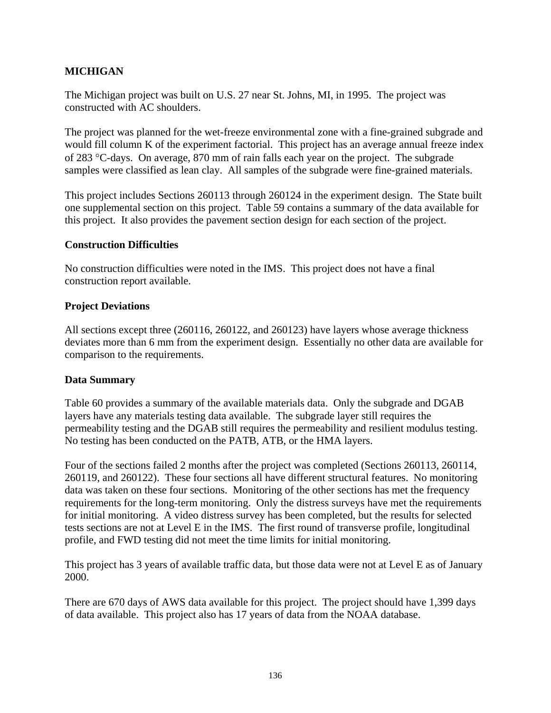### **MICHIGAN**

The Michigan project was built on U.S. 27 near St. Johns, MI, in 1995. The project was constructed with AC shoulders.

The project was planned for the wet-freeze environmental zone with a fine-grained subgrade and would fill column K of the experiment factorial. This project has an average annual freeze index of 283 °C-days. On average, 870 mm of rain falls each year on the project. The subgrade samples were classified as lean clay. All samples of the subgrade were fine-grained materials.

This project includes Sections 260113 through 260124 in the experiment design. The State built one supplemental section on this project. Table 59 contains a summary of the data available for this project. It also provides the pavement section design for each section of the project.

#### **Construction Difficulties**

No construction difficulties were noted in the IMS. This project does not have a final construction report available.

#### **Project Deviations**

All sections except three (260116, 260122, and 260123) have layers whose average thickness deviates more than 6 mm from the experiment design. Essentially no other data are available for comparison to the requirements.

### **Data Summary**

Table 60 provides a summary of the available materials data. Only the subgrade and DGAB layers have any materials testing data available. The subgrade layer still requires the permeability testing and the DGAB still requires the permeability and resilient modulus testing. No testing has been conducted on the PATB, ATB, or the HMA layers.

Four of the sections failed 2 months after the project was completed (Sections 260113, 260114, 260119, and 260122). These four sections all have different structural features. No monitoring data was taken on these four sections. Monitoring of the other sections has met the frequency requirements for the long-term monitoring. Only the distress surveys have met the requirements for initial monitoring. A video distress survey has been completed, but the results for selected tests sections are not at Level E in the IMS. The first round of transverse profile, longitudinal profile, and FWD testing did not meet the time limits for initial monitoring.

This project has 3 years of available traffic data, but those data were not at Level E as of January 2000.

There are 670 days of AWS data available for this project. The project should have 1,399 days of data available. This project also has 17 years of data from the NOAA database.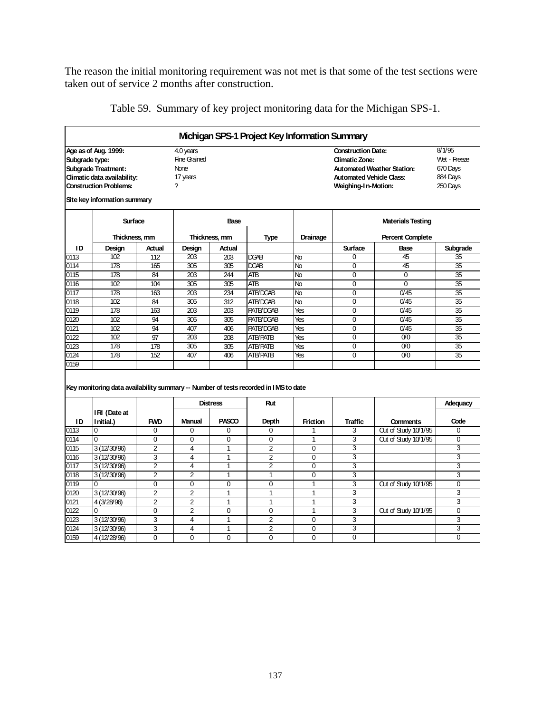The reason the initial monitoring requirement was not met is that some of the test sections were taken out of service 2 months after construction.

|                |                                                                                                                                                    |                |                                                                  |                 | Michigan SPS-1 Project Key Information Summary |                 |                                                                                                        |                                   |                                                            |
|----------------|----------------------------------------------------------------------------------------------------------------------------------------------------|----------------|------------------------------------------------------------------|-----------------|------------------------------------------------|-----------------|--------------------------------------------------------------------------------------------------------|-----------------------------------|------------------------------------------------------------|
| Subgrade type: | Age as of Aug. 1999:<br><b>Subgrade Treatment:</b><br>Climatic data availability:<br><b>Construction Problems:</b><br>Site key information summary |                | 4.0 years<br><b>Fine Grained</b><br><b>None</b><br>17 years<br>7 |                 |                                                |                 | <b>Construction Date:</b><br>Climatic Zone:<br><b>Automated Vehicle Class:</b><br>Weighing-1 n-Motion: | <b>Automated Weather Station:</b> | 8/1/95<br>Wet - Freeze<br>670 Days<br>884 Days<br>250 Days |
|                | Surface                                                                                                                                            |                |                                                                  | Base            |                                                |                 |                                                                                                        | <b>Materials Testing</b>          |                                                            |
|                | Thickness, mm                                                                                                                                      |                |                                                                  | Thickness, mm   | Type                                           | Drainage        |                                                                                                        | <b>Percent Complete</b>           |                                                            |
| ID             | Design                                                                                                                                             | Actual         | Design                                                           | Actual          |                                                |                 | <b>Surface</b>                                                                                         | Base                              | Subgrade                                                   |
| 0113           | 102                                                                                                                                                | 112            | 203                                                              | 203             | DGAB                                           | Nb              | 0                                                                                                      | 45                                | 35                                                         |
| 0114           | 178                                                                                                                                                | 165            | 305                                                              | 305             | DGAB                                           | Nb              | $\Omega$                                                                                               | 45                                | 35                                                         |
| 0115           | 178                                                                                                                                                | 84             | 203                                                              | 244             | <b>ATB</b>                                     | Nb              | 0                                                                                                      | $\Omega$                          | 35                                                         |
| 0116           | 102                                                                                                                                                | 104            | 305                                                              | 305             | <b>ATB</b>                                     | No              | 0                                                                                                      | $\Omega$                          | 35                                                         |
| 0117           | 178                                                                                                                                                | 163            | $\overline{203}$                                                 | 234             | ATB/DGAB                                       | No              | $\overline{0}$                                                                                         | $\overline{0/45}$                 | 35                                                         |
| 0118           | 102                                                                                                                                                | 84             | 305                                                              | 312             | ATB/DGAB                                       | Nb              | $\overline{0}$                                                                                         | 0/45                              | 35                                                         |
| 0119           | 178                                                                                                                                                | 163            | $\overline{203}$                                                 | 203             | <b>PATB/DGAB</b>                               | Yes             | 0                                                                                                      | $\overline{0/45}$                 | 35                                                         |
| 0120           | 102                                                                                                                                                | 94             | 305                                                              | 305             | <b>PATB/DGAB</b>                               | Yes             | 0                                                                                                      | 0/45                              | 35                                                         |
| 0121           | 102                                                                                                                                                | 94             | 407                                                              | 406             | PATB/DG4B                                      | Yes             | $\overline{0}$                                                                                         | 0/45                              | 35                                                         |
| 0122           | 102                                                                                                                                                | 97             | 203                                                              | 208             | <b>ATB/PATB</b>                                | Yes             | 0                                                                                                      | 0 <sup>0</sup>                    | 35                                                         |
| 0123           | 178                                                                                                                                                | 178            | 305                                                              | 305             | <b>ATB/PATB</b>                                | Yes             | $\overline{0}$                                                                                         | $\overline{00}$                   | 35                                                         |
| 0124           | 178                                                                                                                                                | 152            | 407                                                              | 406             | <b>ATB/PATB</b>                                | Yes             | 0                                                                                                      | 0 <sup>0</sup>                    | 35                                                         |
| 0159           |                                                                                                                                                    |                |                                                                  |                 |                                                |                 |                                                                                                        |                                   |                                                            |
|                | Key monitoring data availability summary -- Number of tests recorded in IMS to date                                                                |                |                                                                  | <b>Distress</b> | Rut                                            |                 |                                                                                                        |                                   | Adequacy                                                   |
| ID             | IRI (Date at<br>I nitial.)                                                                                                                         | <b>FWD</b>     | <b>Manual</b>                                                    | PASCO           | Depth                                          | <b>Friction</b> | <b>Traffic</b>                                                                                         | <b>Comments</b>                   | Code                                                       |
| 0113           | 0                                                                                                                                                  | $\Omega$       | 0                                                                | $\Omega$        | $\Omega$                                       | 1               | 3                                                                                                      | Out of Study 10/1/95              | 0                                                          |
| 0114           | $\Omega$                                                                                                                                           | $\Omega$       | $\Omega$                                                         | $\Omega$        | $\Omega$                                       | 1               | 3                                                                                                      | Out of Study 10/1/95              | 0                                                          |
| 0115           | 3 (12/30/96)                                                                                                                                       | $\overline{2}$ | 4                                                                | 1               | $\overline{2}$                                 | $\Omega$        | 3                                                                                                      |                                   | 3                                                          |
| 0116           | 3(12/30/96)                                                                                                                                        | 3              | 4                                                                | $\mathbf{1}$    | $\overline{2}$                                 | 0               | 3                                                                                                      |                                   | 3                                                          |
| 0117           | 3 (12/30/96)                                                                                                                                       | $\overline{2}$ | $\overline{\mathbf{4}}$                                          | $\overline{1}$  | $\overline{2}$                                 | $\Omega$        | 3                                                                                                      |                                   | 3                                                          |
| 0118           | 3 (12/30/96)                                                                                                                                       | $\overline{2}$ | $\overline{2}$                                                   | $\mathbf{1}$    | $\mathbf{1}$                                   | 0               | 3                                                                                                      |                                   | 3                                                          |
| 0119           | 0                                                                                                                                                  | $\Omega$       | $\Omega$                                                         | $\Omega$        | $\Omega$                                       | 1               | 3                                                                                                      | Out of Study 10/1/95              | $\Omega$                                                   |
| 0120           | 3 (12/30/96)                                                                                                                                       | $\overline{2}$ | $\overline{2}$                                                   | 1               | $\mathbf{1}$                                   | $\mathbf{1}$    | 3                                                                                                      |                                   | 3                                                          |
| 0121           | 4 (3/28/96)                                                                                                                                        | $\overline{2}$ | $\overline{2}$                                                   | $\mathbf{1}$    | $\mathbf{1}$                                   | $\mathbf{1}$    | 3                                                                                                      |                                   | 3                                                          |
| 0122           | $\Omega$                                                                                                                                           | $\Omega$       | $\overline{2}$                                                   | $\Omega$        | $\Omega$                                       | $\mathbf{1}$    | 3                                                                                                      | Out of Study 10/1/95              | 0                                                          |
| 0123           | 3 (12/30/96)                                                                                                                                       | 3              | 4                                                                | 1               | $\overline{2}$                                 | 0               | 3                                                                                                      |                                   | 3                                                          |
| 0124           | 3 (12/30/96)                                                                                                                                       | 3              | 4                                                                | $\overline{1}$  | $\overline{2}$                                 | $\Omega$        | 3                                                                                                      |                                   | 3                                                          |
| 0159           | 4 (12/28/96)                                                                                                                                       | $\Omega$       | $\Omega$                                                         | $\Omega$        | $\Omega$                                       | $\Omega$        | 0                                                                                                      |                                   | 0                                                          |

Table 59. Summary of key project monitoring data for the Michigan SPS-1.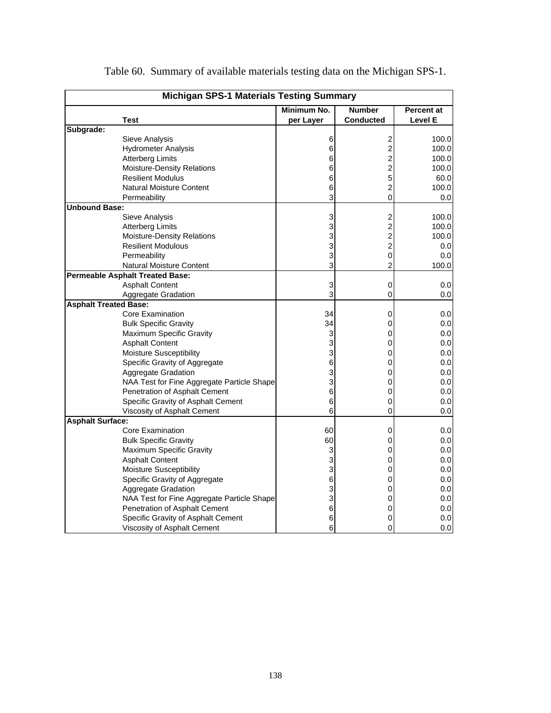| <b>Michigan SPS-1 Materials Testing Summary</b> |                                            |             |                         |            |  |  |  |  |  |
|-------------------------------------------------|--------------------------------------------|-------------|-------------------------|------------|--|--|--|--|--|
|                                                 |                                            | Minimum No. | <b>Number</b>           | Percent at |  |  |  |  |  |
|                                                 | <b>Test</b>                                | per Layer   | Conducted               | Level E    |  |  |  |  |  |
| Subgrade:                                       |                                            |             |                         |            |  |  |  |  |  |
|                                                 | Sieve Analysis                             | 6           | $\overline{c}$          | 100.0      |  |  |  |  |  |
|                                                 | <b>Hydrometer Analysis</b>                 | $\,6$       | $\overline{\mathbf{c}}$ | 100.0      |  |  |  |  |  |
|                                                 | <b>Atterberg Limits</b>                    | 6           | $\overline{\mathbf{c}}$ | 100.0      |  |  |  |  |  |
|                                                 | Moisture-Density Relations                 | 6           | $\overline{c}$          | 100.0      |  |  |  |  |  |
|                                                 | <b>Resilient Modulus</b>                   | 6           | 5                       | 60.0       |  |  |  |  |  |
|                                                 | Natural Moisture Content                   | 6           | 2                       | 100.0      |  |  |  |  |  |
|                                                 | Permeability                               | 3           | $\overline{0}$          | 0.0        |  |  |  |  |  |
| <b>Unbound Base:</b>                            |                                            |             |                         |            |  |  |  |  |  |
|                                                 | Sieve Analysis                             | 3           | $\overline{\mathbf{c}}$ | 100.0      |  |  |  |  |  |
|                                                 | <b>Atterberg Limits</b>                    | 3           | $\overline{\mathbf{c}}$ | 100.0      |  |  |  |  |  |
|                                                 | Moisture-Density Relations                 | 3           | 2                       | 100.0      |  |  |  |  |  |
|                                                 | <b>Resilient Modulous</b>                  | 3           | $\overline{c}$          | 0.0        |  |  |  |  |  |
|                                                 | Permeability                               | 3           | 0                       | 0.0        |  |  |  |  |  |
|                                                 | <b>Natural Moisture Content</b>            | 3           | $\overline{2}$          | 100.0      |  |  |  |  |  |
|                                                 | <b>Permeable Asphalt Treated Base:</b>     |             |                         |            |  |  |  |  |  |
|                                                 | <b>Asphalt Content</b>                     | 3           | 0                       | 0.0        |  |  |  |  |  |
|                                                 | Aggregate Gradation                        | 3           | 0                       | 0.0        |  |  |  |  |  |
| <b>Asphalt Treated Base:</b>                    |                                            |             |                         |            |  |  |  |  |  |
|                                                 | <b>Core Examination</b>                    | 34          | 0                       | 0.0        |  |  |  |  |  |
|                                                 | <b>Bulk Specific Gravity</b>               | 34          | 0                       | 0.0        |  |  |  |  |  |
|                                                 | Maximum Specific Gravity                   | 3           | 0                       | 0.0        |  |  |  |  |  |
|                                                 | <b>Asphalt Content</b>                     | 3           | 0                       | 0.0        |  |  |  |  |  |
|                                                 | <b>Moisture Susceptibility</b>             | 3           | 0                       | 0.0        |  |  |  |  |  |
|                                                 | Specific Gravity of Aggregate              | 6           | 0                       | 0.0        |  |  |  |  |  |
|                                                 | Aggregate Gradation                        | 3           | 0                       | 0.0        |  |  |  |  |  |
|                                                 | NAA Test for Fine Aggregate Particle Shape | 3           | 0                       | 0.0        |  |  |  |  |  |
|                                                 | Penetration of Asphalt Cement              | 6           | 0                       | 0.0        |  |  |  |  |  |
|                                                 | Specific Gravity of Asphalt Cement         | 6           | 0                       | 0.0        |  |  |  |  |  |
|                                                 | Viscosity of Asphalt Cement                | 6           | 0                       | 0.0        |  |  |  |  |  |
| <b>Asphalt Surface:</b>                         |                                            |             |                         |            |  |  |  |  |  |
|                                                 | <b>Core Examination</b>                    | 60          | 0                       | 0.0        |  |  |  |  |  |
|                                                 | <b>Bulk Specific Gravity</b>               | 60          | 0                       | 0.0        |  |  |  |  |  |
|                                                 | Maximum Specific Gravity                   | 3           | 0                       | 0.0        |  |  |  |  |  |
|                                                 | <b>Asphalt Content</b>                     | 3           | 0                       | 0.0        |  |  |  |  |  |
|                                                 | <b>Moisture Susceptibility</b>             | 3           | 0                       | 0.0        |  |  |  |  |  |
|                                                 | Specific Gravity of Aggregate              | 6           | 0                       | 0.0        |  |  |  |  |  |
|                                                 | Aggregate Gradation                        | 3           | 0                       | 0.0        |  |  |  |  |  |
|                                                 | NAA Test for Fine Aggregate Particle Shape | 3           | 0                       | 0.0        |  |  |  |  |  |
|                                                 | Penetration of Asphalt Cement              | 6           | 0                       | 0.0        |  |  |  |  |  |
|                                                 | Specific Gravity of Asphalt Cement         | 6           | 0                       | 0.0        |  |  |  |  |  |
|                                                 | Viscosity of Asphalt Cement                | 6           | 0                       | 0.0        |  |  |  |  |  |

Table 60. Summary of available materials testing data on the Michigan SPS-1.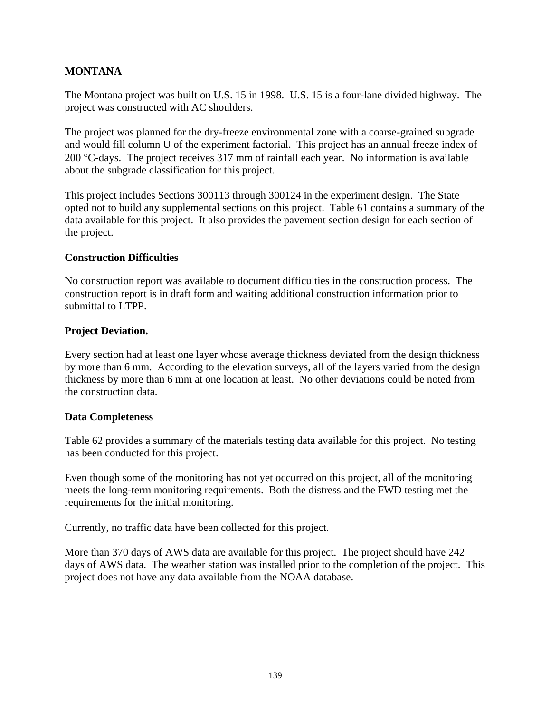#### **MONTANA**

The Montana project was built on U.S. 15 in 1998. U.S. 15 is a four-lane divided highway. The project was constructed with AC shoulders.

The project was planned for the dry-freeze environmental zone with a coarse-grained subgrade and would fill column U of the experiment factorial. This project has an annual freeze index of 200 °C-days. The project receives 317 mm of rainfall each year. No information is available about the subgrade classification for this project.

This project includes Sections 300113 through 300124 in the experiment design. The State opted not to build any supplemental sections on this project. Table 61 contains a summary of the data available for this project. It also provides the pavement section design for each section of the project.

#### **Construction Difficulties**

No construction report was available to document difficulties in the construction process. The construction report is in draft form and waiting additional construction information prior to submittal to LTPP.

#### **Project Deviation.**

Every section had at least one layer whose average thickness deviated from the design thickness by more than 6 mm. According to the elevation surveys, all of the layers varied from the design thickness by more than 6 mm at one location at least. No other deviations could be noted from the construction data.

#### **Data Completeness**

Table 62 provides a summary of the materials testing data available for this project. No testing has been conducted for this project.

Even though some of the monitoring has not yet occurred on this project, all of the monitoring meets the long-term monitoring requirements. Both the distress and the FWD testing met the requirements for the initial monitoring.

Currently, no traffic data have been collected for this project.

More than 370 days of AWS data are available for this project. The project should have 242 days of AWS data. The weather station was installed prior to the completion of the project. This project does not have any data available from the NOAA database.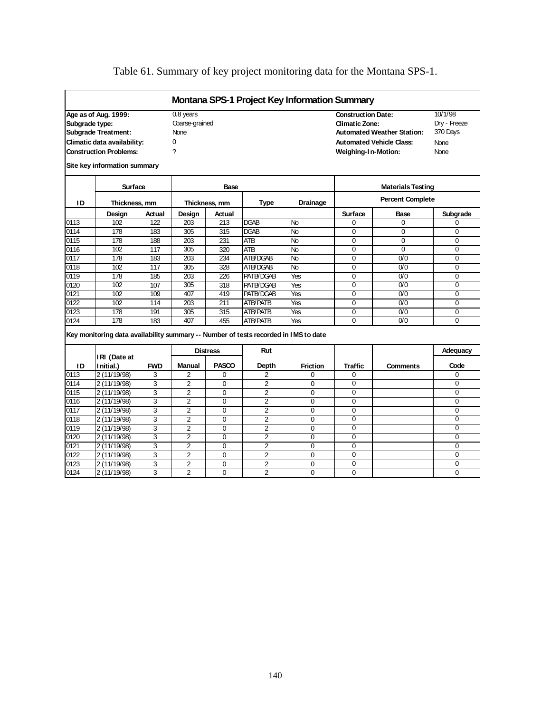|                   |                                                                                     |            |                  |                 |                 | <b>Montana SPS-1 Project Key Information Summary</b> |                           |                                   |                |
|-------------------|-------------------------------------------------------------------------------------|------------|------------------|-----------------|-----------------|------------------------------------------------------|---------------------------|-----------------------------------|----------------|
|                   | Age as of Aug. 1999:                                                                |            | 0.8 years        |                 |                 |                                                      | <b>Construction Date:</b> |                                   | 10/1/98        |
| Subgrade type:    |                                                                                     |            | Coarse-grained   |                 |                 |                                                      | <b>Climatic Zone:</b>     |                                   | Dry - Freeze   |
|                   | <b>Subgrade Treatment:</b>                                                          |            | <b>None</b>      |                 |                 |                                                      |                           | <b>Automated Weather Station:</b> | 370 Days       |
|                   | Climatic data availability:                                                         |            | 0                |                 |                 |                                                      |                           | <b>Automated Vehicle Class:</b>   | None           |
|                   | <b>Construction Problems:</b>                                                       |            | ?                |                 |                 |                                                      | Weighing-In-Motion:       |                                   | None           |
|                   | Site key information summary                                                        |            |                  |                 |                 |                                                      |                           |                                   |                |
|                   | Surface                                                                             |            |                  | Base            |                 |                                                      |                           | <b>Materials Testing</b>          |                |
| ID                | Thickness, mm                                                                       |            |                  | Thickness, mm   | <b>Type</b>     | <b>Drainage</b>                                      |                           | <b>Percent Complete</b>           |                |
|                   | Design                                                                              | Actual     | Design           | Actual          |                 |                                                      | <b>Surface</b>            | Base                              | Subgrade       |
| 0113              | 102                                                                                 | 122        | 203              | 213             | <b>DGAB</b>     | No                                                   | $\Omega$                  | $\Omega$                          | $\Omega$       |
| 0114              | 178                                                                                 | 183        | 305              | 315             | <b>DGAB</b>     | No                                                   | $\Omega$                  | 0                                 | $\Omega$       |
| 0115              | 178                                                                                 | 188        | 203              | 231             | <b>ATB</b>      | <b>No</b>                                            | $\Omega$                  | $\Omega$                          | $\mathbf 0$    |
| 0116              | 102                                                                                 | 117        | 305              | 320             | <b>ATB</b>      | <b>No</b>                                            | 0                         | $\Omega$                          | $\mathbf 0$    |
| 0117              | 178                                                                                 | 183        | $\overline{203}$ | 234             | ATB/DGAB        | No                                                   | $\overline{0}$            | 0/0                               | $\Omega$       |
| 0118              | 102                                                                                 | 117        | 305              | 328             | ATB/DGAB        | $\overline{N}$                                       | $\Omega$                  | 0/0                               | $\Omega$       |
| 0119              | 178                                                                                 | 185        | 203              | 226             | PATB/DGAB       | Yes                                                  | $\Omega$                  | 0/0                               | $\Omega$       |
| 0120              | 102                                                                                 | 107        | 305              | 318             | PATB/DGAB       | Yes                                                  | $\Omega$                  | 0/0                               | $\Omega$       |
| 0121              | 102                                                                                 | 109        | 407              | 419             | PATB/DGAB       | Yes                                                  | $\Omega$                  | 0/0                               | $\Omega$       |
| $01\overline{22}$ | 102                                                                                 | 114        | 203              | 211             | <b>ATB/PATB</b> | Yes                                                  | $\overline{0}$            | $\overline{0/0}$                  | $\overline{0}$ |
| 0123              | 178                                                                                 | 191        | 305              | 315             | <b>ATB/PATB</b> | Yes                                                  | $\overline{0}$            | 0/0                               | $\overline{0}$ |
| 0124              | 178                                                                                 | 183        | 407              | 455             | <b>ATB/PATB</b> | Yes                                                  | $\Omega$                  | 0/0                               | $\Omega$       |
|                   | Key monitoring data availability summary -- Number of tests recorded in IMS to date |            |                  |                 |                 |                                                      |                           |                                   |                |
|                   | IRI (Date at                                                                        |            |                  | <b>Distress</b> | Rut             |                                                      |                           |                                   | Adequacy       |
| ID                | Initial.)                                                                           | <b>FWD</b> | Manual           | <b>PASCO</b>    | Depth           | <b>Friction</b>                                      | <b>Traffic</b>            | <b>Comments</b>                   | Code           |
| 0113              | 2 (11/19/98)                                                                        | 3          | $\overline{2}$   | $\Omega$        | $\overline{2}$  | $\Omega$                                             | $\Omega$                  |                                   | $\Omega$       |
| 0114              | 2(11/19/98)                                                                         | 3          | $\overline{2}$   | $\Omega$        | 2               | $\Omega$                                             | $\Omega$                  |                                   | $\Omega$       |
| 0115              | 2 (11/19/98)                                                                        | 3          | $\overline{2}$   | $\Omega$        | $\overline{2}$  | $\Omega$                                             | $\Omega$                  |                                   | $\Omega$       |
| 0116              | 2 (11/19/98)                                                                        | 3          | $\overline{2}$   | 0               | $\overline{2}$  | $\Omega$                                             | 0                         |                                   | $\mathbf 0$    |
| 0117              | 2 (11/19/98)                                                                        | 3          | $\overline{2}$   | 0               | $\overline{2}$  | $\mathbf 0$                                          | $\overline{0}$            |                                   | $\Omega$       |
| 0118              | 2 (11/19/98)                                                                        | 3          | $\overline{2}$   | 0               | $\overline{2}$  | $\Omega$                                             | $\Omega$                  |                                   | $\mathbf 0$    |
| 0119              | 2 (11/19/98)                                                                        | 3          | $\overline{2}$   | $\Omega$        | $\overline{2}$  | $\Omega$                                             | $\Omega$                  |                                   | $\Omega$       |
| 0120              | 2(11/19/98)                                                                         | 3          | $\overline{2}$   | $\Omega$        | $\overline{2}$  | $\Omega$                                             | $\Omega$                  |                                   | $\Omega$       |
| 0121              | 2 (11/19/98)                                                                        | 3          | $\overline{2}$   | 0               | $\overline{2}$  | $\mathbf 0$                                          | 0                         |                                   | $\mathbf 0$    |
| 0122              | 2 (11/19/98)                                                                        | 3          | $\overline{2}$   | 0               | $\overline{2}$  | $\mathbf 0$                                          | $\overline{0}$            |                                   | $\overline{0}$ |
| 0123              | 2 (11/19/98)                                                                        | 3          | $\overline{2}$   | $\Omega$        | $\overline{2}$  | $\Omega$                                             | $\Omega$                  |                                   | $\Omega$       |
| 0124              | 2 (11/19/98)                                                                        | 3          | $\overline{2}$   | $\Omega$        | $\overline{2}$  | $\Omega$                                             | $\Omega$                  |                                   | $\Omega$       |

# Table 61. Summary of key project monitoring data for the Montana SPS-1.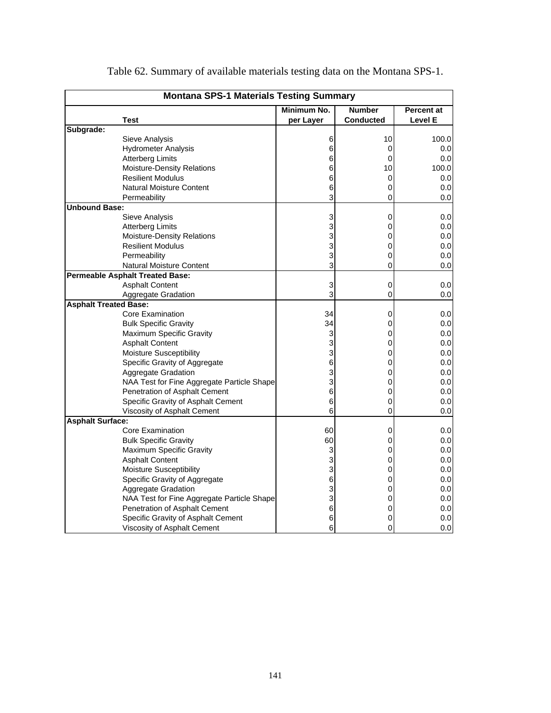|                              | <b>Montana SPS-1 Materials Testing Summary</b> |             |                  |                   |  |  |  |  |  |  |
|------------------------------|------------------------------------------------|-------------|------------------|-------------------|--|--|--|--|--|--|
|                              |                                                | Minimum No. | <b>Number</b>    | <b>Percent at</b> |  |  |  |  |  |  |
|                              | <b>Test</b>                                    | per Layer   | <b>Conducted</b> | Level E           |  |  |  |  |  |  |
| Subgrade:                    |                                                |             |                  |                   |  |  |  |  |  |  |
|                              | Sieve Analysis                                 | 6           | 10               | 100.0             |  |  |  |  |  |  |
|                              | <b>Hydrometer Analysis</b>                     | 6           | 0                | 0.0               |  |  |  |  |  |  |
|                              | <b>Atterberg Limits</b>                        | 6           | 0                | 0.0               |  |  |  |  |  |  |
|                              | Moisture-Density Relations                     | 6           | 10               | 100.0             |  |  |  |  |  |  |
|                              | <b>Resilient Modulus</b>                       | 6           | 0                | 0.0               |  |  |  |  |  |  |
|                              | <b>Natural Moisture Content</b>                | 6           | 0                | 0.0 <sub>l</sub>  |  |  |  |  |  |  |
|                              | Permeability                                   | 3           | 0                | 0.0               |  |  |  |  |  |  |
| <b>Unbound Base:</b>         |                                                |             |                  |                   |  |  |  |  |  |  |
|                              | Sieve Analysis                                 | 3           | 0                | 0.0               |  |  |  |  |  |  |
|                              | <b>Atterberg Limits</b>                        | 3           | 0                | 0.0               |  |  |  |  |  |  |
|                              | Moisture-Density Relations                     | 3           | 0                | 0.0               |  |  |  |  |  |  |
|                              | <b>Resilient Modulus</b>                       | 3           | 0                | 0.0               |  |  |  |  |  |  |
|                              | Permeability                                   | 3           | 0                | 0.0               |  |  |  |  |  |  |
|                              | <b>Natural Moisture Content</b>                | 3           | 0                | 0.0               |  |  |  |  |  |  |
|                              | <b>Permeable Asphalt Treated Base:</b>         |             |                  |                   |  |  |  |  |  |  |
|                              | <b>Asphalt Content</b>                         | 3           | 0                | 0.0               |  |  |  |  |  |  |
|                              | Aggregate Gradation                            | 3           | 0                | 0.0               |  |  |  |  |  |  |
| <b>Asphalt Treated Base:</b> |                                                |             |                  |                   |  |  |  |  |  |  |
|                              | Core Examination                               | 34          | 0                | 0.0               |  |  |  |  |  |  |
|                              | <b>Bulk Specific Gravity</b>                   | 34          | 0                | 0.0               |  |  |  |  |  |  |
|                              | Maximum Specific Gravity                       | 3           | 0                | 0.0               |  |  |  |  |  |  |
|                              | <b>Asphalt Content</b>                         | 3           | 0                | 0.0 <sub>l</sub>  |  |  |  |  |  |  |
|                              | <b>Moisture Susceptibility</b>                 | 3           | 0                | 0.0               |  |  |  |  |  |  |
|                              | Specific Gravity of Aggregate                  | 6           | 0                | 0.0               |  |  |  |  |  |  |
|                              | Aggregate Gradation                            | 3           | 0                | 0.0               |  |  |  |  |  |  |
|                              | NAA Test for Fine Aggregate Particle Shape     | 3           | 0                | 0.0               |  |  |  |  |  |  |
|                              | Penetration of Asphalt Cement                  | 6           | 0                | 0.0               |  |  |  |  |  |  |
|                              | Specific Gravity of Asphalt Cement             | 6           | 0                | 0.0               |  |  |  |  |  |  |
|                              | Viscosity of Asphalt Cement                    | 6           | 0                | 0.0               |  |  |  |  |  |  |
| <b>Asphalt Surface:</b>      |                                                |             |                  |                   |  |  |  |  |  |  |
|                              | Core Examination                               | 60          | 0                | 0.0               |  |  |  |  |  |  |
|                              | <b>Bulk Specific Gravity</b>                   | 60          | 0                | 0.0               |  |  |  |  |  |  |
|                              | Maximum Specific Gravity                       | 3           | 0                | 0.0               |  |  |  |  |  |  |
|                              | <b>Asphalt Content</b>                         | 3           | 0                | 0.0               |  |  |  |  |  |  |
|                              | <b>Moisture Susceptibility</b>                 | 3           | 0                | 0.0               |  |  |  |  |  |  |
|                              | Specific Gravity of Aggregate                  | 6           | 0                | 0.0               |  |  |  |  |  |  |
|                              | Aggregate Gradation                            | 3           | 0                | 0.0               |  |  |  |  |  |  |
|                              | NAA Test for Fine Aggregate Particle Shape     | 3           | 0                | 0.0               |  |  |  |  |  |  |
|                              | Penetration of Asphalt Cement                  | 6           | 0                | 0.0               |  |  |  |  |  |  |
|                              | Specific Gravity of Asphalt Cement             | 6           | 0                | 0.0               |  |  |  |  |  |  |
|                              | Viscosity of Asphalt Cement                    | 6           | 0                | 0.0               |  |  |  |  |  |  |
|                              |                                                |             |                  |                   |  |  |  |  |  |  |

Table 62. Summary of available materials testing data on the Montana SPS-1.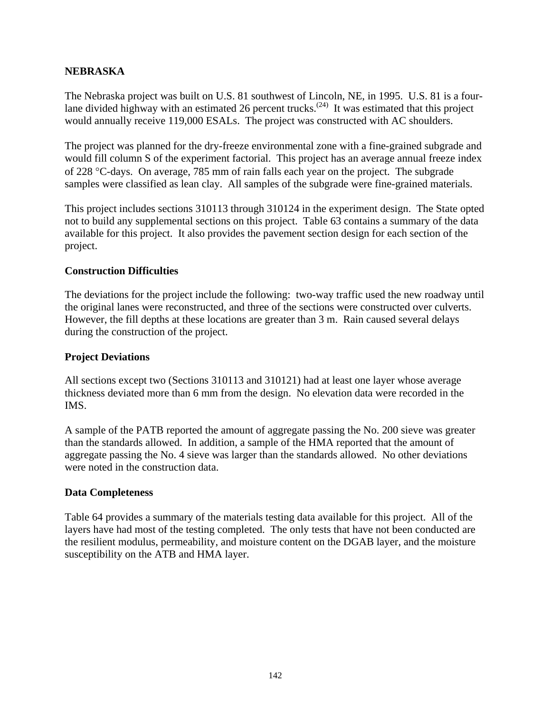#### **NEBRASKA**

The Nebraska project was built on U.S. 81 southwest of Lincoln, NE, in 1995. U.S. 81 is a fourlane divided highway with an estimated 26 percent trucks.<sup>(24)</sup> It was estimated that this project would annually receive 119,000 ESALs. The project was constructed with AC shoulders.

The project was planned for the dry-freeze environmental zone with a fine-grained subgrade and would fill column S of the experiment factorial. This project has an average annual freeze index of 228 °C-days. On average, 785 mm of rain falls each year on the project. The subgrade samples were classified as lean clay. All samples of the subgrade were fine-grained materials.

This project includes sections 310113 through 310124 in the experiment design. The State opted not to build any supplemental sections on this project. Table 63 contains a summary of the data available for this project. It also provides the pavement section design for each section of the project.

#### **Construction Difficulties**

The deviations for the project include the following: two-way traffic used the new roadway until the original lanes were reconstructed, and three of the sections were constructed over culverts. However, the fill depths at these locations are greater than 3 m. Rain caused several delays during the construction of the project.

#### **Project Deviations**

All sections except two (Sections 310113 and 310121) had at least one layer whose average thickness deviated more than 6 mm from the design. No elevation data were recorded in the IMS.

A sample of the PATB reported the amount of aggregate passing the No. 200 sieve was greater than the standards allowed. In addition, a sample of the HMA reported that the amount of aggregate passing the No. 4 sieve was larger than the standards allowed. No other deviations were noted in the construction data.

#### **Data Completeness**

Table 64 provides a summary of the materials testing data available for this project. All of the layers have had most of the testing completed. The only tests that have not been conducted are the resilient modulus, permeability, and moisture content on the DGAB layer, and the moisture susceptibility on the ATB and HMA layer.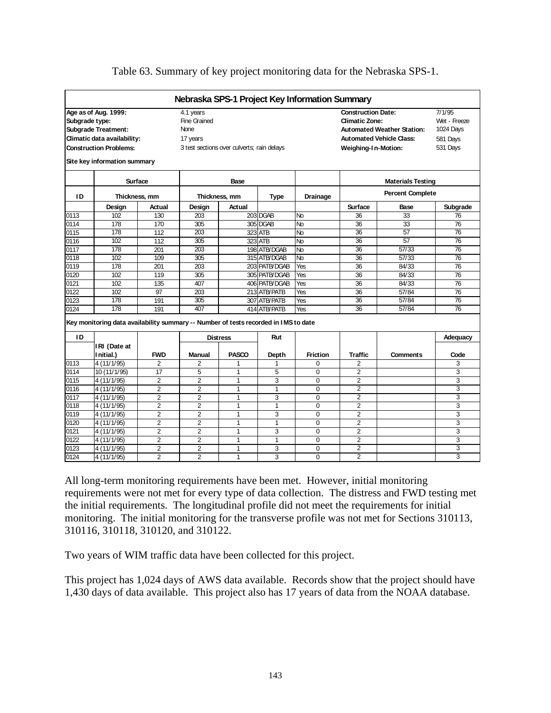| Nebraska SPS-1 Project Key Information Summary                                      |                                                       |
|-------------------------------------------------------------------------------------|-------------------------------------------------------|
| Age as of Aug. 1999:<br>4.1 years                                                   | 7/1/95<br><b>Construction Date:</b>                   |
| Subgrade type:<br><b>Fine Grained</b>                                               | Wet - Freeze<br><b>Climatic Zone:</b>                 |
| <b>Subgrade Treatment:</b><br>None                                                  | 1024 Days<br><b>Automated Weather Station:</b>        |
| Climatic data availability:<br>17 years                                             | <b>Automated Vehicle Class:</b><br>581 Days           |
| <b>Construction Problems:</b><br>3 test sections over culverts; rain delays         | 531 Days<br>Weighing-In-Motion:                       |
|                                                                                     |                                                       |
| Site key information summary                                                        |                                                       |
| Surface<br>Base                                                                     | <b>Materials Testing</b>                              |
| ID<br>Thickness, mm<br><b>Type</b><br>Thickness, mm                                 | <b>Percent Complete</b><br>Drainage                   |
| Design<br>Actual<br>Design<br>Actual                                                | Subgrade<br><b>Surface</b><br>Base                    |
| 102<br>203<br>203 DGAB<br>0113<br>130                                               | 33<br>36<br>76<br>No                                  |
| 178<br>305<br>305 DGAB<br>0114<br>170                                               | 36<br>33<br>76<br>No                                  |
| 178<br>112<br>203<br>323 ATB<br>0115                                                | 76<br>36<br>57<br>No                                  |
| 102<br>112<br>323 ATB<br>0116<br>305                                                | 57<br>No<br>36<br>76                                  |
| 0117<br>178<br>201<br>203<br>198 ATB/DGAB                                           | No<br>36<br>57/33<br>76                               |
| 102<br>305<br>0118<br>109<br>315 ATB/DGAB                                           | 36<br>57/33<br>76<br>No                               |
| 0119<br>178<br>201<br>203<br>203 PATB/DGAB                                          | 36<br>76<br>84/33<br>Yes                              |
| 0120<br>102<br>305<br>119<br>305 PATB/DGAB                                          | 36<br>84/33<br>76<br>Yes                              |
| 102<br>135<br>407<br>406 PATB/DGAB<br>0121                                          | $\overline{36}$<br>84/33<br>76<br>Yes                 |
| 102<br>97<br>213 ATB/PATB<br>0122<br>203                                            | 36<br>57/84<br>76<br>Yes                              |
| 0123<br>178<br>191<br>305<br>307 ATB/PATB                                           | 57/84<br>76<br>36<br>Yes                              |
| 178<br>191<br>407<br>0124<br>414 ATB/PATB                                           | 36<br>76<br>Yes<br>57/84                              |
| Key monitoring data availability summary -- Number of tests recorded in IMS to date |                                                       |
| ID<br>Rut<br><b>Distress</b>                                                        | Adequacy                                              |
| IRI (Date at                                                                        |                                                       |
| <b>PASCO</b><br><b>FWD</b><br><b>Manual</b><br>I nitial.)<br>Depth                  | Code<br><b>Friction</b><br>Traffic<br><b>Comments</b> |
| 4 (11/1/95)<br>$\overline{2}$<br>2<br>1<br>0113<br>1                                | $\overline{2}$<br>0<br>3                              |
| 0114<br>17<br>5<br>5<br>10 (11/1/95)<br>1                                           | $\overline{2}$<br>3<br>$\Omega$                       |
| 0115<br>4(11/1/95)<br>$\overline{2}$<br>$\overline{2}$<br>$\mathbf{1}$<br>3         | $\overline{2}$<br>3<br>$\Omega$                       |
| 2<br>2<br>0116<br>4 (11/1/95)<br>$\mathbf{1}$<br>$\mathbf{1}$                       | $\Omega$<br>2<br>3                                    |
| 0117<br>2<br>$\overline{2}$<br>3<br>4 (11/1/95)<br>$\mathbf{1}$                     | 3<br>$\Omega$<br>2                                    |
| $\overline{2}$<br>$\overline{2}$<br>0118<br>4 (11/1/95)<br>1<br>1                   | $\mathbf 0$<br>$\overline{2}$<br>3                    |
| 4 (11/1/95)<br>$\overline{2}$<br>2<br>3<br>0119<br>1                                | $\overline{2}$<br>3<br>$\mathbf 0$                    |
| $\overline{2}$<br>$\overline{2}$<br>1<br>0120<br>4 (11/1/95)<br>1                   | $\overline{2}$<br>3<br>$\Omega$                       |
| 0121<br>$\overline{2}$<br>$\overline{2}$<br>4 (11/1/95)<br>3<br>$\mathbf{1}$        | $\overline{2}$<br>$\Omega$<br>3                       |
| $\overline{2}$<br>0122<br>4 (11/1/95)<br>2<br>1<br>1                                | $\overline{2}$<br>3<br>$\mathbf 0$                    |
| $\overline{2}$<br>$\overline{2}$<br>3<br>0123<br>4 (11/1/95)<br>1                   | $\overline{2}$<br>3<br>$\Omega$                       |
|                                                                                     |                                                       |

#### Table 63. Summary of key project monitoring data for the Nebraska SPS-1.

All long-term monitoring requirements have been met. However, initial monitoring requirements were not met for every type of data collection. The distress and FWD testing met the initial requirements. The longitudinal profile did not meet the requirements for initial monitoring. The initial monitoring for the transverse profile was not met for Sections 310113, 310116, 310118, 310120, and 310122.

Two years of WIM traffic data have been collected for this project.

This project has 1,024 days of AWS data available. Records show that the project should have 1,430 days of data available. This project also has 17 years of data from the NOAA database.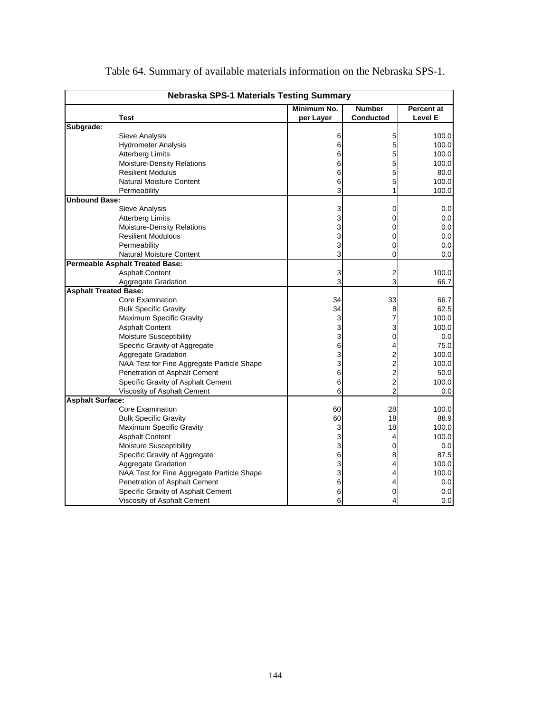|                              | <b>Nebraska SPS-1 Materials Testing Summary</b> |             |                  |                   |  |  |  |  |  |
|------------------------------|-------------------------------------------------|-------------|------------------|-------------------|--|--|--|--|--|
|                              |                                                 | Minimum No. | <b>Number</b>    | <b>Percent at</b> |  |  |  |  |  |
|                              | Test                                            | per Layer   | <b>Conducted</b> | Level E           |  |  |  |  |  |
| Subgrade:                    |                                                 |             |                  |                   |  |  |  |  |  |
|                              | Sieve Analysis                                  | 6           | 5                | 100.0             |  |  |  |  |  |
|                              | <b>Hydrometer Analysis</b>                      | 6           | 5                | 100.0             |  |  |  |  |  |
|                              | <b>Atterberg Limits</b>                         | 6           | 5                | 100.0             |  |  |  |  |  |
|                              | Moisture-Density Relations                      | 6           | 5                | 100.0             |  |  |  |  |  |
|                              | <b>Resilient Modulus</b>                        | 6           | 5                | 80.0              |  |  |  |  |  |
|                              | Natural Moisture Content                        | 6           | 5                | 100.0             |  |  |  |  |  |
|                              | Permeability                                    | 3           |                  | 100.0             |  |  |  |  |  |
| <b>Unbound Base:</b>         |                                                 |             |                  |                   |  |  |  |  |  |
|                              | Sieve Analysis                                  | 3           | 0                | 0.0               |  |  |  |  |  |
|                              | <b>Atterberg Limits</b>                         | 3           | 0                | 0.0               |  |  |  |  |  |
|                              | Moisture-Density Relations                      | 3           | 0                | 0.0               |  |  |  |  |  |
|                              | <b>Resilient Modulous</b>                       | 3           | 0                | 0.0               |  |  |  |  |  |
|                              | Permeability                                    | 3           | 0                | 0.0               |  |  |  |  |  |
|                              | Natural Moisture Content                        | 3           | 0                | 0.0               |  |  |  |  |  |
|                              | <b>Permeable Asphalt Treated Base:</b>          |             |                  |                   |  |  |  |  |  |
|                              | <b>Asphalt Content</b>                          | 3           | 2                | 100.0             |  |  |  |  |  |
|                              | Aggregate Gradation                             | 3           | 3                | 66.7              |  |  |  |  |  |
| <b>Asphalt Treated Base:</b> |                                                 |             |                  |                   |  |  |  |  |  |
|                              | Core Examination                                | 34          | 33               | 66.7              |  |  |  |  |  |
|                              | <b>Bulk Specific Gravity</b>                    | 34          | 8                | 62.5              |  |  |  |  |  |
|                              | Maximum Specific Gravity                        | 3           | 7                | 100.0             |  |  |  |  |  |
|                              | Asphalt Content                                 | 3           | 3                | 100.0             |  |  |  |  |  |
|                              | Moisture Susceptibility                         | 3           | 0                | 0.0               |  |  |  |  |  |
|                              | Specific Gravity of Aggregate                   | 6           | 4                | 75.0              |  |  |  |  |  |
|                              | Aggregate Gradation                             | 3           | 2                | 100.0             |  |  |  |  |  |
|                              | NAA Test for Fine Aggregate Particle Shape      | 3           | $\overline{c}$   | 100.0             |  |  |  |  |  |
|                              | Penetration of Asphalt Cement                   | 6           | 2                | 50.0              |  |  |  |  |  |
|                              | Specific Gravity of Asphalt Cement              | 6           | $\overline{c}$   | 100.0             |  |  |  |  |  |
|                              | Viscosity of Asphalt Cement                     | 6           | $\overline{2}$   | 0.0               |  |  |  |  |  |
| <b>Asphalt Surface:</b>      |                                                 |             |                  |                   |  |  |  |  |  |
|                              | Core Examination                                | 60          | 28               | 100.0             |  |  |  |  |  |
|                              | <b>Bulk Specific Gravity</b>                    | 60          | 18               | 88.9              |  |  |  |  |  |
|                              | Maximum Specific Gravity                        | 3           | 18               | 100.0             |  |  |  |  |  |
|                              | <b>Asphalt Content</b>                          | 3           | 4                | 100.0             |  |  |  |  |  |
|                              | Moisture Susceptibility                         | 3           | 0                | 0.0               |  |  |  |  |  |
|                              | Specific Gravity of Aggregate                   | 6           | 8                | 87.5              |  |  |  |  |  |
|                              | Aggregate Gradation                             | 3           | 4                | 100.0             |  |  |  |  |  |
|                              | NAA Test for Fine Aggregate Particle Shape      | 3           | 4                | 100.0             |  |  |  |  |  |
|                              | Penetration of Asphalt Cement                   | 6           | 4                | 0.0               |  |  |  |  |  |
|                              | Specific Gravity of Asphalt Cement              | 6           | 0                | 0.0               |  |  |  |  |  |
|                              | Viscosity of Asphalt Cement                     | 6           | 4                | 0.0               |  |  |  |  |  |

Table 64. Summary of available materials information on the Nebraska SPS-1.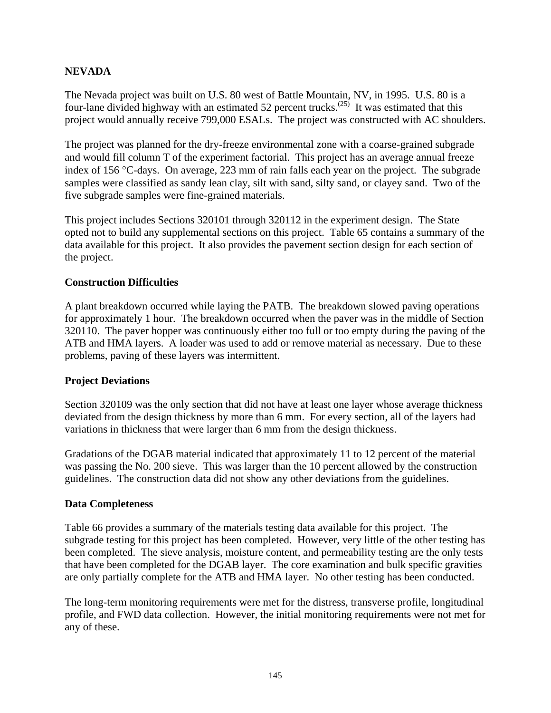#### **NEVADA**

The Nevada project was built on U.S. 80 west of Battle Mountain, NV, in 1995. U.S. 80 is a four-lane divided highway with an estimated 52 percent trucks.<sup> $(25)$ </sup> It was estimated that this project would annually receive 799,000 ESALs. The project was constructed with AC shoulders.

The project was planned for the dry-freeze environmental zone with a coarse-grained subgrade and would fill column T of the experiment factorial. This project has an average annual freeze index of 156 °C-days. On average, 223 mm of rain falls each year on the project. The subgrade samples were classified as sandy lean clay, silt with sand, silty sand, or clayey sand. Two of the five subgrade samples were fine-grained materials.

This project includes Sections 320101 through 320112 in the experiment design. The State opted not to build any supplemental sections on this project. Table 65 contains a summary of the data available for this project. It also provides the pavement section design for each section of the project.

#### **Construction Difficulties**

A plant breakdown occurred while laying the PATB. The breakdown slowed paving operations for approximately 1 hour. The breakdown occurred when the paver was in the middle of Section 320110. The paver hopper was continuously either too full or too empty during the paving of the ATB and HMA layers. A loader was used to add or remove material as necessary. Due to these problems, paving of these layers was intermittent.

#### **Project Deviations**

Section 320109 was the only section that did not have at least one layer whose average thickness deviated from the design thickness by more than 6 mm. For every section, all of the layers had variations in thickness that were larger than 6 mm from the design thickness.

Gradations of the DGAB material indicated that approximately 11 to 12 percent of the material was passing the No. 200 sieve. This was larger than the 10 percent allowed by the construction guidelines. The construction data did not show any other deviations from the guidelines.

#### **Data Completeness**

Table 66 provides a summary of the materials testing data available for this project. The subgrade testing for this project has been completed. However, very little of the other testing has been completed. The sieve analysis, moisture content, and permeability testing are the only tests that have been completed for the DGAB layer. The core examination and bulk specific gravities are only partially complete for the ATB and HMA layer. No other testing has been conducted.

The long-term monitoring requirements were met for the distress, transverse profile, longitudinal profile, and FWD data collection. However, the initial monitoring requirements were not met for any of these.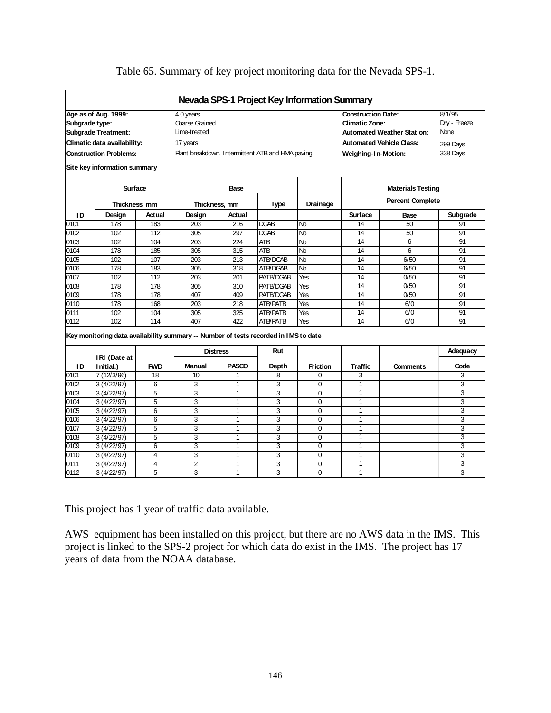|                |                                                                                     |                |                                                   |                 |                 | Nevada SPS-1 Project Key Information Summary |                                                                                         |                                 |                                |
|----------------|-------------------------------------------------------------------------------------|----------------|---------------------------------------------------|-----------------|-----------------|----------------------------------------------|-----------------------------------------------------------------------------------------|---------------------------------|--------------------------------|
| Subgrade type: | Age as of Aug. 1999:<br><b>Subgrade Treatment:</b>                                  |                | 4.0 years<br>Coarse Grained<br>Lime-treated       |                 |                 |                                              | <b>Construction Date:</b><br><b>Climatic Zone:</b><br><b>Automated Weather Station:</b> |                                 | 8/1/95<br>Dry - Freeze<br>None |
|                | Climatic data availability:                                                         |                | 17 years                                          |                 |                 |                                              |                                                                                         | <b>Automated Vehicle Class:</b> | 299 Days                       |
|                | <b>Construction Problems:</b>                                                       |                | Plant breakdown. Intermittent ATB and HMA paving. |                 |                 |                                              | Weighing-In-Motion:                                                                     |                                 | 338 Days                       |
|                | Site key information summary                                                        |                |                                                   |                 |                 |                                              |                                                                                         |                                 |                                |
|                | Surface                                                                             |                |                                                   | Base            |                 |                                              |                                                                                         | <b>Materials Testing</b>        |                                |
|                |                                                                                     | Thickness, mm  |                                                   | Thickness, mm   | <b>Type</b>     | <b>Drainage</b>                              |                                                                                         | <b>Percent Complete</b>         |                                |
| ID             | Design                                                                              | Actual         | Design                                            | Actual          |                 |                                              | Surface                                                                                 | Base                            | Subgrade                       |
| 0101           | 178                                                                                 | 183            | 203                                               | 216             | <b>DGAB</b>     | No                                           | 14                                                                                      | 50                              | 91                             |
| 0102           | 102                                                                                 | 112            | 305                                               | 297             | <b>DGAB</b>     | $\overline{N}$                               | 14                                                                                      | 50                              | 91                             |
| 0103           | 102                                                                                 | 104            | 203                                               | 224             | ATB             | No                                           | 14                                                                                      | 6                               | 91                             |
| 0104           | 178                                                                                 | 185            | $\overline{305}$                                  | 315             | <b>ATB</b>      | No                                           | 14                                                                                      | 6                               | 91                             |
| 0105           | 102                                                                                 | 107            | 203                                               | 213             | ATB/DGAB        | No                                           | 14                                                                                      | 6/50                            | 91                             |
| 0106           | 178                                                                                 | 183            | 305                                               | 318             | ATB/DGAB        | No                                           | 14                                                                                      | 6/50                            | 91                             |
| 0107           | 102                                                                                 | 112            | 203                                               | 201             | PATB/DGAB       | Yes                                          | 14                                                                                      | 0/50                            | 91                             |
| 0108           | 178                                                                                 | 178            | 305                                               | 310             | PATB/DGAB       | Yes                                          | 14                                                                                      | 0/50                            | 91                             |
| 0109           | 178                                                                                 | 178            | 407                                               | 409             | PATB/DGAB       | Yes                                          | 14                                                                                      | 0/50                            | 91                             |
| 0110           | 178                                                                                 | 168            | 203                                               | 218             | <b>ATB/PATB</b> | Yes                                          | 14                                                                                      | 6/0                             | 91                             |
| 0111           | 102                                                                                 | 104            | 305                                               | 325             | <b>ATB/PATB</b> | Yes                                          | 14                                                                                      | 6/0                             | 91                             |
| 0112           | 102                                                                                 | 114            | 407                                               | 422             | <b>ATB/PATB</b> | Yes                                          | 14                                                                                      | 6/0                             | 91                             |
|                | Key monitoring data availability summary -- Number of tests recorded in IMS to date |                |                                                   |                 |                 |                                              |                                                                                         |                                 |                                |
|                | IRI (Date at                                                                        |                |                                                   | <b>Distress</b> | Rut             |                                              |                                                                                         |                                 | Adequacy                       |
| ID             | l nitial.)                                                                          | <b>FWD</b>     | <b>Manual</b>                                     | <b>PASCO</b>    | Depth           | Friction                                     | <b>Traffic</b>                                                                          | Comments                        | Code                           |
| 0101           | 7 (12/3/96)                                                                         | 18             | 10                                                | 1               | 8               | $\Omega$                                     | 3                                                                                       |                                 | 3                              |
| 0102           | 3(4/22/97)                                                                          | 6              | 3                                                 | $\mathbf{1}$    | 3               | $\Omega$                                     | 1                                                                                       |                                 | 3                              |
| 0103           | 3(4/22/97)                                                                          | 5              | 3                                                 | 1               | 3               | $\Omega$                                     | $\mathbf{1}$                                                                            |                                 | 3                              |
| 0104           | 3(4/22/97)                                                                          | 5              | 3                                                 | $\mathbf{1}$    | $\overline{3}$  | $\Omega$                                     | $\mathbf{1}$                                                                            |                                 | $\overline{3}$                 |
| 0105           | 3(4/22/97)                                                                          | $\overline{6}$ | 3                                                 | $\mathbf{1}$    | $\overline{3}$  | $\Omega$                                     | $\mathbf{1}$                                                                            |                                 | 3                              |
| 0106           | 3(4/22/97)                                                                          | 6              | 3                                                 | 1               | 3               | $\Omega$                                     | 1                                                                                       |                                 | 3                              |
| 0107           | 3(4/22/97)                                                                          | 5              | 3                                                 | $\mathbf{1}$    | 3               | $\Omega$                                     | 1                                                                                       |                                 | 3                              |
| 0108           | 3(4/22/97)                                                                          | 5              | 3                                                 | $\mathbf{1}$    | 3               | $\Omega$                                     | $\mathbf{1}$                                                                            |                                 | 3                              |
| 0109           | 3(4/22/97)                                                                          | 6              | 3                                                 | $\mathbf{1}$    | 3               | 0                                            | 1                                                                                       |                                 | 3                              |
| 0110           | 3(4/22/97)                                                                          | 4              | 3                                                 | 1               | 3               | 0                                            | $\mathbf{1}$                                                                            |                                 | 3                              |
| 0111           | 3(4/22/97)                                                                          | 4              | $\overline{2}$                                    | 1               | 3               | 0                                            | $\overline{1}$                                                                          |                                 | 3                              |
| 0112           | 3(4/22/97)                                                                          | 5              | 3                                                 | $\mathbf{1}$    | 3               | $\Omega$                                     | $\mathbf{1}$                                                                            |                                 | 3                              |

### Table 65. Summary of key project monitoring data for the Nevada SPS-1.

This project has 1 year of traffic data available.

AWS equipment has been installed on this project, but there are no AWS data in the IMS. This project is linked to the SPS-2 project for which data do exist in the IMS. The project has 17 years of data from the NOAA database.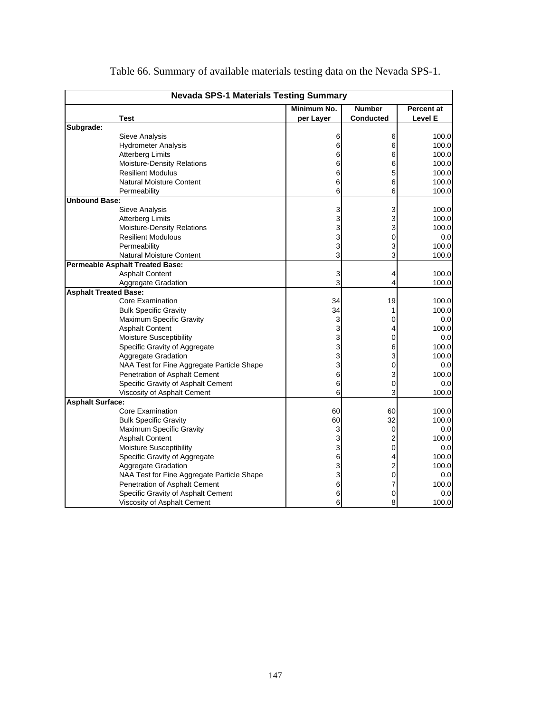|                              | <b>Nevada SPS-1 Materials Testing Summary</b> |             |                  |            |  |  |  |  |  |
|------------------------------|-----------------------------------------------|-------------|------------------|------------|--|--|--|--|--|
|                              |                                               | Minimum No. | <b>Number</b>    | Percent at |  |  |  |  |  |
|                              | <b>Test</b>                                   | per Layer   | <b>Conducted</b> | Level E    |  |  |  |  |  |
| Subgrade:                    |                                               |             |                  |            |  |  |  |  |  |
|                              | Sieve Analysis                                | 6           | 6                | 100.0      |  |  |  |  |  |
|                              | <b>Hydrometer Analysis</b>                    | 6           | 6                | 100.0      |  |  |  |  |  |
|                              | <b>Atterberg Limits</b>                       | 6           | 6                | 100.0      |  |  |  |  |  |
|                              | Moisture-Density Relations                    | 6           | 6                | 100.0      |  |  |  |  |  |
|                              | <b>Resilient Modulus</b>                      | 6           | 5                | 100.0      |  |  |  |  |  |
|                              | <b>Natural Moisture Content</b>               | 6           | 6                | 100.0      |  |  |  |  |  |
|                              | Permeability                                  | 6           | 6                | 100.0      |  |  |  |  |  |
| <b>Unbound Base:</b>         |                                               |             |                  |            |  |  |  |  |  |
|                              | Sieve Analysis                                | 3           | 3                | 100.0      |  |  |  |  |  |
|                              | <b>Atterberg Limits</b>                       | 3           | 3                | 100.0      |  |  |  |  |  |
|                              | <b>Moisture-Density Relations</b>             | 3           | 3                | 100.0      |  |  |  |  |  |
|                              | <b>Resilient Modulous</b>                     | 3           | $\Omega$         | 0.0        |  |  |  |  |  |
|                              | Permeability                                  | 3           | 3                | 100.0      |  |  |  |  |  |
|                              | <b>Natural Moisture Content</b>               | 3           | 3                | 100.0      |  |  |  |  |  |
|                              | <b>Permeable Asphalt Treated Base:</b>        |             |                  |            |  |  |  |  |  |
|                              | <b>Asphalt Content</b>                        | 3           | 4                | 100.0      |  |  |  |  |  |
|                              | <b>Aggregate Gradation</b>                    | 3           | 4                | 100.0      |  |  |  |  |  |
| <b>Asphalt Treated Base:</b> |                                               |             |                  |            |  |  |  |  |  |
|                              | <b>Core Examination</b>                       | 34          | 19               | 100.0      |  |  |  |  |  |
|                              | <b>Bulk Specific Gravity</b>                  | 34          | 1                | 100.0      |  |  |  |  |  |
|                              | Maximum Specific Gravity                      | 3           | 0                | 0.0        |  |  |  |  |  |
|                              | <b>Asphalt Content</b>                        | 3           | 4                | 100.0      |  |  |  |  |  |
|                              | Moisture Susceptibility                       | 3           | 0                | 0.0        |  |  |  |  |  |
|                              | Specific Gravity of Aggregate                 | 3           | 6                | 100.0      |  |  |  |  |  |
|                              | Aggregate Gradation                           | 3           | 3                | 100.0      |  |  |  |  |  |
|                              | NAA Test for Fine Aggregate Particle Shape    | 3           | $\Omega$         | 0.0        |  |  |  |  |  |
|                              | Penetration of Asphalt Cement                 | 6           | 3                | 100.0      |  |  |  |  |  |
|                              | Specific Gravity of Asphalt Cement            | 6           | $\Omega$         | 0.0        |  |  |  |  |  |
|                              | Viscosity of Asphalt Cement                   | 6           | 3                | 100.0      |  |  |  |  |  |
| <b>Asphalt Surface:</b>      |                                               |             |                  |            |  |  |  |  |  |
|                              | <b>Core Examination</b>                       | 60          | 60               | 100.0      |  |  |  |  |  |
|                              | <b>Bulk Specific Gravity</b>                  | 60          | 32               | 100.0      |  |  |  |  |  |
|                              | Maximum Specific Gravity                      | 3           | $\mathbf 0$      | 0.0        |  |  |  |  |  |
|                              | <b>Asphalt Content</b>                        | 3           | $\overline{2}$   | 100.0      |  |  |  |  |  |
|                              | Moisture Susceptibility                       | 3           | 0                | 0.0        |  |  |  |  |  |
|                              | Specific Gravity of Aggregate                 | 6           | 4                | 100.0      |  |  |  |  |  |
|                              | Aggregate Gradation                           | 3           | 2                | 100.0      |  |  |  |  |  |
|                              | NAA Test for Fine Aggregate Particle Shape    | 3           | 0                | 0.0        |  |  |  |  |  |
|                              | Penetration of Asphalt Cement                 | 6           | 7                | 100.0      |  |  |  |  |  |
|                              | Specific Gravity of Asphalt Cement            | 6           | 0                | 0.0        |  |  |  |  |  |
|                              | Viscosity of Asphalt Cement                   | 6           | 8                | 100.0      |  |  |  |  |  |

Table 66. Summary of available materials testing data on the Nevada SPS-1.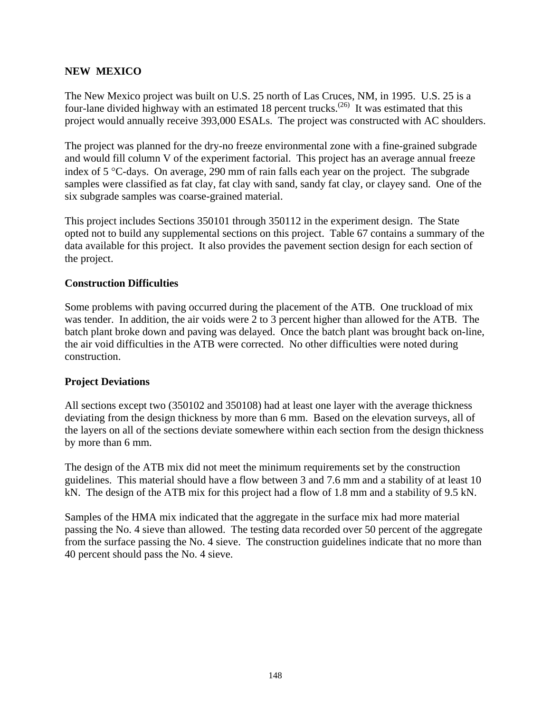#### **NEW MEXICO**

The New Mexico project was built on U.S. 25 north of Las Cruces, NM, in 1995. U.S. 25 is a four-lane divided highway with an estimated 18 percent trucks.<sup> $(26)$ </sup> It was estimated that this project would annually receive 393,000 ESALs. The project was constructed with AC shoulders.

The project was planned for the dry-no freeze environmental zone with a fine-grained subgrade and would fill column V of the experiment factorial. This project has an average annual freeze index of 5 °C-days. On average, 290 mm of rain falls each year on the project. The subgrade samples were classified as fat clay, fat clay with sand, sandy fat clay, or clayey sand. One of the six subgrade samples was coarse-grained material.

This project includes Sections 350101 through 350112 in the experiment design. The State opted not to build any supplemental sections on this project. Table 67 contains a summary of the data available for this project. It also provides the pavement section design for each section of the project.

#### **Construction Difficulties**

Some problems with paving occurred during the placement of the ATB. One truckload of mix was tender. In addition, the air voids were 2 to 3 percent higher than allowed for the ATB. The batch plant broke down and paving was delayed. Once the batch plant was brought back on-line, the air void difficulties in the ATB were corrected. No other difficulties were noted during construction.

#### **Project Deviations**

All sections except two (350102 and 350108) had at least one layer with the average thickness deviating from the design thickness by more than 6 mm. Based on the elevation surveys, all of the layers on all of the sections deviate somewhere within each section from the design thickness by more than 6 mm.

The design of the ATB mix did not meet the minimum requirements set by the construction guidelines. This material should have a flow between 3 and 7.6 mm and a stability of at least 10 kN. The design of the ATB mix for this project had a flow of 1.8 mm and a stability of 9.5 kN.

Samples of the HMA mix indicated that the aggregate in the surface mix had more material passing the No. 4 sieve than allowed. The testing data recorded over 50 percent of the aggregate from the surface passing the No. 4 sieve. The construction guidelines indicate that no more than 40 percent should pass the No. 4 sieve.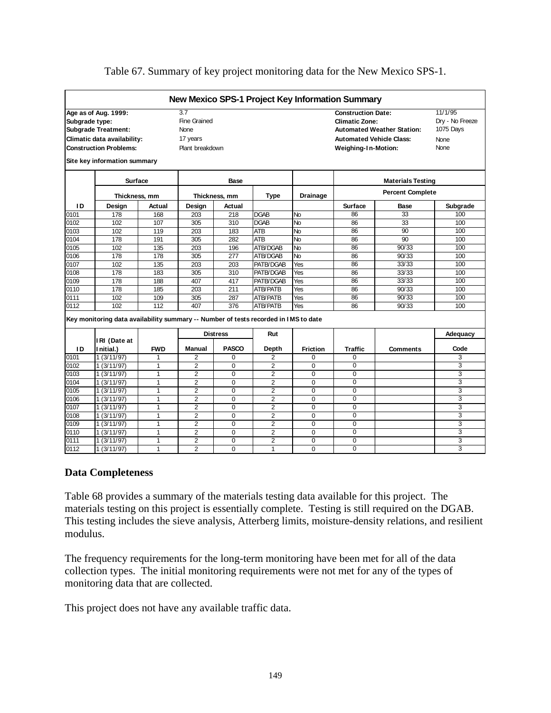|                |                                                                                     |              |                 |                 |                  |                 | New Mexico SPS-1 Project Key Information Summary |                                   |                 |  |
|----------------|-------------------------------------------------------------------------------------|--------------|-----------------|-----------------|------------------|-----------------|--------------------------------------------------|-----------------------------------|-----------------|--|
|                | Age as of Aug. 1999:                                                                |              | 3.7             |                 |                  |                 | <b>Construction Date:</b>                        |                                   | 11/1/95         |  |
| Subgrade type: |                                                                                     |              | Fine Grained    |                 |                  |                 | <b>Climatic Zone:</b>                            |                                   | Dry - No Freeze |  |
|                | <b>Subgrade Treatment:</b>                                                          |              | None            |                 |                  |                 |                                                  | <b>Automated Weather Station:</b> | 1075 Days       |  |
|                | Climatic data availability:                                                         |              |                 |                 |                  |                 | <b>Automated Vehicle Class:</b>                  |                                   |                 |  |
|                |                                                                                     |              | 17 years        |                 |                  |                 |                                                  |                                   | <b>None</b>     |  |
|                | <b>Construction Problems:</b>                                                       |              | Plant breakdown |                 |                  |                 | Weighing-In-Motion:                              |                                   | None            |  |
|                | Site key information summary                                                        |              |                 |                 |                  |                 |                                                  |                                   |                 |  |
|                | <b>Surface</b>                                                                      |              |                 | Base            |                  |                 |                                                  | <b>Materials Testing</b>          |                 |  |
|                | Thickness, mm                                                                       |              |                 | Thickness, mm   | Type             | <b>Drainage</b> |                                                  | <b>Percent Complete</b>           |                 |  |
| ID             | Design                                                                              | Actual       | Design          | Actual          |                  |                 | <b>Surface</b>                                   | <b>Base</b>                       | Subgrade        |  |
| 0101           | 178                                                                                 | 168          | 203             | 218             | <b>DGAB</b>      | No              | 86                                               | 33                                | 100             |  |
| 0102           | 102                                                                                 | 107          | 305             | 310             | <b>DGAB</b>      | <b>No</b>       | 86                                               | 33                                | 100             |  |
| 0103           | 102                                                                                 | 119          | 203             | 183             | <b>ATB</b>       | <b>No</b>       | 86                                               | 90                                | 100             |  |
| 0104           | 178                                                                                 | 191          | 305             | 282             | ATB              | <b>No</b>       | 86                                               | 90                                | 100             |  |
| 0105           | 102                                                                                 | 135          | 203             | 196             | ATB/DGAB         | <b>No</b>       | 86                                               | 90/33                             | 100             |  |
| 0106           | 178                                                                                 | 178          | 305             | 277             | ATB/DGAB         | <b>No</b>       | 86                                               | 90/33                             | 100             |  |
| 0107           | 102                                                                                 | 135          | 203             | 203             | PATB/DGAB        | Yes             | 86                                               | 33/33                             | 100             |  |
| 0108           | 178                                                                                 | 183          | 305             | 310             | PATB/DGAB        | Yes             | 86                                               | 33/33                             | 100             |  |
| 0109           | 178                                                                                 | 188          | 407             | 417             | <b>PATB/DGAB</b> | Yes             | 86                                               | 33/33                             | 100             |  |
| 0110           | 178                                                                                 | 185          | 203             | 211             | <b>ATB/PATB</b>  | Yes             | 86                                               | 90/33                             | 100             |  |
| 0111           | 102                                                                                 | 109          | 305             | 287             | <b>ATB/PATB</b>  | Yes             | 86                                               | 90/33                             | 100             |  |
| 0112           | 102                                                                                 | 112          | 407             | 376             | ATB/PATB         | Yes             | 86                                               | 90/33                             | 100             |  |
|                | Key monitoring data availability summary -- Number of tests recorded in IMS to date |              |                 |                 |                  |                 |                                                  |                                   |                 |  |
|                |                                                                                     |              |                 | <b>Distress</b> | Rut              |                 |                                                  |                                   | Adequacy        |  |
|                | IRI (Date at                                                                        |              |                 |                 |                  |                 |                                                  |                                   |                 |  |
| ID             | Initial.)                                                                           | <b>FWD</b>   | Manual          | <b>PASCO</b>    | Depth            | <b>Friction</b> | <b>Traffic</b>                                   | <b>Comments</b>                   | Code            |  |
| 0101           | $\frac{1}{1}$ (3/11/97)                                                             | 1            | 2               | 0               | $\overline{2}$   | $\Omega$        | $\Omega$                                         |                                   | 3               |  |
| 0102           | 1(3/11/97)                                                                          | $\mathbf{1}$ | $\overline{2}$  | 0               | 2                | $\mathbf 0$     | $\Omega$                                         |                                   | 3               |  |
| 0103           | 1(3/11/97)                                                                          | $\mathbf{1}$ | $\overline{2}$  | 0               | $\overline{2}$   | $\Omega$        | $\Omega$                                         |                                   | 3               |  |
| 0104           | 1(3/11/97)                                                                          | $\mathbf{1}$ | $\overline{2}$  | 0               | $\overline{2}$   | $\Omega$        | $\Omega$                                         |                                   | 3               |  |
| 0105           | 1(3/11/97)                                                                          | $\mathbf{1}$ | $\overline{2}$  | 0               | 2                | $\mathbf 0$     | $\overline{0}$                                   |                                   | 3               |  |
| 0106           | 1(3/11/97)                                                                          | $\mathbf{1}$ | $\overline{2}$  | $\overline{0}$  | $\overline{2}$   | $\overline{0}$  | $\Omega$                                         |                                   | 3               |  |
| 0107           | 1(3/11/97)                                                                          | $\mathbf{1}$ | $\overline{2}$  | 0               | 2                | $\mathbf 0$     | $\Omega$                                         |                                   | 3               |  |
| 0108           | 1(3/11/97)                                                                          | 1            | $\overline{2}$  | 0               | $\overline{2}$   | $\Omega$        | $\Omega$                                         |                                   | 3               |  |
| 0109           | 1(3/11/97)                                                                          | $\mathbf{1}$ | $\overline{2}$  | 0               | $\overline{2}$   | $\mathbf 0$     | $\mathbf 0$                                      |                                   | 3               |  |
| 0110           | 1 (3/11/97)                                                                         | $\mathbf{1}$ | $\overline{2}$  | $\Omega$        | $\overline{2}$   | $\Omega$        | $\Omega$                                         |                                   | 3               |  |
| 0111           | 1(3/11/97)                                                                          | $\mathbf{1}$ | $\overline{2}$  | $\Omega$        | $\overline{2}$   | $\mathbf 0$     | $\mathbf 0$                                      |                                   | 3               |  |
| 0112           | 1(3/11/97)                                                                          | 1            | $\overline{2}$  | $\Omega$        | 1                | $\Omega$        | $\Omega$                                         |                                   | 3               |  |

#### Table 67. Summary of key project monitoring data for the New Mexico SPS-1.

#### **Data Completeness**

Table 68 provides a summary of the materials testing data available for this project. The materials testing on this project is essentially complete. Testing is still required on the DGAB. This testing includes the sieve analysis, Atterberg limits, moisture-density relations, and resilient modulus.

The frequency requirements for the long-term monitoring have been met for all of the data collection types. The initial monitoring requirements were not met for any of the types of monitoring data that are collected.

This project does not have any available traffic data.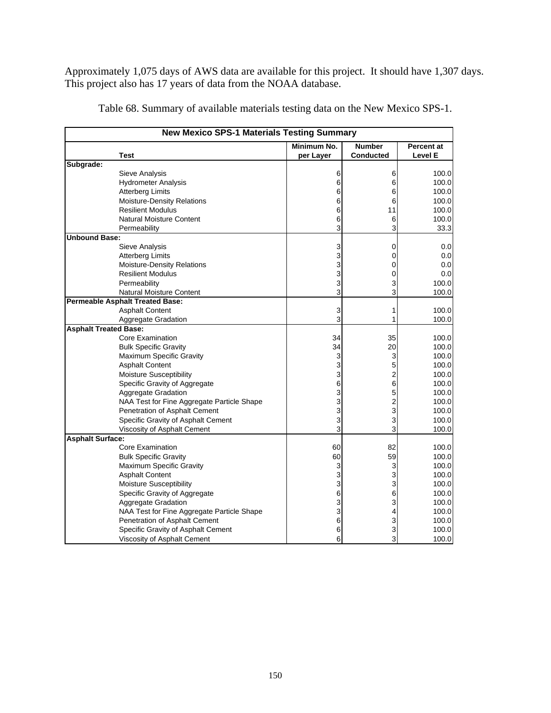Approximately 1,075 days of AWS data are available for this project. It should have 1,307 days. This project also has 17 years of data from the NOAA database.

|                              | <b>New Mexico SPS-1 Materials Testing Summary</b> |             |                  |                   |
|------------------------------|---------------------------------------------------|-------------|------------------|-------------------|
|                              |                                                   | Minimum No. | <b>Number</b>    | <b>Percent at</b> |
|                              | <b>Test</b>                                       | per Layer   | <b>Conducted</b> | Level E           |
| Subgrade:                    |                                                   |             |                  |                   |
|                              | Sieve Analysis                                    | 6           | 6                | 100.0             |
|                              | <b>Hydrometer Analysis</b>                        | 6           | 6                | 100.0             |
|                              | <b>Atterberg Limits</b>                           | 6           | 6                | 100.0             |
|                              | <b>Moisture-Density Relations</b>                 | 6           | 6                | 100.0             |
|                              | <b>Resilient Modulus</b>                          | 6           | 11               | 100.0             |
|                              | <b>Natural Moisture Content</b>                   | 6           | 6                | 100.0             |
|                              | Permeability                                      | 3           | 3                | 33.3              |
| <b>Unbound Base:</b>         |                                                   |             |                  |                   |
|                              | Sieve Analysis                                    | 3           | 0                | 0.0               |
|                              | <b>Atterberg Limits</b>                           | 3           | 0                | 0.0               |
|                              | <b>Moisture-Density Relations</b>                 | 3           | 0                | 0.0               |
|                              | <b>Resilient Modulus</b>                          | 3           | $\Omega$         | 0.0               |
|                              | Permeability                                      | 3           | 3                | 100.0             |
|                              | Natural Moisture Content                          | 3           | 3                | 100.0             |
|                              | <b>Permeable Asphalt Treated Base:</b>            |             |                  |                   |
|                              | <b>Asphalt Content</b>                            | 3           | 1                | 100.0             |
|                              | Aggregate Gradation                               | 3           |                  | 100.0             |
| <b>Asphalt Treated Base:</b> |                                                   |             |                  |                   |
|                              | Core Examination                                  | 34          | 35               | 100.0             |
|                              | <b>Bulk Specific Gravity</b>                      | 34          | 20               | 100.0             |
|                              | Maximum Specific Gravity                          | 3           | 3                | 100.0             |
|                              | <b>Asphalt Content</b>                            | 3           | 5                | 100.0             |
|                              | Moisture Susceptibility                           | 3           | $\overline{2}$   | 100.0             |
|                              | Specific Gravity of Aggregate                     | 6           | 6                | 100.0             |
|                              | Aggregate Gradation                               | 3           | 5                | 100.0             |
|                              | NAA Test for Fine Aggregate Particle Shape        | 3           | $\overline{2}$   | 100.0             |
|                              | Penetration of Asphalt Cement                     | 3           | 3                | 100.0             |
|                              | Specific Gravity of Asphalt Cement                | 3           | 3                | 100.0             |
|                              | Viscosity of Asphalt Cement                       | 3           | 3                | 100.0             |
| <b>Asphalt Surface:</b>      |                                                   |             |                  |                   |
|                              | Core Examination                                  | 60          | 82               | 100.0             |
|                              | <b>Bulk Specific Gravity</b>                      | 60          | 59               | 100.0             |
|                              | Maximum Specific Gravity                          | 3           | 3                | 100.0             |
|                              | <b>Asphalt Content</b>                            | 3           | 3                | 100.0             |
|                              | Moisture Susceptibility                           | 3           | 3                | 100.0             |
|                              | Specific Gravity of Aggregate                     | 6           | 6                | 100.0             |
|                              | <b>Aggregate Gradation</b>                        | 3           | 3                | 100.0             |
|                              | NAA Test for Fine Aggregate Particle Shape        | 3           | 4                | 100.0             |
|                              | Penetration of Asphalt Cement                     | 6           | 3                | 100.0             |
|                              | Specific Gravity of Asphalt Cement                | 6           | 3                | 100.0             |
|                              | Viscosity of Asphalt Cement                       | 6           | 3                | 100.0             |

Table 68. Summary of available materials testing data on the New Mexico SPS-1.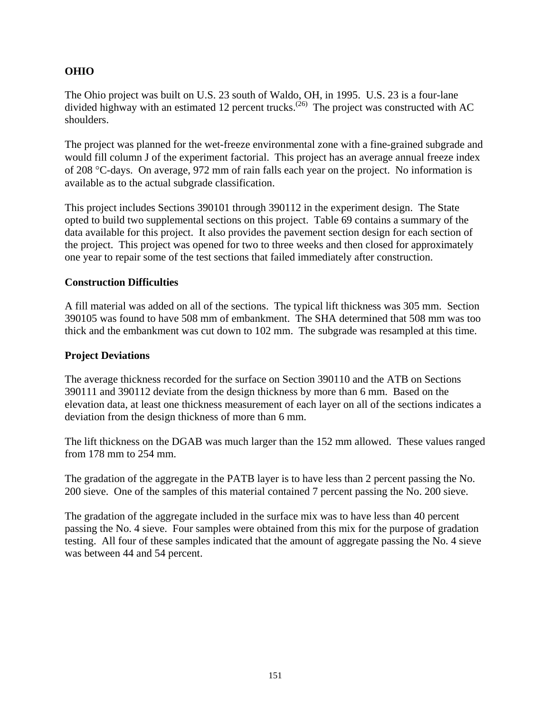### **OHIO**

The Ohio project was built on U.S. 23 south of Waldo, OH, in 1995. U.S. 23 is a four-lane divided highway with an estimated 12 percent trucks.<sup>(26)</sup> The project was constructed with AC shoulders.

The project was planned for the wet-freeze environmental zone with a fine-grained subgrade and would fill column J of the experiment factorial. This project has an average annual freeze index of 208 °C-days. On average, 972 mm of rain falls each year on the project. No information is available as to the actual subgrade classification.

This project includes Sections 390101 through 390112 in the experiment design. The State opted to build two supplemental sections on this project. Table 69 contains a summary of the data available for this project. It also provides the pavement section design for each section of the project. This project was opened for two to three weeks and then closed for approximately one year to repair some of the test sections that failed immediately after construction.

#### **Construction Difficulties**

A fill material was added on all of the sections. The typical lift thickness was 305 mm. Section 390105 was found to have 508 mm of embankment. The SHA determined that 508 mm was too thick and the embankment was cut down to 102 mm. The subgrade was resampled at this time.

#### **Project Deviations**

The average thickness recorded for the surface on Section 390110 and the ATB on Sections 390111 and 390112 deviate from the design thickness by more than 6 mm. Based on the elevation data, at least one thickness measurement of each layer on all of the sections indicates a deviation from the design thickness of more than 6 mm.

The lift thickness on the DGAB was much larger than the 152 mm allowed. These values ranged from 178 mm to 254 mm.

The gradation of the aggregate in the PATB layer is to have less than 2 percent passing the No. 200 sieve. One of the samples of this material contained 7 percent passing the No. 200 sieve.

The gradation of the aggregate included in the surface mix was to have less than 40 percent passing the No. 4 sieve. Four samples were obtained from this mix for the purpose of gradation testing. All four of these samples indicated that the amount of aggregate passing the No. 4 sieve was between 44 and 54 percent.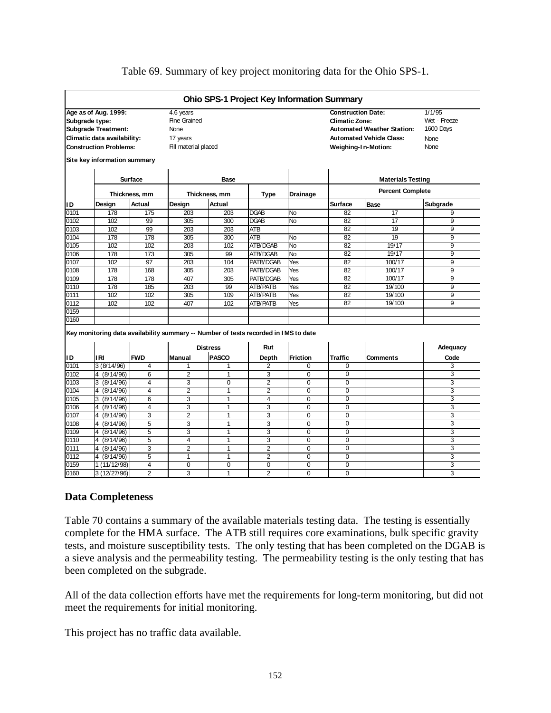|                |                                                                                                                    |               |                                                                              |               | <b>Ohio SPS-1 Project Key Information Summary</b> |                 |                                                    |                                                                                             |                                                     |
|----------------|--------------------------------------------------------------------------------------------------------------------|---------------|------------------------------------------------------------------------------|---------------|---------------------------------------------------|-----------------|----------------------------------------------------|---------------------------------------------------------------------------------------------|-----------------------------------------------------|
| Subgrade type: | Age as of Aug. 1999:<br><b>Subgrade Treatment:</b><br>Climatic data availability:<br><b>Construction Problems:</b> |               | 4.6 years<br>Fine Grained<br><b>None</b><br>17 years<br>Fill material placed |               |                                                   |                 | <b>Construction Date:</b><br><b>Climatic Zone:</b> | <b>Automated Weather Station:</b><br><b>Automated Vehicle Class:</b><br>Weighing-In-Motion: | 1/1/95<br>Wet - Freeze<br>1600 Days<br>None<br>None |
|                | Site key information summary                                                                                       |               |                                                                              |               |                                                   |                 |                                                    |                                                                                             |                                                     |
|                |                                                                                                                    | Surface       |                                                                              | Base          |                                                   |                 |                                                    | <b>Materials Testing</b>                                                                    |                                                     |
|                |                                                                                                                    | Thickness, mm |                                                                              | Thickness, mm | Type                                              | <b>Drainage</b> |                                                    | <b>Percent Complete</b>                                                                     |                                                     |
| ID             | Design                                                                                                             | Actual        | Design                                                                       | Actual        |                                                   |                 | Surface                                            | <b>Base</b>                                                                                 | Subgrade                                            |
| 0101           | 178                                                                                                                | 175           | 203                                                                          | 203           | <b>DGAB</b>                                       | <b>INo</b>      | 82                                                 | 17                                                                                          | 9                                                   |

0102 | 102 | 99 | 305 | 300 |DGAB |No | 82 | 17 | 9 0103 | 102 | 99 | 203 | 203 |ATB | | 82 | 19 | 9 0104 | 178 | 178 | 305 | 300 |ATB |No | 82 | 19 | 9 0105 | 102 | 102 | 203 | 102 |ATB/DGAB |No | 82 | 19/17 | 9 0106 | 178 | 173 | 305 | 99 |ATB/DGAB |No | 82 | 19/17 | 9 0107 | 102 | 97 | 203 | 104 |PATB/DGAB |Yes | 82 | 100/17 | 9 0108 | 178 | 168 | 305 | 203 |PATB/DGAB |Yes | 82 | 100/17 | 9 0109 | 178 | 178 | 407 | 305 |PATB/DGAB |Yes | 82 | 100/17 | 9 0110 | 178 | 185 | 203 | 99 |ATB/PATB |Yes | 82 | 19/100 | 9 0111 | 102 | 102 | 305 | 109 |ATB/PATB |Yes | 82 | 19/100 | 9 0112 | 102 | 102 | 407 | 102 |ATB/PATB |Yes | 82 | 19/100 | 9

#### Table 69. Summary of key project monitoring data for the Ohio SPS-1.

**Key monitoring data availability summary -- Number of tests recorded in I MS to date**

|      |                          |            |                | <b>Distress</b> | Rut            |                 |                |                 | Adequacy |
|------|--------------------------|------------|----------------|-----------------|----------------|-----------------|----------------|-----------------|----------|
| ID   | I RI                     | <b>FWD</b> | <b>Manual</b>  | <b>PASCO</b>    | Depth          | <b>Friction</b> | <b>Traffic</b> | <b>Comments</b> | Code     |
| 0101 | 3(8/14/96)               | 4          |                |                 | 2              | 0               | $\Omega$       |                 | 3        |
| 0102 | 4 (8/14/96)              | 6          | 2              |                 | 3              | 0               | $\Omega$       |                 | 3        |
| 0103 | 3(8/14/96)               | 4          | 3              | $\Omega$        | 2              | $\Omega$        | $\Omega$       |                 | 3        |
| 0104 | 4 (8/14/96)              | 4          | $\overline{2}$ |                 | 2              | 0               | $\Omega$       |                 | 3        |
| 0105 | 3(8/14/96)               | 6          | 3              |                 | 4              | $\Omega$        | $\Omega$       |                 | 3        |
| 0106 | 4 (8/14/96)              | 4          | 3              |                 | 3              | 0               | $\Omega$       |                 | 3        |
| 0107 | 4 $(8/\overline{14/96})$ | 3          | 2              |                 | 3              | 0               | $\mathbf 0$    |                 | 3        |
| 0108 | 4 (8/14/96)              | 5          | 3              |                 | 3              | 0               | $\Omega$       |                 | 3        |
| 0109 | 4 $(8/\overline{14/96})$ | 5          | 3              |                 | 3              |                 | $\Omega$       |                 | 3        |
| 0110 | 4 (8/14/96)              | 5          | 4              |                 | 3              | 0               | $\Omega$       |                 | 3        |
| 0111 | 4 (8/14/96)              | 3          | 2              |                 | 2              | 0               | $\Omega$       |                 | 3        |
| 0112 | 4 (8/14/96)              | 5          |                |                 | 2              | 0               | $\Omega$       |                 | 3        |
| 0159 | 1(11/12/98)              | 4          | $\Omega$       | $\Omega$        | $\Omega$       | 0               | $\Omega$       |                 | 3        |
| 0160 | 3(12/27/96)              | 2          | 3              |                 | $\overline{2}$ | 0               | $\Omega$       |                 | 3        |

19/100

100/17 100/17 19/100 19/100

17 19 19 19/17 19/17 100/17

#### **Data Completeness**

0159 0160

Table 70 contains a summary of the available materials testing data. The testing is essentially complete for the HMA surface. The ATB still requires core examinations, bulk specific gravity tests, and moisture susceptibility tests. The only testing that has been completed on the DGAB is a sieve analysis and the permeability testing. The permeability testing is the only testing that has been completed on the subgrade.

All of the data collection efforts have met the requirements for long-term monitoring, but did not meet the requirements for initial monitoring.

This project has no traffic data available.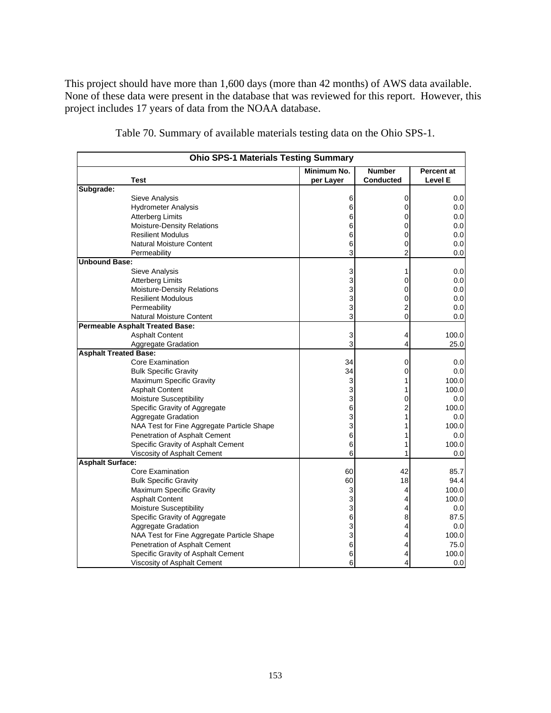This project should have more than 1,600 days (more than 42 months) of AWS data available. None of these data were present in the database that was reviewed for this report. However, this project includes 17 years of data from the NOAA database.

|                              | <b>Ohio SPS-1 Materials Testing Summary</b> |             |                  |                   |
|------------------------------|---------------------------------------------|-------------|------------------|-------------------|
|                              |                                             | Minimum No. | <b>Number</b>    | <b>Percent at</b> |
|                              | <b>Test</b>                                 | per Layer   | <b>Conducted</b> | <b>Level E</b>    |
| Subgrade:                    |                                             |             |                  |                   |
|                              | <b>Sieve Analysis</b>                       | 6           | 0                | 0.0               |
|                              | <b>Hydrometer Analysis</b>                  | 6           | 0                | 0.0               |
|                              | <b>Atterberg Limits</b>                     | 6           | 0                | 0.0               |
|                              | Moisture-Density Relations                  | 6           | 0                | 0.0               |
|                              | <b>Resilient Modulus</b>                    | 6           | 0                | 0.0               |
|                              | <b>Natural Moisture Content</b>             | 6           | 0                | 0.0               |
|                              | Permeability                                | 3           | $\overline{2}$   | 0.0               |
| <b>Unbound Base:</b>         |                                             |             |                  |                   |
|                              | Sieve Analysis                              | 3           | 1                | 0.0               |
|                              | <b>Atterberg Limits</b>                     | 3           | 0                | 0.0               |
|                              | Moisture-Density Relations                  | 3           | 0                | 0.0               |
|                              | <b>Resilient Modulous</b>                   | 3           | 0                | 0.0               |
|                              | Permeability                                | 3           | 2                | 0.0               |
|                              | <b>Natural Moisture Content</b>             | 3           | 0                | 0.0               |
|                              | <b>Permeable Asphalt Treated Base:</b>      |             |                  |                   |
|                              | <b>Asphalt Content</b>                      | 3           | 4                | 100.0             |
|                              | Aggregate Gradation                         | 3           | 4                | 25.0              |
| <b>Asphalt Treated Base:</b> |                                             |             |                  |                   |
|                              | Core Examination                            | 34          | 0                | 0.0               |
|                              | <b>Bulk Specific Gravity</b>                | 34          | 0                | 0.0               |
|                              | Maximum Specific Gravity                    | 3           | 1                | 100.0             |
|                              | <b>Asphalt Content</b>                      | 3           | 1                | 100.0             |
|                              | Moisture Susceptibility                     | 3           | 0                | 0.0               |
|                              | Specific Gravity of Aggregate               | 6           | $\overline{c}$   | 100.0             |
|                              | Aggregate Gradation                         | 3           | 1                | 0.0               |
|                              | NAA Test for Fine Aggregate Particle Shape  | 3           | 1                | 100.0             |
|                              | Penetration of Asphalt Cement               | 6           | 1                | 0.0               |
|                              | Specific Gravity of Asphalt Cement          | 6           |                  | 100.0             |
|                              | Viscosity of Asphalt Cement                 | 6           | 1                | 0.0               |
| <b>Asphalt Surface:</b>      |                                             |             |                  |                   |
|                              | Core Examination                            | 60          | 42               | 85.7              |
|                              | <b>Bulk Specific Gravity</b>                | 60          | 18               | 94.4              |
|                              | Maximum Specific Gravity                    | 3           | 4                | 100.0             |
|                              | <b>Asphalt Content</b>                      | 3           | 4                | 100.0             |
|                              | Moisture Susceptibility                     | 3           | 4                | 0.0               |
|                              | Specific Gravity of Aggregate               | 6           | 8                | 87.5              |
|                              | <b>Aggregate Gradation</b>                  | 3           | 4                | 0.0               |
|                              | NAA Test for Fine Aggregate Particle Shape  | 3           | 4                | 100.0             |
|                              | Penetration of Asphalt Cement               | 6           | 4                | 75.0              |
|                              | Specific Gravity of Asphalt Cement          | 6           | 4                | 100.0             |
|                              | Viscosity of Asphalt Cement                 | 6           | 4                | 0.0               |

Table 70. Summary of available materials testing data on the Ohio SPS-1.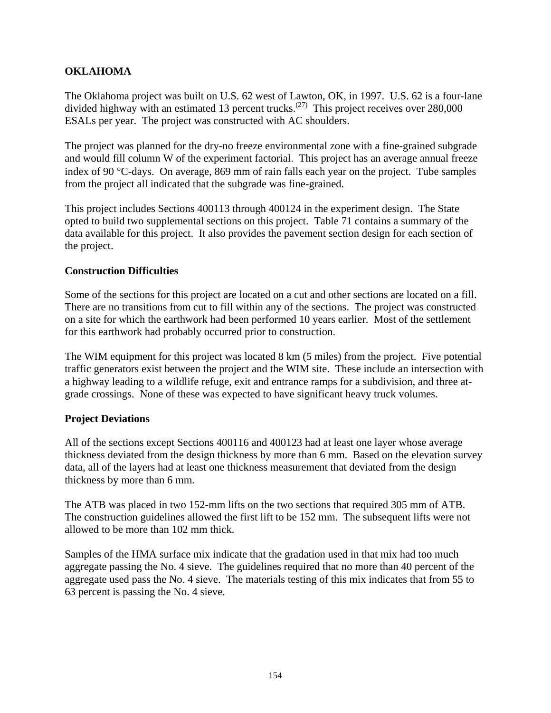### **OKLAHOMA**

The Oklahoma project was built on U.S. 62 west of Lawton, OK, in 1997. U.S. 62 is a four-lane divided highway with an estimated 13 percent trucks.<sup>(27)</sup> This project receives over 280,000 ESALs per year. The project was constructed with AC shoulders.

The project was planned for the dry-no freeze environmental zone with a fine-grained subgrade and would fill column W of the experiment factorial. This project has an average annual freeze index of 90 °C-days. On average, 869 mm of rain falls each year on the project. Tube samples from the project all indicated that the subgrade was fine-grained.

This project includes Sections 400113 through 400124 in the experiment design. The State opted to build two supplemental sections on this project. Table 71 contains a summary of the data available for this project. It also provides the pavement section design for each section of the project.

#### **Construction Difficulties**

Some of the sections for this project are located on a cut and other sections are located on a fill. There are no transitions from cut to fill within any of the sections. The project was constructed on a site for which the earthwork had been performed 10 years earlier. Most of the settlement for this earthwork had probably occurred prior to construction.

The WIM equipment for this project was located 8 km (5 miles) from the project. Five potential traffic generators exist between the project and the WIM site. These include an intersection with a highway leading to a wildlife refuge, exit and entrance ramps for a subdivision, and three atgrade crossings. None of these was expected to have significant heavy truck volumes.

### **Project Deviations**

All of the sections except Sections 400116 and 400123 had at least one layer whose average thickness deviated from the design thickness by more than 6 mm. Based on the elevation survey data, all of the layers had at least one thickness measurement that deviated from the design thickness by more than 6 mm.

The ATB was placed in two 152-mm lifts on the two sections that required 305 mm of ATB. The construction guidelines allowed the first lift to be 152 mm. The subsequent lifts were not allowed to be more than 102 mm thick.

Samples of the HMA surface mix indicate that the gradation used in that mix had too much aggregate passing the No. 4 sieve. The guidelines required that no more than 40 percent of the aggregate used pass the No. 4 sieve. The materials testing of this mix indicates that from 55 to 63 percent is passing the No. 4 sieve.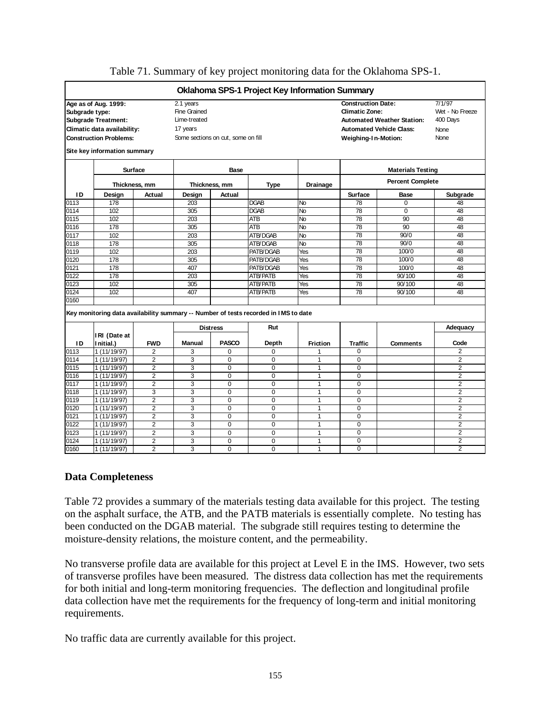|                |                               |                |                                    |                 |                                                                                     | Oklahoma SPS-1 Project Key Information Summary |                           |                                   |                 |
|----------------|-------------------------------|----------------|------------------------------------|-----------------|-------------------------------------------------------------------------------------|------------------------------------------------|---------------------------|-----------------------------------|-----------------|
|                | Age as of Aug. 1999:          |                | 2.1 years                          |                 |                                                                                     |                                                | <b>Construction Date:</b> |                                   | 7/1/97          |
| Subgrade type: |                               |                | <b>Fine Grained</b>                |                 |                                                                                     |                                                | <b>Climatic Zone:</b>     |                                   | Wet - No Freeze |
|                | <b>Subgrade Treatment:</b>    |                | Lime-treated                       |                 |                                                                                     |                                                |                           | <b>Automated Weather Station:</b> | 400 Days        |
|                | Climatic data availability:   |                | 17 years                           |                 |                                                                                     |                                                |                           | <b>Automated Vehicle Class:</b>   | None            |
|                | <b>Construction Problems:</b> |                | Some sections on cut, some on fill |                 |                                                                                     |                                                | Weighing-In-Motion:       |                                   | <b>None</b>     |
|                | Site key information summary  |                |                                    |                 |                                                                                     |                                                |                           |                                   |                 |
|                |                               | <b>Surface</b> |                                    | Base            |                                                                                     |                                                |                           | <b>Materials Testing</b>          |                 |
|                |                               | Thickness, mm  |                                    | Thickness, mm   | <b>Type</b>                                                                         | <b>Percent Complete</b>                        |                           |                                   |                 |
| ID             | Design                        | Actual         | Design                             | Actual          |                                                                                     |                                                | <b>Surface</b>            | <b>Base</b>                       | Subgrade        |
| 0113           | 178                           |                | 203                                |                 | <b>DGAB</b>                                                                         | No                                             | 78                        | $\Omega$                          | 48              |
| 0114           | 102                           |                | 305                                |                 | <b>DGAB</b>                                                                         | <b>No</b>                                      | 78                        | $\Omega$                          | 48              |
| 0115           | 102                           |                | 203                                |                 | <b>ATB</b>                                                                          | <b>No</b>                                      | 78                        | 90                                | 48              |
| 0116           | 178                           |                | 305                                |                 | <b>ATB</b>                                                                          | <b>No</b>                                      | 78                        | 90                                | 48              |
| 0117           | 102                           |                | 203                                |                 | ATB/DGAB                                                                            | <b>No</b>                                      | 78                        | 90/0                              | 48              |
| 0118           | 178                           |                | 305                                |                 | ATB/DGAB                                                                            | <b>No</b>                                      | 78                        | 90/0                              | 48              |
| 0119           | 102                           |                | 203                                |                 | PATB/DGAB                                                                           | Yes                                            | 78                        | 100/0                             | 48              |
| 0120           | 178                           |                | 305                                |                 | PATB/DGAB                                                                           | Yes                                            | 78                        | 100/0                             | 48              |
| 0121           | 178                           |                | 407                                |                 | PATB/DGAB                                                                           | Yes                                            | 78                        | 100/0                             | 48              |
| 0122           | 178                           |                | 203                                |                 | <b>ATB/PATB</b>                                                                     | Yes                                            | 78                        | 90/100                            | 48              |
| 0123           | 102                           |                | 305                                |                 | <b>ATB/PATB</b>                                                                     | Yes                                            | 78                        | 90/100                            | 48              |
| 0124           | 102                           |                | 407                                |                 | <b>ATB/PATB</b>                                                                     | Yes                                            | 78                        | 90/100                            | 48              |
| 0160           |                               |                |                                    |                 |                                                                                     |                                                |                           |                                   |                 |
|                |                               |                |                                    |                 | Key monitoring data availability summary -- Number of tests recorded in IMS to date |                                                |                           |                                   |                 |
|                |                               |                |                                    | <b>Distress</b> | Rut                                                                                 |                                                |                           |                                   | Adequacy        |
| ID             | IRI (Date at<br>Initial.)     | <b>FWD</b>     | <b>Manual</b>                      | <b>PASCO</b>    | Depth                                                                               | <b>Friction</b>                                | <b>Traffic</b>            | <b>Comments</b>                   | Code            |
| 0113           | 1 (11/19/97)                  | 2              | 3                                  | 0               | 0                                                                                   | 1                                              | 0                         |                                   | 2               |
| 0114           | 1 (11/19/97)                  | $\overline{2}$ | 3                                  | 0               | 0                                                                                   | 1                                              | 0                         |                                   | $\overline{2}$  |
| 0115           | 1 (11/19/97)                  | $\overline{2}$ | 3                                  | 0               | 0                                                                                   | 1                                              | $\mathbf 0$               |                                   | $\overline{2}$  |
| 0116           | 1 (11/19/97)                  | $\overline{2}$ | 3                                  | 0               | 0                                                                                   | 1                                              | 0                         |                                   | 2               |
| 0117           | 1(11/19/97)                   | $\overline{2}$ | 3                                  | $\overline{0}$  | $\overline{0}$                                                                      | 1                                              | $\Omega$                  |                                   | $\overline{2}$  |
| 0118           | 1(11/19/97)                   | 3              | 3                                  | $\overline{0}$  | $\overline{0}$                                                                      | 1                                              | $\mathbf 0$               |                                   | $\overline{2}$  |
| 0119           | 1 (11/19/97)                  | 2              | 3                                  | $\mathbf 0$     | 0                                                                                   | 1                                              | $\mathbf 0$               |                                   | $\overline{2}$  |
| 0120           | 1 (11/19/97)                  | $\overline{2}$ | 3                                  | $\Omega$        | $\Omega$                                                                            | $\mathbf{1}$                                   | $\Omega$                  |                                   | $\overline{2}$  |
| 0121           | 1(11/19/97)                   | $\overline{2}$ | 3                                  | $\Omega$        | $\overline{0}$                                                                      | 1                                              | $\Omega$                  |                                   | $\overline{2}$  |
| 0122           | 1 (11/19/97)                  | 2              | 3                                  | 0               | 0                                                                                   | 1                                              | 0                         |                                   | 2               |
| 0123           | 1 (11/19/97)                  | $\overline{2}$ | 3                                  | $\overline{0}$  | $\overline{0}$                                                                      | 1                                              | $\Omega$                  |                                   | $\overline{2}$  |
| 0124           | 1 (11/19/97)                  | $\overline{2}$ | 3                                  | $\Omega$        | $\Omega$                                                                            | 1                                              | 0                         |                                   | $\overline{2}$  |
| 0160           | 1 (11/19/97)                  | $\overline{2}$ | 3                                  | $\Omega$        | $\Omega$                                                                            | $\mathbf{1}$                                   | $\Omega$                  |                                   | 2               |

#### Table 71. Summary of key project monitoring data for the Oklahoma SPS-1.

#### **Data Completeness**

Table 72 provides a summary of the materials testing data available for this project. The testing on the asphalt surface, the ATB, and the PATB materials is essentially complete. No testing has been conducted on the DGAB material. The subgrade still requires testing to determine the moisture-density relations, the moisture content, and the permeability.

No transverse profile data are available for this project at Level E in the IMS. However, two sets of transverse profiles have been measured. The distress data collection has met the requirements for both initial and long-term monitoring frequencies. The deflection and longitudinal profile data collection have met the requirements for the frequency of long-term and initial monitoring requirements.

No traffic data are currently available for this project.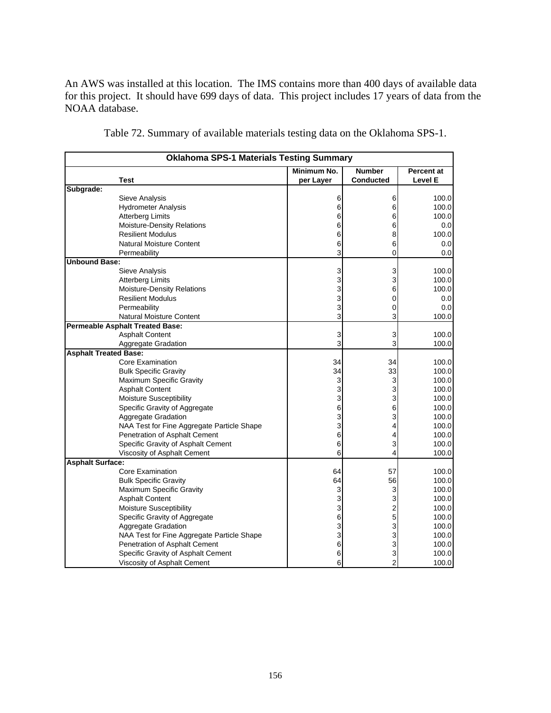An AWS was installed at this location. The IMS contains more than 400 days of available data for this project. It should have 699 days of data. This project includes 17 years of data from the NOAA database.

|                              | <b>Oklahoma SPS-1 Materials Testing Summary</b> |             |                  |                   |
|------------------------------|-------------------------------------------------|-------------|------------------|-------------------|
|                              |                                                 | Minimum No. | <b>Number</b>    | <b>Percent at</b> |
|                              | Test                                            | per Layer   | <b>Conducted</b> | Level E           |
| Subgrade:                    |                                                 |             |                  |                   |
|                              | Sieve Analysis                                  | 6           | 6                | 100.0             |
|                              | <b>Hydrometer Analysis</b>                      | 6           | 6                | 100.0             |
|                              | <b>Atterberg Limits</b>                         | 6           | 6                | 100.0             |
|                              | <b>Moisture-Density Relations</b>               | 6           | 6                | 0.0               |
|                              | <b>Resilient Modulus</b>                        | 6           | 8                | 100.0             |
|                              | <b>Natural Moisture Content</b>                 | 6           | 6                | 0.0               |
|                              | Permeability                                    | 3           | 0                | 0.0               |
| <b>Unbound Base:</b>         |                                                 |             |                  |                   |
|                              | Sieve Analysis                                  | 3           | 3                | 100.0             |
|                              | <b>Atterberg Limits</b>                         | 3           | 3                | 100.0             |
|                              | Moisture-Density Relations                      | 3           | 6                | 100.0             |
|                              | <b>Resilient Modulus</b>                        | 3           | 0                | 0.0               |
|                              | Permeability                                    | 3           | 0                | 0.0               |
|                              | <b>Natural Moisture Content</b>                 | 3           | 3                | 100.0             |
|                              | <b>Permeable Asphalt Treated Base:</b>          |             |                  |                   |
|                              | <b>Asphalt Content</b>                          | 3           | 3                | 100.0             |
|                              | Aggregate Gradation                             | 3           | 3                | 100.0             |
| <b>Asphalt Treated Base:</b> |                                                 |             |                  |                   |
|                              | <b>Core Examination</b>                         | 34          | 34               | 100.0             |
|                              | <b>Bulk Specific Gravity</b>                    | 34          | 33               | 100.0             |
|                              | Maximum Specific Gravity                        | 3           | 3                | 100.0             |
|                              | <b>Asphalt Content</b>                          | 3           | 3                | 100.0             |
|                              | Moisture Susceptibility                         | 3           | 3                | 100.0             |
|                              | Specific Gravity of Aggregate                   | 6           | 6                | 100.0             |
|                              | Aggregate Gradation                             | 3           | 3                | 100.0             |
|                              | NAA Test for Fine Aggregate Particle Shape      | 3           | 4                | 100.0             |
|                              | Penetration of Asphalt Cement                   | 6           | 4                | 100.0             |
|                              | Specific Gravity of Asphalt Cement              | 6           | 3                | 100.0             |
|                              | Viscosity of Asphalt Cement                     | 6           | 4                | 100.0             |
| <b>Asphalt Surface:</b>      |                                                 |             |                  |                   |
|                              | Core Examination                                | 64          | 57               | 100.0             |
|                              | <b>Bulk Specific Gravity</b>                    | 64          | 56               | 100.0             |
|                              | Maximum Specific Gravity                        | 3           | 3                | 100.0             |
|                              | <b>Asphalt Content</b>                          | 3           | 3                | 100.0             |
|                              | Moisture Susceptibility                         | 3           | 2                | 100.0             |
|                              | Specific Gravity of Aggregate                   | 6           | 5                | 100.0             |
|                              | Aggregate Gradation                             | 3           | 3                | 100.0             |
|                              | NAA Test for Fine Aggregate Particle Shape      | 3           | 3                | 100.0             |
|                              | Penetration of Asphalt Cement                   | 6           | 3                | 100.0             |
|                              | Specific Gravity of Asphalt Cement              | 6           | 3                | 100.0             |
|                              | Viscosity of Asphalt Cement                     | 6           | 2                | 100.0             |

Table 72. Summary of available materials testing data on the Oklahoma SPS-1.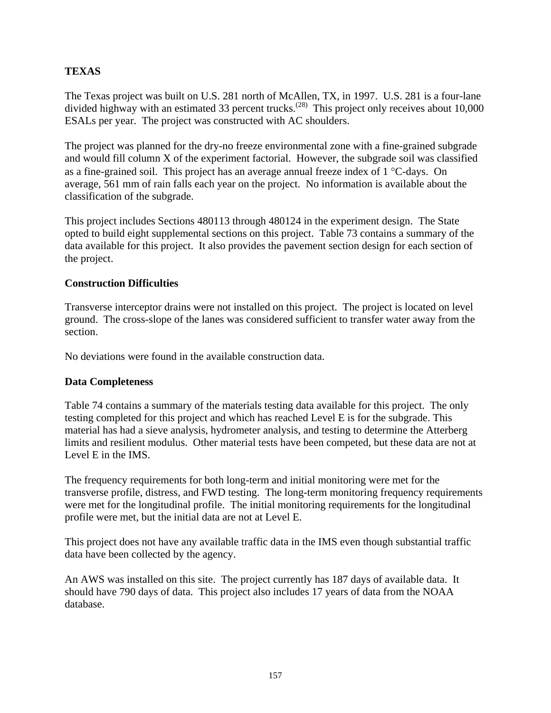### **TEXAS**

The Texas project was built on U.S. 281 north of McAllen, TX, in 1997. U.S. 281 is a four-lane divided highway with an estimated 33 percent trucks.<sup> $(28)$ </sup> This project only receives about 10,000 ESALs per year. The project was constructed with AC shoulders.

The project was planned for the dry-no freeze environmental zone with a fine-grained subgrade and would fill column X of the experiment factorial. However, the subgrade soil was classified as a fine-grained soil. This project has an average annual freeze index of 1 °C-days. On average, 561 mm of rain falls each year on the project. No information is available about the classification of the subgrade.

This project includes Sections 480113 through 480124 in the experiment design. The State opted to build eight supplemental sections on this project. Table 73 contains a summary of the data available for this project. It also provides the pavement section design for each section of the project.

#### **Construction Difficulties**

Transverse interceptor drains were not installed on this project. The project is located on level ground. The cross-slope of the lanes was considered sufficient to transfer water away from the section.

No deviations were found in the available construction data.

#### **Data Completeness**

Table 74 contains a summary of the materials testing data available for this project. The only testing completed for this project and which has reached Level E is for the subgrade. This material has had a sieve analysis, hydrometer analysis, and testing to determine the Atterberg limits and resilient modulus. Other material tests have been competed, but these data are not at Level E in the IMS.

The frequency requirements for both long-term and initial monitoring were met for the transverse profile, distress, and FWD testing. The long-term monitoring frequency requirements were met for the longitudinal profile. The initial monitoring requirements for the longitudinal profile were met, but the initial data are not at Level E.

This project does not have any available traffic data in the IMS even though substantial traffic data have been collected by the agency.

An AWS was installed on this site. The project currently has 187 days of available data. It should have 790 days of data. This project also includes 17 years of data from the NOAA database.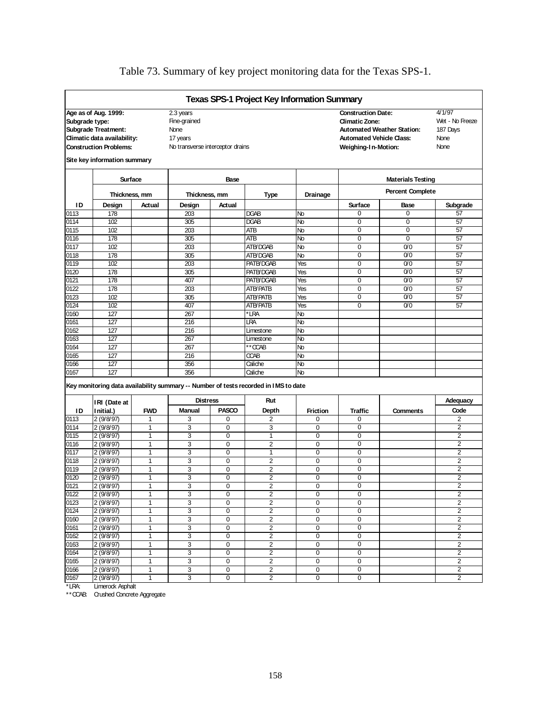|                |                                                                                                                                                    |                 |                                                                                   |              | <b>Texas SPS-1 Project Key Information Summary</b>                                             |                      |                                                                                                                     |                                                     |                                                       |  |
|----------------|----------------------------------------------------------------------------------------------------------------------------------------------------|-----------------|-----------------------------------------------------------------------------------|--------------|------------------------------------------------------------------------------------------------|----------------------|---------------------------------------------------------------------------------------------------------------------|-----------------------------------------------------|-------------------------------------------------------|--|
| Subgrade type: | Age as of Aug. 1999:<br><b>Subgrade Treatment:</b><br>Climatic data availability:<br><b>Construction Problems:</b><br>Site key information summary |                 | 2.3 years<br>Fine-grained<br>None<br>17 years<br>No transverse interceptor drains |              |                                                                                                |                      | <b>Construction Date:</b><br><b>Climatic Zone:</b><br><b>Automated Vehicle Class:</b><br><b>Weighing-In-Motion:</b> | <b>Automated Weather Station:</b>                   | 4/1/97<br>Wet - No Freeze<br>187 Days<br>None<br>None |  |
|                | Surface                                                                                                                                            |                 |                                                                                   | <b>Base</b>  |                                                                                                |                      |                                                                                                                     |                                                     |                                                       |  |
|                |                                                                                                                                                    |                 |                                                                                   |              |                                                                                                |                      |                                                                                                                     | <b>Materials Testing</b><br><b>Percent Complete</b> |                                                       |  |
| ΙD             | Thickness, mm<br>Design                                                                                                                            | Actual          | Thickness, mm<br>Design                                                           | Actual       | <b>Type</b>                                                                                    | Drainage             | Surface                                                                                                             | Base                                                | Subgrade                                              |  |
| 0113           | 178                                                                                                                                                |                 | 203                                                                               |              | DGAB                                                                                           | No                   | 0                                                                                                                   | 0                                                   | 57                                                    |  |
| 0114           | 102                                                                                                                                                |                 | 305                                                                               |              | <b>DGAB</b>                                                                                    | No                   | 0                                                                                                                   | 0                                                   | 57                                                    |  |
| 0115           | 102                                                                                                                                                |                 | 203                                                                               |              | <b>ATB</b>                                                                                     | No                   | $\overline{0}$                                                                                                      | $\overline{0}$                                      | 57                                                    |  |
| 0116           | 178                                                                                                                                                |                 | 305                                                                               |              | <b>ATB</b>                                                                                     | No                   | $\overline{0}$                                                                                                      | $\overline{0}$                                      | 57                                                    |  |
| 0117           | 102                                                                                                                                                |                 | 203                                                                               |              | ATB/DGAB                                                                                       | No                   | 0                                                                                                                   | 0/0                                                 | 57                                                    |  |
| 0118           | 178                                                                                                                                                |                 | 305                                                                               |              | ATB/DGAB                                                                                       | No                   | $\mathbf 0$                                                                                                         | 0/0                                                 | 57                                                    |  |
| 0119           | 102                                                                                                                                                |                 | 203                                                                               |              | PATE/DGAB                                                                                      | Yes                  | $\mathbf 0$                                                                                                         | 0/0                                                 | 57                                                    |  |
| 0120           | 178                                                                                                                                                |                 | 305                                                                               |              | PATE/DGAB                                                                                      | Yes                  | 0                                                                                                                   | 0/0                                                 | 57                                                    |  |
| 0121           | 178                                                                                                                                                |                 | 407                                                                               |              | PATB/DGAB                                                                                      | Yes                  | $\mathbf 0$                                                                                                         | 0/0                                                 | 57                                                    |  |
| 0122           | 178                                                                                                                                                |                 | 203                                                                               |              | <b>ATB/PATB</b>                                                                                | Yes                  | 0                                                                                                                   | 0/0                                                 | 57                                                    |  |
| 0123           | 102                                                                                                                                                |                 | 305                                                                               |              | <b>ATB/PATB</b>                                                                                | Yes                  | $\mathbf 0$                                                                                                         | 0/0                                                 | 57                                                    |  |
| 0124           | 102                                                                                                                                                |                 | 407                                                                               |              | <b>ATB/PATB</b>                                                                                | Yes                  | 0                                                                                                                   | 0/0                                                 | 57                                                    |  |
| 0160           | 127                                                                                                                                                |                 | 267                                                                               |              | LRA                                                                                            | No                   |                                                                                                                     |                                                     |                                                       |  |
| 0161           | 127                                                                                                                                                |                 | 216                                                                               |              | LRA                                                                                            | No                   |                                                                                                                     |                                                     |                                                       |  |
| 0162           | 127                                                                                                                                                |                 | 216                                                                               |              | Limestone                                                                                      | No                   |                                                                                                                     |                                                     |                                                       |  |
| 0163           | 127                                                                                                                                                |                 | 267                                                                               |              | Limestone                                                                                      | No                   |                                                                                                                     |                                                     |                                                       |  |
| 0164           | 127                                                                                                                                                |                 | 267                                                                               |              | **CCAB                                                                                         | No                   |                                                                                                                     |                                                     |                                                       |  |
| 0165           | 127                                                                                                                                                |                 | 216                                                                               |              | <b>CCAB</b>                                                                                    | No                   |                                                                                                                     |                                                     |                                                       |  |
| 0166           | 127<br>127                                                                                                                                         |                 | 356                                                                               |              | Caliche                                                                                        | No                   |                                                                                                                     |                                                     |                                                       |  |
| 0167           |                                                                                                                                                    |                 | 356                                                                               |              | Caliche<br>Key monitoring data availability summary -- Number of tests recorded in IMS to date | No                   |                                                                                                                     |                                                     |                                                       |  |
|                |                                                                                                                                                    |                 | <b>Distress</b>                                                                   |              | Rut                                                                                            |                      |                                                                                                                     |                                                     | Adequacy                                              |  |
|                | IRI (Date at                                                                                                                                       |                 | <b>Manual</b>                                                                     | <b>PASCO</b> |                                                                                                |                      |                                                                                                                     |                                                     | Code                                                  |  |
| ID<br>0113     | Initial.)<br>2(9/8/97)                                                                                                                             | <b>FWD</b><br>1 | 3                                                                                 | 0            | Depth<br>2                                                                                     | <b>Friction</b><br>0 | <b>Traffic</b><br>0                                                                                                 | <b>Comments</b>                                     | $\overline{2}$                                        |  |
| 0114           | 2(9/8/97)                                                                                                                                          | 1               | 3                                                                                 | 0            | 3                                                                                              | 0                    | 0                                                                                                                   |                                                     | $\overline{2}$                                        |  |
| 0115           | 2(9/8/97)                                                                                                                                          | 1               | 3                                                                                 | $\mathbf 0$  | $\mathbf{1}$                                                                                   | $\mathbf 0$          | $\overline{0}$                                                                                                      |                                                     | $\overline{2}$                                        |  |
| 0116           | 2(9/8/97)                                                                                                                                          | 1               | 3                                                                                 | 0            | 2                                                                                              | 0                    | 0                                                                                                                   |                                                     | 2                                                     |  |
| 0117           | 2(9/8/97)                                                                                                                                          | $\mathbf{1}$    | 3                                                                                 | 0            | 1                                                                                              | $\mathbf 0$          | $\mathbf 0$                                                                                                         |                                                     | $\overline{2}$                                        |  |
| 0118           | 2(9/8/97)                                                                                                                                          | $\mathbf{1}$    | 3                                                                                 | 0            | 2                                                                                              | $\mathbf 0$          | 0                                                                                                                   |                                                     | $\overline{2}$                                        |  |
| 0119           | 2 (9/8/97)                                                                                                                                         | $\mathbf{1}$    | 3                                                                                 | 0            | 2                                                                                              | 0                    | $\mathbf 0$                                                                                                         |                                                     | 2                                                     |  |
| 0120           | 2 (9/8/97)                                                                                                                                         | 1               | 3                                                                                 | 0            | 2                                                                                              | $\mathbf 0$          | 0                                                                                                                   |                                                     | $\overline{2}$                                        |  |
| 0121           | 2 (9/8/97)                                                                                                                                         | 1               | 3                                                                                 | 0            | 2                                                                                              | 0                    | 0                                                                                                                   |                                                     | 2                                                     |  |
| 0122           | 2 (9/8/97)                                                                                                                                         | 1               | 3                                                                                 | 0            | 2                                                                                              | 0                    | 0                                                                                                                   |                                                     | 2                                                     |  |
| 0123           | 2 (9/8/97)                                                                                                                                         | 1               | 3                                                                                 | $\mathbf 0$  | 2                                                                                              | $\mathbf 0$          | 0                                                                                                                   |                                                     | 2                                                     |  |
| 0124           | 2(9/8/97)                                                                                                                                          | 1               | 3                                                                                 | 0            | 2                                                                                              | $\mathbf 0$          | $\overline{0}$                                                                                                      |                                                     | 2                                                     |  |
| 0160           | 2(9/8/97)                                                                                                                                          | 1               | 3                                                                                 | 0            | $\overline{\mathbf{c}}$                                                                        | $\mathbf 0$          | 0                                                                                                                   |                                                     | $\overline{c}$                                        |  |
| 0161           | 2(9/8/97)                                                                                                                                          | 1               | 3                                                                                 | 0            | $\overline{2}$                                                                                 | 0                    | $\pmb{0}$                                                                                                           |                                                     | $\overline{2}$                                        |  |
| 0162           | 2(9/8/97)                                                                                                                                          | 1               | 3                                                                                 | 0            | 2                                                                                              | 0                    | 0                                                                                                                   |                                                     | $\overline{c}$                                        |  |
| 0163           | 2(9/8/97)                                                                                                                                          | $\mathbf{1}$    | 3                                                                                 | 0            | $\overline{\mathbf{c}}$                                                                        | 0                    | 0                                                                                                                   |                                                     | $\overline{2}$                                        |  |
| 0164           | 2(9/8/97)                                                                                                                                          | 1               | 3                                                                                 | 0            | 2                                                                                              | 0                    | 0                                                                                                                   |                                                     | $\overline{c}$                                        |  |
| 0165           | 2(9/8/97)                                                                                                                                          | 1               | 3                                                                                 | 0            | 2                                                                                              | 0                    | 0                                                                                                                   |                                                     | $\overline{2}$                                        |  |
| 0166           | 2(9/8/97)                                                                                                                                          | 1               | 3                                                                                 | 0            | 2                                                                                              | 0                    | 0                                                                                                                   |                                                     | $\overline{2}$                                        |  |
| 0167           | 2(9/8/97)                                                                                                                                          | 1               | 3                                                                                 | 0            | 2                                                                                              | $\mathbf 0$          | 0                                                                                                                   |                                                     | $\overline{2}$                                        |  |

# Table 73. Summary of key project monitoring data for the Texas SPS-1.

\*LRA: Limerock Asphalt

\*\*CCAB: Crushed Concrete Aggregate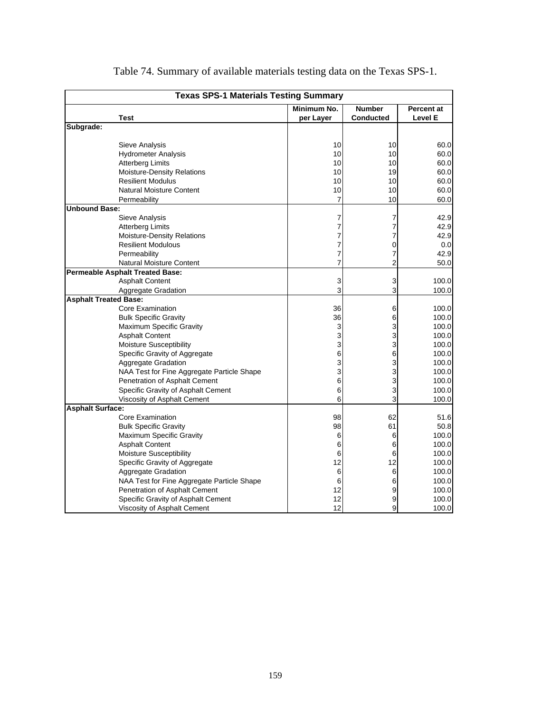| <b>Texas SPS-1 Materials Testing Summary</b>                        |                |                  |                |
|---------------------------------------------------------------------|----------------|------------------|----------------|
|                                                                     | Minimum No.    | <b>Number</b>    | Percent at     |
| Test                                                                | per Layer      | <b>Conducted</b> | <b>Level E</b> |
| Subgrade:                                                           |                |                  |                |
|                                                                     |                |                  |                |
| Sieve Analysis                                                      | 10             | 10               | 60.0           |
| <b>Hydrometer Analysis</b>                                          | 10             | 10               | 60.0           |
| <b>Atterberg Limits</b>                                             | 10             | 10               | 60.0           |
| Moisture-Density Relations                                          | 10             | 19               | 60.0           |
| <b>Resilient Modulus</b>                                            | 10             | 10               | 60.0           |
| <b>Natural Moisture Content</b>                                     | 10             | 10               | 60.0           |
| Permeability                                                        | $\overline{7}$ | 10               | 60.0           |
| <b>Unbound Base:</b>                                                |                |                  |                |
| Sieve Analysis                                                      | 7              | 7                | 42.9           |
| <b>Atterberg Limits</b>                                             | 7              | 7                | 42.9           |
| Moisture-Density Relations                                          | 7              | 7                | 42.9           |
| <b>Resilient Modulous</b>                                           | 7              | 0                | 0.0            |
| Permeability                                                        | 7              | 7                | 42.9           |
| <b>Natural Moisture Content</b>                                     | 7              | 2                | 50.0           |
| <b>Permeable Asphalt Treated Base:</b>                              |                |                  |                |
| <b>Asphalt Content</b>                                              | 3              | 3                | 100.0          |
| Aggregate Gradation                                                 | 3              | 3                | 100.0          |
| <b>Asphalt Treated Base:</b><br>Core Examination                    |                |                  |                |
|                                                                     | 36             | 6                | 100.0          |
| <b>Bulk Specific Gravity</b>                                        | 36             | 6                | 100.0<br>100.0 |
| Maximum Specific Gravity                                            | 3<br>3         | 3                |                |
| <b>Asphalt Content</b><br>Moisture Susceptibility                   |                | 3                | 100.0<br>100.0 |
|                                                                     | 3              | 3                |                |
| Specific Gravity of Aggregate                                       | 6<br>3         | 6<br>3           | 100.0          |
| <b>Aggregate Gradation</b>                                          |                |                  | 100.0          |
| NAA Test for Fine Aggregate Particle Shape                          | 3<br>6         | 3                | 100.0<br>100.0 |
| Penetration of Asphalt Cement<br>Specific Gravity of Asphalt Cement | 6              | 3<br>3           | 100.0          |
| Viscosity of Asphalt Cement                                         | 6              | 3                | 100.0          |
| <b>Asphalt Surface:</b>                                             |                |                  |                |
| Core Examination                                                    | 98             | 62               | 51.6           |
| <b>Bulk Specific Gravity</b>                                        | 98             | 61               | 50.8           |
| Maximum Specific Gravity                                            | 6              | 6                | 100.0          |
| <b>Asphalt Content</b>                                              | 6              | 6                | 100.0          |
| <b>Moisture Susceptibility</b>                                      | 6              | 6                | 100.0          |
| Specific Gravity of Aggregate                                       | 12             | 12               | 100.0          |
| <b>Aggregate Gradation</b>                                          | 6              | 6                | 100.0          |
| NAA Test for Fine Aggregate Particle Shape                          | 6              | 6                | 100.0          |
| Penetration of Asphalt Cement                                       | 12             | 9                | 100.0          |
| Specific Gravity of Asphalt Cement                                  | 12             | 9                | 100.0          |
|                                                                     | 12             | 9                |                |
| Viscosity of Asphalt Cement                                         |                |                  | 100.0          |

# Table 74. Summary of available materials testing data on the Texas SPS-1.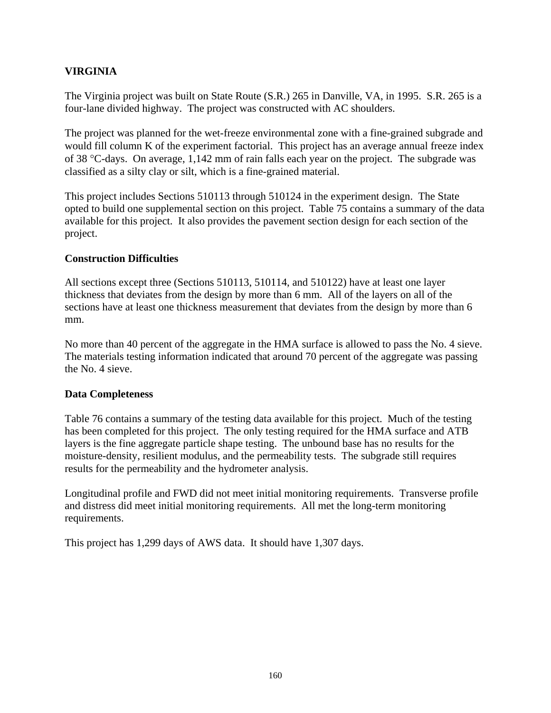### **VIRGINIA**

The Virginia project was built on State Route (S.R.) 265 in Danville, VA, in 1995. S.R. 265 is a four-lane divided highway. The project was constructed with AC shoulders.

The project was planned for the wet-freeze environmental zone with a fine-grained subgrade and would fill column K of the experiment factorial. This project has an average annual freeze index of 38 °C-days. On average, 1,142 mm of rain falls each year on the project. The subgrade was classified as a silty clay or silt, which is a fine-grained material.

This project includes Sections 510113 through 510124 in the experiment design. The State opted to build one supplemental section on this project. Table 75 contains a summary of the data available for this project. It also provides the pavement section design for each section of the project.

#### **Construction Difficulties**

All sections except three (Sections 510113, 510114, and 510122) have at least one layer thickness that deviates from the design by more than 6 mm. All of the layers on all of the sections have at least one thickness measurement that deviates from the design by more than 6 mm.

No more than 40 percent of the aggregate in the HMA surface is allowed to pass the No. 4 sieve. The materials testing information indicated that around 70 percent of the aggregate was passing the No. 4 sieve.

#### **Data Completeness**

Table 76 contains a summary of the testing data available for this project. Much of the testing has been completed for this project. The only testing required for the HMA surface and ATB layers is the fine aggregate particle shape testing. The unbound base has no results for the moisture-density, resilient modulus, and the permeability tests. The subgrade still requires results for the permeability and the hydrometer analysis.

Longitudinal profile and FWD did not meet initial monitoring requirements. Transverse profile and distress did meet initial monitoring requirements. All met the long-term monitoring requirements.

This project has 1,299 days of AWS data. It should have 1,307 days.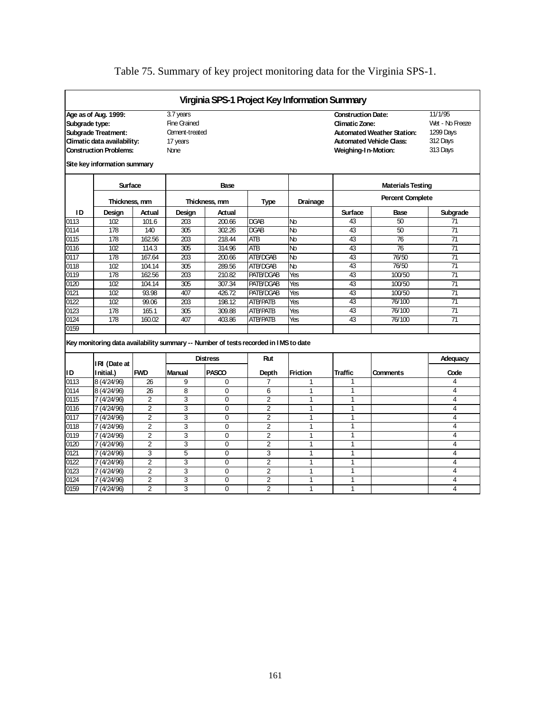# Table 75. Summary of key project monitoring data for the Virginia SPS-1.

|                |                                                                                      |                |                     |                 |                 | Virginia SPS-1 Project Key Information Summary |                           |                                   |                 |  |  |
|----------------|--------------------------------------------------------------------------------------|----------------|---------------------|-----------------|-----------------|------------------------------------------------|---------------------------|-----------------------------------|-----------------|--|--|
|                | Age as of Aug. 1999:                                                                 |                | 3.7 years           |                 |                 |                                                | <b>Construction Date:</b> |                                   | 11/1/95         |  |  |
| Subgrade type: |                                                                                      |                | <b>Fine Grained</b> |                 |                 |                                                | <b>Climatic Zone:</b>     |                                   | Wet - No Freeze |  |  |
|                | <b>Subgrade Treatment:</b>                                                           |                | Cement-treated      |                 |                 |                                                |                           | <b>Automated Weather Station:</b> | 1299 Days       |  |  |
|                | Climatic data availability:                                                          |                | 17 years            |                 |                 |                                                |                           | <b>Automated Vehicle Class:</b>   | 312 Days        |  |  |
|                | <b>Construction Problems:</b>                                                        |                | <b>None</b>         |                 |                 |                                                | Weighing-1 n-Motion:      |                                   | 313 Days        |  |  |
|                | Site key information summary                                                         |                |                     |                 |                 |                                                |                           |                                   |                 |  |  |
|                | Surface                                                                              |                |                     | Base            |                 |                                                |                           | <b>Materials Testing</b>          |                 |  |  |
|                | Thickness, mm                                                                        |                |                     | Thickness, mm   | Type            | Drainage                                       |                           | <b>Percent Complete</b>           |                 |  |  |
| ID             | Design                                                                               | Actual         | Design              | Actual          |                 |                                                | <b>Surface</b>            | Base                              | Subgrade        |  |  |
| 0113           | 102                                                                                  | 101.6          | 203                 | 200.66          | DGAB            | Nb                                             | 43                        | 50                                | 71              |  |  |
| 0114           | 178                                                                                  | 140            | 305                 | 302.26          | DGAB            | Nb                                             | 43                        | 50                                | $\overline{71}$ |  |  |
| 0115           | 178                                                                                  | 162.56         | 203                 | 218.44          | ATB             | Nb                                             | 43                        | 76                                | 71              |  |  |
| 0116           | 102                                                                                  | 114.3          | 305                 | 314.96          | <b>ATB</b>      | Nb                                             | 43                        | 76                                | $\overline{71}$ |  |  |
| 0117           | 178                                                                                  | 167.64         | 203                 | 200.66          | ATB/DGAB        | Nb                                             | 43                        | 76/50                             | $\overline{71}$ |  |  |
| 0118           | 102                                                                                  | 104.14         | 305                 | 289.56          | ATB/DGAB        | Nb                                             | 43                        | 76/50                             | $\overline{71}$ |  |  |
| 0119           | 178                                                                                  | 162.56         | 203                 | 210.82          | PATB/DGAB       | Yes                                            | 43                        | 100/50                            | 71              |  |  |
| 0120           | 102                                                                                  | 104.14         | 305                 | 307.34          | PATB/DGAB       | Yes                                            | 43                        | 100/50                            | $\overline{71}$ |  |  |
| 0121           | 102                                                                                  | 93.98          | 407                 | 426.72          | PATB/DGAB       | Yes                                            | 43                        | 100/50                            | 71              |  |  |
| 0122           | 102                                                                                  | 99.06          | 203                 | 198.12          | ATB/PATB        | Yes                                            | 43                        | 76/100                            | $\overline{71}$ |  |  |
| 0123           | 178                                                                                  | 165.1          | 305                 | 309.88          | <b>ATB/PATB</b> | Yes                                            | 43                        | 76/100                            | 71              |  |  |
| 0124           | 178                                                                                  | 160.02         | 407                 | 403.86          | <b>ATB/PATB</b> | Yes                                            | 43                        | 76/100                            | $\overline{71}$ |  |  |
| 0159           |                                                                                      |                |                     |                 |                 |                                                |                           |                                   |                 |  |  |
|                | Key monitoring data availability summary -- Number of tests recorded in I MS to date |                |                     |                 |                 |                                                |                           |                                   |                 |  |  |
|                | IRI (Date at                                                                         |                |                     | <b>Distress</b> | Rut             |                                                |                           |                                   | Adequacy        |  |  |
| ID             | I nitial.)                                                                           | <b>FWD</b>     | Manual              | PASCO           | Depth           | <b>Friction</b>                                | Traffic                   | <b>Comments</b>                   | Code            |  |  |
| 0113           | 8 (4/24/96)                                                                          | 26             | 9                   | $\mathbf 0$     | 7               | 1                                              | 1                         |                                   | 4               |  |  |
| 0114           | 8 (4/24/96)                                                                          | 26             | $\overline{8}$      | $\mathbf 0$     | 6               | 1                                              | 1                         |                                   | 4               |  |  |
| 0115           | 7 (4/24/96)                                                                          | $\overline{2}$ | 3                   | $\mathbf 0$     | $\overline{2}$  | 1                                              | 1                         |                                   | 4               |  |  |
| 0116           | 7 (4/24/96)                                                                          | $\overline{2}$ | 3                   | $\mathbf 0$     | $\overline{2}$  | 1                                              | 1                         |                                   | 4               |  |  |
| 0117           | 7 (4/24/96)                                                                          | $\overline{2}$ | 3                   | $\mathbf 0$     | $\overline{2}$  | 1                                              | 1                         |                                   | 4               |  |  |
| 0118           | 7 (4/24/96)                                                                          | $\overline{2}$ | 3                   | $\mathbf 0$     | 2               | 1                                              | 1                         |                                   | 4               |  |  |
| 0119           | 7 (4/24/96)                                                                          | $\overline{2}$ | 3                   | 0               | 2               | 1                                              | 1                         |                                   | 4               |  |  |
| 0120           | 7 (4/24/96)                                                                          | $\overline{2}$ | 3                   | $\Omega$        | 2               | 1                                              | 1                         |                                   | 4               |  |  |
| 0121           | 7 (4/24/96)                                                                          | 3              | 5                   | $\mathbf 0$     | 3               | 1                                              | 1                         |                                   | 4               |  |  |
| 0122           | 7 (4/24/96)                                                                          | $\overline{2}$ | 3                   | $\mathbf 0$     | $\overline{2}$  | 1                                              | 1                         |                                   | $\overline{4}$  |  |  |
| 0123           | 7 (4/24/96)                                                                          | $\overline{2}$ | 3                   | $\mathbf 0$     | $\overline{2}$  | 1                                              | 1                         |                                   | 4               |  |  |
| 0124           | 7 (4/24/96)                                                                          | $\overline{2}$ | 3                   | $\mathbf 0$     | $\overline{2}$  | 1                                              | 1                         |                                   | 4               |  |  |
| 0159           | 7 (4/24/96)                                                                          | $\overline{2}$ | 3                   | $\mathbf 0$     | $\overline{2}$  | 1                                              | 1                         |                                   | 4               |  |  |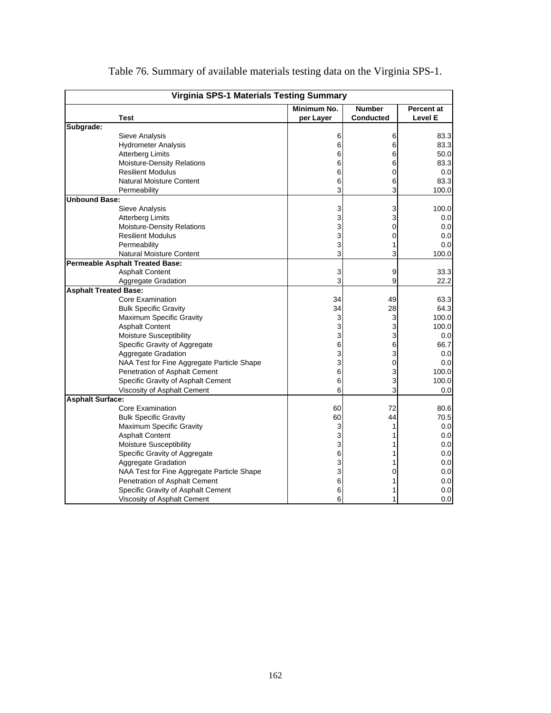|                              | <b>Virginia SPS-1 Materials Testing Summary</b> |             |                  |                |
|------------------------------|-------------------------------------------------|-------------|------------------|----------------|
|                              |                                                 | Minimum No. | <b>Number</b>    | Percent at     |
|                              | Test                                            | per Layer   | <b>Conducted</b> | <b>Level E</b> |
| Subgrade:                    |                                                 |             |                  |                |
|                              | Sieve Analysis                                  | 6           | 6                | 83.3           |
|                              | <b>Hydrometer Analysis</b>                      | 6           | 6                | 83.3           |
|                              | <b>Atterberg Limits</b>                         | 6           | 6                | 50.0           |
|                              | Moisture-Density Relations                      | 6           | 6                | 83.3           |
|                              | <b>Resilient Modulus</b>                        | 6           | 0                | 0.0            |
|                              | Natural Moisture Content                        | 6           | 6                | 83.3           |
|                              | Permeability                                    | 3           | 3                | 100.0          |
| <b>Unbound Base:</b>         |                                                 |             |                  |                |
|                              | Sieve Analysis                                  | 3           | 3                | 100.0          |
|                              | <b>Atterberg Limits</b>                         | 3           | 3                | 0.0            |
|                              | Moisture-Density Relations                      | 3           | 0                | 0.0            |
|                              | <b>Resilient Modulus</b>                        | 3           | 0                | 0.0            |
|                              | Permeability                                    | 3           |                  | 0.0            |
|                              | <b>Natural Moisture Content</b>                 | 3           | 3                | 100.0          |
|                              | Permeable Asphalt Treated Base:                 |             |                  |                |
|                              | <b>Asphalt Content</b>                          | 3           | 9                | 33.3           |
|                              | Aggregate Gradation                             | 3           | 9                | 22.2           |
| <b>Asphalt Treated Base:</b> |                                                 |             |                  |                |
|                              | Core Examination                                | 34          | 49               | 63.3           |
|                              | <b>Bulk Specific Gravity</b>                    | 34          | 28               | 64.3           |
|                              | <b>Maximum Specific Gravity</b>                 | 3           | 3                | 100.0          |
|                              | <b>Asphalt Content</b>                          | 3           | 3                | 100.0          |
|                              | <b>Moisture Susceptibility</b>                  | 3           | 3                | 0.0            |
|                              | Specific Gravity of Aggregate                   | 6           | 6                | 66.7           |
|                              | Aggregate Gradation                             | 3           | 3                | 0.0            |
|                              | NAA Test for Fine Aggregate Particle Shape      | 3           | 0                | 0.0            |
|                              | Penetration of Asphalt Cement                   | 6           | 3                | 100.0          |
|                              | Specific Gravity of Asphalt Cement              | 6           | 3                | 100.0          |
|                              | Viscosity of Asphalt Cement                     | 6           | 3                | 0.0            |
| <b>Asphalt Surface:</b>      |                                                 |             |                  |                |
|                              | Core Examination                                | 60          | 72               | 80.6           |
|                              | <b>Bulk Specific Gravity</b>                    | 60          | 44               | 70.5           |
|                              | Maximum Specific Gravity                        | 3           | 1                | 0.0            |
|                              | <b>Asphalt Content</b>                          | 3           |                  | 0.0            |
|                              | Moisture Susceptibility                         | 3           |                  | 0.0            |
|                              | Specific Gravity of Aggregate                   | 6           |                  | 0.0            |
|                              | Aggregate Gradation                             | 3           |                  | 0.0            |
|                              | NAA Test for Fine Aggregate Particle Shape      | 3           | 0                | 0.0            |
|                              | Penetration of Asphalt Cement                   | 6           |                  | 0.0            |
|                              | Specific Gravity of Asphalt Cement              | 6           |                  | 0.0            |
|                              | Viscosity of Asphalt Cement                     | 6           | 1                | 0.0            |

Table 76. Summary of available materials testing data on the Virginia SPS-1.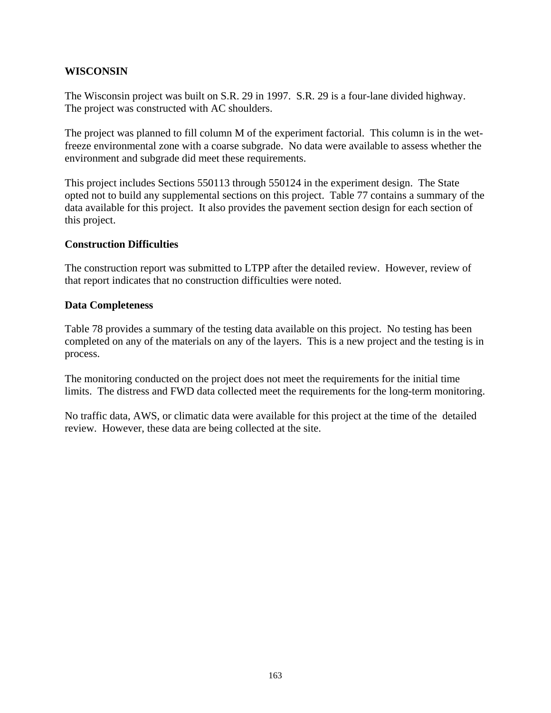#### **WISCONSIN**

The Wisconsin project was built on S.R. 29 in 1997. S.R. 29 is a four-lane divided highway. The project was constructed with AC shoulders.

The project was planned to fill column M of the experiment factorial. This column is in the wetfreeze environmental zone with a coarse subgrade. No data were available to assess whether the environment and subgrade did meet these requirements.

This project includes Sections 550113 through 550124 in the experiment design. The State opted not to build any supplemental sections on this project. Table 77 contains a summary of the data available for this project. It also provides the pavement section design for each section of this project.

#### **Construction Difficulties**

The construction report was submitted to LTPP after the detailed review. However, review of that report indicates that no construction difficulties were noted.

#### **Data Completeness**

Table 78 provides a summary of the testing data available on this project. No testing has been completed on any of the materials on any of the layers. This is a new project and the testing is in process.

The monitoring conducted on the project does not meet the requirements for the initial time limits. The distress and FWD data collected meet the requirements for the long-term monitoring.

No traffic data, AWS, or climatic data were available for this project at the time of the detailed review. However, these data are being collected at the site.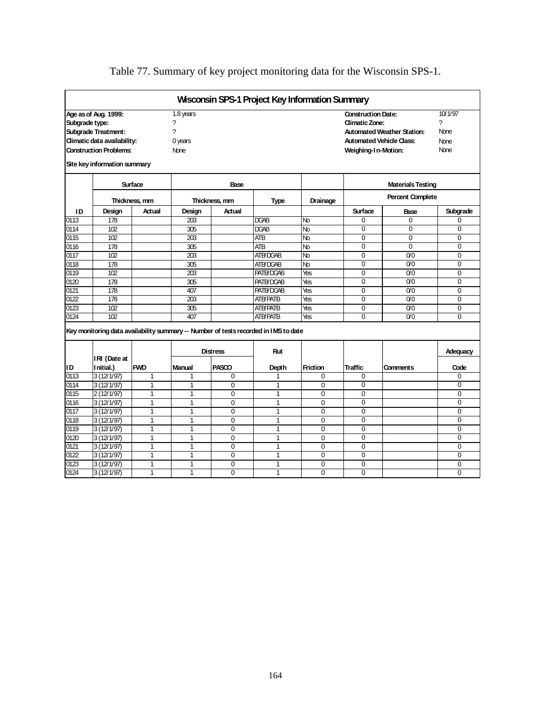# Table 77. Summary of key project monitoring data for the Wisconsin SPS-1.

|                |                                                                                                                                                    |                          |                                                            |                       |                                                                                            | <b>Wisconsin SPS-1 Project Key Information Summary</b> |                                                                    |                                                                      |                                             |
|----------------|----------------------------------------------------------------------------------------------------------------------------------------------------|--------------------------|------------------------------------------------------------|-----------------------|--------------------------------------------------------------------------------------------|--------------------------------------------------------|--------------------------------------------------------------------|----------------------------------------------------------------------|---------------------------------------------|
| Subgrade type: | Age as of Aug. 1999:<br><b>Subgrade Treatment:</b><br>Climatic data availability:<br><b>Construction Problems:</b><br>Site key information summary |                          | $\overline{1.8}$ years<br>?<br>7<br>0 years<br><b>None</b> |                       |                                                                                            |                                                        | <b>Construction Date:</b><br>Climatic Zone:<br>Weighing-In-Motion: | <b>Automated Weather Station:</b><br><b>Automated Vehicle Class:</b> | 10/1/97<br>7<br>None<br>None<br><b>None</b> |
|                |                                                                                                                                                    |                          |                                                            |                       |                                                                                            |                                                        |                                                                    | <b>Materials Testing</b>                                             |                                             |
|                |                                                                                                                                                    | Surface<br>Thickness, mm |                                                            | Base<br>Thickness, mm | <b>Type</b>                                                                                | Drainage                                               |                                                                    | <b>Percent Complete</b>                                              |                                             |
| ID             | Design                                                                                                                                             | Actual                   | Design                                                     | Actual                |                                                                                            |                                                        | Surface                                                            | Base                                                                 | Subgrade                                    |
| 0113           | 178                                                                                                                                                |                          | 203                                                        |                       | DGAB                                                                                       | Nb                                                     | 0                                                                  | 0                                                                    | 0                                           |
| 0114           | 102                                                                                                                                                |                          | 305                                                        |                       | DGAB                                                                                       | Nb                                                     | $\Omega$                                                           | $\Omega$                                                             | $\Omega$                                    |
| 0115           | 102                                                                                                                                                |                          | 203                                                        |                       | <b>ATB</b>                                                                                 | Nb                                                     | $\Omega$                                                           | $\Omega$                                                             | $\Omega$                                    |
| 0116           | 178                                                                                                                                                |                          | $\overline{305}$                                           |                       | <b>ATB</b>                                                                                 | Nb                                                     | $\Omega$                                                           | $\Omega$                                                             | $\Omega$                                    |
| 0117           | 102                                                                                                                                                |                          | 203                                                        |                       | <b>ATB/DGAB</b>                                                                            | N <sub>b</sub>                                         | $\Omega$                                                           | 0/0                                                                  | $\Omega$                                    |
| 0118           | 178                                                                                                                                                |                          | $\overline{305}$                                           |                       | ATB/DGAB                                                                                   | Nb                                                     | $\overline{0}$                                                     | $\overline{0}$                                                       | $\overline{0}$                              |
| 0119           | 102                                                                                                                                                |                          | 203                                                        |                       | PATB/DGAB                                                                                  | Yes                                                    | $\Omega$                                                           | 0 <sup>0</sup>                                                       | $\Omega$                                    |
| 0120           | $\overline{178}$                                                                                                                                   |                          | $\overline{305}$                                           |                       | <b>PATB/DGAB</b>                                                                           | Yes                                                    | $\overline{0}$                                                     | 0/0                                                                  | $\Omega$                                    |
| 0121           | 178                                                                                                                                                |                          | 407                                                        |                       | <b>PATB/DGAB</b>                                                                           | Yes                                                    | $\overline{0}$                                                     | 0/0                                                                  | $\Omega$                                    |
| 0122           | $\overline{178}$                                                                                                                                   |                          | $\overline{203}$                                           |                       | <b>ATB/PATB</b>                                                                            | Yes                                                    | $\overline{0}$                                                     | $\overline{0}$                                                       | $\Omega$                                    |
| 0123           | 102                                                                                                                                                |                          | 305                                                        |                       | <b>ATB/PATB</b>                                                                            | Yes                                                    | 0                                                                  | 0 <sup>0</sup>                                                       | $\Omega$                                    |
| 0124           | 102                                                                                                                                                |                          | 407                                                        |                       | <b>ATB/PATB</b>                                                                            | Yes                                                    | $\Omega$                                                           | 0/0                                                                  | $\Omega$                                    |
|                | IRI (Date at                                                                                                                                       |                          |                                                            | <b>Distress</b>       | Key monitoring data availability summary -- Number of tests recorded in IMS to date<br>Rut |                                                        |                                                                    |                                                                      | Adequacy                                    |
| ID             | Initial.)                                                                                                                                          | <b>FWD</b>               | Manual                                                     | PASCO                 | Depth                                                                                      | <b>Friction</b>                                        | <b>Traffic</b>                                                     | <b>Comments</b>                                                      | Code                                        |
| 0113           | 3(12/1/97)                                                                                                                                         | $\mathbf{1}$             | 1                                                          | 0                     | 1                                                                                          | $\Omega$                                               | 0                                                                  |                                                                      | $\Omega$                                    |
| 0114           | 3(12/1/97)                                                                                                                                         | $\mathbf{1}$             | $\mathbf{1}$                                               | $\mathbf 0$           | 1                                                                                          | $\mathbf 0$                                            | $\overline{0}$                                                     |                                                                      | $\overline{0}$                              |
| 0115           | 2(12/1/97)                                                                                                                                         | 1                        | 1                                                          | $\overline{0}$        | 1                                                                                          | $\mathbf 0$                                            | $\overline{0}$                                                     |                                                                      | $\overline{0}$                              |
| 0116           | 3(12/1/97)                                                                                                                                         | 1                        | $\mathbf{1}$                                               | $\overline{0}$        | $\mathbf{1}$                                                                               | $\Omega$                                               | $\overline{0}$                                                     |                                                                      | $\mathbf 0$                                 |
| 0117           | 3(12/1/97)                                                                                                                                         | $\mathbf{1}$             | $\mathbf{1}$                                               | $\mathbf 0$           | 1                                                                                          | $\mathbf 0$                                            | $\overline{0}$                                                     |                                                                      | $\overline{0}$                              |
| 0118           | 3(12/1/97)                                                                                                                                         | $\mathbf{1}$             | $\mathbf{1}$                                               | $\Omega$              | $\mathbf{1}$                                                                               | $\overline{0}$                                         | $\overline{0}$                                                     |                                                                      | $\overline{0}$                              |
| 0119           | 3(12/1/97)                                                                                                                                         | 1                        | $\mathbf{1}$                                               | $\overline{0}$        | 1                                                                                          | 0                                                      | $\overline{0}$                                                     |                                                                      | $\overline{0}$                              |
| 0120           | 3(12/1/97)                                                                                                                                         | $\mathbf{1}$             | 1                                                          | $\mathbf 0$           | $\mathbf{1}$                                                                               | $\mathbf 0$                                            | $\overline{0}$                                                     |                                                                      | $\overline{0}$                              |
| 0121           | 3(12/1/97)                                                                                                                                         | 1                        | $\mathbf{1}$                                               | $\Omega$              | 1                                                                                          | $\Omega$                                               | $\overline{0}$                                                     |                                                                      | $\overline{0}$                              |
| 0122           | 3(12/1/97)                                                                                                                                         | 1                        | $\overline{1}$                                             | $\mathbf 0$           | 1                                                                                          | $\overline{0}$                                         | $\overline{0}$                                                     |                                                                      | $\overline{0}$                              |
| 0123           | 3(12/1/97)                                                                                                                                         | 1                        | 1                                                          | $\mathbf 0$           | 1                                                                                          | $\mathbf 0$                                            | $\overline{0}$                                                     |                                                                      | $\overline{0}$                              |
| 0124           | 3(12/1/97)                                                                                                                                         | 1                        | $\mathbf{1}$                                               | $\Omega$              | 1                                                                                          | $\overline{0}$                                         | $\overline{0}$                                                     |                                                                      | $\overline{0}$                              |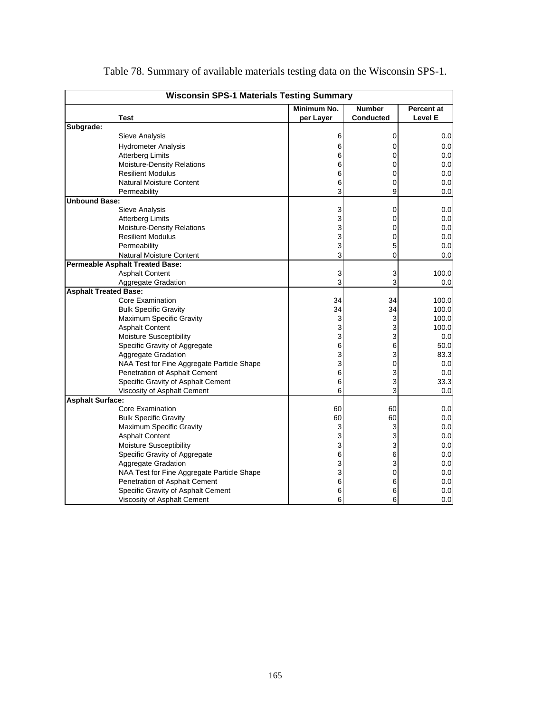| <b>Wisconsin SPS-1 Materials Testing Summary</b> |                                            |             |                  |                   |
|--------------------------------------------------|--------------------------------------------|-------------|------------------|-------------------|
|                                                  |                                            | Minimum No. | <b>Number</b>    | <b>Percent at</b> |
|                                                  | Test                                       | per Layer   | <b>Conducted</b> | Level E           |
| Subgrade:                                        |                                            |             |                  |                   |
|                                                  | Sieve Analysis                             | 6           | 0                | 0.0               |
|                                                  | <b>Hydrometer Analysis</b>                 | 6           | 0                | 0.0               |
|                                                  | <b>Atterberg Limits</b>                    | 6           | 0                | 0.0               |
|                                                  | Moisture-Density Relations                 | 6           | 0                | 0.0               |
|                                                  | <b>Resilient Modulus</b>                   | 6           | 0                | 0.0               |
|                                                  | <b>Natural Moisture Content</b>            | 6           | 0                | 0.0               |
|                                                  | Permeability                               | 3           | 9                | 0.0               |
| <b>Unbound Base:</b>                             |                                            |             |                  |                   |
|                                                  | <b>Sieve Analysis</b>                      | 3           | 0                | 0.0               |
|                                                  | Atterberg Limits                           | 3           | 0                | 0.0               |
|                                                  | Moisture-Density Relations                 | 3           | 0                | 0.0               |
|                                                  | <b>Resilient Modulus</b>                   | 3           | 0                | 0.0               |
|                                                  | Permeability                               | 3           | 5                | 0.0               |
|                                                  | Natural Moisture Content                   | 3           | 0                | 0.0               |
| <b>Permeable Asphalt Treated Base:</b>           |                                            |             |                  |                   |
|                                                  | <b>Asphalt Content</b>                     | 3           | 3                | 100.0             |
|                                                  | Aggregate Gradation                        | 3           | 3                | 0.0               |
| <b>Asphalt Treated Base:</b>                     |                                            |             |                  |                   |
|                                                  | Core Examination                           | 34          | 34               | 100.0             |
|                                                  | <b>Bulk Specific Gravity</b>               | 34          | 34               | 100.0             |
|                                                  | Maximum Specific Gravity                   | 3           | 3                | 100.0             |
|                                                  | <b>Asphalt Content</b>                     | 3           | 3                | 100.0             |
|                                                  | Moisture Susceptibility                    | 3           | 3                | 0.0               |
|                                                  | Specific Gravity of Aggregate              | 6           | 6                | 50.0              |
|                                                  | Aggregate Gradation                        | 3           | 3                | 83.3              |
|                                                  | NAA Test for Fine Aggregate Particle Shape | 3           | 0                | 0.0               |
|                                                  | Penetration of Asphalt Cement              | 6           | 3                | 0.0               |
|                                                  | Specific Gravity of Asphalt Cement         | 6           | 3                | 33.3              |
|                                                  | Viscosity of Asphalt Cement                | 6           | 3                | 0.0               |
| <b>Asphalt Surface:</b>                          |                                            |             |                  |                   |
|                                                  | Core Examination                           | 60          | 60               | 0.0               |
|                                                  | <b>Bulk Specific Gravity</b>               | 60          | 60               | 0.0               |
|                                                  | Maximum Specific Gravity                   | 3           | 3                | 0.0               |
|                                                  | <b>Asphalt Content</b>                     | 3           | 3                | 0.0               |
|                                                  | Moisture Susceptibility                    | 3           | 3                | 0.0               |
|                                                  | Specific Gravity of Aggregate              | 6           | 6                | 0.0               |
|                                                  | Aggregate Gradation                        | 3           | 3                | 0.0               |
|                                                  | NAA Test for Fine Aggregate Particle Shape | 3           | 0                | 0.0               |
|                                                  | Penetration of Asphalt Cement              | 6           | 6                | 0.0               |
|                                                  | Specific Gravity of Asphalt Cement         | 6           | 6                | 0.0               |
|                                                  | Viscosity of Asphalt Cement                | 6           | 6                | 0.0               |

Table 78. Summary of available materials testing data on the Wisconsin SPS-1.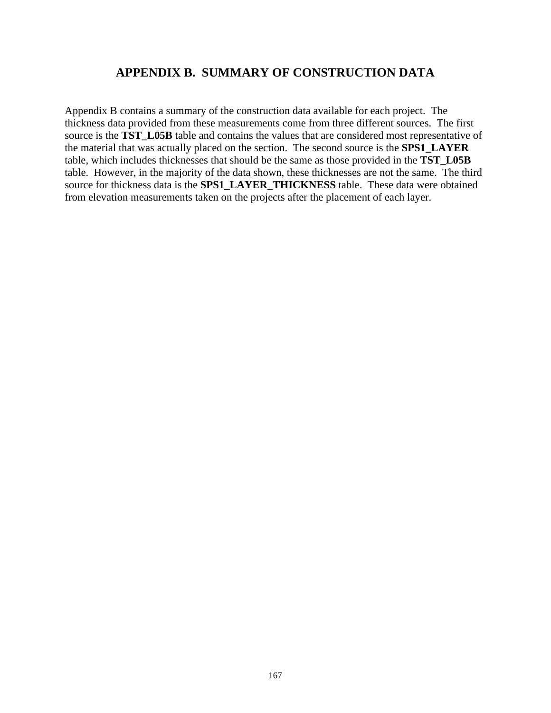## **APPENDIX B. SUMMARY OF CONSTRUCTION DATA**

Appendix B contains a summary of the construction data available for each project. The thickness data provided from these measurements come from three different sources. The first source is the **TST** L05B table and contains the values that are considered most representative of the material that was actually placed on the section. The second source is the **SPS1\_LAYER**  table, which includes thicknesses that should be the same as those provided in the **TST\_L05B** table. However, in the majority of the data shown, these thicknesses are not the same. The third source for thickness data is the **SPS1\_LAYER\_THICKNESS** table. These data were obtained from elevation measurements taken on the projects after the placement of each layer.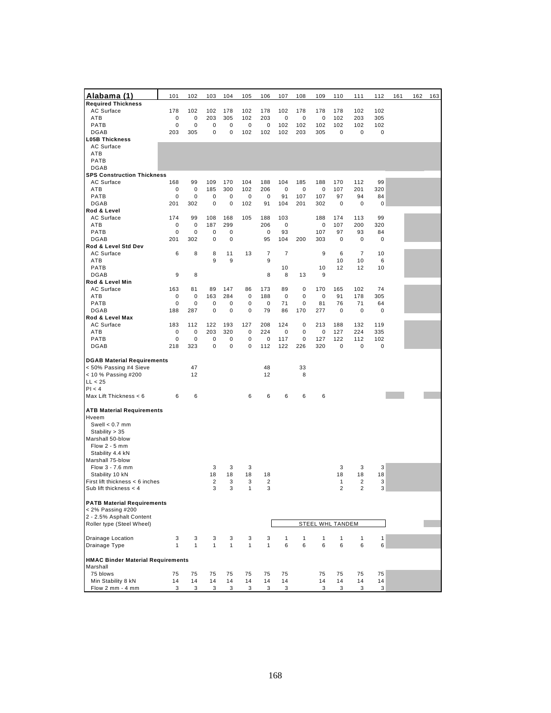| <u>Alabama (1)</u>                       | 101          | 102          | 103            | 104          | 105          | 106            | 107            | 108          | 109                     | 110            | 111            | 112         | 161 | 162 | 163 |
|------------------------------------------|--------------|--------------|----------------|--------------|--------------|----------------|----------------|--------------|-------------------------|----------------|----------------|-------------|-----|-----|-----|
| <b>Required Thickness</b>                |              |              |                |              |              |                |                |              |                         |                |                |             |     |     |     |
| AC Surface                               | 178          | 102          | 102            | 178          | 102          | 178            | 102            | 178          | 178                     | 178            | 102            | 102         |     |     |     |
| ATB                                      | 0            | 0            | 203            | 305          | 102          | 203            | 0              | 0            | $\mathbf 0$             | 102            | 203            | 305         |     |     |     |
| <b>PATB</b><br><b>DGAB</b>               | 0<br>203     | 0<br>305     | 0<br>0         | 0<br>0       | 0            | 0<br>102       | 102<br>102     | 102<br>203   | 102<br>305              | 102<br>0       | 102            | 102         |     |     |     |
| <b>L05B Thickness</b>                    |              |              |                |              | 102          |                |                |              |                         |                | 0              | 0           |     |     |     |
| AC Surface                               |              |              |                |              |              |                |                |              |                         |                |                |             |     |     |     |
| ATB                                      |              |              |                |              |              |                |                |              |                         |                |                |             |     |     |     |
| PATB                                     |              |              |                |              |              |                |                |              |                         |                |                |             |     |     |     |
| <b>DGAB</b>                              |              |              |                |              |              |                |                |              |                         |                |                |             |     |     |     |
| <b>SPS Construction Thickness</b>        |              |              |                |              |              |                |                |              |                         |                |                |             |     |     |     |
| AC Surface                               | 168          | 99           | 109            | 170          | 104          | 188            | 104            | 185          | 188                     | 170            | 112            | 99          |     |     |     |
| ATB                                      | 0            | $\mathbf 0$  | 185            | 300          | 102          | 206            | $\pmb{0}$      | 0            | 0                       | 107            | 201            | 320         |     |     |     |
| <b>PATB</b>                              | 0            | 0            | 0              | 0            | 0            | $\mathbf 0$    | 91             | 107          | 107                     | 97             | 94             | 84          |     |     |     |
| <b>DGAB</b>                              | 201          | 302          | 0              | 0            | 102          | 91             | 104            | 201          | 302                     | 0              | $\mathbf 0$    | $\pmb{0}$   |     |     |     |
| Rod & Level                              |              | 99           |                |              |              |                | 103            |              |                         |                |                | 99          |     |     |     |
| AC Surface<br><b>ATB</b>                 | 174<br>0     | 0            | 108<br>187     | 168<br>299   | 105          | 188<br>206     | 0              |              | 188<br>0                | 174<br>107     | 113<br>200     | 320         |     |     |     |
| PATB                                     | 0            | 0            | 0              | 0            |              | $\mathbf 0$    | 93             |              | 107                     | 97             | 93             | 84          |     |     |     |
| <b>DGAB</b>                              | 201          | 302          | 0              | 0            |              | 95             | 104            | 200          | 303                     | 0              | $\mathbf 0$    | $\pmb{0}$   |     |     |     |
| Rod & Level Std Dev                      |              |              |                |              |              |                |                |              |                         |                |                |             |     |     |     |
| AC Surface                               | 6            | 8            | 8              | 11           | 13           | 7              | $\overline{7}$ |              | 9                       | 6              | $\overline{7}$ | 10          |     |     |     |
| <b>ATB</b>                               |              |              | 9              | 9            |              | 9              |                |              |                         | 10             | 10             | 6           |     |     |     |
| <b>PATB</b>                              |              |              |                |              |              |                | 10             |              | 10                      | 12             | 12             | 10          |     |     |     |
| <b>DGAB</b>                              | 9            | 8            |                |              |              | 8              | 8              | 13           | 9                       |                |                |             |     |     |     |
| Rod & Level Min                          |              | 81           |                | 147          | 86           |                | 89             | $\mathbf 0$  | 170                     | 165            | 102            | 74          |     |     |     |
| AC Surface<br>ATB                        | 163<br>0     | 0            | 89<br>163      | 284          | 0            | 173<br>188     | $\pmb{0}$      | 0            | 0                       | 91             | 178            | 305         |     |     |     |
| <b>PATB</b>                              | 0            | 0            | 0              | 0            | 0            | $\mathbf 0$    | 71             | 0            | 81                      | 76             | 71             | 64          |     |     |     |
| <b>DGAB</b>                              | 188          | 287          | 0              | 0            | 0            | 79             | 86             | 170          | 277                     | 0              | $\mathbf 0$    | $\mathbf 0$ |     |     |     |
| Rod & Level Max                          |              |              |                |              |              |                |                |              |                         |                |                |             |     |     |     |
| AC Surface                               | 183          | 112          | 122            | 193          | 127          | 208            | 124            | $\mathbf 0$  | 213                     | 188            | 132            | 119         |     |     |     |
| <b>ATB</b>                               | 0            | 0            | 203            | 320          | 0            | 224            | 0              | $\mathbf 0$  | 0                       | 127            | 224            | 335         |     |     |     |
| PATB                                     | 0            | 0            | 0              | 0            | 0            | 0              | 117            | $\mathbf 0$  | 127                     | 122            | 112            | 102         |     |     |     |
| <b>DGAB</b>                              | 218          | 323          | 0              | 0            | 0            | 112            | 122            | 226          | 320                     | 0              | 0              | 0           |     |     |     |
| <b>DGAB Material Requirements</b>        |              |              |                |              |              |                |                |              |                         |                |                |             |     |     |     |
| < 50% Passing #4 Sieve                   |              | 47           |                |              |              | 48             |                | 33           |                         |                |                |             |     |     |     |
| < 10 % Passing #200                      |              | 12           |                |              |              | 12             |                | 8            |                         |                |                |             |     |     |     |
| LL < 25                                  |              |              |                |              |              |                |                |              |                         |                |                |             |     |     |     |
| Pl < 4                                   |              |              |                |              |              |                |                |              |                         |                |                |             |     |     |     |
| Max Lift Thickness < 6                   | 6            | 6            |                |              | 6            | 6              | 6              | 6            | 6                       |                |                |             |     |     |     |
|                                          |              |              |                |              |              |                |                |              |                         |                |                |             |     |     |     |
| <b>ATB Material Requirements</b>         |              |              |                |              |              |                |                |              |                         |                |                |             |     |     |     |
| Hveem<br>Swell $< 0.7$ mm                |              |              |                |              |              |                |                |              |                         |                |                |             |     |     |     |
| Stability > 35                           |              |              |                |              |              |                |                |              |                         |                |                |             |     |     |     |
| Marshall 50-blow                         |              |              |                |              |              |                |                |              |                         |                |                |             |     |     |     |
| Flow $2 - 5$ mm                          |              |              |                |              |              |                |                |              |                         |                |                |             |     |     |     |
| Stability 4.4 kN                         |              |              |                |              |              |                |                |              |                         |                |                |             |     |     |     |
| Marshall 75-blow                         |              |              |                |              |              |                |                |              |                         |                |                |             |     |     |     |
| Flow 3 - 7.6 mm                          |              |              | 3              | 3            | 3            |                |                |              |                         | 3              | 3              | 3           |     |     |     |
| Stability 10 kN                          |              |              | 18             | 18           | 18           | 18             |                |              |                         | 18             | 18             | 18          |     |     |     |
| First lift thickness < 6 inches          |              |              | $\overline{2}$ | 3            | 3            | $\overline{2}$ |                |              |                         | 1              | $\overline{2}$ | 3           |     |     |     |
| Sub lift thickness $<$ 4                 |              |              | 3              | 3            | 1            | 3              |                |              |                         | $\overline{2}$ | $\overline{2}$ | 3           |     |     |     |
| <b>PATB Material Requirements</b>        |              |              |                |              |              |                |                |              |                         |                |                |             |     |     |     |
| < 2% Passing #200                        |              |              |                |              |              |                |                |              |                         |                |                |             |     |     |     |
| 2 - 2.5% Asphalt Content                 |              |              |                |              |              |                |                |              |                         |                |                |             |     |     |     |
| Roller type (Steel Wheel)                |              |              |                |              |              |                |                |              | <b>STEEL WHL TANDEM</b> |                |                |             |     |     |     |
|                                          |              |              |                |              |              |                |                |              |                         |                |                |             |     |     |     |
| Drainage Location                        | 3            | 3            | 3              | 3            | 3            | 3              | $\mathbf{1}$   | $\mathbf{1}$ | $\mathbf{1}$            | $\mathbf{1}$   | $\mathbf{1}$   | 1           |     |     |     |
| Drainage Type                            | $\mathbf{1}$ | $\mathbf{1}$ | $\mathbf{1}$   | $\mathbf{1}$ | $\mathbf{1}$ | $\mathbf{1}$   | 6              | 6            | 6                       | 6              | 6              | 6           |     |     |     |
| <b>HMAC Binder Material Requirements</b> |              |              |                |              |              |                |                |              |                         |                |                |             |     |     |     |
| Marshall                                 |              |              |                |              |              |                |                |              |                         |                |                |             |     |     |     |
| 75 blows                                 | 75           | 75           | 75             | 75           | 75           | 75             | 75             |              | 75                      | 75             | 75             | 75          |     |     |     |
| Min Stability 8 kN                       | 14           | 14           | 14             | 14           | 14           | 14             | 14             |              | 14                      | 14             | 14             | 14          |     |     |     |
| Flow 2 mm - 4 mm                         | 3            | 3            | 3              | 3            | 3            | 3              | 3              |              | 3                       | 3              | 3              | 3           |     |     |     |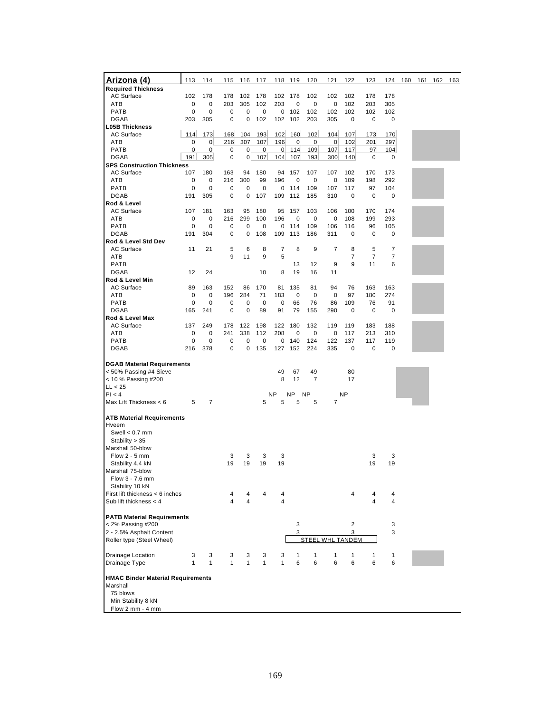| <u>Arizona (4)</u>                       | 113         | 114          | 115          | 116          | 117          | 118              | 119         | 120       | 121              | 122       | 123            | 124 | 160 | 161 | 162 | 163 |
|------------------------------------------|-------------|--------------|--------------|--------------|--------------|------------------|-------------|-----------|------------------|-----------|----------------|-----|-----|-----|-----|-----|
| <b>Required Thickness</b>                |             |              |              |              |              |                  |             |           |                  |           |                |     |     |     |     |     |
| <b>AC Surface</b>                        | 102         | 178          | 178          | 102          | 178          | 102              | 178         | 102       | 102              | 102       | 178            | 178 |     |     |     |     |
| <b>ATB</b>                               | 0           | 0            | 203          | 305          | 102          | 203              | 0           | 0         | 0                | 102       | 203            | 305 |     |     |     |     |
| <b>PATB</b>                              | 0           | 0            | 0            | 0            | 0            | 0                | 102         | 102       | 102              | 102       | 102            | 102 |     |     |     |     |
| <b>DGAB</b>                              | 203         | 305          | 0            | 0            | 102          | 102              | 102         | 203       | 305              | 0         | 0              | 0   |     |     |     |     |
| <b>L05B Thickness</b>                    |             |              |              |              |              |                  |             |           |                  |           |                |     |     |     |     |     |
| <b>AC Surface</b>                        | 114         | 173          | 168          | 104          | 193          | 102              | 160         | 102       | 104              | 107       | 173            | 170 |     |     |     |     |
| ATB                                      | 0           | 0            | 216          | 307          | 107          | 196              | 0           | $\pmb{0}$ | 0                | 102       | 201            | 297 |     |     |     |     |
| <b>PATB</b>                              | $\mathbf 0$ | 0            | 0            | 0            | 0            | $\boldsymbol{0}$ | 114         | 109       | 107              | 117       | 97             | 104 |     |     |     |     |
| <b>DGAB</b>                              | 191         | 305          | $\pmb{0}$    | 0            | 107          | 104              | 107         | 193       | 300              | 140       | $\mathbf 0$    | 0   |     |     |     |     |
| <b>SPS Construction Thickness</b>        |             |              |              |              |              |                  |             |           |                  |           |                |     |     |     |     |     |
| <b>AC Surface</b>                        | 107         | 180          | 163          | 94           | 180          | 94               | 157         | 107       | 107              | 102       | 170            | 173 |     |     |     |     |
| <b>ATB</b>                               | $\mathbf 0$ | 0            | 216          | 300          | 99           | 196              | $\mathbf 0$ | 0         | 0                | 109       | 198            | 292 |     |     |     |     |
| <b>PATB</b>                              | 0           | 0            | 0            | 0            | 0            | 0                | 114         | 109       | 107              | 117       | 97             | 104 |     |     |     |     |
| <b>DGAB</b>                              |             |              |              |              |              |                  |             |           |                  |           |                |     |     |     |     |     |
|                                          | 191         | 305          | 0            | 0            | 107          | 109              | 112         | 185       | 310              | 0         | 0              | 0   |     |     |     |     |
| Rod & Level                              |             |              |              |              |              |                  |             |           |                  |           |                |     |     |     |     |     |
| AC Surface                               | 107         | 181          | 163          | 95           | 180          | 95               | 157         | 103       | 106              | 100       | 170            | 174 |     |     |     |     |
| <b>ATB</b>                               | 0           | 0            | 216          | 299          | 100          | 196              | $\mathbf 0$ | 0         | $\mathbf 0$      | 108       | 199            | 293 |     |     |     |     |
| <b>PATB</b>                              | 0           | 0            | 0            | 0            | 0            | 0                | 114         | 109       | 106              | 116       | 96             | 105 |     |     |     |     |
| <b>DGAB</b>                              | 191         | 304          | 0            | 0            | 108          | 109              | 113         | 186       | 311              | 0         | 0              | 0   |     |     |     |     |
| Rod & Level Std Dev                      |             |              |              |              |              |                  |             |           |                  |           |                |     |     |     |     |     |
| <b>AC Surface</b>                        | 11          | 21           | 5            | 6            | 8            | 7                | 8           | 9         | 7                | 8         | 5              | 7   |     |     |     |     |
| ATB                                      |             |              | 9            | 11           | 9            | 5                |             |           |                  | 7         | $\overline{7}$ | 7   |     |     |     |     |
| <b>PATB</b>                              |             |              |              |              |              |                  | 13          | 12        | 9                | 9         | 11             | 6   |     |     |     |     |
| <b>DGAB</b>                              | 12          | 24           |              |              | 10           | 8                | 19          | 16        | 11               |           |                |     |     |     |     |     |
| Rod & Level Min                          |             |              |              |              |              |                  |             |           |                  |           |                |     |     |     |     |     |
| AC Surface                               | 89          | 163          | 152          | 86           | 170          | 81               | 135         | 81        | 94               | 76        | 163            | 163 |     |     |     |     |
| ATB                                      | $\mathbf 0$ | 0            | 196          | 284          | 71           | 183              | $\mathbf 0$ | 0         | $\mathbf 0$      | 97        | 180            | 274 |     |     |     |     |
| <b>PATB</b>                              | 0           | 0            | 0            | 0            | 0            | 0                | 66          | 76        | 86               | 109       | 76             | 91  |     |     |     |     |
| <b>DGAB</b>                              | 165         | 241          | $\mathbf 0$  | 0            | 89           | 91               | 79          | 155       | 290              | 0         | 0              | 0   |     |     |     |     |
| Rod & Level Max                          |             |              |              |              |              |                  |             |           |                  |           |                |     |     |     |     |     |
| <b>AC Surface</b>                        | 137         | 249          | 178          | 122          |              |                  | 180         | 132       | 119              | 119       |                |     |     |     |     |     |
|                                          |             |              |              |              | 198          | 122              |             |           |                  |           | 183            | 188 |     |     |     |     |
| ATB                                      | 0           | 0            | 241          | 338          | 112          | 208              | 0           | 0         | 0                | 117       | 213            | 310 |     |     |     |     |
| <b>PATB</b>                              | 0           | 0            | 0            | 0            | 0            | 0                | 140         | 124       | 122              | 137       | 117            | 119 |     |     |     |     |
| <b>DGAB</b>                              | 216         | 378          | 0            | 0            | 135          | 127              | 152         | 224       | 335              | 0         | 0              | 0   |     |     |     |     |
|                                          |             |              |              |              |              |                  |             |           |                  |           |                |     |     |     |     |     |
| <b>DGAB Material Requirements</b>        |             |              |              |              |              |                  |             |           |                  |           |                |     |     |     |     |     |
| < 50% Passing #4 Sieve                   |             |              |              |              |              | 49               | 67          | 49        |                  | 80        |                |     |     |     |     |     |
| < 10 % Passing #200                      |             |              |              |              |              | 8                | 12          | 7         |                  | 17        |                |     |     |     |     |     |
| LL < 25                                  |             |              |              |              |              |                  |             |           |                  |           |                |     |     |     |     |     |
| Pl < 4                                   |             |              |              |              |              | <b>NP</b>        | <b>NP</b>   | <b>NP</b> |                  | <b>NP</b> |                |     |     |     |     |     |
| Max Lift Thickness < 6                   | 5           | 7            |              |              | 5            | 5                | 5           | 5         | 7                |           |                |     |     |     |     |     |
|                                          |             |              |              |              |              |                  |             |           |                  |           |                |     |     |     |     |     |
| <b>ATB Material Requirements</b>         |             |              |              |              |              |                  |             |           |                  |           |                |     |     |     |     |     |
| Hveem                                    |             |              |              |              |              |                  |             |           |                  |           |                |     |     |     |     |     |
| Swell $< 0.7$ mm                         |             |              |              |              |              |                  |             |           |                  |           |                |     |     |     |     |     |
| Stability > 35                           |             |              |              |              |              |                  |             |           |                  |           |                |     |     |     |     |     |
| Marshall 50-blow                         |             |              |              |              |              |                  |             |           |                  |           |                |     |     |     |     |     |
| Flow $2 - 5$ mm                          |             |              | 3            | 3            | 3            | 3                |             |           |                  |           | 3              | 3   |     |     |     |     |
| Stability 4.4 kN                         |             |              | 19           | 19           | 19           | 19               |             |           |                  |           | 19             | 19  |     |     |     |     |
| Marshall 75-blow                         |             |              |              |              |              |                  |             |           |                  |           |                |     |     |     |     |     |
|                                          |             |              |              |              |              |                  |             |           |                  |           |                |     |     |     |     |     |
| Flow 3 - 7.6 mm                          |             |              |              |              |              |                  |             |           |                  |           |                |     |     |     |     |     |
| Stability 10 kN                          |             |              |              |              |              |                  |             |           |                  |           |                |     |     |     |     |     |
| First lift thickness < 6 inches          |             |              | 4            | 4            | 4            | 4                |             |           |                  | 4         |                | 4   |     |     |     |     |
| Sub lift thickness $<$ 4                 |             |              | 4            | 4            |              | $\overline{4}$   |             |           |                  |           | 4              | 4   |     |     |     |     |
|                                          |             |              |              |              |              |                  |             |           |                  |           |                |     |     |     |     |     |
| <b>PATB Material Requirements</b>        |             |              |              |              |              |                  |             |           |                  |           |                |     |     |     |     |     |
| < 2% Passing #200                        |             |              |              |              |              |                  | 3           |           |                  | 2         |                | 3   |     |     |     |     |
| 2 - 2.5% Asphalt Content                 |             |              |              |              |              |                  | 3           |           |                  | 3         |                | 3   |     |     |     |     |
| Roller type (Steel Wheel)                |             |              |              |              |              |                  |             |           | STEEL WHL TANDEM |           |                |     |     |     |     |     |
|                                          |             |              |              |              |              |                  |             |           |                  |           |                |     |     |     |     |     |
| Drainage Location                        | 3           | 3            | 3            | 3            | 3            | 3                | 1           | 1         | 1                | 1         | 1              | 1   |     |     |     |     |
| Drainage Type                            | 1           | $\mathbf{1}$ | $\mathbf{1}$ | $\mathbf{1}$ | $\mathbf{1}$ | $\mathbf{1}$     | 6           | 6         | 6                | 6         | 6              | 6   |     |     |     |     |
|                                          |             |              |              |              |              |                  |             |           |                  |           |                |     |     |     |     |     |
| <b>HMAC Binder Material Requirements</b> |             |              |              |              |              |                  |             |           |                  |           |                |     |     |     |     |     |
| Marshall                                 |             |              |              |              |              |                  |             |           |                  |           |                |     |     |     |     |     |
| 75 blows                                 |             |              |              |              |              |                  |             |           |                  |           |                |     |     |     |     |     |
| Min Stability 8 kN                       |             |              |              |              |              |                  |             |           |                  |           |                |     |     |     |     |     |
| Flow 2 mm - 4 mm                         |             |              |              |              |              |                  |             |           |                  |           |                |     |     |     |     |     |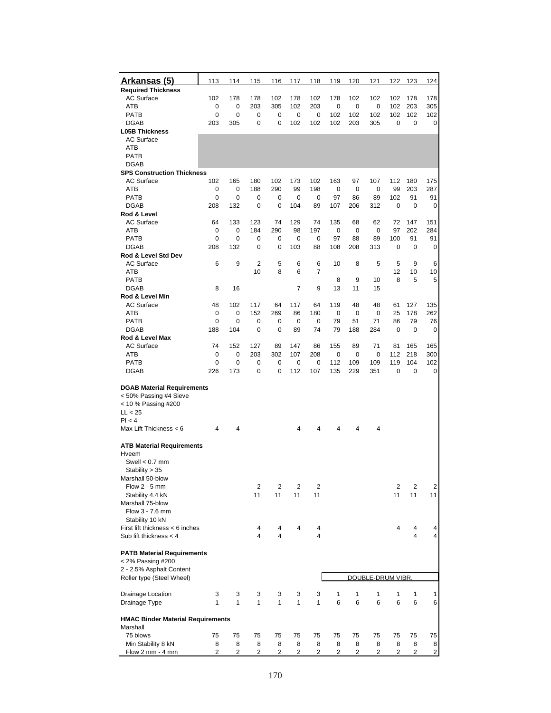| Arkansas (5)                             | 113    | 114         | 115            | 116          | 117      | 118      | 119        | 120        | 121               | 122        | 123        | 124            |
|------------------------------------------|--------|-------------|----------------|--------------|----------|----------|------------|------------|-------------------|------------|------------|----------------|
| <b>Required Thickness</b>                |        |             |                |              |          |          |            |            |                   |            |            |                |
| <b>AC Surface</b>                        | 102    | 178         | 178            | 102          | 178      | 102      | 178        | 102        | 102               | 102        | 178        | 178            |
| ATB<br><b>PATB</b>                       | 0<br>0 | 0           | 203            | 305          | 102      | 203      | 0          | 0          | 0                 | 102<br>102 | 203<br>102 | 305            |
| <b>DGAB</b>                              | 203    | 0<br>305    | 0<br>0         | 0<br>0       | 0<br>102 | 0<br>102 | 102<br>102 | 102<br>203 | 102<br>305        | 0          | 0          | 102<br>0       |
| <b>L05B Thickness</b>                    |        |             |                |              |          |          |            |            |                   |            |            |                |
| <b>AC Surface</b>                        |        |             |                |              |          |          |            |            |                   |            |            |                |
| ATB                                      |        |             |                |              |          |          |            |            |                   |            |            |                |
| <b>PATB</b>                              |        |             |                |              |          |          |            |            |                   |            |            |                |
| <b>DGAB</b>                              |        |             |                |              |          |          |            |            |                   |            |            |                |
| <b>SPS Construction Thickness</b>        |        |             |                |              |          |          |            |            |                   |            |            |                |
| <b>AC Surface</b>                        | 102    | 165         | 180            | 102          | 173      | 102      | 163        | 97         | 107               | 112        | 180        | 175            |
| ATB                                      | 0      | $\mathbf 0$ | 188            | 290          | 99       | 198      | 0          | 0          | 0                 | 99         | 203        | 287            |
| <b>PATB</b>                              | 0      | 0           | 0              | 0            | 0        | 0        | 97         | 86         | 89                | 102        | 91         | 91             |
| <b>DGAB</b>                              | 208    | 132         | $\mathbf 0$    | 0            | 104      | 89       | 107        | 206        | 312               | 0          | 0          | 0              |
| Rod & Level<br><b>AC Surface</b>         | 64     | 133         | 123            | 74           | 129      | 74       | 135        | 68         | 62                | 72         | 147        | 151            |
| ATB                                      | 0      | 0           | 184            | 290          | 98       | 197      | 0          | 0          | 0                 | 97         | 202        | 284            |
| <b>PATB</b>                              | 0      | 0           | 0              | 0            | 0        | 0        | 97         | 88         | 89                | 100        | 91         | 91             |
| <b>DGAB</b>                              | 208    | 132         | 0              | 0            | 103      | 88       | 108        | 208        | 313               | 0          | 0          | 0              |
| Rod & Level Std Dev                      |        |             |                |              |          |          |            |            |                   |            |            |                |
| <b>AC Surface</b>                        | 6      | 9           | $\overline{2}$ | 5            | 6        | 6        | 10         | 8          | 5                 | 5          | 9          | 6              |
| <b>ATB</b>                               |        |             | 10             | 8            | 6        | 7        |            |            |                   | 12         | 10         | 10             |
| <b>PATB</b>                              |        |             |                |              |          |          | 8          | 9          | 10                | 8          | 5          | 5              |
| <b>DGAB</b>                              | 8      | 16          |                |              | 7        | 9        | 13         | 11         | 15                |            |            |                |
| Rod & Level Min<br><b>AC Surface</b>     | 48     | 102         | 117            | 64           | 117      | 64       | 119        | 48         | 48                | 61         | 127        | 135            |
| ATB                                      | 0      | 0           | 152            | 269          | 86       | 180      | 0          | 0          | 0                 | 25         | 178        | 262            |
| <b>PATB</b>                              | 0      | 0           | 0              | 0            | 0        | 0        | 79         | 51         | 71                | 86         | 79         | 76             |
| <b>DGAB</b>                              | 188    | 104         | 0              | 0            | 89       | 74       | 79         | 188        | 284               | 0          | 0          | 0              |
| Rod & Level Max                          |        |             |                |              |          |          |            |            |                   |            |            |                |
| <b>AC Surface</b>                        | 74     | 152         | 127            | 89           | 147      | 86       | 155        | 89         | 71                | 81         | 165        | 165            |
| ATB                                      | 0      | 0           | 203            | 302          | 107      | 208      | 0          | 0          | 0                 | 112        | 218        | 300            |
| <b>PATB</b>                              | 0      | 0           | 0              | 0            | 0        | 0        | 112        | 109        | 109               | 119        | 104        | 102            |
| <b>DGAB</b>                              | 226    | 173         | 0              | 0            | 112      | 107      | 135        | 229        | 351               | 0          | 0          | 0              |
| <b>DGAB Material Requirements</b>        |        |             |                |              |          |          |            |            |                   |            |            |                |
| < 50% Passing #4 Sieve                   |        |             |                |              |          |          |            |            |                   |            |            |                |
| < 10 % Passing #200                      |        |             |                |              |          |          |            |            |                   |            |            |                |
| LL < 25                                  |        |             |                |              |          |          |            |            |                   |            |            |                |
| PI < 4                                   |        |             |                |              |          |          |            |            |                   |            |            |                |
| Max Lift Thickness < 6                   | 4      | 4           |                |              | 4        | 4        | 4          | 4          | 4                 |            |            |                |
| <b>ATB Material Requirements</b>         |        |             |                |              |          |          |            |            |                   |            |            |                |
| Hveem                                    |        |             |                |              |          |          |            |            |                   |            |            |                |
| Swell $< 0.7$ mm                         |        |             |                |              |          |          |            |            |                   |            |            |                |
| Stability > 35                           |        |             |                |              |          |          |            |            |                   |            |            |                |
| Marshall 50-blow                         |        |             |                |              |          |          |            |            |                   |            |            |                |
| Flow $2 - 5$ mm                          |        |             | 2              | 2            | 2        | 2        |            |            |                   | 2          | 2          | 2              |
| Stability 4.4 kN                         |        |             | 11             | 11           | 11       | 11       |            |            |                   | 11         | 11         | 11             |
| Marshall 75-blow<br>Flow 3 - 7.6 mm      |        |             |                |              |          |          |            |            |                   |            |            |                |
| Stability 10 kN                          |        |             |                |              |          |          |            |            |                   |            |            |                |
| First lift thickness < 6 inches          |        |             | 4              | 4            | 4        | 4        |            |            |                   | 4          | 4          | 4              |
| Sub lift thickness $<$ 4                 |        |             | $\overline{4}$ | 4            |          | 4        |            |            |                   |            | 4          | 4              |
|                                          |        |             |                |              |          |          |            |            |                   |            |            |                |
| <b>PATB Material Requirements</b>        |        |             |                |              |          |          |            |            |                   |            |            |                |
| < 2% Passing #200                        |        |             |                |              |          |          |            |            |                   |            |            |                |
| 2 - 2.5% Asphalt Content                 |        |             |                |              |          |          |            |            |                   |            |            |                |
| Roller type (Steel Wheel)                |        |             |                |              |          |          |            |            | DOUBLE-DRUM VIBR. |            |            |                |
| Drainage Location                        | 3      | 3           | 3              | 3            | 3        | 3        | 1          | 1          | 1                 | 1          | 1          | 1              |
| Drainage Type                            | 1      | 1           | $\mathbf{1}$   | $\mathbf{1}$ | 1        | 1        | 6          | 6          | 6                 | 6          | 6          | 6              |
|                                          |        |             |                |              |          |          |            |            |                   |            |            |                |
| <b>HMAC Binder Material Requirements</b> |        |             |                |              |          |          |            |            |                   |            |            |                |
| Marshall                                 |        |             |                |              |          |          |            |            |                   |            |            |                |
| 75 blows                                 | 75     | 75          | 75             | 75           | 75       | 75       | 75         | 75         | 75                | 75         | 75         | 75             |
| Min Stability 8 kN<br>Flow 2 mm - 4 mm   | 8<br>2 | 8<br>2      | 8              | 8            | 8<br>2   | 8        | 8          | 8          | 8                 | 8<br>2     | 8          | 8              |
|                                          |        |             | 2              | 2            |          | 2        | 2          | 2          | 2                 |            | 2          | $\overline{2}$ |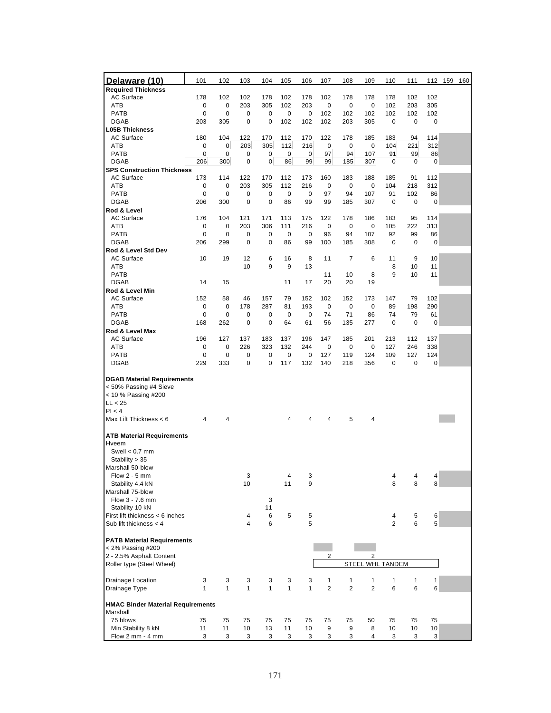| Delaware (10)                            | 101          | 102          | 103          | 104          | 105          | 106          | 107            | 108            | 109              | 110               | 111       |            | 112 159<br>160 |
|------------------------------------------|--------------|--------------|--------------|--------------|--------------|--------------|----------------|----------------|------------------|-------------------|-----------|------------|----------------|
| <b>Required Thickness</b>                |              |              |              |              |              |              |                |                |                  |                   |           |            |                |
| <b>AC Surface</b>                        | 178          | 102          | 102          | 178          | 102          | 178          | 102            | 178            | 178              | 178               | 102       | 102        |                |
| ATB                                      | 0            | 0            | 203          | 305          | 102          | 203          | 0              | 0              | 0                | 102               | 203       | 305        |                |
| <b>PATB</b>                              | 0            | 0            | 0            | 0            | 0            | 0            | 102            | 102            | 102              | 102               | 102       | 102        |                |
| <b>DGAB</b>                              | 203          | 305          | 0            | 0            | 102          | 102          | 102            | 203            | 305              | 0                 | 0         | 0          |                |
| <b>L05B Thickness</b>                    |              |              |              |              |              |              |                |                |                  |                   |           |            |                |
| <b>AC Surface</b>                        | 180          | 104          | 122          | 170          | 112          | 170          | 122            | 178            | 185              | 183               | 94        | 114        |                |
| ATB                                      | 0            | $\mathbf 0$  | 203          | 305          | 112          | 216          | 0              | 0              | 0                | 104               | 221       | 312        |                |
| <b>PATB</b>                              | 0            | 0            | 0            | 0            | $\pmb{0}$    | 0            | 97             | 94             | 107              | 91                | 99        | 86         |                |
| <b>DGAB</b>                              | 206          | 300          | 0            | 0            | 86           | 99           | 99             | 185            | 307              | 0                 | 0         | 0          |                |
| <b>SPS Construction Thickness</b>        |              |              |              |              |              |              |                |                |                  |                   |           |            |                |
| <b>AC Surface</b><br>ATB                 | 173          | 114<br>0     | 122<br>203   | 170<br>305   | 112<br>112   | 173<br>216   | 160            | 183<br>0       | 188<br>$\pmb{0}$ | 185<br>104        | 91<br>218 | 112<br>312 |                |
| <b>PATB</b>                              | 0<br>0       | 0            | 0            | 0            | 0            | 0            | 0<br>97        | 94             | 107              | 91                | 102       | 86         |                |
| <b>DGAB</b>                              | 206          | 300          | 0            | $\mathbf 0$  | 86           | 99           | 99             | 185            | 307              | 0                 | 0         | 0          |                |
| Rod & Level                              |              |              |              |              |              |              |                |                |                  |                   |           |            |                |
| <b>AC Surface</b>                        | 176          | 104          | 121          | 171          | 113          | 175          | 122            | 178            | 186              | 183               | 95        | 114        |                |
| ATB                                      | 0            | 0            | 203          | 306          | 111          | 216          | 0              | 0              | 0                | 105               | 222       | 313        |                |
| <b>PATB</b>                              | 0            | $\mathbf 0$  | 0            | 0            | 0            | 0            | 96             | 94             | 107              | 92                | 99        | 86         |                |
| <b>DGAB</b>                              | 206          | 299          | 0            | 0            | 86           | 99           | 100            | 185            | 308              | 0                 | 0         | 0          |                |
| Rod & Level Std Dev                      |              |              |              |              |              |              |                |                |                  |                   |           |            |                |
| <b>AC Surface</b>                        | 10           | 19           | 12           | 6            | 16           | 8            | 11             | $\overline{7}$ | 6                | 11                | 9         | 10         |                |
| ATB                                      |              |              | 10           | 9            | 9            | 13           |                |                |                  | 8                 | 10        | 11         |                |
| <b>PATB</b>                              |              |              |              |              |              |              | 11             | 10             | 8                | 9                 | 10        | 11         |                |
| <b>DGAB</b>                              | 14           | 15           |              |              | 11           | 17           | 20             | 20             | 19               |                   |           |            |                |
| Rod & Level Min                          |              |              |              |              |              |              |                |                |                  |                   |           |            |                |
| <b>AC Surface</b>                        | 152          | 58           | 46           | 157          | 79           | 152          | 102            | 152            | 173              | 147               | 79        | 102        |                |
| ATB                                      | 0            | 0            | 178          | 287          | 81           | 193          | 0              | 0              | 0                | 89                | 198       | 290        |                |
| <b>PATB</b>                              | 0            | 0            | 0            | 0            | 0            | 0            | 74             | 71             | 86               | 74                | 79        | 61         |                |
| <b>DGAB</b>                              | 168          | 262          | 0            | 0            | 64           | 61           | 56             | 135            | 277              | 0                 | 0         | 0          |                |
| Rod & Level Max                          |              |              |              |              |              |              |                |                |                  |                   |           |            |                |
| <b>AC Surface</b>                        | 196          | 127          | 137          | 183          | 137          | 196          | 147            | 185            | 201              | 213               | 112       | 137        |                |
| ATB                                      | 0            | 0            | 226          | 323          | 132          | 244          | 0              | 0              | 0                | 127               | 246       | 338        |                |
| <b>PATB</b>                              | 0            | 0            | 0            | 0            | 0            | 0            | 127            | 119            | 124              | 109               | 127       | 124        |                |
| <b>DGAB</b>                              | 229          | 333          | 0            | 0            | 117          | 132          | 140            | 218            | 356              | 0                 | 0         | 0          |                |
| <b>DGAB Material Requirements</b>        |              |              |              |              |              |              |                |                |                  |                   |           |            |                |
| < 50% Passing #4 Sieve                   |              |              |              |              |              |              |                |                |                  |                   |           |            |                |
| < 10 % Passing #200                      |              |              |              |              |              |              |                |                |                  |                   |           |            |                |
| LL < 25                                  |              |              |              |              |              |              |                |                |                  |                   |           |            |                |
| PI < 4                                   |              |              |              |              |              |              |                |                |                  |                   |           |            |                |
| Max Lift Thickness < 6                   | 4            | 4            |              |              | 4            | 4            | 4              | 5              | 4                |                   |           |            |                |
|                                          |              |              |              |              |              |              |                |                |                  |                   |           |            |                |
| <b>ATB Material Requirements</b>         |              |              |              |              |              |              |                |                |                  |                   |           |            |                |
| Hveem                                    |              |              |              |              |              |              |                |                |                  |                   |           |            |                |
| Swell $< 0.7$ mm                         |              |              |              |              |              |              |                |                |                  |                   |           |            |                |
| Stability > 35                           |              |              |              |              |              |              |                |                |                  |                   |           |            |                |
| Marshall 50-blow                         |              |              |              |              |              |              |                |                |                  |                   |           |            |                |
| Flow $2 - 5$ mm                          |              |              | 3            |              | 4            | 3            |                |                |                  | 4                 | 4         | 4          |                |
| Stability 4.4 kN                         |              |              | 10           |              | 11           | 9            |                |                |                  | 8                 | 8         | 8          |                |
| Marshall 75-blow                         |              |              |              |              |              |              |                |                |                  |                   |           |            |                |
| Flow 3 - 7.6 mm                          |              |              |              | 3            |              |              |                |                |                  |                   |           |            |                |
| Stability 10 kN                          |              |              |              | 11           |              |              |                |                |                  |                   |           |            |                |
| First lift thickness < 6 inches          |              |              | 4            | 6            | 5            | 5            |                |                |                  | 4                 | 5         | 6          |                |
| Sub lift thickness $<$ 4                 |              |              | 4            | 6            |              | 5            |                |                |                  | $\overline{2}$    | 6         | 5          |                |
|                                          |              |              |              |              |              |              |                |                |                  |                   |           |            |                |
| <b>PATB Material Requirements</b>        |              |              |              |              |              |              |                |                |                  |                   |           |            |                |
| < 2% Passing #200                        |              |              |              |              |              |              | 2              |                | $\overline{2}$   |                   |           |            |                |
| 2 - 2.5% Asphalt Content                 |              |              |              |              |              |              |                |                |                  |                   |           |            |                |
| Roller type (Steel Wheel)                |              |              |              |              |              |              |                | <b>STEEL</b>   |                  | <b>WHL TANDEM</b> |           |            |                |
| Drainage Location                        | 3            | 3            | 3            | 3            | 3            | 3            | 1              | 1              | 1                | 1                 | 1         | 1          |                |
| Drainage Type                            | $\mathbf{1}$ | $\mathbf{1}$ | $\mathbf{1}$ | $\mathbf{1}$ | $\mathbf{1}$ | $\mathbf{1}$ | $\overline{2}$ | $\overline{2}$ | $\overline{2}$   | 6                 | 6         | 6          |                |
|                                          |              |              |              |              |              |              |                |                |                  |                   |           |            |                |
| <b>HMAC Binder Material Requirements</b> |              |              |              |              |              |              |                |                |                  |                   |           |            |                |
| Marshall                                 |              |              |              |              |              |              |                |                |                  |                   |           |            |                |
| 75 blows                                 | 75           | 75           | 75           | 75           | 75           | 75           | 75             | 75             | 50               | 75                | 75        | 75         |                |
| Min Stability 8 kN                       | 11           | 11           | 10           | 13           | 11           | 10           | 9              | 9              | 8                | 10                | 10        | 10         |                |
| Flow 2 mm - 4 mm                         | 3            | 3            | 3            | 3            | 3            | 3            | 3              | 3              | $\overline{4}$   | 3                 | 3         | 3          |                |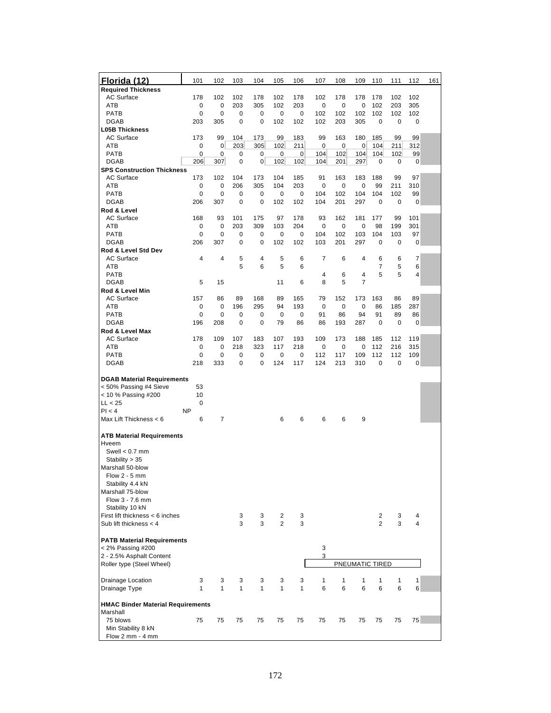| Florida (12)                                                                                                                                                   | 101            | 102         | 103        | 104         | 105            | 106        | 107      | 108                | 109             | 110         | 111         | 112            | 161 |
|----------------------------------------------------------------------------------------------------------------------------------------------------------------|----------------|-------------|------------|-------------|----------------|------------|----------|--------------------|-----------------|-------------|-------------|----------------|-----|
| <b>Required Thickness</b>                                                                                                                                      |                |             |            |             |                |            |          |                    |                 |             |             |                |     |
| <b>AC Surface</b><br>ATB                                                                                                                                       | 178<br>0       | 102<br>0    | 102<br>203 | 178<br>305  | 102<br>102     | 178<br>203 | 102<br>0 | 178<br>$\mathbf 0$ | 178<br>0        | 178<br>102  | 102<br>203  | 102<br>305     |     |
| <b>PATB</b>                                                                                                                                                    | 0              | $\mathbf 0$ | 0          | 0           | 0              | 0          | 102      | 102                | 102             | 102         | 102         | 102            |     |
| <b>DGAB</b>                                                                                                                                                    | 203            | 305         | 0          | 0           | 102            | 102        | 102      | 203                | 305             | $\mathbf 0$ | 0           | 0              |     |
| <b>L05B Thickness</b>                                                                                                                                          |                |             |            |             |                |            |          |                    |                 |             |             |                |     |
| AC Surface                                                                                                                                                     | 173            | 99          | 104        | 173         | 99             | 183        | 99       | 163                | 180             | 185         | 99          | 99             |     |
| ATB                                                                                                                                                            | 0              | 0           | 203        | 305         | 102            | 211        | 0        | 0                  | 0               | 104         | 211         | 312            |     |
| <b>PATB</b>                                                                                                                                                    | 0              | 0           | 0          | 0           | 0              | $\pmb{0}$  | 104      | 102                | 104             | 104         | 102         | 99             |     |
| <b>DGAB</b>                                                                                                                                                    | 206            | 307         | 0          | 0           | 102            | 102        | 104      | 201                | 297             | 0           | 0           | 0              |     |
| <b>SPS Construction Thickness</b>                                                                                                                              |                |             |            |             |                |            |          |                    |                 |             |             |                |     |
| AC Surface                                                                                                                                                     | 173            | 102         | 104        | 173         | 104            | 185        | 91       | 163                | 183             | 188         | 99          | 97             |     |
| ATB                                                                                                                                                            | 0              | 0           | 206        | 305         | 104            | 203        | 0        | 0                  | 0               | 99          | 211         | 310            |     |
| <b>PATB</b>                                                                                                                                                    | 0              | 0           | 0          | 0           | 0              | 0          | 104      | 102                | 104             | 104         | 102         | 99             |     |
| <b>DGAB</b>                                                                                                                                                    | 206            | 307         | 0          | 0           | 102            | 102        | 104      | 201                | 297             | 0           | $\mathbf 0$ | 0              |     |
| Rod & Level<br><b>AC Surface</b>                                                                                                                               | 168            | 93          | 101        | 175         | 97             | 178        | 93       | 162                | 181             | 177         | 99          | 101            |     |
| ATB                                                                                                                                                            | 0              | 0           | 203        | 309         | 103            | 204        | 0        | $\mathbf 0$        | 0               | 98          | 199         | 301            |     |
| <b>PATB</b>                                                                                                                                                    | 0              | 0           | 0          | 0           | 0              | 0          | 104      | 102                | 103             | 104         | 103         | 97             |     |
| <b>DGAB</b>                                                                                                                                                    | 206            | 307         | 0          | $\mathbf 0$ | 102            | 102        | 103      | 201                | 297             | $\mathbf 0$ | $\mathbf 0$ | 0              |     |
| Rod & Level Std Dev                                                                                                                                            |                |             |            |             |                |            |          |                    |                 |             |             |                |     |
| <b>AC Surface</b>                                                                                                                                              | 4              | 4           | 5          | 4           | 5              | 6          | 7        | 6                  | 4               | 6           | 6           | $\overline{7}$ |     |
| ATB                                                                                                                                                            |                |             | 5          | 6           | 5              | 6          |          |                    |                 | 7           | 5           | 6              |     |
| <b>PATB</b>                                                                                                                                                    |                |             |            |             |                |            | 4        | 6                  | 4               | 5           | 5           | 4              |     |
| <b>DGAB</b>                                                                                                                                                    | 5              | 15          |            |             | 11             | 6          | 8        | 5                  | 7               |             |             |                |     |
| Rod & Level Min                                                                                                                                                |                |             |            |             |                |            |          |                    |                 |             |             |                |     |
| <b>AC Surface</b>                                                                                                                                              | 157            | 86          | 89         | 168         | 89             | 165        | 79       | 152                | 173             | 163         | 86          | 89             |     |
| ATB                                                                                                                                                            | 0              | 0           | 196        | 295         | 94             | 193        | 0        | $\mathbf 0$        | 0               | 86          | 185         | 287            |     |
| <b>PATB</b><br><b>DGAB</b>                                                                                                                                     | 0<br>196       | 0<br>208    | 0<br>0     | 0<br>0      | 0<br>79        | 0<br>86    | 91       | 86                 | 94<br>287       | 91<br>0     | 89<br>0     | 86<br>0        |     |
| Rod & Level Max                                                                                                                                                |                |             |            |             |                |            | 86       | 193                |                 |             |             |                |     |
| AC Surface                                                                                                                                                     | 178            | 109         | 107        | 183         | 107            | 193        | 109      | 173                | 188             | 185         | 112         | 119            |     |
| ATB                                                                                                                                                            | 0              | 0           | 218        | 323         | 117            | 218        | 0        | $\mathbf 0$        | 0               | 112         | 216         | 315            |     |
| <b>PATB</b>                                                                                                                                                    | 0              | 0           | 0          | 0           | 0              | 0          | 112      | 117                | 109             | 112         | 112         | 109            |     |
| <b>DGAB</b>                                                                                                                                                    | 218            | 333         | 0          | 0           | 124            | 117        | 124      | 213                | 310             | 0           | 0           | 0              |     |
|                                                                                                                                                                |                |             |            |             |                |            |          |                    |                 |             |             |                |     |
| <b>DGAB Material Requirements</b>                                                                                                                              |                |             |            |             |                |            |          |                    |                 |             |             |                |     |
| < 50% Passing #4 Sieve                                                                                                                                         | 53             |             |            |             |                |            |          |                    |                 |             |             |                |     |
| < 10 % Passing #200                                                                                                                                            | 10             |             |            |             |                |            |          |                    |                 |             |             |                |     |
| LL < 25                                                                                                                                                        | 0              |             |            |             |                |            |          |                    |                 |             |             |                |     |
| PI < 4<br>Max Lift Thickness < 6                                                                                                                               | <b>NP</b><br>6 | 7           |            |             | 6              | 6          | 6        | 6                  | 9               |             |             |                |     |
|                                                                                                                                                                |                |             |            |             |                |            |          |                    |                 |             |             |                |     |
| <b>ATB Material Requirements</b><br>Hveem<br>Swell $< 0.7$ mm<br>Stability > 35<br>Marshall 50-blow<br>Flow $2 - 5$ mm<br>Stability 4.4 kN<br>Marshall 75-blow |                |             |            |             |                |            |          |                    |                 |             |             |                |     |
| Flow 3 - 7.6 mm                                                                                                                                                |                |             |            |             |                |            |          |                    |                 |             |             |                |     |
| Stability 10 kN                                                                                                                                                |                |             |            |             |                |            |          |                    |                 |             |             |                |     |
| First lift thickness < 6 inches<br>Sub lift thickness $<$ 4                                                                                                    |                |             | 3          | 3           | $\overline{2}$ | 3          |          |                    |                 | 2           | 3           | 4<br>4         |     |
|                                                                                                                                                                |                |             | 3          | 3           | $\overline{c}$ | 3          |          |                    |                 | 2           | 3           |                |     |
| <b>PATB Material Requirements</b><br>< 2% Passing #200                                                                                                         |                |             |            |             |                |            | 3        |                    |                 |             |             |                |     |
| 2 - 2.5% Asphalt Content                                                                                                                                       |                |             |            |             |                |            | 3        |                    |                 |             |             |                |     |
| Roller type (Steel Wheel)                                                                                                                                      |                |             |            |             |                |            |          |                    | PNEUMATIC TIRED |             |             |                |     |
|                                                                                                                                                                |                |             |            |             |                |            |          |                    |                 |             |             |                |     |
| Drainage Location                                                                                                                                              | 3              | 3           | 3          | 3           | 3              | 3          | 1        | 1                  | 1               | 1           | 1           | 1              |     |
| Drainage Type                                                                                                                                                  | 1              | 1           | 1          | 1           | 1              | 1          | 6        | 6                  | 6               | 6           | 6           | 6              |     |
| <b>HMAC Binder Material Requirements</b>                                                                                                                       |                |             |            |             |                |            |          |                    |                 |             |             |                |     |
| Marshall                                                                                                                                                       |                |             |            |             |                |            |          |                    |                 |             |             |                |     |
| 75 blows<br>Min Stability 8 kN<br>Flow 2 mm - 4 mm                                                                                                             | 75             | 75          | 75         | 75          | 75             | 75         | 75       | 75                 | 75              | 75          | 75          | 75             |     |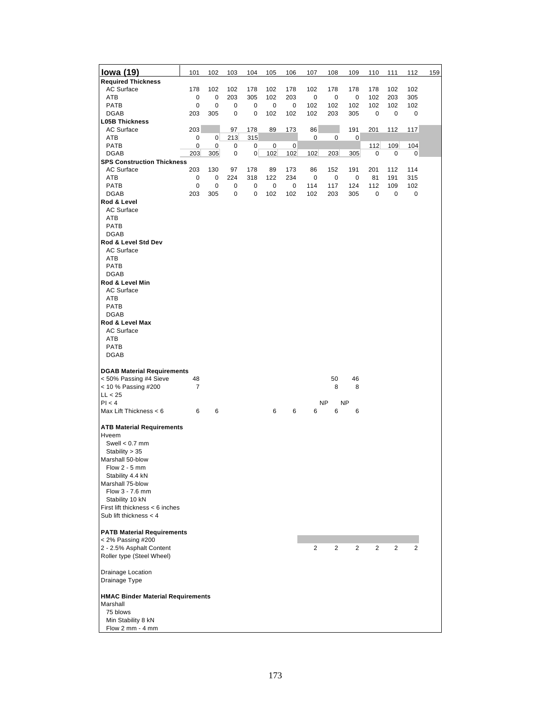| <u>lowa (19)</u>                         | 101                      | 102            | 103 | 104            | 105         | 106      | 107            | 108       | 109            | 110            | 111            | 112 | 159 |
|------------------------------------------|--------------------------|----------------|-----|----------------|-------------|----------|----------------|-----------|----------------|----------------|----------------|-----|-----|
| <b>Required Thickness</b>                |                          |                |     |                |             |          |                |           |                |                |                |     |     |
| <b>AC Surface</b>                        | 178                      | 102            | 102 | 178            | 102         | 178      | 102            | 178       | 178            | 178            | 102            | 102 |     |
| ATB                                      | 0                        | 0              | 203 | 305            | 102         | 203      | 0              | 0         | 0              | 102            | 203            | 305 |     |
| <b>PATB</b>                              | $\mathbf 0$              | 0              | 0   | 0              | 0           | 0        | 102            | 102       | 102            | 102            | 102            | 102 |     |
| <b>DGAB</b>                              | 203                      | 305            | 0   | 0              | 102         | 102      | 102            | 203       | 305            | 0              | 0              | 0   |     |
| <b>L05B Thickness</b>                    |                          |                |     |                |             |          |                |           |                |                |                |     |     |
| <b>AC Surface</b>                        | 203                      |                | 97  | 178            | 89          | 173      | 86             |           | 191            | 201            | 112            | 117 |     |
| ATB                                      | 0                        | $\overline{0}$ | 213 | 315            |             |          | 0              | 0         | $\mathbf 0$    |                |                |     |     |
| PATB                                     | 0                        | 0              | 0   | 0              | $\mathbf 0$ | $\bf{0}$ |                |           |                | 112            | 109            | 104 |     |
| <b>DGAB</b>                              | 203                      | 305            | 0   | $\overline{0}$ | 102         | 102      | 102            | 203       | 305            | 0              | 0              | 0   |     |
| <b>SPS Construction Thickness</b>        |                          |                |     |                |             |          |                |           |                |                |                |     |     |
| <b>AC Surface</b>                        | 203                      | 130            | 97  | 178            | 89          | 173      | 86             | 152       | 191            | 201            | 112            | 114 |     |
| ATB                                      | 0                        | 0              | 224 | 318            | 122         | 234      | 0              | 0         | 0              | 81             | 191            | 315 |     |
| PATB                                     | 0                        | 0              | 0   | 0              | $\pmb{0}$   | 0        | 114            | 117       | 124            | 112            | 109            | 102 |     |
| DGAB                                     | 203                      | 305            | 0   | 0              | 102         | 102      | 102            | 203       | 305            | 0              | 0              | 0   |     |
| Rod & Level                              |                          |                |     |                |             |          |                |           |                |                |                |     |     |
| <b>AC Surface</b>                        |                          |                |     |                |             |          |                |           |                |                |                |     |     |
| ATB                                      |                          |                |     |                |             |          |                |           |                |                |                |     |     |
| <b>PATB</b>                              |                          |                |     |                |             |          |                |           |                |                |                |     |     |
| <b>DGAB</b>                              |                          |                |     |                |             |          |                |           |                |                |                |     |     |
| Rod & Level Std Dev                      |                          |                |     |                |             |          |                |           |                |                |                |     |     |
| AC Surface                               |                          |                |     |                |             |          |                |           |                |                |                |     |     |
| ATB                                      |                          |                |     |                |             |          |                |           |                |                |                |     |     |
| <b>PATB</b>                              |                          |                |     |                |             |          |                |           |                |                |                |     |     |
| <b>DGAB</b>                              |                          |                |     |                |             |          |                |           |                |                |                |     |     |
| Rod & Level Min                          |                          |                |     |                |             |          |                |           |                |                |                |     |     |
| <b>AC Surface</b>                        |                          |                |     |                |             |          |                |           |                |                |                |     |     |
| ATB                                      |                          |                |     |                |             |          |                |           |                |                |                |     |     |
| PATB                                     |                          |                |     |                |             |          |                |           |                |                |                |     |     |
| <b>DGAB</b>                              |                          |                |     |                |             |          |                |           |                |                |                |     |     |
| Rod & Level Max                          |                          |                |     |                |             |          |                |           |                |                |                |     |     |
|                                          |                          |                |     |                |             |          |                |           |                |                |                |     |     |
| <b>AC Surface</b>                        |                          |                |     |                |             |          |                |           |                |                |                |     |     |
| ATB                                      |                          |                |     |                |             |          |                |           |                |                |                |     |     |
| PATB                                     |                          |                |     |                |             |          |                |           |                |                |                |     |     |
| <b>DGAB</b>                              |                          |                |     |                |             |          |                |           |                |                |                |     |     |
|                                          |                          |                |     |                |             |          |                |           |                |                |                |     |     |
| <b>DGAB Material Requirements</b>        |                          |                |     |                |             |          |                |           |                |                |                |     |     |
| < 50% Passing #4 Sieve                   | 48                       |                |     |                |             |          |                | 50        | 46             |                |                |     |     |
| < 10 % Passing #200                      | $\overline{\mathcal{I}}$ |                |     |                |             |          |                | 8         | 8              |                |                |     |     |
| LL < 25                                  |                          |                |     |                |             |          |                |           |                |                |                |     |     |
| PI < 4                                   |                          |                |     |                |             |          |                | <b>NP</b> | NP             |                |                |     |     |
| Max Lift Thickness < 6                   | 6                        | 6              |     |                | 6           | 6        | 6              | 6         | 6              |                |                |     |     |
|                                          |                          |                |     |                |             |          |                |           |                |                |                |     |     |
| <b>ATB Material Requirements</b>         |                          |                |     |                |             |          |                |           |                |                |                |     |     |
| Hveem                                    |                          |                |     |                |             |          |                |           |                |                |                |     |     |
| Swell $< 0.7$ mm                         |                          |                |     |                |             |          |                |           |                |                |                |     |     |
| Stability > 35                           |                          |                |     |                |             |          |                |           |                |                |                |     |     |
| Marshall 50-blow                         |                          |                |     |                |             |          |                |           |                |                |                |     |     |
| Flow 2 - 5 mm                            |                          |                |     |                |             |          |                |           |                |                |                |     |     |
| Stability 4.4 kN                         |                          |                |     |                |             |          |                |           |                |                |                |     |     |
| Marshall 75-blow                         |                          |                |     |                |             |          |                |           |                |                |                |     |     |
| Flow 3 - 7.6 mm                          |                          |                |     |                |             |          |                |           |                |                |                |     |     |
| Stability 10 kN                          |                          |                |     |                |             |          |                |           |                |                |                |     |     |
| First lift thickness < 6 inches          |                          |                |     |                |             |          |                |           |                |                |                |     |     |
| Sub lift thickness $<$ 4                 |                          |                |     |                |             |          |                |           |                |                |                |     |     |
|                                          |                          |                |     |                |             |          |                |           |                |                |                |     |     |
| <b>PATB Material Requirements</b>        |                          |                |     |                |             |          |                |           |                |                |                |     |     |
| < 2% Passing #200                        |                          |                |     |                |             |          |                |           |                |                |                |     |     |
| 2 - 2.5% Asphalt Content                 |                          |                |     |                |             |          | $\overline{c}$ | 2         | $\overline{2}$ | $\overline{c}$ | $\overline{c}$ | 2   |     |
| Roller type (Steel Wheel)                |                          |                |     |                |             |          |                |           |                |                |                |     |     |
|                                          |                          |                |     |                |             |          |                |           |                |                |                |     |     |
| Drainage Location                        |                          |                |     |                |             |          |                |           |                |                |                |     |     |
| Drainage Type                            |                          |                |     |                |             |          |                |           |                |                |                |     |     |
|                                          |                          |                |     |                |             |          |                |           |                |                |                |     |     |
|                                          |                          |                |     |                |             |          |                |           |                |                |                |     |     |
| <b>HMAC Binder Material Requirements</b> |                          |                |     |                |             |          |                |           |                |                |                |     |     |
| Marshall                                 |                          |                |     |                |             |          |                |           |                |                |                |     |     |
| 75 blows                                 |                          |                |     |                |             |          |                |           |                |                |                |     |     |
| Min Stability 8 kN                       |                          |                |     |                |             |          |                |           |                |                |                |     |     |
| Flow 2 mm - 4 mm                         |                          |                |     |                |             |          |                |           |                |                |                |     |     |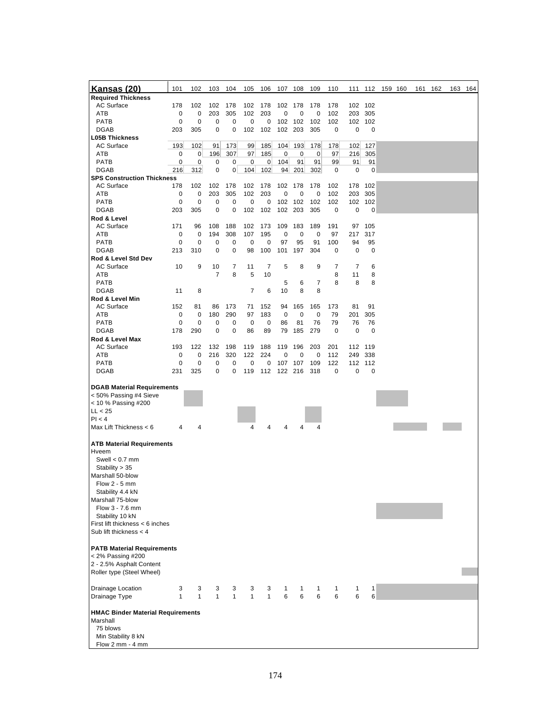| <u>Kansas (20)</u><br><b>Required Thickness</b>        | 101          | 102          | 103            | 104          | 105            | 106            | 107 108 |         | 109          | 110 |     |         | 111 112 159 160 |  | 161 162 | 163 164 |
|--------------------------------------------------------|--------------|--------------|----------------|--------------|----------------|----------------|---------|---------|--------------|-----|-----|---------|-----------------|--|---------|---------|
| <b>AC Surface</b>                                      |              |              |                |              |                |                |         |         |              |     |     |         |                 |  |         |         |
|                                                        | 178          | 102          | 102            | 178          | 102            | 178            | 102     | 178     | 178          | 178 | 102 | 102     |                 |  |         |         |
| ATB                                                    | $\mathbf 0$  | 0            | 203            | 305          | 102            | 203            | 0       | 0       | 0            | 102 | 203 | 305     |                 |  |         |         |
| <b>PATB</b>                                            | $\mathbf 0$  | $\mathbf 0$  | 0              | 0            | 0              | 0              | 102     | 102     | 102          | 102 |     | 102 102 |                 |  |         |         |
| <b>DGAB</b>                                            | 203          | 305          | 0              | 0            | 102            | 102            | 102     | 203     | 305          | 0   | 0   | 0       |                 |  |         |         |
| <b>L05B Thickness</b>                                  |              |              |                |              |                |                |         |         |              |     |     |         |                 |  |         |         |
| <b>AC Surface</b>                                      | 193          | 102          | 91             | 173          | 99             | 185            | 104     | 193     | 178          | 178 | 102 | 127     |                 |  |         |         |
| ATB                                                    | 0            | 0            | 196            | 307          | 97             | 185            | 0       | 0       | 0            | 97  | 216 | 305     |                 |  |         |         |
| <b>PATB</b>                                            | 0            | 0            | 0              | 0            | 0              | $\overline{0}$ | 104     | 91      | 91           | 99  | 91  | 91      |                 |  |         |         |
| <b>DGAB</b>                                            | 216          | 312          | 0              | 0            | 104            | 102            | 94      | 201     | 302          | 0   | 0   | 0       |                 |  |         |         |
| <b>SPS Construction Thickness</b>                      |              |              |                |              |                |                |         |         |              |     |     |         |                 |  |         |         |
| <b>AC Surface</b>                                      | 178          | 102          | 102            | 178          | 102            | 178            | 102     | 178     | 178          | 102 | 178 | 102     |                 |  |         |         |
| ATB                                                    | 0            | 0            | 203            | 305          | 102            | 203            | 0       | 0       | 0            | 102 | 203 | 305     |                 |  |         |         |
| <b>PATB</b>                                            | 0            | 0            | 0              | 0            | 0              | 0              | 102     | 102     | 102          | 102 | 102 | 102     |                 |  |         |         |
| <b>DGAB</b>                                            | 203          | 305          | 0              | 0            | 102            | 102            | 102     | 203     | 305          | 0   | 0   | 0       |                 |  |         |         |
| Rod & Level                                            |              |              |                |              |                |                |         |         |              |     |     |         |                 |  |         |         |
| <b>AC Surface</b>                                      | 171          | 96           | 108            | 188          | 102            | 173            | 109     | 183     | 189          | 191 | 97  | 105     |                 |  |         |         |
| ATB                                                    | 0            | 0            | 194            | 308          | 107            | 195            | 0       | 0       | 0            | 97  | 217 | 317     |                 |  |         |         |
| <b>PATB</b>                                            | 0            | 0            | 0              | 0            | 0              | 0              | 97      | 95      | 91           | 100 | 94  | 95      |                 |  |         |         |
| <b>DGAB</b>                                            | 213          | 310          | 0              | 0            | 98             | 100            | 101     | 197     | 304          | 0   | 0   | 0       |                 |  |         |         |
| Rod & Level Std Dev                                    |              |              |                |              |                |                |         |         |              |     |     |         |                 |  |         |         |
| AC Surface                                             | 10           | 9            | 10             | 7            | 11             | $\overline{7}$ | 5       | 8       | 9            | 7   | 7   | 6       |                 |  |         |         |
| ATB                                                    |              |              | $\overline{7}$ | 8            | 5              | 10             |         |         |              | 8   | 11  | 8       |                 |  |         |         |
| <b>PATB</b>                                            |              |              |                |              |                |                | 5       | 6       | 7            | 8   | 8   | 8       |                 |  |         |         |
| <b>DGAB</b>                                            | 11           | 8            |                |              | $\overline{7}$ | 6              | 10      | 8       | 8            |     |     |         |                 |  |         |         |
| Rod & Level Min                                        |              |              |                |              |                |                |         |         |              |     |     |         |                 |  |         |         |
| AC Surface                                             | 152          | 81           | 86             | 173          | 71             | 152            | 94      | 165     | 165          | 173 | 81  | 91      |                 |  |         |         |
| ATB                                                    | 0            | 0            | 180            | 290          | 97             | 183            | 0       | 0       | 0            | 79  | 201 | 305     |                 |  |         |         |
| <b>PATB</b>                                            | 0            | 0            | 0              | 0            | 0              | 0              | 86      | 81      | 76           | 79  | 76  | 76      |                 |  |         |         |
| <b>DGAB</b>                                            | 178          | 290          | 0              | 0            | 86             | 89             | 79      | 185     | 279          | 0   | 0   | 0       |                 |  |         |         |
| Rod & Level Max                                        |              |              |                |              |                |                |         |         |              |     |     |         |                 |  |         |         |
| <b>AC Surface</b>                                      | 193          | 122          | 132            | 198          | 119            | 188            | 119     | 196     | 203          | 201 | 112 | 119     |                 |  |         |         |
| ATB                                                    | 0            | 0            | 216            | 320          | 122            | 224            | 0       | 0       | 0            | 112 | 249 | 338     |                 |  |         |         |
| PATB                                                   | $\mathbf 0$  | 0            | 0              | 0            | $\mathbf 0$    | 0              | 107     | 107     | 109          | 122 | 112 | 112     |                 |  |         |         |
| <b>DGAB</b>                                            | 231          | 325          | 0              | 0            | 119            | 112            |         | 122 216 | 318          | 0   | 0   | 0       |                 |  |         |         |
|                                                        |              |              |                |              |                |                |         |         |              |     |     |         |                 |  |         |         |
| <b>DGAB Material Requirements</b>                      |              |              |                |              |                |                |         |         |              |     |     |         |                 |  |         |         |
| < 50% Passing #4 Sieve                                 |              |              |                |              |                |                |         |         |              |     |     |         |                 |  |         |         |
| < 10 % Passing #200                                    |              |              |                |              |                |                |         |         |              |     |     |         |                 |  |         |         |
| LL < 25                                                |              |              |                |              |                |                |         |         |              |     |     |         |                 |  |         |         |
| Pl < 4                                                 |              |              |                |              |                |                |         |         |              |     |     |         |                 |  |         |         |
| Max Lift Thickness < 6                                 | 4            | 4            |                |              | 4              | 4              | 4       | 4       | 4            |     |     |         |                 |  |         |         |
| <b>ATB Material Requirements</b><br>Hveem              |              |              |                |              |                |                |         |         |              |     |     |         |                 |  |         |         |
| Swell $< 0.7$ mm                                       |              |              |                |              |                |                |         |         |              |     |     |         |                 |  |         |         |
| Stability > 35                                         |              |              |                |              |                |                |         |         |              |     |     |         |                 |  |         |         |
| Marshall 50-blow                                       |              |              |                |              |                |                |         |         |              |     |     |         |                 |  |         |         |
| Flow $2 - 5$ mm                                        |              |              |                |              |                |                |         |         |              |     |     |         |                 |  |         |         |
| Stability 4.4 kN                                       |              |              |                |              |                |                |         |         |              |     |     |         |                 |  |         |         |
| Marshall 75-blow                                       |              |              |                |              |                |                |         |         |              |     |     |         |                 |  |         |         |
| Flow 3 - 7.6 mm                                        |              |              |                |              |                |                |         |         |              |     |     |         |                 |  |         |         |
| Stability 10 kN                                        |              |              |                |              |                |                |         |         |              |     |     |         |                 |  |         |         |
| First lift thickness < 6 inches                        |              |              |                |              |                |                |         |         |              |     |     |         |                 |  |         |         |
| Sub lift thickness $<$ 4                               |              |              |                |              |                |                |         |         |              |     |     |         |                 |  |         |         |
|                                                        |              |              |                |              |                |                |         |         |              |     |     |         |                 |  |         |         |
| <b>PATB Material Requirements</b><br>< 2% Passing #200 |              |              |                |              |                |                |         |         |              |     |     |         |                 |  |         |         |
| 2 - 2.5% Asphalt Content                               |              |              |                |              |                |                |         |         |              |     |     |         |                 |  |         |         |
| Roller type (Steel Wheel)                              |              |              |                |              |                |                |         |         |              |     |     |         |                 |  |         |         |
|                                                        |              |              |                |              |                |                |         |         |              |     |     |         |                 |  |         |         |
| Drainage Location                                      | 3            | 3            | 3              | 3            | 3              | 3              | 1       | 1       | $\mathbf{1}$ | 1   | 1   | 1       |                 |  |         |         |
| Drainage Type                                          | $\mathbf{1}$ | $\mathbf{1}$ | $\mathbf{1}$   | $\mathbf{1}$ | $\mathbf{1}$   | $\mathbf{1}$   | 6       | 6       | 6            | 6   | 6   | 6       |                 |  |         |         |
|                                                        |              |              |                |              |                |                |         |         |              |     |     |         |                 |  |         |         |
| <b>HMAC Binder Material Requirements</b><br>Marshall   |              |              |                |              |                |                |         |         |              |     |     |         |                 |  |         |         |
| 75 blows                                               |              |              |                |              |                |                |         |         |              |     |     |         |                 |  |         |         |
| Min Stability 8 kN                                     |              |              |                |              |                |                |         |         |              |     |     |         |                 |  |         |         |
| Flow 2 mm - 4 mm                                       |              |              |                |              |                |                |         |         |              |     |     |         |                 |  |         |         |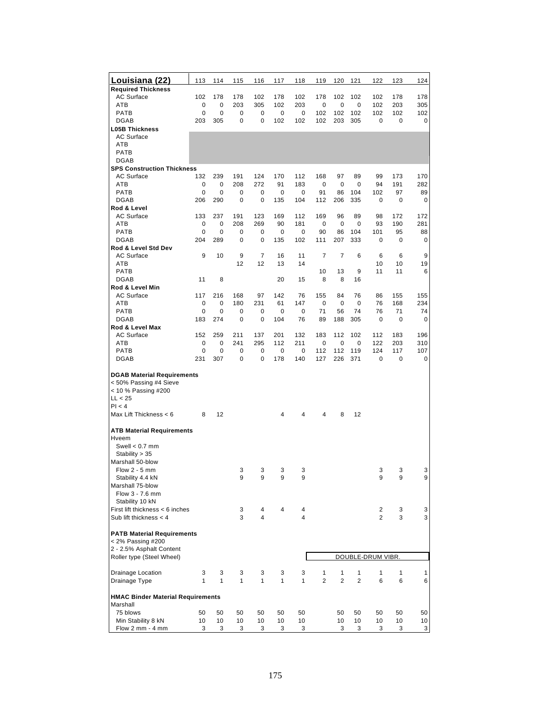| Louisiana (22)                                         | 113          | 114                        | 115          | 116                | 117     | 118          | 119               | 120               | 121               | 122               | 123         | 124            |
|--------------------------------------------------------|--------------|----------------------------|--------------|--------------------|---------|--------------|-------------------|-------------------|-------------------|-------------------|-------------|----------------|
| <b>Required Thickness</b>                              |              |                            |              |                    |         |              |                   |                   |                   |                   |             |                |
| <b>AC Surface</b>                                      | 102          | 178                        | 178          | 102                | 178     | 102          | 178               | 102               | 102               | 102               | 178         | 178            |
| ATB                                                    | 0            | 0                          | 203          | 305                | 102     | 203          | 0                 | 0                 | 0                 | 102               | 203         | 305            |
| <b>PATB</b>                                            | 0            | 0                          | 0            | 0                  | 0       | 0            | 102               | 102               | 102               | 102               | 102         | 102            |
| <b>DGAB</b>                                            | 203          | 305                        | 0            | 0                  | 102     | 102          | 102               | 203               | 305               | 0                 | 0           | 0              |
| <b>L05B Thickness</b>                                  |              |                            |              |                    |         |              |                   |                   |                   |                   |             |                |
| <b>AC Surface</b>                                      |              |                            |              |                    |         |              |                   |                   |                   |                   |             |                |
| ATB                                                    |              |                            |              |                    |         |              |                   |                   |                   |                   |             |                |
| <b>PATB</b>                                            |              |                            |              |                    |         |              |                   |                   |                   |                   |             |                |
| <b>DGAB</b>                                            |              |                            |              |                    |         |              |                   |                   |                   |                   |             |                |
| <b>SPS Construction Thickness</b><br><b>AC Surface</b> | 132          | 239                        | 191          | 124                | 170     | 112          | 168               | 97                | 89                | 99                | 173         | 170            |
| ATB                                                    | 0            | $\mathbf 0$                | 208          | 272                | 91      | 183          | 0                 | $\mathbf 0$       | 0                 | 94                | 191         | 282            |
| <b>PATB</b>                                            | 0            | $\mathbf 0$                | 0            | $\mathbf 0$        | 0       | $\mathbf 0$  | 91                | 86                | 104               | 102               | 97          | 89             |
| <b>DGAB</b>                                            | 206          | 290                        | 0            | $\mathbf 0$        | 135     | 104          | 112               | 206               | 335               | 0                 | $\mathbf 0$ | 0              |
| Rod & Level                                            |              |                            |              |                    |         |              |                   |                   |                   |                   |             |                |
| <b>AC Surface</b>                                      | 133          | 237                        | 191          | 123                | 169     | 112          | 169               | 96                | 89                | 98                | 172         | 172            |
| ATB                                                    | 0            | 0                          | 208          | 269                | 90      | 181          | 0                 | 0                 | 0                 | 93                | 190         | 281            |
| <b>PATB</b>                                            | 0            | 0                          | 0            | 0                  | 0       | 0            | 90                | 86                | 104               | 101               | 95          | 88             |
| <b>DGAB</b>                                            | 204          | 289                        | 0            | 0                  | 135     | 102          | 111               | 207               | 333               | 0                 | 0           | 0              |
| Rod & Level Std Dev                                    |              |                            |              |                    |         |              |                   |                   |                   |                   |             |                |
| <b>AC Surface</b>                                      | 9            | 10                         | 9            | $\overline{7}$     | 16      | 11           | $\overline{7}$    | $\overline{7}$    | 6                 | 6                 | 6           | 9              |
| ATB                                                    |              |                            | 12           | 12                 | 13      | 14           |                   |                   |                   | 10                | 10          | 19             |
| <b>PATB</b>                                            |              |                            |              |                    |         |              | 10                | 13                | 9                 | 11                | 11          | 6              |
| <b>DGAB</b>                                            | 11           | 8                          |              |                    | 20      | 15           | 8                 | 8                 | 16                |                   |             |                |
| Rod & Level Min                                        |              |                            |              |                    |         |              |                   |                   |                   |                   |             |                |
| <b>AC Surface</b>                                      | 117          | 216                        | 168          | 97                 | 142     | 76           | 155               | 84                | 76                | 86                | 155         | 155            |
| ATB<br>PATB                                            | 0<br>0       | $\mathbf 0$<br>$\mathbf 0$ | 180<br>0     | 231<br>$\mathbf 0$ | 61<br>0 | 147          | $\mathbf 0$<br>71 | $\mathbf 0$<br>56 | $\mathbf 0$<br>74 | 76<br>76          | 168<br>71   | 234            |
| <b>DGAB</b>                                            | 183          | 274                        | $\mathbf 0$  | $\mathbf 0$        | 104     | 0<br>76      | 89                | 188               | 305               | 0                 | $\mathbf 0$ | 74<br>0        |
| Rod & Level Max                                        |              |                            |              |                    |         |              |                   |                   |                   |                   |             |                |
| <b>AC Surface</b>                                      | 152          | 259                        | 211          | 137                | 201     | 132          | 183               | 112               | 102               | 112               | 183         | 196            |
| ATB                                                    | 0            | 0                          | 241          | 295                | 112     | 211          | 0                 | 0                 | 0                 | 122               | 203         | 310            |
| <b>PATB</b>                                            | 0            | 0                          | 0            | 0                  | 0       | 0            | 112               | 112               | 119               | 124               | 117         | 107            |
| <b>DGAB</b>                                            | 231          | 307                        | 0            | 0                  | 178     | 140          | 127               | 226               | 371               | 0                 | 0           | 0              |
|                                                        |              |                            |              |                    |         |              |                   |                   |                   |                   |             |                |
| <b>DGAB Material Requirements</b>                      |              |                            |              |                    |         |              |                   |                   |                   |                   |             |                |
| < 50% Passing #4 Sieve                                 |              |                            |              |                    |         |              |                   |                   |                   |                   |             |                |
| $<$ 10 % Passing #200                                  |              |                            |              |                    |         |              |                   |                   |                   |                   |             |                |
| LL < 25                                                |              |                            |              |                    |         |              |                   |                   |                   |                   |             |                |
| Pl < 4                                                 |              |                            |              |                    |         |              |                   |                   |                   |                   |             |                |
| Max Lift Thickness < 6                                 | 8            | 12                         |              |                    | 4       | 4            | 4                 | 8                 | 12                |                   |             |                |
|                                                        |              |                            |              |                    |         |              |                   |                   |                   |                   |             |                |
| <b>ATB Material Requirements</b>                       |              |                            |              |                    |         |              |                   |                   |                   |                   |             |                |
| Hveem<br>Swell $< 0.7$ mm                              |              |                            |              |                    |         |              |                   |                   |                   |                   |             |                |
| Stability $> 35$                                       |              |                            |              |                    |         |              |                   |                   |                   |                   |             |                |
| Marshall 50-blow                                       |              |                            |              |                    |         |              |                   |                   |                   |                   |             |                |
| Flow $2 - 5$ mm                                        |              |                            | 3            | 3                  | 3       | 3            |                   |                   |                   | 3                 | 3           | 3              |
| Stability 4.4 kN                                       |              |                            | 9            | 9                  | 9       | 9            |                   |                   |                   | 9                 | q           | 9              |
| Marshall 75-blow                                       |              |                            |              |                    |         |              |                   |                   |                   |                   |             |                |
| Flow 3 - 7.6 mm                                        |              |                            |              |                    |         |              |                   |                   |                   |                   |             |                |
| Stability 10 kN                                        |              |                            |              |                    |         |              |                   |                   |                   |                   |             |                |
| First lift thickness < 6 inches                        |              |                            | 3            | 4                  | 4       | 4            |                   |                   |                   | 2                 | 3           | 3              |
| Sub lift thickness $<$ 4                               |              |                            | 3            | 4                  |         | 4            |                   |                   |                   | 2                 | 3           | 3              |
|                                                        |              |                            |              |                    |         |              |                   |                   |                   |                   |             |                |
| <b>PATB Material Requirements</b>                      |              |                            |              |                    |         |              |                   |                   |                   |                   |             |                |
| < 2% Passing #200                                      |              |                            |              |                    |         |              |                   |                   |                   |                   |             |                |
| 2 - 2.5% Asphalt Content                               |              |                            |              |                    |         |              |                   |                   |                   |                   |             |                |
| Roller type (Steel Wheel)                              |              |                            |              |                    |         |              |                   |                   |                   | DOUBLE-DRUM VIBR. |             |                |
|                                                        |              |                            |              |                    |         |              |                   |                   |                   |                   |             |                |
| Drainage Location                                      | 3            | 3                          | 3            | 3                  | 3       | 3            | 1                 | 1                 | $\mathbf{1}$      | 1                 | 1           | 1              |
| Drainage Type                                          | $\mathbf{1}$ | $\mathbf{1}$               | $\mathbf{1}$ | $\mathbf{1}$       | 1       | $\mathbf{1}$ | $\overline{2}$    | $\overline{2}$    | $\overline{2}$    | 6                 | 6           | 6              |
|                                                        |              |                            |              |                    |         |              |                   |                   |                   |                   |             |                |
| <b>HMAC Binder Material Requirements</b><br>Marshall   |              |                            |              |                    |         |              |                   |                   |                   |                   |             |                |
| 75 blows                                               | 50           | 50                         | 50           | 50                 | 50      | 50           |                   | 50                | 50                | 50                | 50          | 50             |
| Min Stability 8 kN                                     | 10           | 10                         | 10           | 10                 | 10      | 10           |                   | 10                | 10                | 10                | 10          | 10             |
| Flow 2 mm - 4 mm                                       | 3            | 3                          | 3            | 3                  | 3       | 3            |                   | 3                 | 3                 | 3                 | 3           | 3 <sup>2</sup> |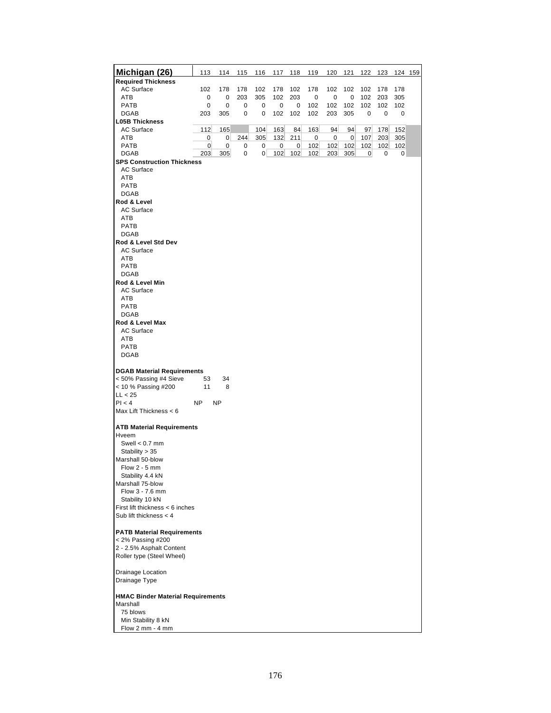| <b>AC Surface</b><br>102<br>178<br>178<br>178<br>102<br>178<br>102<br>102<br>102<br>102<br>178<br>178<br>ATB<br>0<br>203<br>305<br>102<br>203<br>0<br>0<br>102<br>203<br>305<br>0<br>0<br>0<br>PATB<br>0<br>0<br>102<br>102<br>102<br>102<br>102<br>0<br>0<br>0<br>102<br><b>DGAB</b><br>203<br>305<br>102<br>102<br>102<br>203<br>305<br>$\mathbf 0$<br>0<br>0<br>0<br>0<br><b>L05B Thickness</b><br>112<br>163<br>84<br>94<br><b>AC Surface</b><br>165<br>104<br>163<br>94<br>152<br>97<br>178<br>305<br>ATB<br>244<br>132<br>211<br>0<br>107<br>203<br>0<br>$\overline{0}$<br>0<br>0<br>305<br>102<br><b>PATB</b><br>$\mathbf 0$<br>0<br>0<br>0<br>102<br>102<br>102<br>102<br>102<br>0<br>$\overline{0}$<br>305<br>$\overline{0}$<br>102<br><b>DGAB</b><br>203<br>0<br>102<br>102<br>203<br>305<br>$\overline{0}$<br>0<br>0<br><b>SPS Construction Thickness</b><br><b>AC Surface</b><br>ATB<br><b>PATB</b><br><b>DGAB</b><br>Rod & Level<br><b>AC Surface</b><br>ATB<br><b>PATB</b><br><b>DGAB</b><br>Rod & Level Std Dev<br>AC Surface<br>ATB<br><b>PATB</b><br>DGAB<br>Rod & Level Min<br>AC Surface<br>ATB<br>PATB<br><b>DGAB</b><br>Rod & Level Max<br>AC Surface<br>ATB<br><b>PATB</b><br><b>DGAB</b><br><b>DGAB Material Requirements</b><br>< 50% Passing #4 Sieve<br>53<br>34<br>< 10 % Passing #200<br>11<br>8<br>LL < 25<br>PI < 4<br>NP<br>NP<br>Max Lift Thickness < 6<br><b>ATB Material Requirements</b><br>Hveem<br>Swell $< 0.7$ mm<br>Stability > 35<br>Marshall 50-blow<br>Flow $2 - 5$ mm<br>Stability 4.4 kN<br>Marshall 75-blow<br>Flow 3 - 7.6 mm<br>Stability 10 kN<br>First lift thickness < 6 inches<br>Sub lift thickness $<$ 4<br><b>PATB Material Requirements</b><br>< 2% Passing #200<br>2 - 2.5% Asphalt Content<br>Roller type (Steel Wheel)<br>Drainage Location<br>Drainage Type<br><b>HMAC Binder Material Requirements</b><br>Marshall<br>75 blows<br>Min Stability 8 kN<br>Flow 2 mm - 4 mm | Michigan (26)             | 113 | 114 | 115 | 116 | 117 | 118 | 119 | 120 | 121 | 122 123 | 124 159 |
|---------------------------------------------------------------------------------------------------------------------------------------------------------------------------------------------------------------------------------------------------------------------------------------------------------------------------------------------------------------------------------------------------------------------------------------------------------------------------------------------------------------------------------------------------------------------------------------------------------------------------------------------------------------------------------------------------------------------------------------------------------------------------------------------------------------------------------------------------------------------------------------------------------------------------------------------------------------------------------------------------------------------------------------------------------------------------------------------------------------------------------------------------------------------------------------------------------------------------------------------------------------------------------------------------------------------------------------------------------------------------------------------------------------------------------------------------------------------------------------------------------------------------------------------------------------------------------------------------------------------------------------------------------------------------------------------------------------------------------------------------------------------------------------------------------------------------------------------------------------------------------------------------------------------------------------|---------------------------|-----|-----|-----|-----|-----|-----|-----|-----|-----|---------|---------|
|                                                                                                                                                                                                                                                                                                                                                                                                                                                                                                                                                                                                                                                                                                                                                                                                                                                                                                                                                                                                                                                                                                                                                                                                                                                                                                                                                                                                                                                                                                                                                                                                                                                                                                                                                                                                                                                                                                                                       | <b>Required Thickness</b> |     |     |     |     |     |     |     |     |     |         |         |
|                                                                                                                                                                                                                                                                                                                                                                                                                                                                                                                                                                                                                                                                                                                                                                                                                                                                                                                                                                                                                                                                                                                                                                                                                                                                                                                                                                                                                                                                                                                                                                                                                                                                                                                                                                                                                                                                                                                                       |                           |     |     |     |     |     |     |     |     |     |         |         |
|                                                                                                                                                                                                                                                                                                                                                                                                                                                                                                                                                                                                                                                                                                                                                                                                                                                                                                                                                                                                                                                                                                                                                                                                                                                                                                                                                                                                                                                                                                                                                                                                                                                                                                                                                                                                                                                                                                                                       |                           |     |     |     |     |     |     |     |     |     |         |         |
|                                                                                                                                                                                                                                                                                                                                                                                                                                                                                                                                                                                                                                                                                                                                                                                                                                                                                                                                                                                                                                                                                                                                                                                                                                                                                                                                                                                                                                                                                                                                                                                                                                                                                                                                                                                                                                                                                                                                       |                           |     |     |     |     |     |     |     |     |     |         |         |
|                                                                                                                                                                                                                                                                                                                                                                                                                                                                                                                                                                                                                                                                                                                                                                                                                                                                                                                                                                                                                                                                                                                                                                                                                                                                                                                                                                                                                                                                                                                                                                                                                                                                                                                                                                                                                                                                                                                                       |                           |     |     |     |     |     |     |     |     |     |         |         |
|                                                                                                                                                                                                                                                                                                                                                                                                                                                                                                                                                                                                                                                                                                                                                                                                                                                                                                                                                                                                                                                                                                                                                                                                                                                                                                                                                                                                                                                                                                                                                                                                                                                                                                                                                                                                                                                                                                                                       |                           |     |     |     |     |     |     |     |     |     |         |         |
|                                                                                                                                                                                                                                                                                                                                                                                                                                                                                                                                                                                                                                                                                                                                                                                                                                                                                                                                                                                                                                                                                                                                                                                                                                                                                                                                                                                                                                                                                                                                                                                                                                                                                                                                                                                                                                                                                                                                       |                           |     |     |     |     |     |     |     |     |     |         |         |
|                                                                                                                                                                                                                                                                                                                                                                                                                                                                                                                                                                                                                                                                                                                                                                                                                                                                                                                                                                                                                                                                                                                                                                                                                                                                                                                                                                                                                                                                                                                                                                                                                                                                                                                                                                                                                                                                                                                                       |                           |     |     |     |     |     |     |     |     |     |         |         |
|                                                                                                                                                                                                                                                                                                                                                                                                                                                                                                                                                                                                                                                                                                                                                                                                                                                                                                                                                                                                                                                                                                                                                                                                                                                                                                                                                                                                                                                                                                                                                                                                                                                                                                                                                                                                                                                                                                                                       |                           |     |     |     |     |     |     |     |     |     |         |         |
|                                                                                                                                                                                                                                                                                                                                                                                                                                                                                                                                                                                                                                                                                                                                                                                                                                                                                                                                                                                                                                                                                                                                                                                                                                                                                                                                                                                                                                                                                                                                                                                                                                                                                                                                                                                                                                                                                                                                       |                           |     |     |     |     |     |     |     |     |     |         |         |
|                                                                                                                                                                                                                                                                                                                                                                                                                                                                                                                                                                                                                                                                                                                                                                                                                                                                                                                                                                                                                                                                                                                                                                                                                                                                                                                                                                                                                                                                                                                                                                                                                                                                                                                                                                                                                                                                                                                                       |                           |     |     |     |     |     |     |     |     |     |         |         |
|                                                                                                                                                                                                                                                                                                                                                                                                                                                                                                                                                                                                                                                                                                                                                                                                                                                                                                                                                                                                                                                                                                                                                                                                                                                                                                                                                                                                                                                                                                                                                                                                                                                                                                                                                                                                                                                                                                                                       |                           |     |     |     |     |     |     |     |     |     |         |         |
|                                                                                                                                                                                                                                                                                                                                                                                                                                                                                                                                                                                                                                                                                                                                                                                                                                                                                                                                                                                                                                                                                                                                                                                                                                                                                                                                                                                                                                                                                                                                                                                                                                                                                                                                                                                                                                                                                                                                       |                           |     |     |     |     |     |     |     |     |     |         |         |
|                                                                                                                                                                                                                                                                                                                                                                                                                                                                                                                                                                                                                                                                                                                                                                                                                                                                                                                                                                                                                                                                                                                                                                                                                                                                                                                                                                                                                                                                                                                                                                                                                                                                                                                                                                                                                                                                                                                                       |                           |     |     |     |     |     |     |     |     |     |         |         |
|                                                                                                                                                                                                                                                                                                                                                                                                                                                                                                                                                                                                                                                                                                                                                                                                                                                                                                                                                                                                                                                                                                                                                                                                                                                                                                                                                                                                                                                                                                                                                                                                                                                                                                                                                                                                                                                                                                                                       |                           |     |     |     |     |     |     |     |     |     |         |         |
|                                                                                                                                                                                                                                                                                                                                                                                                                                                                                                                                                                                                                                                                                                                                                                                                                                                                                                                                                                                                                                                                                                                                                                                                                                                                                                                                                                                                                                                                                                                                                                                                                                                                                                                                                                                                                                                                                                                                       |                           |     |     |     |     |     |     |     |     |     |         |         |
|                                                                                                                                                                                                                                                                                                                                                                                                                                                                                                                                                                                                                                                                                                                                                                                                                                                                                                                                                                                                                                                                                                                                                                                                                                                                                                                                                                                                                                                                                                                                                                                                                                                                                                                                                                                                                                                                                                                                       |                           |     |     |     |     |     |     |     |     |     |         |         |
|                                                                                                                                                                                                                                                                                                                                                                                                                                                                                                                                                                                                                                                                                                                                                                                                                                                                                                                                                                                                                                                                                                                                                                                                                                                                                                                                                                                                                                                                                                                                                                                                                                                                                                                                                                                                                                                                                                                                       |                           |     |     |     |     |     |     |     |     |     |         |         |
|                                                                                                                                                                                                                                                                                                                                                                                                                                                                                                                                                                                                                                                                                                                                                                                                                                                                                                                                                                                                                                                                                                                                                                                                                                                                                                                                                                                                                                                                                                                                                                                                                                                                                                                                                                                                                                                                                                                                       |                           |     |     |     |     |     |     |     |     |     |         |         |
|                                                                                                                                                                                                                                                                                                                                                                                                                                                                                                                                                                                                                                                                                                                                                                                                                                                                                                                                                                                                                                                                                                                                                                                                                                                                                                                                                                                                                                                                                                                                                                                                                                                                                                                                                                                                                                                                                                                                       |                           |     |     |     |     |     |     |     |     |     |         |         |
|                                                                                                                                                                                                                                                                                                                                                                                                                                                                                                                                                                                                                                                                                                                                                                                                                                                                                                                                                                                                                                                                                                                                                                                                                                                                                                                                                                                                                                                                                                                                                                                                                                                                                                                                                                                                                                                                                                                                       |                           |     |     |     |     |     |     |     |     |     |         |         |
|                                                                                                                                                                                                                                                                                                                                                                                                                                                                                                                                                                                                                                                                                                                                                                                                                                                                                                                                                                                                                                                                                                                                                                                                                                                                                                                                                                                                                                                                                                                                                                                                                                                                                                                                                                                                                                                                                                                                       |                           |     |     |     |     |     |     |     |     |     |         |         |
|                                                                                                                                                                                                                                                                                                                                                                                                                                                                                                                                                                                                                                                                                                                                                                                                                                                                                                                                                                                                                                                                                                                                                                                                                                                                                                                                                                                                                                                                                                                                                                                                                                                                                                                                                                                                                                                                                                                                       |                           |     |     |     |     |     |     |     |     |     |         |         |
|                                                                                                                                                                                                                                                                                                                                                                                                                                                                                                                                                                                                                                                                                                                                                                                                                                                                                                                                                                                                                                                                                                                                                                                                                                                                                                                                                                                                                                                                                                                                                                                                                                                                                                                                                                                                                                                                                                                                       |                           |     |     |     |     |     |     |     |     |     |         |         |
|                                                                                                                                                                                                                                                                                                                                                                                                                                                                                                                                                                                                                                                                                                                                                                                                                                                                                                                                                                                                                                                                                                                                                                                                                                                                                                                                                                                                                                                                                                                                                                                                                                                                                                                                                                                                                                                                                                                                       |                           |     |     |     |     |     |     |     |     |     |         |         |
|                                                                                                                                                                                                                                                                                                                                                                                                                                                                                                                                                                                                                                                                                                                                                                                                                                                                                                                                                                                                                                                                                                                                                                                                                                                                                                                                                                                                                                                                                                                                                                                                                                                                                                                                                                                                                                                                                                                                       |                           |     |     |     |     |     |     |     |     |     |         |         |
|                                                                                                                                                                                                                                                                                                                                                                                                                                                                                                                                                                                                                                                                                                                                                                                                                                                                                                                                                                                                                                                                                                                                                                                                                                                                                                                                                                                                                                                                                                                                                                                                                                                                                                                                                                                                                                                                                                                                       |                           |     |     |     |     |     |     |     |     |     |         |         |
|                                                                                                                                                                                                                                                                                                                                                                                                                                                                                                                                                                                                                                                                                                                                                                                                                                                                                                                                                                                                                                                                                                                                                                                                                                                                                                                                                                                                                                                                                                                                                                                                                                                                                                                                                                                                                                                                                                                                       |                           |     |     |     |     |     |     |     |     |     |         |         |
|                                                                                                                                                                                                                                                                                                                                                                                                                                                                                                                                                                                                                                                                                                                                                                                                                                                                                                                                                                                                                                                                                                                                                                                                                                                                                                                                                                                                                                                                                                                                                                                                                                                                                                                                                                                                                                                                                                                                       |                           |     |     |     |     |     |     |     |     |     |         |         |
|                                                                                                                                                                                                                                                                                                                                                                                                                                                                                                                                                                                                                                                                                                                                                                                                                                                                                                                                                                                                                                                                                                                                                                                                                                                                                                                                                                                                                                                                                                                                                                                                                                                                                                                                                                                                                                                                                                                                       |                           |     |     |     |     |     |     |     |     |     |         |         |
|                                                                                                                                                                                                                                                                                                                                                                                                                                                                                                                                                                                                                                                                                                                                                                                                                                                                                                                                                                                                                                                                                                                                                                                                                                                                                                                                                                                                                                                                                                                                                                                                                                                                                                                                                                                                                                                                                                                                       |                           |     |     |     |     |     |     |     |     |     |         |         |
|                                                                                                                                                                                                                                                                                                                                                                                                                                                                                                                                                                                                                                                                                                                                                                                                                                                                                                                                                                                                                                                                                                                                                                                                                                                                                                                                                                                                                                                                                                                                                                                                                                                                                                                                                                                                                                                                                                                                       |                           |     |     |     |     |     |     |     |     |     |         |         |
|                                                                                                                                                                                                                                                                                                                                                                                                                                                                                                                                                                                                                                                                                                                                                                                                                                                                                                                                                                                                                                                                                                                                                                                                                                                                                                                                                                                                                                                                                                                                                                                                                                                                                                                                                                                                                                                                                                                                       |                           |     |     |     |     |     |     |     |     |     |         |         |
|                                                                                                                                                                                                                                                                                                                                                                                                                                                                                                                                                                                                                                                                                                                                                                                                                                                                                                                                                                                                                                                                                                                                                                                                                                                                                                                                                                                                                                                                                                                                                                                                                                                                                                                                                                                                                                                                                                                                       |                           |     |     |     |     |     |     |     |     |     |         |         |
|                                                                                                                                                                                                                                                                                                                                                                                                                                                                                                                                                                                                                                                                                                                                                                                                                                                                                                                                                                                                                                                                                                                                                                                                                                                                                                                                                                                                                                                                                                                                                                                                                                                                                                                                                                                                                                                                                                                                       |                           |     |     |     |     |     |     |     |     |     |         |         |
|                                                                                                                                                                                                                                                                                                                                                                                                                                                                                                                                                                                                                                                                                                                                                                                                                                                                                                                                                                                                                                                                                                                                                                                                                                                                                                                                                                                                                                                                                                                                                                                                                                                                                                                                                                                                                                                                                                                                       |                           |     |     |     |     |     |     |     |     |     |         |         |
|                                                                                                                                                                                                                                                                                                                                                                                                                                                                                                                                                                                                                                                                                                                                                                                                                                                                                                                                                                                                                                                                                                                                                                                                                                                                                                                                                                                                                                                                                                                                                                                                                                                                                                                                                                                                                                                                                                                                       |                           |     |     |     |     |     |     |     |     |     |         |         |
|                                                                                                                                                                                                                                                                                                                                                                                                                                                                                                                                                                                                                                                                                                                                                                                                                                                                                                                                                                                                                                                                                                                                                                                                                                                                                                                                                                                                                                                                                                                                                                                                                                                                                                                                                                                                                                                                                                                                       |                           |     |     |     |     |     |     |     |     |     |         |         |
|                                                                                                                                                                                                                                                                                                                                                                                                                                                                                                                                                                                                                                                                                                                                                                                                                                                                                                                                                                                                                                                                                                                                                                                                                                                                                                                                                                                                                                                                                                                                                                                                                                                                                                                                                                                                                                                                                                                                       |                           |     |     |     |     |     |     |     |     |     |         |         |
|                                                                                                                                                                                                                                                                                                                                                                                                                                                                                                                                                                                                                                                                                                                                                                                                                                                                                                                                                                                                                                                                                                                                                                                                                                                                                                                                                                                                                                                                                                                                                                                                                                                                                                                                                                                                                                                                                                                                       |                           |     |     |     |     |     |     |     |     |     |         |         |
|                                                                                                                                                                                                                                                                                                                                                                                                                                                                                                                                                                                                                                                                                                                                                                                                                                                                                                                                                                                                                                                                                                                                                                                                                                                                                                                                                                                                                                                                                                                                                                                                                                                                                                                                                                                                                                                                                                                                       |                           |     |     |     |     |     |     |     |     |     |         |         |
|                                                                                                                                                                                                                                                                                                                                                                                                                                                                                                                                                                                                                                                                                                                                                                                                                                                                                                                                                                                                                                                                                                                                                                                                                                                                                                                                                                                                                                                                                                                                                                                                                                                                                                                                                                                                                                                                                                                                       |                           |     |     |     |     |     |     |     |     |     |         |         |
|                                                                                                                                                                                                                                                                                                                                                                                                                                                                                                                                                                                                                                                                                                                                                                                                                                                                                                                                                                                                                                                                                                                                                                                                                                                                                                                                                                                                                                                                                                                                                                                                                                                                                                                                                                                                                                                                                                                                       |                           |     |     |     |     |     |     |     |     |     |         |         |
|                                                                                                                                                                                                                                                                                                                                                                                                                                                                                                                                                                                                                                                                                                                                                                                                                                                                                                                                                                                                                                                                                                                                                                                                                                                                                                                                                                                                                                                                                                                                                                                                                                                                                                                                                                                                                                                                                                                                       |                           |     |     |     |     |     |     |     |     |     |         |         |
|                                                                                                                                                                                                                                                                                                                                                                                                                                                                                                                                                                                                                                                                                                                                                                                                                                                                                                                                                                                                                                                                                                                                                                                                                                                                                                                                                                                                                                                                                                                                                                                                                                                                                                                                                                                                                                                                                                                                       |                           |     |     |     |     |     |     |     |     |     |         |         |
|                                                                                                                                                                                                                                                                                                                                                                                                                                                                                                                                                                                                                                                                                                                                                                                                                                                                                                                                                                                                                                                                                                                                                                                                                                                                                                                                                                                                                                                                                                                                                                                                                                                                                                                                                                                                                                                                                                                                       |                           |     |     |     |     |     |     |     |     |     |         |         |
|                                                                                                                                                                                                                                                                                                                                                                                                                                                                                                                                                                                                                                                                                                                                                                                                                                                                                                                                                                                                                                                                                                                                                                                                                                                                                                                                                                                                                                                                                                                                                                                                                                                                                                                                                                                                                                                                                                                                       |                           |     |     |     |     |     |     |     |     |     |         |         |
|                                                                                                                                                                                                                                                                                                                                                                                                                                                                                                                                                                                                                                                                                                                                                                                                                                                                                                                                                                                                                                                                                                                                                                                                                                                                                                                                                                                                                                                                                                                                                                                                                                                                                                                                                                                                                                                                                                                                       |                           |     |     |     |     |     |     |     |     |     |         |         |
|                                                                                                                                                                                                                                                                                                                                                                                                                                                                                                                                                                                                                                                                                                                                                                                                                                                                                                                                                                                                                                                                                                                                                                                                                                                                                                                                                                                                                                                                                                                                                                                                                                                                                                                                                                                                                                                                                                                                       |                           |     |     |     |     |     |     |     |     |     |         |         |
|                                                                                                                                                                                                                                                                                                                                                                                                                                                                                                                                                                                                                                                                                                                                                                                                                                                                                                                                                                                                                                                                                                                                                                                                                                                                                                                                                                                                                                                                                                                                                                                                                                                                                                                                                                                                                                                                                                                                       |                           |     |     |     |     |     |     |     |     |     |         |         |
|                                                                                                                                                                                                                                                                                                                                                                                                                                                                                                                                                                                                                                                                                                                                                                                                                                                                                                                                                                                                                                                                                                                                                                                                                                                                                                                                                                                                                                                                                                                                                                                                                                                                                                                                                                                                                                                                                                                                       |                           |     |     |     |     |     |     |     |     |     |         |         |
|                                                                                                                                                                                                                                                                                                                                                                                                                                                                                                                                                                                                                                                                                                                                                                                                                                                                                                                                                                                                                                                                                                                                                                                                                                                                                                                                                                                                                                                                                                                                                                                                                                                                                                                                                                                                                                                                                                                                       |                           |     |     |     |     |     |     |     |     |     |         |         |
|                                                                                                                                                                                                                                                                                                                                                                                                                                                                                                                                                                                                                                                                                                                                                                                                                                                                                                                                                                                                                                                                                                                                                                                                                                                                                                                                                                                                                                                                                                                                                                                                                                                                                                                                                                                                                                                                                                                                       |                           |     |     |     |     |     |     |     |     |     |         |         |
|                                                                                                                                                                                                                                                                                                                                                                                                                                                                                                                                                                                                                                                                                                                                                                                                                                                                                                                                                                                                                                                                                                                                                                                                                                                                                                                                                                                                                                                                                                                                                                                                                                                                                                                                                                                                                                                                                                                                       |                           |     |     |     |     |     |     |     |     |     |         |         |
|                                                                                                                                                                                                                                                                                                                                                                                                                                                                                                                                                                                                                                                                                                                                                                                                                                                                                                                                                                                                                                                                                                                                                                                                                                                                                                                                                                                                                                                                                                                                                                                                                                                                                                                                                                                                                                                                                                                                       |                           |     |     |     |     |     |     |     |     |     |         |         |
|                                                                                                                                                                                                                                                                                                                                                                                                                                                                                                                                                                                                                                                                                                                                                                                                                                                                                                                                                                                                                                                                                                                                                                                                                                                                                                                                                                                                                                                                                                                                                                                                                                                                                                                                                                                                                                                                                                                                       |                           |     |     |     |     |     |     |     |     |     |         |         |
|                                                                                                                                                                                                                                                                                                                                                                                                                                                                                                                                                                                                                                                                                                                                                                                                                                                                                                                                                                                                                                                                                                                                                                                                                                                                                                                                                                                                                                                                                                                                                                                                                                                                                                                                                                                                                                                                                                                                       |                           |     |     |     |     |     |     |     |     |     |         |         |
|                                                                                                                                                                                                                                                                                                                                                                                                                                                                                                                                                                                                                                                                                                                                                                                                                                                                                                                                                                                                                                                                                                                                                                                                                                                                                                                                                                                                                                                                                                                                                                                                                                                                                                                                                                                                                                                                                                                                       |                           |     |     |     |     |     |     |     |     |     |         |         |
|                                                                                                                                                                                                                                                                                                                                                                                                                                                                                                                                                                                                                                                                                                                                                                                                                                                                                                                                                                                                                                                                                                                                                                                                                                                                                                                                                                                                                                                                                                                                                                                                                                                                                                                                                                                                                                                                                                                                       |                           |     |     |     |     |     |     |     |     |     |         |         |
|                                                                                                                                                                                                                                                                                                                                                                                                                                                                                                                                                                                                                                                                                                                                                                                                                                                                                                                                                                                                                                                                                                                                                                                                                                                                                                                                                                                                                                                                                                                                                                                                                                                                                                                                                                                                                                                                                                                                       |                           |     |     |     |     |     |     |     |     |     |         |         |
|                                                                                                                                                                                                                                                                                                                                                                                                                                                                                                                                                                                                                                                                                                                                                                                                                                                                                                                                                                                                                                                                                                                                                                                                                                                                                                                                                                                                                                                                                                                                                                                                                                                                                                                                                                                                                                                                                                                                       |                           |     |     |     |     |     |     |     |     |     |         |         |
|                                                                                                                                                                                                                                                                                                                                                                                                                                                                                                                                                                                                                                                                                                                                                                                                                                                                                                                                                                                                                                                                                                                                                                                                                                                                                                                                                                                                                                                                                                                                                                                                                                                                                                                                                                                                                                                                                                                                       |                           |     |     |     |     |     |     |     |     |     |         |         |
|                                                                                                                                                                                                                                                                                                                                                                                                                                                                                                                                                                                                                                                                                                                                                                                                                                                                                                                                                                                                                                                                                                                                                                                                                                                                                                                                                                                                                                                                                                                                                                                                                                                                                                                                                                                                                                                                                                                                       |                           |     |     |     |     |     |     |     |     |     |         |         |
|                                                                                                                                                                                                                                                                                                                                                                                                                                                                                                                                                                                                                                                                                                                                                                                                                                                                                                                                                                                                                                                                                                                                                                                                                                                                                                                                                                                                                                                                                                                                                                                                                                                                                                                                                                                                                                                                                                                                       |                           |     |     |     |     |     |     |     |     |     |         |         |
|                                                                                                                                                                                                                                                                                                                                                                                                                                                                                                                                                                                                                                                                                                                                                                                                                                                                                                                                                                                                                                                                                                                                                                                                                                                                                                                                                                                                                                                                                                                                                                                                                                                                                                                                                                                                                                                                                                                                       |                           |     |     |     |     |     |     |     |     |     |         |         |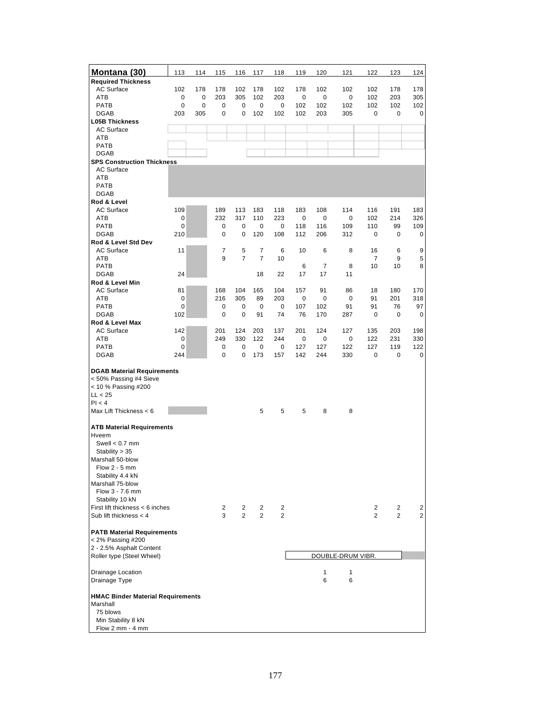| Montana (30)                                                                                                                                                                                           | 113      | 114 | 115            | 116            | 117            | 118            | 119       | 120            | 121               | 122            | 123            | 124        |
|--------------------------------------------------------------------------------------------------------------------------------------------------------------------------------------------------------|----------|-----|----------------|----------------|----------------|----------------|-----------|----------------|-------------------|----------------|----------------|------------|
| <b>Required Thickness</b>                                                                                                                                                                              |          |     |                |                |                |                |           |                |                   |                |                |            |
| <b>AC Surface</b>                                                                                                                                                                                      | 102      | 178 | 178            | 102            | 178            | 102            | 178       | 102            | 102               | 102            | 178            | 178        |
| ATB                                                                                                                                                                                                    | 0        | 0   | 203            | 305            | 102            | 203            | 0         | 0              | 0                 | 102            | 203            | 305        |
| PATB                                                                                                                                                                                                   | 0        | 0   | 0              | 0              | 0              | 0              | 102       | 102            | 102               | 102            | 102            | 102        |
| <b>DGAB</b>                                                                                                                                                                                            | 203      | 305 | 0              | 0              | 102            | 102            | 102       | 203            | 305               | 0              | 0              | 0          |
| <b>L05B Thickness</b>                                                                                                                                                                                  |          |     |                |                |                |                |           |                |                   |                |                |            |
| <b>AC Surface</b>                                                                                                                                                                                      |          |     |                |                |                |                |           |                |                   |                |                |            |
| ATB                                                                                                                                                                                                    |          |     |                |                |                |                |           |                |                   |                |                |            |
| PATB<br><b>DGAB</b>                                                                                                                                                                                    |          |     |                |                |                |                |           |                |                   |                |                |            |
| <b>SPS Construction Thickness</b>                                                                                                                                                                      |          |     |                |                |                |                |           |                |                   |                |                |            |
| <b>AC Surface</b>                                                                                                                                                                                      |          |     |                |                |                |                |           |                |                   |                |                |            |
| ATB                                                                                                                                                                                                    |          |     |                |                |                |                |           |                |                   |                |                |            |
| PATB                                                                                                                                                                                                   |          |     |                |                |                |                |           |                |                   |                |                |            |
| <b>DGAB</b>                                                                                                                                                                                            |          |     |                |                |                |                |           |                |                   |                |                |            |
| Rod & Level                                                                                                                                                                                            |          |     |                |                |                |                |           |                |                   |                |                |            |
| <b>AC Surface</b>                                                                                                                                                                                      | 109      |     | 189            | 113            | 183            | 118            | 183       | 108            | 114               | 116            | 191            | 183        |
| ATB<br>PATB                                                                                                                                                                                            | 0<br>0   |     | 232<br>0       | 317<br>0       | 110<br>0       | 223<br>0       | 0<br>118  | 0<br>116       | 0<br>109          | 102<br>110     | 214<br>99      | 326<br>109 |
| <b>DGAB</b>                                                                                                                                                                                            | 210      |     | 0              | 0              | 120            | 108            | 112       | 206            | 312               | 0              | 0              | 0          |
| Rod & Level Std Dev                                                                                                                                                                                    |          |     |                |                |                |                |           |                |                   |                |                |            |
| <b>AC Surface</b>                                                                                                                                                                                      | 11       |     | 7              | 5              | 7              | 6              | 10        | 6              | 8                 | 16             | 6              | 9          |
| ATB                                                                                                                                                                                                    |          |     | 9              | $\overline{7}$ | $\overline{7}$ | 10             |           |                |                   | $\overline{7}$ | 9              | 5          |
| PATB                                                                                                                                                                                                   |          |     |                |                |                |                | 6         | $\overline{7}$ | 8                 | 10             | 10             | 8          |
| <b>DGAB</b>                                                                                                                                                                                            | 24       |     |                |                | 18             | 22             | 17        | 17             | 11                |                |                |            |
| Rod & Level Min                                                                                                                                                                                        |          |     |                |                |                |                |           |                |                   |                |                |            |
| <b>AC Surface</b>                                                                                                                                                                                      | 81       |     | 168            | 104            | 165            | 104            | 157       | 91             | 86                | 18             | 180            | 170        |
| ATB                                                                                                                                                                                                    | 0        |     | 216            | 305            | 89             | 203            | 0         | 0              | 0                 | 91             | 201            | 318        |
| PATB<br><b>DGAB</b>                                                                                                                                                                                    | 0<br>102 |     | 0<br>0         | 0<br>0         | 0<br>91        | 0<br>74        | 107<br>76 | 102<br>170     | 91<br>287         | 91<br>0        | 76<br>0        | 97<br>0    |
| Rod & Level Max                                                                                                                                                                                        |          |     |                |                |                |                |           |                |                   |                |                |            |
| <b>AC Surface</b>                                                                                                                                                                                      | 142      |     | 201            | 124            | 203            | 137            | 201       | 124            | 127               | 135            | 203            | 198        |
| ATB                                                                                                                                                                                                    | 0        |     | 249            | 330            | 122            | 244            | 0         | 0              | 0                 | 122            | 231            | 330        |
| PATB                                                                                                                                                                                                   | 0        |     | 0              | 0              | 0              | 0              | 127       | 127            | 122               | 127            | 119            | 122        |
| <b>DGAB</b>                                                                                                                                                                                            | 244      |     | 0              | 0              | 173            | 157            | 142       | 244            | 330               | 0              | 0              | 0          |
| <b>DGAB Material Requirements</b><br>< 50% Passing #4 Sieve<br>< 10 % Passing #200<br>LL < 25<br>PI < 4                                                                                                |          |     |                |                |                |                |           |                |                   |                |                |            |
| Max Lift Thickness < 6                                                                                                                                                                                 |          |     |                |                | 5              | 5              | 5         | 8              | 8                 |                |                |            |
|                                                                                                                                                                                                        |          |     |                |                |                |                |           |                |                   |                |                |            |
| <b>ATB Material Requirements</b><br>Hveem<br>Swell $< 0.7$ mm<br>Stability $> 35$<br>Marshall 50-blow<br>Flow $2 - 5$ mm<br>Stability 4.4 kN<br>Marshall 75-blow<br>Flow 3 - 7.6 mm<br>Stability 10 kN |          |     |                |                |                |                |           |                |                   |                |                |            |
| First lift thickness < 6 inches                                                                                                                                                                        |          |     | $\overline{c}$ | 2              | 2              | 2              |           |                |                   | 2              | 2              | 2          |
| Sub lift thickness $<$ 4                                                                                                                                                                               |          |     | 3              | $\overline{2}$ | $\overline{2}$ | $\overline{2}$ |           |                |                   | 2              | $\overline{2}$ | 2          |
|                                                                                                                                                                                                        |          |     |                |                |                |                |           |                |                   |                |                |            |
| <b>PATB Material Requirements</b><br>< 2% Passing #200<br>2 - 2.5% Asphalt Content                                                                                                                     |          |     |                |                |                |                |           |                |                   |                |                |            |
| Roller type (Steel Wheel)                                                                                                                                                                              |          |     |                |                |                |                |           |                | DOUBLE-DRUM VIBR. |                |                |            |
|                                                                                                                                                                                                        |          |     |                |                |                |                |           |                |                   |                |                |            |
| Drainage Location<br>Drainage Type                                                                                                                                                                     |          |     |                |                |                |                |           | 1<br>6         | 1<br>6            |                |                |            |
| <b>HMAC Binder Material Requirements</b><br>Marshall<br>75 blows<br>Min Stability 8 kN<br>Flow 2 mm - 4 mm                                                                                             |          |     |                |                |                |                |           |                |                   |                |                |            |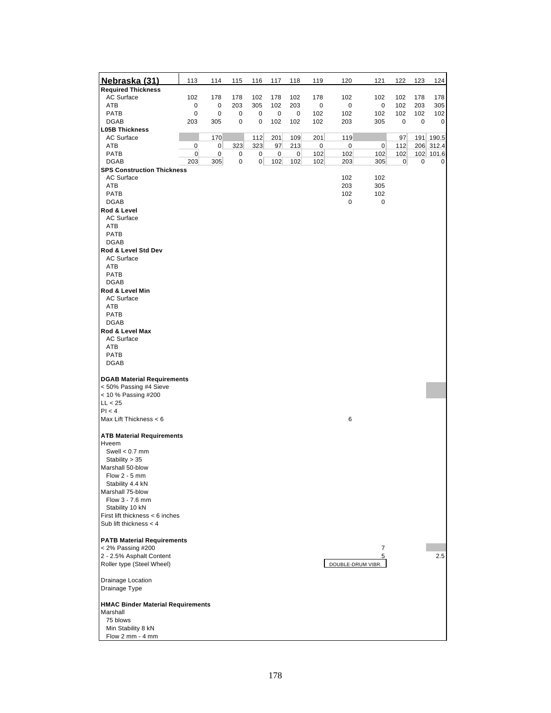| Nebraska (31)                                        | 113              | 114      | 115    | 116    | 117      | 118            | 119        | 120               | 121        | 122            | 123      | 124       |
|------------------------------------------------------|------------------|----------|--------|--------|----------|----------------|------------|-------------------|------------|----------------|----------|-----------|
| <b>Required Thickness</b>                            |                  |          |        |        |          |                |            |                   |            |                |          |           |
| <b>AC Surface</b>                                    | 102              | 178      | 178    | 102    | 178      | 102            | 178        | 102               | 102        | 102            | 178      | 178       |
| ATB                                                  | 0                | 0        | 203    | 305    | 102      | 203            | 0          | 0                 | 0          | 102            | 203      | 305       |
| PATB<br><b>DGAB</b>                                  | 0<br>203         | 0<br>305 | 0<br>0 | 0<br>0 | 0<br>102 | 0<br>102       | 102<br>102 | 102<br>203        | 102<br>305 | 102<br>0       | 102<br>0 | 102<br>0  |
| <b>L05B Thickness</b>                                |                  |          |        |        |          |                |            |                   |            |                |          |           |
| <b>AC Surface</b>                                    |                  | 170      |        | 112    | 201      | 109            | 201        | 119               |            | 97             |          | 191 190.5 |
| ATB                                                  | 0                | $\sigma$ | 323    | 323    | 97       | 213            | $\bf{0}$   | 0                 | $\pmb{0}$  | 112            |          | 206 312.4 |
| PATB                                                 | $\boldsymbol{0}$ | $\bf{0}$ | 0      | 0      | $\bf{0}$ | $\overline{0}$ | 102        | 102               | 102        | 102            |          | 102 101.6 |
| <b>DGAB</b>                                          | 203              | 305      | 0      | 0      | 102      | 102            | 102        | 203               | 305        | $\overline{0}$ | 0        | 0         |
| <b>SPS Construction Thickness</b>                    |                  |          |        |        |          |                |            |                   |            |                |          |           |
| <b>AC Surface</b>                                    |                  |          |        |        |          |                |            | 102               | 102        |                |          |           |
| ATB                                                  |                  |          |        |        |          |                |            | 203               | 305        |                |          |           |
| PATB                                                 |                  |          |        |        |          |                |            | 102               | 102        |                |          |           |
| <b>DGAB</b>                                          |                  |          |        |        |          |                |            | 0                 | 0          |                |          |           |
| Rod & Level                                          |                  |          |        |        |          |                |            |                   |            |                |          |           |
| <b>AC Surface</b>                                    |                  |          |        |        |          |                |            |                   |            |                |          |           |
| ATB<br>PATB                                          |                  |          |        |        |          |                |            |                   |            |                |          |           |
| <b>DGAB</b>                                          |                  |          |        |        |          |                |            |                   |            |                |          |           |
| Rod & Level Std Dev                                  |                  |          |        |        |          |                |            |                   |            |                |          |           |
| AC Surface                                           |                  |          |        |        |          |                |            |                   |            |                |          |           |
| ATB                                                  |                  |          |        |        |          |                |            |                   |            |                |          |           |
| PATB                                                 |                  |          |        |        |          |                |            |                   |            |                |          |           |
| <b>DGAB</b>                                          |                  |          |        |        |          |                |            |                   |            |                |          |           |
| Rod & Level Min                                      |                  |          |        |        |          |                |            |                   |            |                |          |           |
| AC Surface                                           |                  |          |        |        |          |                |            |                   |            |                |          |           |
| ATB                                                  |                  |          |        |        |          |                |            |                   |            |                |          |           |
| PATB                                                 |                  |          |        |        |          |                |            |                   |            |                |          |           |
| <b>DGAB</b>                                          |                  |          |        |        |          |                |            |                   |            |                |          |           |
| Rod & Level Max                                      |                  |          |        |        |          |                |            |                   |            |                |          |           |
| AC Surface                                           |                  |          |        |        |          |                |            |                   |            |                |          |           |
| ATB                                                  |                  |          |        |        |          |                |            |                   |            |                |          |           |
| <b>PATB</b>                                          |                  |          |        |        |          |                |            |                   |            |                |          |           |
| <b>DGAB</b>                                          |                  |          |        |        |          |                |            |                   |            |                |          |           |
|                                                      |                  |          |        |        |          |                |            |                   |            |                |          |           |
| <b>DGAB Material Requirements</b>                    |                  |          |        |        |          |                |            |                   |            |                |          |           |
| < 50% Passing #4 Sieve<br>< 10 % Passing #200        |                  |          |        |        |          |                |            |                   |            |                |          |           |
| LL < 25                                              |                  |          |        |        |          |                |            |                   |            |                |          |           |
| PI < 4                                               |                  |          |        |        |          |                |            |                   |            |                |          |           |
| Max Lift Thickness < 6                               |                  |          |        |        |          |                |            | 6                 |            |                |          |           |
|                                                      |                  |          |        |        |          |                |            |                   |            |                |          |           |
| <b>ATB Material Requirements</b>                     |                  |          |        |        |          |                |            |                   |            |                |          |           |
| Hveem                                                |                  |          |        |        |          |                |            |                   |            |                |          |           |
| Swell $< 0.7$ mm                                     |                  |          |        |        |          |                |            |                   |            |                |          |           |
| Stability > 35                                       |                  |          |        |        |          |                |            |                   |            |                |          |           |
| Marshall 50-blow                                     |                  |          |        |        |          |                |            |                   |            |                |          |           |
| Flow $2 - 5$ mm                                      |                  |          |        |        |          |                |            |                   |            |                |          |           |
| Stability 4.4 kN                                     |                  |          |        |        |          |                |            |                   |            |                |          |           |
| Marshall 75-blow                                     |                  |          |        |        |          |                |            |                   |            |                |          |           |
| Flow 3 - 7.6 mm                                      |                  |          |        |        |          |                |            |                   |            |                |          |           |
| Stability 10 kN<br>First lift thickness < 6 inches   |                  |          |        |        |          |                |            |                   |            |                |          |           |
| Sub lift thickness $<$ 4                             |                  |          |        |        |          |                |            |                   |            |                |          |           |
|                                                      |                  |          |        |        |          |                |            |                   |            |                |          |           |
| <b>PATB Material Requirements</b>                    |                  |          |        |        |          |                |            |                   |            |                |          |           |
| $<$ 2% Passing #200                                  |                  |          |        |        |          |                |            |                   | 7          |                |          |           |
| 2 - 2.5% Asphalt Content                             |                  |          |        |        |          |                |            |                   | 5          |                |          | 2.5       |
| Roller type (Steel Wheel)                            |                  |          |        |        |          |                |            | DOUBLE-DRUM VIBR. |            |                |          |           |
|                                                      |                  |          |        |        |          |                |            |                   |            |                |          |           |
| Drainage Location                                    |                  |          |        |        |          |                |            |                   |            |                |          |           |
| Drainage Type                                        |                  |          |        |        |          |                |            |                   |            |                |          |           |
|                                                      |                  |          |        |        |          |                |            |                   |            |                |          |           |
| <b>HMAC Binder Material Requirements</b><br>Marshall |                  |          |        |        |          |                |            |                   |            |                |          |           |
| 75 blows                                             |                  |          |        |        |          |                |            |                   |            |                |          |           |
| Min Stability 8 kN                                   |                  |          |        |        |          |                |            |                   |            |                |          |           |
| Flow 2 mm - 4 mm                                     |                  |          |        |        |          |                |            |                   |            |                |          |           |
|                                                      |                  |          |        |        |          |                |            |                   |            |                |          |           |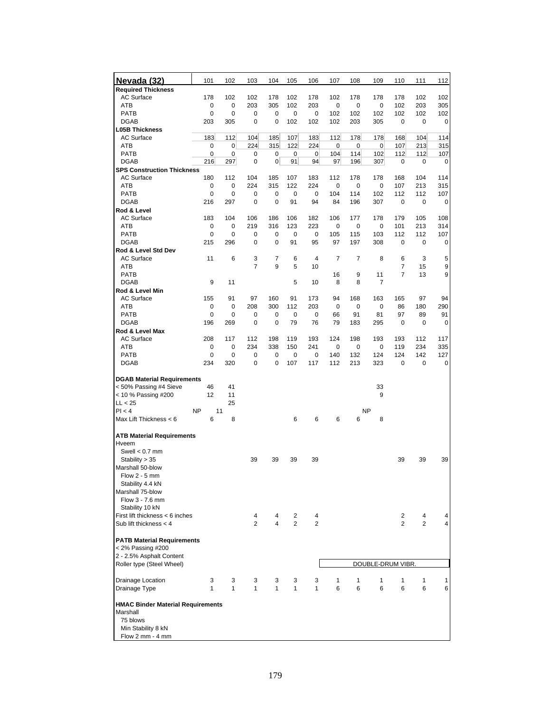| <u>Nevada (32)</u>                                          | 101              | 102              | 103                 | 104      | 105          | 106                 | 107            | 108        | 109                  | 110                 | 111        | 112      |
|-------------------------------------------------------------|------------------|------------------|---------------------|----------|--------------|---------------------|----------------|------------|----------------------|---------------------|------------|----------|
| <b>Required Thickness</b>                                   |                  |                  |                     |          |              |                     |                |            |                      |                     |            |          |
| <b>AC Surface</b>                                           | 178              | 102              | 102                 | 178      | 102          | 178                 | 102            | 178        | 178                  | 178                 | 102        | 102      |
| ATB                                                         | 0<br>$\mathbf 0$ | 0<br>$\mathbf 0$ | 203                 | 305      | 102          | 203                 | 0              | 0          | 0                    | 102                 | 203        | 305      |
| <b>PATB</b><br><b>DGAB</b>                                  | 203              | 305              | 0<br>0              | 0<br>0   | 0<br>102     | 0<br>102            | 102<br>102     | 102<br>203 | 102<br>305           | 102<br>0            | 102<br>0   | 102<br>0 |
| <b>L05B Thickness</b>                                       |                  |                  |                     |          |              |                     |                |            |                      |                     |            |          |
| <b>AC Surface</b>                                           | 183              | 112              | 104                 | 185      | 107          | 183                 | 112            | 178        | 178                  | 168                 | 104        | 114      |
| ATB                                                         | 0                | 0                | 224                 | 315      | 122          | 224                 | 0              | 0          | 0                    | 107                 | 213        | 315      |
| <b>PATB</b>                                                 | 0                | 0                | 0                   | 0        | 0            | 0                   | 104            | 114        | 102                  | 112                 | 112        | 107      |
| <b>DGAB</b>                                                 | 216              | 297              | 0                   | 0        | 91           | 94                  | 97             | 196        | 307                  | 0                   | 0          | 0        |
| <b>SPS Construction Thickness</b>                           |                  |                  |                     |          |              |                     |                |            |                      |                     |            |          |
| <b>AC Surface</b>                                           | 180              | 112              | 104                 | 185      | 107          | 183                 | 112            | 178        | 178                  | 168                 | 104        | 114      |
| ATB<br>PATB                                                 | 0<br>0           | 0<br>0           | 224<br>0            | 315<br>0 | 122<br>0     | 224<br>0            | 0<br>104       | 0<br>114   | 0<br>102             | 107<br>112          | 213<br>112 | 315      |
| <b>DGAB</b>                                                 | 216              | 297              | 0                   | 0        | 91           | 94                  | 84             | 196        | 307                  | 0                   | 0          | 107<br>0 |
| Rod & Level                                                 |                  |                  |                     |          |              |                     |                |            |                      |                     |            |          |
| <b>AC Surface</b>                                           | 183              | 104              | 106                 | 186      | 106          | 182                 | 106            | 177        | 178                  | 179                 | 105        | 108      |
| ATB                                                         | 0                | 0                | 219                 | 316      | 123          | 223                 | 0              | 0          | 0                    | 101                 | 213        | 314      |
| <b>PATB</b>                                                 | 0                | 0                | 0                   | 0        | 0            | 0                   | 105            | 115        | 103                  | 112                 | 112        | 107      |
| <b>DGAB</b>                                                 | 215              | 296              | 0                   | 0        | 91           | 95                  | 97             | 197        | 308                  | 0                   | 0          | 0        |
| Rod & Level Std Dev                                         |                  |                  |                     |          |              |                     |                |            |                      |                     |            |          |
| <b>AC Surface</b>                                           | 11               | 6                | 3                   | 7        | 6            | 4                   | $\overline{7}$ | 7          | 8                    | 6                   | 3          | 5        |
| ATB                                                         |                  |                  | $\overline{7}$      | 9        | 5            | 10                  |                |            |                      | 7                   | 15         | 9        |
| <b>PATB</b>                                                 | 9                | 11               |                     |          | 5            |                     | 16<br>8        | 9          | 11<br>$\overline{7}$ | 7                   | 13         | 9        |
| <b>DGAB</b><br>Rod & Level Min                              |                  |                  |                     |          |              | 10                  |                | 8          |                      |                     |            |          |
| <b>AC Surface</b>                                           | 155              | 91               | 97                  | 160      | 91           | 173                 | 94             | 168        | 163                  | 165                 | 97         | 94       |
| ATB                                                         | 0                | 0                | 208                 | 300      | 112          | 203                 | $\mathbf 0$    | 0          | 0                    | 86                  | 180        | 290      |
| <b>PATB</b>                                                 | 0                | 0                | 0                   | 0        | 0            | $\mathbf 0$         | 66             | 91         | 81                   | 97                  | 89         | 91       |
| <b>DGAB</b>                                                 | 196              | 269              | 0                   | 0        | 79           | 76                  | 79             | 183        | 295                  | 0                   | 0          | 0        |
| Rod & Level Max                                             |                  |                  |                     |          |              |                     |                |            |                      |                     |            |          |
| <b>AC Surface</b>                                           | 208              | 117              | 112                 | 198      | 119          | 193                 | 124            | 198        | 193                  | 193                 | 112        | 117      |
| ATB                                                         | 0                | 0                | 234                 | 338      | 150          | 241                 | 0              | 0          | 0                    | 119                 | 234        | 335      |
| <b>PATB</b>                                                 | 0                | 0                | 0                   | 0        | 0            | 0                   | 140            | 132        | 124                  | 124                 | 142        | 127      |
| <b>DGAB</b>                                                 | 234              | 320              | 0                   | 0        | 107          | 117                 | 112            | 213        | 323                  | 0                   | 0          | 0        |
| <b>DGAB Material Requirements</b>                           |                  |                  |                     |          |              |                     |                |            |                      |                     |            |          |
| < 50% Passing #4 Sieve                                      | 46               | 41               |                     |          |              |                     |                |            | 33                   |                     |            |          |
| < 10 % Passing #200                                         | 12               | 11               |                     |          |              |                     |                |            | 9                    |                     |            |          |
| LL < 25                                                     |                  | 25               |                     |          |              |                     |                |            |                      |                     |            |          |
| PI < 4                                                      | <b>NP</b>        | 11               |                     |          |              |                     |                |            | <b>NP</b>            |                     |            |          |
| Max Lift Thickness < 6                                      | 6                | 8                |                     |          | 6            | 6                   | 6              | 6          | 8                    |                     |            |          |
| <b>ATB Material Requirements</b>                            |                  |                  |                     |          |              |                     |                |            |                      |                     |            |          |
| Hveem                                                       |                  |                  |                     |          |              |                     |                |            |                      |                     |            |          |
| Swell $< 0.7$ mm                                            |                  |                  |                     |          |              |                     |                |            |                      |                     |            |          |
| Stability > 35                                              |                  |                  | 39                  | 39       | 39           | 39                  |                |            |                      | 39                  | 39         | 39       |
| Marshall 50-blow                                            |                  |                  |                     |          |              |                     |                |            |                      |                     |            |          |
| Flow $2 - 5$ mm                                             |                  |                  |                     |          |              |                     |                |            |                      |                     |            |          |
| Stability 4.4 kN                                            |                  |                  |                     |          |              |                     |                |            |                      |                     |            |          |
| Marshall 75-blow                                            |                  |                  |                     |          |              |                     |                |            |                      |                     |            |          |
| Flow 3 - 7.6 mm                                             |                  |                  |                     |          |              |                     |                |            |                      |                     |            |          |
| Stability 10 kN                                             |                  |                  |                     |          |              |                     |                |            |                      |                     |            |          |
| First lift thickness < 6 inches<br>Sub lift thickness $<$ 4 |                  |                  | 4<br>$\overline{2}$ | 4<br>4   | 2<br>2       | 4<br>$\overline{2}$ |                |            |                      | $\overline{c}$<br>2 | 4<br>2     | 4        |
|                                                             |                  |                  |                     |          |              |                     |                |            |                      |                     |            |          |
| <b>PATB Material Requirements</b>                           |                  |                  |                     |          |              |                     |                |            |                      |                     |            |          |
| < 2% Passing #200                                           |                  |                  |                     |          |              |                     |                |            |                      |                     |            |          |
| 2 - 2.5% Asphalt Content                                    |                  |                  |                     |          |              |                     |                |            |                      |                     |            |          |
| Roller type (Steel Wheel)                                   |                  |                  |                     |          |              |                     |                |            | DOUBLE-DRUM VIBR.    |                     |            |          |
| Drainage Location                                           | 3                | 3                | 3                   | 3        | 3            | 3                   | 1              | 1          | 1                    | 1                   | 1          | 1        |
| Drainage Type                                               | 1                | 1                | $\mathbf{1}$        | 1        | $\mathbf{1}$ | 1                   | 6              | 6          | 6                    | 6                   | 6          | 6        |
|                                                             |                  |                  |                     |          |              |                     |                |            |                      |                     |            |          |
| <b>HMAC Binder Material Requirements</b>                    |                  |                  |                     |          |              |                     |                |            |                      |                     |            |          |
| Marshall                                                    |                  |                  |                     |          |              |                     |                |            |                      |                     |            |          |
| 75 blows                                                    |                  |                  |                     |          |              |                     |                |            |                      |                     |            |          |
| Min Stability 8 kN                                          |                  |                  |                     |          |              |                     |                |            |                      |                     |            |          |
| Flow 2 mm - 4 mm                                            |                  |                  |                     |          |              |                     |                |            |                      |                     |            |          |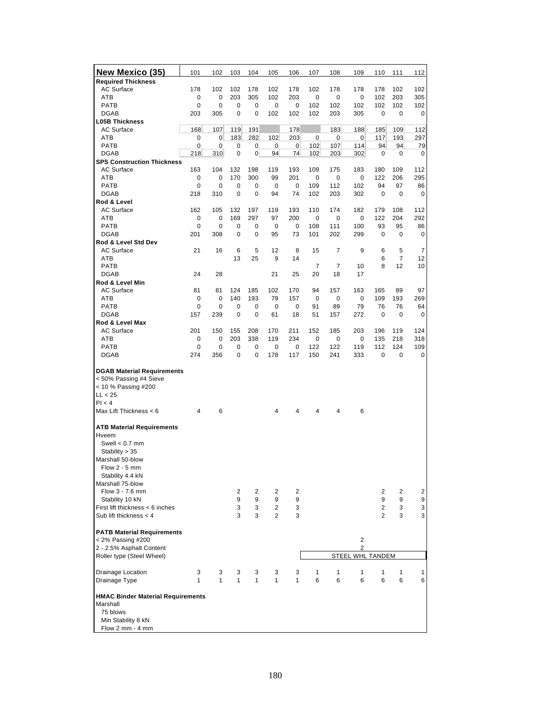| <u>New Mexico (35)</u>                                      | 101         | 102                | 103        | 104            | 105                              | 106        | 107            | 108      | 109      | 110                              | 111            | 112            |
|-------------------------------------------------------------|-------------|--------------------|------------|----------------|----------------------------------|------------|----------------|----------|----------|----------------------------------|----------------|----------------|
| <b>Required Thickness</b>                                   |             |                    |            |                |                                  |            |                |          |          |                                  |                |                |
| <b>AC Surface</b>                                           | 178         | 102                | 102        | 178            | 102                              | 178        | 102            | 178      | 178      | 178                              | 102            | 102            |
| ATB                                                         | 0           | 0                  | 203        | 305            | 102                              | 203        | 0              | 0        | 0        | 102                              | 203            | 305            |
| <b>PATB</b>                                                 | $\mathbf 0$ | $\mathbf 0$        | 0          | 0              | 0                                | 0          | 102            | 102      | 102      | 102                              | 102            | 102            |
| <b>DGAB</b>                                                 | 203         | 305                | 0          | 0              | 102                              | 102        | 102            | 203      | 305      | 0                                | 0              | 0              |
| <b>L05B Thickness</b>                                       |             |                    |            |                |                                  |            |                |          |          |                                  |                |                |
| <b>AC Surface</b>                                           | 168         | 107                | 119        | 191            |                                  | 178        |                | 183      | 188      | 185                              | 109            | 112            |
| ATB                                                         | 0           | 0                  | 183        | 282            | 102                              | 203        | 0              | 0        | 0        | 117                              | 193            | 297            |
| <b>PATB</b>                                                 | 0           | 0                  | 0          | 0              | 0                                | 0          | 102            | 107      | 114      | 94                               | 94             | 79             |
| <b>DGAB</b><br><b>SPS Construction Thickness</b>            | 218         | 310                | 0          | $\overline{0}$ | 94                               | 74         | 102            | 203      | 302      | 0                                | 0              | 0              |
| <b>AC Surface</b>                                           | 163         | 104                | 132        | 198            | 119                              | 193        | 109            | 175      | 183      | 180                              | 109            | 112            |
| ATB                                                         | 0           | $\mathbf 0$        | 170        | 300            | 99                               | 201        | 0              | 0        | 0        | 122                              | 206            | 295            |
| <b>PATB</b>                                                 | 0           | 0                  | 0          | 0              | 0                                | 0          | 109            | 112      | 102      | 94                               | 97             | 86             |
| <b>DGAB</b>                                                 | 218         | 310                | 0          | 0              | 94                               | 74         | 102            | 203      | 302      | 0                                | 0              | 0              |
| Rod & Level                                                 |             |                    |            |                |                                  |            |                |          |          |                                  |                |                |
| <b>AC Surface</b>                                           | 162         | 105                | 132        | 197            | 119                              | 193        | 110            | 174      | 182      | 179                              | 108            | 112            |
| ATB                                                         | 0           | 0                  | 169        | 297            | 97                               | 200        | 0              | 0        | 0        | 122                              | 204            | 292            |
| PATB                                                        | 0           | 0                  | 0          | 0              | 0                                | 0          | 108            | 111      | 100      | 93                               | 95             | 86             |
| <b>DGAB</b>                                                 | 201         | 308                | 0          | 0              | 95                               | 73         | 101            | 202      | 299      | 0                                | 0              | 0              |
| Rod & Level Std Dev                                         |             |                    |            |                |                                  |            |                |          |          |                                  |                |                |
| <b>AC Surface</b>                                           | 21          | 16                 | 6          | 5              | 12                               | 8          | 15             | 7        | 9        | 6                                | 5              | 7              |
| ATB                                                         |             |                    | 13         | 25             | 9                                | 14         |                |          |          | 6                                | 7              | 12             |
| <b>PATB</b>                                                 |             |                    |            |                |                                  |            | $\overline{7}$ | 7        | 10       | 8                                | 12             | 10             |
| <b>DGAB</b>                                                 | 24          | 28                 |            |                | 21                               | 25         | 20             | 18       | 17       |                                  |                |                |
| Rod & Level Min                                             |             |                    |            |                |                                  |            |                |          |          |                                  |                |                |
| <b>AC Surface</b>                                           | 81          | 81                 | 124        | 185            | 102                              | 170        | 94             | 157      | 163      | 165                              | 89             | 97             |
| ATB                                                         | 0           | 0                  | 140        | 193            | 79                               | 157        | 0              | 0        | 0        | 109                              | 193            | 269            |
| <b>PATB</b>                                                 | 0           | $\mathbf 0$        | 0          | 0              | 0                                | 0          | 91             | 89       | 79       | 76                               | 76             | 64             |
| <b>DGAB</b>                                                 | 157         | 239                | 0          | 0              | 61                               | 18         | 51             | 157      | 272      | 0                                | $\mathbf 0$    | 0              |
| Rod & Level Max                                             |             |                    |            |                |                                  |            |                |          |          |                                  |                |                |
| <b>AC Surface</b><br>ATB                                    | 201<br>0    | 150<br>$\mathbf 0$ | 155<br>203 | 208<br>338     | 170<br>119                       | 211<br>234 | 152<br>0       | 185<br>0 | 203<br>0 | 196<br>135                       | 119<br>218     | 124<br>318     |
| <b>PATB</b>                                                 | 0           | 0                  | 0          | 0              | 0                                | 0          | 122            | 122      | 119      | 112                              | 124            | 109            |
| <b>DGAB</b>                                                 | 274         | 356                | 0          | 0              | 178                              | 117        | 150            | 241      | 333      | 0                                | 0              | 0              |
|                                                             |             |                    |            |                |                                  |            |                |          |          |                                  |                |                |
| <b>DGAB Material Requirements</b>                           |             |                    |            |                |                                  |            |                |          |          |                                  |                |                |
| < 50% Passing #4 Sieve                                      |             |                    |            |                |                                  |            |                |          |          |                                  |                |                |
| < 10 % Passing #200                                         |             |                    |            |                |                                  |            |                |          |          |                                  |                |                |
| LL < 25                                                     |             |                    |            |                |                                  |            |                |          |          |                                  |                |                |
| PI < 4                                                      |             |                    |            |                |                                  |            |                |          |          |                                  |                |                |
| Max Lift Thickness < 6                                      | 4           | 6                  |            |                | 4                                | 4          | 4              | 4        | 6        |                                  |                |                |
|                                                             |             |                    |            |                |                                  |            |                |          |          |                                  |                |                |
| <b>ATB Material Requirements</b>                            |             |                    |            |                |                                  |            |                |          |          |                                  |                |                |
| Hveem                                                       |             |                    |            |                |                                  |            |                |          |          |                                  |                |                |
| Swell $< 0.7$ mm                                            |             |                    |            |                |                                  |            |                |          |          |                                  |                |                |
| Stability $> 35$                                            |             |                    |            |                |                                  |            |                |          |          |                                  |                |                |
| Marshall 50-blow                                            |             |                    |            |                |                                  |            |                |          |          |                                  |                |                |
| Flow $2 - 5$ mm                                             |             |                    |            |                |                                  |            |                |          |          |                                  |                |                |
| Stability 4.4 kN                                            |             |                    |            |                |                                  |            |                |          |          |                                  |                |                |
| Marshall 75-blow                                            |             |                    |            |                |                                  |            |                |          |          |                                  |                |                |
| Flow 3 - 7.6 mm                                             |             |                    | 2          | $\overline{2}$ | 2                                | 2          |                |          |          | $\overline{2}$                   | $\overline{2}$ | $\overline{2}$ |
| Stability 10 kN                                             |             |                    | 9          | 9              | 9                                | 9          |                |          |          | 9                                | 9              | 9              |
| First lift thickness < 6 inches<br>Sub lift thickness $<$ 4 |             |                    | 3<br>3     | 3<br>3         | $\overline{2}$<br>$\overline{2}$ | 3<br>3     |                |          |          | $\overline{2}$<br>$\overline{2}$ | 3<br>3         | 3              |
|                                                             |             |                    |            |                |                                  |            |                |          |          |                                  |                | 3              |
| <b>PATB Material Requirements</b>                           |             |                    |            |                |                                  |            |                |          |          |                                  |                |                |
| < 2% Passing #200                                           |             |                    |            |                |                                  |            |                |          | 2        |                                  |                |                |
| 2 - 2.5% Asphalt Content                                    |             |                    |            |                |                                  |            |                |          | 2        |                                  |                |                |
| Roller type (Steel Wheel)                                   |             |                    |            |                |                                  |            |                | STEEL    |          | <b>WHL TANDEM</b>                |                |                |
|                                                             |             |                    |            |                |                                  |            |                |          |          |                                  |                |                |
| Drainage Location                                           | 3           | 3                  | 3          | 3              | 3                                | 3          | 1              | 1        | 1        | 1                                | 1              | 1              |
| Drainage Type                                               | 1           | 1                  | 1          | 1              | 1                                | 1          | 6              | 6        | 6        | 6                                | 6              | 6              |
|                                                             |             |                    |            |                |                                  |            |                |          |          |                                  |                |                |
| <b>HMAC Binder Material Requirements</b>                    |             |                    |            |                |                                  |            |                |          |          |                                  |                |                |
| Marshall                                                    |             |                    |            |                |                                  |            |                |          |          |                                  |                |                |
| 75 blows                                                    |             |                    |            |                |                                  |            |                |          |          |                                  |                |                |
| Min Stability 8 kN                                          |             |                    |            |                |                                  |            |                |          |          |                                  |                |                |
| Flow $2 \text{ mm} - 4 \text{ mm}$                          |             |                    |            |                |                                  |            |                |          |          |                                  |                |                |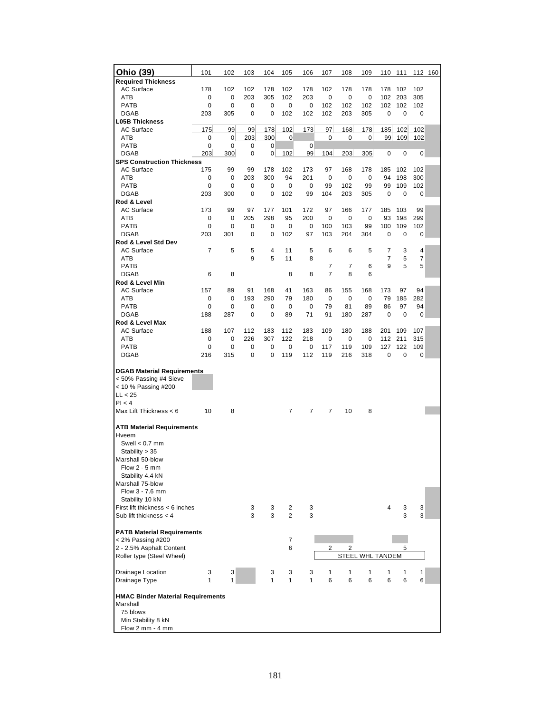| Ohio (39)                                                                                                                                                      | 101      | 102      | 103        | 104        | 105                              | 106        | 107            | 108      | 109                     | 110            | 111        | 112 160    |  |
|----------------------------------------------------------------------------------------------------------------------------------------------------------------|----------|----------|------------|------------|----------------------------------|------------|----------------|----------|-------------------------|----------------|------------|------------|--|
| <b>Required Thickness</b>                                                                                                                                      |          |          |            |            |                                  |            |                |          |                         |                |            |            |  |
| <b>AC Surface</b><br>ATB                                                                                                                                       | 178<br>0 | 102<br>0 | 102<br>203 | 178<br>305 | 102<br>102                       | 178<br>203 | 102<br>0       | 178<br>0 | 178<br>0                | 178<br>102     | 102<br>203 | 102<br>305 |  |
| <b>PATB</b>                                                                                                                                                    | 0        | 0        | 0          | 0          | 0                                | 0          | 102            | 102      | 102                     | 102            | 102        | 102        |  |
| <b>DGAB</b>                                                                                                                                                    | 203      | 305      | 0          | 0          | 102                              | 102        | 102            | 203      | 305                     | 0              | 0          | 0          |  |
| <b>L05B Thickness</b>                                                                                                                                          |          |          |            |            |                                  |            |                |          |                         |                |            |            |  |
| <b>AC Surface</b>                                                                                                                                              | 175      | 99       | 99         | 178        | 102                              | 173        | 97             | 168      | 178                     | 185            | 102        | 102        |  |
| ATB                                                                                                                                                            | 0        | 0        | 203        | 300        | 0                                |            | 0              | 0        | $\overline{0}$          | 99             | 109        | 102        |  |
| <b>PATB</b>                                                                                                                                                    | 0        | 0        | 0          | 0          |                                  | 0          |                |          |                         |                |            |            |  |
| <b>DGAB</b>                                                                                                                                                    | 203      | 300      | 0          | 0          | 102                              | 99         | 104            | 203      | 305                     | 0              | 0          | 0          |  |
| <b>SPS Construction Thickness</b>                                                                                                                              |          |          |            |            |                                  |            |                |          |                         |                |            |            |  |
| <b>AC Surface</b><br>ATB                                                                                                                                       | 175<br>0 | 99<br>0  | 99<br>203  | 178<br>300 | 102<br>94                        | 173<br>201 | 97<br>0        | 168<br>0 | 178<br>$\mathbf 0$      | 185<br>94      | 102<br>198 | 102<br>300 |  |
| <b>PATB</b>                                                                                                                                                    | 0        | 0        | 0          | 0          | 0                                | 0          | 99             | 102      | 99                      | 99             | 109        | 102        |  |
| <b>DGAB</b>                                                                                                                                                    | 203      | 300      | 0          | 0          | 102                              | 99         | 104            | 203      | 305                     | 0              | 0          | 0          |  |
| Rod & Level                                                                                                                                                    |          |          |            |            |                                  |            |                |          |                         |                |            |            |  |
| <b>AC Surface</b>                                                                                                                                              | 173      | 99       | 97         | 177        | 101                              | 172        | 97             | 166      | 177                     | 185            | 103        | 99         |  |
| ATB                                                                                                                                                            | 0        | 0        | 205        | 298        | 95                               | 200        | 0              | 0        | 0                       | 93             | 198        | 299        |  |
| <b>PATB</b>                                                                                                                                                    | 0        | 0        | 0          | 0          | 0                                | 0          | 100            | 103      | 99                      | 100            | 109        | 102        |  |
| <b>DGAB</b>                                                                                                                                                    | 203      | 301      | 0          | 0          | 102                              | 97         | 103            | 204      | 304                     | 0              | 0          | 0          |  |
| Rod & Level Std Dev                                                                                                                                            |          |          |            |            |                                  |            |                |          |                         |                |            |            |  |
| <b>AC Surface</b>                                                                                                                                              | 7        | 5        | 5          | 4          | 11                               | 5          | 6              | 6        | 5                       | $\overline{7}$ | 3          | 4          |  |
| ATB                                                                                                                                                            |          |          | 9          | 5          | 11                               | 8          |                |          |                         | $\overline{7}$ | 5          | 7          |  |
| <b>PATB</b><br><b>DGAB</b>                                                                                                                                     | 6        | 8        |            |            | 8                                | 8          | 7<br>7         | 7<br>8   | 6<br>6                  | 9              | 5          | 5          |  |
| Rod & Level Min                                                                                                                                                |          |          |            |            |                                  |            |                |          |                         |                |            |            |  |
| <b>AC Surface</b>                                                                                                                                              | 157      | 89       | 91         | 168        | 41                               | 163        | 86             | 155      | 168                     | 173            | 97         | 94         |  |
| ATB                                                                                                                                                            | 0        | 0        | 193        | 290        | 79                               | 180        | 0              | 0        | 0                       | 79             | 185        | 282        |  |
| <b>PATB</b>                                                                                                                                                    | 0        | 0        | 0          | 0          | 0                                | 0          | 79             | 81       | 89                      | 86             | 97         | 94         |  |
| <b>DGAB</b>                                                                                                                                                    | 188      | 287      | 0          | 0          | 89                               | 71         | 91             | 180      | 287                     | 0              | 0          | 0          |  |
| Rod & Level Max                                                                                                                                                |          |          |            |            |                                  |            |                |          |                         |                |            |            |  |
| <b>AC Surface</b>                                                                                                                                              | 188      | 107      | 112        | 183        | 112                              | 183        | 109            | 180      | 188                     | 201            | 109        | 107        |  |
| ATB                                                                                                                                                            | 0        | 0        | 226        | 307        | 122                              | 218        | 0              | 0        | 0                       | 112            | 211        | 315        |  |
| <b>PATB</b>                                                                                                                                                    | 0        | 0        | 0          | 0          | 0                                | 0          | 117            | 119      | 109                     | 127            | 122        | 109        |  |
| <b>DGAB</b>                                                                                                                                                    | 216      | 315      | 0          | 0          | 119                              | 112        | 119            | 216      | 318                     | 0              | 0          | 0          |  |
| <b>DGAB Material Requirements</b><br>< 50% Passing #4 Sieve<br>< 10 % Passing #200<br>LL < 25                                                                  |          |          |            |            |                                  |            |                |          |                         |                |            |            |  |
| Pl < 4                                                                                                                                                         |          |          |            |            |                                  |            |                |          |                         |                |            |            |  |
| Max Lift Thickness < 6                                                                                                                                         | 10       | 8        |            |            | 7                                | 7          | $\overline{7}$ | 10       | 8                       |                |            |            |  |
| <b>ATB Material Requirements</b><br>Hveem<br>Swell $< 0.7$ mm<br>Stability $> 35$<br>Marshall 50-blow<br>Flow 2 - 5 mm<br>Stability 4.4 kN<br>Marshall 75-blow |          |          |            |            |                                  |            |                |          |                         |                |            |            |  |
| Flow 3 - 7.6 mm                                                                                                                                                |          |          |            |            |                                  |            |                |          |                         |                |            |            |  |
| Stability 10 kN                                                                                                                                                |          |          |            |            |                                  |            |                |          |                         |                |            |            |  |
| First lift thickness < 6 inches<br>Sub lift thickness $<$ 4                                                                                                    |          |          | 3<br>3     | 3<br>3     | $\overline{2}$<br>$\overline{2}$ | 3<br>3     |                |          |                         | 4              | 3<br>3     | 3<br>3     |  |
|                                                                                                                                                                |          |          |            |            |                                  |            |                |          |                         |                |            |            |  |
| <b>PATB Material Requirements</b><br>< 2% Passing #200<br>2 - 2.5% Asphalt Content                                                                             |          |          |            |            | 7<br>6                           |            | 2              |          |                         |                | 5          |            |  |
| Roller type (Steel Wheel)                                                                                                                                      |          |          |            |            |                                  |            |                |          | <b>STEEL WHL TANDEM</b> |                |            |            |  |
| Drainage Location<br>Drainage Type                                                                                                                             | 3<br>1   | 3<br>1   |            | 3<br>1     | 3<br>1                           | 3<br>1     | 1<br>6         | 1<br>6   | 1<br>6                  | 1<br>6         | 1<br>6     | 1<br>6     |  |
| <b>HMAC Binder Material Requirements</b><br>Marshall<br>75 blows<br>Min Stability 8 kN<br>Flow 2 mm $-4$ mm                                                    |          |          |            |            |                                  |            |                |          |                         |                |            |            |  |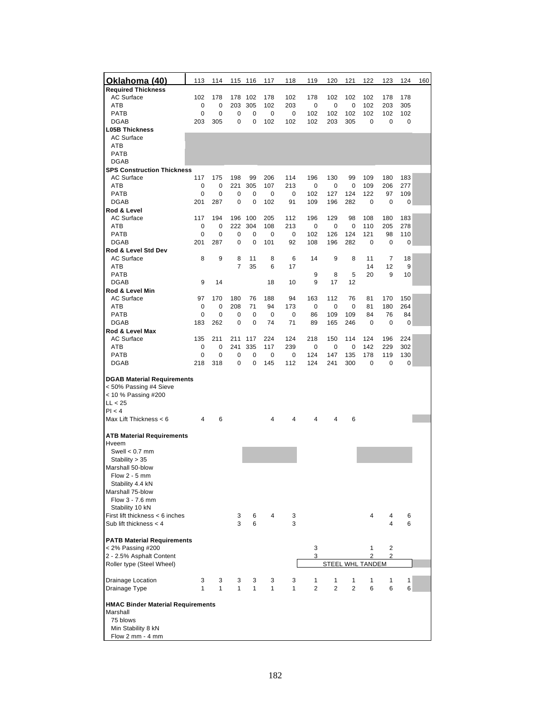| Oklahoma (40)                                                                                                                            | 113          | 114 |                | 115 116 | 117          | 118 | 119            | 120            | 121            | 122                     | 123    | 124 | 160 |
|------------------------------------------------------------------------------------------------------------------------------------------|--------------|-----|----------------|---------|--------------|-----|----------------|----------------|----------------|-------------------------|--------|-----|-----|
| <b>Required Thickness</b>                                                                                                                |              |     |                |         |              |     |                |                |                |                         |        |     |     |
| <b>AC Surface</b>                                                                                                                        | 102          | 178 | 178            | 102     | 178          | 102 | 178            | 102            | 102            | 102                     | 178    | 178 |     |
| ATB                                                                                                                                      | 0            | 0   | 203            | 305     | 102          | 203 | 0              | 0              | 0              | 102                     | 203    | 305 |     |
| <b>PATB</b>                                                                                                                              | 0            | 0   | 0              | 0       | 0            | 0   | 102            | 102            | 102            | 102                     | 102    | 102 |     |
| <b>DGAB</b><br><b>L05B Thickness</b>                                                                                                     | 203          | 305 | 0              | 0       | 102          | 102 | 102            | 203            | 305            | 0                       | 0      | 0   |     |
| <b>AC Surface</b>                                                                                                                        |              |     |                |         |              |     |                |                |                |                         |        |     |     |
| ATB                                                                                                                                      |              |     |                |         |              |     |                |                |                |                         |        |     |     |
| <b>PATB</b>                                                                                                                              |              |     |                |         |              |     |                |                |                |                         |        |     |     |
| <b>DGAB</b>                                                                                                                              |              |     |                |         |              |     |                |                |                |                         |        |     |     |
| <b>SPS Construction Thickness</b>                                                                                                        |              |     |                |         |              |     |                |                |                |                         |        |     |     |
| <b>AC Surface</b>                                                                                                                        | 117          | 175 | 198            | 99      | 206          | 114 | 196            | 130            | 99             | 109                     | 180    | 183 |     |
| ATB                                                                                                                                      | 0            | 0   | 221            | 305     | 107          | 213 | 0              | 0              | 0              | 109                     | 206    | 277 |     |
| PATB                                                                                                                                     | 0            | 0   | 0              | 0       | 0            | 0   | 102            | 127            | 124            | 122                     | 97     | 109 |     |
| DGAB                                                                                                                                     | 201          | 287 | 0              | 0       | 102          | 91  | 109            | 196            | 282            | 0                       | 0      | 0   |     |
| Rod & Level<br><b>AC Surface</b>                                                                                                         | 117          | 194 | 196            | 100     | 205          | 112 | 196            | 129            | 98             | 108                     | 180    | 183 |     |
| ATB                                                                                                                                      | 0            | 0   | 222            | 304     | 108          | 213 | 0              | 0              | 0              | 110                     | 205    | 278 |     |
| <b>PATB</b>                                                                                                                              | 0            | 0   | 0              | 0       | 0            | 0   | 102            | 126            | 124            | 121                     | 98     | 110 |     |
| <b>DGAB</b>                                                                                                                              | 201          | 287 | 0              | 0       | 101          | 92  | 108            | 196            | 282            | 0                       | 0      | 0   |     |
| Rod & Level Std Dev                                                                                                                      |              |     |                |         |              |     |                |                |                |                         |        |     |     |
| AC Surface                                                                                                                               | 8            | 9   | 8              | 11      | 8            | 6   | 14             | 9              | 8              | 11                      | 7      | 18  |     |
| ATB                                                                                                                                      |              |     | $\overline{7}$ | 35      | 6            | 17  |                |                |                | 14                      | 12     | 9   |     |
| <b>PATB</b>                                                                                                                              |              |     |                |         |              |     | 9              | 8              | 5              | 20                      | 9      | 10  |     |
| <b>DGAB</b>                                                                                                                              | 9            | 14  |                |         | 18           | 10  | 9              | 17             | 12             |                         |        |     |     |
| Rod & Level Min<br><b>AC Surface</b>                                                                                                     | 97           | 170 | 180            | 76      | 188          | 94  | 163            | 112            | 76             | 81                      | 170    | 150 |     |
| ATB                                                                                                                                      | 0            | 0   | 208            | 71      | 94           | 173 | 0              | 0              | 0              | 81                      | 180    | 264 |     |
| <b>PATB</b>                                                                                                                              | 0            | 0   | 0              | 0       | 0            | 0   | 86             | 109            | 109            | 84                      | 76     | 84  |     |
| <b>DGAB</b>                                                                                                                              | 183          | 262 | 0              | 0       | 74           | 71  | 89             | 165            | 246            | 0                       | 0      | 0   |     |
| Rod & Level Max                                                                                                                          |              |     |                |         |              |     |                |                |                |                         |        |     |     |
| AC Surface                                                                                                                               | 135          | 211 | 211            | 117     | 224          | 124 | 218            | 150            | 114            | 124                     | 196    | 224 |     |
| ATB                                                                                                                                      | 0            | 0   | 241            | 335     | 117          | 239 | 0              | 0              | 0              | 142                     | 229    | 302 |     |
| <b>PATB</b>                                                                                                                              | 0            | 0   | 0              | 0       | 0            | 0   | 124            | 147            | 135            | 178                     | 119    | 130 |     |
| <b>DGAB</b>                                                                                                                              | 218          | 318 | 0              | 0       | 145          | 112 | 124            | 241            | 300            | 0                       | 0      | 0   |     |
| <b>DGAB Material Requirements</b><br>< 50% Passing #4 Sieve<br>< 10 % Passing #200<br>LL < 25                                            |              |     |                |         |              |     |                |                |                |                         |        |     |     |
| PI < 4                                                                                                                                   |              |     |                |         |              |     |                |                |                |                         |        |     |     |
| Max Lift Thickness < 6                                                                                                                   | 4            | 6   |                |         | 4            | 4   | 4              | 4              | 6              |                         |        |     |     |
| <b>ATB Material Requirements</b><br>Hveem<br>Swell $< 0.7$ mm<br>Stability > 35<br>Marshall 50-blow<br>Flow 2 - 5 mm<br>Stability 4.4 kN |              |     |                |         |              |     |                |                |                |                         |        |     |     |
| Marshall 75-blow                                                                                                                         |              |     |                |         |              |     |                |                |                |                         |        |     |     |
| Flow 3 - 7.6 mm<br>Stability 10 kN                                                                                                       |              |     |                |         |              |     |                |                |                |                         |        |     |     |
| First lift thickness < 6 inches                                                                                                          |              |     | 3              | 6       | 4            | 3   |                |                |                | 4                       | 4      | 6   |     |
| Sub lift thickness $<$ 4                                                                                                                 |              |     | 3              | 6       |              | 3   |                |                |                |                         | 4      | 6   |     |
|                                                                                                                                          |              |     |                |         |              |     |                |                |                |                         |        |     |     |
| <b>PATB Material Requirements</b><br>< 2% Passing #200                                                                                   |              |     |                |         |              |     | 3<br>3         |                |                | 1<br>2                  | 2<br>2 |     |     |
| 2 - 2.5% Asphalt Content<br>Roller type (Steel Wheel)                                                                                    |              |     |                |         |              |     |                |                |                | <b>STEEL WHL TANDEM</b> |        |     |     |
|                                                                                                                                          |              |     |                |         |              |     |                |                |                |                         |        |     |     |
| <b>Drainage Location</b>                                                                                                                 | 3            | 3   | 3              | 3       | 3            | 3   | 1              | 1              | 1              | 1                       | 1      | 1   |     |
| Drainage Type                                                                                                                            | $\mathbf{1}$ | 1   | 1              | 1       | $\mathbf{1}$ | 1   | $\overline{2}$ | $\overline{2}$ | $\overline{2}$ | 6                       | 6      | 6   |     |
|                                                                                                                                          |              |     |                |         |              |     |                |                |                |                         |        |     |     |
| <b>HMAC Binder Material Requirements</b><br>Marshall<br>75 blows<br>Min Stability 8 kN<br>Flow 2 mm - 4 mm                               |              |     |                |         |              |     |                |                |                |                         |        |     |     |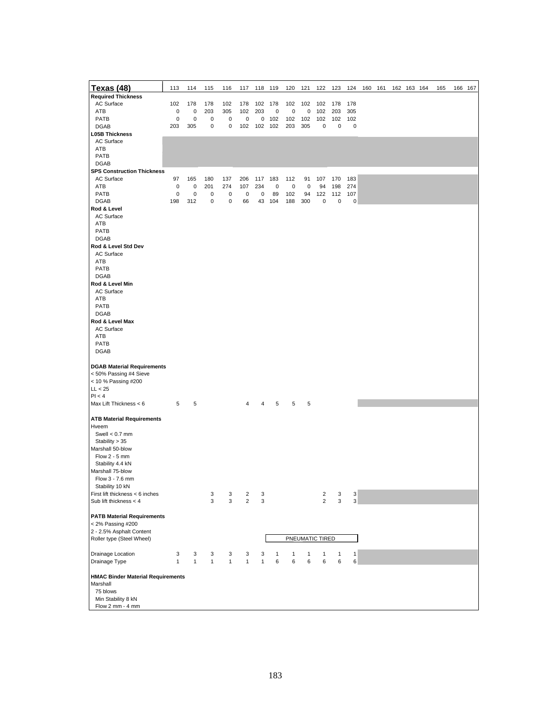| <b>Texas (48)</b><br><b>Required Thickness</b> | 113          | 114          | 115          | 116          | 117            | 118          | 119 | 120 | 121 | 122             | 123 | 124       | 160 | 161 | 162 163 164 | 165 | 166 167 |
|------------------------------------------------|--------------|--------------|--------------|--------------|----------------|--------------|-----|-----|-----|-----------------|-----|-----------|-----|-----|-------------|-----|---------|
| AC Surface                                     | 102          | 178          | 178          | 102          | 178            | 102          | 178 | 102 | 102 | 102             | 178 | 178       |     |     |             |     |         |
| ATB                                            | 0            | $\pmb{0}$    | 203          | 305          | 102            | 203          | 0   | 0   | 0   | 102             | 203 | 305       |     |     |             |     |         |
| PATB                                           | 0            | $\pmb{0}$    | 0            | 0            | 0              | 0            | 102 | 102 | 102 | 102             | 102 | 102       |     |     |             |     |         |
| <b>DGAB</b>                                    | 203          | 305          | $\mathsf 0$  | $\pmb{0}$    | 102            | 102          | 102 | 203 | 305 | 0               | 0   | 0         |     |     |             |     |         |
| <b>L05B Thickness</b>                          |              |              |              |              |                |              |     |     |     |                 |     |           |     |     |             |     |         |
| AC Surface                                     |              |              |              |              |                |              |     |     |     |                 |     |           |     |     |             |     |         |
| ATB                                            |              |              |              |              |                |              |     |     |     |                 |     |           |     |     |             |     |         |
| PATB                                           |              |              |              |              |                |              |     |     |     |                 |     |           |     |     |             |     |         |
| <b>DGAB</b>                                    |              |              |              |              |                |              |     |     |     |                 |     |           |     |     |             |     |         |
| <b>SPS Construction Thickness</b>              |              |              |              |              |                |              |     |     |     |                 |     |           |     |     |             |     |         |
| AC Surface                                     | 97           | 165          | 180          | 137          | 206            | 117          | 183 | 112 | 91  | 107             | 170 | 183       |     |     |             |     |         |
| ATB                                            | 0            | 0            | 201          | 274          | 107            | 234          | 0   | 0   | 0   | 94              | 198 | 274       |     |     |             |     |         |
| PATB                                           | 0            | $\pmb{0}$    | 0            | 0            | 0              | 0            | 89  | 102 | 94  | 122             | 112 | 107       |     |     |             |     |         |
| <b>DGAB</b>                                    | 198          | 312          | 0            | $\pmb{0}$    | 66             | 43           | 104 | 188 | 300 | 0               | 0   | $\pmb{0}$ |     |     |             |     |         |
| Rod & Level                                    |              |              |              |              |                |              |     |     |     |                 |     |           |     |     |             |     |         |
| AC Surface                                     |              |              |              |              |                |              |     |     |     |                 |     |           |     |     |             |     |         |
| ATB                                            |              |              |              |              |                |              |     |     |     |                 |     |           |     |     |             |     |         |
| PATB                                           |              |              |              |              |                |              |     |     |     |                 |     |           |     |     |             |     |         |
| <b>DGAB</b>                                    |              |              |              |              |                |              |     |     |     |                 |     |           |     |     |             |     |         |
| Rod & Level Std Dev                            |              |              |              |              |                |              |     |     |     |                 |     |           |     |     |             |     |         |
| AC Surface                                     |              |              |              |              |                |              |     |     |     |                 |     |           |     |     |             |     |         |
| ATB                                            |              |              |              |              |                |              |     |     |     |                 |     |           |     |     |             |     |         |
| PATB                                           |              |              |              |              |                |              |     |     |     |                 |     |           |     |     |             |     |         |
| <b>DGAB</b>                                    |              |              |              |              |                |              |     |     |     |                 |     |           |     |     |             |     |         |
| Rod & Level Min<br>AC Surface                  |              |              |              |              |                |              |     |     |     |                 |     |           |     |     |             |     |         |
| ATB                                            |              |              |              |              |                |              |     |     |     |                 |     |           |     |     |             |     |         |
| PATB                                           |              |              |              |              |                |              |     |     |     |                 |     |           |     |     |             |     |         |
| <b>DGAB</b>                                    |              |              |              |              |                |              |     |     |     |                 |     |           |     |     |             |     |         |
| Rod & Level Max                                |              |              |              |              |                |              |     |     |     |                 |     |           |     |     |             |     |         |
| AC Surface                                     |              |              |              |              |                |              |     |     |     |                 |     |           |     |     |             |     |         |
| ATB                                            |              |              |              |              |                |              |     |     |     |                 |     |           |     |     |             |     |         |
| PATB                                           |              |              |              |              |                |              |     |     |     |                 |     |           |     |     |             |     |         |
| <b>DGAB</b>                                    |              |              |              |              |                |              |     |     |     |                 |     |           |     |     |             |     |         |
|                                                |              |              |              |              |                |              |     |     |     |                 |     |           |     |     |             |     |         |
| <b>DGAB Material Requirements</b>              |              |              |              |              |                |              |     |     |     |                 |     |           |     |     |             |     |         |
| < 50% Passing #4 Sieve                         |              |              |              |              |                |              |     |     |     |                 |     |           |     |     |             |     |         |
| < 10 % Passing #200                            |              |              |              |              |                |              |     |     |     |                 |     |           |     |     |             |     |         |
| LL < 25                                        |              |              |              |              |                |              |     |     |     |                 |     |           |     |     |             |     |         |
| Pl < 4                                         |              |              |              |              |                |              |     |     |     |                 |     |           |     |     |             |     |         |
| Max Lift Thickness $< 6$                       | 5            | 5            |              |              | 4              | 4            | 5   | 5   | 5   |                 |     |           |     |     |             |     |         |
|                                                |              |              |              |              |                |              |     |     |     |                 |     |           |     |     |             |     |         |
| <b>ATB Material Requirements</b>               |              |              |              |              |                |              |     |     |     |                 |     |           |     |     |             |     |         |
| Hveem                                          |              |              |              |              |                |              |     |     |     |                 |     |           |     |     |             |     |         |
| Swell $< 0.7$ mm<br>Stability > 35             |              |              |              |              |                |              |     |     |     |                 |     |           |     |     |             |     |         |
| Marshall 50-blow                               |              |              |              |              |                |              |     |     |     |                 |     |           |     |     |             |     |         |
| Flow $2 - 5$ mm                                |              |              |              |              |                |              |     |     |     |                 |     |           |     |     |             |     |         |
| Stability 4.4 kN                               |              |              |              |              |                |              |     |     |     |                 |     |           |     |     |             |     |         |
| Marshall 75-blow                               |              |              |              |              |                |              |     |     |     |                 |     |           |     |     |             |     |         |
| Flow 3 - 7.6 mm                                |              |              |              |              |                |              |     |     |     |                 |     |           |     |     |             |     |         |
| Stability 10 kN                                |              |              |              |              |                |              |     |     |     |                 |     |           |     |     |             |     |         |
| First lift thickness < 6 inches                |              |              | 3            | 3            | 2              | 3            |     |     |     | 2               | 3   | 3         |     |     |             |     |         |
| Sub lift thickness $<$ 4                       |              |              | 3            | 3            | $\overline{2}$ | 3            |     |     |     | $\overline{2}$  | 3   | 3         |     |     |             |     |         |
|                                                |              |              |              |              |                |              |     |     |     |                 |     |           |     |     |             |     |         |
| <b>PATB Material Requirements</b>              |              |              |              |              |                |              |     |     |     |                 |     |           |     |     |             |     |         |
| < 2% Passing #200                              |              |              |              |              |                |              |     |     |     |                 |     |           |     |     |             |     |         |
| 2 - 2.5% Asphalt Content                       |              |              |              |              |                |              |     |     |     |                 |     |           |     |     |             |     |         |
| Roller type (Steel Wheel)                      |              |              |              |              |                |              |     |     |     | PNEUMATIC TIRED |     |           |     |     |             |     |         |
| Drainage Location                              | 3            | 3            | 3            | 3            | 3              | 3            | 1   | 1   | 1   | 1               | 1   | 1         |     |     |             |     |         |
| Drainage Type                                  | $\mathbf{1}$ | $\mathbf{1}$ | $\mathbf{1}$ | $\mathbf{1}$ | $\mathbf{1}$   | $\mathbf{1}$ | 6   | 6   | 6   | 6               | 6   | 6         |     |     |             |     |         |
|                                                |              |              |              |              |                |              |     |     |     |                 |     |           |     |     |             |     |         |
| <b>HMAC Binder Material Requirements</b>       |              |              |              |              |                |              |     |     |     |                 |     |           |     |     |             |     |         |
| Marshall                                       |              |              |              |              |                |              |     |     |     |                 |     |           |     |     |             |     |         |
| 75 blows                                       |              |              |              |              |                |              |     |     |     |                 |     |           |     |     |             |     |         |
| Min Stability 8 kN                             |              |              |              |              |                |              |     |     |     |                 |     |           |     |     |             |     |         |
| Flow 2 mm - 4 mm                               |              |              |              |              |                |              |     |     |     |                 |     |           |     |     |             |     |         |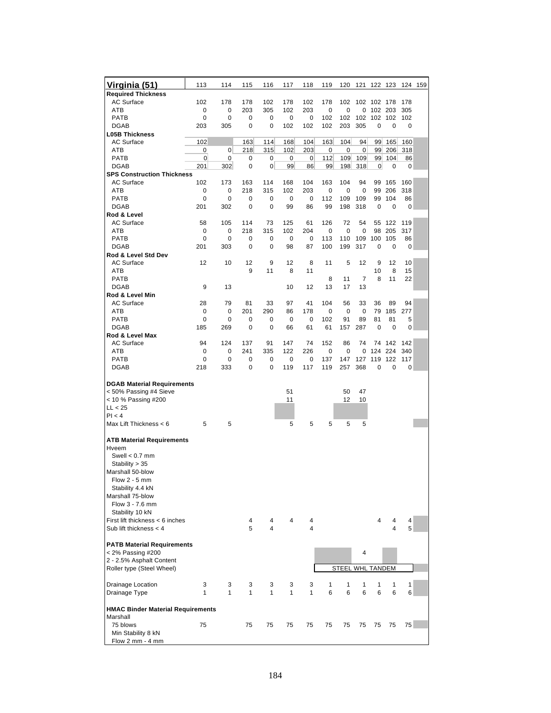| <u>Virginia (51)</u>                      | 113          | 114 | 115          | 116 | 117          | 118 | 119 | 120                     |     | 121 122 123 |         | 124 159 |  |
|-------------------------------------------|--------------|-----|--------------|-----|--------------|-----|-----|-------------------------|-----|-------------|---------|---------|--|
| <b>Required Thickness</b>                 |              |     |              |     |              |     |     |                         |     |             |         |         |  |
| <b>AC Surface</b>                         | 102          | 178 | 178          | 102 | 178          | 102 | 178 | 102                     |     | 102 102 178 |         | 178     |  |
| ATB                                       | 0            | 0   | 203          | 305 | 102          | 203 | 0   | 0                       | 0   | 102 203     |         | 305     |  |
| PATB                                      | 0            | 0   | 0            | 0   | 0            | 0   | 102 | 102                     | 102 | 102 102     |         | 102     |  |
| <b>DGAB</b>                               | 203          | 305 | 0            | 0   | 102          | 102 | 102 | 203                     | 305 | 0           | 0       | 0       |  |
| <b>L05B Thickness</b>                     |              |     |              |     |              |     |     |                         |     |             |         |         |  |
| <b>AC Surface</b>                         | 102          |     | 163          | 114 | 168          | 104 | 163 | 104                     | 94  | 99          | 165     | 160     |  |
| ATB                                       | 0            | 0   | 218          | 315 | 102          | 203 | 0   | 0                       | 0   | 99          | 206     | 318     |  |
| PATB<br><b>DGAB</b>                       | 0            | 0   | 0            | 0   | 0            | 0   | 112 | 109                     | 109 | 99          | 104     | 86      |  |
| <b>SPS Construction Thickness</b>         | 201          | 302 | 0            | 0   | 99           | 86  | 99  | 198                     | 318 | 0           | 0       | 0       |  |
| <b>AC Surface</b>                         | 102          | 173 | 163          | 114 | 168          | 104 | 163 | 104                     | 94  | 99          | 165     | 160     |  |
| ATB                                       | 0            | 0   | 218          | 315 | 102          | 203 | 0   | $\mathbf 0$             | 0   | 99          | 206     | 318     |  |
| <b>PATB</b>                               | 0            | 0   | 0            | 0   | 0            | 0   | 112 | 109                     | 109 | 99          | 104     | 86      |  |
| <b>DGAB</b>                               | 201          | 302 | 0            | 0   | 99           | 86  | 99  | 198                     | 318 | 0           | 0       | 0       |  |
| Rod & Level                               |              |     |              |     |              |     |     |                         |     |             |         |         |  |
| <b>AC Surface</b>                         | 58           | 105 | 114          | 73  | 125          | 61  | 126 | 72                      | 54  | 55          | 122     | 119     |  |
| ATB                                       | 0            | 0   | 218          | 315 | 102          | 204 | 0   | 0                       | 0   | 98          | 205     | 317     |  |
| <b>PATB</b>                               | 0            | 0   | 0            | 0   | 0            | 0   | 113 | 110                     | 109 | 100         | 105     | 86      |  |
| <b>DGAB</b>                               | 201          | 303 | 0            | 0   | 98           | 87  | 100 | 199                     | 317 | 0           | 0       | 0       |  |
| Rod & Level Std Dev                       |              |     |              |     |              |     |     |                         |     |             |         |         |  |
| AC Surface                                | 12           | 10  | 12           | 9   | 12           | 8   | 11  | 5                       | 12  | 9           | 12      | 10      |  |
| ATB                                       |              |     | 9            | 11  | 8            | 11  |     |                         |     | 10          | 8       | 15      |  |
| <b>PATB</b>                               |              |     |              |     |              |     | 8   | 11                      | 7   | 8           | 11      | 22      |  |
| <b>DGAB</b>                               | 9            | 13  |              |     | 10           | 12  | 13  | 17                      | 13  |             |         |         |  |
| Rod & Level Min                           |              |     |              |     |              |     |     |                         |     |             |         |         |  |
| <b>AC Surface</b>                         | 28           | 79  | 81           | 33  | 97           | 41  | 104 | 56                      | 33  | 36          | 89      | 94      |  |
| ATB                                       | 0            | 0   | 201          | 290 | 86           | 178 | 0   | 0                       | 0   | 79          | 185     | 277     |  |
| PATB                                      | 0            | 0   | 0            | 0   | 0            | 0   | 102 | 91                      | 89  | 81          | 81      | 5       |  |
| <b>DGAB</b>                               | 185          | 269 | 0            | 0   | 66           | 61  | 61  | 157                     | 287 | 0           | 0       | 0       |  |
| Rod & Level Max                           |              |     |              |     |              |     |     |                         |     |             |         |         |  |
| <b>AC Surface</b>                         | 94           | 124 | 137          | 91  | 147          | 74  | 152 | 86                      | 74  |             | 74 142  | 142     |  |
| ATB                                       | 0            | 0   | 241          | 335 | 122          | 226 | 0   | 0                       | 0   |             | 124 224 | 340     |  |
| <b>PATB</b>                               | 0            | 0   | 0            | 0   | 0            | 0   | 137 | 147                     | 127 | 119         | 122     | 117     |  |
| <b>DGAB</b>                               | 218          | 333 | 0            | 0   | 119          | 117 | 119 | 257                     | 368 | 0           | 0       | 0       |  |
|                                           |              |     |              |     |              |     |     |                         |     |             |         |         |  |
| <b>DGAB Material Requirements</b>         |              |     |              |     |              |     |     |                         |     |             |         |         |  |
| < 50% Passing #4 Sieve                    |              |     |              |     | 51           |     |     | 50                      | 47  |             |         |         |  |
| < 10 % Passing #200                       |              |     |              |     | 11           |     |     | 12                      | 10  |             |         |         |  |
| LL < 25                                   |              |     |              |     |              |     |     |                         |     |             |         |         |  |
| Pl < 4                                    |              |     |              |     |              |     |     |                         |     |             |         |         |  |
| Max Lift Thickness < 6                    | 5            | 5   |              |     | 5            | 5   | 5   | 5                       | 5   |             |         |         |  |
|                                           |              |     |              |     |              |     |     |                         |     |             |         |         |  |
| <b>ATB Material Requirements</b><br>Hveem |              |     |              |     |              |     |     |                         |     |             |         |         |  |
| Swell $< 0.7$ mm                          |              |     |              |     |              |     |     |                         |     |             |         |         |  |
| Stability > 35                            |              |     |              |     |              |     |     |                         |     |             |         |         |  |
| Marshall 50-blow                          |              |     |              |     |              |     |     |                         |     |             |         |         |  |
| Flow $2 - 5$ mm                           |              |     |              |     |              |     |     |                         |     |             |         |         |  |
| Stability 4.4 kN                          |              |     |              |     |              |     |     |                         |     |             |         |         |  |
| Marshall 75-blow                          |              |     |              |     |              |     |     |                         |     |             |         |         |  |
| Flow 3 - 7.6 mm                           |              |     |              |     |              |     |     |                         |     |             |         |         |  |
| Stability 10 kN                           |              |     |              |     |              |     |     |                         |     |             |         |         |  |
| First lift thickness < 6 inches           |              |     | 4            | 4   | 4            | 4   |     |                         |     | 4           | 4       | 4       |  |
| Sub lift thickness < 4                    |              |     | 5            | 4   |              | 4   |     |                         |     |             | 4       | 5       |  |
|                                           |              |     |              |     |              |     |     |                         |     |             |         |         |  |
| <b>PATB Material Requirements</b>         |              |     |              |     |              |     |     |                         |     |             |         |         |  |
| < 2% Passing #200                         |              |     |              |     |              |     |     |                         | 4   |             |         |         |  |
| 2 - 2.5% Asphalt Content                  |              |     |              |     |              |     |     |                         |     |             |         |         |  |
| Roller type (Steel Wheel)                 |              |     |              |     |              |     |     | <b>STEEL WHL TANDEM</b> |     |             |         |         |  |
|                                           |              |     |              |     |              |     |     |                         |     |             |         |         |  |
| <b>Drainage Location</b>                  | 3            | 3   | 3            | 3   | 3            | 3   | 1   | 1                       | 1   | 1           | 1       | 1       |  |
| Drainage Type                             | $\mathbf{1}$ | 1   | $\mathbf{1}$ | 1   | $\mathbf{1}$ | 1   | 6   | 6                       | 6   | 6           | 6       | 6       |  |
|                                           |              |     |              |     |              |     |     |                         |     |             |         |         |  |
| <b>HMAC Binder Material Requirements</b>  |              |     |              |     |              |     |     |                         |     |             |         |         |  |
| Marshall                                  |              |     |              |     |              |     |     |                         |     |             |         |         |  |
| 75 blows                                  | 75           |     | 75           | 75  | 75           | 75  | 75  | 75                      | 75  | 75          | 75      | 75      |  |
| Min Stability 8 kN                        |              |     |              |     |              |     |     |                         |     |             |         |         |  |
| Flow 2 mm - 4 mm                          |              |     |              |     |              |     |     |                         |     |             |         |         |  |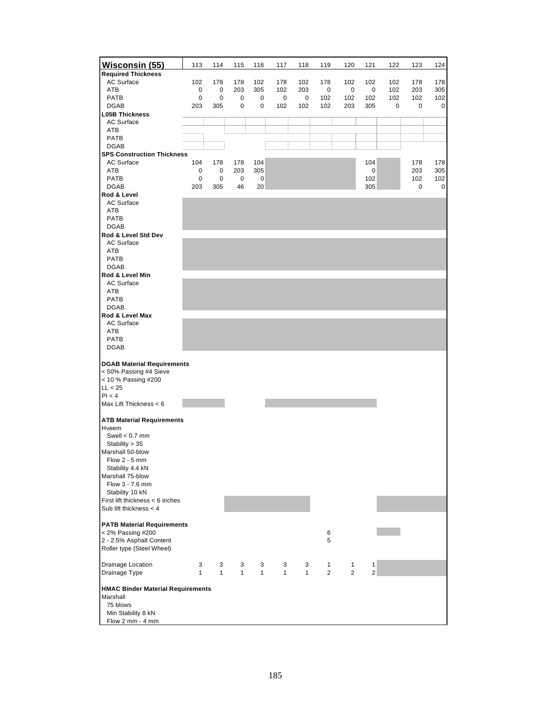| Wisconsin (55)                                   | 113          | 114          | 115              | 116          | 117          | 118 | 119            | 120            | 121            | 122 | 123 | 124 |
|--------------------------------------------------|--------------|--------------|------------------|--------------|--------------|-----|----------------|----------------|----------------|-----|-----|-----|
| <b>Required Thickness</b>                        |              |              |                  |              |              |     |                |                |                |     |     |     |
| <b>AC Surface</b>                                | 102          | 178          | 178              | 102          | 178          | 102 | 178            | 102            | 102            | 102 | 178 | 178 |
| ATB                                              | 0            | 0            | 203              | 305          | 102          | 203 | 0              | 0              | 0              | 102 | 203 | 305 |
| <b>PATB</b>                                      | 0            | 0            | 0<br>$\mathbf 0$ | 0<br>0       | 0            | 0   | 102            | 102            | 102            | 102 | 102 | 102 |
| <b>DGAB</b><br><b>L05B Thickness</b>             | 203          | 305          |                  |              | 102          | 102 | 102            | 203            | 305            | 0   | 0   | 0   |
| <b>AC Surface</b>                                |              |              |                  |              |              |     |                |                |                |     |     |     |
| ATB                                              |              |              |                  |              |              |     |                |                |                |     |     |     |
| <b>PATB</b>                                      |              |              |                  |              |              |     |                |                |                |     |     |     |
| <b>DGAB</b><br><b>SPS Construction Thickness</b> |              |              |                  |              |              |     |                |                |                |     |     |     |
| <b>AC Surface</b>                                | 104          | 178          | 178              | 104          |              |     |                |                | 104            |     | 178 | 178 |
| ATB                                              | 0            | 0            | 203              | 305          |              |     |                |                | 0              |     | 203 | 305 |
| <b>PATB</b>                                      | 0            | 0            | 0                | 0            |              |     |                |                | 102            |     | 102 | 102 |
| <b>DGAB</b>                                      | 203          | 305          | 46               | 20           |              |     |                |                | 305            |     | 0   | 0   |
| Rod & Level                                      |              |              |                  |              |              |     |                |                |                |     |     |     |
| <b>AC Surface</b><br>ATB                         |              |              |                  |              |              |     |                |                |                |     |     |     |
| <b>PATB</b>                                      |              |              |                  |              |              |     |                |                |                |     |     |     |
| <b>DGAB</b>                                      |              |              |                  |              |              |     |                |                |                |     |     |     |
| Rod & Level Std Dev                              |              |              |                  |              |              |     |                |                |                |     |     |     |
| <b>AC Surface</b>                                |              |              |                  |              |              |     |                |                |                |     |     |     |
| ATB<br><b>PATB</b>                               |              |              |                  |              |              |     |                |                |                |     |     |     |
| <b>DGAB</b>                                      |              |              |                  |              |              |     |                |                |                |     |     |     |
| Rod & Level Min                                  |              |              |                  |              |              |     |                |                |                |     |     |     |
| <b>AC Surface</b>                                |              |              |                  |              |              |     |                |                |                |     |     |     |
| ATB                                              |              |              |                  |              |              |     |                |                |                |     |     |     |
| <b>PATB</b>                                      |              |              |                  |              |              |     |                |                |                |     |     |     |
| <b>DGAB</b><br>Rod & Level Max                   |              |              |                  |              |              |     |                |                |                |     |     |     |
| <b>AC Surface</b>                                |              |              |                  |              |              |     |                |                |                |     |     |     |
| ATB                                              |              |              |                  |              |              |     |                |                |                |     |     |     |
| PATB                                             |              |              |                  |              |              |     |                |                |                |     |     |     |
| <b>DGAB</b>                                      |              |              |                  |              |              |     |                |                |                |     |     |     |
| <b>DGAB Material Requirements</b>                |              |              |                  |              |              |     |                |                |                |     |     |     |
| < 50% Passing #4 Sieve                           |              |              |                  |              |              |     |                |                |                |     |     |     |
| < 10 % Passing #200                              |              |              |                  |              |              |     |                |                |                |     |     |     |
| LL < 25                                          |              |              |                  |              |              |     |                |                |                |     |     |     |
| PI < 4                                           |              |              |                  |              |              |     |                |                |                |     |     |     |
| Max Lift Thickness < 6                           |              |              |                  |              |              |     |                |                |                |     |     |     |
| <b>ATB Material Requirements</b>                 |              |              |                  |              |              |     |                |                |                |     |     |     |
| Hveem                                            |              |              |                  |              |              |     |                |                |                |     |     |     |
| Swell $< 0.7$ mm                                 |              |              |                  |              |              |     |                |                |                |     |     |     |
| Stability $> 35$                                 |              |              |                  |              |              |     |                |                |                |     |     |     |
| Marshall 50-blow                                 |              |              |                  |              |              |     |                |                |                |     |     |     |
| Flow 2 - 5 mm<br>Stability 4.4 kN                |              |              |                  |              |              |     |                |                |                |     |     |     |
| Marshall 75-blow                                 |              |              |                  |              |              |     |                |                |                |     |     |     |
| Flow 3 - 7.6 mm                                  |              |              |                  |              |              |     |                |                |                |     |     |     |
| Stability 10 kN                                  |              |              |                  |              |              |     |                |                |                |     |     |     |
| First lift thickness < 6 inches                  |              |              |                  |              |              |     |                |                |                |     |     |     |
| Sub lift thickness $<$ 4                         |              |              |                  |              |              |     |                |                |                |     |     |     |
| <b>PATB Material Requirements</b>                |              |              |                  |              |              |     |                |                |                |     |     |     |
| < 2% Passing #200                                |              |              |                  |              |              |     | 6              |                |                |     |     |     |
| 2 - 2.5% Asphalt Content                         |              |              |                  |              |              |     | 5              |                |                |     |     |     |
| Roller type (Steel Wheel)                        |              |              |                  |              |              |     |                |                |                |     |     |     |
| Drainage Location                                | 3            | 3            | 3                | 3            | 3            | 3   | 1              | 1              | 1              |     |     |     |
| Drainage Type                                    | $\mathbf{1}$ | $\mathbf{1}$ | $\mathbf{1}$     | $\mathbf{1}$ | $\mathbf{1}$ | 1   | $\overline{2}$ | $\overline{2}$ | $\overline{2}$ |     |     |     |
|                                                  |              |              |                  |              |              |     |                |                |                |     |     |     |
| <b>HMAC Binder Material Requirements</b>         |              |              |                  |              |              |     |                |                |                |     |     |     |
| Marshall                                         |              |              |                  |              |              |     |                |                |                |     |     |     |
| 75 blows                                         |              |              |                  |              |              |     |                |                |                |     |     |     |
| Min Stability 8 kN<br>Flow 2 mm - 4 mm           |              |              |                  |              |              |     |                |                |                |     |     |     |
|                                                  |              |              |                  |              |              |     |                |                |                |     |     |     |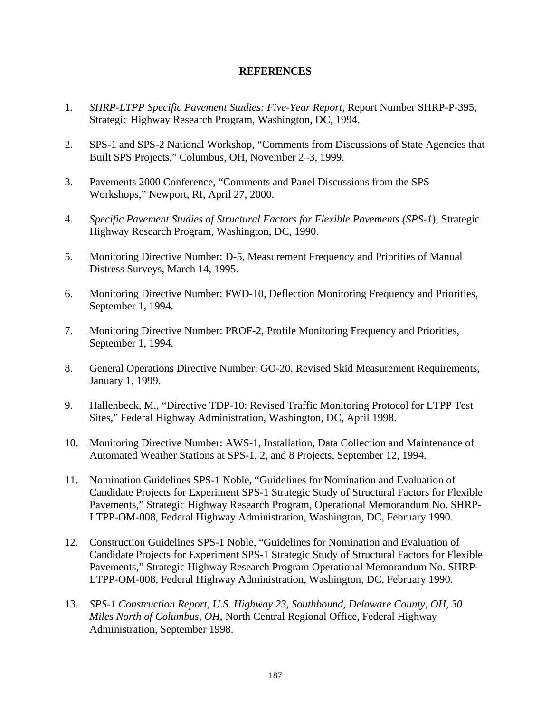## **REFERENCES**

- 1. *SHRP-LTPP Specific Pavement Studies: Five-Year Report*, Report Number SHRP-P-395, Strategic Highway Research Program, Washington, DC, 1994.
- 2. SPS-1 and SPS-2 National Workshop, "Comments from Discussions of State Agencies that Built SPS Projects," Columbus, OH, November 2–3, 1999.
- 3. Pavements 2000 Conference, "Comments and Panel Discussions from the SPS Workshops," Newport, RI, April 27, 2000.
- 4. *Specific Pavement Studies of Structural Factors for Flexible Pavements (SPS-1*), Strategic Highway Research Program, Washington, DC, 1990.
- 5. Monitoring Directive Number: D-5, Measurement Frequency and Priorities of Manual Distress Surveys, March 14, 1995.
- 6. Monitoring Directive Number: FWD-10, Deflection Monitoring Frequency and Priorities, September 1, 1994.
- 7. Monitoring Directive Number: PROF-2, Profile Monitoring Frequency and Priorities, September 1, 1994.
- 8. General Operations Directive Number: GO-20, Revised Skid Measurement Requirements, January 1, 1999.
- 9. Hallenbeck, M., "Directive TDP-10: Revised Traffic Monitoring Protocol for LTPP Test Sites," Federal Highway Administration, Washington, DC, April 1998.
- 10. Monitoring Directive Number: AWS-1, Installation, Data Collection and Maintenance of Automated Weather Stations at SPS-1, 2, and 8 Projects, September 12, 1994.
- 11. Nomination Guidelines SPS-1 Noble, "Guidelines for Nomination and Evaluation of Candidate Projects for Experiment SPS-1 Strategic Study of Structural Factors for Flexible Pavements," Strategic Highway Research Program, Operational Memorandum No. SHRP-LTPP-OM-008, Federal Highway Administration, Washington, DC, February 1990.
- 12. Construction Guidelines SPS-1 Noble, "Guidelines for Nomination and Evaluation of Candidate Projects for Experiment SPS-1 Strategic Study of Structural Factors for Flexible Pavements," Strategic Highway Research Program Operational Memorandum No. SHRP-LTPP-OM-008, Federal Highway Administration, Washington, DC, February 1990.
- 13. *SPS-1 Construction Report, U.S. Highway 23, Southbound, Delaware County, OH, 30 Miles North of Columbus, OH*, North Central Regional Office, Federal Highway Administration, September 1998.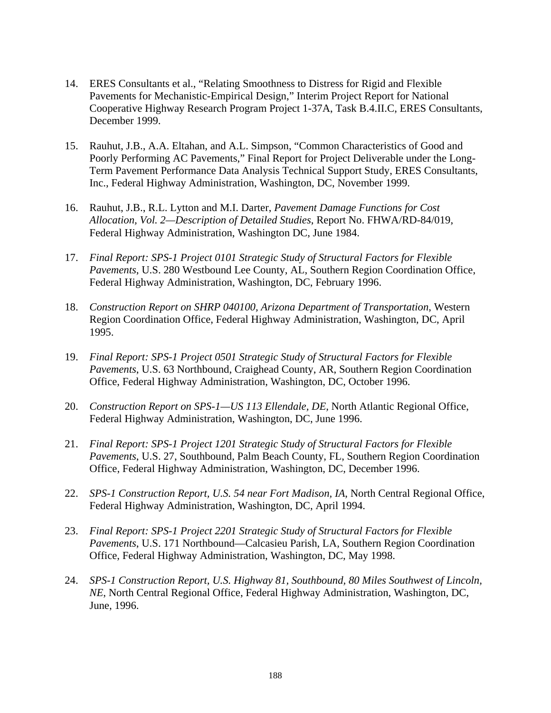- 14. ERES Consultants et al., "Relating Smoothness to Distress for Rigid and Flexible Pavements for Mechanistic-Empirical Design," Interim Project Report for National Cooperative Highway Research Program Project 1-37A, Task B.4.II.C, ERES Consultants, December 1999.
- 15. Rauhut, J.B., A.A. Eltahan, and A.L. Simpson, "Common Characteristics of Good and Poorly Performing AC Pavements," Final Report for Project Deliverable under the Long-Term Pavement Performance Data Analysis Technical Support Study, ERES Consultants, Inc., Federal Highway Administration, Washington, DC, November 1999.
- 16. Rauhut, J.B., R.L. Lytton and M.I. Darter, *Pavement Damage Functions for Cost Allocation, Vol. 2—Description of Detailed Studies*, Report No. FHWA/RD-84/019, Federal Highway Administration, Washington DC, June 1984.
- 17. *Final Report: SPS-1 Project 0101 Strategic Study of Structural Factors for Flexible Pavements*, U.S. 280 Westbound Lee County, AL, Southern Region Coordination Office, Federal Highway Administration, Washington, DC, February 1996.
- 18. *Construction Report on SHRP 040100, Arizona Department of Transportation*, Western Region Coordination Office, Federal Highway Administration, Washington, DC, April 1995.
- 19. *Final Report: SPS-1 Project 0501 Strategic Study of Structural Factors for Flexible Pavements*, U.S. 63 Northbound, Craighead County, AR, Southern Region Coordination Office, Federal Highway Administration, Washington, DC, October 1996.
- 20. *Construction Report on SPS-1—US 113 Ellendale, DE,* North Atlantic Regional Office, Federal Highway Administration, Washington, DC, June 1996.
- 21. *Final Report: SPS-1 Project 1201 Strategic Study of Structural Factors for Flexible Pavements*, U.S. 27, Southbound, Palm Beach County, FL, Southern Region Coordination Office, Federal Highway Administration, Washington, DC, December 1996.
- 22. *SPS-1 Construction Report, U.S. 54 near Fort Madison, IA*, North Central Regional Office, Federal Highway Administration, Washington, DC, April 1994.
- 23. *Final Report: SPS-1 Project 2201 Strategic Study of Structural Factors for Flexible Pavements*, U.S. 171 Northbound—Calcasieu Parish, LA, Southern Region Coordination Office, Federal Highway Administration, Washington, DC, May 1998.
- 24. *SPS-1 Construction Report, U.S. Highway 81, Southbound, 80 Miles Southwest of Lincoln, NE*, North Central Regional Office, Federal Highway Administration, Washington, DC, June, 1996.